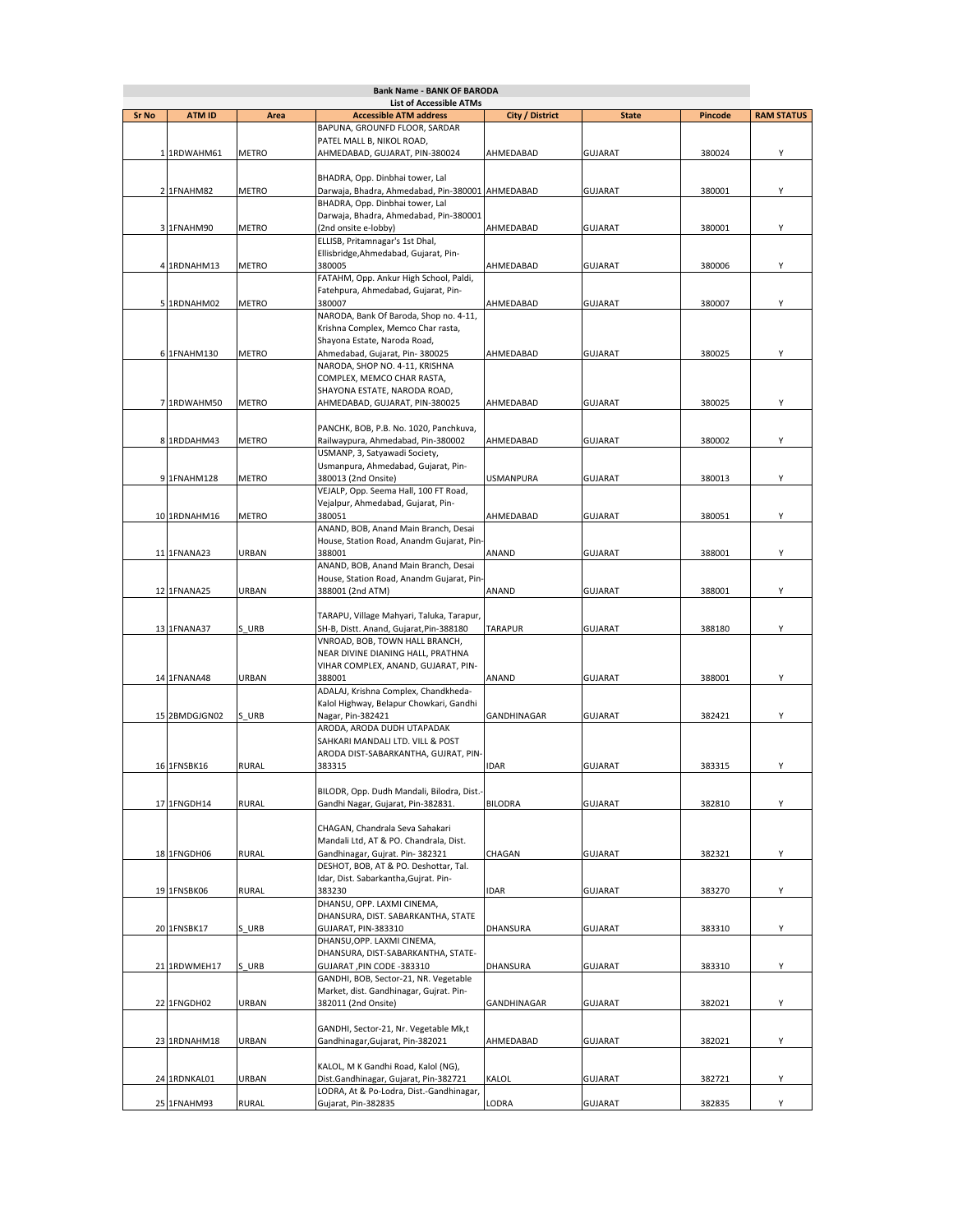| <b>Bank Name - BANK OF BARODA</b> |               |              |                                                                |                  |                |                |                   |
|-----------------------------------|---------------|--------------|----------------------------------------------------------------|------------------|----------------|----------------|-------------------|
|                                   |               |              | <b>List of Accessible ATMs</b>                                 |                  |                |                |                   |
| Sr No                             | <b>ATM ID</b> | Area         | <b>Accessible ATM address</b><br>BAPUNA, GROUNFD FLOOR, SARDAR | City / District  | <b>State</b>   | <b>Pincode</b> | <b>RAM STATUS</b> |
|                                   |               |              | PATEL MALL B, NIKOL ROAD,                                      |                  |                |                |                   |
|                                   |               | METRO        | AHMEDABAD, GUJARAT, PIN-380024                                 |                  |                | 380024         | Υ                 |
|                                   | 1 1RDWAHM61   |              |                                                                | AHMEDABAD        | <b>GUJARAT</b> |                |                   |
|                                   |               |              | BHADRA, Opp. Dinbhai tower, Lal                                |                  |                |                |                   |
|                                   | 2 1FNAHM82    | METRO        | Darwaja, Bhadra, Ahmedabad, Pin-380001 AHMEDABAD               |                  | <b>GUJARAT</b> | 380001         | Υ                 |
|                                   |               |              | BHADRA, Opp. Dinbhai tower, Lal                                |                  |                |                |                   |
|                                   |               |              | Darwaja, Bhadra, Ahmedabad, Pin-380001                         |                  |                |                |                   |
|                                   | 3 1FNAHM90    | METRO        | (2nd onsite e-lobby)                                           | AHMEDABAD        | <b>GUJARAT</b> | 380001         | Υ                 |
|                                   |               |              | ELLISB, Pritamnagar's 1st Dhal,                                |                  |                |                |                   |
|                                   |               |              | Ellisbridge, Ahmedabad, Gujarat, Pin-                          |                  |                |                |                   |
|                                   | 4 1RDNAHM13   | METRO        | 380005                                                         | AHMEDABAD        | <b>GUJARAT</b> | 380006         | Υ                 |
|                                   |               |              | FATAHM, Opp. Ankur High School, Paldi,                         |                  |                |                |                   |
|                                   |               |              | Fatehpura, Ahmedabad, Gujarat, Pin-                            |                  |                |                |                   |
|                                   | 5 1RDNAHM02   | METRO        | 380007                                                         | AHMEDABAD        | <b>GUJARAT</b> | 380007         | Υ                 |
|                                   |               |              | NARODA, Bank Of Baroda, Shop no. 4-11,                         |                  |                |                |                   |
|                                   |               |              | Krishna Complex, Memco Char rasta,                             |                  |                |                |                   |
|                                   |               |              | Shayona Estate, Naroda Road,                                   |                  |                |                |                   |
|                                   | 6 1FNAHM130   | <b>METRO</b> | Ahmedabad, Gujarat, Pin-380025                                 | AHMEDABAD        | <b>GUJARAT</b> | 380025         | Υ                 |
|                                   |               |              | NARODA, SHOP NO. 4-11, KRISHNA                                 |                  |                |                |                   |
|                                   |               |              | COMPLEX, MEMCO CHAR RASTA,                                     |                  |                |                |                   |
|                                   |               |              | SHAYONA ESTATE, NARODA ROAD,                                   |                  |                |                |                   |
|                                   | 7 1RDWAHM50   | <b>METRO</b> | AHMEDABAD, GUJARAT, PIN-380025                                 | AHMEDABAD        | <b>GUJARAT</b> | 380025         | Υ                 |
|                                   |               |              |                                                                |                  |                |                |                   |
|                                   |               |              | PANCHK, BOB, P.B. No. 1020, Panchkuva,                         |                  |                |                |                   |
|                                   | 8 1RDDAHM43   | METRO        | Railwaypura, Ahmedabad, Pin-380002                             | AHMEDABAD        | <b>GUJARAT</b> | 380002         | Υ                 |
|                                   |               |              | USMANP, 3, Satyawadi Society,                                  |                  |                |                |                   |
|                                   |               |              | Usmanpura, Ahmedabad, Gujarat, Pin-                            |                  |                |                |                   |
|                                   | 9 1FNAHM128   | METRO        | 380013 (2nd Onsite)                                            | <b>USMANPURA</b> | <b>GUJARAT</b> | 380013         | Υ                 |
|                                   |               |              | VEJALP, Opp. Seema Hall, 100 FT Road,                          |                  |                |                |                   |
|                                   |               |              | Vejalpur, Ahmedabad, Gujarat, Pin-                             |                  |                |                |                   |
|                                   | 10 1RDNAHM16  | METRO        | 380051                                                         | AHMEDABAD        | <b>GUJARAT</b> | 380051         | Υ                 |
|                                   |               |              | ANAND, BOB, Anand Main Branch, Desai                           |                  |                |                |                   |
|                                   |               |              | House, Station Road, Anandm Gujarat, Pin-                      |                  |                |                |                   |
|                                   | 11 1FNANA23   | URBAN        | 388001                                                         | ANAND            | <b>GUJARAT</b> | 388001         | Υ                 |
|                                   |               |              | ANAND, BOB, Anand Main Branch, Desai                           |                  |                |                |                   |
|                                   |               |              | House, Station Road, Anandm Gujarat, Pin-                      |                  |                |                |                   |
|                                   | 12 1FNANA25   | URBAN        | 388001 (2nd ATM)                                               | ANAND            | <b>GUJARAT</b> | 388001         | Υ                 |
|                                   |               |              |                                                                |                  |                |                |                   |
|                                   |               |              | TARAPU, Village Mahyari, Taluka, Tarapur,                      |                  |                |                |                   |
|                                   | 13 1FNANA37   | S URB        | SH-B, Distt. Anand, Gujarat, Pin-388180                        | <b>TARAPUR</b>   | <b>GUJARAT</b> | 388180         | Υ                 |
|                                   |               |              | VNROAD, BOB, TOWN HALL BRANCH,                                 |                  |                |                |                   |
|                                   |               |              | NEAR DIVINE DIANING HALL, PRATHNA                              |                  |                |                |                   |
|                                   |               |              | VIHAR COMPLEX, ANAND, GUJARAT, PIN-                            |                  |                |                |                   |
|                                   | 14 1FNANA48   | URBAN        | 388001                                                         | ANAND            | <b>GUJARAT</b> | 388001         | Υ                 |
|                                   |               |              | ADALAJ, Krishna Complex, Chandkheda-                           |                  |                |                |                   |
|                                   |               |              | Kalol Highway, Belapur Chowkari, Gandhi                        |                  |                |                |                   |
|                                   | 15 2BMDGJGN02 | S URB        | Nagar, Pin-382421                                              | GANDHINAGAR      | <b>GUJARAT</b> | 382421         | Υ                 |
|                                   |               |              | ARODA, ARODA DUDH UTAPADAK                                     |                  |                |                |                   |
|                                   |               |              | SAHKARI MANDALI LTD. VILL & POST                               |                  |                |                |                   |
|                                   |               |              | ARODA DIST-SABARKANTHA, GUJRAT, PIN-                           |                  |                |                |                   |
|                                   | 16 1FNSBK16   | <b>RURAL</b> | 383315                                                         | <b>IDAR</b>      | <b>GUJARAT</b> | 383315         | Υ                 |
|                                   |               |              |                                                                |                  |                |                |                   |
|                                   |               |              | BILODR, Opp. Dudh Mandali, Bilodra, Dist.-                     |                  |                |                |                   |
|                                   | 17 1FNGDH14   | <b>RURAL</b> | Gandhi Nagar, Gujarat, Pin-382831.                             | <b>BILODRA</b>   | <b>GUJARAT</b> | 382810         | Υ                 |
|                                   |               |              |                                                                |                  |                |                |                   |
|                                   |               |              | CHAGAN, Chandrala Seva Sahakari                                |                  |                |                |                   |
|                                   |               |              | Mandali Ltd, AT & PO. Chandrala, Dist.                         |                  |                |                |                   |
|                                   | 18 1FNGDH06   | <b>RURAL</b> | Gandhinagar, Gujrat. Pin-382321                                | CHAGAN           | <b>GUJARAT</b> | 382321         | Υ                 |
|                                   |               |              | DESHOT, BOB, AT & PO. Deshottar, Tal.                          |                  |                |                |                   |
|                                   |               |              | Idar, Dist. Sabarkantha, Gujrat. Pin-                          |                  |                |                |                   |
|                                   | 19 1FNSBK06   | <b>RURAL</b> | 383230                                                         | <b>IDAR</b>      | <b>GUJARAT</b> | 383270         | Υ                 |
|                                   |               |              | DHANSU, OPP. LAXMI CINEMA,                                     |                  |                |                |                   |
|                                   |               |              | DHANSURA, DIST. SABARKANTHA, STATE                             |                  |                |                |                   |
|                                   | 20 1FNSBK17   | S URB        | GUJARAT, PIN-383310                                            | DHANSURA         | <b>GUJARAT</b> | 383310         | Υ                 |
|                                   |               |              | DHANSU, OPP. LAXMI CINEMA,                                     |                  |                |                |                   |
|                                   |               |              | DHANSURA, DIST-SABARKANTHA, STATE-                             |                  |                |                |                   |
|                                   | 21 1RDWMEH17  | S URB        | GUJARAT, PIN CODE -383310                                      | DHANSURA         | <b>GUJARAT</b> | 383310         | Υ                 |
|                                   |               |              | GANDHI, BOB, Sector-21, NR. Vegetable                          |                  |                |                |                   |
|                                   |               |              | Market, dist. Gandhinagar, Gujrat. Pin-                        |                  |                |                |                   |
|                                   | 22 1FNGDH02   | URBAN        | 382011 (2nd Onsite)                                            | GANDHINAGAR      | GUJARAT        | 382021         | Υ                 |
|                                   |               |              |                                                                |                  |                |                |                   |
|                                   |               |              | GANDHI, Sector-21, Nr. Vegetable Mk,t                          |                  |                |                |                   |
|                                   | 23 1RDNAHM18  | URBAN        | Gandhinagar, Gujarat, Pin-382021                               | AHMEDABAD        | <b>GUJARAT</b> | 382021         | Υ                 |
|                                   |               |              |                                                                |                  |                |                |                   |
|                                   |               |              | KALOL, M K Gandhi Road, Kalol (NG),                            |                  |                |                |                   |
|                                   | 24 1RDNKAL01  | URBAN        | Dist.Gandhinagar, Gujarat, Pin-382721                          | KALOL            | GUJARAT        | 382721         | Υ                 |
|                                   |               |              | LODRA, At & Po-Lodra, Dist.-Gandhinagar,                       |                  |                |                |                   |
|                                   | 25 1FNAHM93   | <b>RURAL</b> | Gujarat, Pin-382835                                            | LODRA            | <b>GUJARAT</b> | 382835         | Y                 |
|                                   |               |              |                                                                |                  |                |                |                   |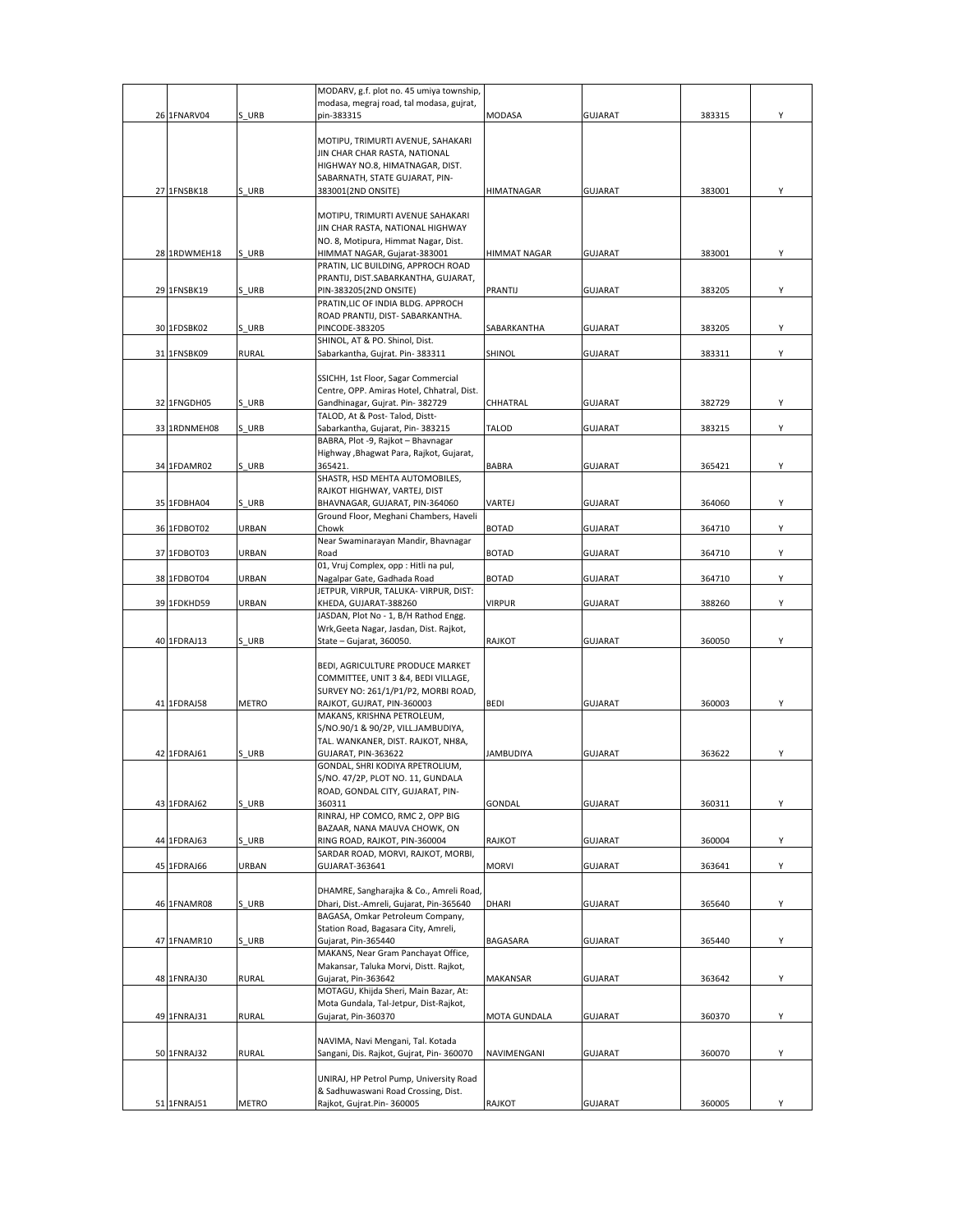|              |              | MODARV, g.f. plot no. 45 umiya township,                                                              |                  |                |        |   |
|--------------|--------------|-------------------------------------------------------------------------------------------------------|------------------|----------------|--------|---|
|              |              | modasa, megraj road, tal modasa, gujrat,                                                              |                  |                |        |   |
| 26 1FNARV04  | S URB        | pin-383315                                                                                            | MODASA           | <b>GUJARAT</b> | 383315 | Υ |
|              |              | MOTIPU, TRIMURTI AVENUE, SAHAKARI<br>JIN CHAR CHAR RASTA, NATIONAL<br>HIGHWAY NO.8, HIMATNAGAR, DIST. |                  |                |        |   |
| 27 1FNSBK18  | S URB        | SABARNATH, STATE GUJARAT, PIN-<br>383001(2ND ONSITE)                                                  | HIMATNAGAR       | <b>GUJARAT</b> | 383001 | Υ |
|              |              |                                                                                                       |                  |                |        |   |
|              |              | MOTIPU, TRIMURTI AVENUE SAHAKARI<br>JIN CHAR RASTA, NATIONAL HIGHWAY                                  |                  |                |        |   |
|              |              | NO. 8, Motipura, Himmat Nagar, Dist.                                                                  |                  |                |        |   |
| 28 1RDWMEH18 | S URB        | HIMMAT NAGAR, Gujarat-383001                                                                          | HIMMAT NAGAR     | <b>GUJARAT</b> | 383001 | Υ |
|              |              | PRATIN, LIC BUILDING, APPROCH ROAD                                                                    |                  |                |        |   |
|              |              | PRANTIJ, DIST.SABARKANTHA, GUJARAT,                                                                   |                  |                |        |   |
| 29 1FNSBK19  | S URB        | PIN-383205(2ND ONSITE)<br>PRATIN, LIC OF INDIA BLDG. APPROCH                                          | <b>PRANTIJ</b>   | <b>GUJARAT</b> | 383205 | Υ |
|              |              | ROAD PRANTIJ, DIST- SABARKANTHA.                                                                      |                  |                |        |   |
| 30 1FDSBK02  | S URB        | PINCODE-383205                                                                                        | SABARKANTHA      | <b>GUJARAT</b> | 383205 | Y |
|              |              | SHINOL, AT & PO. Shinol, Dist.                                                                        |                  |                |        |   |
| 31 1FNSBK09  | <b>RURAL</b> | Sabarkantha, Gujrat. Pin- 383311                                                                      | SHINOL           | GUJARAT        | 383311 | Υ |
|              |              | SSICHH, 1st Floor, Sagar Commercial                                                                   |                  |                |        |   |
|              |              | Centre, OPP. Amiras Hotel, Chhatral, Dist.                                                            |                  |                |        |   |
| 32 1FNGDH05  | S URB        | Gandhinagar, Gujrat. Pin-382729                                                                       | CHHATRAL         | <b>GUJARAT</b> | 382729 | Y |
| 33 1RDNMEH08 | S URB        | TALOD, At & Post- Talod, Distt-                                                                       | TALOD            |                |        |   |
|              |              | Sabarkantha, Gujarat, Pin-383215<br>BABRA, Plot -9, Rajkot - Bhavnagar                                |                  | <b>GUJARAT</b> | 383215 | Υ |
|              |              | Highway , Bhagwat Para, Rajkot, Gujarat,                                                              |                  |                |        |   |
| 34 1FDAMR02  | S URB        | 365421.                                                                                               | <b>BABRA</b>     | <b>GUJARAT</b> | 365421 | Y |
|              |              | SHASTR, HSD MEHTA AUTOMOBILES,                                                                        |                  |                |        |   |
| 35 1FDBHA04  | S URB        | RAJKOT HIGHWAY, VARTEJ, DIST<br>BHAVNAGAR, GUJARAT, PIN-364060                                        | VARTEJ           | <b>GUJARAT</b> | 364060 | Υ |
|              |              | Ground Floor, Meghani Chambers, Haveli                                                                |                  |                |        |   |
| 36 1FDBOT02  | URBAN        | Chowk                                                                                                 | <b>BOTAD</b>     | <b>GUJARAT</b> | 364710 | Υ |
|              |              | Near Swaminarayan Mandir, Bhavnagar                                                                   |                  |                |        |   |
| 37 1FDBOT03  | URBAN        | Road<br>01, Vruj Complex, opp : Hitli na pul,                                                         | <b>BOTAD</b>     | <b>GUJARAT</b> | 364710 | Y |
| 38 1FDBOT04  | URBAN        | Nagalpar Gate, Gadhada Road                                                                           | <b>BOTAD</b>     | <b>GUJARAT</b> | 364710 | Y |
|              |              | JETPUR, VIRPUR, TALUKA- VIRPUR, DIST:                                                                 |                  |                |        |   |
| 39 1FDKHD59  | URBAN        | KHEDA, GUJARAT-388260                                                                                 | VIRPUR           | <b>GUJARAT</b> | 388260 | Υ |
|              |              | JASDAN, Plot No - 1, B/H Rathod Engg.<br>Wrk, Geeta Nagar, Jasdan, Dist. Rajkot,                      |                  |                |        |   |
| 40 1FDRAJ13  | S URB        | State - Gujarat, 360050.                                                                              | RAJKOT           | <b>GUJARAT</b> | 360050 | Υ |
|              |              |                                                                                                       |                  |                |        |   |
|              |              | BEDI, AGRICULTURE PRODUCE MARKET                                                                      |                  |                |        |   |
|              |              | COMMITTEE, UNIT 3 &4, BEDI VILLAGE,<br>SURVEY NO: 261/1/P1/P2, MORBI ROAD,                            |                  |                |        |   |
| 41 1FDRAJ58  | METRO        | RAJKOT, GUJRAT, PIN-360003                                                                            | <b>BEDI</b>      | <b>GUJARAT</b> | 360003 | Υ |
|              |              | MAKANS, KRISHNA PETROLEUM,                                                                            |                  |                |        |   |
|              |              | S/NO.90/1 & 90/2P, VILL.JAMBUDIYA,                                                                    |                  |                |        |   |
| 42 1FDRAJ61  | S URB        | TAL. WANKANER, DIST. RAJKOT, NH8A,<br>GUJARAT, PIN-363622                                             | <b>JAMBUDIYA</b> | <b>GUJARAT</b> | 363622 | Y |
|              |              | GONDAL, SHRI KODIYA RPETROLIUM,                                                                       |                  |                |        |   |
|              |              | S/NO. 47/2P, PLOT NO. 11, GUNDALA                                                                     |                  |                |        |   |
|              |              | ROAD, GONDAL CITY, GUJARAT, PIN-                                                                      |                  |                |        |   |
| 43 1FDRAJ62  | S URB        | 360311<br>RINRAJ, HP COMCO, RMC 2, OPP BIG                                                            | GONDAL           | <b>GUJARAT</b> | 360311 | Y |
|              |              | BAZAAR, NANA MAUVA CHOWK, ON                                                                          |                  |                |        |   |
| 44 1FDRAJ63  | S URB        | RING ROAD, RAJKOT, PIN-360004                                                                         | RAJKOT           | <b>GUJARAT</b> | 360004 | Υ |
|              |              | SARDAR ROAD, MORVI, RAJKOT, MORBI,                                                                    |                  |                |        |   |
| 45 1FDRAJ66  | URBAN        | GUJARAT-363641                                                                                        | <b>MORVI</b>     | <b>GUJARAT</b> | 363641 | Υ |
|              |              | DHAMRE, Sangharajka & Co., Amreli Road,                                                               |                  |                |        |   |
| 46 1FNAMR08  | S URB        | Dhari, Dist.-Amreli, Gujarat, Pin-365640                                                              | DHARI            | <b>GUJARAT</b> | 365640 | Υ |
|              |              | BAGASA, Omkar Petroleum Company,                                                                      |                  |                |        |   |
| 47 1FNAMR10  | S URB        | Station Road, Bagasara City, Amreli,<br>Gujarat, Pin-365440                                           | BAGASARA         | <b>GUJARAT</b> | 365440 | Υ |
|              |              | MAKANS, Near Gram Panchayat Office,                                                                   |                  |                |        |   |
|              |              | Makansar, Taluka Morvi, Distt. Rajkot,                                                                |                  |                |        |   |
| 48 1FNRAJ30  | <b>RURAL</b> | Gujarat, Pin-363642                                                                                   | MAKANSAR         | <b>GUJARAT</b> | 363642 | Υ |
|              |              | MOTAGU, Khijda Sheri, Main Bazar, At:<br>Mota Gundala, Tal-Jetpur, Dist-Rajkot,                       |                  |                |        |   |
| 49 1FNRAJ31  | <b>RURAL</b> | Gujarat, Pin-360370                                                                                   | MOTA GUNDALA     | <b>GUJARAT</b> | 360370 | Υ |
|              |              |                                                                                                       |                  |                |        |   |
|              |              | NAVIMA, Navi Mengani, Tal. Kotada                                                                     |                  |                |        |   |
| 50 1FNRAJ32  | <b>RURAL</b> | Sangani, Dis. Rajkot, Gujrat, Pin- 360070                                                             | NAVIMENGANI      | <b>GUJARAT</b> | 360070 | Υ |
|              |              | UNIRAJ, HP Petrol Pump, University Road                                                               |                  |                |        |   |
|              |              | & Sadhuwaswani Road Crossing, Dist.                                                                   |                  |                |        |   |
| 51 1FNRAJ51  | METRO        | Rajkot, Gujrat.Pin-360005                                                                             | RAJKOT           | <b>GUJARAT</b> | 360005 | Y |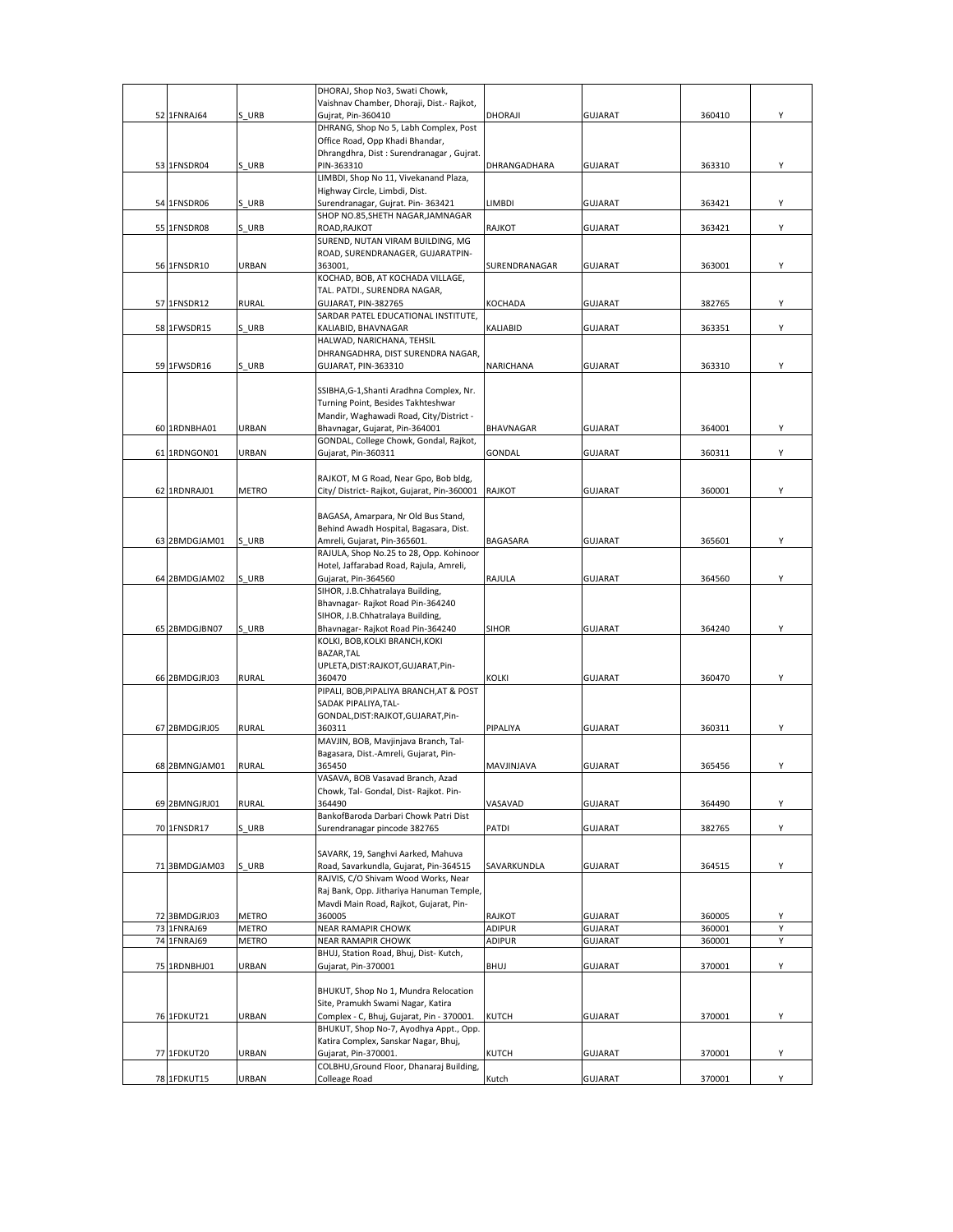|               |              | DHORAJ, Shop No3, Swati Chowk,                                       |                     |                |        |   |
|---------------|--------------|----------------------------------------------------------------------|---------------------|----------------|--------|---|
|               |              | Vaishnav Chamber, Dhoraji, Dist.- Rajkot,                            |                     |                |        |   |
| 52 1FNRAJ64   | S URB        | Gujrat, Pin-360410                                                   | DHORAJI             | <b>GUJARAT</b> | 360410 | Υ |
|               |              | DHRANG, Shop No 5, Labh Complex, Post                                |                     |                |        |   |
|               |              | Office Road, Opp Khadi Bhandar,                                      |                     |                |        |   |
|               |              | Dhrangdhra, Dist : Surendranagar, Gujrat.                            |                     |                |        |   |
| 53 1FNSDR04   | S URB        | PIN-363310                                                           | <b>DHRANGADHARA</b> | <b>GUJARAT</b> | 363310 |   |
|               |              | LIMBDI, Shop No 11, Vivekanand Plaza,                                |                     |                |        |   |
|               |              | Highway Circle, Limbdi, Dist.                                        |                     |                |        |   |
| 54 1FNSDR06   | S URB        | Surendranagar, Gujrat. Pin-363421                                    | LIMBDI              | <b>GUJARAT</b> | 363421 |   |
|               |              | SHOP NO.85, SHETH NAGAR, JAMNAGAR                                    |                     |                |        |   |
| 55 1FNSDR08   | S URB        | ROAD, RAJKOT                                                         | RAJKOT              | <b>GUJARAT</b> | 363421 | Υ |
|               |              | SUREND, NUTAN VIRAM BUILDING, MG<br>ROAD, SURENDRANAGER, GUJARATPIN- |                     |                |        |   |
|               |              |                                                                      |                     |                |        |   |
| 56 1FNSDR10   | URBAN        | 363001,<br>KOCHAD, BOB, AT KOCHADA VILLAGE,                          | SURENDRANAGAR       | <b>GUJARAT</b> | 363001 | Υ |
|               |              | TAL. PATDI., SURENDRA NAGAR,                                         |                     |                |        |   |
| 57 1FNSDR12   | RURAL        | GUJARAT, PIN-382765                                                  | <b>KOCHADA</b>      | <b>GUJARAT</b> | 382765 | Υ |
|               |              | SARDAR PATEL EDUCATIONAL INSTITUTE,                                  |                     |                |        |   |
| 58 1FWSDR15   | S URB        | KALIABID, BHAVNAGAR                                                  | <b>KALIABID</b>     | <b>GUJARAT</b> | 363351 | Y |
|               |              | HALWAD, NARICHANA, TEHSIL                                            |                     |                |        |   |
|               |              | DHRANGADHRA, DIST SURENDRA NAGAR,                                    |                     |                |        |   |
| 59 1FWSDR16   | S URB        | GUJARAT, PIN-363310                                                  | NARICHANA           | <b>GUJARAT</b> | 363310 | Υ |
|               |              |                                                                      |                     |                |        |   |
|               |              | SSIBHA, G-1, Shanti Aradhna Complex, Nr.                             |                     |                |        |   |
|               |              | Turning Point, Besides Takhteshwar                                   |                     |                |        |   |
|               |              | Mandir, Waghawadi Road, City/District -                              |                     |                |        |   |
| 60 1RDNBHA01  | URBAN        | Bhavnagar, Gujarat, Pin-364001                                       | BHAVNAGAR           | <b>GUJARAT</b> | 364001 |   |
|               |              | GONDAL, College Chowk, Gondal, Rajkot,                               |                     |                |        |   |
| 61 1RDNGON01  | URBAN        | Gujarat, Pin-360311                                                  | GONDAL              | <b>GUJARAT</b> | 360311 | Υ |
|               |              |                                                                      |                     |                |        |   |
|               |              | RAJKOT, M G Road, Near Gpo, Bob bldg,                                |                     |                |        |   |
| 62 1RDNRAJ01  | METRO        | City/ District- Rajkot, Gujarat, Pin-360001                          | <b>RAJKOT</b>       | <b>GUJARAT</b> | 360001 | Υ |
|               |              |                                                                      |                     |                |        |   |
|               |              | BAGASA, Amarpara, Nr Old Bus Stand,                                  |                     |                |        |   |
|               |              | Behind Awadh Hospital, Bagasara, Dist.                               |                     |                |        |   |
| 63 2BMDGJAM01 | S URB        | Amreli, Gujarat, Pin-365601.                                         | <b>BAGASARA</b>     | <b>GUJARAT</b> | 365601 | Y |
|               |              | RAJULA, Shop No.25 to 28, Opp. Kohinoor                              |                     |                |        |   |
|               |              | Hotel, Jaffarabad Road, Rajula, Amreli,                              |                     |                |        |   |
| 64 2BMDGJAM02 | S URB        | Gujarat, Pin-364560                                                  | RAJULA              | <b>GUJARAT</b> | 364560 | Y |
|               |              | SIHOR, J.B.Chhatralaya Building,                                     |                     |                |        |   |
|               |              | Bhavnagar- Rajkot Road Pin-364240                                    |                     |                |        |   |
|               |              | SIHOR, J.B.Chhatralaya Building,                                     |                     |                |        |   |
| 65 2BMDGJBN07 | S URB        | Bhavnagar- Rajkot Road Pin-364240                                    | <b>SIHOR</b>        | <b>GUJARAT</b> | 364240 | Y |
|               |              | KOLKI, BOB, KOLKI BRANCH, KOKI                                       |                     |                |        |   |
|               |              | BAZAR, TAL                                                           |                     |                |        |   |
|               |              | UPLETA, DIST: RAJKOT, GUJARAT, Pin-                                  |                     |                |        |   |
| 66 2BMDGJRJ03 | <b>RURAL</b> | 360470                                                               | KOLKI               | <b>GUJARAT</b> | 360470 | Υ |
|               |              | PIPALI, BOB, PIPALIYA BRANCH, AT & POST                              |                     |                |        |   |
|               |              | SADAK PIPALIYA, TAL-                                                 |                     |                |        |   |
|               |              | GONDAL, DIST: RAJKOT, GUJARAT, Pin-                                  |                     |                |        |   |
| 67 2BMDGJRJ05 | <b>RURAL</b> | 360311                                                               | PIPALIYA            | <b>GUJARAT</b> | 360311 | Υ |
|               |              | MAVJIN, BOB, Mavjinjava Branch, Tal-                                 |                     |                |        |   |
|               |              | Bagasara, Dist.-Amreli, Gujarat, Pin-                                |                     |                |        |   |
| 68 2BMNGJAM01 | <b>RURAL</b> | 365450                                                               | MAVJINJAVA          | <b>GUJARAT</b> | 365456 | Υ |
|               |              | VASAVA, BOB Vasavad Branch, Azad                                     |                     |                |        |   |
|               |              | Chowk, Tal- Gondal, Dist- Rajkot. Pin-                               |                     |                |        |   |
| 69 2BMNGJRJ01 | <b>RURAL</b> | 364490                                                               | VASAVAD             | <b>GUJARAT</b> | 364490 | Y |
|               |              | BankofBaroda Darbari Chowk Patri Dist                                |                     |                |        |   |
| 70 1FNSDR17   | S URB        | Surendranagar pincode 382765                                         | PATDI               | <b>GUJARAT</b> | 382765 | Υ |
|               |              |                                                                      |                     |                |        |   |
|               |              | SAVARK, 19, Sanghvi Aarked, Mahuva                                   |                     |                |        |   |
| 71 3BMDGJAM03 | S URB        | Road, Savarkundla, Gujarat, Pin-364515                               | SAVARKUNDLA         | <b>GUJARAT</b> | 364515 | Υ |
|               |              | RAJVIS, C/O Shivam Wood Works, Near                                  |                     |                |        |   |
|               |              | Raj Bank, Opp. Jithariya Hanuman Temple,                             |                     |                |        |   |
|               |              | Mavdi Main Road, Rajkot, Gujarat, Pin-                               |                     |                |        |   |
| 72 3BMDGJRJ03 | METRO        | 360005                                                               | RAJKOT              | <b>GUJARAT</b> | 360005 | Y |
| 73 1FNRAJ69   | <b>METRO</b> | <b>NEAR RAMAPIR CHOWK</b>                                            | <b>ADIPUR</b>       | <b>GUJARAT</b> | 360001 | Y |
| 74 1FNRAJ69   | <b>METRO</b> | NEAR RAMAPIR CHOWK                                                   | ADIPUR              | <b>GUJARAT</b> | 360001 | Y |
|               |              | BHUJ, Station Road, Bhuj, Dist-Kutch,                                |                     |                |        |   |
| 75 1RDNBHJ01  | URBAN        | Gujarat, Pin-370001                                                  | BHUJ                | <b>GUJARAT</b> | 370001 | Υ |
|               |              |                                                                      |                     |                |        |   |
|               |              | BHUKUT, Shop No 1, Mundra Relocation                                 |                     |                |        |   |
|               |              | Site, Pramukh Swami Nagar, Katira                                    |                     |                |        |   |
| 76 1FDKUT21   | URBAN        | Complex - C, Bhuj, Gujarat, Pin - 370001.                            | KUTCH               | <b>GUJARAT</b> | 370001 | Υ |
|               |              | BHUKUT, Shop No-7, Ayodhya Appt., Opp.                               |                     |                |        |   |
|               |              | Katira Complex, Sanskar Nagar, Bhuj,                                 |                     |                |        |   |
| 77 1FDKUT20   | URBAN        | Gujarat, Pin-370001.                                                 | KUTCH               | <b>GUJARAT</b> | 370001 | Υ |
|               |              | COLBHU, Ground Floor, Dhanaraj Building,                             |                     |                |        |   |
| 78 1FDKUT15   | URBAN        | Colleage Road                                                        | Kutch               | <b>GUJARAT</b> | 370001 | Y |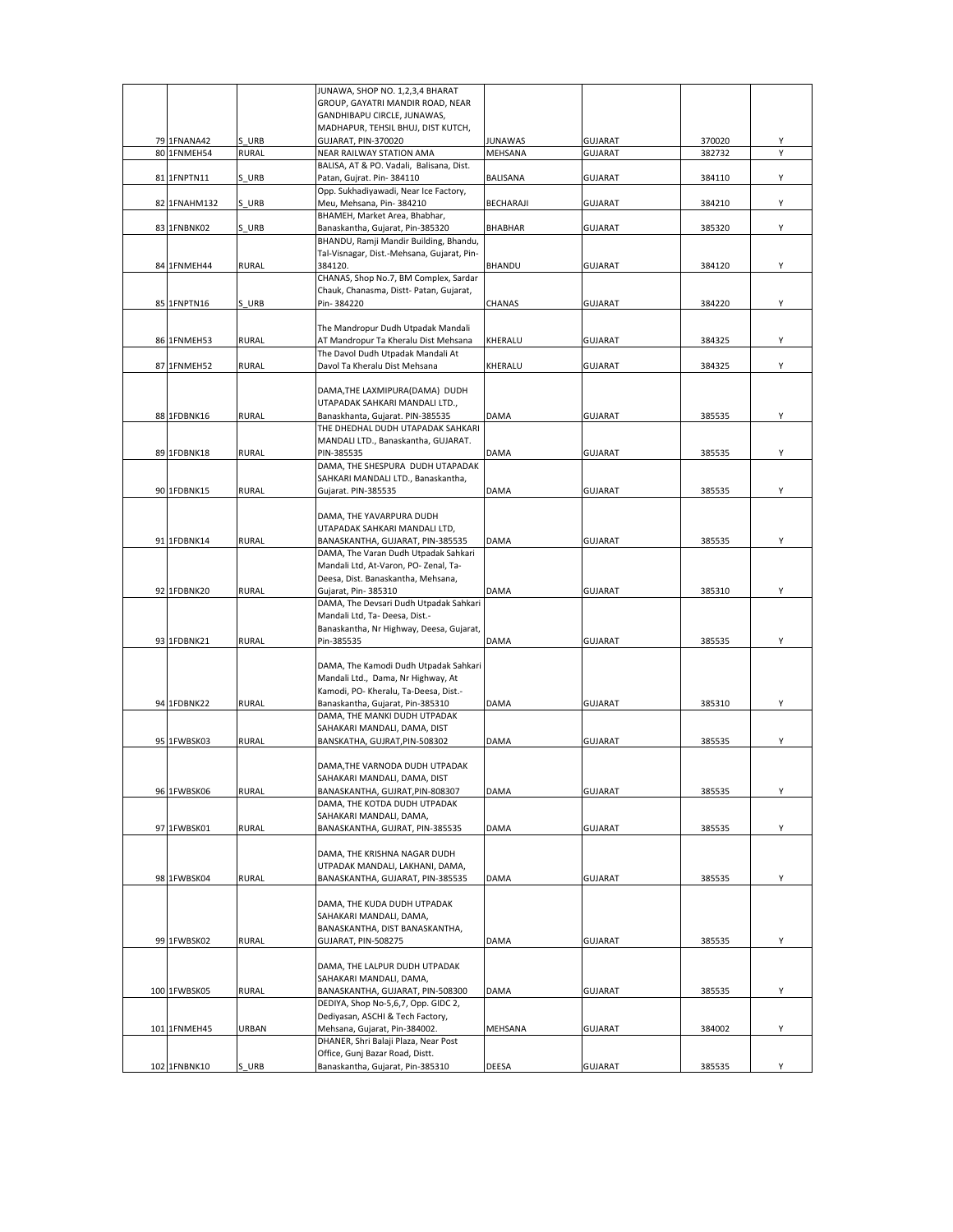|    |              |              | JUNAWA, SHOP NO. 1,2,3,4 BHARAT            |                |                |        |   |
|----|--------------|--------------|--------------------------------------------|----------------|----------------|--------|---|
|    |              |              | GROUP, GAYATRI MANDIR ROAD, NEAR           |                |                |        |   |
|    |              |              | GANDHIBAPU CIRCLE, JUNAWAS,                |                |                |        |   |
|    |              |              | MADHAPUR, TEHSIL BHUJ, DIST KUTCH,         |                |                |        |   |
|    | 79 1FNANA42  | S URB        | GUJARAT, PIN-370020                        | JUNAWAS        | <b>GUJARAT</b> | 370020 | Y |
|    | 80 1FNMEH54  | <b>RURAL</b> | NEAR RAILWAY STATION AMA                   | MEHSANA        | GUJARAT        | 382732 |   |
|    |              |              | BALISA, AT & PO. Vadali, Balisana, Dist.   |                |                |        |   |
|    | 81 1FNPTN11  | S URB        | Patan, Gujrat. Pin-384110                  | BALISANA       | <b>GUJARAT</b> | 384110 | Y |
|    |              |              | Opp. Sukhadiyawadi, Near Ice Factory,      |                |                |        |   |
|    |              |              |                                            |                |                |        |   |
|    | 82 1FNAHM132 | S URB        | Meu, Mehsana, Pin-384210                   | BECHARAJI      | <b>GUJARAT</b> | 384210 | Υ |
|    |              |              | BHAMEH, Market Area, Bhabhar,              |                |                |        |   |
|    | 83 1FNBNK02  | S URB        | Banaskantha, Gujarat, Pin-385320           | <b>BHABHAR</b> | GUJARAT        | 385320 | Υ |
|    |              |              | BHANDU, Ramji Mandir Building, Bhandu,     |                |                |        |   |
|    |              |              | Tal-Visnagar, Dist.-Mehsana, Gujarat, Pin- |                |                |        |   |
|    | 84 1FNMEH44  | <b>RURAL</b> | 384120.                                    | BHANDU         | GUJARAT        | 384120 | Υ |
|    |              |              | CHANAS, Shop No.7, BM Complex, Sardar      |                |                |        |   |
|    |              |              | Chauk, Chanasma, Distt- Patan, Gujarat,    |                |                |        |   |
|    | 85 1FNPTN16  | S URB        | Pin-384220                                 | CHANAS         | GUJARAT        | 384220 | Υ |
|    |              |              |                                            |                |                |        |   |
|    |              |              | The Mandropur Dudh Utpadak Mandali         |                |                |        |   |
|    | 86 1FNMEH53  | <b>RURAL</b> | AT Mandropur Ta Kheralu Dist Mehsana       | KHERALU        | <b>GUJARAT</b> | 384325 | Υ |
|    |              |              | The Davol Dudh Utpadak Mandali At          |                |                |        |   |
| 87 | 1FNMEH52     | <b>RURAL</b> | Davol Ta Kheralu Dist Mehsana              | KHERALU        | <b>GUJARAT</b> | 384325 | Υ |
|    |              |              |                                            |                |                |        |   |
|    |              |              | DAMA, THE LAXMIPURA (DAMA) DUDH            |                |                |        |   |
|    |              |              | UTAPADAK SAHKARI MANDALI LTD.,             |                |                |        |   |
|    | 88 1FDBNK16  | <b>RURAL</b> | Banaskhanta, Gujarat. PIN-385535           | DAMA           | <b>GUJARAT</b> | 385535 | Υ |
|    |              |              |                                            |                |                |        |   |
|    |              |              | THE DHEDHAL DUDH UTAPADAK SAHKARI          |                |                |        |   |
|    |              |              | MANDALI LTD., Banaskantha, GUJARAT.        |                |                |        |   |
|    | 89 1FDBNK18  | <b>RURAL</b> | PIN-385535                                 | DAMA           | <b>GUJARAT</b> | 385535 | Υ |
|    |              |              | DAMA, THE SHESPURA DUDH UTAPADAK           |                |                |        |   |
|    |              |              | SAHKARI MANDALI LTD., Banaskantha,         |                |                |        |   |
|    | 90 1FDBNK15  | <b>RURAL</b> | Gujarat. PIN-385535                        | DAMA           | <b>GUJARAT</b> | 385535 | Υ |
|    |              |              |                                            |                |                |        |   |
|    |              |              | DAMA, THE YAVARPURA DUDH                   |                |                |        |   |
|    |              |              | UTAPADAK SAHKARI MANDALI LTD,              |                |                |        |   |
|    | 91 1FDBNK14  | <b>RURAL</b> | BANASKANTHA, GUJARAT, PIN-385535           | DAMA           | <b>GUJARAT</b> | 385535 | Υ |
|    |              |              | DAMA, The Varan Dudh Utpadak Sahkari       |                |                |        |   |
|    |              |              | Mandali Ltd, At-Varon, PO- Zenal, Ta-      |                |                |        |   |
|    |              |              | Deesa, Dist. Banaskantha, Mehsana,         |                |                |        |   |
|    | 92 1FDBNK20  | <b>RURAL</b> | Gujarat, Pin- 385310                       | <b>DAMA</b>    | <b>GUJARAT</b> | 385310 | Υ |
|    |              |              | DAMA, The Devsari Dudh Utpadak Sahkari     |                |                |        |   |
|    |              |              | Mandali Ltd, Ta- Deesa, Dist.-             |                |                |        |   |
|    |              |              | Banaskantha, Nr Highway, Deesa, Gujarat,   |                |                |        |   |
|    | 93 1FDBNK21  | <b>RURAL</b> | Pin-385535                                 | DAMA           | GUJARAT        | 385535 | Υ |
|    |              |              |                                            |                |                |        |   |
|    |              |              | DAMA, The Kamodi Dudh Utpadak Sahkari      |                |                |        |   |
|    |              |              |                                            |                |                |        |   |
|    |              |              | Mandali Ltd., Dama, Nr Highway, At         |                |                |        |   |
|    |              |              | Kamodi, PO- Kheralu, Ta-Deesa, Dist.-      |                |                |        |   |
|    | 94 1FDBNK22  | <b>RURAL</b> | Banaskantha, Gujarat, Pin-385310           | DAMA           | <b>GUJARAT</b> | 385310 | Υ |
|    |              |              | DAMA, THE MANKI DUDH UTPADAK               |                |                |        |   |
|    |              |              | SAHAKARI MANDALI, DAMA, DIST               |                |                |        |   |
|    | 95 1FWBSK03  | <b>RURAL</b> | BANSKATHA, GUJRAT, PIN-508302              | DAMA           | <b>GUJARAT</b> | 385535 | Υ |
|    |              |              |                                            |                |                |        |   |
|    |              |              | DAMA, THE VARNODA DUDH UTPADAK             |                |                |        |   |
|    |              |              | SAHAKARI MANDALI, DAMA, DIST               |                |                |        |   |
|    | 96 1FWBSK06  | <b>RURAL</b> | BANASKANTHA, GUJRAT, PIN-808307            | DAMA           | GUJARAT        | 385535 | Υ |
|    |              |              | DAMA, THE KOTDA DUDH UTPADAK               |                |                |        |   |
|    |              |              | SAHAKARI MANDALI, DAMA,                    |                |                |        |   |
|    | 97 1FWBSK01  | <b>RURAL</b> | BANASKANTHA, GUJRAT, PIN-385535            | DAMA           | <b>GUJARAT</b> | 385535 | Y |
|    |              |              |                                            |                |                |        |   |
|    |              |              | DAMA, THE KRISHNA NAGAR DUDH               |                |                |        |   |
|    |              |              | UTPADAK MANDALI, LAKHANI, DAMA,            |                |                |        |   |
|    | 98 1FWBSK04  | <b>RURAL</b> | BANASKANTHA, GUJARAT, PIN-385535           | DAMA           | <b>GUJARAT</b> | 385535 | Υ |
|    |              |              |                                            |                |                |        |   |
|    |              |              | DAMA, THE KUDA DUDH UTPADAK                |                |                |        |   |
|    |              |              | SAHAKARI MANDALI, DAMA,                    |                |                |        |   |
|    |              |              | BANASKANTHA, DIST BANASKANTHA,             |                |                |        |   |
|    |              |              |                                            |                |                |        |   |
|    | 99 1FWBSK02  | <b>RURAL</b> | GUJARAT, PIN-508275                        | DAMA           | <b>GUJARAT</b> | 385535 | Υ |
|    |              |              |                                            |                |                |        |   |
|    |              |              | DAMA, THE LALPUR DUDH UTPADAK              |                |                |        |   |
|    |              |              | SAHAKARI MANDALI, DAMA,                    |                |                |        |   |
|    | 100 1FWBSK05 | <b>RURAL</b> | BANASKANTHA, GUJARAT, PIN-508300           | DAMA           | <b>GUJARAT</b> | 385535 | Υ |
|    |              |              | DEDIYA, Shop No-5,6,7, Opp. GIDC 2,        |                |                |        |   |
|    |              |              | Dediyasan, ASCHI & Tech Factory,           |                |                |        |   |
|    | 101 1FNMEH45 | URBAN        | Mehsana, Gujarat, Pin-384002.              | MEHSANA        | <b>GUJARAT</b> | 384002 | Υ |
|    |              |              | DHANER, Shri Balaji Plaza, Near Post       |                |                |        |   |
|    |              |              | Office, Gunj Bazar Road, Distt.            |                |                |        |   |
|    | 102 1FNBNK10 | S URB        | Banaskantha, Gujarat, Pin-385310           | <b>DEESA</b>   | <b>GUJARAT</b> | 385535 | Υ |
|    |              |              |                                            |                |                |        |   |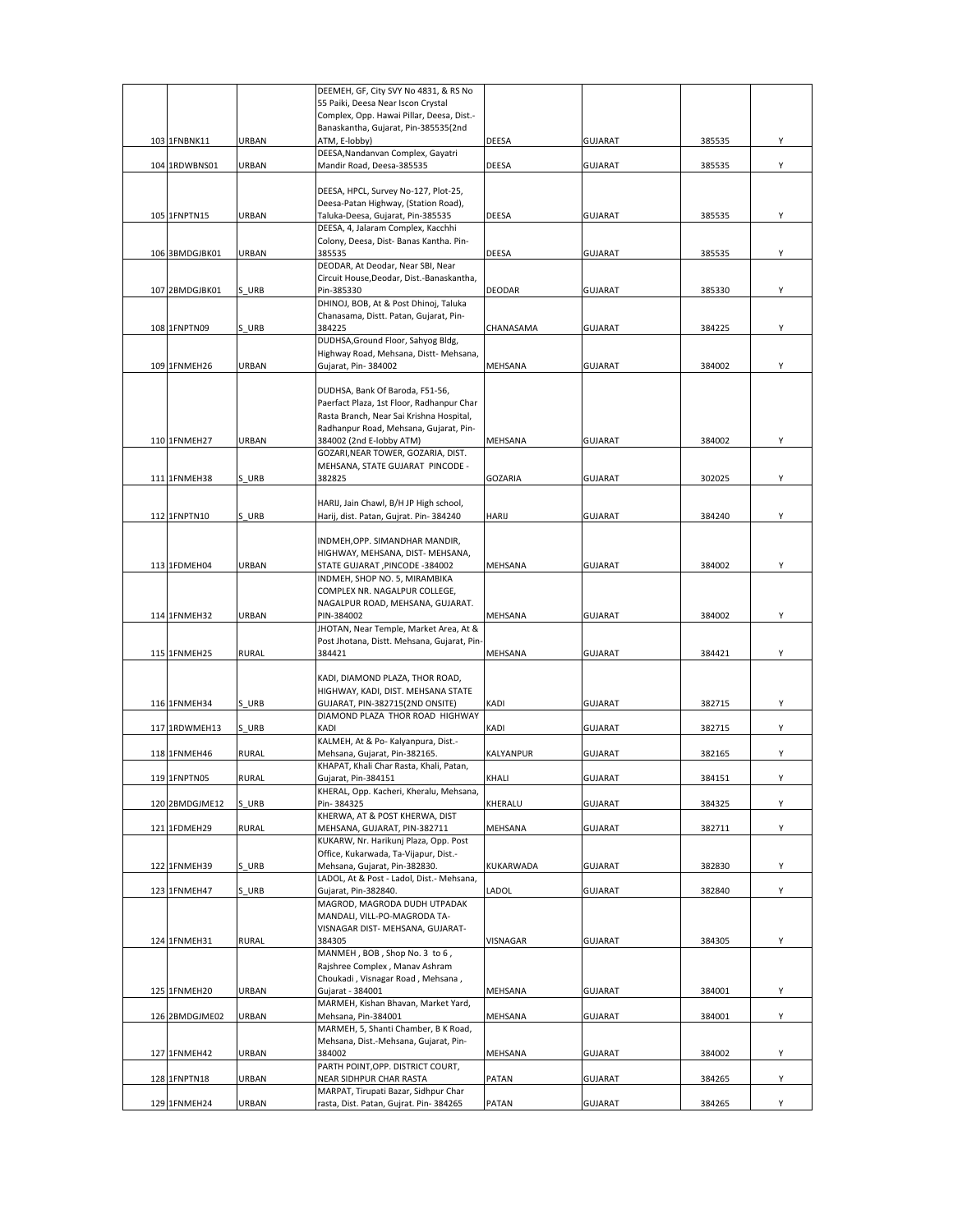|                |                                                                                                                                                                                                                                                                                    | DEEMEH, GF, City SVY No 4831, & RS No                                                                |                                                                                                                                                                                                                                                                                                                                                                                                                                                                                                                                                                                                                                                                                                                                                                                                                                                                                                                                                                                                                                                             |                                                                                                                                              |                                                                                                                                                                           |                                                                                                  |
|----------------|------------------------------------------------------------------------------------------------------------------------------------------------------------------------------------------------------------------------------------------------------------------------------------|------------------------------------------------------------------------------------------------------|-------------------------------------------------------------------------------------------------------------------------------------------------------------------------------------------------------------------------------------------------------------------------------------------------------------------------------------------------------------------------------------------------------------------------------------------------------------------------------------------------------------------------------------------------------------------------------------------------------------------------------------------------------------------------------------------------------------------------------------------------------------------------------------------------------------------------------------------------------------------------------------------------------------------------------------------------------------------------------------------------------------------------------------------------------------|----------------------------------------------------------------------------------------------------------------------------------------------|---------------------------------------------------------------------------------------------------------------------------------------------------------------------------|--------------------------------------------------------------------------------------------------|
|                |                                                                                                                                                                                                                                                                                    | 55 Paiki, Deesa Near Iscon Crystal                                                                   |                                                                                                                                                                                                                                                                                                                                                                                                                                                                                                                                                                                                                                                                                                                                                                                                                                                                                                                                                                                                                                                             |                                                                                                                                              |                                                                                                                                                                           |                                                                                                  |
|                |                                                                                                                                                                                                                                                                                    | Complex, Opp. Hawai Pillar, Deesa, Dist.-                                                            |                                                                                                                                                                                                                                                                                                                                                                                                                                                                                                                                                                                                                                                                                                                                                                                                                                                                                                                                                                                                                                                             |                                                                                                                                              |                                                                                                                                                                           |                                                                                                  |
|                |                                                                                                                                                                                                                                                                                    |                                                                                                      |                                                                                                                                                                                                                                                                                                                                                                                                                                                                                                                                                                                                                                                                                                                                                                                                                                                                                                                                                                                                                                                             |                                                                                                                                              |                                                                                                                                                                           |                                                                                                  |
|                |                                                                                                                                                                                                                                                                                    |                                                                                                      |                                                                                                                                                                                                                                                                                                                                                                                                                                                                                                                                                                                                                                                                                                                                                                                                                                                                                                                                                                                                                                                             |                                                                                                                                              |                                                                                                                                                                           | Υ                                                                                                |
|                |                                                                                                                                                                                                                                                                                    |                                                                                                      |                                                                                                                                                                                                                                                                                                                                                                                                                                                                                                                                                                                                                                                                                                                                                                                                                                                                                                                                                                                                                                                             |                                                                                                                                              |                                                                                                                                                                           |                                                                                                  |
|                |                                                                                                                                                                                                                                                                                    |                                                                                                      |                                                                                                                                                                                                                                                                                                                                                                                                                                                                                                                                                                                                                                                                                                                                                                                                                                                                                                                                                                                                                                                             |                                                                                                                                              |                                                                                                                                                                           | Υ                                                                                                |
|                |                                                                                                                                                                                                                                                                                    |                                                                                                      |                                                                                                                                                                                                                                                                                                                                                                                                                                                                                                                                                                                                                                                                                                                                                                                                                                                                                                                                                                                                                                                             |                                                                                                                                              |                                                                                                                                                                           |                                                                                                  |
|                |                                                                                                                                                                                                                                                                                    |                                                                                                      |                                                                                                                                                                                                                                                                                                                                                                                                                                                                                                                                                                                                                                                                                                                                                                                                                                                                                                                                                                                                                                                             |                                                                                                                                              |                                                                                                                                                                           |                                                                                                  |
|                |                                                                                                                                                                                                                                                                                    |                                                                                                      |                                                                                                                                                                                                                                                                                                                                                                                                                                                                                                                                                                                                                                                                                                                                                                                                                                                                                                                                                                                                                                                             |                                                                                                                                              |                                                                                                                                                                           | Υ                                                                                                |
|                |                                                                                                                                                                                                                                                                                    |                                                                                                      |                                                                                                                                                                                                                                                                                                                                                                                                                                                                                                                                                                                                                                                                                                                                                                                                                                                                                                                                                                                                                                                             |                                                                                                                                              |                                                                                                                                                                           |                                                                                                  |
|                |                                                                                                                                                                                                                                                                                    | Colony, Deesa, Dist-Banas Kantha. Pin-                                                               |                                                                                                                                                                                                                                                                                                                                                                                                                                                                                                                                                                                                                                                                                                                                                                                                                                                                                                                                                                                                                                                             |                                                                                                                                              |                                                                                                                                                                           |                                                                                                  |
|                | URBAN                                                                                                                                                                                                                                                                              | 385535                                                                                               | DEESA                                                                                                                                                                                                                                                                                                                                                                                                                                                                                                                                                                                                                                                                                                                                                                                                                                                                                                                                                                                                                                                       | <b>GUJARAT</b>                                                                                                                               | 385535                                                                                                                                                                    | Y                                                                                                |
|                |                                                                                                                                                                                                                                                                                    | DEODAR, At Deodar, Near SBI, Near                                                                    |                                                                                                                                                                                                                                                                                                                                                                                                                                                                                                                                                                                                                                                                                                                                                                                                                                                                                                                                                                                                                                                             |                                                                                                                                              |                                                                                                                                                                           |                                                                                                  |
|                |                                                                                                                                                                                                                                                                                    | Circuit House, Deodar, Dist.-Banaskantha,                                                            |                                                                                                                                                                                                                                                                                                                                                                                                                                                                                                                                                                                                                                                                                                                                                                                                                                                                                                                                                                                                                                                             |                                                                                                                                              |                                                                                                                                                                           |                                                                                                  |
|                |                                                                                                                                                                                                                                                                                    |                                                                                                      |                                                                                                                                                                                                                                                                                                                                                                                                                                                                                                                                                                                                                                                                                                                                                                                                                                                                                                                                                                                                                                                             |                                                                                                                                              |                                                                                                                                                                           | Υ                                                                                                |
|                |                                                                                                                                                                                                                                                                                    |                                                                                                      |                                                                                                                                                                                                                                                                                                                                                                                                                                                                                                                                                                                                                                                                                                                                                                                                                                                                                                                                                                                                                                                             |                                                                                                                                              |                                                                                                                                                                           |                                                                                                  |
|                |                                                                                                                                                                                                                                                                                    |                                                                                                      |                                                                                                                                                                                                                                                                                                                                                                                                                                                                                                                                                                                                                                                                                                                                                                                                                                                                                                                                                                                                                                                             |                                                                                                                                              |                                                                                                                                                                           |                                                                                                  |
|                |                                                                                                                                                                                                                                                                                    |                                                                                                      |                                                                                                                                                                                                                                                                                                                                                                                                                                                                                                                                                                                                                                                                                                                                                                                                                                                                                                                                                                                                                                                             |                                                                                                                                              |                                                                                                                                                                           | Υ                                                                                                |
|                |                                                                                                                                                                                                                                                                                    |                                                                                                      |                                                                                                                                                                                                                                                                                                                                                                                                                                                                                                                                                                                                                                                                                                                                                                                                                                                                                                                                                                                                                                                             |                                                                                                                                              |                                                                                                                                                                           |                                                                                                  |
|                |                                                                                                                                                                                                                                                                                    |                                                                                                      |                                                                                                                                                                                                                                                                                                                                                                                                                                                                                                                                                                                                                                                                                                                                                                                                                                                                                                                                                                                                                                                             |                                                                                                                                              |                                                                                                                                                                           | Υ                                                                                                |
|                |                                                                                                                                                                                                                                                                                    |                                                                                                      |                                                                                                                                                                                                                                                                                                                                                                                                                                                                                                                                                                                                                                                                                                                                                                                                                                                                                                                                                                                                                                                             |                                                                                                                                              |                                                                                                                                                                           |                                                                                                  |
|                |                                                                                                                                                                                                                                                                                    |                                                                                                      |                                                                                                                                                                                                                                                                                                                                                                                                                                                                                                                                                                                                                                                                                                                                                                                                                                                                                                                                                                                                                                                             |                                                                                                                                              |                                                                                                                                                                           |                                                                                                  |
|                |                                                                                                                                                                                                                                                                                    | Paerfact Plaza, 1st Floor, Radhanpur Char                                                            |                                                                                                                                                                                                                                                                                                                                                                                                                                                                                                                                                                                                                                                                                                                                                                                                                                                                                                                                                                                                                                                             |                                                                                                                                              |                                                                                                                                                                           |                                                                                                  |
|                |                                                                                                                                                                                                                                                                                    |                                                                                                      |                                                                                                                                                                                                                                                                                                                                                                                                                                                                                                                                                                                                                                                                                                                                                                                                                                                                                                                                                                                                                                                             |                                                                                                                                              |                                                                                                                                                                           |                                                                                                  |
|                |                                                                                                                                                                                                                                                                                    | Radhanpur Road, Mehsana, Gujarat, Pin-                                                               |                                                                                                                                                                                                                                                                                                                                                                                                                                                                                                                                                                                                                                                                                                                                                                                                                                                                                                                                                                                                                                                             |                                                                                                                                              |                                                                                                                                                                           |                                                                                                  |
|                | URBAN                                                                                                                                                                                                                                                                              | 384002 (2nd E-lobby ATM)                                                                             | MEHSANA                                                                                                                                                                                                                                                                                                                                                                                                                                                                                                                                                                                                                                                                                                                                                                                                                                                                                                                                                                                                                                                     | <b>GUJARAT</b>                                                                                                                               | 384002                                                                                                                                                                    | Υ                                                                                                |
|                |                                                                                                                                                                                                                                                                                    | GOZARI, NEAR TOWER, GOZARIA, DIST.                                                                   |                                                                                                                                                                                                                                                                                                                                                                                                                                                                                                                                                                                                                                                                                                                                                                                                                                                                                                                                                                                                                                                             |                                                                                                                                              |                                                                                                                                                                           |                                                                                                  |
|                |                                                                                                                                                                                                                                                                                    | MEHSANA, STATE GUJARAT PINCODE -                                                                     |                                                                                                                                                                                                                                                                                                                                                                                                                                                                                                                                                                                                                                                                                                                                                                                                                                                                                                                                                                                                                                                             |                                                                                                                                              |                                                                                                                                                                           |                                                                                                  |
|                | S URB                                                                                                                                                                                                                                                                              |                                                                                                      | GOZARIA                                                                                                                                                                                                                                                                                                                                                                                                                                                                                                                                                                                                                                                                                                                                                                                                                                                                                                                                                                                                                                                     | <b>GUJARAT</b>                                                                                                                               | 302025                                                                                                                                                                    | Υ                                                                                                |
|                |                                                                                                                                                                                                                                                                                    |                                                                                                      |                                                                                                                                                                                                                                                                                                                                                                                                                                                                                                                                                                                                                                                                                                                                                                                                                                                                                                                                                                                                                                                             |                                                                                                                                              |                                                                                                                                                                           |                                                                                                  |
|                |                                                                                                                                                                                                                                                                                    |                                                                                                      |                                                                                                                                                                                                                                                                                                                                                                                                                                                                                                                                                                                                                                                                                                                                                                                                                                                                                                                                                                                                                                                             |                                                                                                                                              |                                                                                                                                                                           |                                                                                                  |
|                |                                                                                                                                                                                                                                                                                    |                                                                                                      |                                                                                                                                                                                                                                                                                                                                                                                                                                                                                                                                                                                                                                                                                                                                                                                                                                                                                                                                                                                                                                                             |                                                                                                                                              |                                                                                                                                                                           | Υ                                                                                                |
|                |                                                                                                                                                                                                                                                                                    |                                                                                                      |                                                                                                                                                                                                                                                                                                                                                                                                                                                                                                                                                                                                                                                                                                                                                                                                                                                                                                                                                                                                                                                             |                                                                                                                                              |                                                                                                                                                                           |                                                                                                  |
|                |                                                                                                                                                                                                                                                                                    |                                                                                                      |                                                                                                                                                                                                                                                                                                                                                                                                                                                                                                                                                                                                                                                                                                                                                                                                                                                                                                                                                                                                                                                             |                                                                                                                                              |                                                                                                                                                                           |                                                                                                  |
|                |                                                                                                                                                                                                                                                                                    |                                                                                                      |                                                                                                                                                                                                                                                                                                                                                                                                                                                                                                                                                                                                                                                                                                                                                                                                                                                                                                                                                                                                                                                             |                                                                                                                                              |                                                                                                                                                                           | Υ                                                                                                |
|                |                                                                                                                                                                                                                                                                                    |                                                                                                      |                                                                                                                                                                                                                                                                                                                                                                                                                                                                                                                                                                                                                                                                                                                                                                                                                                                                                                                                                                                                                                                             |                                                                                                                                              |                                                                                                                                                                           |                                                                                                  |
|                |                                                                                                                                                                                                                                                                                    |                                                                                                      |                                                                                                                                                                                                                                                                                                                                                                                                                                                                                                                                                                                                                                                                                                                                                                                                                                                                                                                                                                                                                                                             |                                                                                                                                              |                                                                                                                                                                           |                                                                                                  |
|                |                                                                                                                                                                                                                                                                                    | NAGALPUR ROAD, MEHSANA, GUJARAT.                                                                     |                                                                                                                                                                                                                                                                                                                                                                                                                                                                                                                                                                                                                                                                                                                                                                                                                                                                                                                                                                                                                                                             |                                                                                                                                              |                                                                                                                                                                           |                                                                                                  |
|                | URBAN                                                                                                                                                                                                                                                                              | PIN-384002                                                                                           | MEHSANA                                                                                                                                                                                                                                                                                                                                                                                                                                                                                                                                                                                                                                                                                                                                                                                                                                                                                                                                                                                                                                                     | <b>GUJARAT</b>                                                                                                                               | 384002                                                                                                                                                                    | Υ                                                                                                |
|                |                                                                                                                                                                                                                                                                                    | JHOTAN, Near Temple, Market Area, At &                                                               |                                                                                                                                                                                                                                                                                                                                                                                                                                                                                                                                                                                                                                                                                                                                                                                                                                                                                                                                                                                                                                                             |                                                                                                                                              |                                                                                                                                                                           |                                                                                                  |
|                |                                                                                                                                                                                                                                                                                    |                                                                                                      |                                                                                                                                                                                                                                                                                                                                                                                                                                                                                                                                                                                                                                                                                                                                                                                                                                                                                                                                                                                                                                                             |                                                                                                                                              |                                                                                                                                                                           |                                                                                                  |
|                | <b>RURAL</b>                                                                                                                                                                                                                                                                       | 384421                                                                                               | MEHSANA                                                                                                                                                                                                                                                                                                                                                                                                                                                                                                                                                                                                                                                                                                                                                                                                                                                                                                                                                                                                                                                     | <b>GUJARAT</b>                                                                                                                               | 384421                                                                                                                                                                    | Υ                                                                                                |
|                |                                                                                                                                                                                                                                                                                    |                                                                                                      |                                                                                                                                                                                                                                                                                                                                                                                                                                                                                                                                                                                                                                                                                                                                                                                                                                                                                                                                                                                                                                                             |                                                                                                                                              |                                                                                                                                                                           |                                                                                                  |
|                |                                                                                                                                                                                                                                                                                    |                                                                                                      |                                                                                                                                                                                                                                                                                                                                                                                                                                                                                                                                                                                                                                                                                                                                                                                                                                                                                                                                                                                                                                                             |                                                                                                                                              |                                                                                                                                                                           |                                                                                                  |
|                |                                                                                                                                                                                                                                                                                    |                                                                                                      |                                                                                                                                                                                                                                                                                                                                                                                                                                                                                                                                                                                                                                                                                                                                                                                                                                                                                                                                                                                                                                                             |                                                                                                                                              |                                                                                                                                                                           |                                                                                                  |
|                |                                                                                                                                                                                                                                                                                    |                                                                                                      |                                                                                                                                                                                                                                                                                                                                                                                                                                                                                                                                                                                                                                                                                                                                                                                                                                                                                                                                                                                                                                                             |                                                                                                                                              |                                                                                                                                                                           | Υ                                                                                                |
|                |                                                                                                                                                                                                                                                                                    |                                                                                                      |                                                                                                                                                                                                                                                                                                                                                                                                                                                                                                                                                                                                                                                                                                                                                                                                                                                                                                                                                                                                                                                             |                                                                                                                                              |                                                                                                                                                                           | Υ                                                                                                |
|                |                                                                                                                                                                                                                                                                                    |                                                                                                      |                                                                                                                                                                                                                                                                                                                                                                                                                                                                                                                                                                                                                                                                                                                                                                                                                                                                                                                                                                                                                                                             |                                                                                                                                              |                                                                                                                                                                           |                                                                                                  |
|                | RURAL                                                                                                                                                                                                                                                                              | Mehsana, Gujarat, Pin-382165.                                                                        | KALYANPUR                                                                                                                                                                                                                                                                                                                                                                                                                                                                                                                                                                                                                                                                                                                                                                                                                                                                                                                                                                                                                                                   | GUJARAT                                                                                                                                      | 382165                                                                                                                                                                    | Υ                                                                                                |
|                |                                                                                                                                                                                                                                                                                    | KHAPAT, Khali Char Rasta, Khali, Patan,                                                              |                                                                                                                                                                                                                                                                                                                                                                                                                                                                                                                                                                                                                                                                                                                                                                                                                                                                                                                                                                                                                                                             |                                                                                                                                              |                                                                                                                                                                           |                                                                                                  |
|                | <b>RURAL</b>                                                                                                                                                                                                                                                                       | Gujarat, Pin-384151                                                                                  | KHALI                                                                                                                                                                                                                                                                                                                                                                                                                                                                                                                                                                                                                                                                                                                                                                                                                                                                                                                                                                                                                                                       |                                                                                                                                              |                                                                                                                                                                           |                                                                                                  |
|                |                                                                                                                                                                                                                                                                                    |                                                                                                      |                                                                                                                                                                                                                                                                                                                                                                                                                                                                                                                                                                                                                                                                                                                                                                                                                                                                                                                                                                                                                                                             | <b>GUJARAT</b>                                                                                                                               | 384151                                                                                                                                                                    | v                                                                                                |
|                |                                                                                                                                                                                                                                                                                    | KHERAL, Opp. Kacheri, Kheralu, Mehsana,                                                              |                                                                                                                                                                                                                                                                                                                                                                                                                                                                                                                                                                                                                                                                                                                                                                                                                                                                                                                                                                                                                                                             |                                                                                                                                              |                                                                                                                                                                           |                                                                                                  |
| 120 2BMDGJME12 | S URB                                                                                                                                                                                                                                                                              | Pin-384325                                                                                           | KHERALU                                                                                                                                                                                                                                                                                                                                                                                                                                                                                                                                                                                                                                                                                                                                                                                                                                                                                                                                                                                                                                                     | <b>GUJARAT</b>                                                                                                                               | 384325                                                                                                                                                                    | Y                                                                                                |
|                |                                                                                                                                                                                                                                                                                    | KHERWA, AT & POST KHERWA, DIST                                                                       |                                                                                                                                                                                                                                                                                                                                                                                                                                                                                                                                                                                                                                                                                                                                                                                                                                                                                                                                                                                                                                                             |                                                                                                                                              |                                                                                                                                                                           |                                                                                                  |
| 121 1FDMEH29   | RURAL                                                                                                                                                                                                                                                                              | MEHSANA, GUJARAT, PIN-382711                                                                         | MEHSANA                                                                                                                                                                                                                                                                                                                                                                                                                                                                                                                                                                                                                                                                                                                                                                                                                                                                                                                                                                                                                                                     | <b>GUJARAT</b>                                                                                                                               | 382711                                                                                                                                                                    | Υ                                                                                                |
|                |                                                                                                                                                                                                                                                                                    | KUKARW, Nr. Harikunj Plaza, Opp. Post                                                                |                                                                                                                                                                                                                                                                                                                                                                                                                                                                                                                                                                                                                                                                                                                                                                                                                                                                                                                                                                                                                                                             |                                                                                                                                              |                                                                                                                                                                           |                                                                                                  |
|                |                                                                                                                                                                                                                                                                                    | Office, Kukarwada, Ta-Vijapur, Dist.-                                                                |                                                                                                                                                                                                                                                                                                                                                                                                                                                                                                                                                                                                                                                                                                                                                                                                                                                                                                                                                                                                                                                             |                                                                                                                                              |                                                                                                                                                                           |                                                                                                  |
| 122 1FNMEH39   | S URB                                                                                                                                                                                                                                                                              | Mehsana, Gujarat, Pin-382830.                                                                        | KUKARWADA                                                                                                                                                                                                                                                                                                                                                                                                                                                                                                                                                                                                                                                                                                                                                                                                                                                                                                                                                                                                                                                   | <b>GUJARAT</b>                                                                                                                               | 382830                                                                                                                                                                    | Υ                                                                                                |
|                |                                                                                                                                                                                                                                                                                    | LADOL, At & Post - Ladol, Dist.- Mehsana,                                                            |                                                                                                                                                                                                                                                                                                                                                                                                                                                                                                                                                                                                                                                                                                                                                                                                                                                                                                                                                                                                                                                             |                                                                                                                                              |                                                                                                                                                                           |                                                                                                  |
| 123 1FNMEH47   | S URB                                                                                                                                                                                                                                                                              | Gujarat, Pin-382840.                                                                                 | LADOL                                                                                                                                                                                                                                                                                                                                                                                                                                                                                                                                                                                                                                                                                                                                                                                                                                                                                                                                                                                                                                                       | GUJARAT                                                                                                                                      | 382840                                                                                                                                                                    | Υ                                                                                                |
|                |                                                                                                                                                                                                                                                                                    | MAGROD, MAGRODA DUDH UTPADAK<br>MANDALI, VILL-PO-MAGRODA TA-                                         |                                                                                                                                                                                                                                                                                                                                                                                                                                                                                                                                                                                                                                                                                                                                                                                                                                                                                                                                                                                                                                                             |                                                                                                                                              |                                                                                                                                                                           |                                                                                                  |
|                |                                                                                                                                                                                                                                                                                    | VISNAGAR DIST- MEHSANA, GUJARAT-                                                                     |                                                                                                                                                                                                                                                                                                                                                                                                                                                                                                                                                                                                                                                                                                                                                                                                                                                                                                                                                                                                                                                             |                                                                                                                                              |                                                                                                                                                                           |                                                                                                  |
| 124 1FNMEH31   | <b>RURAL</b>                                                                                                                                                                                                                                                                       | 384305                                                                                               | VISNAGAR                                                                                                                                                                                                                                                                                                                                                                                                                                                                                                                                                                                                                                                                                                                                                                                                                                                                                                                                                                                                                                                    | <b>GUJARAT</b>                                                                                                                               | 384305                                                                                                                                                                    | Y                                                                                                |
|                |                                                                                                                                                                                                                                                                                    | MANMEH, BOB, Shop No. 3 to 6,                                                                        |                                                                                                                                                                                                                                                                                                                                                                                                                                                                                                                                                                                                                                                                                                                                                                                                                                                                                                                                                                                                                                                             |                                                                                                                                              |                                                                                                                                                                           |                                                                                                  |
|                |                                                                                                                                                                                                                                                                                    | Rajshree Complex, Manav Ashram                                                                       |                                                                                                                                                                                                                                                                                                                                                                                                                                                                                                                                                                                                                                                                                                                                                                                                                                                                                                                                                                                                                                                             |                                                                                                                                              |                                                                                                                                                                           |                                                                                                  |
|                |                                                                                                                                                                                                                                                                                    | Choukadi, Visnagar Road, Mehsana,                                                                    |                                                                                                                                                                                                                                                                                                                                                                                                                                                                                                                                                                                                                                                                                                                                                                                                                                                                                                                                                                                                                                                             |                                                                                                                                              |                                                                                                                                                                           |                                                                                                  |
| 125 1FNMEH20   | URBAN                                                                                                                                                                                                                                                                              | Gujarat - 384001                                                                                     | MEHSANA                                                                                                                                                                                                                                                                                                                                                                                                                                                                                                                                                                                                                                                                                                                                                                                                                                                                                                                                                                                                                                                     | <b>GUJARAT</b>                                                                                                                               | 384001                                                                                                                                                                    | Υ                                                                                                |
|                |                                                                                                                                                                                                                                                                                    | MARMEH, Kishan Bhavan, Market Yard,                                                                  |                                                                                                                                                                                                                                                                                                                                                                                                                                                                                                                                                                                                                                                                                                                                                                                                                                                                                                                                                                                                                                                             |                                                                                                                                              |                                                                                                                                                                           |                                                                                                  |
| 126 2BMDGJME02 | URBAN                                                                                                                                                                                                                                                                              | Mehsana, Pin-384001                                                                                  | MEHSANA                                                                                                                                                                                                                                                                                                                                                                                                                                                                                                                                                                                                                                                                                                                                                                                                                                                                                                                                                                                                                                                     | <b>GUJARAT</b>                                                                                                                               | 384001                                                                                                                                                                    | Υ                                                                                                |
|                |                                                                                                                                                                                                                                                                                    | MARMEH, 5, Shanti Chamber, B K Road,                                                                 |                                                                                                                                                                                                                                                                                                                                                                                                                                                                                                                                                                                                                                                                                                                                                                                                                                                                                                                                                                                                                                                             |                                                                                                                                              |                                                                                                                                                                           |                                                                                                  |
|                |                                                                                                                                                                                                                                                                                    | Mehsana, Dist.-Mehsana, Gujarat, Pin-<br>384002                                                      |                                                                                                                                                                                                                                                                                                                                                                                                                                                                                                                                                                                                                                                                                                                                                                                                                                                                                                                                                                                                                                                             |                                                                                                                                              |                                                                                                                                                                           | Υ                                                                                                |
| 127 1FNMEH42   | URBAN                                                                                                                                                                                                                                                                              | PARTH POINT, OPP. DISTRICT COURT,                                                                    | MEHSANA                                                                                                                                                                                                                                                                                                                                                                                                                                                                                                                                                                                                                                                                                                                                                                                                                                                                                                                                                                                                                                                     | <b>GUJARAT</b>                                                                                                                               | 384002                                                                                                                                                                    |                                                                                                  |
| 128 1FNPTN18   | URBAN                                                                                                                                                                                                                                                                              | NEAR SIDHPUR CHAR RASTA                                                                              | PATAN                                                                                                                                                                                                                                                                                                                                                                                                                                                                                                                                                                                                                                                                                                                                                                                                                                                                                                                                                                                                                                                       | GUJARAT                                                                                                                                      | 384265                                                                                                                                                                    | Υ                                                                                                |
|                |                                                                                                                                                                                                                                                                                    | MARPAT, Tirupati Bazar, Sidhpur Char                                                                 |                                                                                                                                                                                                                                                                                                                                                                                                                                                                                                                                                                                                                                                                                                                                                                                                                                                                                                                                                                                                                                                             |                                                                                                                                              |                                                                                                                                                                           |                                                                                                  |
|                | 103 1FNBNK11<br>104 1RDWBNS01<br>105 1FNPTN15<br>106 3BMDGJBK01<br>107 2BMDGJBK01<br>108 1FNPTN09<br>109 1FNMEH26<br>110 1FNMEH27<br>111 1FNMEH38<br>112 1FNPTN10<br>113 1FDMEH04<br>114 1FNMEH32<br>115 1FNMEH25<br>116 1FNMEH34<br>117 1RDWMEH13<br>118 1FNMEH46<br>119 1FNPTN05 | <b>URBAN</b><br>URBAN<br><b>URBAN</b><br>S URB<br>S URB<br>URBAN<br>S URB<br>URBAN<br>S URB<br>S URB | Banaskantha, Gujarat, Pin-385535(2nd<br>ATM, E-lobby)<br>DEESA, Nandanvan Complex, Gayatri<br>Mandir Road, Deesa-385535<br>DEESA, HPCL, Survey No-127, Plot-25,<br>Deesa-Patan Highway, (Station Road),<br>Taluka-Deesa, Gujarat, Pin-385535<br>DEESA, 4, Jalaram Complex, Kacchhi<br>Pin-385330<br>DHINOJ, BOB, At & Post Dhinoj, Taluka<br>Chanasama, Distt. Patan, Gujarat, Pin-<br>384225<br>DUDHSA, Ground Floor, Sahyog Bldg,<br>Highway Road, Mehsana, Distt- Mehsana,<br>Gujarat, Pin-384002<br>DUDHSA, Bank Of Baroda, F51-56,<br>Rasta Branch, Near Sai Krishna Hospital,<br>382825<br>HARIJ, Jain Chawl, B/H JP High school,<br>Harij, dist. Patan, Gujrat. Pin- 384240<br>INDMEH, OPP. SIMANDHAR MANDIR,<br>HIGHWAY, MEHSANA, DIST- MEHSANA,<br>STATE GUJARAT , PINCODE -384002<br>INDMEH, SHOP NO. 5, MIRAMBIKA<br>COMPLEX NR. NAGALPUR COLLEGE,<br>KADI, DIAMOND PLAZA, THOR ROAD,<br>HIGHWAY, KADI, DIST. MEHSANA STATE<br>GUJARAT, PIN-382715(2ND ONSITE)<br>DIAMOND PLAZA THOR ROAD HIGHWAY<br>KADI<br>KALMEH, At & Po- Kalyanpura, Dist.- | DEESA<br>DEESA<br>DEESA<br>DEODAR<br>CHANASAMA<br>MEHSANA<br>HARIJ<br>MEHSANA<br>Post Jhotana, Distt. Mehsana, Gujarat, Pin-<br>KADI<br>KADI | <b>GUJARAT</b><br><b>GUJARAT</b><br><b>GUJARAT</b><br><b>GUJARAT</b><br><b>GUJARAT</b><br><b>GUJARAT</b><br><b>GUJARAT</b><br><b>GUJARAT</b><br><b>GUJARAT</b><br>GUJARAT | 385535<br>385535<br>385535<br>385330<br>384225<br>384002<br>384240<br>384002<br>382715<br>382715 |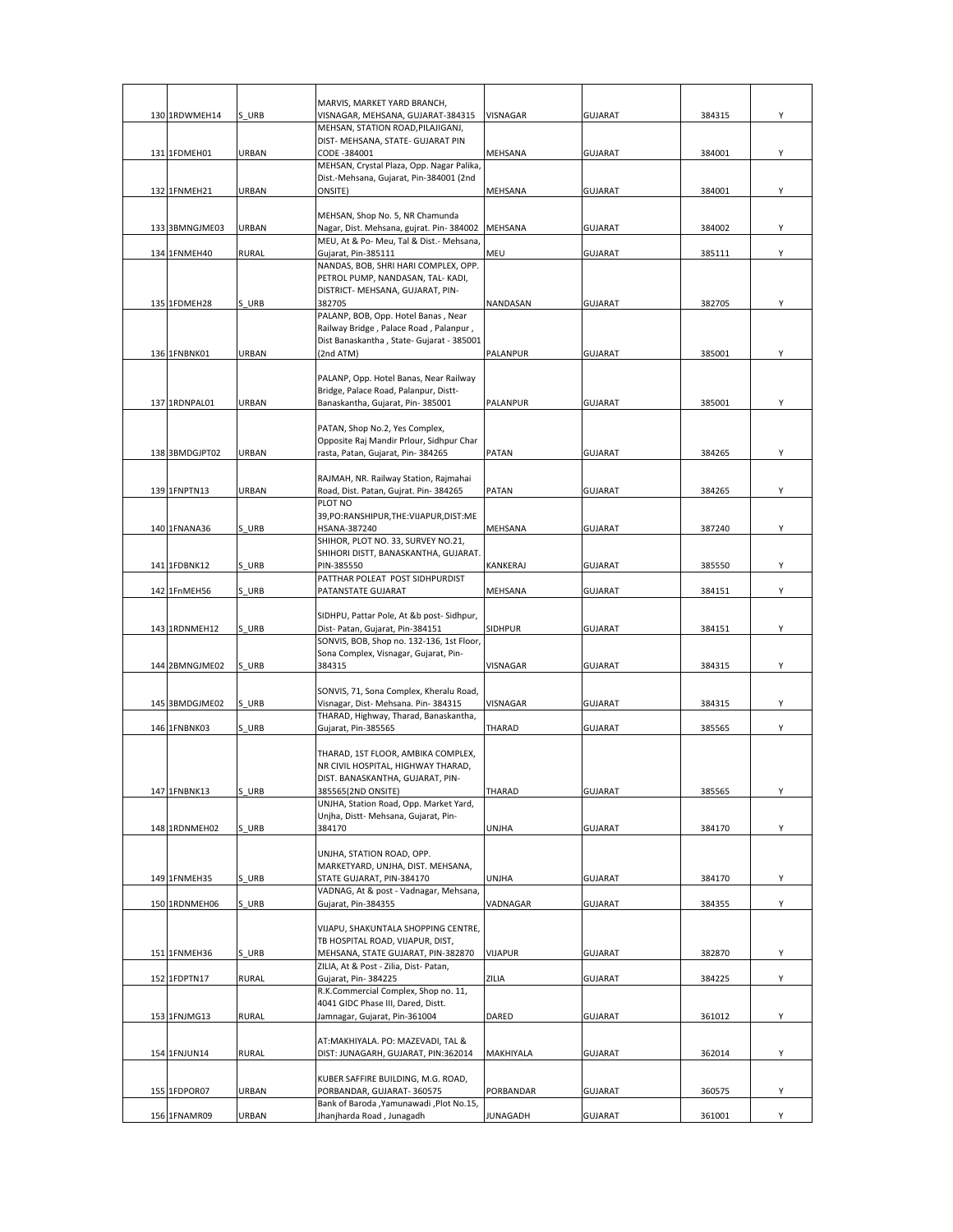|                |              | MARVIS, MARKET YARD BRANCH,                                                  |           |                |        |   |
|----------------|--------------|------------------------------------------------------------------------------|-----------|----------------|--------|---|
| 130 1RDWMEH14  | S URB        | VISNAGAR, MEHSANA, GUJARAT-384315                                            | VISNAGAR  | <b>GUJARAT</b> | 384315 | Y |
|                |              | MEHSAN, STATION ROAD, PILAJIGANJ,                                            |           |                |        |   |
| 131 1FDMEH01   | URBAN        | DIST- MEHSANA, STATE- GUJARAT PIN<br>CODE -384001                            | MEHSANA   | <b>GUJARAT</b> | 384001 | Y |
|                |              | MEHSAN, Crystal Plaza, Opp. Nagar Palika,                                    |           |                |        |   |
|                |              | Dist.-Mehsana, Gujarat, Pin-384001 (2nd                                      |           |                |        |   |
| 132 1FNMEH21   | URBAN        | ONSITE)                                                                      | MEHSANA   | <b>GUJARAT</b> | 384001 | Υ |
|                |              | MEHSAN, Shop No. 5, NR Chamunda                                              |           |                |        |   |
| 133 3BMNGJME03 | URBAN        | Nagar, Dist. Mehsana, gujrat. Pin-384002                                     | MEHSANA   | <b>GUJARAT</b> | 384002 | Υ |
| 134 1FNMEH40   | <b>RURAL</b> | MEU, At & Po- Meu, Tal & Dist.- Mehsana,<br>Gujarat, Pin-385111              | MEU       | <b>GUJARAT</b> | 385111 | Υ |
|                |              | NANDAS, BOB, SHRI HARI COMPLEX, OPP.                                         |           |                |        |   |
|                |              | PETROL PUMP, NANDASAN, TAL-KADI,                                             |           |                |        |   |
| 135 1FDMEH28   | S URB        | DISTRICT- MEHSANA, GUJARAT, PIN-<br>382705                                   | NANDASAN  | <b>GUJARAT</b> | 382705 | Υ |
|                |              | PALANP, BOB, Opp. Hotel Banas, Near                                          |           |                |        |   |
|                |              | Railway Bridge, Palace Road, Palanpur,                                       |           |                |        |   |
| 136 1FNBNK01   | URBAN        | Dist Banaskantha, State- Gujarat - 385001<br>(2nd ATM)                       | PALANPUR  | <b>GUJARAT</b> | 385001 | Y |
|                |              |                                                                              |           |                |        |   |
|                |              | PALANP, Opp. Hotel Banas, Near Railway                                       |           |                |        |   |
|                |              | Bridge, Palace Road, Palanpur, Distt-                                        |           |                |        |   |
| 137 1RDNPAL01  | URBAN        | Banaskantha, Gujarat, Pin-385001                                             | PALANPUR  | <b>GUJARAT</b> | 385001 | Y |
|                |              | PATAN, Shop No.2, Yes Complex,                                               |           |                |        |   |
|                |              | Opposite Raj Mandir Prlour, Sidhpur Char                                     |           |                |        |   |
| 138 3BMDGJPT02 | URBAN        | rasta, Patan, Gujarat, Pin-384265                                            | PATAN     | <b>GUJARAT</b> | 384265 | Υ |
|                |              | RAJMAH, NR. Railway Station, Rajmahai                                        |           |                |        |   |
| 139 1FNPTN13   | URBAN        | Road, Dist. Patan, Gujrat. Pin-384265                                        | PATAN     | <b>GUJARAT</b> | 384265 | Υ |
|                |              | PLOT NO<br>39, PO: RANSHIPUR, THE: VIJAPUR, DIST: ME                         |           |                |        |   |
| 140 1FNANA36   | S URB        | HSANA-387240                                                                 | MEHSANA   | <b>GUJARAT</b> | 387240 | Υ |
|                |              | SHIHOR, PLOT NO. 33, SURVEY NO.21,                                           |           |                |        |   |
|                |              | SHIHORI DISTT, BANASKANTHA, GUJARAT.                                         |           |                |        |   |
| 141 1FDBNK12   | S URB        | PIN-385550<br>PATTHAR POLEAT POST SIDHPURDIST                                | KANKERAJ  | <b>GUJARAT</b> | 385550 | Υ |
| 142 1FnMEH56   | S URB        | PATANSTATE GUJARAT                                                           | MEHSANA   | <b>GUJARAT</b> | 384151 | Y |
|                |              |                                                                              |           |                |        |   |
| 143 1RDNMEH12  | S URB        | SIDHPU, Pattar Pole, At &b post-Sidhpur,<br>Dist- Patan, Gujarat, Pin-384151 | SIDHPUR   | <b>GUJARAT</b> | 384151 | Υ |
|                |              | SONVIS, BOB, Shop no. 132-136, 1st Floor,                                    |           |                |        |   |
|                |              | Sona Complex, Visnagar, Gujarat, Pin-                                        |           |                |        |   |
| 144 2BMNGJME02 | S URB        | 384315                                                                       | VISNAGAR  | <b>GUJARAT</b> | 384315 | Y |
|                |              | SONVIS, 71, Sona Complex, Kheralu Road,                                      |           |                |        |   |
| 145 3BMDGJME02 | S URB        | Visnagar, Dist- Mehsana. Pin-384315                                          | VISNAGAR  | <b>GUJARAT</b> | 384315 | Y |
| 146 1FNBNK03   | S URB        | THARAD, Highway, Tharad, Banaskantha,<br>Gujarat, Pin-385565                 | THARAD    | <b>GUJARAT</b> | 385565 | Υ |
|                |              |                                                                              |           |                |        |   |
|                |              | THARAD, 1ST FLOOR, AMBIKA COMPLEX,                                           |           |                |        |   |
|                |              | NR CIVIL HOSPITAL, HIGHWAY THARAD,<br>DIST. BANASKANTHA, GUJARAT, PIN-       |           |                |        |   |
| 147 1FNBNK13   | S URB        | 385565(2ND ONSITE)                                                           | THARAD    | <b>GUJARAT</b> | 385565 | Υ |
|                |              | UNJHA, Station Road, Opp. Market Yard,                                       |           |                |        |   |
|                |              | Unjha, Distt- Mehsana, Gujarat, Pin-<br>384170                               |           |                |        |   |
| 148 1RDNMEH02  | S URB        |                                                                              | UNJHA     | <b>GUJARAT</b> | 384170 | Υ |
|                |              | UNJHA, STATION ROAD, OPP.                                                    |           |                |        |   |
|                |              | MARKETYARD, UNJHA, DIST. MEHSANA,                                            |           |                |        |   |
| 149 1FNMEH35   | S URB        | STATE GUJARAT, PIN-384170<br>VADNAG, At & post - Vadnagar, Mehsana,          | UNJHA     | <b>GUJARAT</b> | 384170 | Y |
| 150 1RDNMEH06  | S URB        | Gujarat, Pin-384355                                                          | VADNAGAR  | GUJARAT        | 384355 | Y |
|                |              |                                                                              |           |                |        |   |
|                |              | VIJAPU, SHAKUNTALA SHOPPING CENTRE,<br>TB HOSPITAL ROAD, VIJAPUR, DIST,      |           |                |        |   |
| 151 1FNMEH36   | S URB        | MEHSANA, STATE GUJARAT, PIN-382870                                           | VIJAPUR   | <b>GUJARAT</b> | 382870 | Y |
|                |              | ZILIA, At & Post - Zilia, Dist- Patan,                                       |           |                |        |   |
| 152 1FDPTN17   | <b>RURAL</b> | Gujarat, Pin-384225<br>R.K.Commercial Complex, Shop no. 11,                  | ZILIA     | GUJARAT        | 384225 | Υ |
|                |              | 4041 GIDC Phase III, Dared, Distt.                                           |           |                |        |   |
| 153 1FNJMG13   | <b>RURAL</b> | Jamnagar, Gujarat, Pin-361004                                                | DARED     | <b>GUJARAT</b> | 361012 | Υ |
|                |              |                                                                              |           |                |        |   |
| 154 1FNJUN14   | <b>RURAL</b> | AT:MAKHIYALA. PO: MAZEVADI, TAL &<br>DIST: JUNAGARH, GUJARAT, PIN:362014     | MAKHIYALA | <b>GUJARAT</b> | 362014 | Υ |
|                |              |                                                                              |           |                |        |   |
|                |              | KUBER SAFFIRE BUILDING, M.G. ROAD,                                           |           |                |        |   |
| 155 1FDPOR07   | URBAN        | PORBANDAR, GUJARAT-360575<br>Bank of Baroda , Yamunawadi , Plot No.15,       | PORBANDAR | <b>GUJARAT</b> | 360575 | Y |
| 156 1FNAMR09   | URBAN        | Jhanjharda Road, Junagadh                                                    | JUNAGADH  | GUJARAT        | 361001 | Y |
|                |              |                                                                              |           |                |        |   |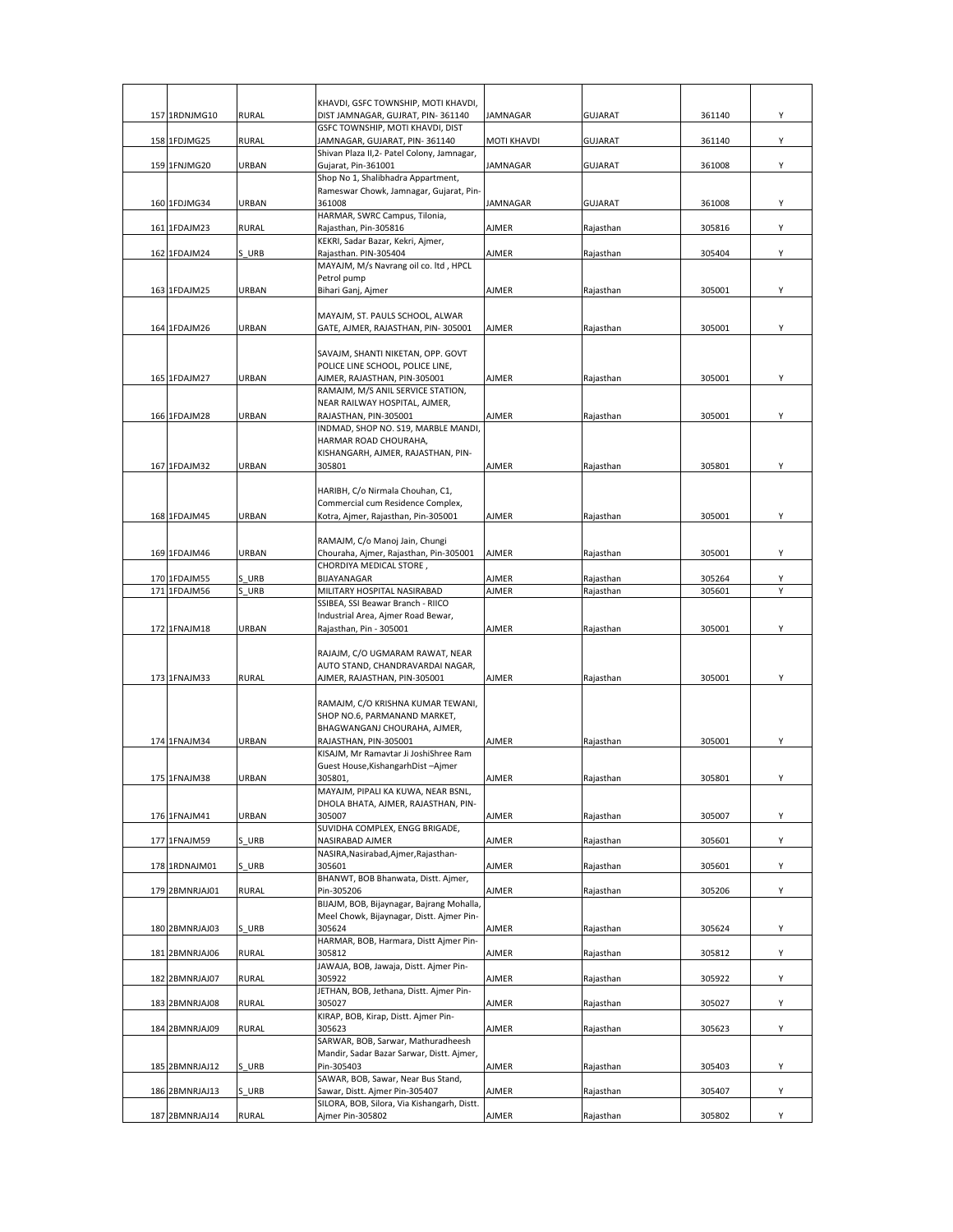|                |              | KHAVDI, GSFC TOWNSHIP, MOTI KHAVDI,                                           |                    |                |        |   |
|----------------|--------------|-------------------------------------------------------------------------------|--------------------|----------------|--------|---|
| 157 1RDNJMG10  | <b>RURAL</b> | DIST JAMNAGAR, GUJRAT, PIN-361140                                             | JAMNAGAR           | <b>GUJARAT</b> | 361140 | Υ |
| 158 1FDJMG25   | <b>RURAL</b> | GSFC TOWNSHIP, MOTI KHAVDI, DIST<br>JAMNAGAR, GUJARAT, PIN-361140             | <b>MOTI KHAVDI</b> | <b>GUJARAT</b> | 361140 | Υ |
| 159 1FNJMG20   | URBAN        | Shivan Plaza II,2- Patel Colony, Jamnagar,<br>Gujarat, Pin-361001             | JAMNAGAR           | <b>GUJARAT</b> | 361008 | Υ |
|                |              | Shop No 1, Shalibhadra Appartment,<br>Rameswar Chowk, Jamnagar, Gujarat, Pin- |                    |                |        |   |
| 160 1FDJMG34   | URBAN        | 361008                                                                        | JAMNAGAR           | <b>GUJARAT</b> | 361008 | Υ |
| 161 1FDAJM23   | <b>RURAL</b> | HARMAR, SWRC Campus, Tilonia,<br>Rajasthan, Pin-305816                        | AJMER              | Rajasthan      | 305816 | Υ |
| 162 1FDAJM24   | S URB        | KEKRI, Sadar Bazar, Kekri, Ajmer,<br>Rajasthan. PIN-305404                    | AJMER              | Rajasthan      | 305404 | Υ |
|                |              | MAYAJM, M/s Navrang oil co. ltd, HPCL                                         |                    |                |        |   |
| 163 1FDAJM25   | URBAN        | Petrol pump<br>Bihari Ganj, Ajmer                                             | AJMER              | Rajasthan      | 305001 | Υ |
|                |              | MAYAJM, ST. PAULS SCHOOL, ALWAR                                               |                    |                |        |   |
| 164 1FDAJM26   | URBAN        | GATE, AJMER, RAJASTHAN, PIN-305001                                            | AJMER              | Rajasthan      | 305001 | Υ |
|                |              | SAVAJM, SHANTI NIKETAN, OPP. GOVT                                             |                    |                |        |   |
|                |              | POLICE LINE SCHOOL, POLICE LINE,                                              |                    |                |        |   |
| 165 1FDAJM27   | URBAN        | AJMER, RAJASTHAN, PIN-305001<br>RAMAJM, M/S ANIL SERVICE STATION,             | AJMER              | Rajasthan      | 305001 | Υ |
|                |              | NEAR RAILWAY HOSPITAL, AJMER,                                                 |                    |                |        |   |
| 166 1FDAJM28   | URBAN        | RAJASTHAN, PIN-305001<br>INDMAD, SHOP NO. S19, MARBLE MANDI,                  | AJMER              | Rajasthan      | 305001 | Υ |
|                |              | HARMAR ROAD CHOURAHA,                                                         |                    |                |        |   |
|                |              | KISHANGARH, AJMER, RAJASTHAN, PIN-                                            |                    |                |        |   |
| 167 1FDAJM32   | <b>URBAN</b> | 305801                                                                        | AJMER              | Rajasthan      | 305801 | Υ |
|                |              | HARIBH, C/o Nirmala Chouhan, C1,                                              |                    |                |        |   |
| 168 1FDAJM45   |              | Commercial cum Residence Complex,                                             | <b>AJMER</b>       |                |        |   |
|                | URBAN        | Kotra, Ajmer, Rajasthan, Pin-305001                                           |                    | Rajasthan      | 305001 | Υ |
|                |              | RAMAJM, C/o Manoj Jain, Chungi                                                |                    |                |        |   |
| 169 1FDAJM46   | URBAN        | Chouraha, Ajmer, Rajasthan, Pin-305001                                        | AJMER              | Rajasthan      | 305001 | Υ |
| 170 1FDAJM55   | S URB        | CHORDIYA MEDICAL STORE,<br>BIJAYANAGAR                                        | AJMER              | Rajasthan      | 305264 | Υ |
| 171 1FDAJM56   | S URB        | MILITARY HOSPITAL NASIRABAD                                                   | AJMER              | Rajasthan      | 305601 | Y |
|                |              | SSIBEA, SSI Beawar Branch - RIICO                                             |                    |                |        |   |
| 172 1FNAJM18   | URBAN        | Industrial Area, Ajmer Road Bewar,<br>Rajasthan, Pin - 305001                 | AJMER              | Rajasthan      | 305001 | Υ |
|                |              |                                                                               |                    |                |        |   |
|                |              | RAJAJM, C/O UGMARAM RAWAT, NEAR                                               |                    |                |        |   |
| 173 1FNAJM33   | <b>RURAL</b> | AUTO STAND, CHANDRAVARDAI NAGAR,<br>AJMER, RAJASTHAN, PIN-305001              | <b>AJMER</b>       | Rajasthan      | 305001 | Υ |
|                |              |                                                                               |                    |                |        |   |
|                |              | RAMAJM, C/O KRISHNA KUMAR TEWANI,<br>SHOP NO.6, PARMANAND MARKET,             |                    |                |        |   |
|                |              | BHAGWANGANJ CHOURAHA, AJMER,                                                  |                    |                |        |   |
| 174 1FNAJM34   | URBAN        | RAJASTHAN, PIN-305001                                                         | AJMER              | Rajasthan      | 305001 | Υ |
|                |              | KISAJM, Mr Ramavtar Ji JoshiShree Ram<br>Guest House, Kishangarh Dist-Ajmer   |                    |                |        |   |
| 175 1FNAJM38   | <b>URBAN</b> | 305801                                                                        | <b>AJMER</b>       | Rajasthan      | 305801 | Υ |
|                |              | MAYAJM, PIPALI KA KUWA, NEAR BSNL,                                            |                    |                |        |   |
| 176 1FNAJM41   | URBAN        | DHOLA BHATA, AJMER, RAJASTHAN, PIN-<br>305007                                 | AJMER              | Rajasthan      | 305007 | Υ |
|                |              | SUVIDHA COMPLEX, ENGG BRIGADE,                                                |                    |                |        |   |
| 177 1FNAJM59   | S URB        | NASIRABAD AJMER<br>NASIRA, Nasirabad, Ajmer, Rajasthan-                       | AJMER              | Rajasthan      | 305601 | Υ |
| 178 1RDNAJM01  | S URB        | 305601                                                                        | AJMER              | Rajasthan      | 305601 | Υ |
|                |              | BHANWT, BOB Bhanwata, Distt. Ajmer,                                           |                    |                |        |   |
| 179 2BMNRJAJ01 | RURAL        | Pin-305206<br>BIJAJM, BOB, Bijaynagar, Bajrang Mohalla,                       | AJMER              | Rajasthan      | 305206 | Υ |
|                |              | Meel Chowk, Bijaynagar, Distt. Ajmer Pin-                                     |                    |                |        |   |
| 180 2BMNRJAJ03 | S URB        | 305624                                                                        | AJMER              | Rajasthan      | 305624 | Υ |
| 181 2BMNRJAJ06 | <b>RURAL</b> | HARMAR, BOB, Harmara, Distt Ajmer Pin-<br>305812                              | AJMER              | Rajasthan      | 305812 | Υ |
|                |              | JAWAJA, BOB, Jawaja, Distt. Ajmer Pin-                                        |                    |                |        |   |
| 182 2BMNRJAJ07 | <b>RURAL</b> | 305922<br>JETHAN, BOB, Jethana, Distt. Ajmer Pin-                             | AJMER              | Rajasthan      | 305922 | Υ |
| 183 2BMNRJAJ08 | <b>RURAL</b> | 305027                                                                        | AJMER              | Rajasthan      | 305027 | Υ |
|                |              | KIRAP, BOB, Kirap, Distt. Ajmer Pin-                                          |                    |                |        |   |
| 184 2BMNRJAJ09 | <b>RURAL</b> | 305623<br>SARWAR, BOB, Sarwar, Mathuradheesh                                  | AJMER              | Rajasthan      | 305623 | Y |
|                |              | Mandir, Sadar Bazar Sarwar, Distt. Ajmer,                                     |                    |                |        |   |
| 185 2BMNRJAJ12 | S URB        | Pin-305403                                                                    | AJMER              | Rajasthan      | 305403 | Y |
| 186 2BMNRJAJ13 | S URB        | SAWAR, BOB, Sawar, Near Bus Stand,<br>Sawar, Distt. Ajmer Pin-305407          | AJMER              | Rajasthan      | 305407 | Υ |
|                |              | SILORA, BOB, Silora, Via Kishangarh, Distt.                                   |                    |                |        |   |
| 187 2BMNRJAJ14 | RURAL        | Ajmer Pin-305802                                                              | AJMER              | Rajasthan      | 305802 | Y |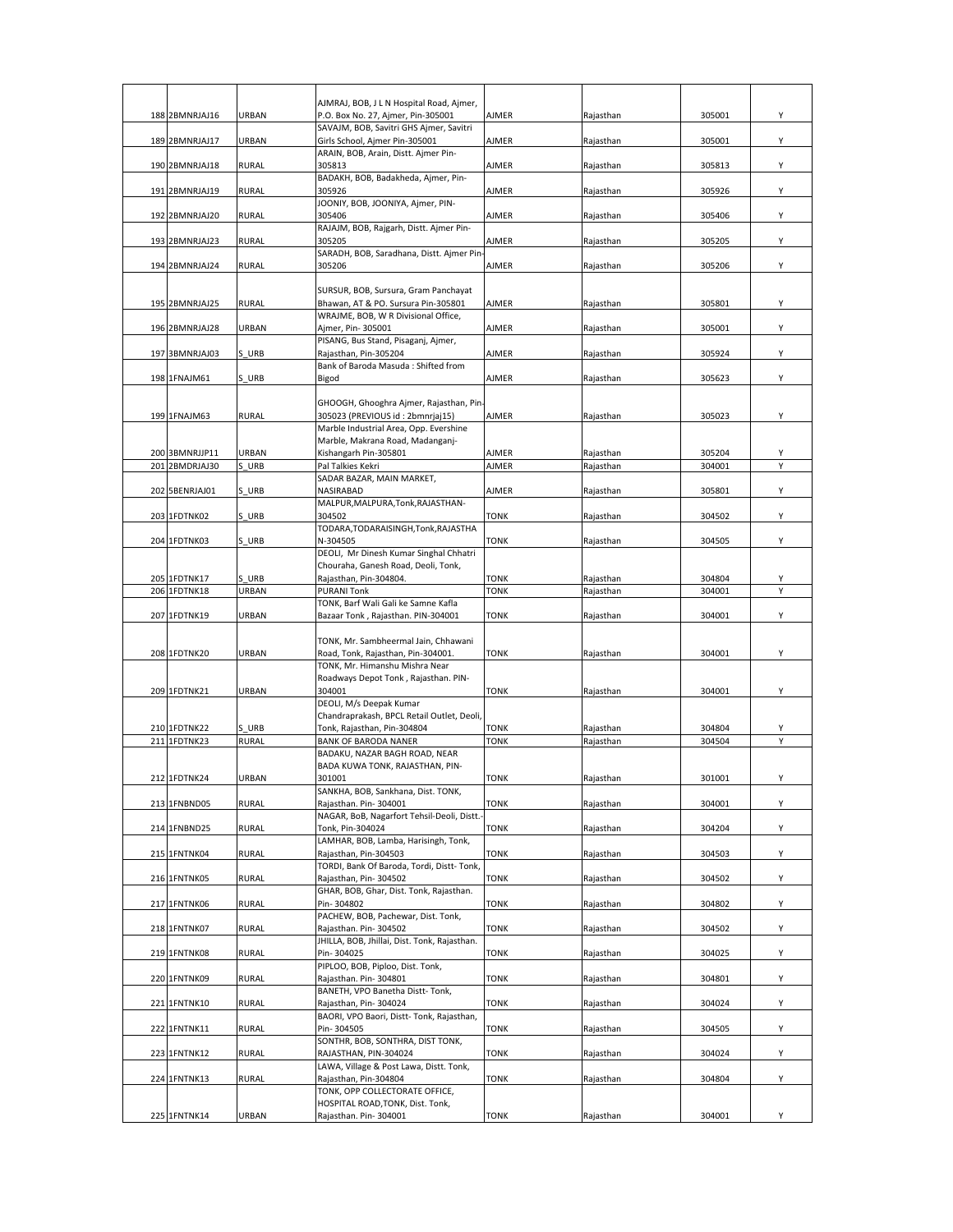|                                  |                | AJMRAJ, BOB, J L N Hospital Road, Ajmer,                                                    |                |                        |                  |        |
|----------------------------------|----------------|---------------------------------------------------------------------------------------------|----------------|------------------------|------------------|--------|
| 188 2BMNRJAJ16                   | URBAN          | P.O. Box No. 27, Ajmer, Pin-305001                                                          | AJMER          | Rajasthan              | 305001           | Υ      |
| 189 2BMNRJAJ17                   | URBAN          | SAVAJM, BOB, Savitri GHS Ajmer, Savitri<br>Girls School, Ajmer Pin-305001                   | AJMER          | Rajasthan              | 305001           | Y      |
| 190 2BMNRJAJ18                   | RURAL          | ARAIN, BOB, Arain, Distt. Ajmer Pin-<br>305813                                              | AJMER          |                        | 305813           | Υ      |
|                                  |                | BADAKH, BOB, Badakheda, Ajmer, Pin-                                                         |                | Rajasthan              |                  |        |
| 191 2BMNRJAJ19                   | RURAL          | 305926<br>JOONIY, BOB, JOONIYA, Ajmer, PIN-                                                 | AJMER          | Rajasthan              | 305926           | Υ      |
| 192 2BMNRJAJ20                   | <b>RURAL</b>   | 305406<br>RAJAJM, BOB, Rajgarh, Distt. Ajmer Pin-                                           | AJMER          | Rajasthan              | 305406           | Y      |
| 193 2BMNRJAJ23                   | RURAL          | 305205                                                                                      | <b>AJMER</b>   | Rajasthan              | 305205           | Υ      |
| 194 2BMNRJAJ24                   | RURAL          | SARADH, BOB, Saradhana, Distt. Ajmer Pin<br>305206                                          | AJMER          | Rajasthan              | 305206           | Υ      |
|                                  |                | SURSUR, BOB, Sursura, Gram Panchayat                                                        |                |                        |                  |        |
| 195 2BMNRJAJ25                   | <b>RURAL</b>   | Bhawan, AT & PO. Sursura Pin-305801                                                         | AJMER          | Rajasthan              | 305801           | Υ      |
| 196 2BMNRJAJ28                   | URBAN          | WRAJME, BOB, W R Divisional Office,<br>Ajmer, Pin- 305001                                   | AJMER          | Rajasthan              | 305001           | Y      |
| 197 3BMNRJAJ03                   | S URB          | PISANG, Bus Stand, Pisaganj, Ajmer,<br>Rajasthan, Pin-305204                                | AJMER          | Rajasthan              | 305924           | Υ      |
|                                  |                | Bank of Baroda Masuda : Shifted from                                                        |                |                        |                  |        |
| 198 1FNAJM61                     | S URB          | Bigod                                                                                       | AJMER          | Rajasthan              | 305623           | Υ      |
| 199 1FNAJM63                     | <b>RURAL</b>   | GHOOGH, Ghooghra Ajmer, Rajasthan, Pin-<br>305023 (PREVIOUS id: 2bmnrjaj15)                 | AJMER          | Rajasthan              | 305023           | Y      |
|                                  |                | Marble Industrial Area, Opp. Evershine                                                      |                |                        |                  |        |
|                                  |                | Marble, Makrana Road, Madanganj-                                                            |                |                        |                  |        |
| 200 3BMNRJJP11<br>201 2BMDRJAJ30 | URBAN<br>S URB | Kishangarh Pin-305801<br>Pal Talkies Kekri                                                  | AJMER<br>AJMER | Rajasthan<br>Rajasthan | 305204<br>304001 | Y<br>Υ |
|                                  |                | SADAR BAZAR, MAIN MARKET,                                                                   |                |                        |                  |        |
| 202 5BENRJAJ01                   | S URB          | NASIRABAD                                                                                   | AJMER          | Rajasthan              | 305801           | Υ      |
| 203 1FDTNK02                     | S URB          | MALPUR, MALPURA, Tonk, RAJASTHAN-<br>304502                                                 | <b>TONK</b>    | Rajasthan              | 304502           | Υ      |
| 204 1FDTNK03                     | S URB          | TODARA, TODARAISINGH, Tonk, RAJASTHA<br>N-304505                                            | TONK           | Rajasthan              | 304505           | Υ      |
|                                  |                | DEOLI, Mr Dinesh Kumar Singhal Chhatri                                                      |                |                        |                  |        |
|                                  |                | Chouraha, Ganesh Road, Deoli, Tonk,                                                         |                |                        |                  |        |
| 205 1FDTNK17                     | S URB          | Rajasthan, Pin-304804.                                                                      | TONK           | Rajasthan              | 304804           | Υ      |
| 206 1FDTNK18                     | URBAN          | <b>PURANI Tonk</b>                                                                          | <b>TONK</b>    | Rajasthan              | 304001           | Υ      |
| 207 1FDTNK19                     | URBAN          | TONK, Barf Wali Gali ke Samne Kafla<br>Bazaar Tonk, Rajasthan. PIN-304001                   | <b>TONK</b>    | Rajasthan              | 304001           | Υ      |
|                                  |                |                                                                                             |                |                        |                  |        |
| 208 1FDTNK20                     | URBAN          | TONK, Mr. Sambheermal Jain, Chhawani<br>Road, Tonk, Rajasthan, Pin-304001.                  | <b>TONK</b>    | Rajasthan              | 304001           | Υ      |
|                                  |                |                                                                                             |                |                        |                  |        |
|                                  |                | TONK, Mr. Himanshu Mishra Near                                                              |                |                        |                  |        |
| 209 1FDTNK21                     | URBAN          | Roadways Depot Tonk, Rajasthan. PIN-<br>304001                                              | <b>TONK</b>    | Rajasthan              | 304001           | Y      |
|                                  |                | DEOLI, M/s Deepak Kumar                                                                     |                |                        |                  |        |
|                                  |                | Chandraprakash, BPCL Retail Outlet, Deoli,                                                  |                |                        |                  |        |
| 210 1FDTNK22                     | S URB          | Tonk, Rajasthan, Pin-304804                                                                 | <b>TONK</b>    | Rajasthan              | 304804           | Υ      |
| 211 1FDTNK23                     | <b>RURAL</b>   | <b>BANK OF BARODA NANER</b>                                                                 | <b>TONK</b>    | Rajasthan              | 304504           | Υ      |
|                                  |                | BADAKU, NAZAR BAGH ROAD, NEAR                                                               |                |                        |                  |        |
|                                  |                | BADA KUWA TONK, RAJASTHAN, PIN-                                                             |                |                        |                  |        |
| 212 1FDTNK24                     | <b>URBAN</b>   | 301001<br>SANKHA, BOB, Sankhana, Dist. TONK,                                                | <b>TONK</b>    | Rajasthan              | 301001           | Υ      |
| 213 1FNBND05                     | <b>RURAL</b>   | Rajasthan. Pin-304001<br>NAGAR, BoB, Nagarfort Tehsil-Deoli, Distt.                         | <b>TONK</b>    | Rajasthan              | 304001           | Y      |
| 214 1FNBND25                     | <b>RURAL</b>   | Tonk, Pin-304024                                                                            | <b>TONK</b>    | Rajasthan              | 304204           | Υ      |
| 215 1FNTNK04                     | RURAL          | LAMHAR, BOB, Lamba, Harisingh, Tonk,<br>Rajasthan, Pin-304503                               | TONK           | Rajasthan              | 304503           | Υ      |
| 216 1FNTNK05                     |                | TORDI, Bank Of Baroda, Tordi, Distt- Tonk,                                                  |                |                        | 304502           | Υ      |
|                                  | <b>RURAL</b>   | Rajasthan, Pin-304502<br>GHAR, BOB, Ghar, Dist. Tonk, Rajasthan.                            | <b>TONK</b>    | Rajasthan              |                  |        |
| 217 1FNTNK06                     | <b>RURAL</b>   | Pin-304802<br>PACHEW, BOB, Pachewar, Dist. Tonk,                                            | <b>TONK</b>    | Rajasthan              | 304802           | Υ      |
| 218 1FNTNK07                     | RURAL          | Rajasthan. Pin-304502<br>JHILLA, BOB, Jhillai, Dist. Tonk, Rajasthan.                       | TONK           | Rajasthan              | 304502           | Υ      |
| 219 1FNTNK08                     | <b>RURAL</b>   | Pin-304025                                                                                  | <b>TONK</b>    | Rajasthan              | 304025           | Υ      |
| 220 1FNTNK09                     | <b>RURAL</b>   | PIPLOO, BOB, Piploo, Dist. Tonk,<br>Rajasthan. Pin-304801                                   | <b>TONK</b>    | Rajasthan              | 304801           | Υ      |
| 221 1FNTNK10                     | <b>RURAL</b>   | BANETH, VPO Banetha Distt-Tonk,<br>Rajasthan, Pin-304024                                    | <b>TONK</b>    | Rajasthan              | 304024           | Υ      |
|                                  |                | BAORI, VPO Baori, Distt- Tonk, Rajasthan,                                                   |                |                        |                  |        |
| 222 1FNTNK11                     | <b>RURAL</b>   | Pin-304505<br>SONTHR, BOB, SONTHRA, DIST TONK,                                              | <b>TONK</b>    | Rajasthan              | 304505           | Υ      |
| 223 1FNTNK12                     | <b>RURAL</b>   | RAJASTHAN, PIN-304024<br>LAWA, Village & Post Lawa, Distt. Tonk,                            | <b>TONK</b>    | Rajasthan              | 304024           | Υ      |
| 224 1FNTNK13                     | <b>RURAL</b>   | Rajasthan, Pin-304804                                                                       | <b>TONK</b>    | Rajasthan              | 304804           | Υ      |
| 225 1FNTNK14                     | URBAN          | TONK, OPP COLLECTORATE OFFICE,<br>HOSPITAL ROAD, TONK, Dist. Tonk,<br>Rajasthan. Pin-304001 | <b>TONK</b>    | Rajasthan              | 304001           | Υ      |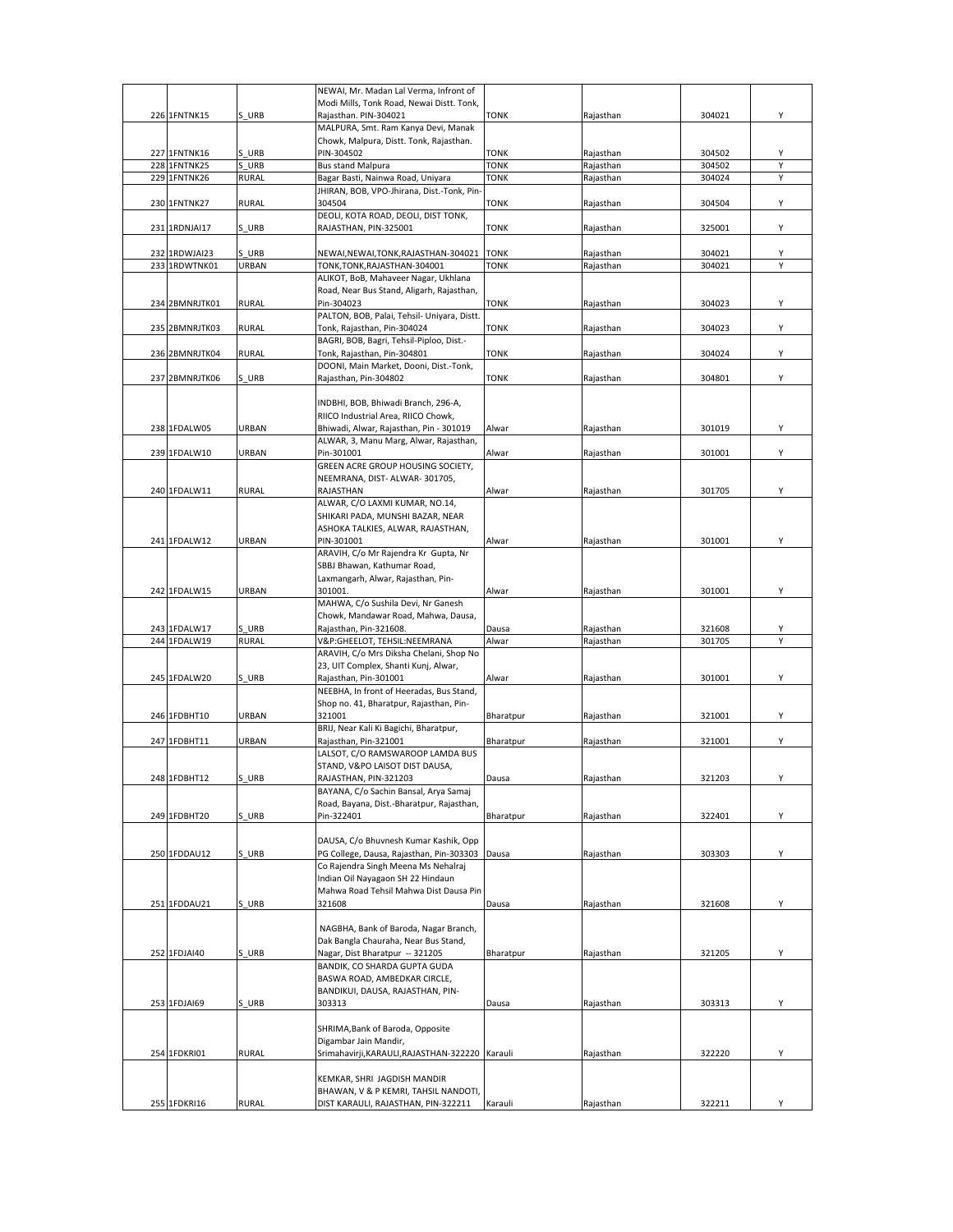|                |              | NEWAI, Mr. Madan Lal Verma, Infront of                                             |             |           |        |   |
|----------------|--------------|------------------------------------------------------------------------------------|-------------|-----------|--------|---|
|                |              | Modi Mills, Tonk Road, Newai Distt. Tonk,                                          |             |           |        |   |
| 226 1FNTNK15   | S URB        | Rajasthan. PIN-304021<br>MALPURA, Smt. Ram Kanya Devi, Manak                       | <b>TONK</b> | Rajasthan | 304021 | Υ |
|                |              | Chowk, Malpura, Distt. Tonk, Rajasthan.                                            |             |           |        |   |
| 227 1FNTNK16   | S URB        | PIN-304502                                                                         | <b>TONK</b> | Rajasthan | 304502 | Υ |
| 228 1FNTNK25   | S URB        | <b>Bus stand Malpura</b>                                                           | <b>TONK</b> | Rajasthan | 304502 | Υ |
| 229 1FNTNK26   | RURAL        | Bagar Basti, Nainwa Road, Uniyara                                                  | <b>TONK</b> | Rajasthan | 304024 | Y |
|                |              | JHIRAN, BOB, VPO-Jhirana, Dist.-Tonk, Pin-                                         |             |           |        |   |
| 230 1FNTNK27   | <b>RURAL</b> | 304504                                                                             | <b>TONK</b> | Rajasthan | 304504 | Υ |
|                |              | DEOLI, KOTA ROAD, DEOLI, DIST TONK,                                                |             |           |        |   |
| 231 1RDNJAI17  | S URB        | RAJASTHAN, PIN-325001                                                              | <b>TONK</b> | Rajasthan | 325001 | Υ |
| 232 1RDWJAI23  | S URB        | NEWAI, NEWAI, TONK, RAJASTHAN-304021                                               | <b>TONK</b> | Rajasthan | 304021 | Υ |
| 233 1RDWTNK01  | URBAN        | TONK, TONK, RAJASTHAN-304001                                                       | <b>TONK</b> | Rajasthan | 304021 | Υ |
|                |              | ALIKOT, BoB, Mahaveer Nagar, Ukhlana                                               |             |           |        |   |
|                |              | Road, Near Bus Stand, Aligarh, Rajasthan,                                          |             |           |        |   |
| 234 2BMNRJTK01 | <b>RURAL</b> | Pin-304023                                                                         | <b>TONK</b> | Rajasthan | 304023 | Υ |
|                |              | PALTON, BOB, Palai, Tehsil- Uniyara, Distt.                                        |             |           |        |   |
| 235 2BMNRJTK03 | <b>RURAL</b> | Tonk, Rajasthan, Pin-304024                                                        | <b>TONK</b> | Rajasthan | 304023 | Y |
| 236 2BMNRJTK04 | <b>RURAL</b> | BAGRI, BOB, Bagri, Tehsil-Piploo, Dist.-<br>Tonk, Rajasthan, Pin-304801            | <b>TONK</b> | Rajasthan | 304024 | Υ |
|                |              | DOONI, Main Market, Dooni, Dist.-Tonk,                                             |             |           |        |   |
| 237 2BMNRJTK06 | S URB        | Rajasthan, Pin-304802                                                              | <b>TONK</b> | Rajasthan | 304801 | Υ |
|                |              |                                                                                    |             |           |        |   |
|                |              | INDBHI, BOB, Bhiwadi Branch, 296-A,                                                |             |           |        |   |
|                |              | RIICO Industrial Area, RIICO Chowk,                                                |             |           |        |   |
| 238 1FDALW05   | URBAN        | Bhiwadi, Alwar, Rajasthan, Pin - 301019                                            | Alwar       | Rajasthan | 301019 | Υ |
|                | URBAN        | ALWAR, 3, Manu Marg, Alwar, Rajasthan,                                             |             |           |        |   |
| 239 1FDALW10   |              | Pin-301001<br>GREEN ACRE GROUP HOUSING SOCIETY,                                    | Alwar       | Rajasthan | 301001 | Υ |
|                |              | NEEMRANA, DIST- ALWAR-301705,                                                      |             |           |        |   |
| 240 1FDALW11   | <b>RURAL</b> | RAJASTHAN                                                                          | Alwar       | Rajasthan | 301705 | Υ |
|                |              | ALWAR, C/O LAXMI KUMAR, NO.14,                                                     |             |           |        |   |
|                |              | SHIKARI PADA, MUNSHI BAZAR, NEAR                                                   |             |           |        |   |
|                |              | ASHOKA TALKIES, ALWAR, RAJASTHAN,                                                  |             |           |        |   |
| 241 1FDALW12   | URBAN        | PIN-301001                                                                         | Alwar       | Rajasthan | 301001 | Υ |
|                |              | ARAVIH, C/o Mr Rajendra Kr Gupta, Nr                                               |             |           |        |   |
|                |              | SBBJ Bhawan, Kathumar Road,<br>Laxmangarh, Alwar, Rajasthan, Pin-                  |             |           |        |   |
| 242 1FDALW15   | URBAN        | 301001.                                                                            | Alwar       | Rajasthan | 301001 | Y |
|                |              | MAHWA, C/o Sushila Devi, Nr Ganesh                                                 |             |           |        |   |
|                |              | Chowk, Mandawar Road, Mahwa, Dausa,                                                |             |           |        |   |
| 243 1FDALW17   | S URB        | Rajasthan, Pin-321608.                                                             | Dausa       | Rajasthan | 321608 | Υ |
| 244 1FDALW19   | <b>RURAL</b> | V&P:GHEELOT, TEHSIL:NEEMRANA                                                       | Alwar       | Rajasthan | 301705 | Υ |
|                |              | ARAVIH, C/o Mrs Diksha Chelani, Shop No                                            |             |           |        |   |
|                |              | 23, UIT Complex, Shanti Kunj, Alwar,                                               |             |           | 301001 |   |
| 245 1FDALW20   | S URB        | Rajasthan, Pin-301001<br>NEEBHA, In front of Heeradas, Bus Stand,                  | Alwar       | Rajasthan |        | Υ |
|                |              | Shop no. 41, Bharatpur, Rajasthan, Pin-                                            |             |           |        |   |
| 246 1FDBHT10   | URBAN        | 321001                                                                             | Bharatpur   | Rajasthan | 321001 | Υ |
|                |              | BRIJ, Near Kali Ki Bagichi, Bharatpur,                                             |             |           |        |   |
| 247 1FDBHT11   | URBAN        | Rajasthan, Pin-321001                                                              | Bharatpur   | Rajasthan | 321001 | Y |
|                |              | LALSOT, C/O RAMSWAROOP LAMDA BUS                                                   |             |           |        |   |
|                |              | STAND, V&PO LAISOT DIST DAUSA,                                                     |             |           |        |   |
| 248 1FDBHT12   | <b>S URB</b> | RAJASTHAN, PIN-321203                                                              | Dausa       | Raiasthan | 321203 | Υ |
|                |              | BAYANA, C/o Sachin Bansal, Arya Samaj<br>Road, Bayana, Dist.-Bharatpur, Rajasthan, |             |           |        |   |
| 249 1FDBHT20   | S URB        | Pin-322401                                                                         | Bharatpur   | Rajasthan | 322401 | Υ |
|                |              |                                                                                    |             |           |        |   |
|                |              | DAUSA, C/o Bhuvnesh Kumar Kashik, Opp                                              |             |           |        |   |
| 250 1FDDAU12   | S URB        | PG College, Dausa, Rajasthan, Pin-303303 Dausa                                     |             | Rajasthan | 303303 | Υ |
|                |              | Co Rajendra Singh Meena Ms Nehalraj                                                |             |           |        |   |
|                |              | Indian Oil Nayagaon SH 22 Hindaun                                                  |             |           |        |   |
| 251 1FDDAU21   | S URB        | Mahwa Road Tehsil Mahwa Dist Dausa Pin<br>321608                                   | Dausa       | Rajasthan |        | Υ |
|                |              |                                                                                    |             |           | 321608 |   |
|                |              | NAGBHA, Bank of Baroda, Nagar Branch,                                              |             |           |        |   |
|                |              | Dak Bangla Chauraha, Near Bus Stand,                                               |             |           |        |   |
| 252 1FDJAI40   | S URB        | Nagar, Dist Bharatpur -- 321205                                                    | Bharatpur   | Rajasthan | 321205 | Y |
|                |              | BANDIK, CO SHARDA GUPTA GUDA                                                       |             |           |        |   |
|                |              | BASWA ROAD, AMBEDKAR CIRCLE,                                                       |             |           |        |   |
|                |              | BANDIKUI, DAUSA, RAJASTHAN, PIN-                                                   |             |           |        |   |
| 253 1FDJAI69   | S URB        | 303313                                                                             | Dausa       | Rajasthan | 303313 | Υ |
|                |              | SHRIMA, Bank of Baroda, Opposite                                                   |             |           |        |   |
|                |              | Digambar Jain Mandir,                                                              |             |           |        |   |
| 254 1FDKRI01   | <b>RURAL</b> | Srimahavirji, KARAULI, RAJASTHAN-322220 Karauli                                    |             | Rajasthan | 322220 | Υ |
|                |              |                                                                                    |             |           |        |   |
|                |              | KEMKAR, SHRI JAGDISH MANDIR                                                        |             |           |        |   |
|                |              | BHAWAN, V & P KEMRI, TAHSIL NANDOTI,                                               |             |           |        |   |
| 255 1FDKRI16   | <b>RURAL</b> | DIST KARAULI, RAJASTHAN, PIN-322211                                                | Karauli     | Rajasthan | 322211 | Y |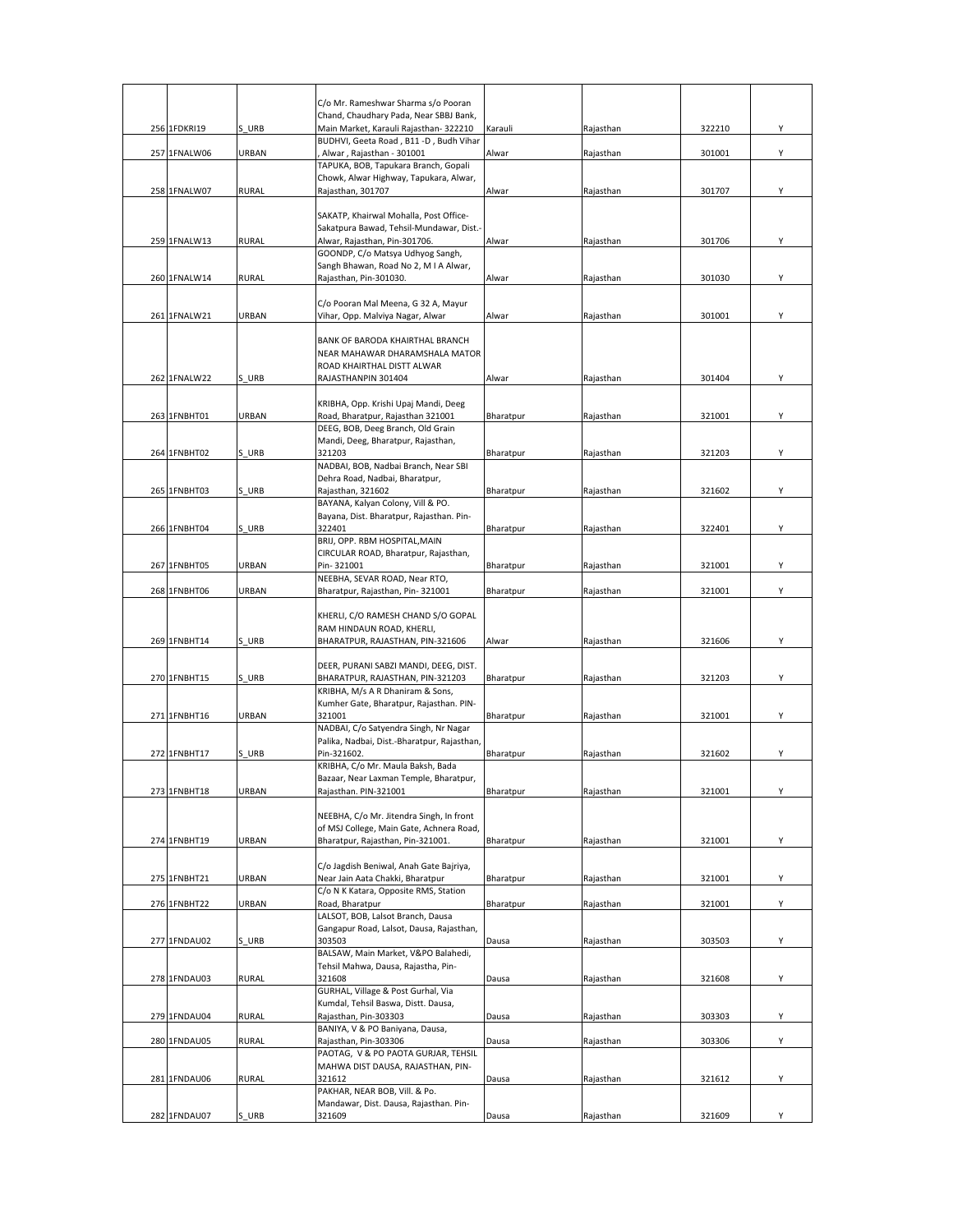|              |              | C/o Mr. Rameshwar Sharma s/o Pooran<br>Chand, Chaudhary Pada, Near SBBJ Bank,  |           |           |        |   |
|--------------|--------------|--------------------------------------------------------------------------------|-----------|-----------|--------|---|
| 256 1FDKRI19 | S URB        | Main Market, Karauli Rajasthan- 322210                                         | Karauli   | Rajasthan | 322210 | Υ |
|              |              | BUDHVI, Geeta Road, B11 -D, Budh Vihar                                         |           |           |        |   |
| 257 1FNALW06 | URBAN        | Alwar, Rajasthan - 301001                                                      | Alwar     | Rajasthan | 301001 | Y |
|              |              | TAPUKA, BOB, Tapukara Branch, Gopali<br>Chowk, Alwar Highway, Tapukara, Alwar, |           |           |        |   |
| 258 1FNALW07 | <b>RURAL</b> | Rajasthan, 301707                                                              | Alwar     | Rajasthan | 301707 | Υ |
|              |              |                                                                                |           |           |        |   |
|              |              | SAKATP, Khairwal Mohalla, Post Office-                                         |           |           |        |   |
| 259 1FNALW13 | <b>RURAL</b> | Sakatpura Bawad, Tehsil-Mundawar, Dist.-<br>Alwar, Rajasthan, Pin-301706.      | Alwar     | Rajasthan | 301706 | Υ |
|              |              | GOONDP, C/o Matsya Udhyog Sangh,                                               |           |           |        |   |
|              |              | Sangh Bhawan, Road No 2, M I A Alwar,                                          |           |           |        |   |
| 260 1FNALW14 | <b>RURAL</b> | Raiasthan, Pin-301030.                                                         | Alwar     | Rajasthan | 301030 | Υ |
|              |              | C/o Pooran Mal Meena, G 32 A, Mayur                                            |           |           |        |   |
| 261 1FNALW21 | URBAN        | Vihar, Opp. Malviya Nagar, Alwar                                               | Alwar     | Rajasthan | 301001 | Y |
|              |              |                                                                                |           |           |        |   |
|              |              | BANK OF BARODA KHAIRTHAL BRANCH                                                |           |           |        |   |
|              |              | NEAR MAHAWAR DHARAMSHALA MATOR                                                 |           |           |        |   |
| 262 1FNALW22 | S URB        | ROAD KHAIRTHAL DISTT ALWAR<br>RAJASTHANPIN 301404                              | Alwar     | Rajasthan | 301404 | Υ |
|              |              |                                                                                |           |           |        |   |
|              |              | KRIBHA, Opp. Krishi Upaj Mandi, Deeg                                           |           |           |        |   |
| 263 1FNBHT01 | URBAN        | Road, Bharatpur, Rajasthan 321001                                              | Bharatpur | Rajasthan | 321001 | Υ |
|              |              | DEEG, BOB, Deeg Branch, Old Grain                                              |           |           |        |   |
| 264 1FNBHT02 | S URB        | Mandi, Deeg, Bharatpur, Rajasthan,<br>321203                                   | Bharatpur | Rajasthan | 321203 | Υ |
|              |              | NADBAI, BOB, Nadbai Branch, Near SBI                                           |           |           |        |   |
|              |              | Dehra Road, Nadbai, Bharatpur,                                                 |           |           |        |   |
| 265 1FNBHT03 | S URB        | Rajasthan, 321602                                                              | Bharatpur | Rajasthan | 321602 | Υ |
|              |              | BAYANA, Kalyan Colony, Vill & PO.<br>Bayana, Dist. Bharatpur, Rajasthan. Pin-  |           |           |        |   |
| 266 1FNBHT04 | S URB        | 322401                                                                         | Bharatpur | Rajasthan | 322401 | Υ |
|              |              | BRIJ, OPP. RBM HOSPITAL, MAIN                                                  |           |           |        |   |
|              |              | CIRCULAR ROAD, Bharatpur, Rajasthan,                                           |           |           |        |   |
| 267 1FNBHT05 | URBAN        | Pin-321001<br>NEEBHA, SEVAR ROAD, Near RTO,                                    | Bharatpur | Rajasthan | 321001 | Υ |
| 268 1FNBHT06 | URBAN        | Bharatpur, Rajasthan, Pin-321001                                               | Bharatpur | Rajasthan | 321001 | Υ |
|              |              |                                                                                |           |           |        |   |
|              |              | KHERLI, C/O RAMESH CHAND S/O GOPAL                                             |           |           |        |   |
|              |              | RAM HINDAUN ROAD, KHERLI,                                                      |           |           |        |   |
| 269 1FNBHT14 | S URB        | BHARATPUR, RAJASTHAN, PIN-321606                                               | Alwar     | Rajasthan | 321606 | Υ |
|              |              | DEER, PURANI SABZI MANDI, DEEG, DIST.                                          |           |           |        |   |
| 270 1FNBHT15 | S URB        | BHARATPUR, RAJASTHAN, PIN-321203                                               | Bharatpur | Rajasthan | 321203 | Υ |
|              |              | KRIBHA, M/s A R Dhaniram & Sons,                                               |           |           |        |   |
| 271 1FNBHT16 | URBAN        | Kumher Gate, Bharatpur, Rajasthan. PIN-<br>321001                              | Bharatpur | Rajasthan | 321001 | Υ |
|              |              | NADBAI, C/o Satyendra Singh, Nr Nagar                                          |           |           |        |   |
|              |              | Palika, Nadbai, Dist.-Bharatpur, Rajasthan,                                    |           |           |        |   |
| 272 1FNBHT17 | S URB        | Pin-321602.                                                                    | Bharatpur | Rajasthan | 321602 | Y |
|              |              | KRIBHA, C/o Mr. Maula Baksh, Bada<br>Bazaar, Near Laxman Temple, Bharatpur,    |           |           |        |   |
| 273 1FNBHT18 | URBAN        | Rajasthan. PIN-321001                                                          | Bharatpur | Rajasthan | 321001 | Υ |
|              |              |                                                                                |           |           |        |   |
|              |              | NEEBHA, C/o Mr. Jitendra Singh, In front                                       |           |           |        |   |
|              |              | of MSJ College, Main Gate, Achnera Road,                                       |           |           |        |   |
| 274 1FNBHT19 | URBAN        | Bharatpur, Rajasthan, Pin-321001.                                              | Bharatpur | Rajasthan | 321001 | Υ |
|              |              | C/o Jagdish Beniwal, Anah Gate Bajriya,                                        |           |           |        |   |
| 275 1FNBHT21 | URBAN        | Near Jain Aata Chakki, Bharatpur                                               | Bharatpur | Rajasthan | 321001 | Y |
|              |              | C/o N K Katara, Opposite RMS, Station                                          |           |           |        |   |
| 276 1FNBHT22 | URBAN        | Road, Bharatpur<br>LALSOT, BOB, Lalsot Branch, Dausa                           | Bharatpur | Rajasthan | 321001 | Υ |
|              |              | Gangapur Road, Lalsot, Dausa, Rajasthan,                                       |           |           |        |   |
| 277 1FNDAU02 | S URB        | 303503                                                                         | Dausa     | Rajasthan | 303503 | Υ |
|              |              | BALSAW, Main Market, V&PO Balahedi,                                            |           |           |        |   |
|              |              | Tehsil Mahwa, Dausa, Rajastha, Pin-<br>321608                                  |           |           |        |   |
| 278 1FNDAU03 | <b>RURAL</b> | GURHAL, Village & Post Gurhal, Via                                             | Dausa     | Rajasthan | 321608 | Υ |
|              |              | Kumdal, Tehsil Baswa, Distt. Dausa,                                            |           |           |        |   |
| 279 1FNDAU04 | <b>RURAL</b> | Rajasthan, Pin-303303                                                          | Dausa     | Rajasthan | 303303 | Υ |
|              |              | BANIYA, V & PO Baniyana, Dausa,                                                |           |           |        |   |
| 280 1FNDAU05 | <b>RURAL</b> | Rajasthan, Pin-303306                                                          | Dausa     | Rajasthan | 303306 | Y |
|              |              | PAOTAG, V & PO PAOTA GURJAR, TEHSIL<br>MAHWA DIST DAUSA, RAJASTHAN, PIN-       |           |           |        |   |
| 281 1FNDAU06 | <b>RURAL</b> | 321612                                                                         | Dausa     | Rajasthan | 321612 | Υ |
|              |              | PAKHAR, NEAR BOB, Vill. & Po.                                                  |           |           |        |   |
|              |              | Mandawar, Dist. Dausa, Rajasthan. Pin-                                         |           |           |        |   |
| 282 1FNDAU07 | S URB        | 321609                                                                         | Dausa     | Rajasthan | 321609 | Υ |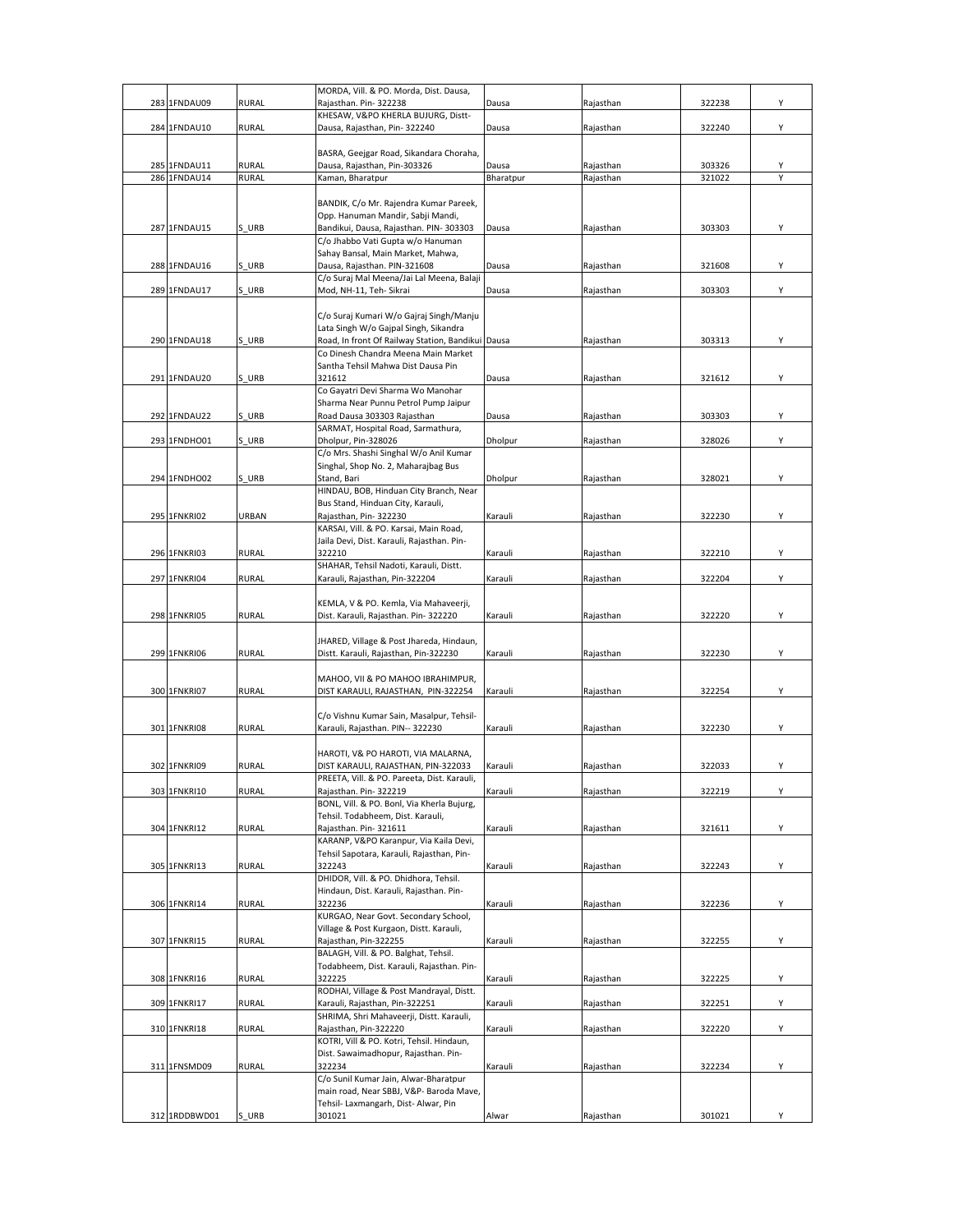|     |               |              | MORDA, Vill. & PO. Morda, Dist. Dausa,                                           |                |           |        |   |
|-----|---------------|--------------|----------------------------------------------------------------------------------|----------------|-----------|--------|---|
| 283 | 1FNDAU09      | <b>RURAL</b> | Rajasthan. Pin-322238                                                            | Dausa          | Rajasthan | 322238 | Υ |
|     | 284 1FNDAU10  | <b>RURAL</b> | KHESAW, V&PO KHERLA BUJURG, Distt-<br>Dausa, Rajasthan, Pin-322240               | Dausa          | Rajasthan | 322240 | Υ |
|     |               |              |                                                                                  |                |           |        |   |
|     |               |              | BASRA, Geejgar Road, Sikandara Choraha,                                          |                |           |        |   |
|     | 285 1FNDAU11  | <b>RURAL</b> | Dausa, Rajasthan, Pin-303326                                                     | Dausa          | Rajasthan | 303326 |   |
|     | 286 1FNDAU14  | <b>RURAL</b> | Kaman, Bharatpur                                                                 | Bharatpur      | Rajasthan | 321022 |   |
|     |               |              |                                                                                  |                |           |        |   |
|     |               |              | BANDIK, C/o Mr. Rajendra Kumar Pareek,                                           |                |           |        |   |
|     | 287 1FNDAU15  | S URB        | Opp. Hanuman Mandir, Sabji Mandi,<br>Bandikui, Dausa, Rajasthan. PIN-303303      | Dausa          | Rajasthan | 303303 | Υ |
|     |               |              | C/o Jhabbo Vati Gupta w/o Hanuman                                                |                |           |        |   |
|     |               |              | Sahay Bansal, Main Market, Mahwa,                                                |                |           |        |   |
|     | 288 1FNDAU16  | S URB        | Dausa, Rajasthan. PIN-321608                                                     | Dausa          | Rajasthan | 321608 | Υ |
|     |               |              | C/o Suraj Mal Meena/Jai Lal Meena, Balaji                                        |                |           |        |   |
|     | 289 1FNDAU17  | S URB        | Mod, NH-11, Teh- Sikrai                                                          | Dausa          | Rajasthan | 303303 | Υ |
|     |               |              |                                                                                  |                |           |        |   |
|     |               |              | C/o Suraj Kumari W/o Gajraj Singh/Manju<br>Lata Singh W/o Gajpal Singh, Sikandra |                |           |        |   |
|     | 290 1FNDAU18  | S URB        | Road, In front Of Railway Station, Bandikui Dausa                                |                | Rajasthan | 303313 | Υ |
|     |               |              | Co Dinesh Chandra Meena Main Market                                              |                |           |        |   |
|     |               |              | Santha Tehsil Mahwa Dist Dausa Pin                                               |                |           |        |   |
|     | 291 1FNDAU20  | S URB        | 321612                                                                           | Dausa          | Rajasthan | 321612 | Υ |
|     |               |              | Co Gayatri Devi Sharma Wo Manohar                                                |                |           |        |   |
|     |               |              | Sharma Near Punnu Petrol Pump Jaipur                                             |                |           |        |   |
|     | 292 1FNDAU22  | S URB        | Road Dausa 303303 Rajasthan                                                      | Dausa          | Rajasthan | 303303 | Υ |
|     |               |              | SARMAT, Hospital Road, Sarmathura,                                               |                |           |        |   |
|     | 293 1FNDHO01  | S URB        | Dholpur, Pin-328026<br>C/o Mrs. Shashi Singhal W/o Anil Kumar                    | Dholpur        | Rajasthan | 328026 | Υ |
|     |               |              | Singhal, Shop No. 2, Maharajbag Bus                                              |                |           |        |   |
|     | 294 1FNDHO02  | S URB        | Stand, Bari                                                                      | <b>Dholpur</b> | Rajasthan | 328021 | Υ |
|     |               |              | HINDAU, BOB, Hinduan City Branch, Near                                           |                |           |        |   |
|     |               |              | Bus Stand, Hinduan City, Karauli,                                                |                |           |        |   |
|     | 295 1FNKRI02  | URBAN        | Rajasthan, Pin-322230                                                            | Karauli        | Rajasthan | 322230 | Υ |
|     |               |              | KARSAI, Vill. & PO. Karsai, Main Road,                                           |                |           |        |   |
|     |               |              | Jaila Devi, Dist. Karauli, Rajasthan. Pin-                                       |                |           |        |   |
|     | 296 1FNKRI03  | <b>RURAL</b> | 322210<br>SHAHAR, Tehsil Nadoti, Karauli, Distt.                                 | Karauli        | Rajasthan | 322210 | Υ |
|     | 297 1FNKRI04  | <b>RURAL</b> | Karauli, Rajasthan, Pin-322204                                                   | Karauli        | Rajasthan | 322204 | Υ |
|     |               |              |                                                                                  |                |           |        |   |
|     |               |              | KEMLA, V & PO. Kemla, Via Mahaveerji,                                            |                |           |        |   |
|     | 298 1FNKRI05  | <b>RURAL</b> | Dist. Karauli, Rajasthan. Pin- 322220                                            | Karauli        | Rajasthan | 322220 | Υ |
|     |               |              |                                                                                  |                |           |        |   |
|     |               |              | JHARED, Village & Post Jhareda, Hindaun,                                         |                |           |        |   |
|     | 299 1FNKRI06  | <b>RURAL</b> | Distt. Karauli, Rajasthan, Pin-322230                                            | Karauli        | Rajasthan | 322230 | Υ |
|     |               |              | MAHOO, VII & PO MAHOO IBRAHIMPUR,                                                |                |           |        |   |
|     | 300 1FNKRI07  | <b>RURAL</b> | DIST KARAULI, RAJASTHAN, PIN-322254                                              | Karauli        | Rajasthan | 322254 | Υ |
|     |               |              |                                                                                  |                |           |        |   |
|     |               |              | C/o Vishnu Kumar Sain, Masalpur, Tehsil-                                         |                |           |        |   |
|     | 301 1FNKRI08  | <b>RURAL</b> | Karauli, Rajasthan. PIN-- 322230                                                 | Karauli        | Rajasthan | 322230 | Υ |
|     |               |              |                                                                                  |                |           |        |   |
|     |               |              | HAROTI, V& PO HAROTI, VIA MALARNA,                                               |                |           |        |   |
|     | 302 1FNKRI09  | <b>RURAL</b> | DIST KARAULI, RAJASTHAN, PIN-322033<br>PREETA, Vill. & PO. Pareeta, Dist. Karaul | Karauli        | Rajasthan | 322033 | Υ |
|     | 303 1FNKRI10  | <b>RURAL</b> | Rajasthan. Pin-322219                                                            | Karauli        | Rajasthan | 322219 | Υ |
|     |               |              | BONL, Vill. & PO. Bonl, Via Kherla Bujurg,                                       |                |           |        |   |
|     |               |              | Tehsil. Todabheem, Dist. Karauli,                                                |                |           |        |   |
|     | 304 1FNKRI12  | <b>RURAL</b> | Rajasthan. Pin-321611                                                            | Karauli        | Rajasthan | 321611 | Υ |
|     |               |              | KARANP, V&PO Karanpur, Via Kaila Devi,                                           |                |           |        |   |
|     |               |              | Tehsil Sapotara, Karauli, Rajasthan, Pin-                                        |                |           |        |   |
|     | 305 1FNKRI13  | <b>RURAL</b> | 322243<br>DHIDOR, Vill. & PO. Dhidhora, Tehsil.                                  | Karauli        | Rajasthan | 322243 | Υ |
|     |               |              | Hindaun, Dist. Karauli, Rajasthan. Pin-                                          |                |           |        |   |
|     | 306 1FNKRI14  | <b>RURAL</b> | 322236                                                                           | Karauli        | Rajasthan | 322236 | Υ |
|     |               |              | KURGAO, Near Govt. Secondary School,                                             |                |           |        |   |
|     |               |              | Village & Post Kurgaon, Distt. Karauli,                                          |                |           |        |   |
|     | 307 1FNKRI15  | <b>RURAL</b> | Rajasthan, Pin-322255                                                            | Karauli        | Rajasthan | 322255 | Υ |
|     |               |              | BALAGH, Vill. & PO. Balghat, Tehsil.                                             |                |           |        |   |
|     |               |              | Todabheem, Dist. Karauli, Rajasthan. Pin-                                        |                |           |        | Υ |
|     | 308 1FNKRI16  | <b>RURAL</b> | 322225<br>RODHAI, Village & Post Mandrayal, Distt.                               | Karauli        | Rajasthan | 322225 |   |
|     | 309 1FNKRI17  | <b>RURAL</b> | Karauli, Rajasthan, Pin-322251                                                   | Karauli        | Rajasthan | 322251 | Υ |
|     |               |              | SHRIMA, Shri Mahaveerji, Distt. Karauli,                                         |                |           |        |   |
|     | 310 1FNKRI18  | <b>RURAL</b> | Rajasthan, Pin-322220                                                            | Karauli        | Rajasthan | 322220 | Υ |
|     |               |              | KOTRI, Vill & PO. Kotri, Tehsil. Hindaun,                                        |                |           |        |   |
|     |               |              | Dist. Sawaimadhopur, Rajasthan. Pin-                                             |                |           |        |   |
|     | 311 1FNSMD09  | <b>RURAL</b> | 322234                                                                           | Karauli        | Rajasthan | 322234 | Υ |
|     |               |              | C/o Sunil Kumar Jain, Alwar-Bharatpur<br>main road, Near SBBJ, V&P- Baroda Mave, |                |           |        |   |
|     |               |              | Tehsil- Laxmangarh, Dist- Alwar, Pin                                             |                |           |        |   |
|     | 312 1RDDBWD01 | S URB        | 301021                                                                           | Alwar          | Rajasthan | 301021 | Υ |
|     |               |              |                                                                                  |                |           |        |   |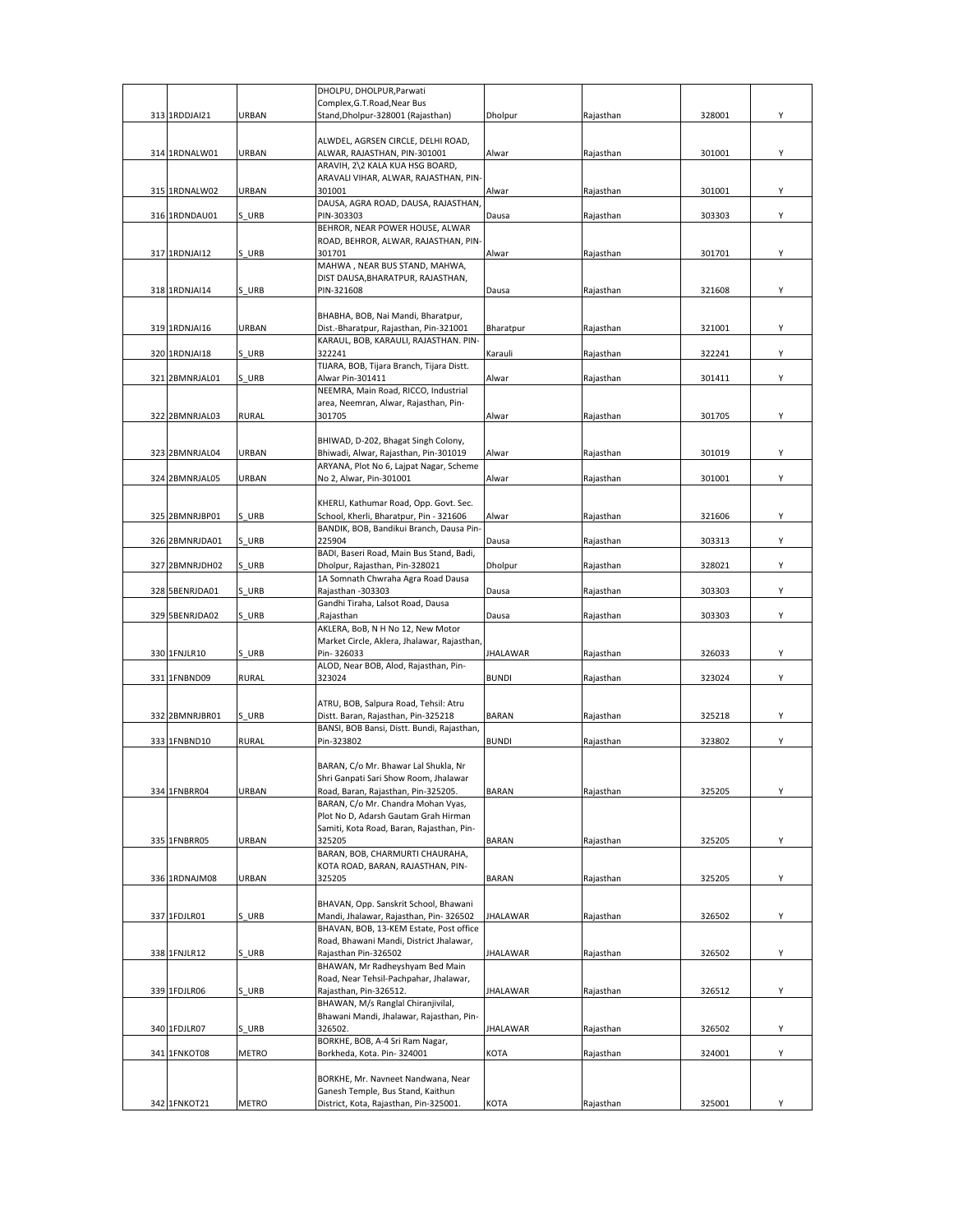|  |                |              | DHOLPU, DHOLPUR, Parwati                    |                 |           |        |   |
|--|----------------|--------------|---------------------------------------------|-----------------|-----------|--------|---|
|  |                |              | Complex, G.T. Road, Near Bus                |                 |           |        |   |
|  | 313 1RDDJAI21  | URBAN        | Stand, Dholpur-328001 (Rajasthan)           | Dholpur         | Rajasthan | 328001 | Υ |
|  |                |              |                                             |                 |           |        |   |
|  |                |              | ALWDEL, AGRSEN CIRCLE, DELHI ROAD,          |                 |           |        |   |
|  | 314 1RDNALW01  | URBAN        | ALWAR, RAJASTHAN, PIN-301001                | Alwar           | Rajasthan | 301001 | Υ |
|  |                |              | ARAVIH, 2\2 KALA KUA HSG BOARD,             |                 |           |        |   |
|  |                |              | ARAVALI VIHAR, ALWAR, RAJASTHAN, PIN-       |                 |           |        |   |
|  | 315 1RDNALW02  | URBAN        | 301001                                      | Alwar           | Rajasthan | 301001 | Υ |
|  |                |              | DAUSA, AGRA ROAD, DAUSA, RAJASTHAN,         |                 |           |        |   |
|  | 316 1RDNDAU01  | S URB        | PIN-303303                                  | Dausa           | Rajasthan | 303303 | Y |
|  |                |              | BEHROR, NEAR POWER HOUSE, ALWAR             |                 |           |        |   |
|  |                |              | ROAD, BEHROR, ALWAR, RAJASTHAN, PIN-        |                 |           |        |   |
|  | 317 1RDNJAI12  | S URB        | 301701                                      | Alwar           | Rajasthan | 301701 | Y |
|  |                |              | MAHWA, NEAR BUS STAND, MAHWA,               |                 |           |        |   |
|  |                |              | DIST DAUSA, BHARATPUR, RAJASTHAN,           |                 |           |        |   |
|  | 318 1RDNJAI14  | S URB        | PIN-321608                                  | Dausa           | Rajasthan | 321608 | Y |
|  |                |              |                                             |                 |           |        |   |
|  |                |              | BHABHA, BOB, Nai Mandi, Bharatpur,          |                 |           |        |   |
|  | 319 1RDNJAI16  | URBAN        | Dist.-Bharatpur, Rajasthan, Pin-321001      | Bharatpur       | Rajasthan | 321001 | Y |
|  |                |              | KARAUL, BOB, KARAULI, RAJASTHAN. PIN-       |                 |           |        |   |
|  | 320 1RDNJAI18  | S URB        | 322241                                      | Karauli         | Rajasthan | 322241 | Υ |
|  |                |              | TIJARA, BOB, Tijara Branch, Tijara Distt.   |                 |           |        |   |
|  | 321 2BMNRJAL01 | S URB        | Alwar Pin-301411                            | Alwar           | Rajasthan | 301411 | Υ |
|  |                |              | NEEMRA, Main Road, RICCO, Industrial        |                 |           |        |   |
|  |                |              | area, Neemran, Alwar, Rajasthan, Pin-       |                 |           |        |   |
|  | 322 2BMNRJAL03 | <b>RURAL</b> | 301705                                      | Alwar           | Rajasthan | 301705 | Υ |
|  |                |              |                                             |                 |           |        |   |
|  |                |              | BHIWAD, D-202, Bhagat Singh Colony,         |                 |           |        |   |
|  | 323 2BMNRJAL04 | URBAN        | Bhiwadi, Alwar, Rajasthan, Pin-301019       | Alwar           | Rajasthan | 301019 | Υ |
|  |                |              | ARYANA, Plot No 6, Lajpat Nagar, Scheme     |                 |           |        |   |
|  | 324 2BMNRJAL05 | URBAN        | No 2, Alwar, Pin-301001                     | Alwar           | Rajasthan | 301001 | Υ |
|  |                |              |                                             |                 |           |        |   |
|  |                |              |                                             |                 |           |        |   |
|  |                |              | KHERLI, Kathumar Road, Opp. Govt. Sec.      |                 |           |        |   |
|  | 325 2BMNRJBP01 | S URB        | School, Kherli, Bharatpur, Pin - 321606     | Alwar           | Rajasthan | 321606 | Υ |
|  |                |              | BANDIK, BOB, Bandikui Branch, Dausa Pin-    |                 |           |        |   |
|  | 326 2BMNRJDA01 | S URB        | 225904                                      | Dausa           | Rajasthan | 303313 | Y |
|  |                |              | BADI, Baseri Road, Main Bus Stand, Badi,    |                 |           |        |   |
|  | 327 2BMNRJDH02 | S URB        | Dholpur, Rajasthan, Pin-328021              | Dholpur         | Rajasthan | 328021 | Υ |
|  |                |              | 1A Somnath Chwraha Agra Road Dausa          |                 |           |        |   |
|  | 328 5BENRJDA01 | S URB        | Rajasthan -303303                           | Dausa           | Rajasthan | 303303 | Υ |
|  |                |              | Gandhi Tiraha, Lalsot Road, Dausa           |                 |           |        |   |
|  | 329 5BENRJDA02 | S URB        | ,Rajasthan                                  | Dausa           | Rajasthan | 303303 | Y |
|  |                |              | AKLERA, BoB, N H No 12, New Motor           |                 |           |        |   |
|  |                |              | Market Circle, Aklera, Jhalawar, Rajasthan, |                 |           |        |   |
|  | 330 1FNJLR10   | S URB        | Pin-326033                                  | <b>JHALAWAR</b> | Rajasthan | 326033 | Υ |
|  |                |              | ALOD, Near BOB, Alod, Rajasthan, Pin-       |                 |           |        |   |
|  | 331 1FNBND09   | <b>RURAL</b> | 323024                                      | <b>BUNDI</b>    | Rajasthan | 323024 | Υ |
|  |                |              |                                             |                 |           |        |   |
|  |                |              | ATRU, BOB, Salpura Road, Tehsil: Atru       |                 |           |        |   |
|  | 332 2BMNRJBR01 | S URB        | Distt. Baran, Rajasthan, Pin-325218         | <b>BARAN</b>    | Rajasthan | 325218 | Υ |
|  |                |              | BANSI, BOB Bansi, Distt. Bundi, Rajasthan,  |                 |           |        |   |
|  | 333 1FNBND10   | <b>RURAL</b> | Pin-323802                                  | <b>BUNDI</b>    | Rajasthan | 323802 | Υ |
|  |                |              |                                             |                 |           |        |   |
|  |                |              | BARAN, C/o Mr. Bhawar Lal Shukla, Nr        |                 |           |        |   |
|  |                |              | Shri Ganpati Sari Show Room, Jhalawar       |                 |           |        |   |
|  | 334 1FNBRR04   | URBAN        | Road, Baran, Rajasthan, Pin-325205.         | <b>BARAN</b>    | Rajasthan | 325205 | Υ |
|  |                |              | BARAN, C/o Mr. Chandra Mohan Vyas,          |                 |           |        |   |
|  |                |              | Plot No D, Adarsh Gautam Grah Hirman        |                 |           |        |   |
|  |                |              | Samiti, Kota Road, Baran, Rajasthan, Pin-   |                 |           |        |   |
|  |                |              |                                             |                 |           |        |   |
|  | 335 1FNBRR05   | URBAN        | 325205                                      | <b>BARAN</b>    | Rajasthan | 325205 | Υ |
|  |                |              | BARAN, BOB, CHARMURTI CHAURAHA,             |                 |           |        |   |
|  |                |              | KOTA ROAD, BARAN, RAJASTHAN, PIN-           |                 |           |        |   |
|  | 336 1RDNAJM08  | URBAN        | 325205                                      | <b>BARAN</b>    | Rajasthan | 325205 | Υ |
|  |                |              |                                             |                 |           |        |   |
|  |                |              | BHAVAN, Opp. Sanskrit School, Bhawani       |                 |           |        |   |
|  | 337 1FDJLR01   | S URB        | Mandi, Jhalawar, Rajasthan, Pin-326502      | <b>JHALAWAR</b> | Rajasthan | 326502 | Υ |
|  |                |              | BHAVAN, BOB, 13-KEM Estate, Post office     |                 |           |        |   |
|  |                |              | Road, Bhawani Mandi, District Jhalawar,     |                 |           |        |   |
|  | 338 1FNJLR12   | S URB        | Rajasthan Pin-326502                        | <b>JHALAWAR</b> | Rajasthan | 326502 | Υ |
|  |                |              | BHAWAN, Mr Radheyshyam Bed Main             |                 |           |        |   |
|  |                |              | Road, Near Tehsil-Pachpahar, Jhalawar,      |                 |           |        |   |
|  | 339 1FDJLR06   | S URB        | Rajasthan, Pin-326512.                      | <b>JHALAWAR</b> | Rajasthan | 326512 | Υ |
|  |                |              | BHAWAN, M/s Ranglal Chiranjivilal,          |                 |           |        |   |
|  |                |              | Bhawani Mandi, Jhalawar, Rajasthan, Pin-    |                 |           |        |   |
|  | 340 1FDJLR07   | S URB        | 326502.                                     | <b>JHALAWAR</b> | Rajasthan | 326502 | Υ |
|  |                |              | BORKHE, BOB, A-4 Sri Ram Nagar,             |                 |           |        |   |
|  | 341 1FNKOT08   | METRO        | Borkheda, Kota. Pin-324001                  | KOTA            | Rajasthan | 324001 | Υ |
|  |                |              |                                             |                 |           |        |   |
|  |                |              | BORKHE, Mr. Navneet Nandwana, Near          |                 |           |        |   |
|  |                |              | Ganesh Temple, Bus Stand, Kaithun           |                 |           |        |   |
|  | 342 1FNKOT21   | METRO        | District, Kota, Rajasthan, Pin-325001.      | KOTA            | Rajasthan | 325001 | Υ |
|  |                |              |                                             |                 |           |        |   |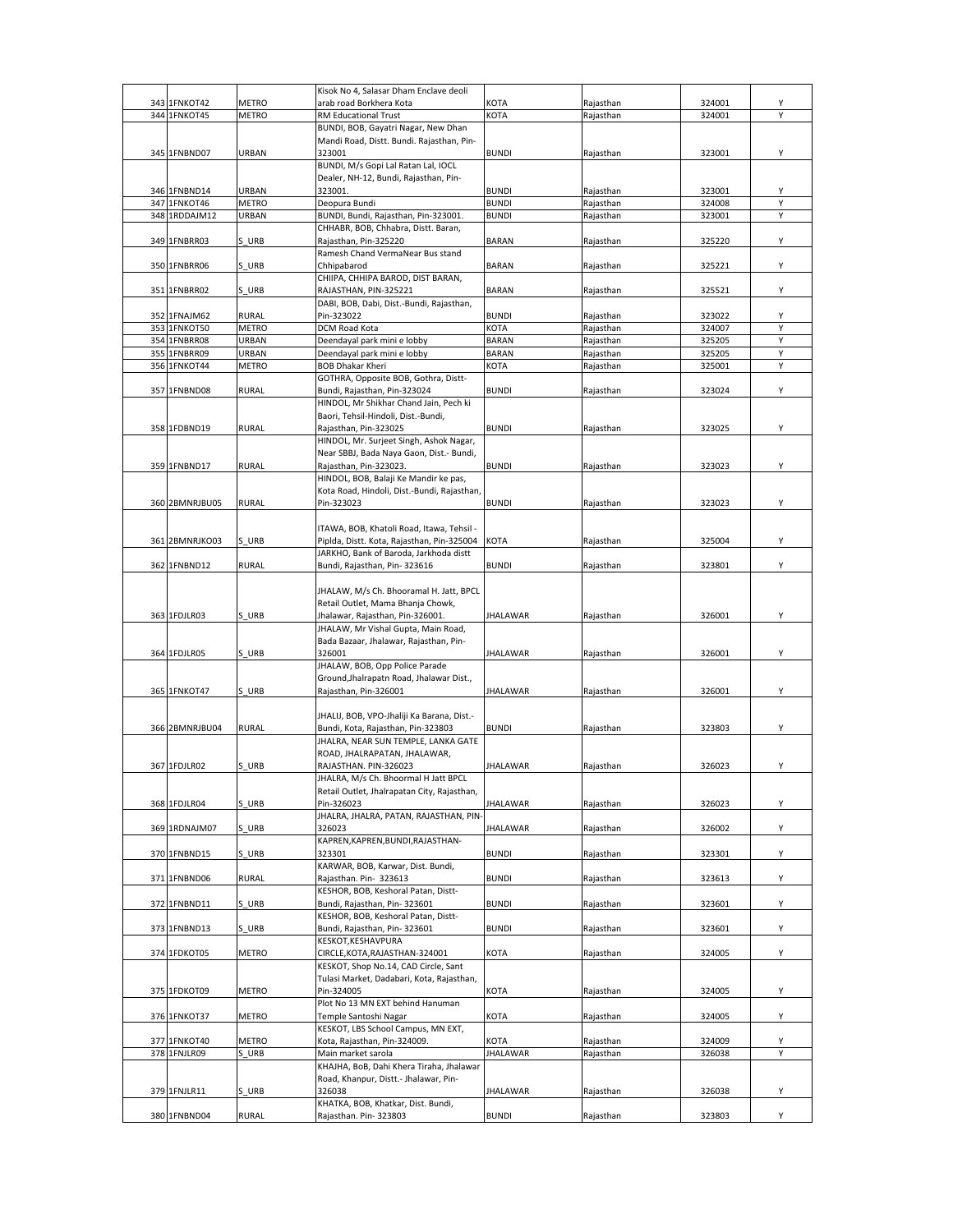|                |              | Kisok No 4, Salasar Dham Enclave deoli                      |                 |           |        |   |
|----------------|--------------|-------------------------------------------------------------|-----------------|-----------|--------|---|
| 343 1FNKOT42   | METRO        | arab road Borkhera Kota                                     | КОТА            | Rajasthan | 324001 | Υ |
| 344 1FNKOT45   | <b>METRO</b> | RM Educational Trust                                        | KOTA            | Rajasthan | 324001 | Υ |
|                |              | BUNDI, BOB, Gayatri Nagar, New Dhan                         |                 |           |        |   |
|                |              | Mandi Road, Distt. Bundi. Rajasthan, Pin-                   |                 |           |        |   |
| 345 1FNBND07   | URBAN        | 323001                                                      | <b>BUNDI</b>    | Rajasthan | 323001 | Υ |
|                |              | BUNDI, M/s Gopi Lal Ratan Lal, IOCL                         |                 |           |        |   |
|                |              | Dealer, NH-12, Bundi, Rajasthan, Pin-                       |                 |           |        |   |
| 346 1FNBND14   | URBAN        | 323001.                                                     | <b>BUNDI</b>    | Rajasthan | 323001 | Y |
| 347 1FNKOT46   | <b>METRO</b> | Deopura Bundi                                               | <b>BUNDI</b>    | Rajasthan | 324008 | Υ |
| 348 1RDDAJM12  | URBAN        | BUNDI, Bundi, Rajasthan, Pin-323001                         | <b>BUNDI</b>    | Rajasthan | 323001 | Y |
|                |              | CHHABR, BOB, Chhabra, Distt. Baran,                         |                 |           |        |   |
| 349 1FNBRR03   |              | Rajasthan, Pin-325220                                       | <b>BARAN</b>    |           |        | Υ |
|                | S URB        | Ramesh Chand VermaNear Bus stand                            |                 | Rajasthan | 325220 |   |
|                |              |                                                             |                 |           |        |   |
| 350 1FNBRR06   | S URB        | Chhipabarod                                                 | <b>BARAN</b>    | Rajasthan | 325221 | Υ |
|                |              | CHIIPA, CHHIPA BAROD, DIST BARAN,                           |                 |           |        |   |
| 351 1FNBRR02   | S URB        | RAJASTHAN, PIN-325221                                       | <b>BARAN</b>    | Rajasthan | 325521 | Υ |
|                |              | DABI, BOB, Dabi, Dist.-Bundi, Rajasthan,                    |                 |           |        |   |
| 352 1FNAJM62   | <b>RURAL</b> | Pin-323022                                                  | <b>BUNDI</b>    | Rajasthan | 323022 | Υ |
| 353 1FNKOT50   | METRO        | DCM Road Kota                                               | KOTA            | Rajasthan | 324007 | Y |
| 354 1FNBRR08   | URBAN        | Deendayal park mini e lobby                                 | <b>BARAN</b>    | Rajasthan | 325205 | Y |
| 355 1FNBRR09   | URBAN        | Deendayal park mini e lobby                                 | <b>BARAN</b>    | Rajasthan | 325205 | Υ |
| 356 1FNKOT44   | METRO        | <b>BOB Dhakar Kheri</b>                                     | KOTA            | Rajasthan | 325001 | Y |
|                |              | GOTHRA, Opposite BOB, Gothra, Distt-                        |                 |           |        |   |
| 357 1FNBND08   | <b>RURAL</b> | Bundi, Rajasthan, Pin-323024                                | <b>BUNDI</b>    | Rajasthan | 323024 | Υ |
|                |              | HINDOL, Mr Shikhar Chand Jain, Pech ki                      |                 |           |        |   |
|                |              | Baori, Tehsil-Hindoli, Dist.-Bundi,                         |                 |           |        |   |
| 358 1FDBND19   | <b>RURAL</b> | Rajasthan, Pin-323025                                       | <b>BUNDI</b>    | Rajasthan | 323025 | Υ |
|                |              | HINDOL, Mr. Surjeet Singh, Ashok Nagar,                     |                 |           |        |   |
|                |              | Near SBBJ, Bada Naya Gaon, Dist.- Bundi,                    |                 |           |        |   |
| 359 1FNBND17   | <b>RURAL</b> | Rajasthan, Pin-323023.                                      | <b>BUNDI</b>    | Rajasthan | 323023 | Υ |
|                |              | HINDOL, BOB, Balaji Ke Mandir ke pas,                       |                 |           |        |   |
|                |              | Kota Road, Hindoli, Dist.-Bundi, Rajasthan,                 |                 |           |        |   |
| 360 2BMNRJBU05 | RURAL        | Pin-323023                                                  | <b>BUNDI</b>    | Rajasthan | 323023 | Y |
|                |              |                                                             |                 |           |        |   |
|                |              | ITAWA, BOB, Khatoli Road, Itawa, Tehsil -                   |                 |           |        |   |
| 361 2BMNRJKO03 | S URB        | Piplda, Distt. Kota, Rajasthan, Pin-325004                  | KOTA            | Rajasthan | 325004 | Υ |
|                |              | JARKHO, Bank of Baroda, Jarkhoda distt                      |                 |           |        |   |
| 362 1FNBND12   | <b>RURAL</b> | Bundi, Rajasthan, Pin-323616                                | <b>BUNDI</b>    | Rajasthan | 323801 | Y |
|                |              |                                                             |                 |           |        |   |
|                |              | JHALAW, M/s Ch. Bhooramal H. Jatt, BPCL                     |                 |           |        |   |
|                |              | Retail Outlet, Mama Bhanja Chowk,                           |                 |           |        |   |
| 363 1FDJLR03   | S URB        | Jhalawar, Rajasthan, Pin-326001.                            | JHALAWAR        | Rajasthan | 326001 | Υ |
|                |              |                                                             |                 |           |        |   |
|                |              | JHALAW, Mr Vishal Gupta, Main Road,                         |                 |           |        |   |
|                |              | Bada Bazaar, Jhalawar, Rajasthan, Pin-                      |                 |           |        |   |
| 364 1FDJLR05   | S URB        | 326001                                                      | JHALAWAR        | Rajasthan | 326001 | Υ |
|                |              | JHALAW, BOB, Opp Police Parade                              |                 |           |        |   |
|                |              | Ground, Jhalrapatn Road, Jhalawar Dist.,                    |                 |           |        |   |
| 365 1FNKOT47   | S URB        | Rajasthan, Pin-326001                                       | JHALAWAR        | Rajasthan | 326001 | Υ |
|                |              |                                                             |                 |           |        |   |
|                |              | JHALIJ, BOB, VPO-Jhaliji Ka Barana, Dist.-                  |                 |           |        |   |
| 366 2BMNRJBU04 | RURAL        | Bundi, Kota, Rajasthan, Pin-323803                          | <b>BUNDI</b>    | Rajasthan | 323803 | Υ |
|                |              | JHALRA, NEAR SUN TEMPLE, LANKA GATE                         |                 |           |        |   |
|                |              | ROAD, JHALRAPATAN, JHALAWAR,                                |                 |           |        |   |
| 367 1FDJLR02   | S URB        | RAJASTHAN. PIN-326023                                       | JHALAWAR        | Rajasthan | 326023 | Υ |
|                |              | JHALRA, M/s Ch. Bhoormal H Jatt BPCL                        |                 |           |        |   |
|                |              | Retail Outlet, Jhalrapatan City, Rajasthan,                 |                 |           |        |   |
| 368 1FDJLR04   | S URB        | Pin-326023                                                  | <b>JHALAWAR</b> | Rajasthan | 326023 | Y |
|                |              | JHALRA, JHALRA, PATAN, RAJASTHAN, PIN-                      |                 |           |        |   |
| 369 1RDNAJM07  | S URB        | 326023                                                      | <b>JHALAWAR</b> | Rajasthan | 326002 | Υ |
|                |              | KAPREN, KAPREN, BUNDI, RAJASTHAN-                           |                 |           |        |   |
| 370 1FNBND15   | S URB        | 323301                                                      | <b>BUNDI</b>    | Rajasthan | 323301 | Υ |
|                |              | KARWAR, BOB, Karwar, Dist. Bundi,                           |                 |           |        |   |
| 371 1FNBND06   | <b>RURAL</b> | Rajasthan. Pin- 323613                                      | <b>BUNDI</b>    | Rajasthan | 323613 | Y |
|                |              | KESHOR, BOB, Keshoral Patan, Distt-                         |                 |           |        |   |
| 372 1FNBND11   | S URB        | Bundi, Rajasthan, Pin-323601                                | BUNDI           | Rajasthan | 323601 | Υ |
|                |              | KESHOR, BOB, Keshoral Patan, Distt-                         |                 |           |        |   |
| 373 1FNBND13   | S URB        | Bundi, Rajasthan, Pin-323601                                | <b>BUNDI</b>    | Rajasthan | 323601 | Υ |
|                |              | KESKOT, KESHAVPURA                                          |                 |           |        |   |
| 374 1FDKOT05   | METRO        | CIRCLE, KOTA, RAJASTHAN-324001                              | KOTA            | Rajasthan | 324005 | Y |
|                |              | KESKOT, Shop No.14, CAD Circle, Sant                        |                 |           |        |   |
|                |              | Tulasi Market, Dadabari, Kota, Rajasthan,                   |                 |           |        |   |
| 375 1FDKOT09   | METRO        | Pin-324005                                                  | KOTA            | Rajasthan | 324005 | Υ |
|                |              | Plot No 13 MN EXT behind Hanuman                            |                 |           |        |   |
| 376 1FNKOT37   | <b>METRO</b> | Temple Santoshi Nagar                                       | KOTA            | Rajasthan | 324005 | Υ |
|                |              | KESKOT, LBS School Campus, MN EXT,                          |                 |           |        |   |
| 377 1FNKOT40   | METRO        | Kota, Rajasthan, Pin-324009.                                | KOTA            | Rajasthan | 324009 | Υ |
| 378 1FNJLR09   | S URB        | Main market sarola                                          | <b>IHALAWAR</b> | Rajasthan | 326038 | Y |
|                |              | KHAJHA, BoB, Dahi Khera Tiraha, Jhalawar                    |                 |           |        |   |
|                |              | Road, Khanpur, Distt.- Jhalawar, Pin-                       |                 |           |        |   |
| 379 1FNJLR11   | S URB        | 326038                                                      | <b>JHALAWAR</b> | Rajasthan | 326038 | Υ |
| 380 1FNBND04   | <b>RURAL</b> | KHATKA, BOB, Khatkar, Dist. Bundi,<br>Rajasthan. Pin-323803 | <b>BUNDI</b>    | Rajasthan | 323803 | Υ |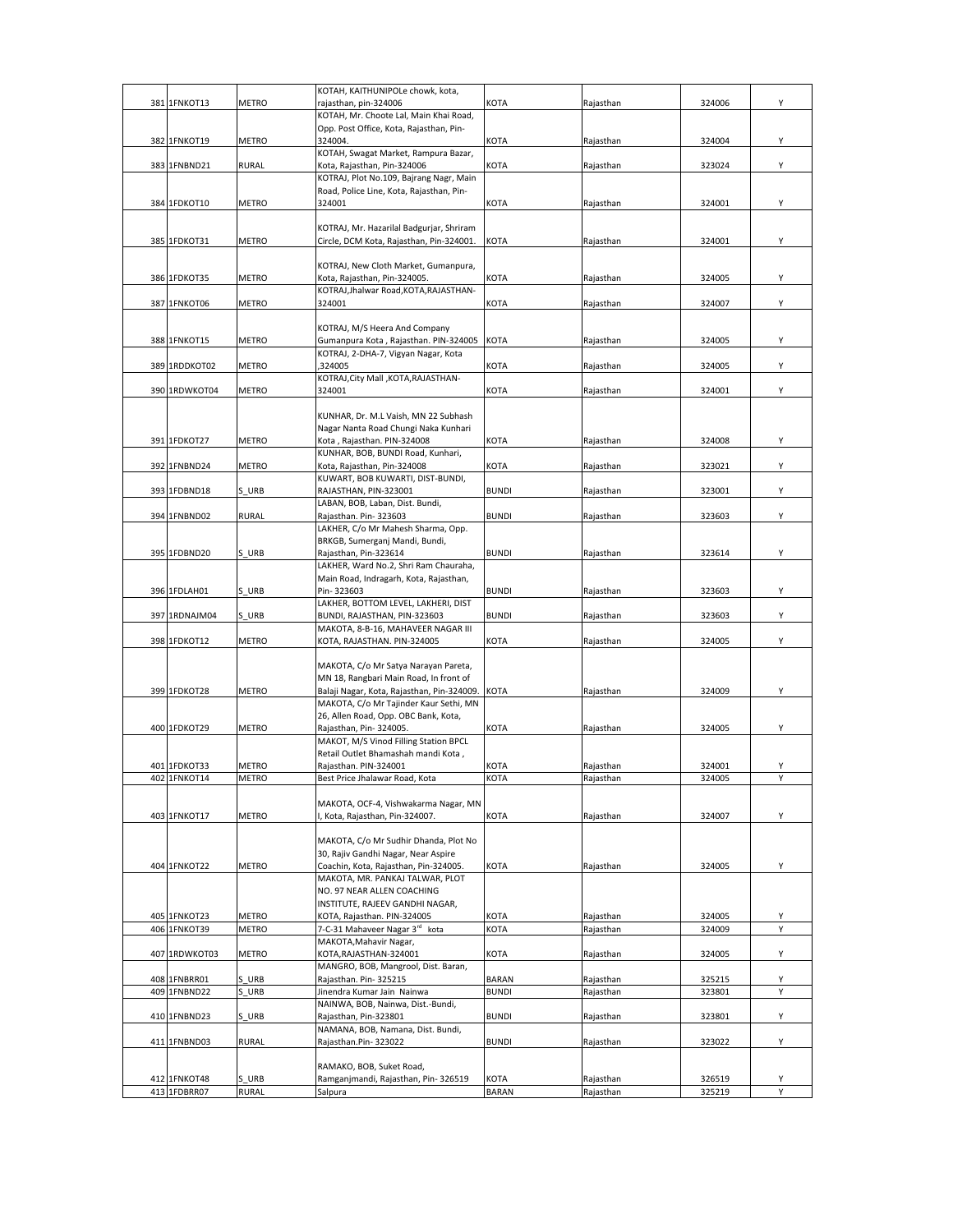| 381 1FNKOT13  | <b>METRO</b> | KOTAH, KAITHUNIPOLe chowk, kota,<br>rajasthan, pin-324006                         | KOTA         | Rajasthan | 324006 | Υ |
|---------------|--------------|-----------------------------------------------------------------------------------|--------------|-----------|--------|---|
|               |              | KOTAH, Mr. Choote Lal, Main Khai Road,                                            |              |           |        |   |
|               |              | Opp. Post Office, Kota, Rajasthan, Pin-                                           |              |           |        |   |
| 382 1FNKOT19  | METRO        | 324004.<br>KOTAH, Swagat Market, Rampura Bazar,                                   | KOTA         | Rajasthan | 324004 | Y |
| 383 1FNBND21  | <b>RURAL</b> | Kota, Rajasthan, Pin-324006                                                       | KOTA         | Rajasthan | 323024 | Υ |
|               |              | KOTRAJ, Plot No.109, Bajrang Nagr, Main                                           |              |           |        |   |
| 384 1FDKOT10  | METRO        | Road, Police Line, Kota, Rajasthan, Pin-<br>324001                                | KOTA         | Rajasthan | 324001 | Υ |
|               |              |                                                                                   |              |           |        |   |
|               |              | KOTRAJ, Mr. Hazarilal Badgurjar, Shriram                                          |              |           |        |   |
| 385 1FDKOT31  | METRO        | Circle, DCM Kota, Rajasthan, Pin-324001.                                          | KOTA         | Rajasthan | 324001 | Υ |
|               |              | KOTRAJ, New Cloth Market, Gumanpura,                                              |              |           |        |   |
| 386 1FDKOT35  | METRO        | Kota, Rajasthan, Pin-324005.                                                      | КОТА         | Rajasthan | 324005 | Y |
| 387 1FNKOT06  | METRO        | KOTRAJ, Jhalwar Road, KOTA, RAJASTHAN-<br>324001                                  | KOTA         | Rajasthan | 324007 | Υ |
|               |              |                                                                                   |              |           |        |   |
|               |              | KOTRAJ, M/S Heera And Company                                                     |              |           |        |   |
| 388 1FNKOT15  | METRO        | Gumanpura Kota, Rajasthan. PIN-324005 KOTA<br>KOTRAJ, 2-DHA-7, Vigyan Nagar, Kota |              | Rajasthan | 324005 | Υ |
| 389 1RDDKOT02 | <b>METRO</b> | ,324005                                                                           | KOTA         | Rajasthan | 324005 | Υ |
|               |              | KOTRAJ, City Mall, KOTA, RAJASTHAN-                                               |              |           |        |   |
| 390 1RDWKOT04 | <b>METRO</b> | 324001                                                                            | <b>KOTA</b>  | Rajasthan | 324001 | Υ |
|               |              | KUNHAR, Dr. M.L Vaish, MN 22 Subhash                                              |              |           |        |   |
|               |              | Nagar Nanta Road Chungi Naka Kunhari                                              |              |           |        |   |
| 391 1FDKOT27  | <b>METRO</b> | Kota, Rajasthan. PIN-324008                                                       | KOTA         | Rajasthan | 324008 | Y |
| 392 1FNBND24  | <b>METRO</b> | KUNHAR, BOB, BUNDI Road, Kunhari,<br>Kota, Rajasthan, Pin-324008                  | <b>KOTA</b>  | Rajasthan | 323021 | Υ |
|               |              | KUWART, BOB KUWARTI, DIST-BUNDI,                                                  |              |           |        |   |
| 393 1FDBND18  | S URB        | RAJASTHAN, PIN-323001                                                             | <b>BUNDI</b> | Rajasthan | 323001 | Υ |
| 394 1FNBND02  | <b>RURAL</b> | LABAN, BOB, Laban, Dist. Bundi,<br>Rajasthan. Pin-323603                          | <b>BUNDI</b> | Rajasthan | 323603 | Υ |
|               |              | LAKHER, C/o Mr Mahesh Sharma, Opp.                                                |              |           |        |   |
|               |              | BRKGB, Sumerganj Mandi, Bundi,                                                    |              |           |        |   |
| 395 1FDBND20  | S URB        | Rajasthan, Pin-323614<br>LAKHER, Ward No.2, Shri Ram Chauraha,                    | <b>BUNDI</b> | Rajasthan | 323614 | Υ |
|               |              | Main Road, Indragarh, Kota, Rajasthan,                                            |              |           |        |   |
| 396 1FDLAH01  | S URB        | Pin-323603                                                                        | <b>BUNDI</b> | Rajasthan | 323603 | Υ |
| 397 1RDNAJM04 | S URB        | LAKHER, BOTTOM LEVEL, LAKHERI, DIST<br>BUNDI, RAJASTHAN, PIN-323603               | <b>BUNDI</b> | Rajasthan | 323603 | Υ |
|               |              | MAKOTA, 8-B-16, MAHAVEER NAGAR III                                                |              |           |        |   |
| 398 1FDKOT12  | <b>METRO</b> | KOTA, RAJASTHAN. PIN-324005                                                       | KOTA         | Rajasthan | 324005 | Υ |
|               |              | MAKOTA, C/o Mr Satya Narayan Pareta,                                              |              |           |        |   |
|               |              | MN 18, Rangbari Main Road, In front of                                            |              |           |        |   |
| 399 1FDKOT28  | <b>METRO</b> | Balaji Nagar, Kota, Rajasthan, Pin-324009.                                        | <b>KOTA</b>  | Rajasthan | 324009 | Υ |
|               |              | MAKOTA, C/o Mr Tajinder Kaur Sethi, MN<br>26, Allen Road, Opp. OBC Bank, Kota,    |              |           |        |   |
| 400 1FDKOT29  | <b>METRO</b> | Rajasthan, Pin-324005.                                                            | KOTA         | Rajasthan | 324005 | Υ |
|               |              | MAKOT, M/S Vinod Filling Station BPCL                                             |              |           |        |   |
| 401 1FDKOT33  | METRO        | Retail Outlet Bhamashah mandi Kota,<br>Rajasthan. PIN-324001                      | кота         | Rajasthan | 324001 |   |
| 402 1FNKOT14  | MFTRO        | Best Price Ibalawar Road, Kota                                                    | <b>KOTA</b>  | Rajasthar | 324005 |   |
|               |              |                                                                                   |              |           |        |   |
| 403 1FNKOT17  | <b>METRO</b> | MAKOTA, OCF-4, Vishwakarma Nagar, MN<br>I, Kota, Rajasthan, Pin-324007.           | <b>KOTA</b>  | Rajasthan | 324007 | Υ |
|               |              |                                                                                   |              |           |        |   |
|               |              | MAKOTA, C/o Mr Sudhir Dhanda, Plot No                                             |              |           |        |   |
| 404 1FNKOT22  | METRO        | 30, Rajiv Gandhi Nagar, Near Aspire<br>Coachin, Kota, Rajasthan, Pin-324005.      | <b>KOTA</b>  | Rajasthan | 324005 | Y |
|               |              | MAKOTA, MR. PANKAJ TALWAR, PLOT                                                   |              |           |        |   |
|               |              | NO. 97 NEAR ALLEN COACHING                                                        |              |           |        |   |
| 405 1FNKOT23  | METRO        | INSTITUTE, RAJEEV GANDHI NAGAR,<br>KOTA, Rajasthan. PIN-324005                    | KOTA         | Rajasthan | 324005 | Υ |
| 406 1FNKOT39  | <b>METRO</b> | 7-C-31 Mahaveer Nagar 3rd kota                                                    | KOTA         | Rajasthan | 324009 | Y |
|               |              | MAKOTA, Mahavir Nagar,                                                            |              |           |        |   |
| 407 1RDWKOT03 | METRO        | KOTA, RAJASTHAN-324001<br>MANGRO, BOB, Mangrool, Dist. Baran,                     | KOTA         | Rajasthan | 324005 | Υ |
| 408 1FNBRR01  | S URB        | Rajasthan. Pin-325215                                                             | <b>BARAN</b> | Rajasthan | 325215 | Υ |
| 409 1FNBND22  | S URB        | Jinendra Kumar Jain Nainwa                                                        | <b>BUNDI</b> | Rajasthan | 323801 | Υ |
| 410 1FNBND23  | S URB        | NAINWA, BOB, Nainwa, Dist.-Bundi,                                                 | <b>BUNDI</b> | Rajasthan | 323801 | Υ |
|               |              | Rajasthan, Pin-323801<br>NAMANA, BOB, Namana, Dist. Bundi,                        |              |           |        |   |
| 411 1FNBND03  | <b>RURAL</b> | Rajasthan.Pin-323022                                                              | <b>BUNDI</b> | Rajasthan | 323022 | Υ |
|               |              |                                                                                   |              |           |        |   |
| 412 1FNKOT48  | S URB        | RAMAKO, BOB, Suket Road,<br>Ramganjmandi, Rajasthan, Pin-326519                   | KOTA         | Rajasthan | 326519 | Υ |
| 413 1FDBRR07  | <b>RURAL</b> | Salpura                                                                           | <b>BARAN</b> | Rajasthan | 325219 |   |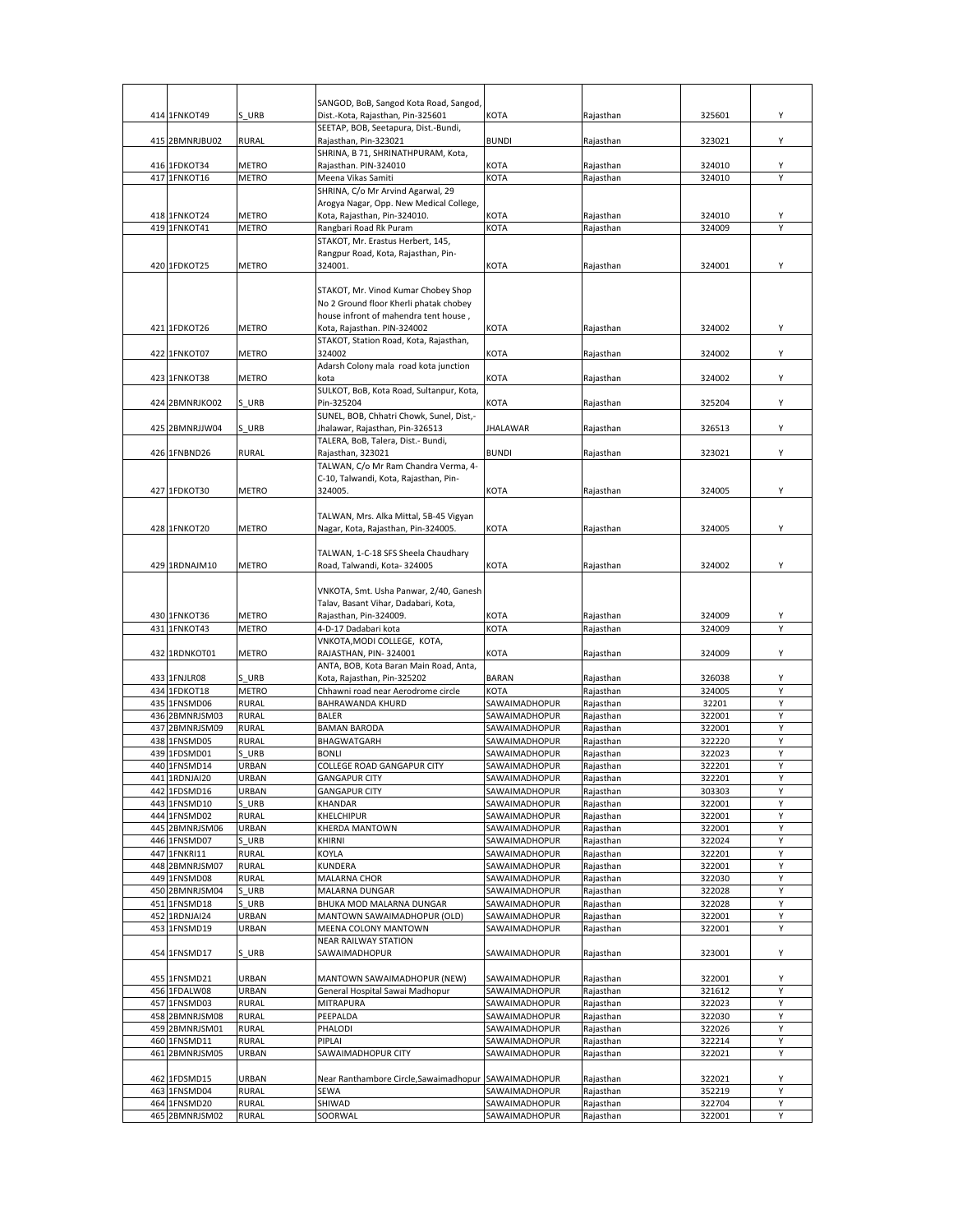|     | 414 1FNKOT49                   | S URB                        | SANGOD, BoB, Sangod Kota Road, Sangod,                                    |                                |                        | 325601           | Υ      |
|-----|--------------------------------|------------------------------|---------------------------------------------------------------------------|--------------------------------|------------------------|------------------|--------|
|     |                                |                              | Dist.-Kota, Rajasthan, Pin-325601<br>SEETAP, BOB, Seetapura, Dist.-Bundi, | KOTA                           | Rajasthan              |                  |        |
|     | 415 2BMNRJBU02                 | RURAL                        | Rajasthan, Pin-323021                                                     | <b>BUNDI</b>                   | Rajasthan              | 323021           | Υ      |
|     |                                |                              | SHRINA, B 71, SHRINATHPURAM, Kota,                                        |                                |                        |                  |        |
|     | 416 1FDKOT34                   | METRO                        | Rajasthan. PIN-324010                                                     | <b>KOTA</b>                    | Rajasthan              | 324010           | Υ      |
|     | 417 1FNKOT16                   | <b>METRO</b>                 | Meena Vikas Samiti                                                        | KOTA                           | Rajasthan              | 324010           | Υ      |
|     |                                |                              | SHRINA, C/o Mr Arvind Agarwal, 29                                         |                                |                        |                  |        |
|     |                                |                              | Arogya Nagar, Opp. New Medical College,                                   |                                |                        |                  |        |
|     | 418 1FNKOT24                   | METRO                        | Kota, Rajasthan, Pin-324010.                                              | KOTA                           | Rajasthan              | 324010           |        |
|     | 419 1FNKOT41                   | METRO                        | Rangbari Road Rk Puram                                                    | KOTA                           | Rajasthan              | 324009           |        |
|     |                                |                              | STAKOT, Mr. Erastus Herbert, 145,                                         |                                |                        |                  |        |
|     |                                |                              | Rangpur Road, Kota, Rajasthan, Pin-                                       |                                |                        |                  |        |
|     | 420 1FDKOT25                   | <b>METRO</b>                 | 324001.                                                                   | KOTA                           | Rajasthan              | 324001           | Υ      |
|     |                                |                              |                                                                           |                                |                        |                  |        |
|     |                                |                              | STAKOT, Mr. Vinod Kumar Chobey Shop                                       |                                |                        |                  |        |
|     |                                |                              | No 2 Ground floor Kherli phatak chobey                                    |                                |                        |                  |        |
|     |                                |                              | house infront of mahendra tent house,                                     |                                |                        |                  |        |
|     | 421 1FDKOT26                   | <b>METRO</b>                 | Kota, Rajasthan. PIN-324002                                               | <b>KOTA</b>                    | Rajasthan              | 324002           | Υ      |
|     |                                |                              | STAKOT, Station Road, Kota, Rajasthan,                                    |                                |                        |                  |        |
|     | 422 1FNKOT07                   | <b>METRO</b>                 | 324002                                                                    | KOTA                           | Rajasthan              | 324002           | Υ      |
|     |                                |                              | Adarsh Colony mala road kota junction                                     |                                |                        |                  |        |
|     | 423 1FNKOT38                   | METRO                        | kota                                                                      | <b>KOTA</b>                    | Rajasthan              | 324002           | Υ      |
|     |                                |                              | SULKOT, BoB, Kota Road, Sultanpur, Kota,                                  |                                |                        |                  |        |
|     | 424 2BMNRJKO02                 | S URB                        | Pin-325204                                                                | KOTA                           | Rajasthan              | 325204           | Y      |
|     |                                |                              | SUNEL, BOB, Chhatri Chowk, Sunel, Dist,-                                  |                                |                        |                  |        |
|     | 425 2BMNRJJW04                 | S URB                        | Jhalawar, Rajasthan, Pin-326513                                           | <b>JHALAWAR</b>                | Rajasthan              | 326513           | Υ      |
|     |                                |                              | TALERA, BoB, Talera, Dist.- Bundi,                                        |                                |                        |                  |        |
|     | 426 1FNBND26                   | <b>RURAL</b>                 | Rajasthan, 323021                                                         | <b>BUNDI</b>                   | Rajasthan              | 323021           | Υ      |
|     |                                |                              | TALWAN, C/o Mr Ram Chandra Verma, 4-                                      |                                |                        |                  |        |
|     |                                |                              | C-10, Talwandi, Kota, Rajasthan, Pin-                                     |                                |                        |                  |        |
|     | 427 1FDKOT30                   | <b>METRO</b>                 | 324005.                                                                   | <b>KOTA</b>                    | Rajasthan              | 324005           | Υ      |
|     |                                |                              |                                                                           |                                |                        |                  |        |
|     |                                |                              | TALWAN, Mrs. Alka Mittal, 5B-45 Vigyan                                    |                                |                        |                  |        |
|     | 428 1FNKOT20                   | <b>METRO</b>                 | Nagar, Kota, Rajasthan, Pin-324005.                                       | <b>KOTA</b>                    | Raiasthan              | 324005           | Υ      |
|     |                                |                              |                                                                           |                                |                        |                  |        |
|     |                                |                              | TALWAN, 1-C-18 SFS Sheela Chaudhary                                       |                                |                        |                  |        |
|     | 429 1RDNAJM10                  | <b>METRO</b>                 | Road, Talwandi, Kota- 324005                                              | KOTA                           | Rajasthan              | 324002           | Υ      |
|     |                                |                              |                                                                           |                                |                        |                  |        |
|     |                                |                              | VNKOTA, Smt. Usha Panwar, 2/40, Ganesh                                    |                                |                        |                  |        |
|     |                                |                              | Talav, Basant Vihar, Dadabari, Kota,                                      |                                |                        |                  |        |
|     | 430 1FNKOT36                   | <b>METRO</b>                 | Rajasthan, Pin-324009.                                                    | KOTA                           | Rajasthan              | 324009           | Υ      |
|     | 431 1FNKOT43                   | <b>METRO</b>                 | 4-D-17 Dadabari kota                                                      | KOTA                           | Rajasthan              | 324009           |        |
|     |                                |                              | VNKOTA, MODI COLLEGE, KOTA,                                               |                                |                        |                  |        |
|     | 432 1RDNKOT01                  | <b>METRO</b>                 | RAJASTHAN, PIN-324001                                                     | KOTA                           | Rajasthan              | 324009           | Υ      |
|     |                                |                              | ANTA, BOB, Kota Baran Main Road, Anta,                                    |                                |                        |                  |        |
|     | 433 1FNJLR08                   | S URB                        | Kota, Rajasthan, Pin-325202                                               | <b>BARAN</b>                   | Rajasthan              | 326038           | Υ      |
|     | 434 1FDKOT18                   | <b>METRO</b>                 | Chhawni road near Aerodrome circle                                        | KOTA                           | Rajasthan              | 324005           | Υ      |
|     | 435 1FNSMD06                   | <b>RURAL</b>                 | BAHRAWANDA KHURD                                                          | SAWAIMADHOPUR                  | Rajasthan              | 32201            | Υ      |
|     | 436 2BMNRJSM03                 | <b>RURAL</b>                 | <b>BALER</b>                                                              | SAWAIMADHOPUR                  | Rajasthan              | 322001           | Υ      |
|     | 437 2BMNRJSM09                 | <b>RURAL</b>                 | <b>BAMAN BARODA</b>                                                       | SAWAIMADHOPUR                  | Rajasthan              | 322001           | Υ      |
|     | 438 1FNSMD05                   | <b>RURAL</b>                 | BHAGWATGARH                                                               | SAWAIMADHOPUR                  | Rajasthan              | 322220           | Υ      |
|     | 439 1FDSMD01                   | S URB                        | <b>BONLI</b>                                                              | SAWAIMADHOPUR                  | Rajasthan              | 322023           | Υ      |
|     | 440 1FNSMD14                   | URBAN                        | COLLEGE ROAD GANGAPUR CITY                                                | SAWAIMADHOPUR                  |                        |                  |        |
|     | 441 1RDNJAI20                  |                              |                                                                           |                                | Rajasthan              | 322201           | Υ      |
|     |                                | URBAN                        | <b>GANGAPUR CITY</b>                                                      | SAWAIMADHOPUR                  | Rajasthan              | 322201           | Υ      |
|     | 442 1FDSMD16                   | URBAN                        | <b>GANGAPUR CITY</b>                                                      | <b>SAWAIMADHOPUR</b>           | Rajasthan              | 303303           | Υ      |
|     | 443 1FNSMD10                   | S URB                        | KHANDAR                                                                   | SAWAIMADHOPUR                  | Rajasthan              | 322001           | Υ      |
|     | 444 1FNSMD02                   | <b>RURAL</b>                 | KHELCHIPUR                                                                | <b>SAWAIMADHOPUR</b>           | Rajasthan              | 322001           | Υ      |
| 445 | 2BMNRJSM06                     | URBAN                        | KHERDA MANTOWN                                                            | SAWAIMADHOPUR                  | Rajasthan              | 322001           | Υ      |
|     | 446 1FNSMD07                   | S URB                        | <b>KHIRNI</b>                                                             | SAWAIMADHOPUR                  | Rajasthan              | 322024           | Υ      |
| 447 | 1FNKRI11                       | <b>RURAL</b>                 | KOYLA                                                                     | SAWAIMADHOPUR                  | Rajasthan              | 322201           | Υ      |
| 448 | 2BMNRJSM07                     | <b>RURAL</b>                 | KUNDERA                                                                   | SAWAIMADHOPUR                  | Rajasthan              | 322001           | Y      |
|     | 449 1FNSMD08                   | <b>RURAL</b>                 | <b>MALARNA CHOR</b>                                                       | SAWAIMADHOPUR                  | Rajasthan              | 322030           | Υ      |
|     | 450 2BMNRJSM04                 | S URB                        | MALARNA DUNGAR                                                            | SAWAIMADHOPUR                  | Rajasthan              | 322028           | Υ      |
| 451 | 1FNSMD18                       | S URB                        | <b>BHUKA MOD MALARNA DUNGAR</b>                                           | SAWAIMADHOPUR                  | Rajasthan              | 322028           | Υ      |
| 452 | 1RDNJAI24                      | URBAN                        | MANTOWN SAWAIMADHOPUR (OLD)                                               | SAWAIMADHOPUR                  | Rajasthan              | 322001           | Υ      |
|     | 453 1FNSMD19                   | URBAN                        | MEENA COLONY MANTOWN                                                      | SAWAIMADHOPUR                  | Rajasthan              | 322001           | Υ      |
|     |                                |                              | <b>NEAR RAILWAY STATION</b>                                               |                                |                        |                  |        |
|     | 454 1FNSMD17                   | S URB                        | SAWAIMADHOPUR                                                             | SAWAIMADHOPUR                  | Rajasthan              | 323001           | Υ      |
|     |                                |                              |                                                                           |                                |                        |                  |        |
|     | 455 1FNSMD21                   | URBAN                        | MANTOWN SAWAIMADHOPUR (NEW)                                               | SAWAIMADHOPUR                  | Rajasthan              | 322001           | Υ      |
|     | 456 1FDALW08                   | URBAN                        | General Hospital Sawai Madhopur                                           | SAWAIMADHOPUR                  | Rajasthan              | 321612           | Υ      |
|     | 457 1FNSMD03                   | <b>RURAL</b>                 | <b>MITRAPURA</b>                                                          | SAWAIMADHOPUR                  | Rajasthan              | 322023           | Υ      |
|     | 458 2BMNRJSM08                 | <b>RURAL</b>                 | PEEPALDA                                                                  | SAWAIMADHOPUR                  | Rajasthan              | 322030           | Υ      |
|     | 459 2BMNRJSM01                 | <b>RURAL</b>                 | PHALODI                                                                   | SAWAIMADHOPUR                  | Rajasthan              | 322026           | Υ      |
|     | 460 1FNSMD11                   | <b>RURAL</b>                 | PIPLAI                                                                    | SAWAIMADHOPUR                  | Rajasthan              | 322214           | Υ      |
|     | 461 2BMNRJSM05                 | URBAN                        | SAWAIMADHOPUR CITY                                                        | SAWAIMADHOPUR                  | Rajasthan              | 322021           | Υ      |
|     |                                |                              |                                                                           |                                |                        |                  |        |
|     | 462 1FDSMD15                   | URBAN                        | Near Ranthambore Circle, Sawaimadhopur                                    | SAWAIMADHOPUR                  | Rajasthan              | 322021           | Υ      |
|     | 463 1FNSMD04                   | <b>RURAL</b>                 | SEWA                                                                      | SAWAIMADHOPUR                  | Rajasthan              | 352219           | Υ      |
|     | 464 1FNSMD20<br>465 2BMNRJSM02 | <b>RURAL</b><br><b>RURAL</b> | SHIWAD<br>SOORWAL                                                         | SAWAIMADHOPUR<br>SAWAIMADHOPUR | Rajasthan<br>Rajasthan | 322704<br>322001 | Υ<br>Υ |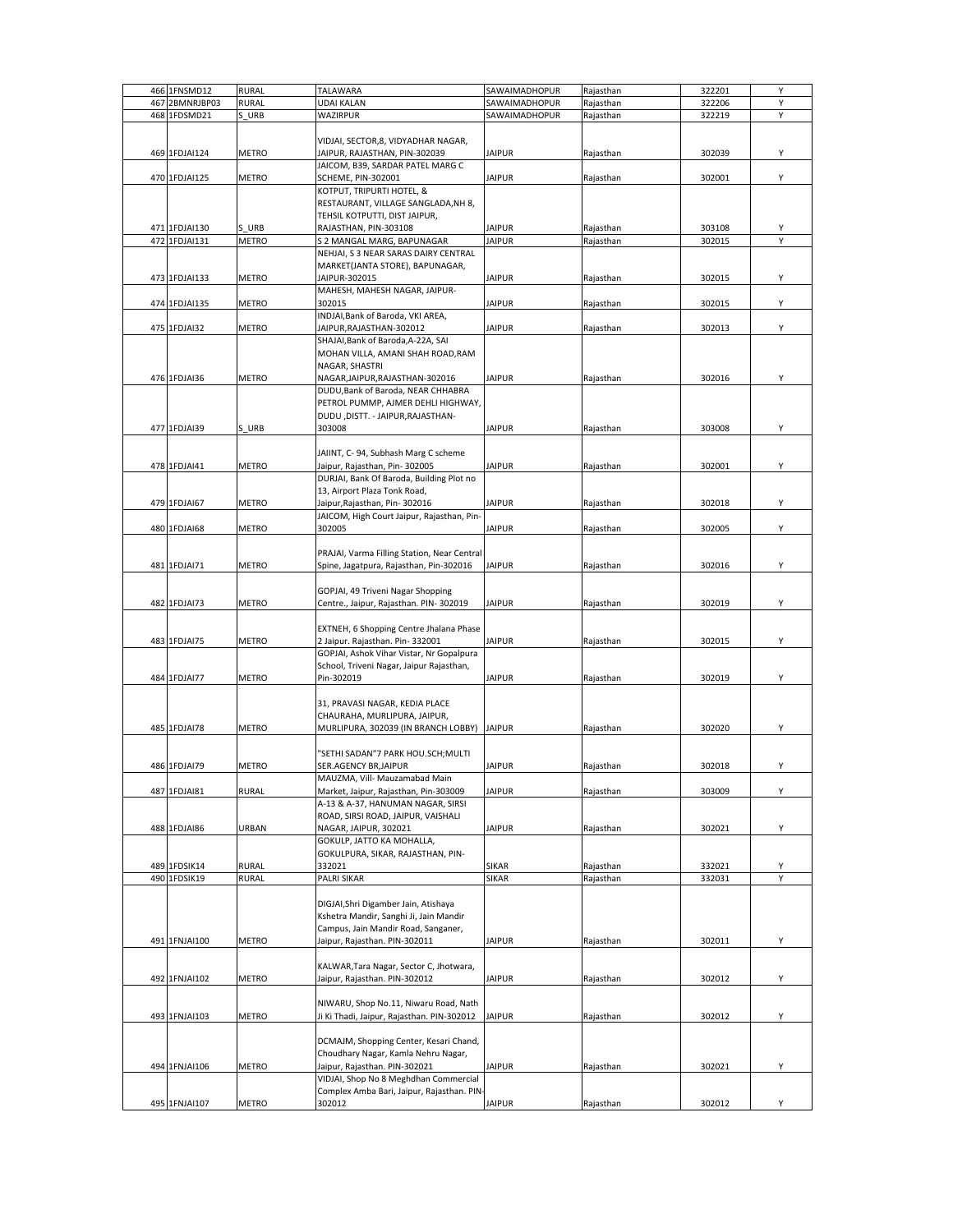|     | 466 1FNSMD12  | <b>RURAL</b> | TALAWARA                                    | SAWAIMADHOPUR | Rajasthan | 322201 | Υ |
|-----|---------------|--------------|---------------------------------------------|---------------|-----------|--------|---|
| 467 | 2BMNRJBP03    | RURAL        | UDAI KALAN                                  | SAWAIMADHOPUR | Rajasthan | 322206 | Υ |
|     | 468 1FDSMD21  | S URB        | WAZIRPUR                                    | SAWAIMADHOPUR | Rajasthan | 322219 | Y |
|     |               |              |                                             |               |           |        |   |
|     |               |              |                                             |               |           |        |   |
|     |               |              | VIDJAI, SECTOR, 8, VIDYADHAR NAGAR,         |               |           |        |   |
|     | 469 1FDJAI124 | METRO        | JAIPUR, RAJASTHAN, PIN-302039               | <b>JAIPUR</b> | Rajasthan | 302039 | Υ |
|     |               |              | JAICOM, B39, SARDAR PATEL MARG C            |               |           |        |   |
|     | 470 1FDJAI125 | METRO        | <b>SCHEME, PIN-302001</b>                   | <b>JAIPUR</b> | Rajasthan | 302001 | Υ |
|     |               |              | KOTPUT, TRIPURTI HOTEL, &                   |               |           |        |   |
|     |               |              |                                             |               |           |        |   |
|     |               |              | RESTAURANT, VILLAGE SANGLADA, NH 8,         |               |           |        |   |
|     |               |              | TEHSIL KOTPUTTI, DIST JAIPUR,               |               |           |        |   |
|     | 471 1FDJAI130 | S URB        | RAJASTHAN, PIN-303108                       | <b>JAIPUR</b> | Rajasthan | 303108 |   |
|     | 472 1FDJAI131 | <b>METRO</b> | S 2 MANGAL MARG, BAPUNAGAR                  | <b>JAIPUR</b> | Rajasthan | 302015 | Υ |
|     |               |              | NEHJAI, S 3 NEAR SARAS DAIRY CENTRAL        |               |           |        |   |
|     |               |              | MARKET(JANTA STORE), BAPUNAGAR,             |               |           |        |   |
|     | 473 1FDJAI133 | METRO        | JAIPUR-302015                               | JAIPUR        | Rajasthan | 302015 | Y |
|     |               |              |                                             |               |           |        |   |
|     |               |              | MAHESH, MAHESH NAGAR, JAIPUR-               |               |           |        |   |
|     | 474 1FDJAI135 | METRO        | 302015                                      | <b>JAIPUR</b> | Rajasthan | 302015 | Υ |
|     |               |              | INDJAI, Bank of Baroda, VKI AREA,           |               |           |        |   |
|     | 475 1FDJAI32  | METRO        | JAIPUR, RAJASTHAN-302012                    | <b>JAIPUR</b> | Rajasthan | 302013 | Υ |
|     |               |              | SHAJAI, Bank of Baroda, A-22A, SAI          |               |           |        |   |
|     |               |              | MOHAN VILLA, AMANI SHAH ROAD, RAM           |               |           |        |   |
|     |               |              |                                             |               |           |        |   |
|     |               |              | NAGAR, SHASTRI                              |               |           |        |   |
|     | 476 1FDJAI36  | METRO        | NAGAR, JAIPUR, RAJASTHAN-302016             | <b>JAIPUR</b> | Rajasthan | 302016 | Y |
|     |               |              | DUDU, Bank of Baroda, NEAR CHHABRA          |               |           |        |   |
|     |               |              | PETROL PUMMP, AJMER DEHLI HIGHWAY,          |               |           |        |   |
|     |               |              | DUDU , DISTT. - JAIPUR, RAJASTHAN-          |               |           |        |   |
|     | 477 1FDJAI39  | S URB        | 303008                                      | <b>JAIPUR</b> | Rajasthan | 303008 | Υ |
|     |               |              |                                             |               |           |        |   |
|     |               |              |                                             |               |           |        |   |
|     |               |              | JAIINT, C-94, Subhash Marg C scheme         |               |           |        |   |
|     | 478 1FDJAI41  | METRO        | Jaipur, Rajasthan, Pin-302005               | <b>JAIPUR</b> | Rajasthan | 302001 | Υ |
|     |               |              | DURJAI, Bank Of Baroda, Building Plot no    |               |           |        |   |
|     |               |              | 13, Airport Plaza Tonk Road,                |               |           |        |   |
|     | 479 1FDJAI67  | METRO        | Jaipur, Rajasthan, Pin-302016               | <b>JAIPUR</b> | Rajasthan | 302018 | Υ |
|     |               |              |                                             |               |           |        |   |
|     |               |              | JAICOM, High Court Jaipur, Rajasthan, Pin-  |               |           |        |   |
|     | 480 1FDJAI68  | METRO        | 302005                                      | <b>JAIPUR</b> | Rajasthan | 302005 | Υ |
|     |               |              |                                             |               |           |        |   |
|     |               |              | PRAJAI, Varma Filling Station, Near Central |               |           |        |   |
|     | 481 1FDJAI71  | METRO        | Spine, Jagatpura, Rajasthan, Pin-302016     | <b>JAIPUR</b> | Rajasthan | 302016 | Υ |
|     |               |              |                                             |               |           |        |   |
|     |               |              |                                             |               |           |        |   |
|     |               |              | GOPJAI, 49 Triveni Nagar Shopping           |               |           |        |   |
|     | 482 1FDJAI73  | METRO        | Centre., Jaipur, Rajasthan. PIN-302019      | <b>JAIPUR</b> | Rajasthan | 302019 | Υ |
|     |               |              |                                             |               |           |        |   |
|     |               |              | EXTNEH, 6 Shopping Centre Jhalana Phase     |               |           |        |   |
|     | 483 1FDJAI75  | METRO        | 2 Jaipur. Rajasthan. Pin-332001             | <b>JAIPUR</b> | Rajasthan | 302015 | Υ |
|     |               |              | GOPJAI, Ashok Vihar Vistar, Nr Gopalpura    |               |           |        |   |
|     |               |              |                                             |               |           |        |   |
|     |               |              | School, Triveni Nagar, Jaipur Rajasthan,    |               |           |        |   |
|     | 484 1FDJAI77  | METRO        | Pin-302019                                  | <b>JAIPUR</b> | Rajasthan | 302019 | Υ |
|     |               |              |                                             |               |           |        |   |
|     |               |              | 31, PRAVASI NAGAR, KEDIA PLACE              |               |           |        |   |
|     |               |              | CHAURAHA, MURLIPURA, JAIPUR,                |               |           |        |   |
|     | 485 1FDJAI78  | METRO        | MURLIPURA, 302039 (IN BRANCH LOBBY) JAIPUR  |               | Rajasthan | 302020 | Υ |
|     |               |              |                                             |               |           |        |   |
|     |               |              |                                             |               |           |        |   |
|     |               |              | "SETHI SADAN"7 PARK HOU.SCH;MULTI           |               |           |        |   |
|     | 486 1FDJAI79  | METRO        | SER.AGENCY BR,JAIPUR                        | <b>JAIPUR</b> | Rajasthan | 302018 | Υ |
|     |               |              | MAUZMA, Vill- Mauzamabad Main               |               |           |        |   |
|     | 487 1FDJAI81  | <b>RURAL</b> | Market, Jaipur, Rajasthan, Pin-303009       | <b>JAIPUR</b> | Rajasthan | 303009 | Υ |
|     |               |              | A-13 & A-37, HANUMAN NAGAR, SIRSI           |               |           |        |   |
|     |               |              | ROAD, SIRSI ROAD, JAIPUR, VAISHALI          |               |           |        |   |
|     | 488 1FDJAI86  | URBAN        | NAGAR, JAIPUR, 302021                       | <b>JAIPUR</b> |           | 302021 | Υ |
|     |               |              |                                             |               | Rajasthan |        |   |
|     |               |              | GOKULP, JATTO KA MOHALLA,                   |               |           |        |   |
|     |               |              | GOKULPURA, SIKAR, RAJASTHAN, PIN-           |               |           |        |   |
|     | 489 1FDSIK14  | RURAL        | 332021                                      | SIKAR         | Rajasthan | 332021 | Υ |
|     | 490 1FDSIK19  | <b>RURAL</b> | PALRI SIKAR                                 | SIKAR         | Rajasthan | 332031 | Υ |
|     |               |              |                                             |               |           |        |   |
|     |               |              | DIGJAI, Shri Digamber Jain, Atishaya        |               |           |        |   |
|     |               |              | Kshetra Mandir, Sanghi Ji, Jain Mandir      |               |           |        |   |
|     |               |              |                                             |               |           |        |   |
|     |               |              | Campus, Jain Mandir Road, Sanganer,         |               |           |        |   |
|     | 491 1FNJAI100 | <b>METRO</b> | Jaipur, Rajasthan. PIN-302011               | JAIPUR        | Rajasthan | 302011 | Υ |
|     |               |              |                                             |               |           |        |   |
|     |               |              | KALWAR, Tara Nagar, Sector C, Jhotwara,     |               |           |        |   |
|     | 492 1FNJAI102 | <b>METRO</b> | Jaipur, Rajasthan. PIN-302012               | <b>JAIPUR</b> | Rajasthan | 302012 | Υ |
|     |               |              |                                             |               |           |        |   |
|     |               |              |                                             |               |           |        |   |
|     |               |              | NIWARU, Shop No.11, Niwaru Road, Nath       |               |           |        |   |
|     | 493 1FNJAI103 | METRO        | Ji Ki Thadi, Jaipur, Rajasthan. PIN-302012  | <b>JAIPUR</b> | Rajasthan | 302012 | Υ |
|     |               |              |                                             |               |           |        |   |
|     |               |              | DCMAJM, Shopping Center, Kesari Chand,      |               |           |        |   |
|     |               |              | Choudhary Nagar, Kamla Nehru Nagar,         |               |           |        |   |
|     | 494 1FNJAI106 | METRO        | Jaipur, Rajasthan. PIN-302021               | <b>JAIPUR</b> | Rajasthan | 302021 | Υ |
|     |               |              | VIDJAI, Shop No 8 Meghdhan Commercial       |               |           |        |   |
|     |               |              |                                             |               |           |        |   |
|     |               |              | Complex Amba Bari, Jaipur, Rajasthan. PIN-  |               |           |        |   |
|     | 495 1FNJAI107 | <b>METRO</b> | 302012                                      | <b>JAIPUR</b> | Rajasthan | 302012 | Υ |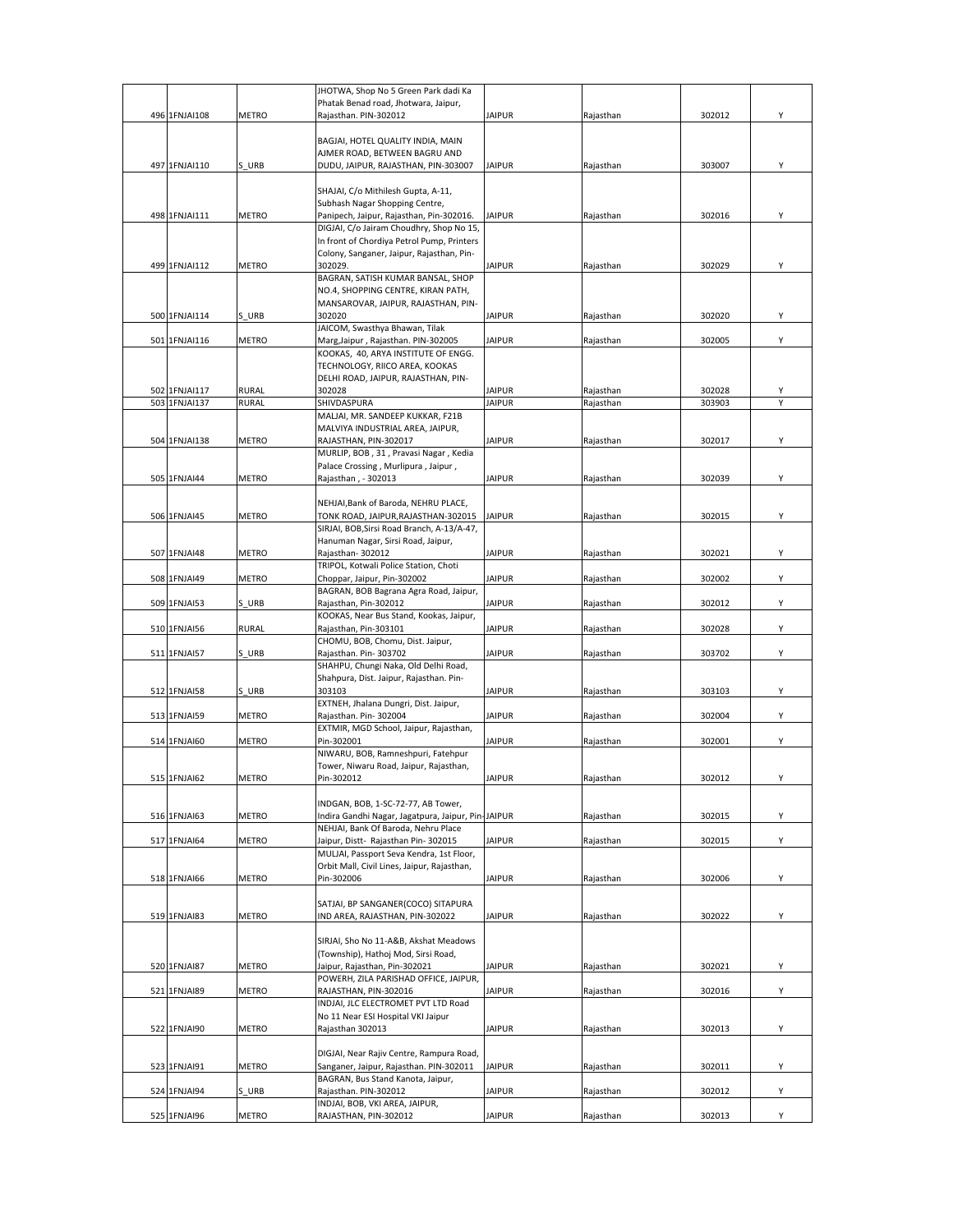|               |              | JHOTWA, Shop No 5 Green Park dadi Ka               |               |           |        |   |
|---------------|--------------|----------------------------------------------------|---------------|-----------|--------|---|
|               |              | Phatak Benad road, Jhotwara, Jaipur,               |               |           |        |   |
| 496 1FNJAI108 | <b>METRO</b> | Rajasthan. PIN-302012                              | <b>JAIPUR</b> | Rajasthan | 302012 | Υ |
|               |              |                                                    |               |           |        |   |
|               |              | BAGJAI, HOTEL QUALITY INDIA, MAIN                  |               |           |        |   |
|               |              | AJMER ROAD, BETWEEN BAGRU AND                      |               |           |        |   |
| 497 1FNJAI110 | S URB        | DUDU, JAIPUR, RAJASTHAN, PIN-303007                | <b>JAIPUR</b> | Rajasthan | 303007 | Y |
|               |              |                                                    |               |           |        |   |
|               |              | SHAJAI, C/o Mithilesh Gupta, A-11,                 |               |           |        |   |
|               |              | Subhash Nagar Shopping Centre,                     |               |           |        |   |
|               |              |                                                    |               |           |        | Υ |
| 498 1FNJAI111 | <b>METRO</b> | Panipech, Jaipur, Rajasthan, Pin-302016.           | <b>JAIPUR</b> | Rajasthan | 302016 |   |
|               |              | DIGJAI, C/o Jairam Choudhry, Shop No 15,           |               |           |        |   |
|               |              | In front of Chordiya Petrol Pump, Printers         |               |           |        |   |
|               |              | Colony, Sanganer, Jaipur, Rajasthan, Pin-          |               |           |        |   |
| 499 1FNJAI112 | <b>METRO</b> | 302029.                                            | <b>JAIPUR</b> | Rajasthan | 302029 | Υ |
|               |              | BAGRAN, SATISH KUMAR BANSAL, SHOP                  |               |           |        |   |
|               |              | NO.4, SHOPPING CENTRE, KIRAN PATH,                 |               |           |        |   |
|               |              | MANSAROVAR, JAIPUR, RAJASTHAN, PIN-                |               |           |        |   |
| 500 1FNJAI114 | S URB        | 302020                                             | <b>JAIPUR</b> | Rajasthan | 302020 | Υ |
|               |              | JAICOM, Swasthya Bhawan, Tilak                     |               |           |        |   |
| 501 1FNJAI116 | <b>METRO</b> | Marg, Jaipur, Rajasthan. PIN-302005                | <b>JAIPUR</b> | Rajasthan | 302005 | Υ |
|               |              | KOOKAS, 40, ARYA INSTITUTE OF ENGG.                |               |           |        |   |
|               |              |                                                    |               |           |        |   |
|               |              | TECHNOLOGY, RIICO AREA, KOOKAS                     |               |           |        |   |
|               |              | DELHI ROAD, JAIPUR, RAJASTHAN, PIN-                |               |           |        |   |
| 502 1FNJAI117 | <b>RURAL</b> | 302028                                             | <b>JAIPUR</b> | Rajasthan | 302028 |   |
| 503 1FNJAI137 | <b>RURAL</b> | SHIVDASPURA                                        | <b>JAIPUR</b> | Rajasthan | 303903 |   |
|               |              | MALJAI, MR. SANDEEP KUKKAR, F21B                   |               |           |        |   |
|               |              | MALVIYA INDUSTRIAL AREA, JAIPUR,                   |               |           |        |   |
| 504 1FNJAI138 | <b>METRO</b> | RAJASTHAN, PIN-302017                              | <b>JAIPUR</b> | Rajasthan | 302017 | Y |
|               |              | MURLIP, BOB, 31, Pravasi Nagar, Kedia              |               |           |        |   |
|               |              | Palace Crossing, Murlipura, Jaipur,                |               |           |        |   |
| 505 1FNJAI44  | METRO        |                                                    | <b>JAIPUR</b> |           | 302039 | Y |
|               |              | Rajasthan, - 302013                                |               | Rajasthan |        |   |
|               |              |                                                    |               |           |        |   |
|               |              | NEHJAI, Bank of Baroda, NEHRU PLACE,               |               |           |        |   |
| 506 1FNJAI45  | METRO        | TONK ROAD, JAIPUR, RAJASTHAN-302015                | <b>JAIPUR</b> | Rajasthan | 302015 | Υ |
|               |              | SIRJAI, BOB, Sirsi Road Branch, A-13/A-47,         |               |           |        |   |
|               |              | Hanuman Nagar, Sirsi Road, Jaipur,                 |               |           |        |   |
| 507 1FNJAI48  | METRO        | Rajasthan-302012                                   | <b>JAIPUR</b> | Rajasthan | 302021 | Υ |
|               |              | TRIPOL, Kotwali Police Station, Choti              |               |           |        |   |
| 508 1FNJAI49  | <b>METRO</b> | Choppar, Jaipur, Pin-302002                        | <b>JAIPUR</b> | Rajasthan | 302002 | Υ |
|               |              | BAGRAN, BOB Bagrana Agra Road, Jaipur,             |               |           |        |   |
| 509 1FNJAI53  | S URB        | Rajasthan, Pin-302012                              | <b>JAIPUR</b> | Rajasthan | 302012 | Υ |
|               |              | KOOKAS, Near Bus Stand, Kookas, Jaipur,            |               |           |        |   |
|               |              |                                                    |               |           |        |   |
| 510 1FNJAI56  | <b>RURAL</b> | Rajasthan, Pin-303101                              | <b>JAIPUR</b> | Rajasthan | 302028 | Υ |
|               |              | CHOMU, BOB, Chomu, Dist. Jaipur,                   |               |           |        |   |
| 511 1FNJAI57  | S URB        | Rajasthan. Pin-303702                              | <b>JAIPUR</b> | Rajasthan | 303702 | Υ |
|               |              | SHAHPU, Chungi Naka, Old Delhi Road,               |               |           |        |   |
|               |              | Shahpura, Dist. Jaipur, Rajasthan. Pin-            |               |           |        |   |
| 512 1FNJAI58  | S URB        | 303103                                             | <b>JAIPUR</b> | Rajasthan | 303103 | Υ |
|               |              | EXTNEH, Jhalana Dungri, Dist. Jaipur,              |               |           |        |   |
| 513 1FNJAI59  | <b>METRO</b> | Rajasthan. Pin-302004                              | <b>JAIPUR</b> | Rajasthan | 302004 | Υ |
|               |              | EXTMIR, MGD School, Jaipur, Rajasthan,             |               |           |        |   |
| 514 1FNJAI60  | METRO        | Pin-302001                                         | <b>JAIPUR</b> | Rajasthan | 302001 | Υ |
|               |              | NIWARU, BOB, Ramneshpuri, Fatehpur                 |               |           |        |   |
|               |              |                                                    |               |           |        |   |
| 515 1FNJAI62  |              | Tower, Niwaru Road, Jaipur, Rajasthan,             |               |           |        |   |
|               | <b>METRO</b> | Pin-302012                                         | <b>JAIPUR</b> | Raiasthan | 302012 | Υ |
|               |              |                                                    |               |           |        |   |
|               |              | INDGAN, BOB, 1-SC-72-77, AB Tower,                 |               |           |        |   |
| 516 1FNJAI63  | <b>METRO</b> | Indira Gandhi Nagar, Jagatpura, Jaipur, Pin-JAIPUR |               | Rajasthan | 302015 | Υ |
|               |              | NEHJAI, Bank Of Baroda, Nehru Place                |               |           |        |   |
| 517 1FNJAI64  | <b>METRO</b> | Jaipur, Distt- Rajasthan Pin- 302015               | <b>JAIPUR</b> | Rajasthan | 302015 | Υ |
|               |              | MULJAI, Passport Seva Kendra, 1st Floor,           |               |           |        |   |
|               |              | Orbit Mall, Civil Lines, Jaipur, Rajasthan,        |               |           |        |   |
| 518 1FNJAI66  | <b>METRO</b> | Pin-302006                                         | <b>JAIPUR</b> | Rajasthan | 302006 | Y |
|               |              |                                                    |               |           |        |   |
|               |              |                                                    |               |           |        |   |
|               |              | SATJAI, BP SANGANER(COCO) SITAPURA                 |               |           |        |   |
| 519 1FNJAI83  | <b>METRO</b> | IND AREA, RAJASTHAN, PIN-302022                    | <b>JAIPUR</b> | Rajasthan | 302022 | Y |
|               |              |                                                    |               |           |        |   |
|               |              | SIRJAI, Sho No 11-A&B, Akshat Meadows              |               |           |        |   |
|               |              | (Township), Hathoj Mod, Sirsi Road,                |               |           |        |   |
| 520 1FNJAI87  | <b>METRO</b> | Jaipur, Rajasthan, Pin-302021                      | <b>JAIPUR</b> | Rajasthan | 302021 | Υ |
|               |              | POWERH, ZILA PARISHAD OFFICE, JAIPUR,              |               |           |        |   |
| 521 1FNJAI89  | <b>METRO</b> | RAJASTHAN, PIN-302016                              | <b>JAIPUR</b> | Rajasthan | 302016 | Υ |
|               |              | INDJAI, JLC ELECTROMET PVT LTD Road                |               |           |        |   |
|               |              | No 11 Near ESI Hospital VKI Jaipur                 |               |           |        |   |
| 522 1FNJAI90  | METRO        | Rajasthan 302013                                   | <b>JAIPUR</b> | Rajasthan | 302013 | Υ |
|               |              |                                                    |               |           |        |   |
|               |              |                                                    |               |           |        |   |
|               |              | DIGJAI, Near Rajiv Centre, Rampura Road,           |               |           |        |   |
| 523 1FNJAI91  | <b>METRO</b> | Sanganer, Jaipur, Rajasthan. PIN-302011            | <b>JAIPUR</b> | Rajasthan | 302011 | Y |
|               |              | BAGRAN, Bus Stand Kanota, Jaipur,                  |               |           |        |   |
| 524 1FNJAI94  | S URB        | Rajasthan. PIN-302012                              | <b>JAIPUR</b> | Rajasthan | 302012 | Υ |
|               |              | INDJAI, BOB, VKI AREA, JAIPUR,                     |               |           |        |   |
| 525 1FNJAI96  | <b>METRO</b> | RAJASTHAN, PIN-302012                              | <b>JAIPUR</b> | Rajasthan | 302013 | Υ |
|               |              |                                                    |               |           |        |   |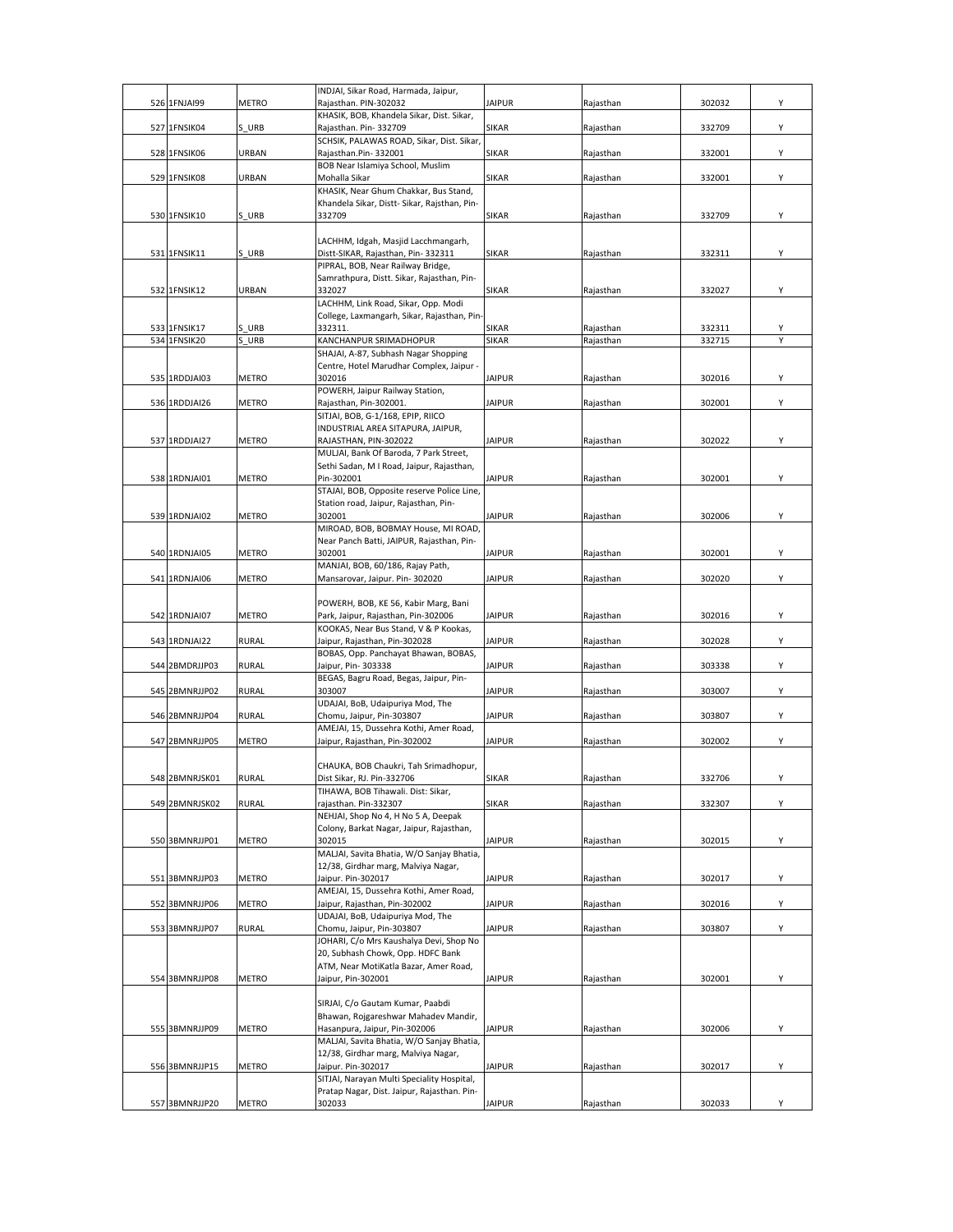| 526 1FNJAI99                 | <b>METRO</b> | INDJAI, Sikar Road, Harmada, Jaipur,<br>Rajasthan. PIN-302032                         | <b>JAIPUR</b>         | Rajasthan              | 302032           | Υ |
|------------------------------|--------------|---------------------------------------------------------------------------------------|-----------------------|------------------------|------------------|---|
|                              |              | KHASIK, BOB, Khandela Sikar, Dist. Sikar,                                             |                       |                        |                  |   |
| 527 1FNSIK04                 | S URB        | Rajasthan. Pin-332709                                                                 | <b>SIKAR</b>          | Rajasthan              | 332709           | Υ |
| 528 1FNSIK06                 | URBAN        | SCHSIK, PALAWAS ROAD, Sikar, Dist. Sikar,<br>Rajasthan.Pin-332001                     | SIKAR                 | Rajasthan              | 332001           | Υ |
|                              |              | BOB Near Islamiya School, Muslim                                                      |                       |                        |                  |   |
| 529 1FNSIK08                 | <b>URBAN</b> | Mohalla Sikar                                                                         | SIKAR                 | Rajasthan              | 332001           | Υ |
|                              |              | KHASIK, Near Ghum Chakkar, Bus Stand,<br>Khandela Sikar, Distt- Sikar, Rajsthan, Pin- |                       |                        |                  |   |
| 530 1FNSIK10                 | S URB        | 332709                                                                                | <b>SIKAR</b>          | Rajasthan              | 332709           | Υ |
|                              |              |                                                                                       |                       |                        |                  |   |
| 531 1FNSIK11                 | S URB        | LACHHM, Idgah, Masjid Lacchmangarh,<br>Distt-SIKAR, Rajasthan, Pin- 332311            | <b>SIKAR</b>          | Rajasthan              | 332311           | Y |
|                              |              | PIPRAL, BOB, Near Railway Bridge,                                                     |                       |                        |                  |   |
| 532 1FNSIK12                 | URBAN        | Samrathpura, Distt. Sikar, Rajasthan, Pin-<br>332027                                  | <b>SIKAR</b>          |                        | 332027           | Υ |
|                              |              | LACHHM, Link Road, Sikar, Opp. Modi                                                   |                       | Rajasthan              |                  |   |
|                              |              | College, Laxmangarh, Sikar, Rajasthan, Pin-                                           |                       |                        |                  |   |
| 533 1FNSIK17<br>534 1FNSIK20 | S URB<br>URB | 332311.<br>KANCHANPUR SRIMADHOPUR                                                     | <b>SIKAR</b><br>SIKAR | Rajasthan<br>Rajasthan | 332311<br>332715 | Y |
|                              |              | SHAJAI, A-87, Subhash Nagar Shopping                                                  |                       |                        |                  |   |
|                              |              | Centre, Hotel Marudhar Complex, Jaipur -                                              |                       |                        |                  |   |
| 535 1RDDJAI03                | METRO        | 302016<br>POWERH, Jaipur Railway Station,                                             | <b>JAIPUR</b>         | Rajasthan              | 302016           | Υ |
| 536 1RDDJAI26                | <b>METRO</b> | Rajasthan, Pin-302001.                                                                | <b>JAIPUR</b>         | Rajasthan              | 302001           | Υ |
|                              |              | SITJAI, BOB, G-1/168, EPIP, RIICO                                                     |                       |                        |                  |   |
| 537 1RDDJAI27                | <b>METRO</b> | INDUSTRIAL AREA SITAPURA, JAIPUR,<br>RAJASTHAN, PIN-302022                            | <b>JAIPUR</b>         | Rajasthan              | 302022           | Υ |
|                              |              | MULJAI, Bank Of Baroda, 7 Park Street,                                                |                       |                        |                  |   |
| 538 1RDNJAI01                | <b>METRO</b> | Sethi Sadan, M I Road, Jaipur, Rajasthan,<br>Pin-302001                               | <b>JAIPUR</b>         |                        | 302001           | Y |
|                              |              | STAJAI, BOB, Opposite reserve Police Line,                                            |                       | Rajasthan              |                  |   |
|                              |              | Station road, Jaipur, Rajasthan, Pin-                                                 |                       |                        |                  |   |
| 539 1RDNJAI02                | <b>METRO</b> | 302001<br>MIROAD, BOB, BOBMAY House, MI ROAD,                                         | <b>JAIPUR</b>         | Rajasthan              | 302006           | Υ |
|                              |              | Near Panch Batti, JAIPUR, Rajasthan, Pin-                                             |                       |                        |                  |   |
| 540 1RDNJAI05                | <b>METRO</b> | 302001                                                                                | <b>JAIPUR</b>         | Rajasthan              | 302001           | Υ |
| 541 1RDNJAI06                | METRO        | MANJAI, BOB, 60/186, Rajay Path,<br>Mansarovar, Jaipur. Pin-302020                    | <b>JAIPUR</b>         | Rajasthan              | 302020           | Υ |
|                              |              |                                                                                       |                       |                        |                  |   |
|                              |              | POWERH, BOB, KE 56, Kabir Marg, Bani                                                  |                       |                        |                  |   |
| 542 1RDNJAI07                | METRO        | Park, Jaipur, Rajasthan, Pin-302006<br>KOOKAS, Near Bus Stand, V & P Kookas,          | <b>JAIPUR</b>         | Rajasthan              | 302016           | Υ |
| 543 1RDNJAI22                | <b>RURAL</b> | Jaipur, Rajasthan, Pin-302028                                                         | <b>JAIPUR</b>         | Rajasthan              | 302028           | Υ |
| 544 2BMDRJJP03               | <b>RURAL</b> | BOBAS, Opp. Panchayat Bhawan, BOBAS,<br>Jaipur, Pin- 303338                           | <b>JAIPUR</b>         | Rajasthan              | 303338           | Υ |
|                              |              | BEGAS, Bagru Road, Begas, Jaipur, Pin-                                                |                       |                        |                  |   |
| 545 2BMNRJJP02               | <b>RURAL</b> | 303007                                                                                | <b>JAIPUR</b>         | Rajasthan              | 303007           | Υ |
| 546 2BMNRJJP04               | <b>RURAL</b> | UDAJAI, BoB, Udaipuriya Mod, The<br>Chomu, Jaipur, Pin-303807                         | <b>JAIPUR</b>         | Rajasthan              | 303807           | Υ |
|                              |              | AMEJAI, 15, Dussehra Kothi, Amer Road,                                                |                       |                        |                  |   |
| 547 2BMNRJJP05               | <b>METRO</b> | Jaipur, Rajasthan, Pin-302002                                                         | <b>JAIPUR</b>         | Rajasthan              | 302002           | Υ |
|                              |              | CHAUKA, BOB Chaukri, Tah Srimadhopur,                                                 |                       |                        |                  |   |
| <b>548 2BMNRISK01</b>        | <b>RURAL</b> | Dist Sikar, RJ. Pin-332706                                                            | SIKAR                 | Rajasthan              | 332706           |   |
| 549 2BMNRJSK02               | <b>RURAL</b> | TIHAWA, BOB Tihawali. Dist: Sikar,<br>rajasthan. Pin-332307                           | SIKAR                 | Rajasthan              | 332307           | Υ |
|                              |              | NEHJAI, Shop No 4, H No 5 A, Deepak                                                   |                       |                        |                  |   |
| 550 3BMNRJJP01               | <b>METRO</b> | Colony, Barkat Nagar, Jaipur, Rajasthan,<br>302015                                    | <b>JAIPUR</b>         | Rajasthan              | 302015           | Y |
|                              |              | MALJAI, Savita Bhatia, W/O Sanjay Bhatia,                                             |                       |                        |                  |   |
|                              |              | 12/38, Girdhar marg, Malviya Nagar,                                                   |                       |                        |                  |   |
| 551 3BMNRJJP03               | METRO        | Jaipur. Pin-302017<br>AMEJAI, 15, Dussehra Kothi, Amer Road,                          | <b>JAIPUR</b>         | Rajasthan              | 302017           | Y |
| 552 3BMNRJJP06               | <b>METRO</b> | Jaipur, Rajasthan, Pin-302002                                                         | <b>JAIPUR</b>         | Rajasthan              | 302016           | Υ |
|                              |              | UDAJAI, BoB, Udaipuriya Mod, The                                                      |                       |                        |                  |   |
| 553 3BMNRJJP07               | <b>RURAL</b> | Chomu, Jaipur, Pin-303807<br>JOHARI, C/o Mrs Kaushalya Devi, Shop No                  | <b>JAIPUR</b>         | Rajasthan              | 303807           | Υ |
|                              |              | 20, Subhash Chowk, Opp. HDFC Bank                                                     |                       |                        |                  |   |
| 554 3BMNRJJP08               | <b>METRO</b> | ATM, Near MotiKatla Bazar, Amer Road,                                                 | <b>JAIPUR</b>         |                        | 302001           | Υ |
|                              |              | Jaipur, Pin-302001                                                                    |                       | Rajasthan              |                  |   |
|                              |              | SIRJAI, C/o Gautam Kumar, Paabdi                                                      |                       |                        |                  |   |
| 555 3BMNRJJP09               | <b>METRO</b> | Bhawan, Rojgareshwar Mahadev Mandir,<br>Hasanpura, Jaipur, Pin-302006                 | <b>JAIPUR</b>         | Rajasthan              | 302006           | Υ |
|                              |              | MALJAI, Savita Bhatia, W/O Sanjay Bhatia,                                             |                       |                        |                  |   |
|                              |              | 12/38, Girdhar marg, Malviya Nagar,                                                   |                       |                        |                  |   |
| 556 3BMNRJJP15               | <b>METRO</b> | Jaipur. Pin-302017<br>SITJAI, Narayan Multi Speciality Hospital,                      | <b>JAIPUR</b>         | Rajasthan              | 302017           | Υ |
|                              |              | Pratap Nagar, Dist. Jaipur, Rajasthan. Pin-                                           |                       |                        |                  |   |
| 557 3BMNRJJP20               | <b>METRO</b> | 302033                                                                                | <b>JAIPUR</b>         | Rajasthan              | 302033           | Υ |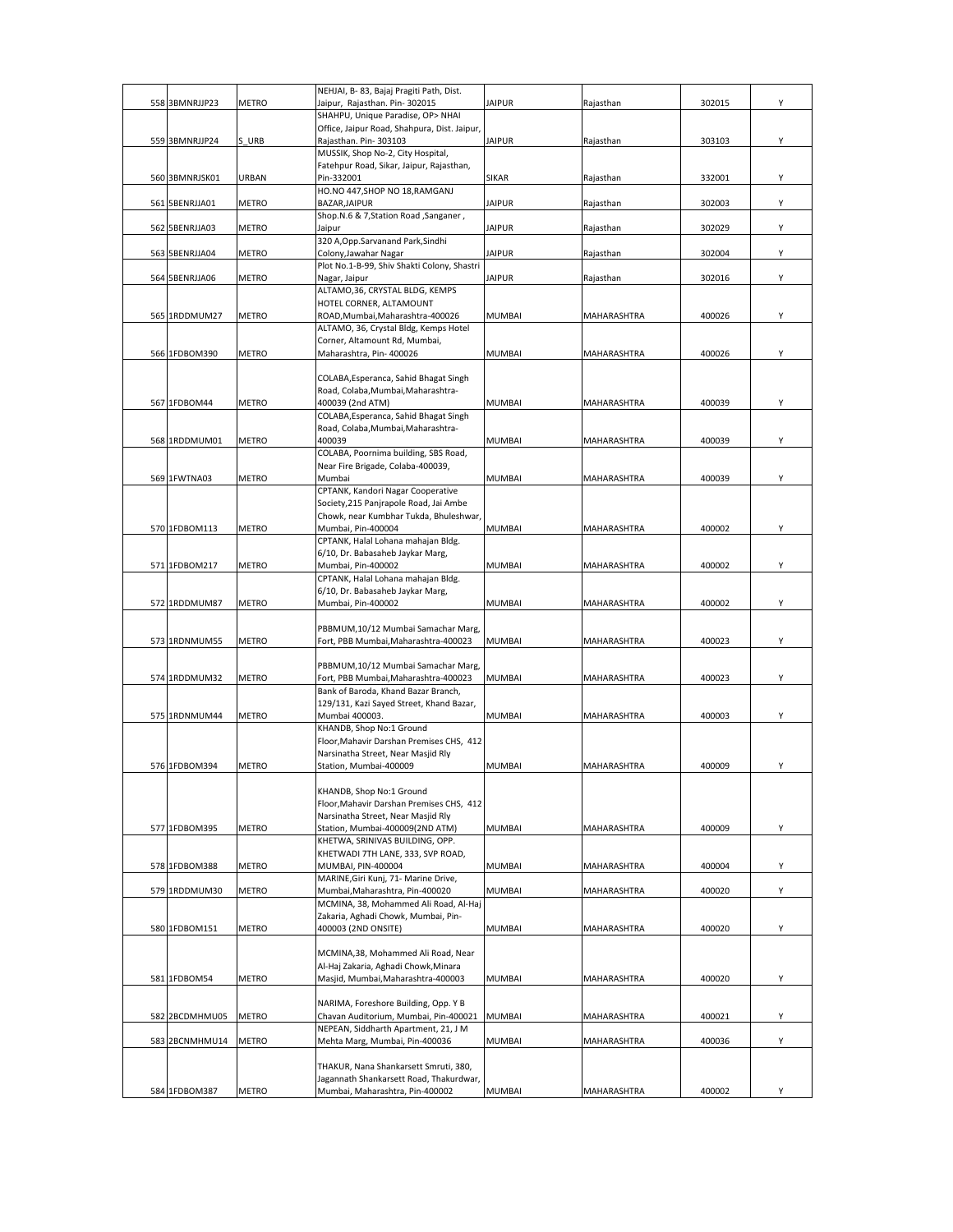|                |              | NEHJAI, B-83, Bajaj Pragiti Path, Dist.                                          |               |             |        |   |
|----------------|--------------|----------------------------------------------------------------------------------|---------------|-------------|--------|---|
| 558 3BMNRJJP23 | <b>METRO</b> | Jaipur, Rajasthan. Pin-302015<br>SHAHPU, Unique Paradise, OP> NHAI               | <b>JAIPUR</b> | Rajasthan   | 302015 | Υ |
|                |              | Office, Jaipur Road, Shahpura, Dist. Jaipur,                                     |               |             |        |   |
| 559 3BMNRJJP24 | S URB        | Rajasthan. Pin-303103                                                            | <b>JAIPUR</b> | Rajasthan   | 303103 | Y |
|                |              | MUSSIK, Shop No-2, City Hospital,                                                |               |             |        |   |
| 560 3BMNRJSK01 | URBAN        | Fatehpur Road, Sikar, Jaipur, Rajasthan,<br>Pin-332001                           | <b>SIKAR</b>  | Rajasthan   | 332001 | Υ |
|                |              | HO.NO 447, SHOP NO 18, RAMGANJ                                                   |               |             |        |   |
| 561 5BENRJJA01 | METRO        | BAZAR, JAIPUR                                                                    | <b>JAIPUR</b> | Rajasthan   | 302003 | Υ |
|                |              | Shop.N.6 & 7, Station Road, Sanganer,                                            |               |             |        |   |
| 562 5BENRJJA03 | METRO        | Jaipur                                                                           | <b>JAIPUR</b> | Rajasthan   | 302029 | Υ |
| 563 5BENRJJA04 | METRO        | 320 A, Opp. Sarvanand Park, Sindhi<br>Colony, Jawahar Nagar                      | <b>JAIPUR</b> | Rajasthan   | 302004 | Υ |
|                |              | Plot No.1-B-99, Shiv Shakti Colony, Shastri                                      |               |             |        |   |
| 564 5BENRJJA06 | <b>METRO</b> | Nagar, Jaipur                                                                    | <b>JAIPUR</b> | Rajasthan   | 302016 | Υ |
|                |              | ALTAMO, 36, CRYSTAL BLDG, KEMPS                                                  |               |             |        |   |
| 565 1RDDMUM27  | <b>METRO</b> | HOTEL CORNER, ALTAMOUNT<br>ROAD, Mumbai, Maharashtra-400026                      | <b>MUMBAI</b> | MAHARASHTRA | 400026 | Y |
|                |              | ALTAMO, 36, Crystal Bldg, Kemps Hotel                                            |               |             |        |   |
|                |              | Corner, Altamount Rd, Mumbai,                                                    |               |             |        |   |
| 566 1FDBOM390  | <b>METRO</b> | Maharashtra, Pin- 400026                                                         | <b>MUMBAI</b> | MAHARASHTRA | 400026 | Y |
|                |              | COLABA, Esperanca, Sahid Bhagat Singh                                            |               |             |        |   |
|                |              | Road, Colaba, Mumbai, Maharashtra-                                               |               |             |        |   |
| 567 1FDBOM44   | <b>METRO</b> | 400039 (2nd ATM)                                                                 | <b>MUMBAI</b> | MAHARASHTRA | 400039 | Υ |
|                |              | COLABA, Esperanca, Sahid Bhagat Singh                                            |               |             |        |   |
| 568 1RDDMUM01  |              | Road, Colaba, Mumbai, Maharashtra-<br>400039                                     | <b>MUMBAI</b> |             | 400039 | Υ |
|                | METRO        | COLABA, Poornima building, SBS Road,                                             |               | MAHARASHTRA |        |   |
|                |              | Near Fire Brigade, Colaba-400039,                                                |               |             |        |   |
| 569 1FWTNA03   | <b>METRO</b> | Mumbai                                                                           | <b>MUMBAI</b> | MAHARASHTRA | 400039 | Υ |
|                |              | CPTANK, Kandori Nagar Cooperative                                                |               |             |        |   |
|                |              | Society, 215 Panjrapole Road, Jai Ambe<br>Chowk, near Kumbhar Tukda, Bhuleshwar, |               |             |        |   |
| 570 1FDBOM113  | METRO        | Mumbai, Pin-400004                                                               | <b>MUMBAI</b> | MAHARASHTRA | 400002 | Υ |
|                |              | CPTANK, Halal Lohana mahajan Bldg.                                               |               |             |        |   |
|                |              | 6/10, Dr. Babasaheb Jaykar Marg,                                                 |               |             |        |   |
| 571 1FDBOM217  | METRO        | Mumbai, Pin-400002<br>CPTANK, Halal Lohana mahajan Bldg.                         | <b>MUMBAI</b> | MAHARASHTRA | 400002 | Y |
|                |              | 6/10, Dr. Babasaheb Jaykar Marg,                                                 |               |             |        |   |
| 572 1RDDMUM87  | METRO        | Mumbai, Pin-400002                                                               | <b>MUMBAI</b> | MAHARASHTRA | 400002 | Y |
|                |              |                                                                                  |               |             |        |   |
|                |              | PBBMUM,10/12 Mumbai Samachar Marg,                                               |               |             |        |   |
| 573 1RDNMUM55  | METRO        | Fort, PBB Mumbai, Maharashtra-400023                                             | <b>MUMBAI</b> | MAHARASHTRA | 400023 | Υ |
|                |              | PBBMUM,10/12 Mumbai Samachar Marg,                                               |               |             |        |   |
| 574 1RDDMUM32  | METRO        | Fort, PBB Mumbai, Maharashtra-400023                                             | <b>MUMBAI</b> | MAHARASHTRA | 400023 | Υ |
|                |              | Bank of Baroda, Khand Bazar Branch,                                              |               |             |        |   |
| 575 1RDNMUM44  | METRO        | 129/131, Kazi Sayed Street, Khand Bazar,<br>Mumbai 400003.                       | <b>MUMBAI</b> | MAHARASHTRA | 400003 | Υ |
|                |              | KHANDB, Shop No:1 Ground                                                         |               |             |        |   |
|                |              | Floor, Mahavir Darshan Premises CHS, 412                                         |               |             |        |   |
|                |              | Narsinatha Street, Near Masjid Rly                                               |               |             |        |   |
| 576 1FDBOM394  | METRO        | Station, Mumbai-400009                                                           | <b>MUMBAI</b> | MAHARASHTRA | 400009 | Υ |
|                |              | KHANDB, Shop No:1 Ground                                                         |               |             |        |   |
|                |              | Floor, Mahavir Darshan Premises CHS, 412                                         |               |             |        |   |
|                |              | Narsinatha Street, Near Masjid Rly                                               |               |             |        |   |
| 577 1FDBOM395  | <b>METRO</b> | Station, Mumbai-400009(2ND ATM)<br>KHETWA, SRINIVAS BUILDING, OPP.               | <b>MUMBAI</b> | MAHARASHTRA | 400009 | Y |
|                |              | KHETWADI 7TH LANE, 333, SVP ROAD,                                                |               |             |        |   |
| 578 1FDBOM388  | METRO        | MUMBAI, PIN-400004                                                               | <b>MUMBAI</b> | MAHARASHTRA | 400004 | Υ |
|                |              | MARINE, Giri Kunj, 71- Marine Drive,                                             |               |             |        |   |
| 579 1RDDMUM30  | METRO        | Mumbai, Maharashtra, Pin-400020                                                  | MUMBAI        | MAHARASHTRA | 400020 | Υ |
|                |              | MCMINA, 38, Mohammed Ali Road, Al-Haj<br>Zakaria, Aghadi Chowk, Mumbai, Pin-     |               |             |        |   |
| 580 1FDBOM151  | METRO        | 400003 (2ND ONSITE)                                                              | <b>MUMBAI</b> | MAHARASHTRA | 400020 | Υ |
|                |              |                                                                                  |               |             |        |   |
|                |              | MCMINA, 38, Mohammed Ali Road, Near<br>Al-Haj Zakaria, Aghadi Chowk, Minara      |               |             |        |   |
| 581 1FDBOM54   | <b>METRO</b> | Masjid, Mumbai, Maharashtra-400003                                               | <b>MUMBAI</b> | MAHARASHTRA | 400020 | Υ |
|                |              |                                                                                  |               |             |        |   |
|                |              | NARIMA, Foreshore Building, Opp. Y B                                             |               |             |        |   |
| 582 2BCDMHMU05 | <b>METRO</b> | Chavan Auditorium, Mumbai, Pin-400021<br>NEPEAN, Siddharth Apartment, 21, J M    | <b>MUMBAI</b> | MAHARASHTRA | 400021 | Υ |
| 583 2BCNMHMU14 | METRO        | Mehta Marg, Mumbai, Pin-400036                                                   | MUMBAI        | MAHARASHTRA | 400036 | Υ |
|                |              |                                                                                  |               |             |        |   |
|                |              | THAKUR, Nana Shankarsett Smruti, 380,                                            |               |             |        |   |
|                |              | Jagannath Shankarsett Road, Thakurdwar,                                          |               |             |        |   |
| 584 1FDBOM387  | METRO        | Mumbai, Maharashtra, Pin-400002                                                  | <b>MUMBAI</b> | MAHARASHTRA | 400002 |   |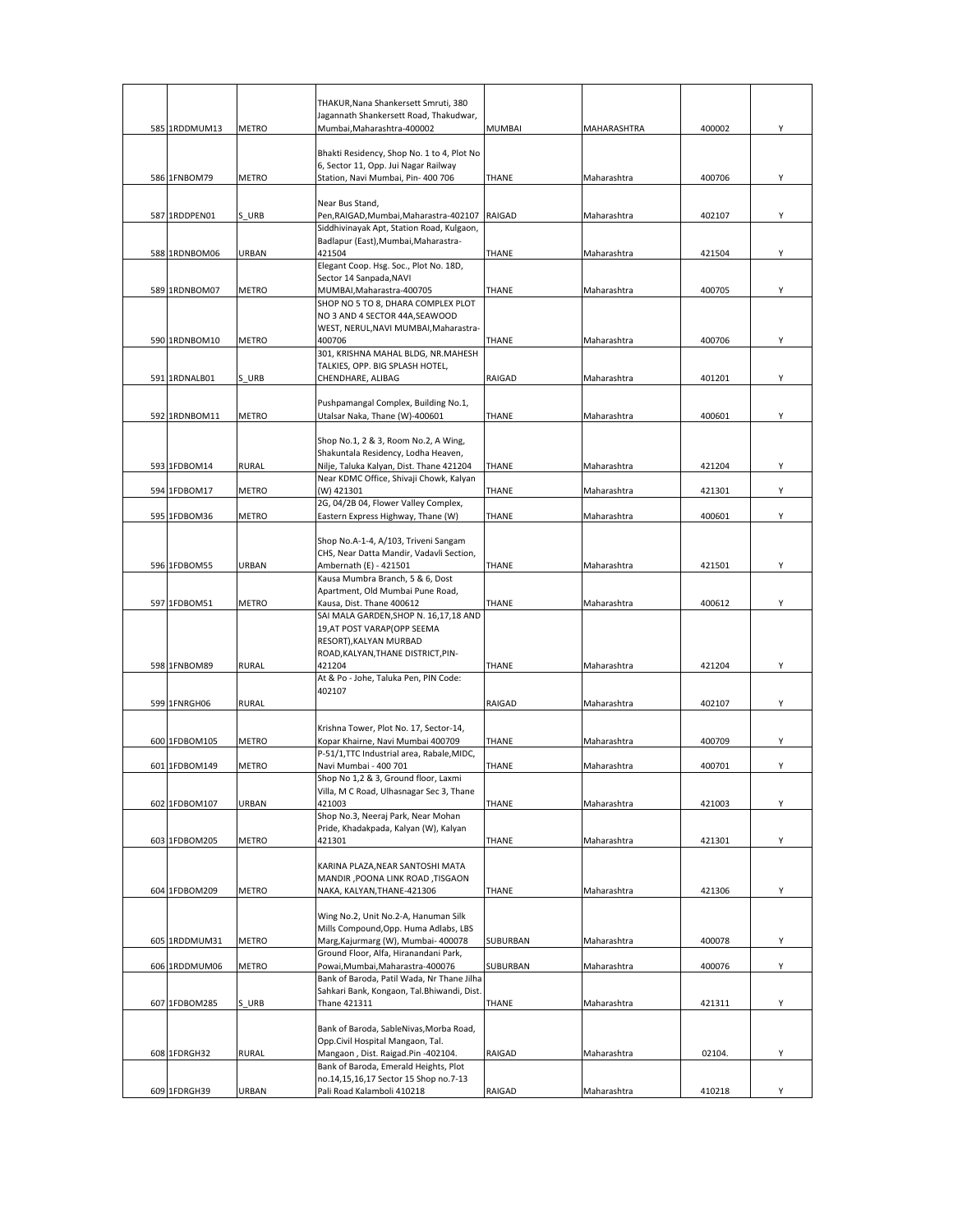|               |              | THAKUR, Nana Shankersett Smruti, 380<br>Jagannath Shankersett Road, Thakudwar,           |               |             |        |   |
|---------------|--------------|------------------------------------------------------------------------------------------|---------------|-------------|--------|---|
| 585 1RDDMUM13 | <b>METRO</b> | Mumbai, Maharashtra-400002                                                               | <b>MUMBAI</b> | MAHARASHTRA | 400002 | Υ |
|               |              |                                                                                          |               |             |        |   |
|               |              | Bhakti Residency, Shop No. 1 to 4, Plot No                                               |               |             |        |   |
|               |              | 6, Sector 11, Opp. Jui Nagar Railway                                                     |               |             |        |   |
| 586 1FNBOM79  | <b>METRO</b> | Station, Navi Mumbai, Pin- 400 706                                                       | THANE         | Maharashtra | 400706 | Υ |
|               |              | Near Bus Stand,                                                                          |               |             |        |   |
| 587 1RDDPEN01 | S URB        | Pen, RAIGAD, Mumbai, Maharastra-402107 RAIGAD                                            |               | Maharashtra | 402107 | Y |
|               |              | Siddhivinayak Apt, Station Road, Kulgaon,                                                |               |             |        |   |
| 588 1RDNBOM06 |              | Badlapur (East), Mumbai, Maharastra-<br>421504                                           |               |             |        | Y |
|               | URBAN        | Elegant Coop. Hsg. Soc., Plot No. 18D,                                                   | THANE         | Maharashtra | 421504 |   |
|               |              | Sector 14 Sanpada, NAVI                                                                  |               |             |        |   |
| 589 1RDNBOM07 | <b>METRO</b> | MUMBAI, Maharastra-400705                                                                | THANE         | Maharashtra | 400705 | Υ |
|               |              | SHOP NO 5 TO 8, DHARA COMPLEX PLOT                                                       |               |             |        |   |
|               |              | NO 3 AND 4 SECTOR 44A, SEAWOOD                                                           |               |             |        |   |
| 590 1RDNBOM10 | METRO        | WEST, NERUL, NAVI MUMBAI, Maharastra-<br>400706                                          | <b>THANE</b>  | Maharashtra | 400706 | Υ |
|               |              | 301, KRISHNA MAHAL BLDG, NR.MAHESH                                                       |               |             |        |   |
|               |              | TALKIES, OPP. BIG SPLASH HOTEL,                                                          |               |             |        |   |
| 591 1RDNALB01 | S URB        | CHENDHARE, ALIBAG                                                                        | RAIGAD        | Maharashtra | 401201 | Υ |
|               |              | Pushpamangal Complex, Building No.1,                                                     |               |             |        |   |
| 592 1RDNBOM11 | <b>METRO</b> | Utalsar Naka, Thane (W)-400601                                                           | <b>THANE</b>  | Maharashtra | 400601 | Υ |
|               |              |                                                                                          |               |             |        |   |
|               |              | Shop No.1, 2 & 3, Room No.2, A Wing,                                                     |               |             |        |   |
|               |              | Shakuntala Residency, Lodha Heaven,                                                      |               |             |        |   |
| 593 1FDBOM14  | <b>RURAL</b> | Nilje, Taluka Kalyan, Dist. Thane 421204                                                 | THANE         | Maharashtra | 421204 | Υ |
| 594 1FDBOM17  | <b>METRO</b> | Near KDMC Office, Shivaji Chowk, Kalyan<br>(W) 421301                                    | THANE         | Maharashtra | 421301 | Υ |
|               |              | 2G, 04/2B 04, Flower Valley Complex,                                                     |               |             |        |   |
| 595 1FDBOM36  | <b>METRO</b> | Eastern Express Highway, Thane (W)                                                       | <b>THANE</b>  | Maharashtra | 400601 | Υ |
|               |              |                                                                                          |               |             |        |   |
|               |              | Shop No.A-1-4, A/103, Triveni Sangam                                                     |               |             |        |   |
| 596 1FDBOM55  | URBAN        | CHS, Near Datta Mandir, Vadavli Section,<br>Ambernath (E) - 421501                       | <b>THANE</b>  | Maharashtra | 421501 | Υ |
|               |              | Kausa Mumbra Branch, 5 & 6, Dost                                                         |               |             |        |   |
|               |              | Apartment, Old Mumbai Pune Road,                                                         |               |             |        |   |
| 597 1FDBOM51  | <b>METRO</b> | Kausa, Dist. Thane 400612                                                                | THANE         | Maharashtra | 400612 | Υ |
|               |              | SAI MALA GARDEN, SHOP N. 16,17,18 AND<br>19, AT POST VARAP (OPP SEEMA                    |               |             |        |   |
|               |              | RESORT), KALYAN MURBAD                                                                   |               |             |        |   |
|               |              | ROAD, KALYAN, THANE DISTRICT, PIN-                                                       |               |             |        |   |
| 598 1FNBOM89  | <b>RURAL</b> | 421204                                                                                   | <b>THANE</b>  | Maharashtra | 421204 | Υ |
|               |              | At & Po - Johe, Taluka Pen, PIN Code:                                                    |               |             |        |   |
| 599 1FNRGH06  | <b>RURAL</b> | 402107                                                                                   | RAIGAD        | Maharashtra | 402107 | Υ |
|               |              |                                                                                          |               |             |        |   |
|               |              | Krishna Tower, Plot No. 17, Sector-14,                                                   |               |             |        |   |
| 600 1FDBOM105 | METRO        | Kopar Khairne, Navi Mumbai 400709                                                        | THANE         | Maharashtra | 400709 | Y |
|               |              | P-51/1, TTC Industrial area, Rabale, MIDC,                                               |               |             |        |   |
| 601 1FDBOM149 | METRO        | Navi Mumbai - 400 701<br>Shop No 1,2 & 3, Ground floor, Laxmi                            | <b>THANE</b>  | Maharashtra | 400701 | Υ |
|               |              | Villa, M C Road, Ulhasnagar Sec 3, Thane                                                 |               |             |        |   |
| 602 1FDBOM107 | URBAN        | 421003                                                                                   | THANE         | Maharashtra | 421003 | Υ |
|               |              | Shop No.3, Neeraj Park, Near Mohan                                                       |               |             |        |   |
| 603 1FDBOM205 | <b>METRO</b> | Pride, Khadakpada, Kalyan (W), Kalyan<br>421301                                          | THANE         | Maharashtra | 421301 | Y |
|               |              |                                                                                          |               |             |        |   |
|               |              | KARINA PLAZA, NEAR SANTOSHI MATA                                                         |               |             |        |   |
|               |              | MANDIR, POONA LINK ROAD, TISGAON                                                         |               |             |        |   |
| 604 1FDBOM209 | METRO        | NAKA, KALYAN, THANE-421306                                                               | THANE         | Maharashtra | 421306 | Υ |
|               |              | Wing No.2, Unit No.2-A, Hanuman Silk                                                     |               |             |        |   |
|               |              | Mills Compound, Opp. Huma Adlabs, LBS                                                    |               |             |        |   |
| 605 1RDDMUM31 | <b>METRO</b> | Marg, Kajurmarg (W), Mumbai- 400078                                                      | SUBURBAN      | Maharashtra | 400078 | Υ |
|               |              | Ground Floor, Alfa, Hiranandani Park,                                                    |               |             |        |   |
| 606 1RDDMUM06 | <b>METRO</b> | Powai, Mumbai, Maharastra-400076                                                         | SUBURBAN      | Maharashtra | 400076 | Υ |
|               |              | Bank of Baroda, Patil Wada, Nr Thane Jilha<br>Sahkari Bank, Kongaon, Tal.Bhiwandi, Dist. |               |             |        |   |
| 607 1FDBOM285 | S URB        | Thane 421311                                                                             | THANE         | Maharashtra | 421311 | Υ |
|               |              |                                                                                          |               |             |        |   |
|               |              | Bank of Baroda, SableNivas, Morba Road,                                                  |               |             |        |   |
|               |              | Opp.Civil Hospital Mangaon, Tal.                                                         |               |             |        |   |
| 608 1FDRGH32  | <b>RURAL</b> | Mangaon, Dist. Raigad.Pin -402104.<br>Bank of Baroda, Emerald Heights, Plot              | RAIGAD        | Maharashtra | 02104. | Υ |
|               |              | no.14,15,16,17 Sector 15 Shop no.7-13                                                    |               |             |        |   |
| 609 1FDRGH39  | URBAN        | Pali Road Kalamboli 410218                                                               | RAIGAD        | Maharashtra | 410218 | Y |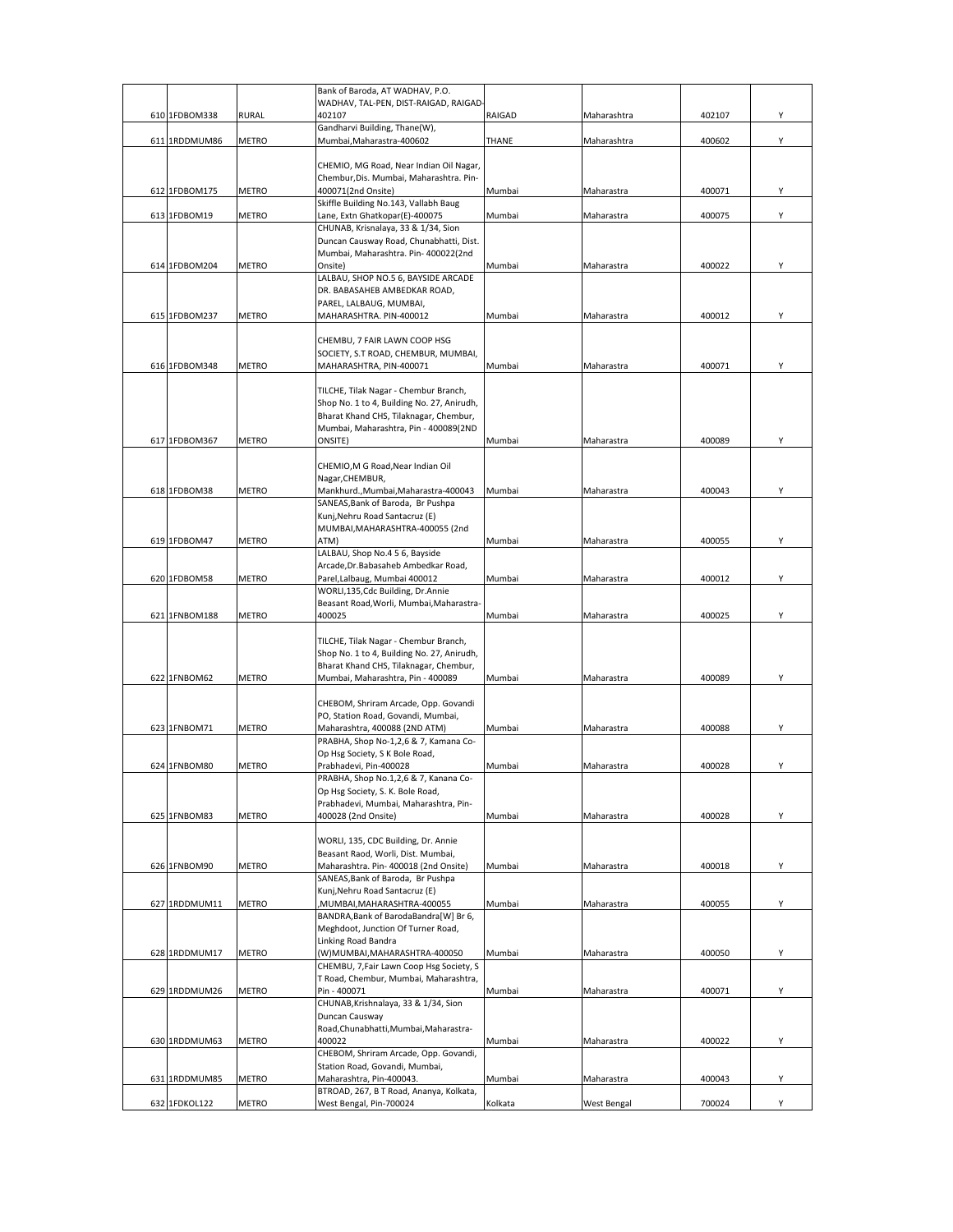|               |              | Bank of Baroda, AT WADHAV, P.O.                                           |         |                    |        |   |
|---------------|--------------|---------------------------------------------------------------------------|---------|--------------------|--------|---|
|               |              | WADHAV, TAL-PEN, DIST-RAIGAD, RAIGAD-                                     |         |                    |        |   |
| 610 1FDBOM338 | <b>RURAL</b> | 402107<br>Gandharvi Building, Thane(W),                                   | RAIGAD  | Maharashtra        | 402107 | Υ |
| 611 1RDDMUM86 | METRO        | Mumbai, Maharastra-400602                                                 | THANE   | Maharashtra        | 400602 | Υ |
|               |              |                                                                           |         |                    |        |   |
|               |              | CHEMIO, MG Road, Near Indian Oil Nagar,                                   |         |                    |        |   |
|               |              | Chembur, Dis. Mumbai, Maharashtra. Pin-                                   |         |                    |        |   |
| 612 1FDBOM175 | <b>METRO</b> | 400071(2nd Onsite)                                                        | Mumbai  | Maharastra         | 400071 | Υ |
| 613 1FDBOM19  | METRO        | Skiffle Building No.143, Vallabh Baug<br>Lane, Extn Ghatkopar(E)-400075   | Mumbai  | Maharastra         | 400075 | Υ |
|               |              | CHUNAB, Krisnalaya, 33 & 1/34, Sion                                       |         |                    |        |   |
|               |              | Duncan Causway Road, Chunabhatti, Dist.                                   |         |                    |        |   |
|               |              | Mumbai, Maharashtra. Pin- 400022(2nd                                      |         |                    |        |   |
| 614 1FDBOM204 | METRO        | Onsite)                                                                   | Mumbai  | Maharastra         | 400022 | Υ |
|               |              | LALBAU, SHOP NO.5 6, BAYSIDE ARCADE<br>DR. BABASAHEB AMBEDKAR ROAD,       |         |                    |        |   |
|               |              | PAREL, LALBAUG, MUMBAI,                                                   |         |                    |        |   |
| 615 1FDBOM237 | METRO        | MAHARASHTRA. PIN-400012                                                   | Mumbai  | Maharastra         | 400012 | Y |
|               |              |                                                                           |         |                    |        |   |
|               |              | CHEMBU, 7 FAIR LAWN COOP HSG                                              |         |                    |        |   |
|               |              | SOCIETY, S.T ROAD, CHEMBUR, MUMBAI,                                       |         |                    |        | Y |
| 616 1FDBOM348 | <b>METRO</b> | MAHARASHTRA, PIN-400071                                                   | Mumbai  | Maharastra         | 400071 |   |
|               |              | TILCHE, Tilak Nagar - Chembur Branch,                                     |         |                    |        |   |
|               |              | Shop No. 1 to 4, Building No. 27, Anirudh,                                |         |                    |        |   |
|               |              | Bharat Khand CHS, Tilaknagar, Chembur,                                    |         |                    |        |   |
|               |              | Mumbai, Maharashtra, Pin - 400089(2ND                                     |         |                    |        |   |
| 617 1FDBOM367 | <b>METRO</b> | ONSITE)                                                                   | Mumbai  | Maharastra         | 400089 | Y |
|               |              | CHEMIO, M G Road, Near Indian Oil                                         |         |                    |        |   |
|               |              | Nagar, CHEMBUR,                                                           |         |                    |        |   |
| 618 1FDBOM38  | METRO        | Mankhurd., Mumbai, Maharastra-400043                                      | Mumbai  | Maharastra         | 400043 | Y |
|               |              | SANEAS, Bank of Baroda, Br Pushpa                                         |         |                    |        |   |
|               |              | Kunj, Nehru Road Santacruz (E)                                            |         |                    |        |   |
| 619 1FDBOM47  | METRO        | MUMBAI, MAHARASHTRA-400055 (2nd<br>ATM)                                   | Mumbai  | Maharastra         | 400055 | Υ |
|               |              | LALBAU, Shop No.4 5 6, Bayside                                            |         |                    |        |   |
|               |              | Arcade, Dr. Babasaheb Ambedkar Road,                                      |         |                    |        |   |
| 620 1FDBOM58  | METRO        | Parel, Lalbaug, Mumbai 400012                                             | Mumbai  | Maharastra         | 400012 | Y |
|               |              | WORLI,135, Cdc Building, Dr. Annie                                        |         |                    |        |   |
| 621 1FNBOM188 | <b>METRO</b> | Beasant Road, Worli, Mumbai, Maharastra-<br>400025                        | Mumbai  | Maharastra         | 400025 | Y |
|               |              |                                                                           |         |                    |        |   |
|               |              | TILCHE, Tilak Nagar - Chembur Branch,                                     |         |                    |        |   |
|               |              | Shop No. 1 to 4, Building No. 27, Anirudh,                                |         |                    |        |   |
|               |              | Bharat Khand CHS, Tilaknagar, Chembur,                                    |         |                    |        |   |
| 622 1FNBOM62  | METRO        | Mumbai, Maharashtra, Pin - 400089                                         | Mumbai  | Maharastra         | 400089 | Υ |
|               |              | CHEBOM, Shriram Arcade, Opp. Govandi                                      |         |                    |        |   |
|               |              | PO, Station Road, Govandi, Mumbai,                                        |         |                    |        |   |
| 623 1FNBOM71  | <b>METRO</b> | Maharashtra, 400088 (2ND ATM)                                             | Mumbai  | Maharastra         | 400088 | Υ |
|               |              | PRABHA, Shop No-1,2,6 & 7, Kamana Co-                                     |         |                    |        |   |
|               |              | Op Hsg Society, S K Bole Road,                                            |         |                    |        |   |
| 624 1FNBOM80  | METRO        | Prabhadevi, Pin-400028<br>PRABHA, Shop No.1,2,6 & 7, Kanana Co-           | Mumbai  | Maharastra         | 400028 | Υ |
|               |              | Op Hsg Society, S. K. Bole Road,                                          |         |                    |        |   |
|               |              | Prabhadevi, Mumbai, Maharashtra, Pin-                                     |         |                    |        |   |
| 625 1FNBOM83  | <b>METRO</b> | 400028 (2nd Onsite)                                                       | Mumbai  | Maharastra         | 400028 | Υ |
|               |              |                                                                           |         |                    |        |   |
|               |              | WORLI, 135, CDC Building, Dr. Annie<br>Beasant Raod, Worli, Dist. Mumbai, |         |                    |        |   |
| 626 1FNBOM90  | <b>METRO</b> | Maharashtra. Pin- 400018 (2nd Onsite)                                     | Mumbai  | Maharastra         | 400018 | Υ |
|               |              | SANEAS, Bank of Baroda, Br Pushpa                                         |         |                    |        |   |
|               |              | Kunj, Nehru Road Santacruz (E)                                            |         |                    |        |   |
| 627 1RDDMUM11 | METRO        | MUMBAI, MAHARASHTRA-400055                                                | Mumbai  | Maharastra         | 400055 | Υ |
|               |              | BANDRA, Bank of Baroda Bandra [W] Br 6,                                   |         |                    |        |   |
|               |              | Meghdoot, Junction Of Turner Road,<br>Linking Road Bandra                 |         |                    |        |   |
| 628 1RDDMUM17 | <b>METRO</b> | (W)MUMBAI, MAHARASHTRA-400050                                             | Mumbai  | Maharastra         | 400050 | Y |
|               |              | CHEMBU, 7, Fair Lawn Coop Hsg Society, S                                  |         |                    |        |   |
|               |              | T Road, Chembur, Mumbai, Maharashtra,                                     |         |                    |        |   |
| 629 1RDDMUM26 | <b>METRO</b> | Pin - 400071                                                              | Mumbai  | Maharastra         | 400071 | Y |
|               |              | CHUNAB, Krishnalaya, 33 & 1/34, Sion                                      |         |                    |        |   |
|               |              | Duncan Causway<br>Road, Chunabhatti, Mumbai, Maharastra-                  |         |                    |        |   |
| 630 1RDDMUM63 | METRO        | 400022                                                                    | Mumbai  | Maharastra         | 400022 | Υ |
|               |              | CHEBOM, Shriram Arcade, Opp. Govandi,                                     |         |                    |        |   |
|               |              | Station Road, Govandi, Mumbai,                                            |         |                    |        |   |
| 631 1RDDMUM85 | METRO        | Maharashtra, Pin-400043.                                                  | Mumbai  | Maharastra         | 400043 | Υ |
| 632 1FDKOL122 |              | BTROAD, 267, B T Road, Ananya, Kolkata,<br>West Bengal, Pin-700024        |         |                    | 700024 | Υ |
|               | <b>METRO</b> |                                                                           | Kolkata | <b>West Bengal</b> |        |   |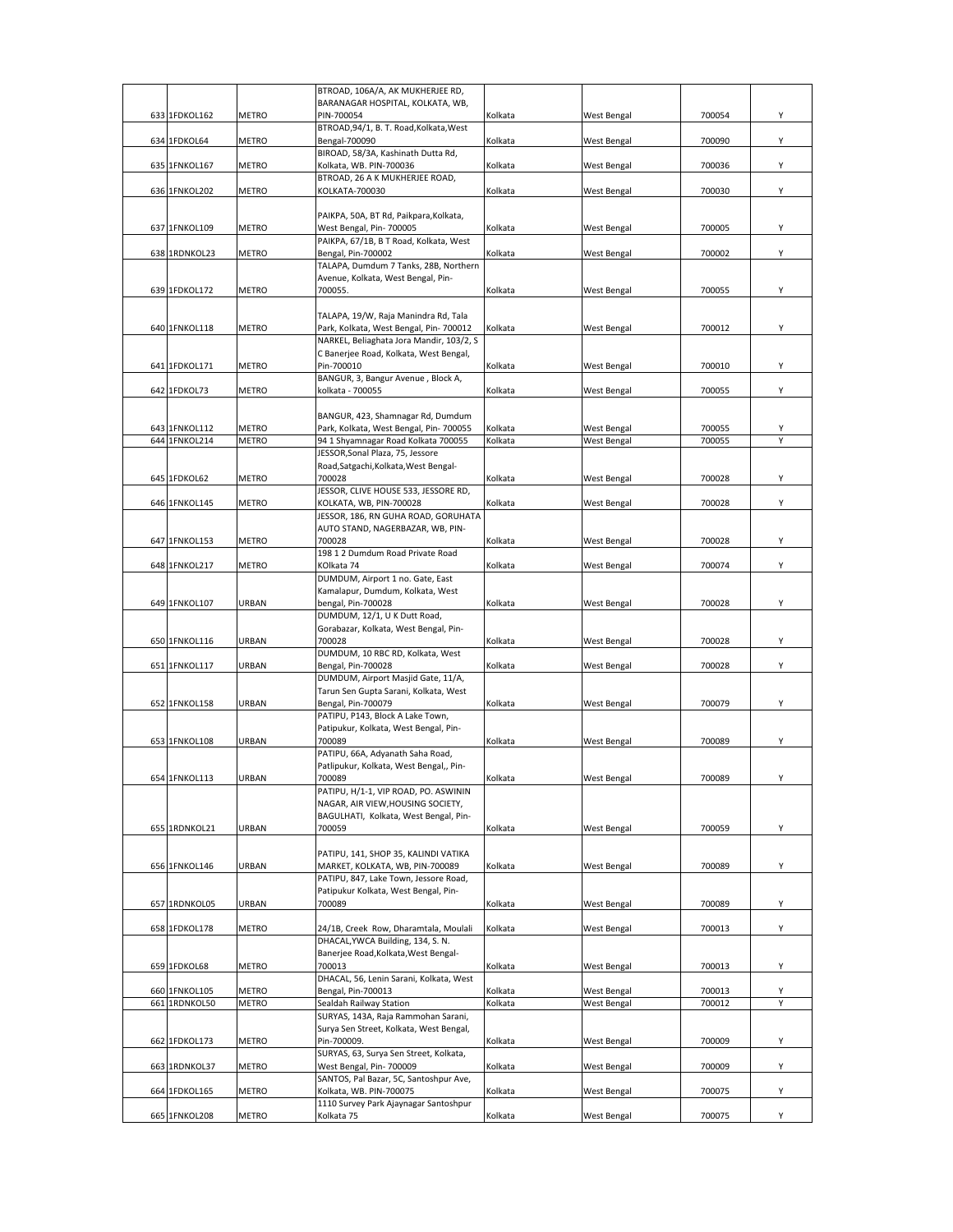|                  |               | BTROAD, 106A/A, AK MUKHERJEE RD,                                            |         |                    |        |   |
|------------------|---------------|-----------------------------------------------------------------------------|---------|--------------------|--------|---|
|                  |               | BARANAGAR HOSPITAL, KOLKATA, WB,                                            |         |                    |        |   |
| 633 1FDKOL162    | <b>METRO</b>  | PIN-700054<br>BTROAD, 94/1, B. T. Road, Kolkata, West                       | Kolkata | West Bengal        | 700054 | Υ |
|                  |               |                                                                             |         |                    |        |   |
| 634 1FDKOL64     | <b>METRO</b>  | Bengal-700090<br>BIROAD, 58/3A, Kashinath Dutta Rd,                         | Kolkata | West Bengal        | 700090 | Υ |
| 635 1FNKOL167    | METRO         | Kolkata, WB. PIN-700036                                                     | Kolkata | West Bengal        | 700036 | Υ |
|                  |               | BTROAD, 26 A K MUKHERJEE ROAD,                                              |         |                    |        |   |
| 636 1FNKOL202    | METRO         | KOLKATA-700030                                                              | Kolkata | West Bengal        | 700030 | Υ |
|                  |               |                                                                             |         |                    |        |   |
|                  |               | PAIKPA, 50A, BT Rd, Paikpara, Kolkata,                                      |         |                    |        |   |
| 637 1FNKOL109    | <b>METRO</b>  | West Bengal, Pin- 700005                                                    | Kolkata | West Bengal        | 700005 | Υ |
|                  |               | PAIKPA, 67/1B, B T Road, Kolkata, West                                      |         |                    |        |   |
| 638 1RDNKOL23    | METRO         | Bengal, Pin-700002                                                          | Kolkata | West Bengal        | 700002 | Υ |
|                  |               | TALAPA, Dumdum 7 Tanks, 28B, Northern                                       |         |                    |        |   |
|                  |               | Avenue, Kolkata, West Bengal, Pin-                                          |         |                    |        |   |
| 639 1FDKOL172    | METRO         | 700055.                                                                     | Kolkata | <b>West Bengal</b> | 700055 | Υ |
|                  |               |                                                                             |         |                    |        |   |
|                  |               | TALAPA, 19/W, Raja Manindra Rd, Tala                                        |         |                    |        |   |
| 640 1FNKOL118    | METRO         | Park, Kolkata, West Bengal, Pin- 700012                                     | Kolkata | <b>West Bengal</b> | 700012 | Υ |
|                  |               | NARKEL, Beliaghata Jora Mandir, 103/2, S                                    |         |                    |        |   |
|                  |               | C Banerjee Road, Kolkata, West Bengal,                                      |         |                    |        |   |
| 641 1FDKOL171    | <b>METRO</b>  | Pin-700010                                                                  | Kolkata | <b>West Bengal</b> | 700010 | Υ |
|                  |               | BANGUR, 3, Bangur Avenue, Block A,                                          |         |                    |        |   |
| 642 1FDKOL73     | <b>METRO</b>  | kolkata - 700055                                                            | Kolkata | West Bengal        | 700055 | Υ |
|                  |               |                                                                             |         |                    |        |   |
|                  |               | BANGUR, 423, Shamnagar Rd, Dumdum                                           |         |                    |        |   |
| 643 1FNKOL112    | <b>METRO</b>  | Park, Kolkata, West Bengal, Pin- 700055                                     | Kolkata | West Bengal        | 700055 | Υ |
| 644 1FNKOL214    | <b>METRO</b>  | 94 1 Shyamnagar Road Kolkata 700055                                         | Kolkata | West Bengal        | 700055 | Υ |
|                  |               | JESSOR, Sonal Plaza, 75, Jessore                                            |         |                    |        |   |
|                  |               | Road, Satgachi, Kolkata, West Bengal-                                       |         |                    |        |   |
| 645 1FDKOL62     | <b>METRO</b>  | 700028                                                                      | Kolkata | <b>West Bengal</b> | 700028 | Υ |
|                  |               | JESSOR, CLIVE HOUSE 533, JESSORE RD,                                        |         |                    |        |   |
| 646 1FNKOL145    | <b>METRO</b>  | KOLKATA, WB, PIN-700028                                                     | Kolkata | West Bengal        | 700028 | Υ |
|                  |               | JESSOR, 186, RN GUHA ROAD, GORUHATA                                         |         |                    |        |   |
|                  |               | AUTO STAND, NAGERBAZAR, WB, PIN-                                            |         |                    |        |   |
| 647 1FNKOL153    | <b>METRO</b>  | 700028                                                                      | Kolkata | <b>West Bengal</b> | 700028 | Υ |
|                  |               | 198 1 2 Dumdum Road Private Road                                            |         |                    |        |   |
| 648 1FNKOL217    | <b>METRO</b>  | KOlkata 74                                                                  | Kolkata | West Bengal        | 700074 | Υ |
|                  |               | DUMDUM, Airport 1 no. Gate, East                                            |         |                    |        |   |
|                  |               | Kamalapur, Dumdum, Kolkata, West                                            |         |                    |        |   |
| 649 1FNKOL107    | URBAN         | bengal, Pin-700028                                                          | Kolkata | West Bengal        | 700028 | Υ |
|                  |               | DUMDUM, 12/1, U K Dutt Road,                                                |         |                    |        |   |
|                  |               | Gorabazar, Kolkata, West Bengal, Pin-                                       |         |                    |        |   |
| 650 1FNKOL116    | URBAN         | 700028                                                                      | Kolkata | West Bengal        | 700028 | Υ |
|                  |               | DUMDUM, 10 RBC RD, Kolkata, West                                            |         |                    | 700028 | Υ |
| 651 1FNKOL117    | URBAN         | Bengal, Pin-700028                                                          | Kolkata | West Bengal        |        |   |
|                  |               | DUMDUM, Airport Masjid Gate, 11/A,<br>Tarun Sen Gupta Sarani, Kolkata, West |         |                    |        |   |
| 652 1FNKOL158    | URBAN         | Bengal, Pin-700079                                                          | Kolkata | West Bengal        | 700079 | Y |
|                  |               | PATIPU, P143, Block A Lake Town,                                            |         |                    |        |   |
|                  |               | Patipukur, Kolkata, West Bengal, Pin-                                       |         |                    |        |   |
| 653 1FNKOL108    | URBAN         | 700089                                                                      | Kolkata | West Bengal        | 700089 | Υ |
|                  |               | PATIPU, 66A, Adyanath Saha Road,                                            |         |                    |        |   |
|                  |               | Patlipukur, Kolkata, West Bengal,, Pin-                                     |         |                    |        |   |
| 654 1 FNK OL 113 | <b>IIRRAN</b> | 700089                                                                      | Kolkata | <b>Mest Rengal</b> | 700089 |   |
|                  |               | PATIPU, H/1-1, VIP ROAD, PO. ASWININ                                        |         |                    |        |   |
|                  |               | NAGAR, AIR VIEW, HOUSING SOCIETY,                                           |         |                    |        |   |
|                  |               | BAGULHATI, Kolkata, West Bengal, Pin-                                       |         |                    |        |   |
| 655 1RDNKOL21    | URBAN         | 700059                                                                      | Kolkata | <b>West Bengal</b> | 700059 | Y |
|                  |               |                                                                             |         |                    |        |   |
|                  |               | PATIPU, 141, SHOP 35, KALINDI VATIKA                                        |         |                    |        |   |
| 656 1FNKOL146    | URBAN         | MARKET, KOLKATA, WB, PIN-700089                                             | Kolkata | <b>West Bengal</b> | 700089 | Υ |
|                  |               | PATIPU, 847, Lake Town, Jessore Road,                                       |         |                    |        |   |
|                  |               | Patipukur Kolkata, West Bengal, Pin-                                        |         |                    |        |   |
| 657 1RDNKOL05    | URBAN         | 700089                                                                      | Kolkata | West Bengal        | 700089 | Υ |
|                  |               |                                                                             |         |                    |        |   |
| 658 1FDKOL178    | METRO         | 24/1B, Creek Row, Dharamtala, Moulali                                       | Kolkata | West Bengal        | 700013 | Υ |
|                  |               | DHACAL, YWCA Building, 134, S. N.                                           |         |                    |        |   |
|                  |               | Banerjee Road, Kolkata, West Bengal-                                        |         |                    |        |   |
| 659 1FDKOL68     | METRO         | 700013                                                                      | Kolkata | West Bengal        | 700013 | Υ |
|                  |               | DHACAL, 56, Lenin Sarani, Kolkata, West                                     |         |                    |        |   |
| 660 1FNKOL105    | METRO         | Bengal, Pin-700013                                                          | Kolkata | West Bengal        | 700013 | Υ |
| 661 1RDNKOL50    | <b>METRO</b>  | Sealdah Railway Station                                                     | Kolkata | West Bengal        | 700012 | Y |
|                  |               | SURYAS, 143A, Raja Rammohan Sarani,                                         |         |                    |        |   |
|                  |               | Surya Sen Street, Kolkata, West Bengal,                                     |         |                    |        |   |
| 662 1FDKOL173    | METRO         | Pin-700009.                                                                 | Kolkata | West Bengal        | 700009 | Υ |
|                  |               | SURYAS, 63, Surya Sen Street, Kolkata,                                      |         |                    |        |   |
| 663 1RDNKOL37    | <b>METRO</b>  | West Bengal, Pin- 700009                                                    | Kolkata | <b>West Bengal</b> | 700009 | Υ |
|                  |               | SANTOS, Pal Bazar, 5C, Santoshpur Ave,                                      |         |                    |        |   |
| 664 1FDKOL165    | METRO         | Kolkata, WB. PIN-700075                                                     | Kolkata | West Bengal        | 700075 | Υ |
|                  |               | 1110 Survey Park Ajaynagar Santoshpur                                       |         |                    |        |   |
| 665 1FNKOL208    | METRO         | Kolkata 75                                                                  | Kolkata | West Bengal        | 700075 | Y |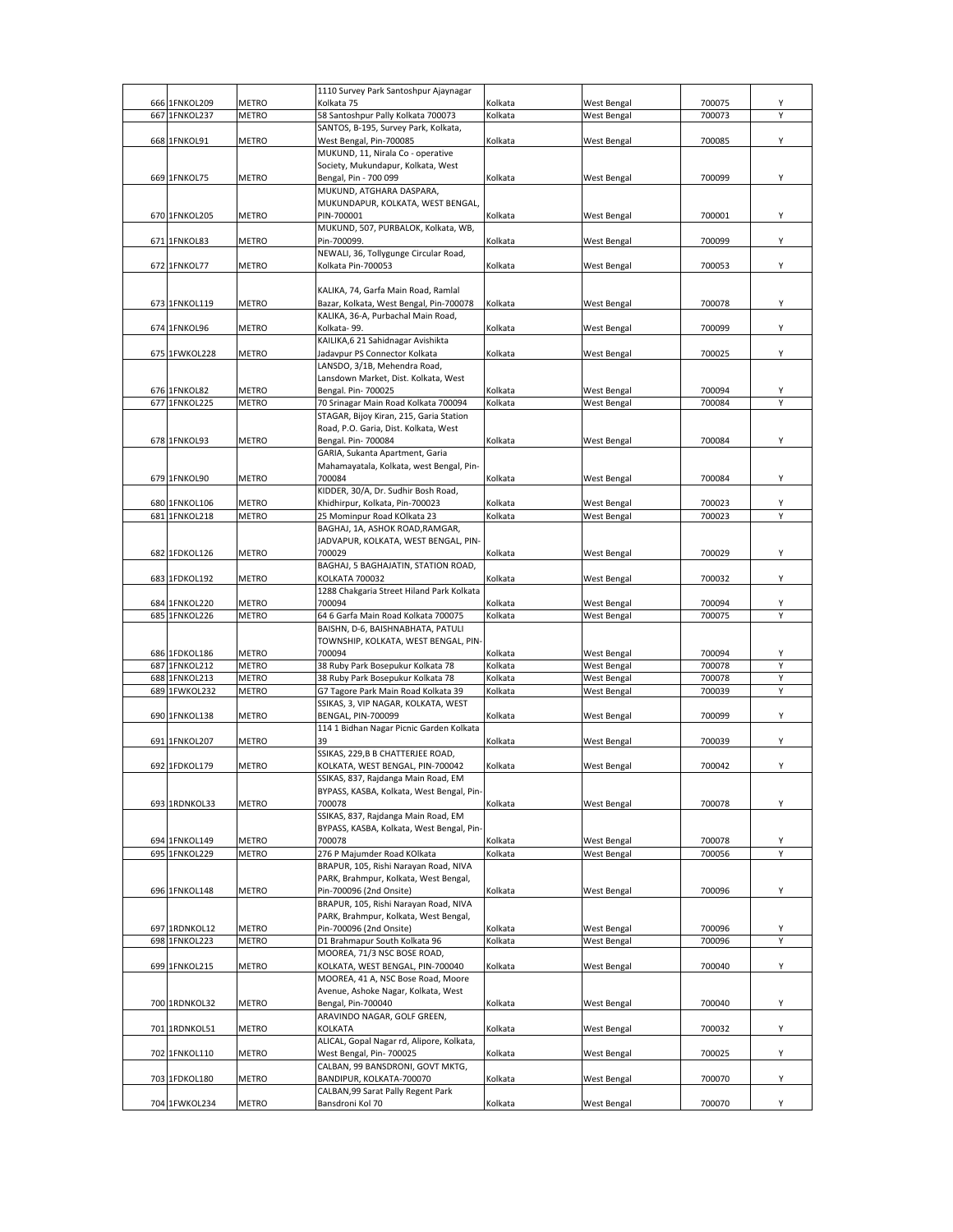|     |               |              | 1110 Survey Park Santoshpur Ajaynagar                  |         |                    |        |        |
|-----|---------------|--------------|--------------------------------------------------------|---------|--------------------|--------|--------|
|     | 666 1FNKOL209 | METRO        | Kolkata 75                                             | Kolkata | West Bengal        | 700075 | Υ      |
| 667 | 1FNKOL237     | <b>METRO</b> | 58 Santoshpur Pally Kolkata 700073                     | Kolkata | West Bengal        | 700073 | Y      |
|     |               |              | SANTOS, B-195, Survey Park, Kolkata,                   |         |                    |        |        |
|     | 668 1FNKOL91  | <b>METRO</b> | West Bengal, Pin-700085                                | Kolkata | West Bengal        | 700085 | Υ      |
|     |               |              | MUKUND, 11, Nirala Co - operative                      |         |                    |        |        |
|     |               |              | Society, Mukundapur, Kolkata, West                     |         |                    |        |        |
|     | 669 1FNKOL75  | <b>METRO</b> | Bengal, Pin - 700 099                                  | Kolkata | West Bengal        | 700099 | Υ      |
|     |               |              | MUKUND, ATGHARA DASPARA,                               |         |                    |        |        |
|     |               |              | MUKUNDAPUR, KOLKATA, WEST BENGAL,                      |         |                    |        |        |
|     | 670 1FNKOL205 | <b>METRO</b> | PIN-700001                                             | Kolkata | West Bengal        | 700001 | Υ      |
|     |               |              | MUKUND, 507, PURBALOK, Kolkata, WB,                    |         |                    |        |        |
|     | 671 1FNKOL83  | <b>METRO</b> | Pin-700099.                                            | Kolkata | West Bengal        | 700099 | Υ      |
|     |               |              | NEWALI, 36, Tollygunge Circular Road,                  |         |                    |        |        |
|     | 672 1FNKOL77  | <b>METRO</b> | Kolkata Pin-700053                                     | Kolkata | West Bengal        | 700053 | Υ      |
|     |               |              |                                                        |         |                    |        |        |
|     |               |              | KALIKA, 74, Garfa Main Road, Ramlal                    |         |                    |        |        |
|     | 673 1FNKOL119 | <b>METRO</b> | Bazar, Kolkata, West Bengal, Pin-700078                | Kolkata | West Bengal        | 700078 | Υ      |
|     |               |              | KALIKA, 36-A, Purbachal Main Road,                     |         |                    |        |        |
|     | 674 1FNKOL96  | <b>METRO</b> | Kolkata-99.                                            | Kolkata | West Bengal        | 700099 | Υ      |
|     |               |              | KAILIKA, 6 21 Sahidnagar Avishikta                     |         |                    |        |        |
|     | 675 1FWKOL228 | METRO        | Jadavpur PS Connector Kolkata                          | Kolkata | West Bengal        | 700025 | Υ      |
|     |               |              | LANSDO, 3/1B, Mehendra Road,                           |         |                    |        |        |
|     |               |              | Lansdown Market, Dist. Kolkata, West                   |         |                    |        |        |
|     | 676 1FNKOL82  |              | Bengal. Pin- 700025                                    |         |                    | 700094 |        |
|     |               | METRO        |                                                        | Kolkata | West Bengal        |        | Υ<br>Υ |
|     | 677 1FNKOL225 | <b>METRO</b> | 70 Srinagar Main Road Kolkata 700094                   | Kolkata | West Bengal        | 700084 |        |
|     |               |              | STAGAR, Bijoy Kiran, 215, Garia Station                |         |                    |        |        |
|     |               |              | Road, P.O. Garia, Dist. Kolkata, West                  |         |                    |        |        |
|     | 678 1FNKOL93  | <b>METRO</b> | Bengal. Pin- 700084                                    | Kolkata | <b>West Bengal</b> | 700084 | Υ      |
|     |               |              | GARIA, Sukanta Apartment, Garia                        |         |                    |        |        |
|     |               |              | Mahamayatala, Kolkata, west Bengal, Pin-               |         |                    |        |        |
|     | 679 1FNKOL90  | <b>METRO</b> | 700084                                                 | Kolkata | <b>West Bengal</b> | 700084 | Υ      |
|     |               |              | KIDDER, 30/A, Dr. Sudhir Bosh Road,                    |         |                    |        |        |
|     | 680 1FNKOL106 | METRO        | Khidhirpur, Kolkata, Pin-700023                        | Kolkata | West Bengal        | 700023 | Υ      |
| 681 | 1FNKOL218     | <b>METRO</b> | 25 Mominpur Road KOlkata 23                            | Kolkata | West Bengal        | 700023 | Υ      |
|     |               |              | BAGHAJ, 1A, ASHOK ROAD, RAMGAR,                        |         |                    |        |        |
|     |               |              | JADVAPUR, KOLKATA, WEST BENGAL, PIN-                   |         |                    |        |        |
|     | 682 1FDKOL126 | <b>METRO</b> | 700029                                                 | Kolkata | <b>West Bengal</b> | 700029 | Υ      |
|     |               |              | BAGHAJ, 5 BAGHAJATIN, STATION ROAD,                    |         |                    |        |        |
|     | 683 1FDKOL192 | METRO        | KOLKATA 700032                                         | Kolkata | <b>West Bengal</b> | 700032 | Υ      |
|     |               |              | 1288 Chakgaria Street Hiland Park Kolkata              |         |                    |        |        |
|     | 684 1FNKOL220 | <b>METRO</b> | 700094                                                 | Kolkata | West Bengal        | 700094 | Υ      |
|     | 685 1FNKOL226 | <b>METRO</b> | 64 6 Garfa Main Road Kolkata 700075                    | Kolkata | West Bengal        | 700075 | Y      |
|     |               |              | BAISHN, D-6, BAISHNABHATA, PATULI                      |         |                    |        |        |
|     |               |              | TOWNSHIP, KOLKATA, WEST BENGAL, PIN-                   |         |                    |        |        |
|     | 686 1FDKOL186 | METRO        | 700094                                                 | Kolkata | West Bengal        | 700094 | Υ      |
|     | 687 1FNKOL212 | <b>METRO</b> | 38 Ruby Park Bosepukur Kolkata 78                      | Kolkata | West Bengal        | 700078 | Υ      |
|     | 688 1FNKOL213 | METRO        | 38 Ruby Park Bosepukur Kolkata 78                      | Kolkata | West Bengal        | 700078 | Υ      |
|     | 689 1FWKOL232 | <b>METRO</b> | G7 Tagore Park Main Road Kolkata 39                    | Kolkata | <b>West Bengal</b> | 700039 | Υ      |
|     |               |              | SSIKAS, 3, VIP NAGAR, KOLKATA, WEST                    |         |                    |        |        |
|     | 690 1FNKOL138 | METRO        | BENGAL, PIN-700099                                     | Kolkata | West Bengal        | 700099 | Υ      |
|     |               |              | 114 1 Bidhan Nagar Picnic Garden Kolkata               |         |                    |        |        |
|     | 691 1FNKOL207 | <b>METRO</b> |                                                        | Kolkata | West Bengal        | 700039 | Υ      |
|     |               |              | SSIKAS, 229, B B CHATTERJEE ROAD,                      |         |                    |        |        |
|     | 692 1FDKOL179 | <b>METRO</b> | KOLKATA, WEST BENGAL, PIN-700042                       | Kolkata | West Bengal        | 700042 | Υ      |
|     |               |              | SSIKAS, 837, Rajdanga Main Road, EM                    |         |                    |        |        |
|     |               |              |                                                        |         |                    |        |        |
|     | 693 1RDNKOL33 | METRO        | BYPASS, KASBA, Kolkata, West Bengal, Pin-<br>700078    | Kolkata | West Bengal        | 700078 | Υ      |
|     |               |              | SSIKAS, 837, Rajdanga Main Road, EM                    |         |                    |        |        |
|     |               |              | BYPASS, KASBA, Kolkata, West Bengal, Pin-              |         |                    |        |        |
|     |               |              |                                                        |         |                    |        |        |
|     | 694 1FNKOL149 | METRO        | 700078                                                 | Kolkata | West Bengal        | 700078 | Υ      |
|     | 695 1FNKOL229 | <b>METRO</b> | 276 P Majumder Road KOlkata                            | Kolkata | <b>West Bengal</b> | 700056 | Υ      |
|     |               |              | BRAPUR, 105, Rishi Narayan Road, NIVA                  |         |                    |        |        |
|     |               |              | PARK, Brahmpur, Kolkata, West Bengal,                  |         |                    |        |        |
|     | 696 1FNKOL148 | METRO        | Pin-700096 (2nd Onsite)                                | Kolkata | West Bengal        | 700096 | Υ      |
|     |               |              | BRAPUR, 105, Rishi Narayan Road, NIVA                  |         |                    |        |        |
|     |               |              | PARK, Brahmpur, Kolkata, West Bengal,                  |         |                    |        |        |
|     | 697 1RDNKOL12 | METRO        | Pin-700096 (2nd Onsite)                                | Kolkata | West Bengal        | 700096 | Υ      |
|     | 698 1FNKOL223 | <b>METRO</b> | D1 Brahmapur South Kolkata 96                          | Kolkata | West Bengal        | 700096 | Υ      |
|     |               |              | MOOREA, 71/3 NSC BOSE ROAD,                            |         |                    |        |        |
|     | 699 1FNKOL215 | METRO        | KOLKATA, WEST BENGAL, PIN-700040                       | Kolkata | West Bengal        | 700040 | Υ      |
|     |               |              | MOOREA, 41 A, NSC Bose Road, Moore                     |         |                    |        |        |
|     |               |              | Avenue, Ashoke Nagar, Kolkata, West                    |         |                    |        |        |
|     | 700 1RDNKOL32 | METRO        | Bengal, Pin-700040                                     | Kolkata | West Bengal        | 700040 | Υ      |
|     |               |              | ARAVINDO NAGAR, GOLF GREEN,                            |         |                    |        |        |
|     | 701 1RDNKOL51 | METRO        | KOLKATA                                                | Kolkata | West Bengal        | 700032 | Υ      |
|     |               |              |                                                        |         |                    |        |        |
|     |               |              | ALICAL, Gopal Nagar rd, Alipore, Kolkata,              |         |                    |        |        |
|     | 702 1FNKOL110 | METRO        | West Bengal, Pin- 700025                               | Kolkata | West Bengal        | 700025 | Υ      |
|     |               |              | CALBAN, 99 BANSDRONI, GOVT MKTG,                       |         |                    |        |        |
|     |               |              |                                                        |         |                    |        |        |
|     | 703 1FDKOL180 | METRO        | BANDIPUR, KOLKATA-700070                               | Kolkata | West Bengal        | 700070 | Υ      |
|     | 704 1FWKOL234 | METRO        | CALBAN, 99 Sarat Pally Regent Park<br>Bansdroni Kol 70 | Kolkata | <b>West Bengal</b> | 700070 | Y      |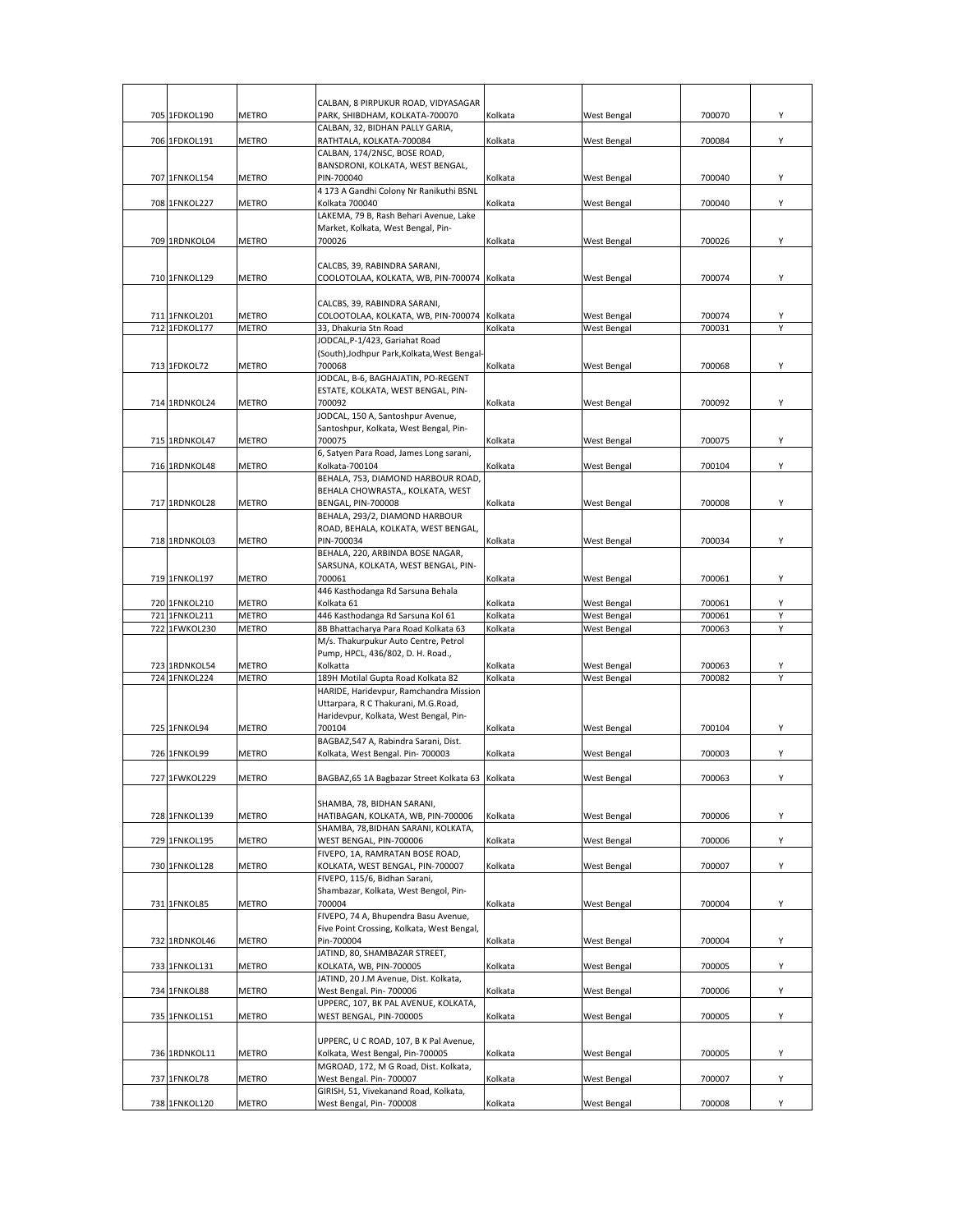|                                |                              | CALBAN, 8 PIRPUKUR ROAD, VIDYASAGAR                                         |                    |                                   |                  |        |
|--------------------------------|------------------------------|-----------------------------------------------------------------------------|--------------------|-----------------------------------|------------------|--------|
| 705 1FDKOL190                  | <b>METRO</b>                 | PARK, SHIBDHAM, KOLKATA-700070                                              | Kolkata            | <b>West Bengal</b>                | 700070           | Υ      |
|                                |                              | CALBAN, 32, BIDHAN PALLY GARIA,                                             |                    |                                   |                  |        |
| 706 1FDKOL191                  | <b>METRO</b>                 | RATHTALA, KOLKATA-700084                                                    | Kolkata            | West Bengal                       | 700084           | Υ      |
|                                |                              | CALBAN, 174/2NSC, BOSE ROAD,                                                |                    |                                   |                  |        |
| 707 1FNKOL154                  | <b>METRO</b>                 | BANSDRONI, KOLKATA, WEST BENGAL,<br>PIN-700040                              | Kolkata            | West Bengal                       | 700040           | Y      |
|                                |                              | 4 173 A Gandhi Colony Nr Ranikuthi BSNL                                     |                    |                                   |                  |        |
| 708 1FNKOL227                  | <b>METRO</b>                 | Kolkata 700040                                                              | Kolkata            | West Bengal                       | 700040           | Υ      |
|                                |                              | LAKEMA, 79 B, Rash Behari Avenue, Lake                                      |                    |                                   |                  |        |
| 709 1RDNKOL04                  | <b>METRO</b>                 | Market, Kolkata, West Bengal, Pin-<br>700026                                | Kolkata            |                                   | 700026           | Y      |
|                                |                              |                                                                             |                    | West Bengal                       |                  |        |
|                                |                              | CALCBS, 39, RABINDRA SARANI,                                                |                    |                                   |                  |        |
| 710 1FNKOL129                  | <b>METRO</b>                 | COOLOTOLAA, KOLKATA, WB, PIN-700074 Kolkata                                 |                    | West Bengal                       | 700074           | Υ      |
|                                |                              |                                                                             |                    |                                   |                  |        |
| 711 1FNKOL201                  | <b>METRO</b>                 | CALCBS, 39, RABINDRA SARANI,<br>COLOOTOLAA, KOLKATA, WB, PIN-700074 Kolkata |                    | West Bengal                       | 700074           | Υ      |
| 712 1FDKOL177                  | <b>METRO</b>                 | 33, Dhakuria Stn Road                                                       | Kolkata            | <b>West Bengal</b>                | 700031           | v      |
|                                |                              | JODCAL, P-1/423, Gariahat Road                                              |                    |                                   |                  |        |
|                                |                              | (South), Jodhpur Park, Kolkata, West Bengal-                                |                    |                                   |                  |        |
| 713 1FDKOL72                   | METRO                        | 700068                                                                      | Kolkata            | <b>West Bengal</b>                | 700068           | Y      |
|                                |                              | JODCAL, B-6, BAGHAJATIN, PO-REGENT                                          |                    |                                   |                  |        |
|                                |                              | ESTATE, KOLKATA, WEST BENGAL, PIN-                                          |                    |                                   |                  | Y      |
| 714 1RDNKOL24                  | METRO                        | 700092<br>JODCAL, 150 A, Santoshpur Avenue,                                 | Kolkata            | <b>West Bengal</b>                | 700092           |        |
|                                |                              | Santoshpur, Kolkata, West Bengal, Pin-                                      |                    |                                   |                  |        |
| 715 1RDNKOL47                  | METRO                        | 700075                                                                      | Kolkata            | West Bengal                       | 700075           | Y      |
|                                |                              | 6, Satyen Para Road, James Long sarani,                                     |                    |                                   |                  |        |
| 716 1RDNKOL48                  | <b>METRO</b>                 | Kolkata-700104                                                              | Kolkata            | West Bengal                       | 700104           | Y      |
|                                |                              | BEHALA, 753, DIAMOND HARBOUR ROAD,                                          |                    |                                   |                  |        |
| 717 1RDNKOL28                  | <b>METRO</b>                 | BEHALA CHOWRASTA,, KOLKATA, WEST<br><b>BENGAL, PIN-700008</b>               | Kolkata            | West Bengal                       | 700008           | Υ      |
|                                |                              | BEHALA, 293/2, DIAMOND HARBOUR                                              |                    |                                   |                  |        |
|                                |                              | ROAD, BEHALA, KOLKATA, WEST BENGAL,                                         |                    |                                   |                  |        |
| 718 1RDNKOL03                  | METRO                        | PIN-700034                                                                  | Kolkata            | <b>West Bengal</b>                | 700034           | Υ      |
|                                |                              | BEHALA, 220, ARBINDA BOSE NAGAR,                                            |                    |                                   |                  |        |
|                                |                              | SARSUNA, KOLKATA, WEST BENGAL, PIN-                                         |                    |                                   |                  |        |
| 719 1FNKOL197                  | <b>METRO</b>                 | 700061<br>446 Kasthodanga Rd Sarsuna Behala                                 | Kolkata            | <b>West Bengal</b>                | 700061           | Υ      |
| 720 1FNKOL210                  | <b>METRO</b>                 | Kolkata 61                                                                  | Kolkata            | West Bengal                       | 700061           | Υ      |
| 721 1FNKOL211                  | <b>METRO</b>                 | 446 Kasthodanga Rd Sarsuna Kol 61                                           | Kolkata            | West Bengal                       | 700061           | Υ      |
| 722 1FWKOL230                  | <b>METRO</b>                 | 8B Bhattacharya Para Road Kolkata 63                                        | Kolkata            | West Bengal                       | 700063           | Υ      |
|                                |                              | M/s. Thakurpukur Auto Centre, Petrol                                        |                    |                                   |                  |        |
|                                |                              | Pump, HPCL, 436/802, D. H. Road.,                                           |                    |                                   |                  |        |
| 723 1RDNKOL54<br>724 1FNKOL224 | <b>METRO</b><br><b>METRO</b> | Kolkatta<br>189H Motilal Gupta Road Kolkata 82                              | Kolkata<br>Kolkata | West Bengal<br><b>West Bengal</b> | 700063<br>700082 | Υ<br>Υ |
|                                |                              | HARIDE, Haridevpur, Ramchandra Mission                                      |                    |                                   |                  |        |
|                                |                              | Uttarpara, R C Thakurani, M.G.Road,                                         |                    |                                   |                  |        |
|                                |                              | Haridevpur, Kolkata, West Bengal, Pin-                                      |                    |                                   |                  |        |
| 725 1FNKOL94                   | METRO                        | 700104                                                                      | Kolkata            | West Bengal                       | 700104           | Y      |
|                                |                              | BAGBAZ, 547 A, Rabindra Sarani, Dist.<br>Kolkata, West Bengal. Pin-700003   | Kolkata            |                                   |                  | Y      |
| 726 1FNKOL99                   | <b>METRO</b>                 |                                                                             |                    | West Bengal                       | 700003           |        |
| 727 1FWKOL229                  | <b>METRO</b>                 | BAGBAZ,65 1A Bagbazar Street Kolkata 63 Kolkata                             |                    | <b>West Bengal</b>                | 700063           | Υ      |
|                                |                              |                                                                             |                    |                                   |                  |        |
|                                |                              | SHAMBA, 78, BIDHAN SARANI,                                                  |                    |                                   |                  |        |
| 728 1FNKOL139                  | <b>METRO</b>                 | HATIBAGAN, KOLKATA, WB, PIN-700006                                          | Kolkata            | West Bengal                       | 700006           | Y      |
|                                |                              | SHAMBA, 78, BIDHAN SARANI, KOLKATA,                                         | Kolkata            |                                   | 700006           | Υ      |
| 729 1FNKOL195                  | <b>METRO</b>                 | WEST BENGAL, PIN-700006<br>FIVEPO. 1A. RAMRATAN BOSE ROAD.                  |                    | West Bengal                       |                  |        |
| 730 1FNKOL128                  | METRO                        | KOLKATA, WEST BENGAL, PIN-700007                                            | Kolkata            | <b>West Bengal</b>                | 700007           | Υ      |
|                                |                              | FIVEPO, 115/6, Bidhan Sarani,                                               |                    |                                   |                  |        |
|                                |                              | Shambazar, Kolkata, West Bengol, Pin-                                       |                    |                                   |                  |        |
| 731 1FNKOL85                   | <b>METRO</b>                 | 700004                                                                      | Kolkata            | West Bengal                       | 700004           | Υ      |
|                                |                              | FIVEPO, 74 A, Bhupendra Basu Avenue,                                        |                    |                                   |                  |        |
|                                |                              |                                                                             |                    |                                   |                  |        |
|                                |                              | Five Point Crossing, Kolkata, West Bengal,                                  |                    |                                   |                  |        |
| 732 1RDNKOL46                  | <b>METRO</b>                 | Pin-700004<br>JATIND, 80, SHAMBAZAR STREET,                                 | Kolkata            | West Bengal                       | 700004           | Υ      |
| 733 1FNKOL131                  | METRO                        | KOLKATA, WB, PIN-700005                                                     | Kolkata            | <b>West Bengal</b>                | 700005           | Υ      |
|                                |                              | JATIND, 20 J.M Avenue, Dist. Kolkata,                                       |                    |                                   |                  |        |
| 734 1FNKOL88                   | METRO                        | West Bengal. Pin- 700006                                                    | Kolkata            | <b>West Bengal</b>                | 700006           | Υ      |
|                                |                              | UPPERC, 107, BK PAL AVENUE, KOLKATA,                                        |                    |                                   |                  |        |
| 735 1FNKOL151                  | METRO                        | WEST BENGAL, PIN-700005                                                     | Kolkata            | West Bengal                       | 700005           | Υ      |
|                                |                              | UPPERC, U C ROAD, 107, B K Pal Avenue,                                      |                    |                                   |                  |        |
| 736 1RDNKOL11                  | METRO                        | Kolkata, West Bengal, Pin-700005                                            | Kolkata            | West Bengal                       | 700005           | Υ      |
|                                |                              | MGROAD, 172, M G Road, Dist. Kolkata,                                       |                    |                                   |                  |        |
| 737 1FNKOL78                   | METRO                        | West Bengal. Pin- 700007                                                    | Kolkata            | West Bengal                       | 700007           | Y      |
| 738 1FNKOL120                  | METRO                        | GIRISH, 51, Vivekanand Road, Kolkata,<br>West Bengal, Pin- 700008           | Kolkata            | <b>West Bengal</b>                | 700008           | Y      |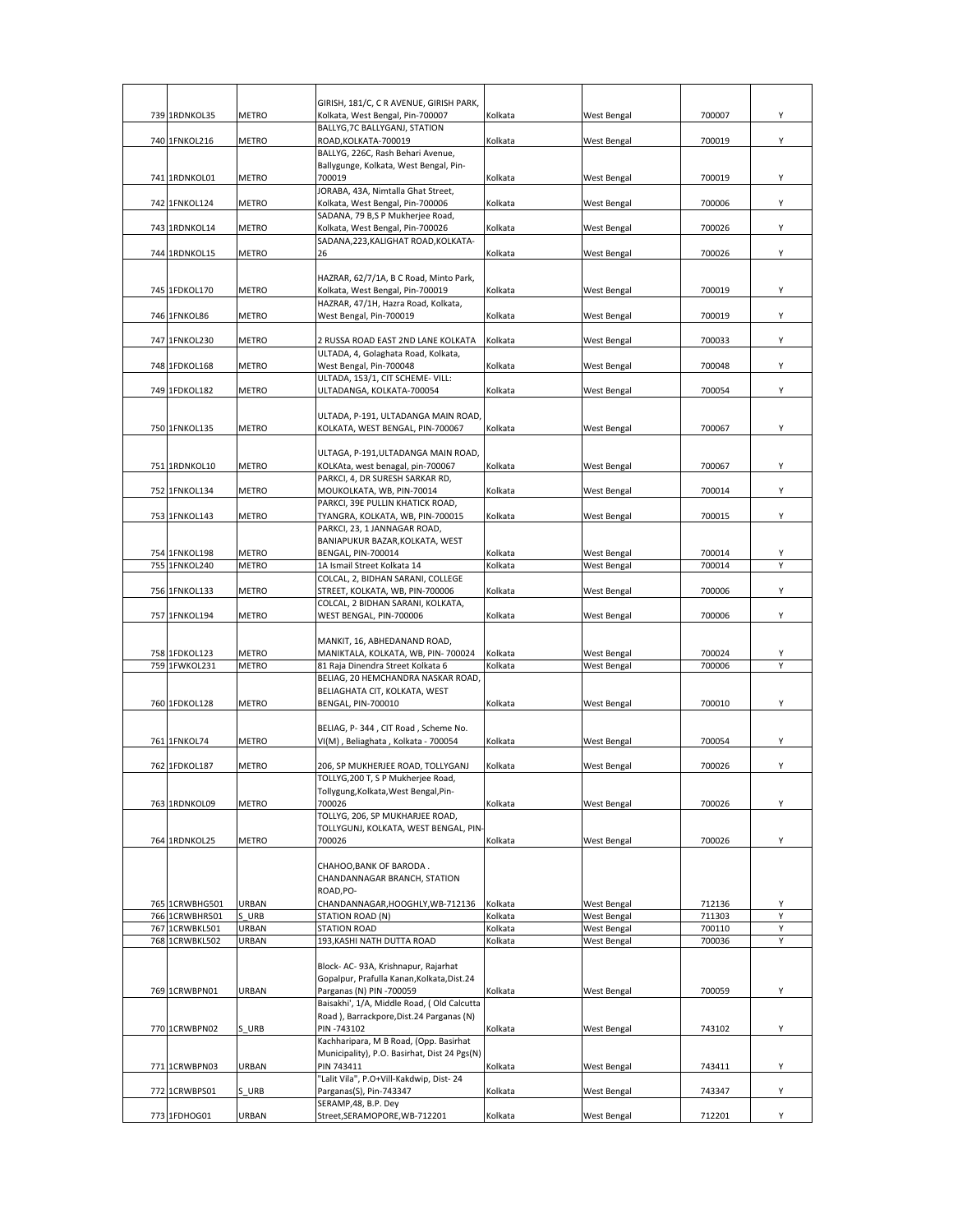| 739 1RDNKOL35                  | <b>METRO</b>                 | GIRISH, 181/C, C R AVENUE, GIRISH PARK,<br>Kolkata, West Bengal, Pin-700007 | Kolkata            | West Bengal                | 700007           | Υ |
|--------------------------------|------------------------------|-----------------------------------------------------------------------------|--------------------|----------------------------|------------------|---|
|                                |                              | BALLYG, 7C BALLYGANJ, STATION                                               |                    |                            |                  |   |
| 740 1FNKOL216                  | <b>METRO</b>                 | ROAD, KOLKATA-700019                                                        | Kolkata            | West Bengal                | 700019           | Υ |
|                                |                              | BALLYG, 226C, Rash Behari Avenue,                                           |                    |                            |                  |   |
|                                |                              | Ballygunge, Kolkata, West Bengal, Pin-                                      |                    |                            |                  |   |
| 741 1RDNKOL01                  | <b>METRO</b>                 | 700019<br>JORABA, 43A, Nimtalla Ghat Street,                                | Kolkata            | West Bengal                | 700019           | Υ |
| 742 1FNKOL124                  | <b>METRO</b>                 | Kolkata, West Bengal, Pin-700006                                            | Kolkata            | West Bengal                | 700006           | Υ |
|                                |                              | SADANA, 79 B,S P Mukherjee Road,                                            |                    |                            |                  |   |
| 743 1RDNKOL14                  | METRO                        | Kolkata, West Bengal, Pin-700026                                            | Kolkata            | West Bengal                | 700026           | Υ |
|                                |                              | SADANA, 223, KALIGHAT ROAD, KOLKATA-                                        |                    |                            |                  |   |
| 744 1RDNKOL15                  | <b>METRO</b>                 | 26                                                                          | Kolkata            | West Bengal                | 700026           | Υ |
|                                |                              | HAZRAR, 62/7/1A, B C Road, Minto Park,                                      |                    |                            |                  |   |
| 745 1FDKOL170                  | <b>METRO</b>                 | Kolkata, West Bengal, Pin-700019                                            | Kolkata            | West Bengal                | 700019           | Υ |
|                                |                              | HAZRAR, 47/1H, Hazra Road, Kolkata,                                         |                    |                            |                  |   |
| 746 1FNKOL86                   | <b>METRO</b>                 | West Bengal, Pin-700019                                                     | Kolkata            | West Bengal                | 700019           | Υ |
|                                |                              |                                                                             |                    |                            |                  |   |
| 747 1FNKOL230                  | <b>METRO</b>                 | 2 RUSSA ROAD EAST 2ND LANE KOLKATA<br>ULTADA, 4, Golaghata Road, Kolkata,   | Kolkata            | West Bengal                | 700033           | Υ |
| 748 1FDKOL168                  | METRO                        | West Bengal, Pin-700048                                                     | Kolkata            | West Bengal                | 700048           | Υ |
|                                |                              | ULTADA, 153/1, CIT SCHEME- VILL:                                            |                    |                            |                  |   |
| 749 1FDKOL182                  | <b>METRO</b>                 | ULTADANGA, KOLKATA-700054                                                   | Kolkata            | West Bengal                | 700054           | Υ |
|                                |                              |                                                                             |                    |                            |                  |   |
| 750 1FNKOL135                  |                              | ULTADA, P-191, ULTADANGA MAIN ROAD,<br>KOLKATA, WEST BENGAL, PIN-700067     |                    |                            | 700067           | Υ |
|                                | <b>METRO</b>                 |                                                                             | Kolkata            | West Bengal                |                  |   |
|                                |                              | ULTAGA, P-191, ULTADANGA MAIN ROAD,                                         |                    |                            |                  |   |
| 751 1RDNKOL10                  | <b>METRO</b>                 | KOLKAta, west benagal, pin-700067                                           | Kolkata            | West Bengal                | 700067           | Υ |
|                                |                              | PARKCI, 4, DR SURESH SARKAR RD,                                             |                    |                            |                  |   |
| 752 1FNKOL134                  | <b>METRO</b>                 | MOUKOLKATA, WB, PIN-70014                                                   | Kolkata            | West Bengal                | 700014           | Υ |
| 753 1FNKOL143                  | <b>METRO</b>                 | PARKCI, 39E PULLIN KHATICK ROAD,<br>TYANGRA, KOLKATA, WB, PIN-700015        | Kolkata            | West Bengal                | 700015           | Υ |
|                                |                              | PARKCI, 23, 1 JANNAGAR ROAD,                                                |                    |                            |                  |   |
|                                |                              | BANIAPUKUR BAZAR, KOLKATA, WEST                                             |                    |                            |                  |   |
| 754 1FNKOL198                  | <b>METRO</b>                 | BENGAL, PIN-700014                                                          | Kolkata            | West Bengal                | 700014           | Υ |
| 755 1FNKOL240                  | <b>METRO</b>                 | 1A Ismail Street Kolkata 14                                                 | Kolkata            | West Bengal                | 700014           | Y |
| 756 1FNKOL133                  | <b>METRO</b>                 | COLCAL, 2, BIDHAN SARANI, COLLEGE<br>STREET, KOLKATA, WB, PIN-700006        | Kolkata            | West Bengal                | 700006           | Υ |
|                                |                              | COLCAL, 2 BIDHAN SARANI, KOLKATA,                                           |                    |                            |                  |   |
| 757 1FNKOL194                  | METRO                        | WEST BENGAL, PIN-700006                                                     | Kolkata            | West Bengal                | 700006           | Υ |
|                                |                              |                                                                             |                    |                            |                  |   |
|                                |                              | MANKIT, 16, ABHEDANAND ROAD,                                                |                    |                            |                  |   |
| 758 1FDKOL123<br>759 1FWKOL231 | <b>METRO</b><br><b>METRO</b> | MANIKTALA, KOLKATA, WB, PIN-700024<br>81 Raja Dinendra Street Kolkata 6     | Kolkata<br>Kolkata | West Bengal<br>West Bengal | 700024<br>700006 | Υ |
|                                |                              | BELIAG, 20 HEMCHANDRA NASKAR ROAD,                                          |                    |                            |                  |   |
|                                |                              | BELIAGHATA CIT, KOLKATA, WEST                                               |                    |                            |                  |   |
| 760 1FDKOL128                  | <b>METRO</b>                 | BENGAL, PIN-700010                                                          | Kolkata            | <b>West Bengal</b>         | 700010           | Υ |
|                                |                              | BELIAG, P-344, CIT Road, Scheme No.                                         |                    |                            |                  |   |
| 761 1FNKOL74                   | <b>METRO</b>                 | VI(M), Beliaghata, Kolkata - 700054                                         | Kolkata            | West Bengal                | 700054           | Υ |
|                                |                              |                                                                             |                    |                            |                  |   |
| 762 1FDKOL187                  | <b>METRO</b>                 | 206, SP MUKHERJEE ROAD, TOLLYGANJ                                           | Kolkata            | West Bengal                | 700026           | Υ |
|                                |                              | TOLLYG.200 T. S P Mukheriee Road.                                           |                    |                            |                  |   |
| 763 1RDNKOL09                  | <b>METRO</b>                 | Tollygung, Kolkata, West Bengal, Pin-<br>700026                             | Kolkata            | West Bengal                | 700026           | Υ |
|                                |                              | TOLLYG, 206, SP MUKHARJEE ROAD,                                             |                    |                            |                  |   |
|                                |                              | TOLLYGUNJ, KOLKATA, WEST BENGAL, PIN-                                       |                    |                            |                  |   |
| 764 1RDNKOL25                  | <b>METRO</b>                 | 700026                                                                      | Kolkata            | West Bengal                | 700026           | Υ |
|                                |                              |                                                                             |                    |                            |                  |   |
|                                |                              | CHAHOO, BANK OF BARODA.<br>CHANDANNAGAR BRANCH, STATION                     |                    |                            |                  |   |
|                                |                              | ROAD.PO-                                                                    |                    |                            |                  |   |
| 765 1CRWBHG501                 | URBAN                        | CHANDANNAGAR, HOOGHLY, WB-712136                                            | Kolkata            | West Bengal                | 712136           | Υ |
| 766 1CRWBHR501                 | S URB                        | <b>STATION ROAD (N)</b>                                                     | Kolkata            | West Bengal                | 711303           | Y |
| 767 1CRWBKL501                 | <b>URBAN</b>                 | <b>STATION ROAD</b>                                                         | Kolkata            | West Bengal                | 700110           | Υ |
| 768 1CRWBKL502                 | URBAN                        | 193, KASHI NATH DUTTA ROAD                                                  | Kolkata            | West Bengal                | 700036           | Υ |
|                                |                              | Block- AC- 93A, Krishnapur, Rajarhat                                        |                    |                            |                  |   |
|                                |                              | Gopalpur, Prafulla Kanan, Kolkata, Dist.24                                  |                    |                            |                  |   |
| 769 1CRWBPN01                  | URBAN                        | Parganas (N) PIN -700059                                                    | Kolkata            | West Bengal                | 700059           | Υ |
|                                |                              | Baisakhi', 1/A, Middle Road, (Old Calcutta                                  |                    |                            |                  |   |
| 770 1CRWBPN02                  | S URB                        | Road), Barrackpore, Dist.24 Parganas (N)<br>PIN-743102                      | Kolkata            | West Bengal                | 743102           | Υ |
|                                |                              | Kachharipara, M B Road, (Opp. Basirhat                                      |                    |                            |                  |   |
|                                |                              | Municipality), P.O. Basirhat, Dist 24 Pgs(N)                                |                    |                            |                  |   |
| 771 1CRWBPN03                  | URBAN                        | PIN 743411                                                                  | Kolkata            | West Bengal                | 743411           | Υ |
|                                |                              | "Lalit Vila", P.O+Vill-Kakdwip, Dist-24                                     |                    |                            |                  |   |
| 772 1CRWBPS01                  | S URB                        | Parganas(S), Pin-743347<br>SERAMP, 48, B.P. Dey                             | Kolkata            | West Bengal                | 743347           | Υ |
| 773 1FDHOG01                   | URBAN                        | Street, SERAMOPORE, WB-712201                                               | Kolkata            | West Bengal                | 712201           | Υ |
|                                |                              |                                                                             |                    |                            |                  |   |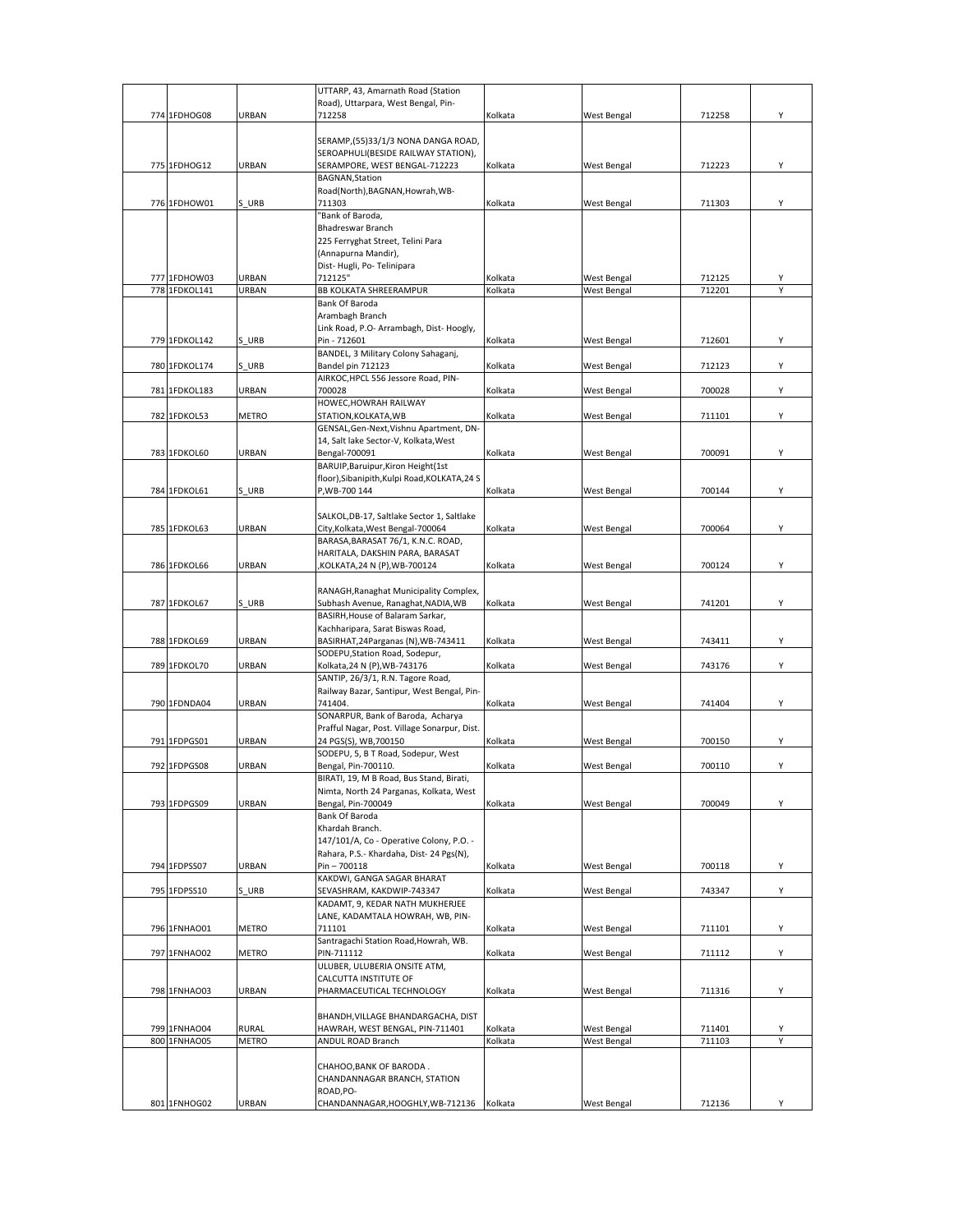|     |               |              | UTTARP, 43, Amarnath Road (Station                                     |         |                    |        |   |
|-----|---------------|--------------|------------------------------------------------------------------------|---------|--------------------|--------|---|
|     |               |              | Road), Uttarpara, West Bengal, Pin-                                    |         |                    |        |   |
|     | 774 1FDHOG08  | URBAN        | 712258                                                                 | Kolkata | <b>West Bengal</b> | 712258 | Υ |
|     |               |              | SERAMP,(55)33/1/3 NONA DANGA ROAD,                                     |         |                    |        |   |
|     |               |              | SEROAPHULI(BESIDE RAILWAY STATION),                                    |         |                    |        |   |
|     | 775 1FDHOG12  | URBAN        | SERAMPORE, WEST BENGAL-712223                                          | Kolkata | <b>West Bengal</b> | 712223 | Υ |
|     |               |              | <b>BAGNAN, Station</b>                                                 |         |                    |        |   |
|     |               |              | Road(North), BAGNAN, Howrah, WB-                                       |         |                    |        |   |
|     | 776 1FDHOW01  | S URB        | 711303                                                                 | Kolkata | West Bengal        | 711303 | Υ |
|     |               |              | "Bank of Baroda,                                                       |         |                    |        |   |
|     |               |              | Bhadreswar Branch                                                      |         |                    |        |   |
|     |               |              | 225 Ferryghat Street, Telini Para                                      |         |                    |        |   |
|     |               |              | (Annapurna Mandir),                                                    |         |                    |        |   |
|     |               |              | Dist-Hugli, Po-Telinipara                                              |         |                    |        |   |
|     | 777 1FDHOW03  | URBAN        | 712125"                                                                | Kolkata | West Bengal        | 712125 |   |
|     | 778 1FDKOL141 | URBAN        | <b>BB KOLKATA SHREERAMPUR</b><br>Bank Of Baroda                        | Kolkata | West Bengal        | 712201 |   |
|     |               |              | Arambagh Branch                                                        |         |                    |        |   |
|     |               |              | Link Road, P.O- Arrambagh, Dist- Hoogly,                               |         |                    |        |   |
|     | 779 1FDKOL142 | S URB        | Pin - 712601                                                           | Kolkata | <b>West Bengal</b> | 712601 | Υ |
|     |               |              | BANDEL, 3 Military Colony Sahaganj,                                    |         |                    |        |   |
|     | 780 1FDKOL174 | S URB        | Bandel pin 712123                                                      | Kolkata | West Bengal        | 712123 | Υ |
|     |               |              | AIRKOC, HPCL 556 Jessore Road, PIN-                                    |         |                    |        |   |
|     | 781 1FDKOL183 | URBAN        | 700028                                                                 | Kolkata | West Bengal        | 700028 | Υ |
|     |               |              | HOWEC, HOWRAH RAILWAY                                                  |         |                    |        |   |
|     | 782 1FDKOL53  | METRO        | STATION, KOLKATA, WB                                                   | Kolkata | West Bengal        | 711101 | Υ |
|     |               |              | GENSAL, Gen-Next, Vishnu Apartment, DN-                                |         |                    |        |   |
|     |               |              | 14, Salt lake Sector-V, Kolkata, West                                  |         |                    |        |   |
|     | 783 1FDKOL60  | URBAN        | Bengal-700091                                                          | Kolkata | West Bengal        | 700091 | Υ |
|     |               |              | BARUIP, Baruipur, Kiron Height (1st                                    |         |                    |        |   |
|     | 784 1FDKOL61  | S URB        | floor), Sibanipith, Kulpi Road, KOLKATA, 24 S<br>P, WB-700 144         | Kolkata | <b>West Bengal</b> | 700144 | Υ |
|     |               |              |                                                                        |         |                    |        |   |
|     |               |              | SALKOL, DB-17, Saltlake Sector 1, Saltlake                             |         |                    |        |   |
| 785 | 1FDKOL63      | URBAN        | City, Kolkata, West Bengal-700064                                      | Kolkata | West Bengal        | 700064 | Υ |
|     |               |              | BARASA, BARASAT 76/1, K.N.C. ROAD,                                     |         |                    |        |   |
|     |               |              | HARITALA, DAKSHIN PARA, BARASAT                                        |         |                    |        |   |
|     | 786 1FDKOL66  | URBAN        | KOLKATA,24 N (P),WB-700124                                             | Kolkata | West Bengal        | 700124 | Υ |
|     |               |              |                                                                        |         |                    |        |   |
|     |               |              | RANAGH, Ranaghat Municipality Complex,                                 |         |                    |        |   |
|     | 787 1FDKOL67  | S URB        | Subhash Avenue, Ranaghat, NADIA, WB                                    | Kolkata | West Bengal        | 741201 | Υ |
|     |               |              | BASIRH, House of Balaram Sarkar,                                       |         |                    |        |   |
|     |               |              | Kachharipara, Sarat Biswas Road,                                       |         |                    |        |   |
|     | 788 1FDKOL69  | URBAN        | BASIRHAT, 24 Parganas (N), WB-743411<br>SODEPU, Station Road, Sodepur, | Kolkata | West Bengal        | 743411 | Υ |
|     | 789 1FDKOL70  | URBAN        | Kolkata, 24 N (P), WB-743176                                           | Kolkata | West Bengal        | 743176 | Υ |
|     |               |              | SANTIP, 26/3/1, R.N. Tagore Road,                                      |         |                    |        |   |
|     |               |              | Railway Bazar, Santipur, West Bengal, Pin-                             |         |                    |        |   |
|     | 790 1FDNDA04  | URBAN        | 741404.                                                                | Kolkata | West Bengal        | 741404 | Υ |
|     |               |              | SONARPUR, Bank of Baroda, Acharya                                      |         |                    |        |   |
|     |               |              | Prafful Nagar, Post. Village Sonarpur, Dist.                           |         |                    |        |   |
|     | 791 1FDPGS01  | URBAN        | 24 PGS(S), WB, 700150                                                  | Kolkata | <b>West Bengal</b> | 700150 | Y |
|     |               |              | SODEPU, 5, B T Road, Sodepur, West                                     |         |                    |        |   |
|     | 792 1FDPGS08  | URBAN        | Bengal, Pin-700110.                                                    | Kolkata | West Bengal        | 700110 | Υ |
|     |               |              | BIRATI, 19, M B Road, Bus Stand, Birati,                               |         |                    |        |   |
|     | 793 1FDPGS09  | URBAN        | Nimta, North 24 Parganas, Kolkata, West<br>Bengal, Pin-700049          | Kolkata | <b>West Bengal</b> | 700049 | Y |
|     |               |              | Bank Of Baroda                                                         |         |                    |        |   |
|     |               |              | Khardah Branch.                                                        |         |                    |        |   |
|     |               |              | 147/101/A, Co - Operative Colony, P.O. -                               |         |                    |        |   |
|     |               |              | Rahara, P.S.- Khardaha, Dist- 24 Pgs(N),                               |         |                    |        |   |
|     | 794 1FDPSS07  | URBAN        | Pin-700118                                                             | Kolkata | <b>West Bengal</b> | 700118 | Υ |
|     |               |              | KAKDWI, GANGA SAGAR BHARAT                                             |         |                    |        |   |
|     | 795 1FDPSS10  | S_URB        | SEVASHRAM, KAKDWIP-743347                                              | Kolkata | <b>West Bengal</b> | 743347 | Υ |
|     |               |              | KADAMT, 9, KEDAR NATH MUKHERJEE                                        |         |                    |        |   |
|     |               |              | LANE, KADAMTALA HOWRAH, WB, PIN-                                       |         |                    |        |   |
|     | 796 1FNHAO01  | <b>METRO</b> | 711101                                                                 | Kolkata | <b>West Bengal</b> | 711101 | Υ |
|     | 797 1FNHAO02  |              | Santragachi Station Road, Howrah, WB.                                  |         |                    |        | Υ |
|     |               | METRO        | PIN-711112<br>ULUBER, ULUBERIA ONSITE ATM,                             | Kolkata | West Bengal        | 711112 |   |
|     |               |              | CALCUTTA INSTITUTE OF                                                  |         |                    |        |   |
|     | 798 1FNHAO03  | URBAN        | PHARMACEUTICAL TECHNOLOGY                                              | Kolkata | West Bengal        | 711316 | Υ |
|     |               |              |                                                                        |         |                    |        |   |
|     |               |              | BHANDH, VILLAGE BHANDARGACHA, DIST                                     |         |                    |        |   |
|     | 799 1FNHAO04  | RURAL        | HAWRAH, WEST BENGAL, PIN-711401                                        | Kolkata | West Bengal        | 711401 | Υ |
|     | 800 1FNHAO05  | <b>METRO</b> | ANDUL ROAD Branch                                                      | Kolkata | West Bengal        | 711103 | Y |
|     |               |              |                                                                        |         |                    |        |   |
|     |               |              | CHAHOO, BANK OF BARODA.                                                |         |                    |        |   |
|     |               |              | CHANDANNAGAR BRANCH, STATION                                           |         |                    |        |   |
|     | 801 1FNHOG02  | URBAN        | ROAD, PO-<br>CHANDANNAGAR, HOOGHLY, WB-712136                          | Kolkata | <b>West Bengal</b> | 712136 | Υ |
|     |               |              |                                                                        |         |                    |        |   |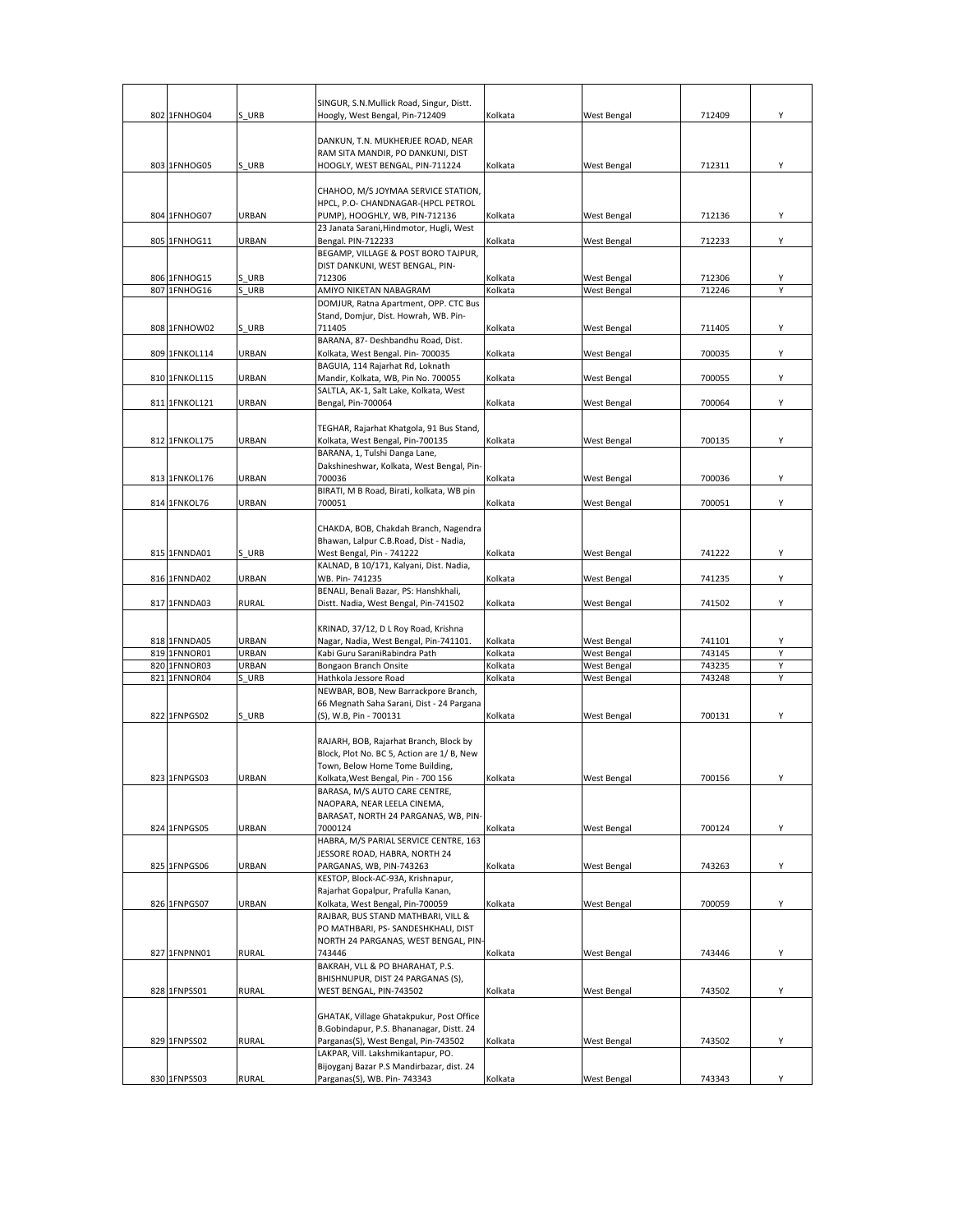|     |               |              | SINGUR, S.N.Mullick Road, Singur, Distt.                                   |         |             |        |   |
|-----|---------------|--------------|----------------------------------------------------------------------------|---------|-------------|--------|---|
|     | 802 1FNHOG04  | S URB        | Hoogly, West Bengal, Pin-712409                                            | Kolkata | West Bengal | 712409 | Υ |
|     |               |              |                                                                            |         |             |        |   |
|     |               |              | DANKUN, T.N. MUKHERJEE ROAD, NEAR                                          |         |             |        |   |
|     |               |              | RAM SITA MANDIR, PO DANKUNI, DIST                                          |         |             |        |   |
|     | 803 1FNHOG05  | S URB        | HOOGLY, WEST BENGAL, PIN-711224                                            | Kolkata | West Bengal | 712311 | Y |
|     |               |              |                                                                            |         |             |        |   |
|     |               |              | CHAHOO, M/S JOYMAA SERVICE STATION,                                        |         |             |        |   |
|     | 804 1FNHOG07  | URBAN        | HPCL, P.O- CHANDNAGAR-(HPCL PETROL                                         | Kolkata | West Bengal | 712136 | Υ |
|     |               |              | PUMP), HOOGHLY, WB, PIN-712136<br>23 Janata Sarani, Hindmotor, Hugli, West |         |             |        |   |
|     | 805 1FNHOG11  | URBAN        | Bengal. PIN-712233                                                         | Kolkata | West Bengal | 712233 | Y |
|     |               |              | BEGAMP, VILLAGE & POST BORO TAJPUR,                                        |         |             |        |   |
|     |               |              | DIST DANKUNI, WEST BENGAL, PIN-                                            |         |             |        |   |
|     | 806 1FNHOG15  | S URB        | 712306                                                                     | Kolkata | West Bengal | 712306 | Υ |
| 807 | 1FNHOG16      | S URB        | AMIYO NIKETAN NABAGRAM                                                     | Kolkata | West Bengal | 712246 | Y |
|     |               |              | DOMJUR, Ratna Apartment, OPP. CTC Bus                                      |         |             |        |   |
|     |               |              | Stand, Domjur, Dist. Howrah, WB. Pin-                                      |         |             |        |   |
|     | 808 1FNHOW02  | S URB        | 711405                                                                     | Kolkata | West Bengal | 711405 | Υ |
|     |               |              | BARANA, 87- Deshbandhu Road, Dist.                                         |         |             |        |   |
|     | 809 1FNKOL114 | URBAN        | Kolkata, West Bengal. Pin- 700035                                          | Kolkata | West Bengal | 700035 | Υ |
|     |               |              | BAGUIA, 114 Rajarhat Rd, Loknath                                           |         |             |        |   |
|     | 810 1FNKOL115 | URBAN        | Mandir, Kolkata, WB, Pin No. 700055                                        | Kolkata | West Bengal | 700055 | Υ |
|     |               |              | SALTLA, AK-1, Salt Lake, Kolkata, West                                     |         |             |        |   |
|     | 811 1FNKOL121 | URBAN        | Bengal, Pin-700064                                                         | Kolkata | West Bengal | 700064 | Υ |
|     |               |              | TEGHAR, Rajarhat Khatgola, 91 Bus Stand,                                   |         |             |        |   |
|     | 812 1FNKOL175 | URBAN        | Kolkata, West Bengal, Pin-700135                                           | Kolkata | West Bengal | 700135 | Υ |
|     |               |              | BARANA, 1, Tulshi Danga Lane,                                              |         |             |        |   |
|     |               |              | Dakshineshwar, Kolkata, West Bengal, Pin-                                  |         |             |        |   |
|     | 813 1FNKOL176 | URBAN        | 700036                                                                     | Kolkata | West Bengal | 700036 | Y |
|     |               |              | BIRATI, M B Road, Birati, kolkata, WB pin                                  |         |             |        |   |
|     | 814 1FNKOL76  | URBAN        | 700051                                                                     | Kolkata | West Bengal | 700051 | Υ |
|     |               |              |                                                                            |         |             |        |   |
|     |               |              | CHAKDA, BOB, Chakdah Branch, Nagendra                                      |         |             |        |   |
|     |               |              | Bhawan, Lalpur C.B.Road, Dist - Nadia,                                     |         |             |        |   |
|     | 815 1FNNDA01  | S URB        | West Bengal, Pin - 741222                                                  | Kolkata | West Bengal | 741222 | Y |
|     |               |              | KALNAD, B 10/171, Kalyani, Dist. Nadia,                                    |         |             |        |   |
|     | 816 1FNNDA02  | URBAN        | WB. Pin- 741235                                                            | Kolkata | West Bengal | 741235 | Υ |
|     |               |              | BENALI, Benali Bazar, PS: Hanshkhali,                                      |         |             |        |   |
|     | 817 1FNNDA03  | <b>RURAL</b> | Distt. Nadia, West Bengal, Pin-741502                                      | Kolkata | West Bengal | 741502 | Υ |
|     |               |              | KRINAD, 37/12, D L Roy Road, Krishna                                       |         |             |        |   |
|     | 818 1FNNDA05  | <b>URBAN</b> | Nagar, Nadia, West Bengal, Pin-741101.                                     | Kolkata | West Bengal | 741101 | Υ |
|     | 819 1FNNOR01  | URBAN        | Kabi Guru SaraniRabindra Path                                              | Kolkata | West Bengal | 743145 | Υ |
|     | 820 1FNNOR03  | URBAN        | Bongaon Branch Onsite                                                      | Kolkata | West Bengal | 743235 | Y |
| 821 | 1FNNOR04      | S URB        | Hathkola Jessore Road                                                      | Kolkata | West Bengal | 743248 | Y |
|     |               |              | NEWBAR, BOB, New Barrackpore Branch,                                       |         |             |        |   |
|     |               |              | 66 Megnath Saha Sarani, Dist - 24 Pargana                                  |         |             |        |   |
|     | 822 1FNPGS02  | S URB        | (S), W.B, Pin - 700131                                                     | Kolkata | West Bengal | 700131 | Y |
|     |               |              |                                                                            |         |             |        |   |
|     |               |              | RAJARH, BOB, Rajarhat Branch, Block by                                     |         |             |        |   |
|     |               |              | Block, Plot No. BC 5, Action are 1/ B, New                                 |         |             |        |   |
|     |               |              | Town, Below Home Tome Building,                                            |         |             |        |   |
|     | 823 1FNPGS03  | <b>URBAN</b> | Kolkata, West Bengal, Pin - 700 156                                        | Kolkata | West Bengal | 700156 | Υ |
|     |               |              | BARASA, M/S AUTO CARE CENTRE,                                              |         |             |        |   |
|     |               |              | NAOPARA, NEAR LEELA CINEMA,<br>BARASAT, NORTH 24 PARGANAS, WB, PIN-        |         |             |        |   |
|     | 824 1FNPGS05  | URBAN        | 7000124                                                                    | Kolkata | West Bengal | 700124 | Y |
|     |               |              | HABRA, M/S PARIAL SERVICE CENTRE, 163                                      |         |             |        |   |
|     |               |              | JESSORE ROAD, HABRA, NORTH 24                                              |         |             |        |   |
|     | 825 1FNPGS06  | URBAN        | PARGANAS, WB, PIN-743263                                                   | Kolkata | West Bengal | 743263 | Υ |
|     |               |              | KESTOP, Block-AC-93A, Krishnapur,                                          |         |             |        |   |
|     |               |              | Rajarhat Gopalpur, Prafulla Kanan,                                         |         |             |        |   |
|     | 826 1FNPGS07  | URBAN        | Kolkata, West Bengal, Pin-700059                                           | Kolkata | West Bengal | 700059 | Υ |
|     |               |              | RAJBAR, BUS STAND MATHBARI, VILL &                                         |         |             |        |   |
|     |               |              | PO MATHBARI, PS- SANDESHKHALI, DIST                                        |         |             |        |   |
|     |               |              | NORTH 24 PARGANAS, WEST BENGAL, PIN-                                       |         |             |        |   |
|     | 827 1FNPNN01  | <b>RURAL</b> | 743446                                                                     | Kolkata | West Bengal | 743446 | Y |
|     |               |              | BAKRAH, VLL & PO BHARAHAT, P.S.                                            |         |             |        |   |
|     |               |              | BHISHNUPUR, DIST 24 PARGANAS (S),                                          |         |             |        |   |
|     | 828 1FNPSS01  | <b>RURAL</b> | WEST BENGAL, PIN-743502                                                    | Kolkata | West Bengal | 743502 | Υ |
|     |               |              | GHATAK, Village Ghatakpukur, Post Office                                   |         |             |        |   |
|     |               |              | B.Gobindapur, P.S. Bhananagar, Distt. 24                                   |         |             |        |   |
|     | 829 1FNPSS02  | RURAL        | Parganas(S), West Bengal, Pin-743502                                       | Kolkata | West Bengal | 743502 | Υ |
|     |               |              | LAKPAR, Vill. Lakshmikantapur, PO.                                         |         |             |        |   |
|     |               |              | Bijoyganj Bazar P.S Mandirbazar, dist. 24                                  |         |             |        |   |
|     | 830 1FNPSS03  | <b>RURAL</b> | Parganas(S), WB. Pin- 743343                                               | Kolkata | West Bengal | 743343 | Υ |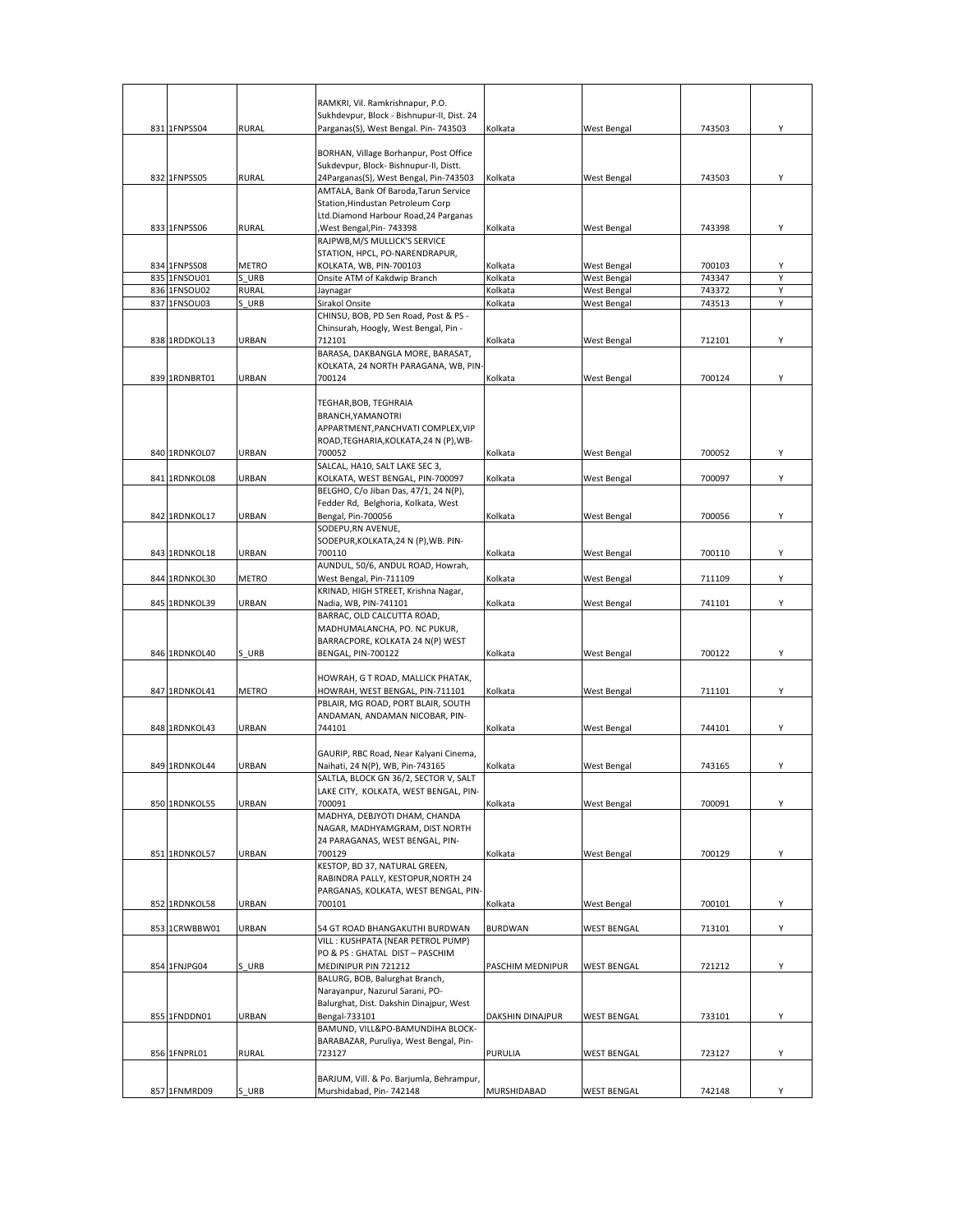|  |               |              | RAMKRI, Vil. Ramkrishnapur, P.O.                                                    |                  |                    |        |   |
|--|---------------|--------------|-------------------------------------------------------------------------------------|------------------|--------------------|--------|---|
|  | 831 1FNPSS04  | <b>RURAL</b> | Sukhdevpur, Block - Bishnupur-II, Dist. 24<br>Parganas(S), West Bengal. Pin- 743503 | Kolkata          | West Bengal        | 743503 |   |
|  |               |              |                                                                                     |                  |                    |        |   |
|  |               |              | BORHAN, Village Borhanpur, Post Office                                              |                  |                    |        |   |
|  |               |              | Sukdevpur, Block- Bishnupur-II, Distt.                                              |                  |                    |        |   |
|  | 832 1FNPSS05  | <b>RURAL</b> | 24Parganas(S), West Bengal, Pin-743503                                              | Kolkata          | West Bengal        | 743503 | Y |
|  |               |              | AMTALA, Bank Of Baroda, Tarun Service                                               |                  |                    |        |   |
|  |               |              | Station, Hindustan Petroleum Corp                                                   |                  |                    |        |   |
|  | 833 1FNPSS06  | <b>RURAL</b> | Ltd.Diamond Harbour Road, 24 Parganas<br>West Bengal, Pin- 743398,                  | Kolkata          | <b>West Bengal</b> | 743398 | Υ |
|  |               |              | RAJPWB, M/S MULLICK'S SERVICE                                                       |                  |                    |        |   |
|  |               |              | STATION, HPCL, PO-NARENDRAPUR,                                                      |                  |                    |        |   |
|  | 834 1FNPSS08  | <b>METRO</b> | KOLKATA, WB, PIN-700103                                                             | Kolkata          | West Bengal        | 700103 | Υ |
|  | 835 1FNSOU01  | S URB        | Onsite ATM of Kakdwip Branch                                                        | Kolkata          | West Bengal        | 743347 | Υ |
|  | 836 1FNSOU02  | <b>RURAL</b> | Jaynagar                                                                            | Kolkata          | West Bengal        | 743372 | Υ |
|  | 837 1FNSOU03  | S URB        | Sirakol Onsite                                                                      | Kolkata          | West Bengal        | 743513 | Υ |
|  |               |              | CHINSU, BOB, PD Sen Road, Post & PS -                                               |                  |                    |        |   |
|  | 838 1RDDKOL13 | <b>URBAN</b> | Chinsurah, Hoogly, West Bengal, Pin -<br>712101                                     | Kolkata          |                    | 712101 | Υ |
|  |               |              | BARASA, DAKBANGLA MORE, BARASAT,                                                    |                  | <b>West Bengal</b> |        |   |
|  |               |              | KOLKATA, 24 NORTH PARAGANA, WB, PIN-                                                |                  |                    |        |   |
|  | 839 1RDNBRT01 | URBAN        | 700124                                                                              | Kolkata          | <b>West Bengal</b> | 700124 | Υ |
|  |               |              |                                                                                     |                  |                    |        |   |
|  |               |              | TEGHAR, BOB, TEGHRAIA                                                               |                  |                    |        |   |
|  |               |              | BRANCH, YAMANOTRI                                                                   |                  |                    |        |   |
|  |               |              | APPARTMENT, PANCHVATI COMPLEX, VIP                                                  |                  |                    |        |   |
|  |               |              | ROAD, TEGHARIA, KOLKATA, 24 N (P), WB-                                              |                  |                    |        |   |
|  | 840 1RDNKOL07 | URBAN        | 700052<br>SALCAL, HA10, SALT LAKE SEC 3,                                            | Kolkata          | West Bengal        | 700052 | Υ |
|  | 841 1RDNKOL08 | URBAN        | KOLKATA, WEST BENGAL, PIN-700097                                                    | Kolkata          | West Bengal        | 700097 | Υ |
|  |               |              | BELGHO, C/o Jiban Das, 47/1, 24 N(P),                                               |                  |                    |        |   |
|  |               |              | Fedder Rd, Belghoria, Kolkata, West                                                 |                  |                    |        |   |
|  | 842 1RDNKOL17 | URBAN        | Bengal, Pin-700056                                                                  | Kolkata          | West Bengal        | 700056 | Y |
|  |               |              | SODEPU, RN AVENUE,                                                                  |                  |                    |        |   |
|  |               |              | SODEPUR, KOLKATA, 24 N (P), WB. PIN-                                                |                  |                    |        |   |
|  | 843 1RDNKOL18 | URBAN        | 700110                                                                              | Kolkata          | West Bengal        | 700110 | Υ |
|  |               |              | AUNDUL, 50/6, ANDUL ROAD, Howrah,                                                   |                  |                    |        |   |
|  | 844 1RDNKOL30 | METRO        | West Bengal, Pin-711109<br>KRINAD, HIGH STREET, Krishna Nagar,                      | Kolkata          | West Bengal        | 711109 | Υ |
|  | 845 1RDNKOL39 | URBAN        | Nadia, WB, PIN-741101                                                               | Kolkata          | <b>West Bengal</b> | 741101 | Υ |
|  |               |              | BARRAC, OLD CALCUTTA ROAD,                                                          |                  |                    |        |   |
|  |               |              | MADHUMALANCHA, PO. NC PUKUR,                                                        |                  |                    |        |   |
|  |               |              | BARRACPORE, KOLKATA 24 N(P) WEST                                                    |                  |                    |        |   |
|  | 846 1RDNKOL40 | S URB        | BENGAL, PIN-700122                                                                  | Kolkata          | <b>West Bengal</b> | 700122 | Y |
|  |               |              |                                                                                     |                  |                    |        |   |
|  |               |              | HOWRAH, G T ROAD, MALLICK PHATAK,                                                   |                  |                    |        |   |
|  | 847 1RDNKOL41 | <b>METRO</b> | HOWRAH, WEST BENGAL, PIN-711101                                                     | Kolkata          | West Bengal        | 711101 | Y |
|  |               |              | PBLAIR, MG ROAD, PORT BLAIR, SOUTH<br>ANDAMAN, ANDAMAN NICOBAR, PIN-                |                  |                    |        |   |
|  | 848 1RDNKOL43 | URBAN        | 744101                                                                              | Kolkata          | <b>West Bengal</b> | 744101 | Y |
|  |               |              |                                                                                     |                  |                    |        |   |
|  |               |              | GAURIP, RBC Road, Near Kalyani Cinema,                                              |                  |                    |        |   |
|  | 849 1RDNKOL44 | URBAN        | Naihati, 24 N(P), WB, Pin-743165                                                    | Kolkata          | West Bengal        | 743165 | Υ |
|  |               |              | SALTLA, BLOCK GN 36/2, SECTOR V, SALT                                               |                  |                    |        |   |
|  |               |              | LAKE CITY, KOLKATA, WEST BENGAL, PIN-                                               |                  |                    |        |   |
|  | 850 1RDNKOL55 | URBAN        | 700091                                                                              | Kolkata          | <b>West Bengal</b> | 700091 | Y |
|  |               |              | MADHYA, DEBJYOTI DHAM, CHANDA<br>NAGAR, MADHYAMGRAM, DIST NORTH                     |                  |                    |        |   |
|  |               |              | 24 PARAGANAS, WEST BENGAL, PIN-                                                     |                  |                    |        |   |
|  | 851 1RDNKOL57 | <b>URBAN</b> | 700129                                                                              | Kolkata          | <b>West Bengal</b> | 700129 | Υ |
|  |               |              | KESTOP, BD 37, NATURAL GREEN,                                                       |                  |                    |        |   |
|  |               |              | RABINDRA PALLY, KESTOPUR, NORTH 24                                                  |                  |                    |        |   |
|  |               |              | PARGANAS, KOLKATA, WEST BENGAL, PIN-                                                |                  |                    |        |   |
|  | 852 1RDNKOL58 | URBAN        | 700101                                                                              | Kolkata          | West Bengal        | 700101 | Υ |
|  |               |              |                                                                                     |                  |                    |        |   |
|  | 853 1CRWBBW01 | URBAN        | 54 GT ROAD BHANGAKUTHI BURDWAN                                                      | <b>BURDWAN</b>   | <b>WEST BENGAL</b> | 713101 | Υ |
|  |               |              | VILL: KUSHPATA (NEAR PETROL PUMP)<br>PO & PS : GHATAL DIST - PASCHIM                |                  |                    |        |   |
|  | 854 1FNJPG04  | S URB        | MEDINIPUR PIN 721212                                                                | PASCHIM MEDNIPUR | <b>WEST BENGAL</b> | 721212 | Υ |
|  |               |              | BALURG, BOB, Balurghat Branch,                                                      |                  |                    |        |   |
|  |               |              | Narayanpur, Nazurul Sarani, PO-                                                     |                  |                    |        |   |
|  |               |              | Balurghat, Dist. Dakshin Dinajpur, West                                             |                  |                    |        |   |
|  | 855 1FNDDN01  | URBAN        | Bengal-733101                                                                       | DAKSHIN DINAJPUR | <b>WEST BENGAL</b> | 733101 | Υ |
|  |               |              | BAMUND, VILL&PO-BAMUNDIHA BLOCK-                                                    |                  |                    |        |   |
|  |               |              | BARABAZAR, Puruliya, West Bengal, Pin-                                              |                  |                    |        |   |
|  | 856 1FNPRL01  | <b>RURAL</b> | 723127                                                                              | PURULIA          | <b>WEST BENGAL</b> | 723127 | Y |
|  |               |              |                                                                                     |                  |                    |        |   |
|  | 857 1FNMRD09  | S URB        | BARJUM, Vill. & Po. Barjumla, Behrampur,<br>Murshidabad, Pin- 742148                | MURSHIDABAD      | <b>WEST BENGAL</b> | 742148 | Υ |
|  |               |              |                                                                                     |                  |                    |        |   |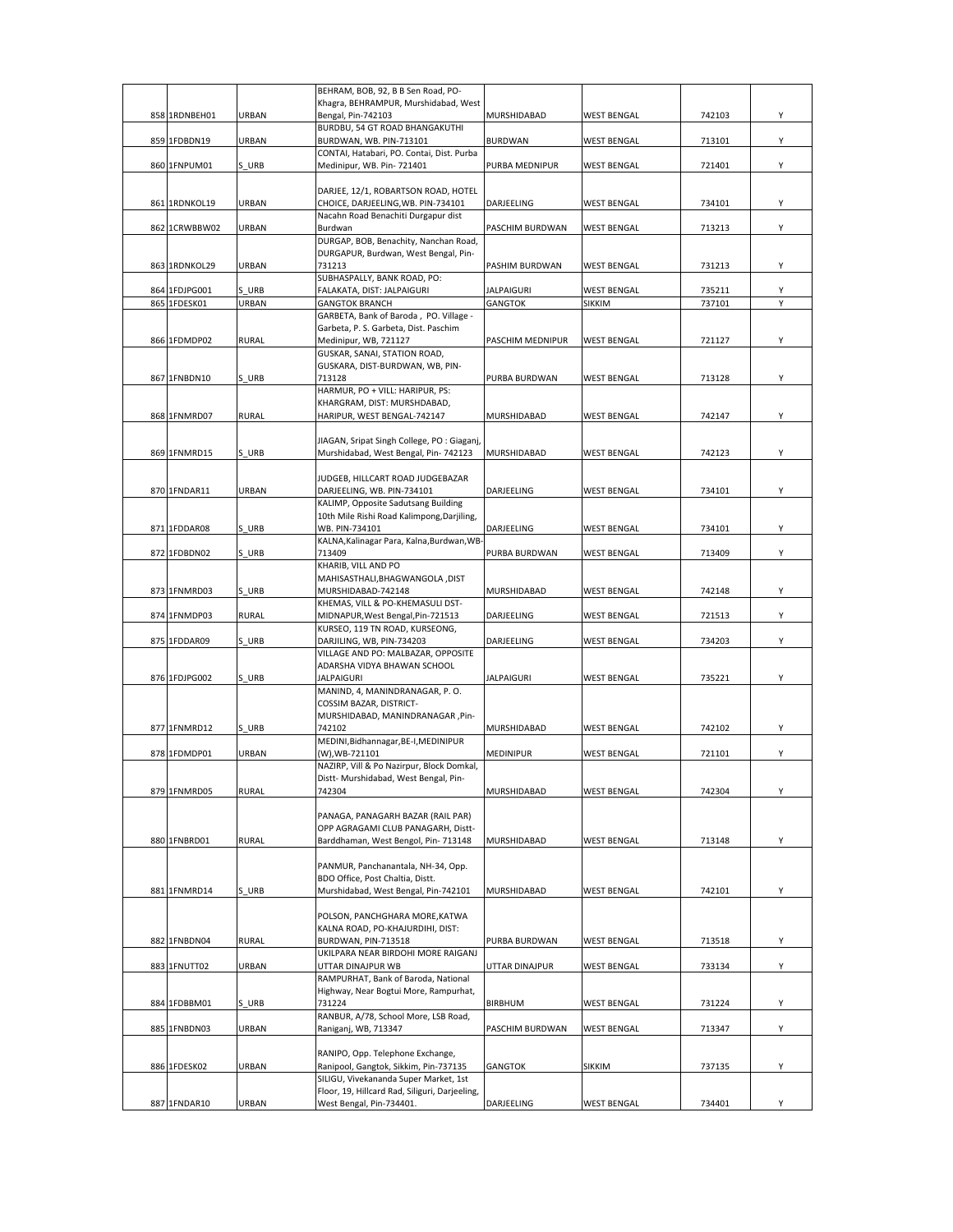|                               |                       | BEHRAM, BOB, 92, B B Sen Road, PO-                                         |                                     |                              |                  |        |
|-------------------------------|-----------------------|----------------------------------------------------------------------------|-------------------------------------|------------------------------|------------------|--------|
|                               |                       | Khagra, BEHRAMPUR, Murshidabad, West<br>Bengal, Pin-742103                 |                                     |                              |                  | Υ      |
| 858 1RDNBEH01                 | URBAN                 | BURDBU, 54 GT ROAD BHANGAKUTHI                                             | MURSHIDABAD                         | <b>WEST BENGAL</b>           | 742103           |        |
| 859 1FDBDN19                  | URBAN                 | BURDWAN, WB. PIN-713101                                                    | <b>BURDWAN</b>                      | <b>WEST BENGAL</b>           | 713101           | Y      |
|                               |                       | CONTAI, Hatabari, PO. Contai, Dist. Purba                                  |                                     |                              |                  |        |
| 860 1FNPUM01                  | S URB                 | Medinipur, WB. Pin-721401                                                  | PURBA MEDNIPUR                      | <b>WEST BENGAL</b>           | 721401           | Υ      |
|                               |                       |                                                                            |                                     |                              |                  |        |
|                               |                       | DARJEE, 12/1, ROBARTSON ROAD, HOTEL                                        |                                     |                              |                  |        |
| 861 1RDNKOL19                 | URBAN                 | CHOICE, DARJEELING, WB. PIN-734101<br>Nacahn Road Benachiti Durgapur dist  | DARJEELING                          | <b>WEST BENGAL</b>           | 734101           | Y      |
| 862 1CRWBBW02                 | URBAN                 | Burdwan                                                                    | PASCHIM BURDWAN                     | <b>WEST BENGAL</b>           | 713213           | Υ      |
|                               |                       | DURGAP, BOB, Benachity, Nanchan Road,                                      |                                     |                              |                  |        |
|                               |                       | DURGAPUR, Burdwan, West Bengal, Pin-                                       |                                     |                              |                  |        |
| 863 1RDNKOL29                 | URBAN                 | 731213                                                                     | PASHIM BURDWAN                      | <b>WEST BENGAL</b>           | 731213           | Y      |
|                               |                       | SUBHASPALLY, BANK ROAD, PO:                                                |                                     |                              |                  |        |
| 864 1FDJPG001<br>865 1FDESK01 | S URB<br><b>URBAN</b> | FALAKATA, DIST: JALPAIGURI<br><b>GANGTOK BRANCH</b>                        | <b>JALPAIGURI</b><br><b>GANGTOK</b> | <b>WEST BENGAL</b><br>SIKKIM | 735211<br>737101 | Υ<br>Y |
|                               |                       | GARBETA, Bank of Baroda, PO. Village -                                     |                                     |                              |                  |        |
|                               |                       | Garbeta, P. S. Garbeta, Dist. Paschim                                      |                                     |                              |                  |        |
| 866 1FDMDP02                  | <b>RURAL</b>          | Medinipur, WB, 721127                                                      | PASCHIM MEDNIPUR                    | <b>WEST BENGAL</b>           | 721127           | Υ      |
|                               |                       | GUSKAR, SANAI, STATION ROAD,                                               |                                     |                              |                  |        |
|                               |                       | GUSKARA, DIST-BURDWAN, WB, PIN-                                            |                                     |                              |                  |        |
| 867 1FNBDN10                  | S URB                 | 713128<br>HARMUR, PO + VILL: HARIPUR, PS:                                  | PURBA BURDWAN                       | <b>WEST BENGAL</b>           | 713128           | Υ      |
|                               |                       | KHARGRAM, DIST: MURSHDABAD,                                                |                                     |                              |                  |        |
| 868 1FNMRD07                  | <b>RURAL</b>          | HARIPUR, WEST BENGAL-742147                                                | MURSHIDABAD                         | <b>WEST BENGAL</b>           | 742147           | Υ      |
|                               |                       |                                                                            |                                     |                              |                  |        |
|                               |                       | JIAGAN, Sripat Singh College, PO : Giaganj,                                |                                     |                              |                  |        |
| 869 1FNMRD15                  | S URB                 | Murshidabad, West Bengal, Pin- 742123                                      | MURSHIDABAD                         | <b>WEST BENGAL</b>           | 742123           | Υ      |
|                               |                       | JUDGEB. HILLCART ROAD JUDGEBAZAR                                           |                                     |                              |                  |        |
| 870 1FNDAR11                  | URBAN                 | DARJEELING, WB. PIN-734101                                                 | DARJEELING                          | <b>WEST BENGAL</b>           | 734101           | Υ      |
|                               |                       | KALIMP, Opposite Sadutsang Building                                        |                                     |                              |                  |        |
|                               |                       | 10th Mile Rishi Road Kalimpong, Darjiling,                                 |                                     |                              |                  |        |
| 871 1FDDAR08                  | S URB                 | WB. PIN-734101                                                             | DARJEELING                          | <b>WEST BENGAL</b>           | 734101           | Y      |
|                               |                       | KALNA, Kalinagar Para, Kalna, Burdwan, WB                                  |                                     |                              |                  |        |
| 872 1FDBDN02                  | S URB                 | 713409                                                                     | PURBA BURDWAN                       | <b>WEST BENGAL</b>           | 713409           | Υ      |
|                               |                       | KHARIB, VILL AND PO<br>MAHISASTHALI, BHAGWANGOLA, DIST                     |                                     |                              |                  |        |
| 873 1FNMRD03                  | S URB                 | MURSHIDABAD-742148                                                         | MURSHIDABAD                         | <b>WEST BENGAL</b>           | 742148           | Υ      |
|                               |                       | KHEMAS, VILL & PO-KHEMASULI DST-                                           |                                     |                              |                  |        |
| 874 1FNMDP03                  | <b>RURAL</b>          | MIDNAPUR, West Bengal, Pin-721513                                          | DARJEELING                          | <b>WEST BENGAL</b>           | 721513           | Υ      |
|                               |                       | KURSEO, 119 TN ROAD, KURSEONG,                                             |                                     |                              |                  |        |
| 875 1FDDAR09                  | S URB                 | DARJILING, WB, PIN-734203                                                  | DARJEELING                          | <b>WEST BENGAL</b>           | 734203           | Y      |
|                               |                       | VILLAGE AND PO: MALBAZAR, OPPOSITE<br>ADARSHA VIDYA BHAWAN SCHOOL          |                                     |                              |                  |        |
| 876 1FDJPG002                 | S URB                 | <b>JALPAIGURI</b>                                                          | <b>JALPAIGURI</b>                   | <b>WEST BENGAL</b>           | 735221           | Υ      |
|                               |                       | MANIND, 4, MANINDRANAGAR, P.O.                                             |                                     |                              |                  |        |
|                               |                       | COSSIM BAZAR, DISTRICT-                                                    |                                     |                              |                  |        |
|                               |                       | MURSHIDABAD, MANINDRANAGAR, Pin-                                           |                                     |                              |                  |        |
| 877 1FNMRD12                  | S URB                 | 742102                                                                     | MURSHIDABAD                         | <b>WEST BENGAL</b>           | 742102           | Y      |
| 878 1FDMDP01                  | URBAN                 | MEDINI, Bidhannagar, BE-I, MEDINIPUR<br>(W),WB-721101                      | MEDINIPUR                           | <b>WEST BENGAL</b>           | 721101           | Υ      |
|                               |                       | NAZIRP, Vill & Po Nazirpur, Block Domkal,                                  |                                     |                              |                  |        |
|                               |                       | Distt- Murshidabad, West Bengal, Pin-                                      |                                     |                              |                  |        |
| 879 1FNMRD05                  | <b>RURAL</b>          | 742304                                                                     | MURSHIDABAD                         | <b>WEST BENGAL</b>           | 742304           | Υ      |
|                               |                       |                                                                            |                                     |                              |                  |        |
|                               |                       | PANAGA, PANAGARH BAZAR (RAIL PAR)                                          |                                     |                              |                  |        |
| 880 1FNBRD01                  | <b>RURAL</b>          | OPP AGRAGAMI CLUB PANAGARH, Distt-<br>Barddhaman, West Bengol, Pin- 713148 | MURSHIDABAD                         | <b>WEST BENGAL</b>           | 713148           | Υ      |
|                               |                       |                                                                            |                                     |                              |                  |        |
|                               |                       | PANMUR, Panchanantala, NH-34, Opp.                                         |                                     |                              |                  |        |
|                               |                       | BDO Office, Post Chaltia, Distt.                                           |                                     |                              |                  |        |
| 881 1FNMRD14                  | S URB                 | Murshidabad, West Bengal, Pin-742101                                       | MURSHIDABAD                         | <b>WEST BENGAL</b>           | 742101           | Υ      |
|                               |                       |                                                                            |                                     |                              |                  |        |
|                               |                       | POLSON, PANCHGHARA MORE, KATWA<br>KALNA ROAD, PO-KHAJURDIHI, DIST:         |                                     |                              |                  |        |
| 882 1FNBDN04                  | <b>RURAL</b>          | BURDWAN, PIN-713518                                                        | PURBA BURDWAN                       | <b>WEST BENGAL</b>           | 713518           | Υ      |
|                               |                       | UKILPARA NEAR BIRDOHI MORE RAIGANJ                                         |                                     |                              |                  |        |
| 883 1FNUTT02                  | URBAN                 | UTTAR DINAJPUR WB                                                          | UTTAR DINAJPUR                      | <b>WEST BENGAL</b>           | 733134           | Υ      |
|                               |                       | RAMPURHAT, Bank of Baroda, National                                        |                                     |                              |                  |        |
|                               |                       | Highway, Near Bogtui More, Rampurhat,                                      |                                     |                              |                  |        |
| 884 1FDBBM01                  | S URB                 | 731224<br>RANBUR, A/78, School More, LSB Road,                             | <b>BIRBHUM</b>                      | <b>WEST BENGAL</b>           | 731224           | Υ      |
| 885 1FNBDN03                  | URBAN                 | Raniganj, WB, 713347                                                       | PASCHIM BURDWAN                     | <b>WEST BENGAL</b>           | 713347           | Υ      |
|                               |                       |                                                                            |                                     |                              |                  |        |
|                               |                       | RANIPO, Opp. Telephone Exchange,                                           |                                     |                              |                  |        |
| 886 1FDESK02                  | URBAN                 | Ranipool, Gangtok, Sikkim, Pin-737135                                      | <b>GANGTOK</b>                      | <b>SIKKIM</b>                | 737135           | Υ      |
|                               |                       | SILIGU, Vivekananda Super Market, 1st                                      |                                     |                              |                  |        |
| 887 1FNDAR10                  | URBAN                 | Floor, 19, Hillcard Rad, Siliguri, Darjeeling,<br>West Bengal, Pin-734401. | DARJEELING                          | <b>WEST BENGAL</b>           | 734401           | Υ      |
|                               |                       |                                                                            |                                     |                              |                  |        |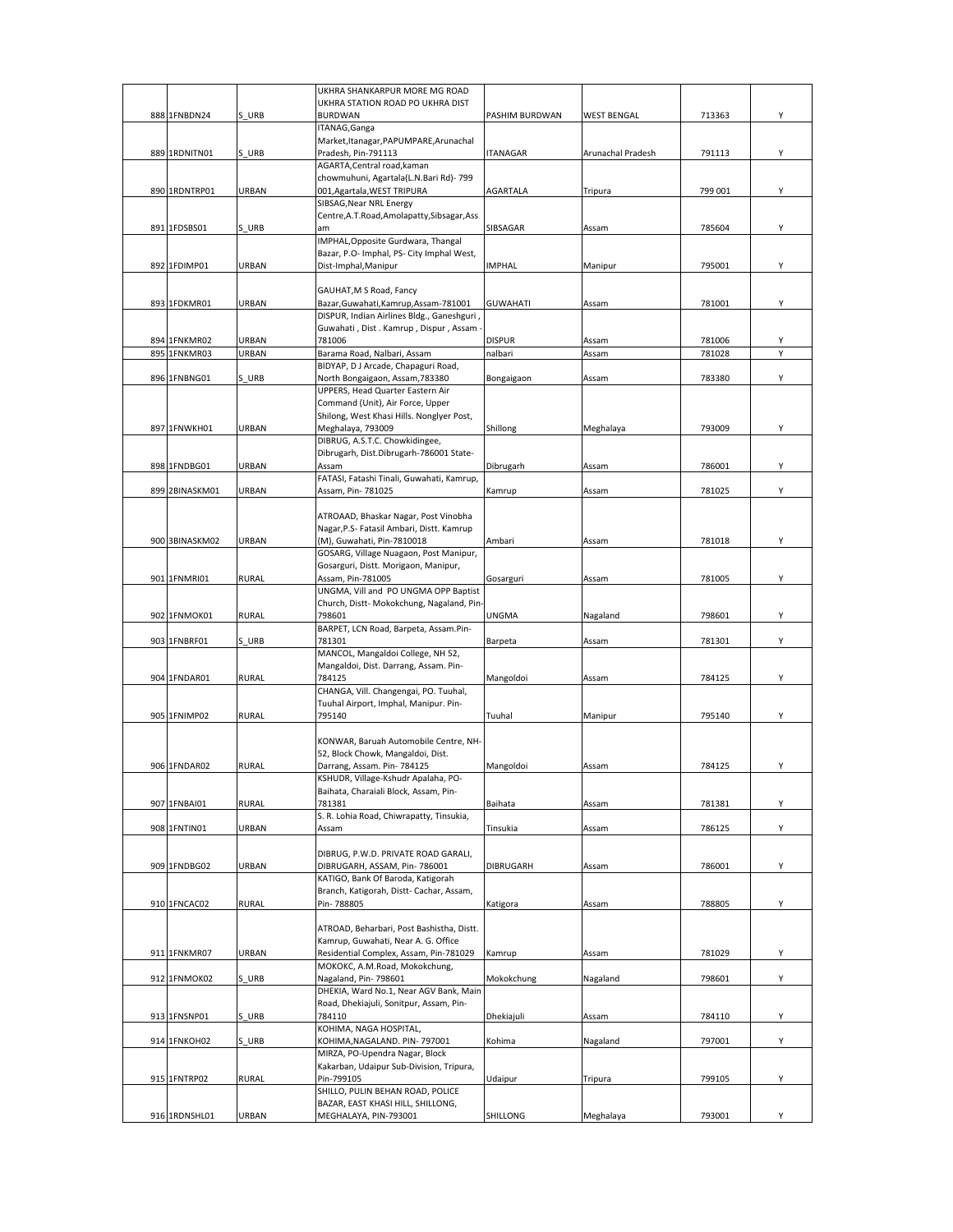|     |                |              | UKHRA SHANKARPUR MORE MG ROAD                |                 |                    |         |   |
|-----|----------------|--------------|----------------------------------------------|-----------------|--------------------|---------|---|
|     |                |              | UKHRA STATION ROAD PO UKHRA DIST             |                 |                    |         |   |
|     | 888 1FNBDN24   | S URB        | <b>BURDWAN</b>                               | PASHIM BURDWAN  | <b>WEST BENGAL</b> | 713363  | Υ |
|     |                |              | ITANAG, Ganga                                |                 |                    |         |   |
|     |                |              | Market, Itanagar, PAPUMPARE, Arunachal       |                 |                    |         |   |
|     | 889 1RDNITN01  | S URB        | Pradesh, Pin-791113                          | <b>ITANAGAR</b> | Arunachal Pradesh  | 791113  | Υ |
|     |                |              | AGARTA, Central road, kaman                  |                 |                    |         |   |
|     |                |              | chowmuhuni, Agartala(L.N.Bari Rd)- 799       |                 |                    |         |   |
|     | 890 1RDNTRP01  | <b>URBAN</b> | 001, Agartala, WEST TRIPURA                  | <b>AGARTALA</b> | Tripura            | 799 001 | Υ |
|     |                |              | SIBSAG, Near NRL Energy                      |                 |                    |         |   |
|     |                |              | Centre, A.T. Road, Amolapatty, Sibsagar, Ass |                 |                    |         |   |
|     | 891 1FDSBS01   | S URB        | am                                           | SIBSAGAR        | Assam              | 785604  | Υ |
|     |                |              | IMPHAL, Opposite Gurdwara, Thangal           |                 |                    |         |   |
|     |                |              | Bazar, P.O- Imphal, PS- City Imphal West,    |                 |                    |         |   |
|     | 892 1FDIMP01   | URBAN        | Dist-Imphal, Manipur                         | <b>IMPHAL</b>   | Manipur            | 795001  | Υ |
|     |                |              |                                              |                 |                    |         |   |
|     |                |              | GAUHAT, M S Road, Fancy                      |                 |                    |         |   |
|     | 893 1FDKMR01   | URBAN        | Bazar, Guwahati, Kamrup, Assam-781001        | <b>GUWAHATI</b> | Assam              | 781001  | Υ |
|     |                |              | DISPUR, Indian Airlines Bldg., Ganeshguri    |                 |                    |         |   |
|     |                |              | Guwahati, Dist. Kamrup, Dispur, Assam        |                 |                    |         |   |
|     | 894 1FNKMR02   | URBAN        | 781006                                       | <b>DISPUR</b>   | Assam              | 781006  | Υ |
| 895 | 1FNKMR03       | <b>URBAN</b> | Barama Road, Nalbari, Assam                  | nalbari         | Assam              | 781028  |   |
|     |                |              | BIDYAP, D J Arcade, Chapaguri Road,          |                 |                    |         |   |
|     | 896 1FNBNG01   | S URB        | North Bongaigaon, Assam, 783380              | Bongaigaon      | Assam              | 783380  | Υ |
|     |                |              | UPPERS, Head Quarter Eastern Air             |                 |                    |         |   |
|     |                |              | Command (Unit), Air Force, Upper             |                 |                    |         |   |
|     |                |              | Shilong, West Khasi Hills. Nonglyer Post,    |                 |                    |         |   |
|     | 897 1FNWKH01   | URBAN        | Meghalaya, 793009                            | Shillong        | Meghalaya          | 793009  | Y |
|     |                |              | DIBRUG, A.S.T.C. Chowkidingee,               |                 |                    |         |   |
|     |                |              | Dibrugarh, Dist.Dibrugarh-786001 State-      |                 |                    |         |   |
|     | 898 1FNDBG01   | URBAN        | Assam                                        |                 | Assam              | 786001  | Y |
|     |                |              |                                              | Dibrugarh       |                    |         |   |
|     |                |              | FATASI, Fatashi Tinali, Guwahati, Kamrup,    |                 |                    |         |   |
|     | 899 2BINASKM01 | URBAN        | Assam, Pin- 781025                           | Kamrup          | Assam              | 781025  | Υ |
|     |                |              |                                              |                 |                    |         |   |
|     |                |              | ATROAAD, Bhaskar Nagar, Post Vinobha         |                 |                    |         |   |
|     |                |              | Nagar, P.S- Fatasil Ambari, Distt. Kamrup    |                 |                    |         |   |
|     | 900 3BINASKM02 | URBAN        | (M), Guwahati, Pin-7810018                   | Ambari          | Assam              | 781018  | Y |
|     |                |              | GOSARG, Village Nuagaon, Post Manipur,       |                 |                    |         |   |
|     |                |              | Gosarguri, Distt. Morigaon, Manipur,         |                 |                    |         |   |
|     | 901 1FNMRI01   | <b>RURAL</b> | Assam, Pin-781005                            | Gosarguri       | Assam              | 781005  | Υ |
|     |                |              | UNGMA, Vill and PO UNGMA OPP Baptist         |                 |                    |         |   |
|     |                |              | Church, Distt- Mokokchung, Nagaland, Pin-    |                 |                    |         |   |
|     | 902 1FNMOK01   | <b>RURAL</b> | 798601                                       | UNGMA           | Nagaland           | 798601  | Y |
|     |                |              | BARPET, LCN Road, Barpeta, Assam.Pin-        |                 |                    |         |   |
|     | 903 1FNBRF01   | S URB        | 781301                                       | Barpeta         | Assam              | 781301  | Υ |
|     |                |              | MANCOL, Mangaldoi College, NH 52,            |                 |                    |         |   |
|     |                |              | Mangaldoi, Dist. Darrang, Assam. Pin-        |                 |                    |         |   |
|     | 904 1FNDAR01   | <b>RURAL</b> | 784125                                       | Mangoldoi       | Assam              | 784125  | Y |
|     |                |              | CHANGA, Vill. Changengai, PO. Tuuhal,        |                 |                    |         |   |
|     |                |              | Tuuhal Airport, Imphal, Manipur. Pin-        |                 |                    |         |   |
|     | 905 1FNIMP02   | <b>RURAL</b> | 795140                                       | Tuuhal          | Manipur            | 795140  | Υ |
|     |                |              |                                              |                 |                    |         |   |
|     |                |              | KONWAR, Baruah Automobile Centre, NH-        |                 |                    |         |   |
|     |                |              | 52, Block Chowk, Mangaldoi, Dist.            |                 |                    |         |   |
|     | 906 1FNDAR02   | <b>RURAL</b> | Darrang, Assam. Pin- 784125                  | Mangoldoi       | Assam              | 784125  |   |
|     |                |              | KSHUDR, Village-Kshudr Apalaha, PO-          |                 |                    |         |   |
|     |                |              | Baihata, Charaiali Block, Assam, Pin-        |                 |                    |         |   |
|     | 907 1FNBAI01   | <b>RURAL</b> | 781381                                       | Baihata         | Assam              | 781381  | Υ |
|     |                |              | S. R. Lohia Road, Chiwrapatty, Tinsukia,     |                 |                    |         |   |
|     | 908 1FNTIN01   | URBAN        | Assam                                        | Tinsukia        | Assam              | 786125  | Υ |
|     |                |              |                                              |                 |                    |         |   |
|     |                |              | DIBRUG, P.W.D. PRIVATE ROAD GARALI,          |                 |                    |         |   |
|     | 909 1FNDBG02   | URBAN        | DIBRUGARH, ASSAM, Pin-786001                 | DIBRUGARH       | Assam              | 786001  | Υ |
|     |                |              | KATIGO, Bank Of Baroda, Katigorah            |                 |                    |         |   |
|     |                |              | Branch, Katigorah, Distt- Cachar, Assam,     |                 |                    |         |   |
|     | 910 1FNCAC02   | <b>RURAL</b> | Pin-788805                                   | Katigora        | Assam              | 788805  | Υ |
|     |                |              |                                              |                 |                    |         |   |
|     |                |              | ATROAD, Beharbari, Post Bashistha, Distt.    |                 |                    |         |   |
|     |                |              | Kamrup, Guwahati, Near A. G. Office          |                 |                    |         |   |
|     | 911 1FNKMR07   | URBAN        | Residential Complex, Assam, Pin-781029       | Kamrup          | Assam              | 781029  | Y |
|     |                |              | MOKOKC, A.M.Road, Mokokchung,                |                 |                    |         |   |
|     | 912 1FNMOK02   | S URB        | Nagaland, Pin- 798601                        | Mokokchung      | Nagaland           | 798601  | Υ |
|     |                |              | DHEKIA, Ward No.1, Near AGV Bank, Main       |                 |                    |         |   |
|     |                |              | Road, Dhekiajuli, Sonitpur, Assam, Pin-      |                 |                    |         |   |
|     | 913 1FNSNP01   | S URB        | 784110                                       | Dhekiajuli      | Assam              | 784110  | Υ |
|     |                |              | KOHIMA, NAGA HOSPITAL,                       |                 |                    |         |   |
|     | 914 1FNKOH02   | S URB        | KOHIMA, NAGALAND. PIN-797001                 | Kohima          | Nagaland           | 797001  | Υ |
|     |                |              | MIRZA, PO-Upendra Nagar, Block               |                 |                    |         |   |
|     |                |              |                                              |                 |                    |         |   |
|     |                |              | Kakarban, Udaipur Sub-Division, Tripura,     |                 |                    |         |   |
|     | 915 1FNTRP02   | RURAL        | Pin-799105                                   | Udaipur         | Tripura            | 799105  | Υ |
|     |                |              | SHILLO, PULIN BEHAN ROAD, POLICE             |                 |                    |         |   |
|     |                |              | BAZAR, EAST KHASI HILL, SHILLONG,            |                 |                    |         |   |
|     | 916 1RDNSHL01  | URBAN        | MEGHALAYA, PIN-793001                        | SHILLONG        | Meghalaya          | 793001  | Υ |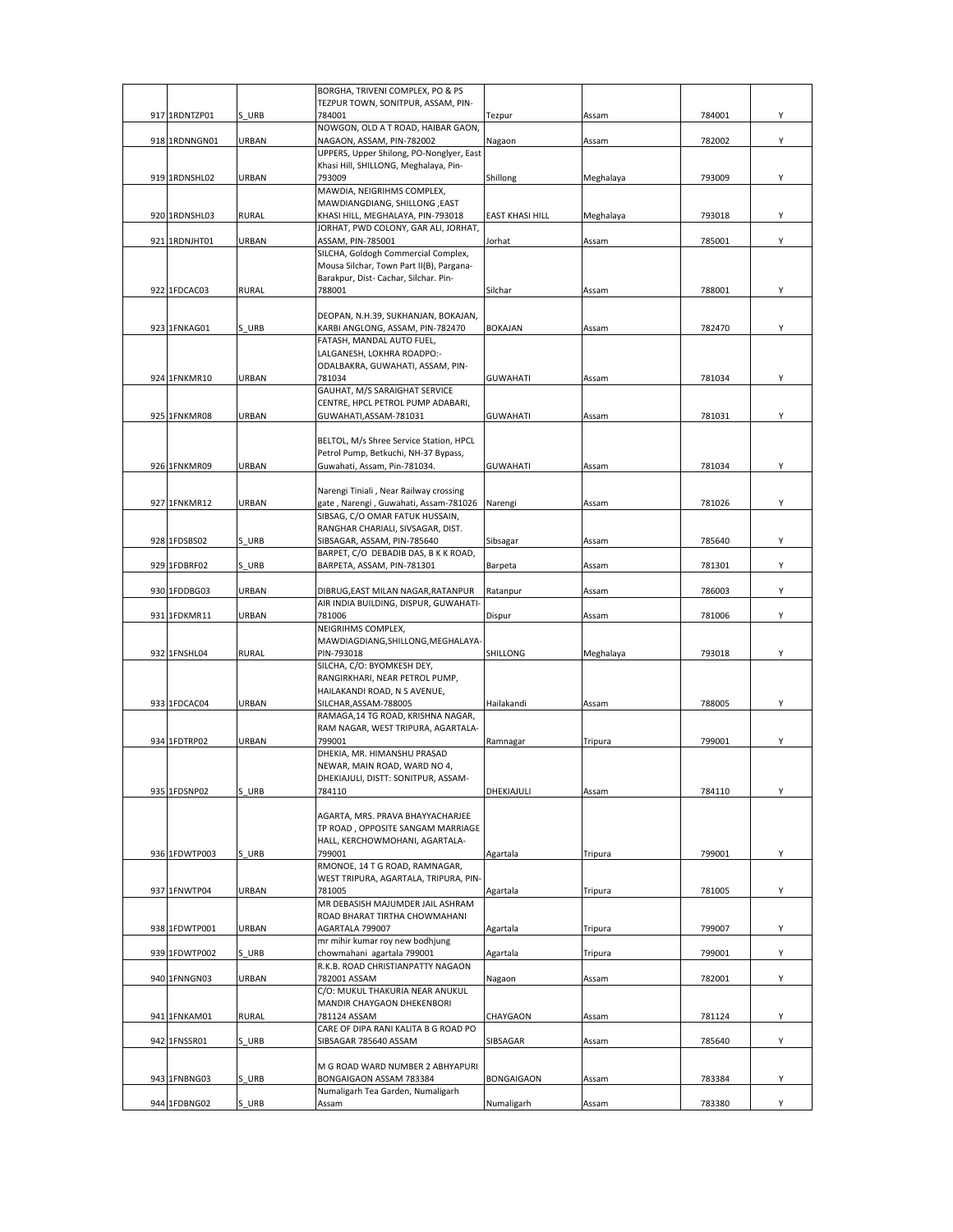|               |              | BORGHA, TRIVENI COMPLEX, PO & PS                                          |                        |           |        |   |
|---------------|--------------|---------------------------------------------------------------------------|------------------------|-----------|--------|---|
|               |              | TEZPUR TOWN, SONITPUR, ASSAM, PIN-                                        |                        |           |        |   |
| 917 1RDNTZP01 | S URB        | 784001<br>NOWGON, OLD A T ROAD, HAIBAR GAON,                              | Tezpur                 | Assam     | 784001 | Υ |
| 918 1RDNNGN01 | URBAN        | NAGAON, ASSAM, PIN-782002                                                 | Nagaon                 | Assam     | 782002 | Y |
|               |              | UPPERS, Upper Shilong, PO-Nonglyer, East                                  |                        |           |        |   |
|               |              | Khasi Hill, SHILLONG, Meghalaya, Pin-                                     |                        |           |        |   |
| 919 1RDNSHL02 | URBAN        | 793009                                                                    | Shillong               | Meghalaya | 793009 | Y |
|               |              | MAWDIA, NEIGRIHMS COMPLEX,                                                |                        |           |        |   |
|               |              | MAWDIANGDIANG, SHILLONG, EAST                                             |                        |           |        |   |
| 920 1RDNSHL03 | <b>RURAL</b> | KHASI HILL, MEGHALAYA, PIN-793018<br>JORHAT, PWD COLONY, GAR ALI, JORHAT, | <b>EAST KHASI HILL</b> | Meghalaya | 793018 | Y |
| 921 1RDNJHT01 | URBAN        | ASSAM, PIN-785001                                                         | Jorhat                 | Assam     | 785001 | Υ |
|               |              | SILCHA, Goldogh Commercial Complex,                                       |                        |           |        |   |
|               |              | Mousa Silchar, Town Part II(B), Pargana-                                  |                        |           |        |   |
|               |              | Barakpur, Dist- Cachar, Silchar. Pin-                                     |                        |           |        |   |
| 922 1FDCAC03  | <b>RURAL</b> | 788001                                                                    | Silchar                | Assam     | 788001 | Y |
|               |              |                                                                           |                        |           |        |   |
| 923 1FNKAG01  | S URB        | DEOPAN, N.H.39, SUKHANJAN, BOKAJAN,<br>KARBI ANGLONG, ASSAM, PIN-782470   | <b>BOKAJAN</b>         | Assam     | 782470 | Y |
|               |              | FATASH, MANDAL AUTO FUEL,                                                 |                        |           |        |   |
|               |              | LALGANESH, LOKHRA ROADPO:-                                                |                        |           |        |   |
|               |              | ODALBAKRA, GUWAHATI, ASSAM, PIN-                                          |                        |           |        |   |
| 924 1FNKMR10  | URBAN        | 781034                                                                    | <b>GUWAHATI</b>        | Assam     | 781034 | Y |
|               |              | GAUHAT, M/S SARAIGHAT SERVICE                                             |                        |           |        |   |
| 925 1FNKMR08  | URBAN        | CENTRE, HPCL PETROL PUMP ADABARI,<br>GUWAHATI, ASSAM-781031               | <b>GUWAHATI</b>        | Assam     | 781031 | Υ |
|               |              |                                                                           |                        |           |        |   |
|               |              | BELTOL, M/s Shree Service Station, HPCL                                   |                        |           |        |   |
|               |              | Petrol Pump, Betkuchi, NH-37 Bypass,                                      |                        |           |        |   |
| 926 1FNKMR09  | URBAN        | Guwahati, Assam, Pin-781034.                                              | GUWAHATI               | Assam     | 781034 | Y |
|               |              |                                                                           |                        |           |        |   |
|               |              | Narengi Tiniali, Near Railway crossing                                    |                        |           |        |   |
| 927 1FNKMR12  | URBAN        | gate, Narengi, Guwahati, Assam-781026                                     | Narengi                | Assam     | 781026 | Y |
|               |              | SIBSAG, C/O OMAR FATUK HUSSAIN,<br>RANGHAR CHARIALI, SIVSAGAR, DIST.      |                        |           |        |   |
| 928 1FDSBS02  | S URB        | SIBSAGAR, ASSAM, PIN-785640                                               | Sibsagar               | Assam     | 785640 | Υ |
|               |              | BARPET, C/O DEBADIB DAS, B K K ROAD,                                      |                        |           |        |   |
| 929 1FDBRF02  | S URB        | BARPETA, ASSAM, PIN-781301                                                | Barpeta                | Assam     | 781301 | Υ |
|               |              |                                                                           |                        |           |        |   |
| 930 1FDDBG03  | URBAN        | DIBRUG, EAST MILAN NAGAR, RATANPUR                                        | Ratanpur               | Assam     | 786003 | Υ |
| 931 1FDKMR11  | URBAN        | AIR INDIA BUILDING, DISPUR, GUWAHATI-<br>781006                           | Dispur                 | Assam     | 781006 | Υ |
|               |              | NEIGRIHMS COMPLEX,                                                        |                        |           |        |   |
|               |              | MAWDIAGDIANG, SHILLONG, MEGHALAYA-                                        |                        |           |        |   |
| 932 1FNSHL04  | <b>RURAL</b> | PIN-793018                                                                | SHILLONG               | Meghalaya | 793018 | Υ |
|               |              | SILCHA, C/O: BYOMKESH DEY,                                                |                        |           |        |   |
|               |              | RANGIRKHARI, NEAR PETROL PUMP,                                            |                        |           |        |   |
|               |              | HAILAKANDI ROAD, N S AVENUE,                                              |                        |           |        |   |
| 933 1FDCAC04  | URBAN        | SILCHAR, ASSAM-788005<br>RAMAGA, 14 TG ROAD, KRISHNA NAGAR,               | Hailakandi             | Assam     | 788005 | Υ |
|               |              | RAM NAGAR, WEST TRIPURA, AGARTALA-                                        |                        |           |        |   |
| 934 1FDTRP02  | URBAN        | 799001                                                                    | Ramnagar               | Tripura   | 799001 | Υ |
|               |              | DHEKIA, MR. HIMANSHU PRASAD                                               |                        |           |        |   |
|               |              | NEWAR, MAIN ROAD, WARD NO 4,                                              |                        |           |        |   |
|               |              | DHEKIAJULI, DISTT: SONITPUR, ASSAM-                                       |                        |           |        |   |
| 935 1FDSNP02  | S URB        | 784110                                                                    | DHEKIAJULI             | Assam     | 784110 | Y |
|               |              | AGARTA, MRS. PRAVA BHAYYACHARJEE                                          |                        |           |        |   |
|               |              | TP ROAD, OPPOSITE SANGAM MARRIAGE                                         |                        |           |        |   |
|               |              | HALL, KERCHOWMOHANI, AGARTALA-                                            |                        |           |        |   |
| 936 1FDWTP003 | S URB        | 799001                                                                    | Agartala               | Tripura   | 799001 | Υ |
|               |              | RMONOE, 14 T G ROAD, RAMNAGAR,                                            |                        |           |        |   |
|               |              | WEST TRIPURA, AGARTALA, TRIPURA, PIN-                                     |                        |           |        |   |
| 937 1FNWTP04  | URBAN        | 781005<br>MR DEBASISH MAJUMDER JAIL ASHRAM                                | Agartala               | Tripura   | 781005 | Υ |
|               |              | ROAD BHARAT TIRTHA CHOWMAHANI                                             |                        |           |        |   |
| 938 1FDWTP001 | URBAN        | AGARTALA 799007                                                           | Agartala               | Tripura   | 799007 | Υ |
|               |              | mr mihir kumar roy new bodhjung                                           |                        |           |        |   |
| 939 1FDWTP002 | S URB        | chowmahani agartala 799001                                                | Agartala               | Tripura   | 799001 | Y |
|               |              | R.K.B. ROAD CHRISTIANPATTY NAGAON                                         |                        |           |        |   |
| 940 1FNNGN03  | URBAN        | 782001 ASSAM                                                              | Nagaon                 | Assam     | 782001 | Y |
|               |              | C/O: MUKUL THAKURIA NEAR ANUKUL                                           |                        |           |        |   |
|               |              | MANDIR CHAYGAON DHEKENBORI                                                |                        |           |        |   |
| 941 1FNKAM01  | <b>RURAL</b> | 781124 ASSAM<br>CARE OF DIPA RANI KALITA B G ROAD PO                      | CHAYGAON               | Assam     | 781124 | Υ |
| 942 1FNSSR01  | S URB        | SIBSAGAR 785640 ASSAM                                                     | SIBSAGAR               | Assam     | 785640 | Y |
|               |              |                                                                           |                        |           |        |   |
|               |              | M G ROAD WARD NUMBER 2 ABHYAPURI                                          |                        |           |        |   |
| 943 1FNBNG03  | S URB        | BONGAIGAON ASSAM 783384                                                   | <b>BONGAIGAON</b>      | Assam     | 783384 | Υ |
|               |              | Numaligarh Tea Garden, Numaligarh                                         |                        |           |        |   |
| 944 1FDBNG02  | S URB        | Assam                                                                     | Numaligarh             | Assam     | 783380 | Y |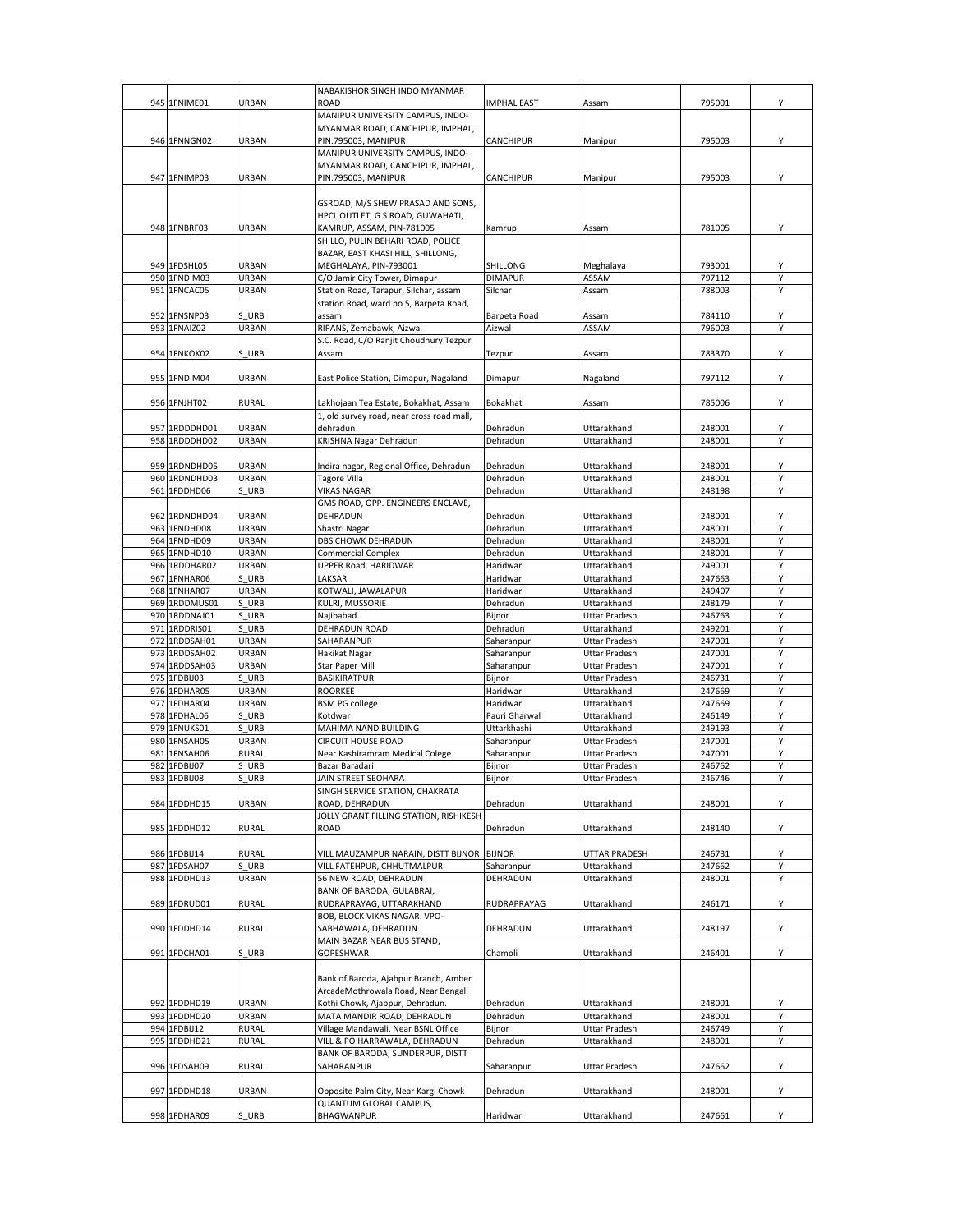|               |              | NABAKISHOR SINGH INDO MYANMAR                                        |                |                      |        |   |
|---------------|--------------|----------------------------------------------------------------------|----------------|----------------------|--------|---|
| 945 1FNIME01  | URBAN        | <b>ROAD</b>                                                          | IMPHAL EAST    | Assam                | 795001 | Υ |
|               |              | MANIPUR UNIVERSITY CAMPUS, INDO-                                     |                |                      |        |   |
|               |              | MYANMAR ROAD, CANCHIPUR, IMPHAL,                                     |                |                      |        |   |
| 946 1FNNGN02  | URBAN        | PIN:795003, MANIPUR                                                  | CANCHIPUR      | Manipur              | 795003 | Υ |
|               |              | MANIPUR UNIVERSITY CAMPUS, INDO-<br>MYANMAR ROAD, CANCHIPUR, IMPHAL, |                |                      |        |   |
| 947 1FNIMP03  | URBAN        | PIN:795003, MANIPUR                                                  | CANCHIPUR      | Manipur              | 795003 | Υ |
|               |              |                                                                      |                |                      |        |   |
|               |              | GSROAD, M/S SHEW PRASAD AND SONS,                                    |                |                      |        |   |
|               |              | HPCL OUTLET, G S ROAD, GUWAHATI,                                     |                |                      |        |   |
| 948 1FNBRF03  | URBAN        | KAMRUP, ASSAM, PIN-781005                                            | Kamrup         | Assam                | 781005 | Υ |
|               |              | SHILLO, PULIN BEHARI ROAD, POLICE                                    |                |                      |        |   |
|               |              | BAZAR, EAST KHASI HILL, SHILLONG,                                    |                |                      |        |   |
| 949 1FDSHL05  | URBAN        | MEGHALAYA, PIN-793001                                                | SHILLONG       | Meghalaya            | 793001 | Υ |
| 950 1FNDIM03  | URBAN        | C/O Jamir City Tower, Dimapur                                        | <b>DIMAPUR</b> | ASSAM                | 797112 | Υ |
| 951 1FNCAC05  | URBAN        | Station Road, Tarapur, Silchar, assam                                | Silchar        | Assam                | 788003 | Y |
|               |              | station Road, ward no 5, Barpeta Road,                               |                |                      |        |   |
| 952 1FNSNP03  | S URB        | assam                                                                | Barpeta Road   | Assam                | 784110 | Υ |
| 953 1FNAIZ02  | URBAN        | RIPANS, Zemabawk, Aizwal                                             | Aizwal         | ASSAM                | 796003 | Y |
|               |              | S.C. Road, C/O Ranjit Choudhury Tezpur                               |                |                      |        |   |
| 954 1FNKOK02  | S URB        | Assam                                                                | Tezpur         | Assam                | 783370 | Υ |
|               |              |                                                                      |                |                      |        |   |
| 955 1FNDIM04  | URBAN        | East Police Station, Dimapur, Nagaland                               | Dimapur        | Nagaland             | 797112 | Υ |
|               |              |                                                                      |                |                      |        |   |
| 956 1FNJHT02  | <b>RURAL</b> | Lakhojaan Tea Estate, Bokakhat, Assam                                | Bokakhat       | Assam                | 785006 | Υ |
|               |              | 1, old survey road, near cross road mall,                            |                |                      |        |   |
| 957 1RDDDHD01 | URBAN        | dehradun                                                             | Dehradun       | Uttarakhand          | 248001 | Υ |
| 958 1RDDDHD02 | URBAN        | KRISHNA Nagar Dehradun                                               | Dehradun       | Uttarakhand          | 248001 | Y |
|               |              |                                                                      |                |                      |        |   |
| 959 1RDNDHD05 | URBAN        | Indira nagar, Regional Office, Dehradun                              | Dehradun       | Uttarakhand          | 248001 | Υ |
| 960 1RDNDHD03 | URBAN        | <b>Tagore Villa</b>                                                  | Dehradun       | Uttarakhand          | 248001 | Y |
| 961 1FDDHD06  | S URB        | <b>VIKAS NAGAR</b>                                                   | Dehradun       | Uttarakhand          | 248198 | Υ |
|               |              | GMS ROAD, OPP. ENGINEERS ENCLAVE,                                    |                |                      |        |   |
| 962 1RDNDHD04 | URBAN        | DEHRADUN                                                             | Dehradun       | Uttarakhand          | 248001 | Υ |
| 963 1FNDHD08  | URBAN        | Shastri Nagar                                                        | Dehradun       | Uttarakhand          | 248001 | Υ |
| 964 1FNDHD09  | URBAN        | DBS CHOWK DEHRADUN                                                   | Dehradun       | Uttarakhand          | 248001 | Υ |
| 965 1FNDHD10  | URBAN        | <b>Commercial Complex</b>                                            | Dehradun       | Uttarakhand          | 248001 | Υ |
| 966 1RDDHAR02 | URBAN        | UPPER Road, HARIDWAR                                                 | Haridwar       | Uttarakhand          | 249001 | Y |
| 967 1FNHAR06  | S URB        | LAKSAR                                                               | Haridwar       | Uttarakhand          | 247663 | Υ |
| 968 1FNHAR07  | URBAN        | KOTWALI, JAWALAPUR                                                   | Haridwar       | Uttarakhand          | 249407 | Υ |
| 969 1RDDMUS01 | S URB        | KULRI, MUSSORIE                                                      | Dehradun       | Uttarakhand          | 248179 | Y |
| 970 1RDDNAJ01 | S URB        | Najibabad                                                            | Bijnor         | Uttar Pradesh        | 246763 | Υ |
| 971 1RDDRIS01 | S URB        | DEHRADUN ROAD                                                        | Dehradun       | Uttarakhand          | 249201 | Υ |
| 972 1RDDSAH01 | URBAN        | SAHARANPUR                                                           | Saharanpur     | Uttar Pradesh        | 247001 | Y |
| 973 1RDDSAH02 | URBAN        | Hakikat Nagar                                                        | Saharanpur     | Uttar Pradesh        | 247001 | Υ |
| 974 1RDDSAH03 | URBAN        | Star Paper Mill                                                      | Saharanpur     | Uttar Pradesh        | 247001 | Υ |
| 975 1FDBIJ03  | S URB        | <b>BASIKIRATPUR</b>                                                  | Bijnor         | Uttar Pradesh        | 246731 | Υ |
| 976 1FDHAR05  | URBAN        | <b>ROORKEE</b>                                                       | Haridwar       | Uttarakhand          | 247669 | Υ |
| 977 1FDHAR04  | URBAN        | <b>BSM PG college</b>                                                | Haridwar       | Uttarakhand          | 247669 | Υ |
| 978 1FDHAL06  | URB          | Kotdwar                                                              | Pauri Gharwal  | Uttarakhand          | 246149 | Y |
| 979 1FNUKS01  | S URB        | MAHIMA NAND BUILDING                                                 | Uttarkhashi    | Uttarakhand          | 249193 | Υ |
| 980 1FNSAH05  | URBAN        | <b>CIRCUIT HOUSE ROAD</b>                                            | Saharanpur     | Uttar Pradesh        | 247001 | Υ |
| 981 1FNSAH06  | RURAL        | Near Kashiramram Medical Colege                                      | Saharanpur     | Uttar Pradesh        | 247001 | Y |
| 982 1FDBIJ07  | S URB        | Bazar Baradari                                                       | Bijnor         | Uttar Pradesh        | 246762 | Υ |
| 983 1FDBIJ08  | S URB        | JAIN STREET SEOHARA                                                  | Bijnor         | <b>Uttar Pradesh</b> | 246746 | Υ |
|               |              | SINGH SERVICE STATION, CHAKRATA                                      |                |                      |        |   |
| 984 1FDDHD15  | URBAN        | ROAD, DEHRADUN                                                       | Dehradun       | Uttarakhand          | 248001 | Υ |
|               |              | JOLLY GRANT FILLING STATION, RISHIKESH                               |                |                      |        |   |
| 985 1FDDHD12  | <b>RURAL</b> | ROAD                                                                 | Dehradun       | Uttarakhand          | 248140 | Υ |
|               |              |                                                                      |                |                      |        |   |
| 986 1FDBIJ14  | <b>RURAL</b> | VILL MAUZAMPUR NARAIN, DISTT BIJNOR                                  | <b>BIJNOR</b>  | UTTAR PRADESH        | 246731 | Υ |
| 987 1FDSAH07  | S URB        | VILL FATEHPUR, CHHUTMALPUR                                           | Saharanpur     | Uttarakhand          | 247662 | Υ |
| 988 1FDDHD13  | URBAN        | 56 NEW ROAD, DEHRADUN                                                | DEHRADUN       | Uttarakhand          | 248001 | Y |
|               |              | BANK OF BARODA, GULABRAI,                                            |                |                      |        |   |
| 989 1FDRUD01  | <b>RURAL</b> | RUDRAPRAYAG, UTTARAKHAND                                             | RUDRAPRAYAG    | Uttarakhand          | 246171 | Υ |
|               |              | BOB, BLOCK VIKAS NAGAR. VPO-                                         |                |                      |        |   |
| 990 1FDDHD14  | RURAL        | SABHAWALA, DEHRADUN                                                  | DEHRADUN       | Uttarakhand          | 248197 | Υ |
|               |              | MAIN BAZAR NEAR BUS STAND,                                           |                |                      |        |   |
| 991 1FDCHA01  | S URB        | GOPESHWAR                                                            | Chamoli        | Uttarakhand          | 246401 | Υ |
|               |              |                                                                      |                |                      |        |   |
|               |              | Bank of Baroda, Ajabpur Branch, Amber                                |                |                      |        |   |
|               |              | ArcadeMothrowala Road, Near Bengali                                  |                |                      |        |   |
| 992 1FDDHD19  | URBAN        | Kothi Chowk, Ajabpur, Dehradun.                                      | Dehradun       | Uttarakhand          | 248001 | Υ |
| 993 1FDDHD20  | URBAN        | MATA MANDIR ROAD, DEHRADUN                                           | Dehradun       | Uttarakhand          | 248001 | Υ |
| 994 1FDBIJ12  | RURAL        | Village Mandawali, Near BSNL Office                                  | Bijnor         | Uttar Pradesh        | 246749 | Υ |
| 995 1FDDHD21  | <b>RURAL</b> | VILL & PO HARRAWALA, DEHRADUN                                        | Dehradun       | Uttarakhand          | 248001 | Y |
|               |              | BANK OF BARODA, SUNDERPUR, DISTT                                     |                |                      |        |   |
| 996 1FDSAH09  | <b>RURAL</b> | SAHARANPUR                                                           | Saharanpur     | Uttar Pradesh        | 247662 | Υ |
|               |              |                                                                      |                |                      |        |   |
|               | URBAN        | Opposite Palm City, Near Kargi Chowk                                 | Dehradun       | Uttarakhand          | 248001 | Y |
| 997 1FDDHD18  |              |                                                                      |                |                      |        |   |
| 998 1FDHAR09  | S URB        | QUANTUM GLOBAL CAMPUS,<br>BHAGWANPUR                                 | Haridwar       | Uttarakhand          | 247661 | Υ |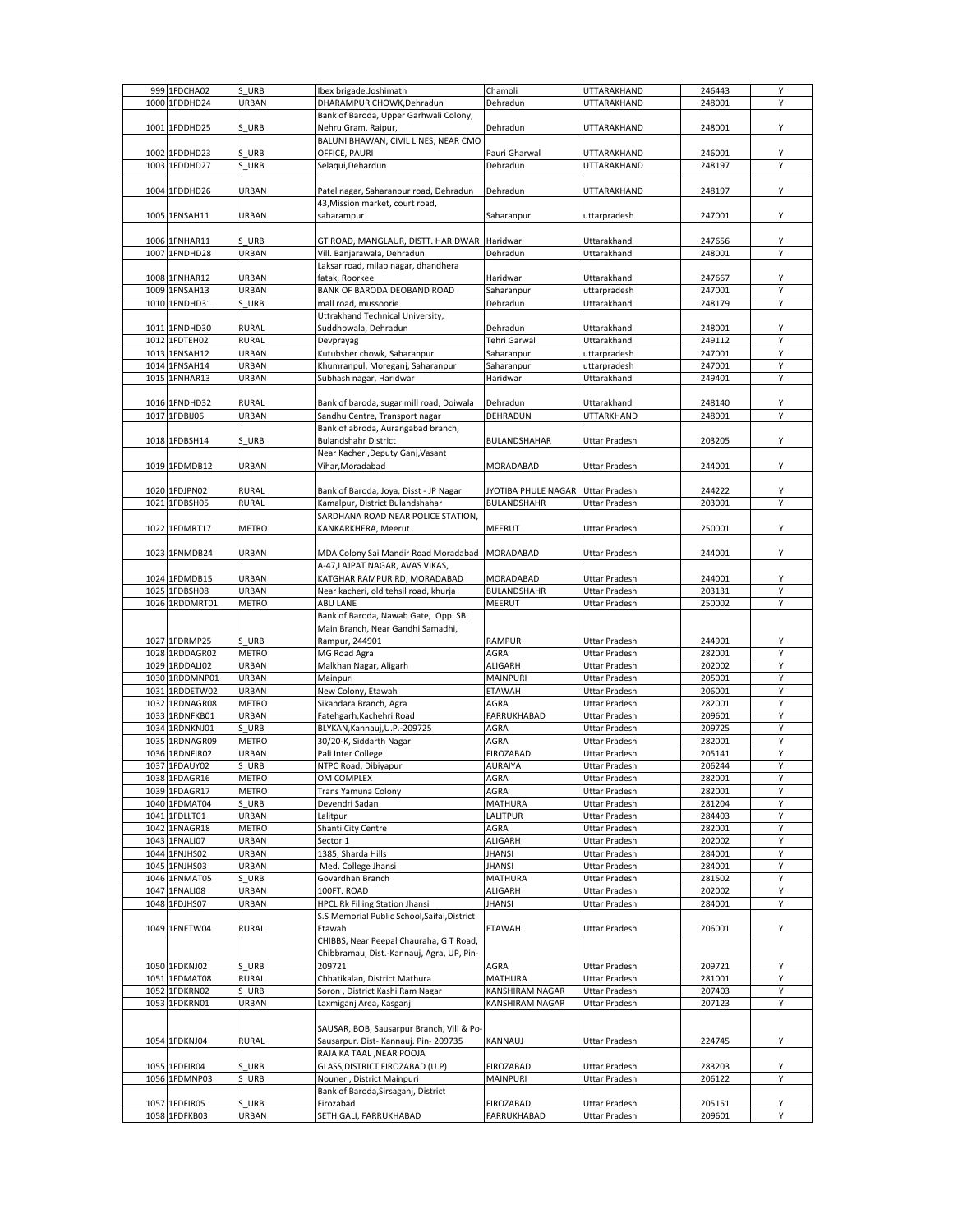| 999 1FDCHA02   | S URB        | Ibex brigade, Joshimath                      | Chamoli             | UTTARAKHAND                    | 246443 | Υ |
|----------------|--------------|----------------------------------------------|---------------------|--------------------------------|--------|---|
| 1000 1FDDHD24  | URBAN        | DHARAMPUR CHOWK, Dehradun                    | Dehradun            | UTTARAKHAND                    | 248001 | Y |
|                |              | Bank of Baroda, Upper Garhwali Colony,       |                     |                                |        |   |
| 1001 1FDDHD25  | S URB        | Nehru Gram, Raipur,                          | Dehradun            | UTTARAKHAND                    | 248001 | Υ |
|                |              | BALUNI BHAWAN, CIVIL LINES, NEAR CMO         |                     |                                |        |   |
| 1002 1FDDHD23  | S URB        | OFFICE, PAURI                                | Pauri Gharwal       | UTTARAKHAND                    | 246001 | Y |
|                |              |                                              |                     |                                |        | Υ |
| 1003 1FDDHD27  | S URB        | Selagui, Dehardun                            | Dehradun            | UTTARAKHAND                    | 248197 |   |
|                |              |                                              |                     |                                |        |   |
| 1004 1FDDHD26  | URBAN        | Patel nagar, Saharanpur road, Dehradun       | Dehradun            | UTTARAKHAND                    | 248197 | Υ |
|                |              | 43, Mission market, court road,              |                     |                                |        |   |
| 1005 1FNSAH11  | URBAN        | saharampur                                   | Saharanpur          | uttarpradesh                   | 247001 | Υ |
|                |              |                                              |                     |                                |        |   |
| 1006 1FNHAR11  | S URB        | GT ROAD, MANGLAUR, DISTT. HARIDWAR Haridwar  |                     | Uttarakhand                    | 247656 | Υ |
| 1007 1FNDHD28  | URBAN        | Vill. Banjarawala, Dehradun                  | Dehradun            | Uttarakhand                    | 248001 | Y |
|                |              | Laksar road, milap nagar, dhandhera          |                     |                                |        |   |
|                |              |                                              |                     |                                |        |   |
| 1008 1FNHAR12  | URBAN        | fatak. Roorkee                               | Haridwar            | Uttarakhand                    | 247667 | Υ |
| 1009 1FNSAH13  | URBAN        | BANK OF BARODA DEOBAND ROAD                  | Saharanpur          | uttarpradesh                   | 247001 | Υ |
| 1010 1FNDHD31  | S URB        | mall road, mussoorie                         | Dehradun            | Uttarakhand                    | 248179 | Y |
|                |              | Uttrakhand Technical University,             |                     |                                |        |   |
| 1011 1FNDHD30  | <b>RURAL</b> | Suddhowala, Dehradun                         | Dehradun            | Uttarakhand                    | 248001 | Υ |
| 1012 1FDTEH02  | RURAL        | Devprayag                                    | Tehri Garwal        | Uttarakhand                    | 249112 | Y |
| 1013 1FNSAH12  | URBAN        | Kutubsher chowk, Saharanpur                  | Saharanpur          | uttarpradesh                   | 247001 | Υ |
| 1014 1FNSAH14  | URBAN        | Khumranpul, Moreganj, Saharanpur             | Saharanpur          | uttarpradesh                   | 247001 | Υ |
|                |              |                                              | Haridwar            |                                |        | Y |
| 1015 1FNHAR13  | URBAN        | Subhash nagar, Haridwar                      |                     | Uttarakhand                    | 249401 |   |
|                |              |                                              |                     |                                |        |   |
| 1016 1FNDHD32  | RURAL        | Bank of baroda, sugar mill road, Doiwala     | Dehradun            | Uttarakhand                    | 248140 | Υ |
| 1017 1FDBIJ06  | URBAN        | Sandhu Centre, Transport nagar               | DEHRADUN            | UTTARKHAND                     | 248001 | Y |
|                |              | Bank of abroda, Aurangabad branch,           |                     |                                |        |   |
| 1018 1FDBSH14  | S URB        | <b>Bulandshahr District</b>                  | BULANDSHAHAR        | Uttar Pradesh                  | 203205 | Υ |
|                |              | Near Kacheri, Deputy Ganj, Vasant            |                     |                                |        |   |
| 1019 1FDMDB12  | URBAN        | Vihar, Moradabad                             | MORADABAD           | <b>Uttar Pradesh</b>           | 244001 | Y |
|                |              |                                              |                     |                                |        |   |
|                |              |                                              |                     |                                |        |   |
| 1020 1FDJPN02  | <b>RURAL</b> | Bank of Baroda, Joya, Disst - JP Nagar       | JYOTIBA PHULE NAGAR | Uttar Pradesh                  | 244222 | Υ |
| 1021 1FDBSH05  | RURAL        | Kamalpur, District Bulandshahar              | BULANDSHAHR         | Uttar Pradesh                  | 203001 | Υ |
|                |              | SARDHANA ROAD NEAR POLICE STATION,           |                     |                                |        |   |
| 1022 1FDMRT17  | METRO        | KANKARKHERA, Meerut                          | MEERUT              | Uttar Pradesh                  | 250001 | Υ |
|                |              |                                              |                     |                                |        |   |
| 1023 1FNMDB24  | URBAN        | MDA Colony Sai Mandir Road Moradabad         | MORADABAD           | Uttar Pradesh                  | 244001 | Υ |
|                |              | A-47, LAJPAT NAGAR, AVAS VIKAS,              |                     |                                |        |   |
| 1024 1FDMDB15  | URBAN        | KATGHAR RAMPUR RD, MORADABAD                 | MORADABAD           | Uttar Pradesh                  | 244001 | Υ |
| 1025 1FDBSH08  | URBAN        |                                              |                     |                                |        | Υ |
|                |              | Near kacheri, old tehsil road, khurja        | BULANDSHAHR         | Uttar Pradesh                  | 203131 |   |
| 1026 1RDDMRT01 | <b>METRO</b> | ABU LANE                                     | MEERUT              | Uttar Pradesh                  | 250002 | Υ |
|                |              | Bank of Baroda, Nawab Gate, Opp. SBI         |                     |                                |        |   |
|                |              | Main Branch, Near Gandhi Samadhi,            |                     |                                |        |   |
| 1027 1FDRMP25  | S URB        | Rampur, 244901                               | RAMPUR              | Uttar Pradesh                  | 244901 | Υ |
| 1028 1RDDAGR02 | <b>METRO</b> | MG Road Agra                                 | AGRA                | Uttar Pradesh                  | 282001 | Y |
| 1029 1RDDALI02 | URBAN        | Malkhan Nagar, Aligarh                       | ALIGARH             | Uttar Pradesh                  | 202002 | Υ |
| 1030 1RDDMNP01 | URBAN        |                                              | MAINPURI            |                                | 205001 | Υ |
|                |              | Mainpuri                                     |                     | Uttar Pradesh                  |        |   |
| 1031 1RDDETW02 | URBAN        | New Colony, Etawah                           | <b>ETAWAH</b>       | Uttar Pradesh                  | 206001 | Y |
| 1032 1RDNAGR08 | METRO        | Sikandara Branch, Agra                       | AGRA                | Uttar Pradesh                  | 282001 | Y |
| 1033 1RDNFKB01 | URBAN        | Fatehgarh, Kachehri Road                     | FARRUKHABAD         | Uttar Pradesh                  | 209601 | Υ |
| 1034 1RDNKNJ01 | S URB        | BLYKAN, Kannauj, U.P.-209725                 | AGRA                |                                |        | Υ |
| 1035 1RDNAGR09 |              |                                              |                     | Uttar Pradesh                  | 209725 |   |
|                |              |                                              | AGRA                |                                |        | Y |
| 1036 1RDNFIR02 | <b>METRO</b> | 30/20-K, Siddarth Nagar                      |                     | Uttar Pradesh<br>Uttar Pradesh | 282001 | Y |
|                | URBAN        | Pali Inter College                           | FIROZABAD           |                                | 205141 |   |
| 1037 1FDAUY02  | S URB        | NTPC Road, Dibiyapur                         | AURAIYA             | Uttar Pradesh                  | 206244 | Υ |
| 1038 1FDAGR16  | <b>MFTRO</b> | OM COMPLEX                                   | AGRA                | <b>Uttar Pradesh</b>           | 282001 | Υ |
| 1039 1FDAGR17  | <b>METRO</b> | Trans Yamuna Colony                          | AGRA                | Uttar Pradesh                  | 282001 | Υ |
| 1040 1FDMAT04  | S URB        | Devendri Sadan                               | MATHURA             | Uttar Pradesh                  | 281204 | Y |
| 1041 1FDLLT01  | URBAN        | Lalitpur                                     | LALITPUR            | Uttar Pradesh                  | 284403 | Υ |
| 1042 1FNAGR18  | <b>METRO</b> | Shanti City Centre                           | AGRA                | Uttar Pradesh                  | 282001 | Υ |
| 1043 1FNALI07  | URBAN        | Sector 1                                     | ALIGARH             | Uttar Pradesh                  | 202002 | Y |
|                |              |                                              |                     |                                |        |   |
| 1044 1FNJHS02  | URBAN        | 1385, Sharda Hills                           | <b>JHANSI</b>       | Uttar Pradesh                  | 284001 | Υ |
| 1045 1FNJHS03  | URBAN        | Med. College Jhansi                          | <b>JHANSI</b>       | Uttar Pradesh                  | 284001 | Υ |
| 1046 1FNMAT05  | S URB        | Govardhan Branch                             | MATHURA             | Uttar Pradesh                  | 281502 | Υ |
| 1047 1FNALI08  | URBAN        | 100FT. ROAD                                  | <b>ALIGARH</b>      | Uttar Pradesh                  | 202002 | Υ |
| 1048 1FDJHS07  | URBAN        | <b>HPCL Rk Filling Station Jhansi</b>        | <b>JHANSI</b>       | Uttar Pradesh                  | 284001 | Υ |
|                |              | S.S Memorial Public School, Saifai, District |                     |                                |        |   |
| 1049 1FNETW04  | <b>RURAL</b> | Etawah                                       | <b>ETAWAH</b>       | Uttar Pradesh                  | 206001 | Υ |
|                |              | CHIBBS, Near Peepal Chauraha, G T Road,      |                     |                                |        |   |
|                |              | Chibbramau, Dist.-Kannauj, Agra, UP, Pin-    |                     |                                |        |   |
|                |              |                                              |                     |                                |        |   |
| 1050 1FDKNJ02  | S URB        | 209721                                       | AGRA                | Uttar Pradesh                  | 209721 | Υ |
| 1051 1FDMAT08  | <b>RURAL</b> | Chhatikalan, District Mathura                | <b>MATHURA</b>      | <b>Uttar Pradesh</b>           | 281001 | Υ |
| 1052 1FDKRN02  | S URB        | Soron, District Kashi Ram Nagar              | KANSHIRAM NAGAR     | Uttar Pradesh                  | 207403 | Υ |
| 1053 1FDKRN01  | URBAN        | Laxmiganj Area, Kasganj                      | KANSHIRAM NAGAR     | Uttar Pradesh                  | 207123 | Υ |
|                |              |                                              |                     |                                |        |   |
|                |              | SAUSAR, BOB, Sausarpur Branch, Vill & Po-    |                     |                                |        |   |
| 1054 1FDKNJ04  | <b>RURAL</b> | Sausarpur. Dist- Kannauj. Pin- 209735        | KANNAUJ             | <b>Uttar Pradesh</b>           | 224745 | Υ |
|                |              |                                              |                     |                                |        |   |
|                |              | RAJA KA TAAL, NEAR POOJA                     |                     |                                |        |   |
| 1055 1FDFIR04  | S URB        | GLASS, DISTRICT FIROZABAD (U.P)              | FIROZABAD           | Uttar Pradesh                  | 283203 | Υ |
| 1056 1FDMNP03  | S URB        | Nouner, District Mainpuri                    | MAINPURI            | Uttar Pradesh                  | 206122 | Y |
|                |              | Bank of Baroda, Sirsaganj, District          |                     |                                |        |   |
| 1057 1FDFIR05  | S URB        | Firozabad                                    | FIROZABAD           | Uttar Pradesh                  | 205151 | Υ |
| 1058 1FDFKB03  | URBAN        | SETH GALI, FARRUKHABAD                       | FARRUKHABAD         | Uttar Pradesh                  | 209601 | Υ |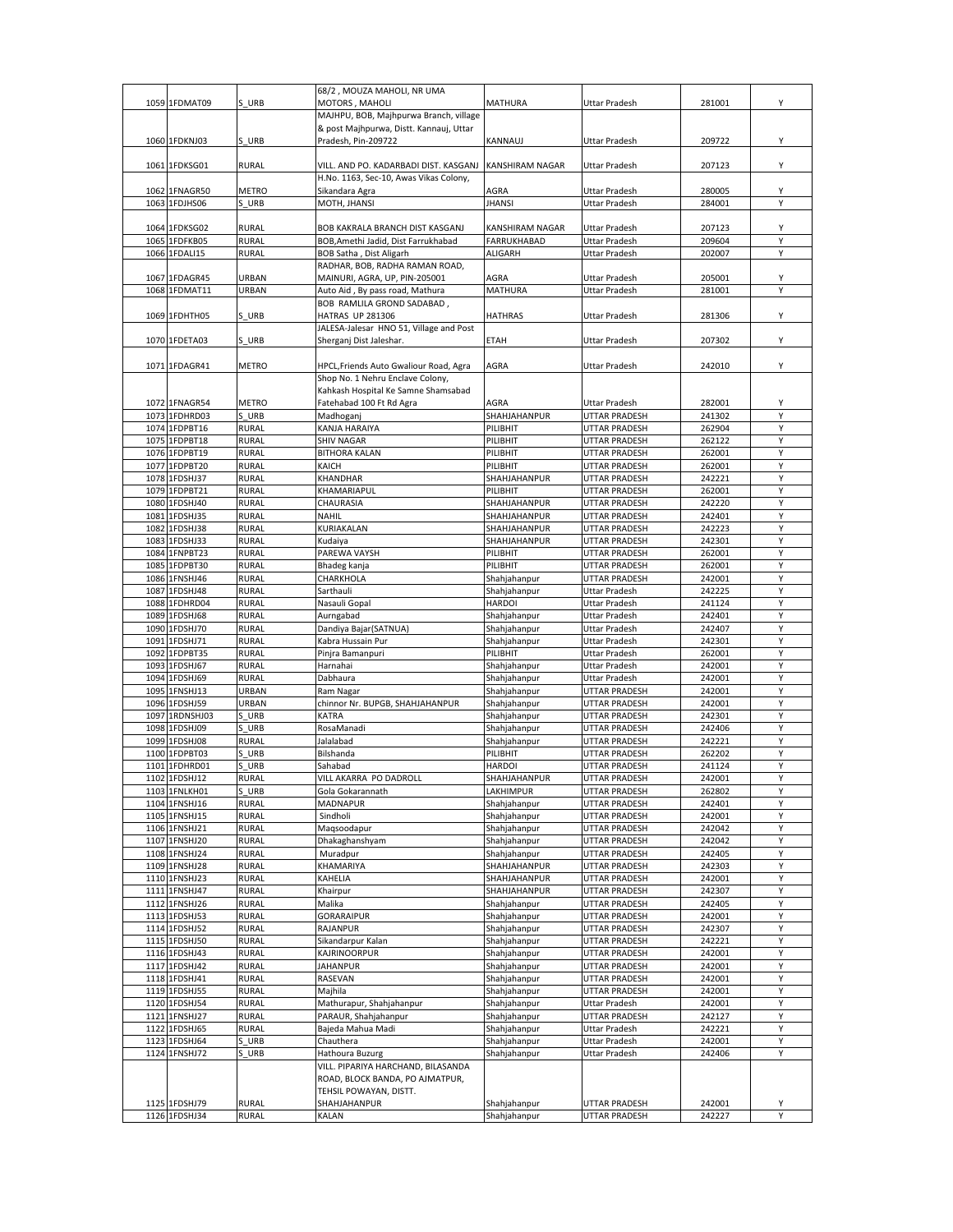|      |                |              | 68/2, MOUZA MAHOLI, NR UMA              |                        |                      |        |        |
|------|----------------|--------------|-----------------------------------------|------------------------|----------------------|--------|--------|
|      | 1059 1FDMAT09  | S URB        | MOTORS, MAHOLI                          | MATHURA                | <b>Uttar Pradesh</b> | 281001 | Υ      |
|      |                |              | MAJHPU, BOB, Majhpurwa Branch, village  |                        |                      |        |        |
|      |                |              | & post Majhpurwa, Distt. Kannauj, Uttar |                        |                      |        |        |
|      | 1060 1FDKNJ03  | S URB        | Pradesh, Pin-209722                     | KANNAUJ                | <b>Uttar Pradesh</b> | 209722 | Υ      |
|      |                |              |                                         |                        |                      |        |        |
|      | 1061 1FDKSG01  | <b>RURAL</b> | VILL. AND PO. KADARBADI DIST. KASGANJ   | <b>KANSHIRAM NAGAR</b> | <b>Uttar Pradesh</b> | 207123 | Υ      |
|      |                |              | H.No. 1163, Sec-10, Awas Vikas Colony,  |                        |                      |        |        |
|      | 1062 1FNAGR50  | <b>METRO</b> | Sikandara Agra                          | AGRA                   | Uttar Pradesh        | 280005 | Υ      |
|      | 1063 1FDJHS06  | S URB        | MOTH, JHANSI                            | <b>JHANSI</b>          | Uttar Pradesh        | 284001 | Υ      |
|      |                |              |                                         |                        |                      |        |        |
|      | 1064 1FDKSG02  | <b>RURAL</b> | BOB KAKRALA BRANCH DIST KASGANJ         | KANSHIRAM NAGAR        | Uttar Pradesh        | 207123 | Υ      |
|      | 1065 1FDFKB05  | <b>RURAL</b> | BOB, Amethi Jadid, Dist Farrukhabad     | <b>FARRUKHABAD</b>     | <b>Uttar Pradesh</b> | 209604 | Υ      |
|      | 1066 1FDALI15  | <b>RURAL</b> | BOB Satha, Dist Aligarh                 | <b>ALIGARH</b>         | <b>Uttar Pradesh</b> | 202007 | Y      |
|      |                |              | RADHAR, BOB, RADHA RAMAN ROAD,          |                        |                      |        |        |
|      | 1067 1FDAGR45  | URBAN        | MAINURI, AGRA, UP, PIN-205001           | AGRA                   | Uttar Pradesh        | 205001 | Υ      |
|      | 1068 1FDMAT11  | URBAN        | Auto Aid, By pass road, Mathura         | MATHURA                | Uttar Pradesh        | 281001 | Y      |
|      |                |              | BOB RAMLILA GROND SADABAD,              |                        |                      |        |        |
|      |                | S URB        |                                         |                        |                      |        | Υ      |
|      | 1069 1FDHTH05  |              | HATRAS UP 281306                        | <b>HATHRAS</b>         | Uttar Pradesh        | 281306 |        |
|      |                |              | JALESA-Jalesar HNO 51, Village and Post |                        |                      |        |        |
|      | 1070 1FDETA03  | S URB        | Sherganj Dist Jaleshar.                 | <b>ETAH</b>            | <b>Uttar Pradesh</b> | 207302 | Υ      |
|      |                |              |                                         |                        |                      |        |        |
|      | 1071 1FDAGR41  | <b>METRO</b> | HPCL, Friends Auto Gwaliour Road, Agra  | AGRA                   | <b>Uttar Pradesh</b> | 242010 | Υ      |
|      |                |              | Shop No. 1 Nehru Enclave Colony,        |                        |                      |        |        |
|      |                |              | Kahkash Hospital Ke Samne Shamsabad     |                        |                      |        |        |
|      | 1072 1FNAGR54  | METRO        | Fatehabad 100 Ft Rd Agra                | AGRA                   | Uttar Pradesh        | 282001 | Υ      |
|      | 1073 1FDHRD03  | S URB        | Madhoganj                               | SHAHJAHANPUR           | UTTAR PRADESH        | 241302 | Y      |
|      | 1074 1FDPBT16  | <b>RURAL</b> | KANJA HARAIYA                           | PILIBHIT               | UTTAR PRADESH        | 262904 | Y      |
|      | 1075 1FDPBT18  | RURAL        | <b>SHIV NAGAR</b>                       | PILIBHIT               | UTTAR PRADESH        | 262122 | Υ      |
|      | 1076 1FDPBT19  | <b>RURAL</b> | <b>BITHORA KALAN</b>                    | PILIBHIT               | UTTAR PRADESH        | 262001 | Υ      |
|      | 1077 1FDPBT20  | <b>RURAL</b> | KAICH                                   | PILIBHIT               | UTTAR PRADESH        | 262001 | Υ      |
|      | 1078 1FDSHJ37  | <b>RURAL</b> | KHANDHAR                                | SHAHJAHANPUR           | UTTAR PRADESH        | 242221 | Y      |
|      | 1079 1FDPBT21  | <b>RURAL</b> | KHAMARIAPUL                             | PILIBHIT               | UTTAR PRADESH        | 262001 | Υ      |
|      | 1080 1FDSHJ40  | RURAL        | CHAURASIA                               | SHAHJAHANPUR           | UTTAR PRADESH        | 242220 | Υ      |
|      | 1081 1FDSHJ35  | <b>RURAL</b> | <b>NAHIL</b>                            | SHAHJAHANPUR           | UTTAR PRADESH        | 242401 | Υ      |
|      | 1082 1FDSHJ38  | <b>RURAL</b> | KURIAKALAN                              | SHAHJAHANPUR           | UTTAR PRADESH        | 242223 | Y      |
|      | 1083 1FDSHJ33  | <b>RURAL</b> | Kudaiya                                 | SHAHJAHANPUR           | UTTAR PRADESH        | 242301 | Υ      |
|      | 1084 1FNPBT23  | <b>RURAL</b> | PAREWA VAYSH                            | PILIBHIT               | UTTAR PRADESH        | 262001 | Υ      |
|      | 1085 1FDPBT30  | <b>RURAL</b> | Bhadeg kanja                            | PILIBHIT               | UTTAR PRADESH        | 262001 | Y      |
|      | 1086 1FNSHJ46  | RURAL        | CHARKHOLA                               | Shahjahanpur           | UTTAR PRADESH        | 242001 | Υ      |
|      | 1087 1FDSHJ48  | <b>RURAL</b> | Sarthauli                               | Shahjahanpur           | Uttar Pradesh        | 242225 | Υ      |
|      | 1088 1FDHRD04  | <b>RURAL</b> | Nasauli Gopal                           | <b>HARDOI</b>          | Uttar Pradesh        | 241124 | Υ      |
|      | 1089 1FDSHJ68  | RURAL        | Aurngabad                               |                        | Uttar Pradesh        | 242401 | Υ      |
|      |                |              |                                         | Shahjahanpur           |                      |        | Υ      |
|      | 1090 1FDSHJ70  | <b>RURAL</b> | Dandiya Bajar (SATNUA)                  | Shahjahanpur           | Uttar Pradesh        | 242407 | Υ      |
|      | 1091 1FDSHJ71  | RURAL        | Kabra Hussain Pur                       | Shahjahanpur           | Uttar Pradesh        | 242301 | Y      |
| 1092 | 1FDPBT35       | RURAL        | Pinjra Bamanpuri                        | PILIBHIT               | Uttar Pradesh        | 262001 |        |
|      | 1093 1FDSHJ67  | <b>RURAL</b> | Harnahai                                | Shahjahanpur           | Uttar Pradesh        | 242001 | Υ      |
|      | 1094 1FDSHJ69  | RURAL        | Dabhaura                                | Shahjahanpur           | Uttar Pradesh        | 242001 | Υ      |
|      | 1095 1FNSHJ13  | URBAN        | Ram Nagar                               | Shahjahanpur           | UTTAR PRADESH        | 242001 | Y      |
|      | 1096 1FDSHJ59  | URBAN        | chinnor Nr. BUPGB, SHAHJAHANPUR         | Shahjahanpur           | UTTAR PRADESH        | 242001 | Υ      |
|      | 1097 1RDNSHJ03 | URB          | <b>KATRA</b>                            | Shahjahanpur           | UTTAR PRADESH        | 242301 | Υ      |
|      | 1098 1FDSHJ09  | URB          | RosaManadi                              | Shahjahanpur           | <b>UTTAR PRADESH</b> | 242406 | Υ      |
|      | 1099 1FDSHJ08  | <b>RURAL</b> | Jalalabad                               | Shahjahanpur           | UTTAR PRADESH        | 242221 | Y      |
|      | 1100 1FDPBT03  | URB          | Bilshanda                               | PILIBHIT               | UTTAR PRADESH        | 262202 | Υ      |
|      | 1101 1FDHRD01  | URB          | Sahabad                                 | <b>HARDOI</b>          | UTTAR PRADESH        | 241124 | Υ      |
|      | 1102 1FDSHJ12  | <b>RURAL</b> | VILL AKARRA PO DADROLI                  | SHAHJAHANPUR           | <b>UTTAR PRADESH</b> | 242001 | Υ      |
|      | 1103 1FNLKH01  | S URB        | Gola Gokarannath                        | LAKHIMPUR              | UTTAR PRADESH        | 262802 | Υ      |
|      | 1104 1FNSHJ16  | RURAL        | MADNAPUR                                | Shahjahanpur           | UTTAR PRADESH        | 242401 | Υ      |
|      | 1105 1FNSHJ15  | <b>RURAL</b> | Sindholi                                | Shahjahanpur           | UTTAR PRADESH        | 242001 | Υ      |
|      | 1106 1FNSHJ21  | <b>RURAL</b> | Maqsoodapur                             | Shahjahanpur           | UTTAR PRADESH        | 242042 | Υ      |
|      | 1107 1FNSHJ20  | <b>RURAL</b> | Dhakaghanshyam                          | Shahjahanpur           | UTTAR PRADESH        | 242042 | Υ      |
|      | 1108 1FNSHJ24  | <b>RURAL</b> | Muradpur                                | Shahjahanpur           | UTTAR PRADESH        | 242405 | Υ      |
|      | 1109 1FNSHJ28  | <b>RURAL</b> | KHAMARIYA                               | SHAHJAHANPUR           | UTTAR PRADESH        | 242303 | Υ      |
|      | 1110 1FNSHJ23  | <b>RURAL</b> | KAHELIA                                 | SHAHJAHANPUR           | <b>UTTAR PRADESH</b> | 242001 | Υ      |
|      | 1111 1FNSHJ47  | <b>RURAL</b> | Khairpur                                | SHAHJAHANPUR           | UTTAR PRADESH        | 242307 | Υ      |
|      | 1112 1FNSHJ26  | <b>RURAL</b> | Malika                                  | Shahjahanpur           | UTTAR PRADESH        | 242405 | Υ      |
|      | 1113 1FDSHJ53  | <b>RURAL</b> | <b>GORARAIPUR</b>                       | Shahjahanpur           | UTTAR PRADESH        | 242001 | Υ      |
|      | 1114 1FDSHJ52  | <b>RURAL</b> | RAJANPUR                                | Shahjahanpur           | UTTAR PRADESH        | 242307 | Υ      |
|      | 1115 1FDSHJ50  | <b>RURAL</b> | Sikandarpur Kalan                       | Shahjahanpur           | UTTAR PRADESH        | 242221 | Υ      |
|      | 1116 1FDSHJ43  | <b>RURAL</b> | <b>KAJRINOORPUR</b>                     | Shahjahanpur           | UTTAR PRADESH        | 242001 | Υ      |
|      | 1117 1FDSHJ42  | <b>RURAL</b> | <b>JAHANPUR</b>                         | Shahjahanpur           | UTTAR PRADESH        | 242001 | Υ      |
|      | 1118 1FDSHJ41  | <b>RURAL</b> | RASEVAN                                 | Shahjahanpur           | UTTAR PRADESH        | 242001 | Υ      |
|      | 1119 1FDSHJ55  | RURAL        | Majhila                                 | Shahjahanpur           | UTTAR PRADESH        | 242001 | Υ      |
|      | 1120 1FDSHJ54  | <b>RURAL</b> | Mathurapur, Shahjahanpur                | Shahjahanpur           | Uttar Pradesh        | 242001 | Υ      |
|      | 1121 1FNSHJ27  | <b>RURAL</b> | PARAUR, Shahjahanpur                    | Shahjahanpur           | UTTAR PRADESH        | 242127 | Υ      |
|      | 1122 1FDSHJ65  | <b>RURAL</b> | Bajeda Mahua Madi                       | Shahjahanpur           | Uttar Pradesh        | 242221 | Υ      |
|      | 1123 1FDSHJ64  | S URB        | Chauthera                               | Shahjahanpur           | Uttar Pradesh        | 242001 | Υ      |
|      | 1124 1FNSHJ72  | URB          | Hathoura Buzurg                         | Shahjahanpur           | Uttar Pradesh        | 242406 | Υ      |
|      |                |              | VILL. PIPARIYA HARCHAND, BILASANDA      |                        |                      |        |        |
|      |                |              |                                         |                        |                      |        |        |
|      |                |              | ROAD, BLOCK BANDA, PO AJMATPUR,         |                        |                      |        |        |
|      |                |              | TEHSIL POWAYAN, DISTT.                  |                        |                      |        |        |
|      | 1125 1FDSHJ79  | <b>RURAL</b> | SHAHJAHANPUR                            | Shahjahanpur           | UTTAR PRADESH        | 242001 | Υ<br>Υ |
|      | 1126 1FDSHJ34  | <b>RURAL</b> | KALAN                                   | Shahjahanpur           | UTTAR PRADESH        | 242227 |        |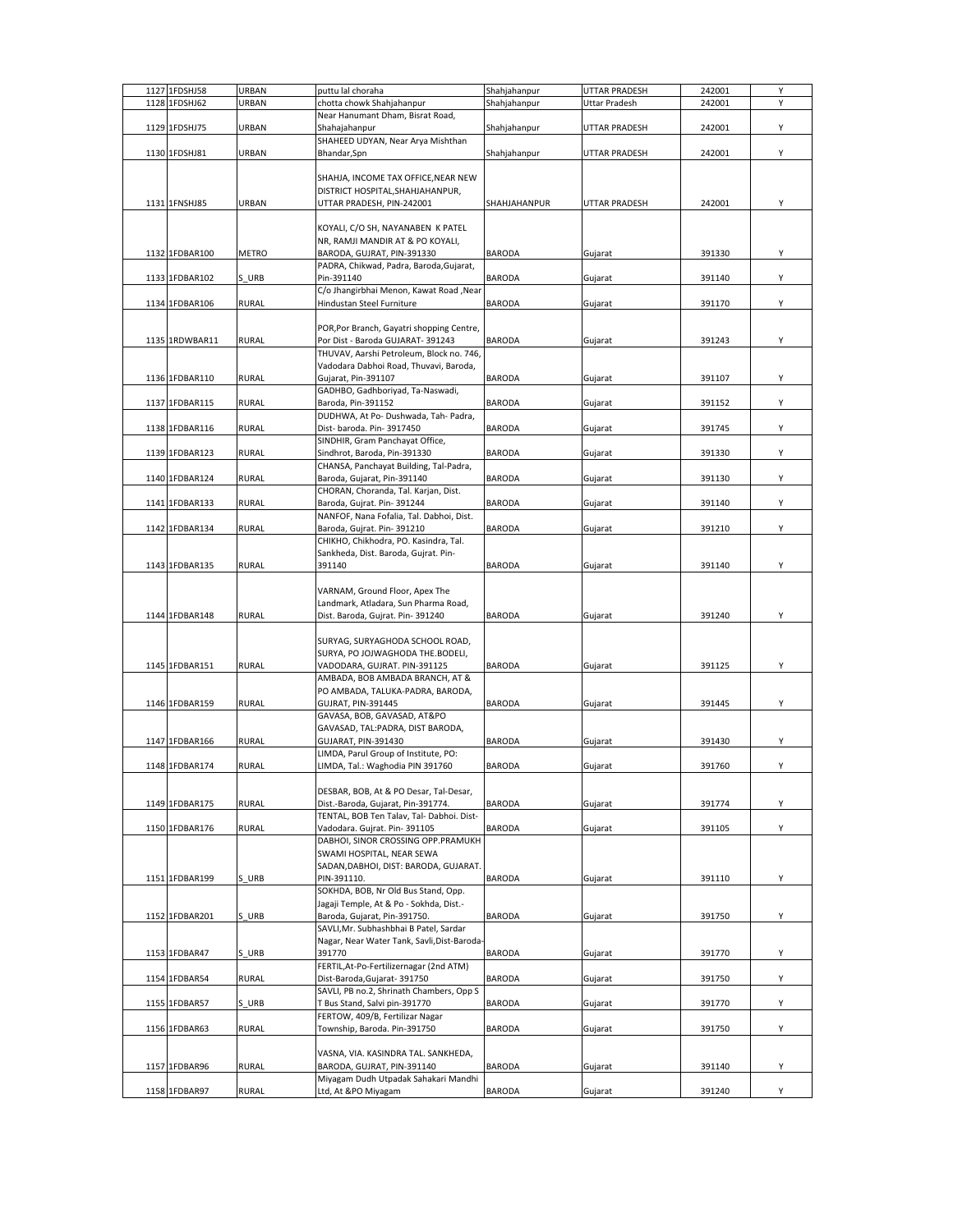|      | 1127 1FDSHJ58  | URBAN        | puttu lal choraha                           | Shahjahanpur  | UTTAR PRADESH | 242001 | Υ |
|------|----------------|--------------|---------------------------------------------|---------------|---------------|--------|---|
| 1128 | 1FDSHJ62       | URBAN        | chotta chowk Shahjahanpur                   | Shahjahanpur  | Uttar Pradesh | 242001 | Υ |
|      |                |              | Near Hanumant Dham, Bisrat Road,            |               |               |        |   |
|      | 1129 1FDSHJ75  | URBAN        | Shahajahanpur                               | Shahjahanpur  | UTTAR PRADESH | 242001 | Υ |
|      |                |              | SHAHEED UDYAN, Near Arya Mishthan           |               |               |        |   |
|      | 1130 1FDSHJ81  | URBAN        | Bhandar, Spn                                | Shahjahanpur  | UTTAR PRADESH | 242001 | Υ |
|      |                |              |                                             |               |               |        |   |
|      |                |              | SHAHJA, INCOME TAX OFFICE, NEAR NEW         |               |               |        |   |
|      |                |              | DISTRICT HOSPITAL, SHAHJAHANPUR,            |               |               |        |   |
|      | 1131 1FNSHJ85  | URBAN        | UTTAR PRADESH, PIN-242001                   | SHAHJAHANPUR  | UTTAR PRADESH | 242001 | Υ |
|      |                |              |                                             |               |               |        |   |
|      |                |              | KOYALI, C/O SH, NAYANABEN K PATEL           |               |               |        |   |
|      |                |              | NR, RAMJI MANDIR AT & PO KOYALI,            |               |               |        |   |
|      | 1132 1FDBAR100 | METRO        | BARODA, GUJRAT, PIN-391330                  | <b>BARODA</b> | Gujarat       | 391330 | Y |
|      |                |              | PADRA, Chikwad, Padra, Baroda, Gujarat,     |               |               |        |   |
|      | 1133 1FDBAR102 | S URB        | Pin-391140                                  | <b>BARODA</b> | Gujarat       | 391140 | Υ |
|      |                |              | C/o Jhangirbhai Menon, Kawat Road, Near     |               |               |        |   |
|      | 1134 1FDBAR106 | <b>RURAL</b> | Hindustan Steel Furniture                   | <b>BARODA</b> | Gujarat       | 391170 | Υ |
|      |                |              |                                             |               |               |        |   |
|      |                |              | POR, Por Branch, Gayatri shopping Centre,   |               |               |        |   |
|      | 1135 1RDWBAR11 | <b>RURAL</b> | Por Dist - Baroda GUJARAT- 391243           | <b>BARODA</b> | Gujarat       | 391243 | Υ |
|      |                |              | THUVAV, Aarshi Petroleum, Block no. 746,    |               |               |        |   |
|      |                |              |                                             |               |               |        |   |
|      |                |              | Vadodara Dabhoi Road, Thuvavi, Baroda,      |               |               |        |   |
|      | 1136 1FDBAR110 | <b>RURAL</b> | Gujarat, Pin-391107                         | <b>BARODA</b> | Gujarat       | 391107 | Υ |
|      |                |              | GADHBO, Gadhboriyad, Ta-Naswadi,            |               |               |        |   |
|      | 1137 1FDBAR115 | <b>RURAL</b> | Baroda, Pin-391152                          | <b>BARODA</b> | Gujarat       | 391152 | Υ |
|      |                |              | DUDHWA, At Po- Dushwada, Tah- Padra,        |               |               |        |   |
|      | 1138 1FDBAR116 | <b>RURAL</b> | Dist- baroda. Pin- 3917450                  | <b>BARODA</b> | Gujarat       | 391745 | Υ |
|      |                |              | SINDHIR, Gram Panchayat Office,             |               |               |        |   |
|      | 1139 1FDBAR123 | <b>RURAL</b> | Sindhrot, Baroda, Pin-391330                | <b>BARODA</b> | Gujarat       | 391330 | Υ |
|      |                |              | CHANSA, Panchayat Building, Tal-Padra,      |               |               |        |   |
|      | 1140 1FDBAR124 | <b>RURAL</b> | Baroda, Gujarat, Pin-391140                 | <b>BARODA</b> | Gujarat       | 391130 | Υ |
|      |                |              | CHORAN, Choranda, Tal. Karjan, Dist.        |               |               |        |   |
|      | 1141 1FDBAR133 | <b>RURAL</b> | Baroda, Gujrat. Pin-391244                  | <b>BARODA</b> | Gujarat       | 391140 | Υ |
|      |                |              | NANFOF, Nana Fofalia, Tal. Dabhoi, Dist.    |               |               |        |   |
|      | 1142 1FDBAR134 | <b>RURAL</b> | Baroda, Gujrat. Pin-391210                  | <b>BARODA</b> | Gujarat       | 391210 | Υ |
|      |                |              | CHIKHO, Chikhodra, PO. Kasindra, Tal.       |               |               |        |   |
|      |                |              | Sankheda, Dist. Baroda, Gujrat. Pin-        |               |               |        |   |
|      | 1143 1FDBAR135 | <b>RURAL</b> | 391140                                      | <b>BARODA</b> | Gujarat       | 391140 | Υ |
|      |                |              |                                             |               |               |        |   |
|      |                |              | VARNAM, Ground Floor, Apex The              |               |               |        |   |
|      |                |              | Landmark, Atladara, Sun Pharma Road,        |               |               |        |   |
|      | 1144 1FDBAR148 | <b>RURAL</b> | Dist. Baroda, Gujrat. Pin- 391240           | <b>BARODA</b> | Gujarat       | 391240 | Υ |
|      |                |              |                                             |               |               |        |   |
|      |                |              |                                             |               |               |        |   |
|      |                |              | SURYAG, SURYAGHODA SCHOOL ROAD,             |               |               |        |   |
|      |                |              | SURYA, PO JOJWAGHODA THE BODELI,            |               |               |        |   |
|      | 1145 1FDBAR151 | <b>RURAL</b> | VADODARA, GUJRAT. PIN-391125                | <b>BARODA</b> | Gujarat       | 391125 | Y |
|      |                |              | AMBADA, BOB AMBADA BRANCH, AT &             |               |               |        |   |
|      |                |              | PO AMBADA, TALUKA-PADRA, BARODA,            |               |               |        |   |
|      | 1146 1FDBAR159 | RURAL        | <b>GUJRAT, PIN-391445</b>                   | <b>BARODA</b> | Gujarat       | 391445 | Υ |
|      |                |              | GAVASA, BOB, GAVASAD, AT&PO                 |               |               |        |   |
|      |                |              | GAVASAD, TAL: PADRA, DIST BARODA,           |               |               |        |   |
|      | 1147 1FDBAR166 | <b>RURAL</b> | GUJARAT, PIN-391430                         | <b>BARODA</b> | Gujarat       | 391430 | Υ |
|      |                |              | LIMDA, Parul Group of Institute, PO:        |               |               |        |   |
|      | 1148 1FDBAR174 | <b>RURAL</b> | LIMDA, Tal.: Waghodia PIN 391760            | <b>BARODA</b> | Gujarat       | 391760 | Y |
|      |                |              |                                             |               |               |        |   |
|      |                |              | DESBAR, BOB, At & PO Desar, Tal-Desar,      |               |               |        |   |
|      | 1149 1FDBAR175 | <b>RURAL</b> | Dist.-Baroda, Gujarat, Pin-391774.          | <b>BARODA</b> | Gujarat       | 391774 | Y |
|      |                |              | TENTAL, BOB Ten Talav, Tal- Dabhoi. Dist-   |               |               |        |   |
|      | 1150 1FDBAR176 | <b>RURAL</b> | Vadodara. Gujrat. Pin-391105                | <b>BARODA</b> | Gujarat       | 391105 | Υ |
|      |                |              | DABHOI, SINOR CROSSING OPP.PRAMUKH          |               |               |        |   |
|      |                |              | SWAMI HOSPITAL, NEAR SEWA                   |               |               |        |   |
|      |                |              | SADAN, DABHOI, DIST: BARODA, GUJARAT.       |               |               |        |   |
|      | 1151 1FDBAR199 | S URB        | PIN-391110.                                 | <b>BARODA</b> | Gujarat       | 391110 | Y |
|      |                |              |                                             |               |               |        |   |
|      |                |              | SOKHDA, BOB, Nr Old Bus Stand, Opp.         |               |               |        |   |
|      |                |              | Jagaji Temple, At & Po - Sokhda, Dist.-     |               |               |        |   |
|      | 1152 1FDBAR201 | S URB        | Baroda, Gujarat, Pin-391750.                | <b>BARODA</b> | Gujarat       | 391750 | Υ |
|      |                |              | SAVLI, Mr. Subhashbhai B Patel, Sardar      |               |               |        |   |
|      |                |              | Nagar, Near Water Tank, Savli, Dist-Baroda- |               |               |        |   |
|      | 1153 1FDBAR47  | S URB        | 391770                                      | <b>BARODA</b> | Gujarat       | 391770 | Υ |
|      |                |              | FERTIL, At-Po-Fertilizernagar (2nd ATM)     |               |               |        |   |
|      | 1154 1FDBAR54  | <b>RURAL</b> | Dist-Baroda, Gujarat- 391750                | <b>BARODA</b> | Gujarat       | 391750 | Υ |
|      |                |              | SAVLI, PB no.2, Shrinath Chambers, Opp S    |               |               |        |   |
|      | 1155 1FDBAR57  | S URB        | T Bus Stand, Salvi pin-391770               | <b>BARODA</b> | Gujarat       | 391770 | Υ |
|      |                |              | FERTOW, 409/B, Fertilizar Nagar             |               |               |        |   |
|      | 1156 1FDBAR63  | <b>RURAL</b> | Township, Baroda. Pin-391750                | <b>BARODA</b> | Gujarat       | 391750 | Υ |
|      |                |              |                                             |               |               |        |   |
|      |                |              | VASNA, VIA. KASINDRA TAL. SANKHEDA,         |               |               |        |   |
|      | 1157 1FDBAR96  | <b>RURAL</b> | BARODA, GUJRAT, PIN-391140                  | <b>BARODA</b> | Gujarat       | 391140 | Υ |
|      |                |              | Miyagam Dudh Utpadak Sahakari Mandhi        |               |               |        |   |
|      | 1158 1FDBAR97  | <b>RURAL</b> | Ltd, At &PO Miyagam                         | <b>BARODA</b> | Gujarat       | 391240 | Y |
|      |                |              |                                             |               |               |        |   |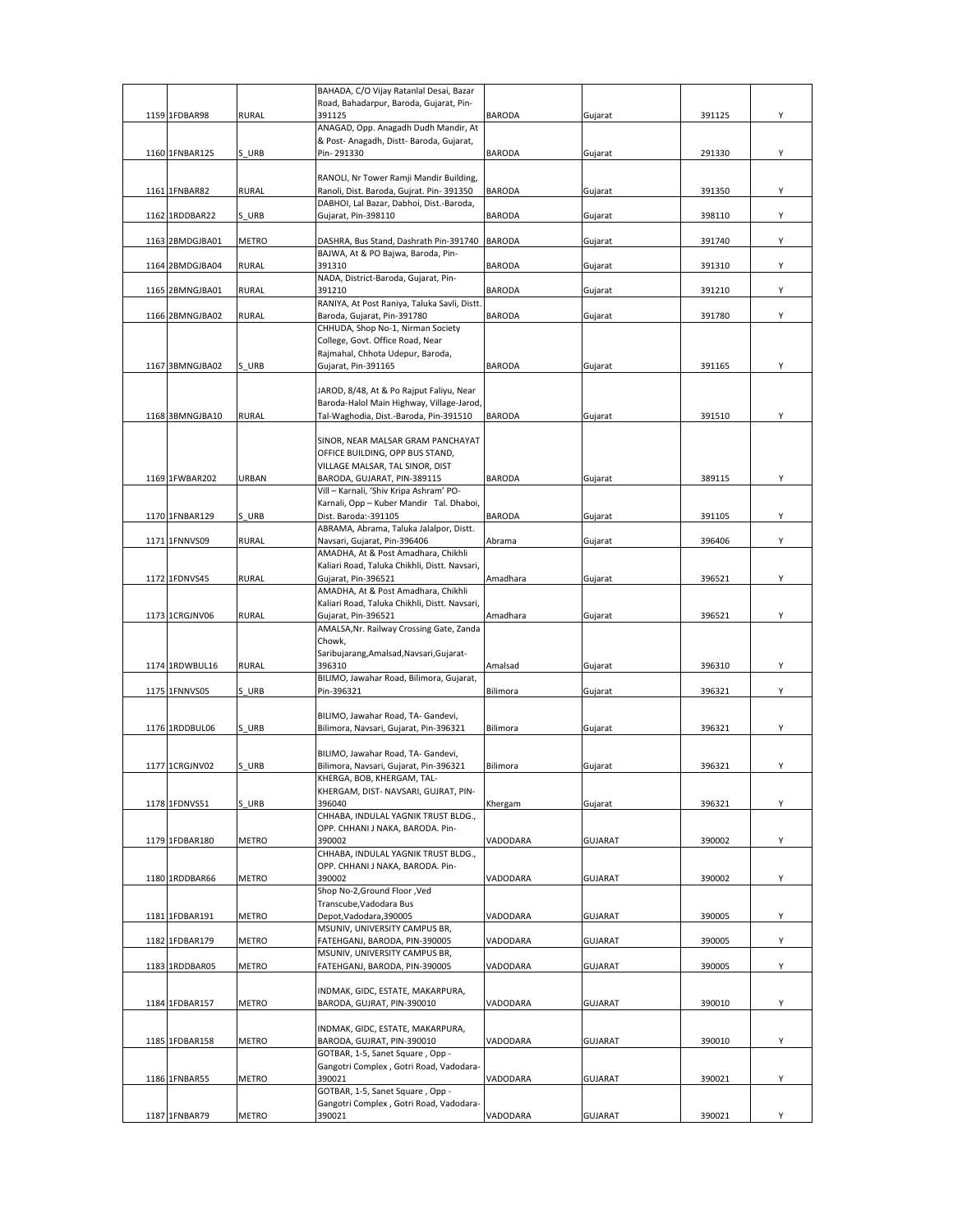|                 |              | BAHADA, C/O Vijay Ratanlal Desai, Bazar                                             |               |                |        |   |
|-----------------|--------------|-------------------------------------------------------------------------------------|---------------|----------------|--------|---|
|                 |              | Road, Bahadarpur, Baroda, Gujarat, Pin-                                             |               |                |        |   |
| 1159 1FDBAR98   | RURAL        | 391125<br>ANAGAD, Opp. Anagadh Dudh Mandir, At                                      | <b>BARODA</b> | Gujarat        | 391125 | Υ |
|                 |              | & Post- Anagadh, Distt- Baroda, Gujarat,                                            |               |                |        |   |
| 1160 1FNBAR125  | S URB        | Pin-291330                                                                          | <b>BARODA</b> | Gujarat        | 291330 | Υ |
|                 |              |                                                                                     |               |                |        |   |
|                 |              | RANOLI, Nr Tower Ramji Mandir Building,                                             |               |                |        |   |
| 1161 1FNBAR82   | <b>RURAL</b> | Ranoli, Dist. Baroda, Gujrat. Pin- 391350                                           | <b>BARODA</b> | Gujarat        | 391350 | Υ |
| 1162 1RDDBAR22  | S URB        | DABHOI, Lal Bazar, Dabhoi, Dist.-Baroda,<br>Gujarat, Pin-398110                     | <b>BARODA</b> | Gujarat        | 398110 | Y |
|                 |              |                                                                                     |               |                |        |   |
| 1163 2BMDGJBA01 | METRO        | DASHRA, Bus Stand, Dashrath Pin-391740                                              | <b>BARODA</b> | Gujarat        | 391740 | Υ |
|                 |              | BAJWA, At & PO Bajwa, Baroda, Pin-                                                  |               |                |        |   |
| 1164 2BMDGJBA04 | RURAL        | 391310                                                                              | <b>BARODA</b> | Gujarat        | 391310 | Υ |
|                 |              | NADA, District-Baroda, Gujarat, Pin-                                                |               |                |        |   |
| 1165 2BMNGJBA01 | <b>RURAL</b> | 391210                                                                              | BARODA        | Gujarat        | 391210 | Υ |
| 1166 2BMNGJBA02 | <b>RURAL</b> | RANIYA, At Post Raniya, Taluka Savli, Distt.<br>Baroda, Gujarat, Pin-391780         | <b>BARODA</b> | Gujarat        | 391780 | Y |
|                 |              | CHHUDA, Shop No-1, Nirman Society                                                   |               |                |        |   |
|                 |              | College, Govt. Office Road, Near                                                    |               |                |        |   |
|                 |              | Rajmahal, Chhota Udepur, Baroda,                                                    |               |                |        |   |
| 1167 3BMNGJBA02 | S URB        | Gujarat, Pin-391165                                                                 | <b>BARODA</b> | Gujarat        | 391165 | Υ |
|                 |              |                                                                                     |               |                |        |   |
|                 |              | JAROD, 8/48, At & Po Rajput Faliyu, Near                                            |               |                |        |   |
| 1168 3BMNGJBA10 | <b>RURAL</b> | Baroda-Halol Main Highway, Village-Jarod,<br>Tal-Waghodia, Dist.-Baroda, Pin-391510 | <b>BARODA</b> | Gujarat        | 391510 | Υ |
|                 |              |                                                                                     |               |                |        |   |
|                 |              | SINOR, NEAR MALSAR GRAM PANCHAYAT                                                   |               |                |        |   |
|                 |              | OFFICE BUILDING, OPP BUS STAND,                                                     |               |                |        |   |
|                 |              | VILLAGE MALSAR, TAL SINOR, DIST                                                     |               |                |        |   |
| 1169 1FWBAR202  | URBAN        | BARODA, GUJARAT, PIN-389115                                                         | <b>BARODA</b> | Gujarat        | 389115 | Y |
|                 |              | Vill - Karnali, 'Shiv Kripa Ashram' PO-                                             |               |                |        |   |
| 1170 1FNBAR129  | S URB        | Karnali, Opp - Kuber Mandir Tal. Dhaboi,<br>Dist. Baroda:-391105                    | <b>BARODA</b> | Gujarat        | 391105 | Υ |
|                 |              | ABRAMA, Abrama, Taluka Jalalpor, Distt.                                             |               |                |        |   |
| 1171 1FNNVS09   | <b>RURAL</b> | Navsari, Gujarat, Pin-396406                                                        | Abrama        | Gujarat        | 396406 | Υ |
|                 |              | AMADHA, At & Post Amadhara, Chikhli                                                 |               |                |        |   |
|                 |              | Kaliari Road, Taluka Chikhli, Distt. Navsari,                                       |               |                |        |   |
| 1172 1FDNVS45   | <b>RURAL</b> | Gujarat, Pin-396521                                                                 | Amadhara      | Gujarat        | 396521 | Υ |
|                 |              | AMADHA, At & Post Amadhara, Chikhli                                                 |               |                |        |   |
| 1173 1CRGJNV06  | <b>RURAL</b> | Kaliari Road, Taluka Chikhli, Distt. Navsari,<br>Gujarat, Pin-396521                | Amadhara      | Gujarat        | 396521 | Υ |
|                 |              | AMALSA, Nr. Railway Crossing Gate, Zanda                                            |               |                |        |   |
|                 |              | Chowk,                                                                              |               |                |        |   |
|                 |              | Saribujarang, Amalsad, Navsari, Gujarat-                                            |               |                |        |   |
| 1174 1RDWBUL16  | <b>RURAL</b> | 396310                                                                              | Amalsad       | Gujarat        | 396310 | Υ |
|                 |              | BILIMO, Jawahar Road, Bilimora, Gujarat,                                            |               |                |        |   |
| 1175 1FNNVS05   | S URB        | Pin-396321                                                                          | Bilimora      | Gujarat        | 396321 | Υ |
|                 |              | BILIMO, Jawahar Road, TA- Gandevi,                                                  |               |                |        |   |
| 1176 1RDDBUL06  | S URB        | Bilimora, Navsari, Gujarat, Pin-396321                                              | Bilimora      | Gujarat        | 396321 | Υ |
|                 |              |                                                                                     |               |                |        |   |
|                 |              | BILIMO, Jawahar Road, TA- Gandevi,                                                  |               |                |        |   |
| 1177 1CRGJNV02  | S URB        | Bilimora, Navsari, Gujarat, Pin-396321                                              | Bilimora      | Gujarat        | 396321 | Υ |
|                 |              | KHERGA, BOB, KHERGAM, TAL-                                                          |               |                |        |   |
|                 |              | KHERGAM, DIST- NAVSARI, GUJRAT, PIN-<br>396040                                      |               |                |        | Y |
| 1178 1FDNVS51   | S URB        | CHHABA, INDULAL YAGNIK TRUST BLDG.,                                                 | Khergam       | Gujarat        | 396321 |   |
|                 |              | OPP. CHHANI J NAKA, BARODA. Pin-                                                    |               |                |        |   |
| 1179 1FDBAR180  | <b>METRO</b> | 390002                                                                              | VADODARA      | <b>GUJARAT</b> | 390002 | Y |
|                 |              | CHHABA, INDULAL YAGNIK TRUST BLDG.,                                                 |               |                |        |   |
|                 |              | OPP. CHHANI J NAKA, BARODA. Pin-                                                    |               |                |        |   |
| 1180 1RDDBAR66  | <b>METRO</b> | 390002                                                                              | VADODARA      | <b>GUJARAT</b> | 390002 | Υ |
|                 |              | Shop No-2, Ground Floor, Ved<br>Transcube, Vadodara Bus                             |               |                |        |   |
| 1181 1FDBAR191  | <b>METRO</b> | Depot, Vadodara, 390005                                                             | VADODARA      | <b>GUJARAT</b> | 390005 | Υ |
|                 |              | MSUNIV, UNIVERSITY CAMPUS BR,                                                       |               |                |        |   |
| 1182 1FDBAR179  | <b>METRO</b> | FATEHGANJ, BARODA, PIN-390005                                                       | VADODARA      | <b>GUJARAT</b> | 390005 | Υ |
|                 |              | MSUNIV, UNIVERSITY CAMPUS BR,                                                       |               |                |        |   |
| 1183 1RDDBAR05  | METRO        | FATEHGANJ, BARODA, PIN-390005                                                       | VADODARA      | <b>GUJARAT</b> | 390005 | Υ |
|                 |              |                                                                                     |               |                |        |   |
|                 |              | INDMAK, GIDC, ESTATE, MAKARPURA,                                                    |               |                |        |   |
| 1184 1FDBAR157  | METRO        | BARODA, GUJRAT, PIN-390010                                                          | VADODARA      | <b>GUJARAT</b> | 390010 | Υ |
|                 |              | INDMAK, GIDC, ESTATE, MAKARPURA,                                                    |               |                |        |   |
| 1185 1FDBAR158  | METRO        | BARODA, GUJRAT, PIN-390010                                                          | VADODARA      | <b>GUJARAT</b> | 390010 | Υ |
|                 |              | GOTBAR, 1-5, Sanet Square, Opp -                                                    |               |                |        |   |
|                 |              | Gangotri Complex, Gotri Road, Vadodara-                                             |               |                |        |   |
| 1186 1FNBAR55   | METRO        | 390021                                                                              | VADODARA      | <b>GUJARAT</b> | 390021 | Υ |
|                 |              | GOTBAR, 1-5, Sanet Square, Opp -                                                    |               |                |        |   |
| 1187 1FNBAR79   | METRO        | Gangotri Complex, Gotri Road, Vadodara-<br>390021                                   | VADODARA      | GUJARAT        | 390021 | Υ |
|                 |              |                                                                                     |               |                |        |   |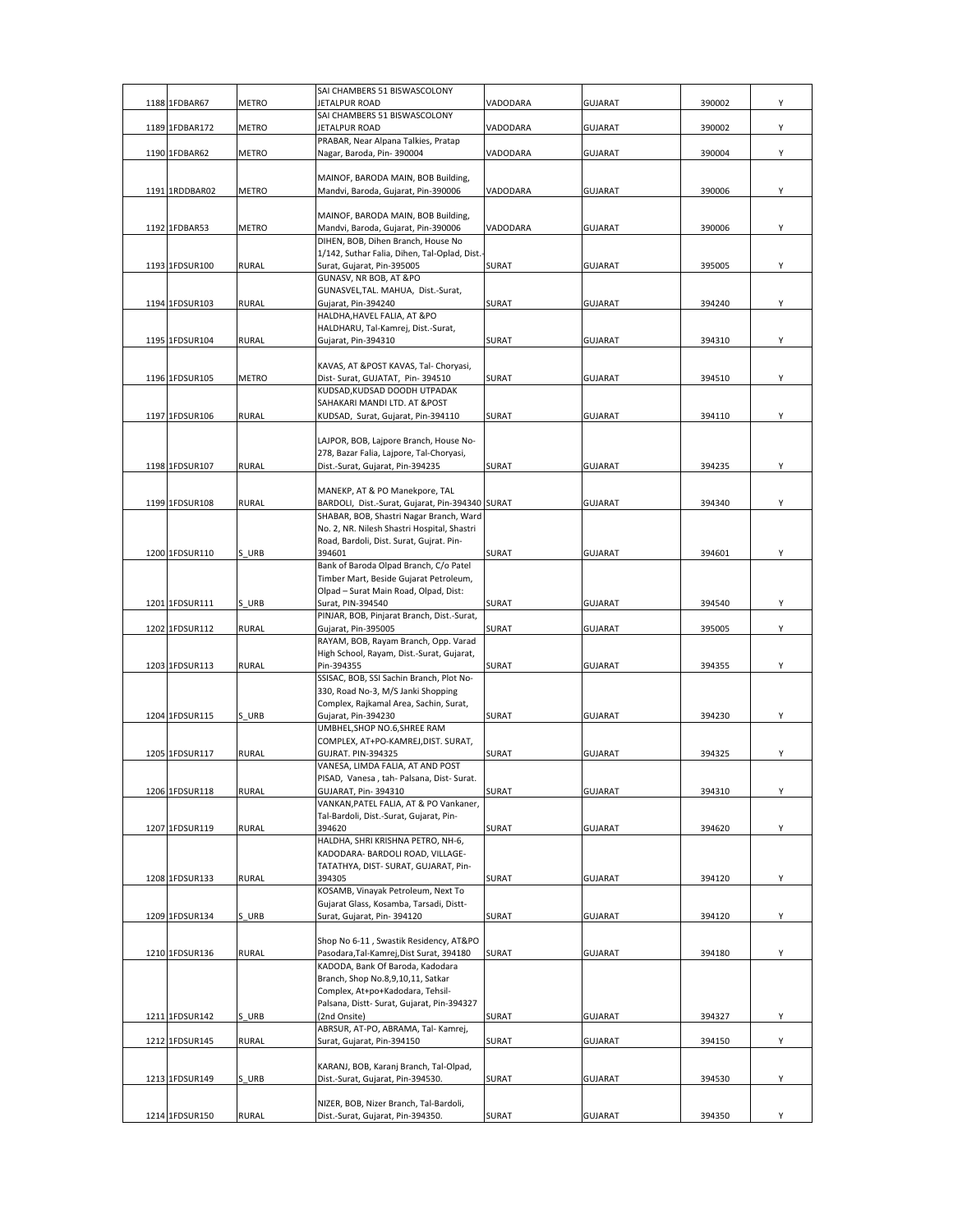|      |                |              | SAI CHAMBERS 51 BISWASCOLONY                                                  |              |                |        |   |
|------|----------------|--------------|-------------------------------------------------------------------------------|--------------|----------------|--------|---|
| 1188 | 1FDBAR67       | <b>METRO</b> | JETALPUR ROAD<br>SAI CHAMBERS 51 BISWASCOLONY                                 | VADODARA     | <b>GUJARAT</b> | 390002 | Υ |
|      | 1189 1FDBAR172 | METRO        | JETALPUR ROAD                                                                 | VADODARA     | <b>GUJARAT</b> | 390002 | Υ |
|      |                |              | PRABAR, Near Alpana Talkies, Pratap                                           |              |                |        |   |
|      | 1190 1FDBAR62  | <b>METRO</b> | Nagar, Baroda, Pin-390004                                                     | VADODARA     | <b>GUJARAT</b> | 390004 | Υ |
|      |                |              | MAINOF, BARODA MAIN, BOB Building,                                            |              |                |        |   |
|      | 1191 1RDDBAR02 | <b>METRO</b> | Mandvi, Baroda, Gujarat, Pin-390006                                           | VADODARA     | <b>GUJARAT</b> | 390006 | Υ |
|      |                |              |                                                                               |              |                |        |   |
|      |                |              | MAINOF, BARODA MAIN, BOB Building,                                            |              |                |        |   |
|      | 1192 1FDBAR53  | <b>METRO</b> | Mandvi, Baroda, Gujarat, Pin-390006<br>DIHEN, BOB, Dihen Branch, House No     | VADODARA     | <b>GUJARAT</b> | 390006 | Υ |
|      |                |              | 1/142, Suthar Falia, Dihen, Tal-Oplad, Dist.-                                 |              |                |        |   |
|      | 1193 1FDSUR100 | RURAL        | Surat, Gujarat, Pin-395005                                                    | SURAT        | <b>GUJARAT</b> | 395005 | Υ |
|      |                |              | GUNASV, NR BOB, AT &PO                                                        |              |                |        |   |
|      |                |              | GUNASVEL, TAL. MAHUA, Dist.-Surat,                                            |              |                |        |   |
|      | 1194 1FDSUR103 | RURAL        | Gujarat, Pin-394240<br>HALDHA, HAVEL FALIA, AT &PO                            | SURAT        | <b>GUJARAT</b> | 394240 | Υ |
|      |                |              | HALDHARU, Tal-Kamrej, Dist.-Surat,                                            |              |                |        |   |
|      | 1195 1FDSUR104 | <b>RURAL</b> | Gujarat, Pin-394310                                                           | SURAT        | <b>GUJARAT</b> | 394310 | Υ |
|      |                |              |                                                                               |              |                |        |   |
|      | 1196 1FDSUR105 | METRO        | KAVAS, AT & POST KAVAS, Tal- Choryasi,<br>Dist- Surat, GUJATAT, Pin-394510    | SURAT        | <b>GUJARAT</b> | 394510 | Υ |
|      |                |              | KUDSAD, KUDSAD DOODH UTPADAK                                                  |              |                |        |   |
|      |                |              | SAHAKARI MANDI LTD. AT &POST                                                  |              |                |        |   |
|      | 1197 1FDSUR106 | <b>RURAL</b> | KUDSAD, Surat, Gujarat, Pin-394110                                            | SURAT        | <b>GUJARAT</b> | 394110 | Υ |
|      |                |              |                                                                               |              |                |        |   |
|      |                |              | LAJPOR, BOB, Lajpore Branch, House No-                                        |              |                |        |   |
|      | 1198 1FDSUR107 | <b>RURAL</b> | 278, Bazar Falia, Lajpore, Tal-Choryasi,<br>Dist.-Surat, Gujarat, Pin-394235  | <b>SURAT</b> | <b>GUJARAT</b> | 394235 | Υ |
|      |                |              |                                                                               |              |                |        |   |
|      |                |              | MANEKP, AT & PO Manekpore, TAL                                                |              |                |        |   |
|      | 1199 1FDSUR108 | <b>RURAL</b> | BARDOLI, Dist.-Surat, Gujarat, Pin-394340 SURAT                               |              | <b>GUJARAT</b> | 394340 | Υ |
|      |                |              | SHABAR, BOB, Shastri Nagar Branch, Ward                                       |              |                |        |   |
|      |                |              | No. 2, NR. Nilesh Shastri Hospital, Shastri                                   |              |                |        |   |
|      | 1200 1FDSUR110 | S URB        | Road, Bardoli, Dist. Surat, Gujrat. Pin-<br>394601                            | SURAT        | <b>GUJARAT</b> | 394601 | Υ |
|      |                |              | Bank of Baroda Olpad Branch, C/o Patel                                        |              |                |        |   |
|      |                |              | Timber Mart, Beside Gujarat Petroleum,                                        |              |                |        |   |
|      |                |              | Olpad - Surat Main Road, Olpad, Dist:                                         |              |                |        |   |
|      | 1201 1FDSUR111 | S URB        | Surat, PIN-394540                                                             | SURAT        | <b>GUJARAT</b> | 394540 | Υ |
|      | 1202 1FDSUR112 | <b>RURAL</b> | PINJAR, BOB, Pinjarat Branch, Dist.-Surat,<br>Gujarat, Pin-395005             | SURAT        | <b>GUJARAT</b> | 395005 | Υ |
|      |                |              | RAYAM, BOB, Rayam Branch, Opp. Varad                                          |              |                |        |   |
|      |                |              | High School, Rayam, Dist.-Surat, Gujarat,                                     |              |                |        |   |
|      | 1203 1FDSUR113 | <b>RURAL</b> | Pin-394355                                                                    | SURAT        | <b>GUJARAT</b> | 394355 | Υ |
|      |                |              | SSISAC, BOB, SSI Sachin Branch, Plot No-                                      |              |                |        |   |
|      |                |              | 330, Road No-3, M/S Janki Shopping<br>Complex, Rajkamal Area, Sachin, Surat,  |              |                |        |   |
|      | 1204 1FDSUR115 | S URB        | Gujarat, Pin-394230                                                           | SURAT        | <b>GUJARAT</b> | 394230 | Υ |
|      |                |              | UMBHEL, SHOP NO.6, SHREE RAM                                                  |              |                |        |   |
|      |                |              | COMPLEX, AT+PO-KAMREJ, DIST. SURAT,                                           |              |                |        |   |
|      | 1205 1FDSUR117 | RURAL        | <b>GUJRAT. PIN-394325</b>                                                     | SURAT        | <b>GUJARAT</b> | 394325 | Υ |
|      |                |              | VANESA, LIMDA FALIA, AT AND POST<br>PISAD, Vanesa, tah- Palsana, Dist- Surat. |              |                |        |   |
|      | 1206 1FDSUR118 | <b>RURAL</b> | GUJARAT, Pin-394310                                                           | SURAT        | <b>GUJARAT</b> | 394310 | Υ |
|      |                |              | VANKAN, PATEL FALIA, AT & PO Vankaner,                                        |              |                |        |   |
|      |                |              | Tal-Bardoli, Dist.-Surat, Gujarat, Pin-                                       |              |                |        |   |
|      | 1207 1FDSUR119 | <b>RURAL</b> | 394620                                                                        | SURAT        | <b>GUJARAT</b> | 394620 | Υ |
|      |                |              | HALDHA, SHRI KRISHNA PETRO, NH-6,<br>KADODARA- BARDOLI ROAD, VILLAGE-         |              |                |        |   |
|      |                |              | TATATHYA, DIST- SURAT, GUJARAT, Pin-                                          |              |                |        |   |
|      | 1208 1FDSUR133 | <b>RURAL</b> | 394305                                                                        | SURAT        | <b>GUJARAT</b> | 394120 | Y |
|      |                |              | KOSAMB, Vinayak Petroleum, Next To                                            |              |                |        |   |
|      |                |              | Gujarat Glass, Kosamba, Tarsadi, Distt-                                       |              |                |        |   |
|      | 1209 1FDSUR134 | S URB        | Surat, Gujarat, Pin-394120                                                    | SURAT        | <b>GUJARAT</b> | 394120 | Υ |
|      |                |              | Shop No 6-11, Swastik Residency, AT&PO                                        |              |                |        |   |
|      | 1210 1FDSUR136 | <b>RURAL</b> | Pasodara, Tal-Kamrej, Dist Surat, 394180                                      | SURAT        | <b>GUJARAT</b> | 394180 | Y |
|      |                |              | KADODA, Bank Of Baroda, Kadodara                                              |              |                |        |   |
|      |                |              | Branch, Shop No.8,9,10,11, Satkar                                             |              |                |        |   |
|      |                |              | Complex, At+po+Kadodara, Tehsil-                                              |              |                |        |   |
|      | 1211 1FDSUR142 | S URB        | Palsana, Distt- Surat, Gujarat, Pin-394327<br>(2nd Onsite)                    | SURAT        | <b>GUJARAT</b> | 394327 | Υ |
|      |                |              | ABRSUR, AT-PO, ABRAMA, Tal- Kamrej,                                           |              |                |        |   |
|      | 1212 1FDSUR145 | <b>RURAL</b> | Surat, Gujarat, Pin-394150                                                    | SURAT        | GUJARAT        | 394150 | Y |
|      |                |              |                                                                               |              |                |        |   |
|      |                |              | KARANJ, BOB, Karanj Branch, Tal-Olpad,                                        |              |                |        |   |
|      | 1213 1FDSUR149 | S URB        | Dist.-Surat, Gujarat, Pin-394530.                                             | SURAT        | <b>GUJARAT</b> | 394530 | Υ |
|      |                |              | NIZER, BOB, Nizer Branch, Tal-Bardoli,                                        |              |                |        |   |
|      | 1214 1FDSUR150 | RURAL        | Dist.-Surat, Gujarat, Pin-394350.                                             | SURAT        | <b>GUJARAT</b> | 394350 | Υ |
|      |                |              |                                                                               |              |                |        |   |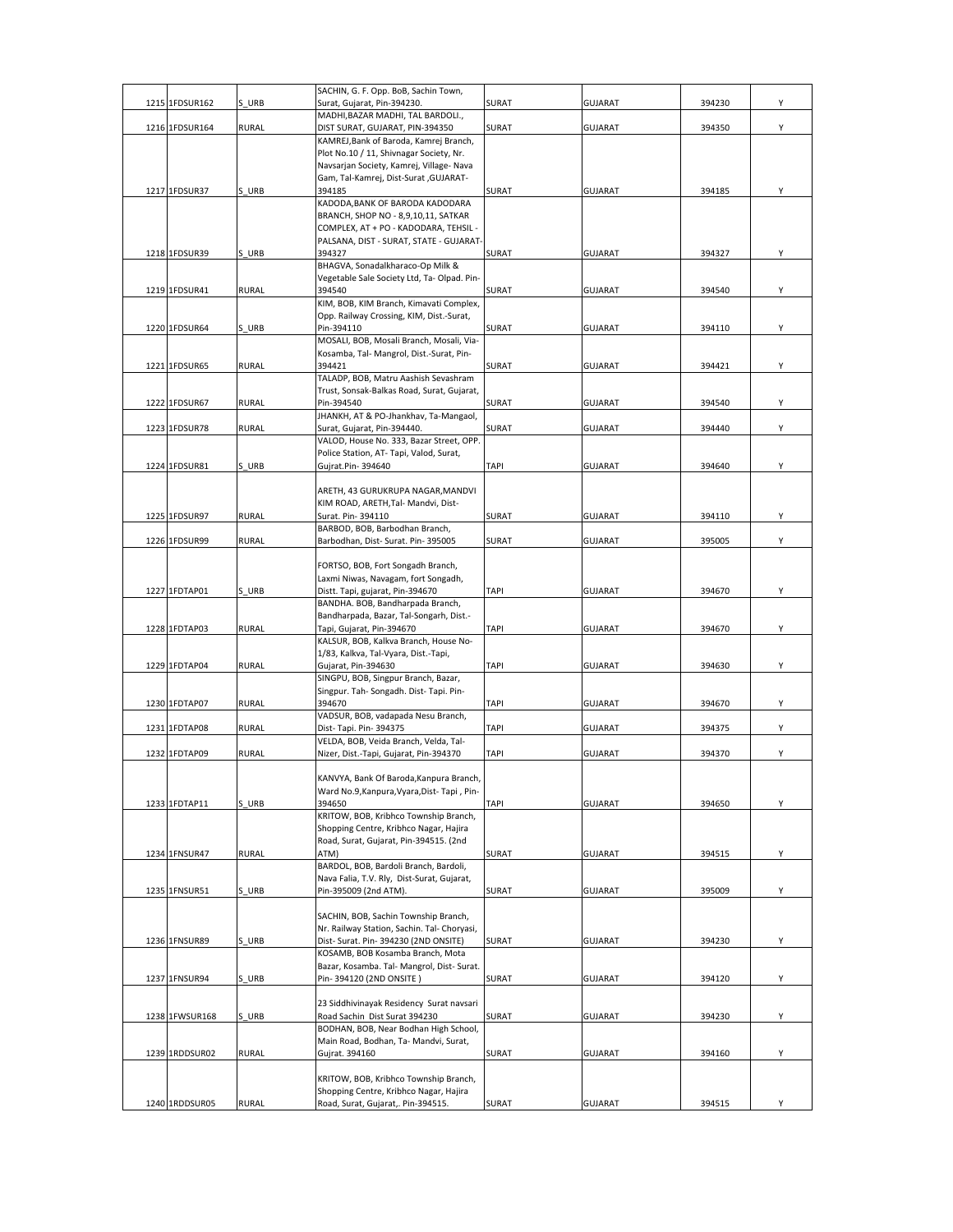| 1215 1FDSUR162 | S URB        | SACHIN, G. F. Opp. BoB, Sachin Town,<br>Surat, Gujarat, Pin-394230.                  | SURAT        | <b>GUJARAT</b> | 394230 | Y |
|----------------|--------------|--------------------------------------------------------------------------------------|--------------|----------------|--------|---|
|                |              | MADHI, BAZAR MADHI, TAL BARDOLI.,                                                    |              |                |        |   |
| 1216 1FDSUR164 | <b>RURAL</b> | DIST SURAT, GUJARAT, PIN-394350                                                      | SURAT        | <b>GUJARAT</b> | 394350 | Y |
|                |              | KAMREJ, Bank of Baroda, Kamrej Branch,<br>Plot No.10 / 11, Shivnagar Society, Nr.    |              |                |        |   |
|                |              | Navsarjan Society, Kamrej, Village- Nava                                             |              |                |        |   |
|                |              | Gam, Tal-Kamrej, Dist-Surat , GUJARAT-                                               |              |                |        |   |
| 1217 1FDSUR37  | S URB        | 394185                                                                               | SURAT        | <b>GUJARAT</b> | 394185 | Υ |
|                |              | KADODA, BANK OF BARODA KADODARA<br>BRANCH, SHOP NO - 8,9,10,11, SATKAR               |              |                |        |   |
|                |              | COMPLEX, AT + PO - KADODARA, TEHSIL -                                                |              |                |        |   |
|                |              | PALSANA, DIST - SURAT, STATE - GUJARAT-<br>394327                                    |              |                |        | Υ |
| 1218 1FDSUR39  | S URB        | BHAGVA, Sonadalkharaco-Op Milk &                                                     | SURAT        | <b>GUJARAT</b> | 394327 |   |
|                |              | Vegetable Sale Society Ltd, Ta-Olpad. Pin-                                           |              |                |        |   |
| 1219 1FDSUR41  | <b>RURAL</b> | 394540<br>KIM, BOB, KIM Branch, Kimavati Complex,                                    | SURAT        | <b>GUJARAT</b> | 394540 | Υ |
|                |              | Opp. Railway Crossing, KIM, Dist.-Surat,                                             |              |                |        |   |
| 1220 1FDSUR64  | S URB        | Pin-394110                                                                           | <b>SURAT</b> | <b>GUJARAT</b> | 394110 | Υ |
|                |              | MOSALI, BOB, Mosali Branch, Mosali, Via-<br>Kosamba, Tal- Mangrol, Dist.-Surat, Pin- |              |                |        |   |
| 1221 1FDSUR65  | <b>RURAL</b> | 394421                                                                               | SURAT        | <b>GUJARAT</b> | 394421 | Υ |
|                |              | TALADP, BOB, Matru Aashish Sevashram                                                 |              |                |        |   |
|                |              | Trust, Sonsak-Balkas Road, Surat, Gujarat,<br>Pin-394540                             |              |                | 394540 |   |
| 1222 1FDSUR67  | <b>RURAL</b> | JHANKH, AT & PO-Jhankhav, Ta-Mangaol,                                                | SURAT        | <b>GUJARAT</b> |        | Υ |
| 1223 1FDSUR78  | <b>RURAL</b> | Surat, Gujarat, Pin-394440.                                                          | SURAT        | <b>GUJARAT</b> | 394440 | Υ |
|                |              | VALOD, House No. 333, Bazar Street, OPP.                                             |              |                |        |   |
| 1224 1FDSUR81  | S URB        | Police Station, AT- Tapi, Valod, Surat,<br>Gujrat.Pin-394640                         | <b>TAPI</b>  | <b>GUJARAT</b> | 394640 | Υ |
|                |              |                                                                                      |              |                |        |   |
|                |              | ARETH, 43 GURUKRUPA NAGAR, MANDVI<br>KIM ROAD, ARETH, Tal- Mandvi, Dist-             |              |                |        |   |
| 1225 1FDSUR97  | <b>RURAL</b> | Surat. Pin-394110                                                                    | SURAT        | <b>GUJARAT</b> | 394110 | Υ |
|                |              | BARBOD, BOB, Barbodhan Branch,                                                       |              |                |        |   |
| 1226 1FDSUR99  | <b>RURAL</b> | Barbodhan, Dist- Surat. Pin-395005                                                   | SURAT        | <b>GUJARAT</b> | 395005 | Υ |
|                |              | FORTSO, BOB, Fort Songadh Branch,                                                    |              |                |        |   |
|                |              | Laxmi Niwas, Navagam, fort Songadh,                                                  |              |                |        |   |
| 1227 1FDTAP01  | S URB        | Distt. Tapi, gujarat, Pin-394670<br>BANDHA. BOB, Bandharpada Branch,                 | <b>TAPI</b>  | <b>GUJARAT</b> | 394670 | Υ |
|                |              | Bandharpada, Bazar, Tal-Songarh, Dist.-                                              |              |                |        |   |
| 1228 1FDTAP03  | <b>RURAL</b> | Tapi, Gujarat, Pin-394670                                                            | <b>TAPI</b>  | <b>GUJARAT</b> | 394670 | Y |
|                |              | KALSUR, BOB, Kalkva Branch, House No-<br>1/83, Kalkva, Tal-Vyara, Dist.-Tapi,        |              |                |        |   |
| 1229 1FDTAP04  | <b>RURAL</b> | Gujarat, Pin-394630                                                                  | <b>TAPI</b>  | <b>GUJARAT</b> | 394630 | Υ |
|                |              | SINGPU, BOB, Singpur Branch, Bazar,                                                  |              |                |        |   |
| 1230 1FDTAP07  | <b>RURAL</b> | Singpur. Tah- Songadh. Dist- Tapi. Pin-<br>394670                                    | <b>TAPI</b>  | <b>GUJARAT</b> | 394670 | Υ |
|                |              | VADSUR, BOB, vadapada Nesu Branch,                                                   |              |                |        |   |
| 1231 1FDTAP08  | <b>RURAL</b> | Dist-Tapi. Pin- 394375                                                               | <b>TAPI</b>  | <b>GUJARAT</b> | 394375 | Υ |
| 1232 1FDTAP09  | <b>RURAL</b> | VELDA, BOB, Veida Branch, Velda, Tal-<br>Nizer, Dist.-Tapi, Gujarat, Pin-394370      | <b>TAPI</b>  | <b>GUJARAT</b> | 394370 | Υ |
|                |              |                                                                                      |              |                |        |   |
|                |              | KANVYA, Bank Of Baroda, Kanpura Branch,                                              |              |                |        |   |
| 1233 1FDTAP11  | S URB        | Ward No.9, Kanpura, Vyara, Dist-Tapi, Pin-<br>394650                                 | TAPI         | <b>GUJARAT</b> | 394650 | Y |
|                |              | KRITOW, BOB, Kribhco Township Branch,                                                |              |                |        |   |
|                |              | Shopping Centre, Kribhco Nagar, Hajira                                               |              |                |        |   |
| 1234 1FNSUR47  | RURAL        | Road, Surat, Gujarat, Pin-394515. (2nd<br>ATM)                                       | SURAT        | <b>GUJARAT</b> | 394515 | Υ |
|                |              | BARDOL, BOB, Bardoli Branch, Bardoli,                                                |              |                |        |   |
| 1235 1FNSUR51  | S URB        | Nava Falia, T.V. Rly, Dist-Surat, Gujarat,<br>Pin-395009 (2nd ATM).                  | SURAT        |                | 395009 |   |
|                |              |                                                                                      |              | <b>GUJARAT</b> |        | Υ |
|                |              | SACHIN, BOB, Sachin Township Branch,                                                 |              |                |        |   |
| 1236 1FNSUR89  | S URB        | Nr. Railway Station, Sachin. Tal- Choryasi,<br>Dist- Surat. Pin- 394230 (2ND ONSITE) | SURAT        | <b>GUJARAT</b> | 394230 | Υ |
|                |              | KOSAMB, BOB Kosamba Branch, Mota                                                     |              |                |        |   |
|                |              | Bazar, Kosamba. Tal- Mangrol, Dist- Surat.                                           |              |                |        |   |
| 1237 1FNSUR94  | S URB        | Pin-394120 (2ND ONSITE)                                                              | SURAT        | <b>GUJARAT</b> | 394120 | Υ |
|                |              | 23 Siddhivinayak Residency Surat navsari                                             |              |                |        |   |
| 1238 1FWSUR168 | S_URB        | Road Sachin Dist Surat 394230                                                        | SURAT        | <b>GUJARAT</b> | 394230 | Υ |
|                |              | BODHAN, BOB, Near Bodhan High School,<br>Main Road, Bodhan, Ta- Mandvi, Surat,       |              |                |        |   |
| 1239 1RDDSUR02 | <b>RURAL</b> | Gujrat. 394160                                                                       | <b>SURAT</b> | <b>GUJARAT</b> | 394160 | Υ |
|                |              |                                                                                      |              |                |        |   |
|                |              | KRITOW, BOB, Kribhco Township Branch,<br>Shopping Centre, Kribhco Nagar, Hajira      |              |                |        |   |
| 1240 1RDDSUR05 | <b>RURAL</b> | Road, Surat, Gujarat,. Pin-394515.                                                   | <b>SURAT</b> | <b>GUJARAT</b> | 394515 | Y |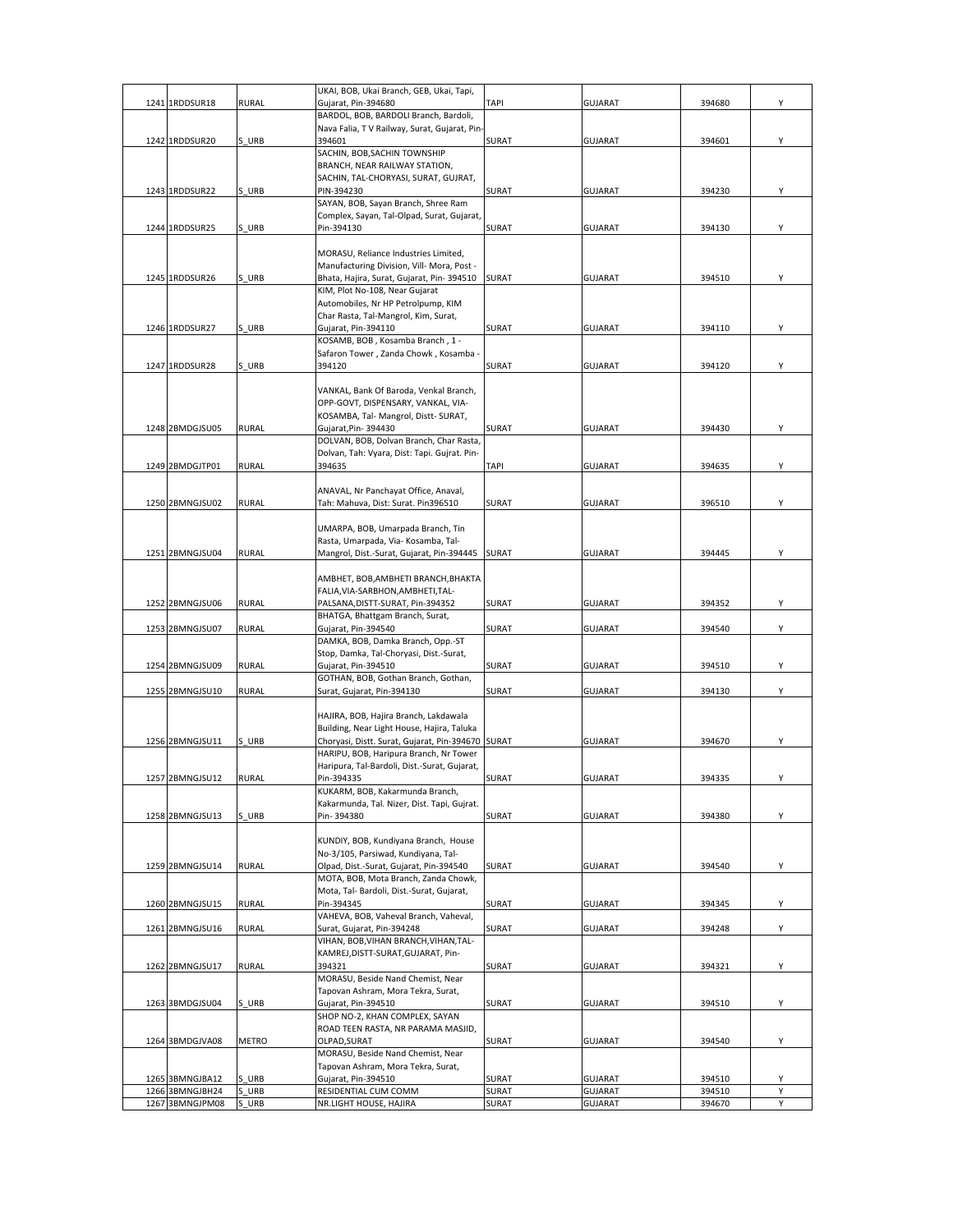| UKAI, BOB, Ukai Branch, GEB, Ukai, Tapi,<br>1241 1RDDSUR18<br><b>RURAL</b><br>Gujarat, Pin-394680<br><b>TAPI</b><br><b>GUJARAT</b><br>394680<br>BARDOL, BOB, BARDOLI Branch, Bardoli,<br>Nava Falia, T V Railway, Surat, Gujarat, Pin-<br>SURAT<br>1242 1RDDSUR20<br>S URB<br>394601<br><b>GUJARAT</b><br>394601<br>SACHIN, BOB, SACHIN TOWNSHIP<br>BRANCH, NEAR RAILWAY STATION,<br>SACHIN, TAL-CHORYASI, SURAT, GUJRAT,<br>S URB<br>SURAT<br>1243 1RDDSUR22<br>PIN-394230<br><b>GUJARAT</b><br>394230<br>SAYAN, BOB, Sayan Branch, Shree Ram<br>Complex, Sayan, Tal-Olpad, Surat, Gujarat,<br>1244 1RDDSUR25<br>S URB<br>SURAT<br>Pin-394130<br><b>GUJARAT</b><br>394130<br>MORASU, Reliance Industries Limited,<br>Manufacturing Division, Vill- Mora, Post -<br>S URB<br>1245 1RDDSUR26<br>Bhata, Hajira, Surat, Gujarat, Pin-394510<br>SURAT<br><b>GUJARAT</b><br>394510<br>KIM, Plot No-108, Near Gujarat<br>Automobiles, Nr HP Petrolpump, KIM<br>Char Rasta, Tal-Mangrol, Kim, Surat,<br>1246 1RDDSUR27<br>S URB<br>SURAT<br>Gujarat, Pin-394110<br><b>GUJARAT</b><br>394110<br>KOSAMB, BOB, Kosamba Branch, 1 -<br>Safaron Tower, Zanda Chowk, Kosamba<br>1247 1RDDSUR28<br>S URB<br>394120<br>SURAT<br><b>GUJARAT</b><br>394120<br>VANKAL, Bank Of Baroda, Venkal Branch,<br>OPP-GOVT, DISPENSARY, VANKAL, VIA-<br>KOSAMBA, Tal- Mangrol, Distt- SURAT,<br>1248 2BMDGJSU05<br><b>RURAL</b><br>Gujarat, Pin-394430<br>SURAT<br><b>GUJARAT</b><br>394430<br>DOLVAN, BOB, Dolvan Branch, Char Rasta,<br>Dolvan, Tah: Vyara, Dist: Tapi. Gujrat. Pin-<br>1249 2BMDGJTP01<br><b>RURAL</b><br>394635<br>TAPI<br><b>GUJARAT</b><br>394635<br>ANAVAL, Nr Panchayat Office, Anaval,<br>1250 2BMNGJSU02<br><b>RURAL</b><br>Tah: Mahuva, Dist: Surat. Pin396510<br>SURAT<br><b>GUJARAT</b><br>396510<br>UMARPA, BOB, Umarpada Branch, Tin<br>Rasta, Umarpada, Via- Kosamba, Tal-<br>1251 2BMNGJSU04<br><b>RURAL</b><br><b>SURAT</b><br><b>GUJARAT</b><br>394445<br>Mangrol, Dist.-Surat, Gujarat, Pin-394445<br>AMBHET, BOB, AMBHETI BRANCH, BHAKTA<br>FALIA, VIA-SARBHON, AMBHETI, TAL-<br>1252 2BMNGJSU06<br><b>RURAL</b><br>PALSANA, DISTT-SURAT, Pin-394352<br>SURAT<br><b>GUJARAT</b><br>394352<br>BHATGA, Bhattgam Branch, Surat,<br><b>RURAL</b><br>Gujarat, Pin-394540<br>SURAT<br>394540<br>1253 2BMNGJSU07<br><b>GUJARAT</b><br>DAMKA, BOB, Damka Branch, Opp.-ST<br>Stop, Damka, Tal-Choryasi, Dist.-Surat,<br>1254 2BMNGJSU09<br><b>RURAL</b><br>SURAT<br>Gujarat, Pin-394510<br><b>GUJARAT</b><br>394510<br>GOTHAN, BOB, Gothan Branch, Gothan,<br>1255 2BMNGJSU10<br><b>RURAL</b><br><b>SURAT</b><br>Surat, Gujarat, Pin-394130<br><b>GUJARAT</b><br>394130<br>HAJIRA, BOB, Hajira Branch, Lakdawala<br>Building, Near Light House, Hajira, Taluka<br>1256 2BMNGJSU11<br>Choryasi, Distt. Surat, Gujarat, Pin-394670 SURAT<br>S URB<br><b>GUJARAT</b><br>394670<br>HARIPU, BOB, Haripura Branch, Nr Tower<br>Haripura, Tal-Bardoli, Dist.-Surat, Gujarat,<br>1257 2BMNGJSU12<br><b>RURAL</b><br>Pin-394335<br>SURAT<br><b>GUJARAT</b><br>394335<br>KUKARM, BOB, Kakarmunda Branch,<br>Kakarmunda, Tal. Nizer, Dist. Tapi, Gujrat.<br>1258 2BMNGJSU13<br>S URB<br>Pin-394380<br>SURAT<br><b>GUJARAT</b><br>394380<br>KUNDIY, BOB, Kundiyana Branch, House<br>No-3/105, Parsiwad, Kundiyana, Tal-<br><b>RURAL</b><br>Olpad, Dist.-Surat, Gujarat, Pin-394540<br>SURAT<br><b>GUJARAT</b><br>394540<br>1259 2BMNGJSU14<br>MOTA, BOB, Mota Branch, Zanda Chowk,<br>Mota, Tal- Bardoli, Dist.-Surat, Gujarat,<br>Pin-394345<br><b>RURAL</b><br>1260 2BMNGJSU15<br>SURAT<br><b>GUJARAT</b><br>394345<br>VAHEVA, BOB, Vaheval Branch, Vaheval,<br><b>RURAL</b><br>Surat, Gujarat, Pin-394248<br>SURAT<br><b>GUJARAT</b><br>394248<br>1261 2BMNGJSU16<br>VIHAN, BOB, VIHAN BRANCH, VIHAN, TAL-<br>KAMREJ, DISTT-SURAT, GUJARAT, Pin-<br>1262 2BMNGJSU17<br><b>RURAL</b><br>394321<br>SURAT<br>394321<br><b>GUJARAT</b><br>MORASU, Beside Nand Chemist, Near<br>Tapovan Ashram, Mora Tekra, Surat,<br>1263 3BMDGJSU04<br>S URB<br>Gujarat, Pin-394510<br>SURAT<br>394510<br>GUJARAT<br>SHOP NO-2, KHAN COMPLEX, SAYAN<br>ROAD TEEN RASTA, NR PARAMA MASJID,<br>1264 3BMDGJVA08<br>OLPAD, SURAT<br><b>SURAT</b><br>GUJARAT<br>394540<br>METRO<br>MORASU, Beside Nand Chemist, Near<br>Tapovan Ashram, Mora Tekra, Surat,<br>1265 3BMNGJBA12<br>S URB<br>Gujarat, Pin-394510<br>SURAT<br>394510<br><b>GUJARAT</b><br>1266 3BMNGJBH24<br>URB<br>SURAT<br>GUJARAT<br>RESIDENTIAL CUM COMM<br>394510 |                 |       |                        |       |         |        |   |
|----------------------------------------------------------------------------------------------------------------------------------------------------------------------------------------------------------------------------------------------------------------------------------------------------------------------------------------------------------------------------------------------------------------------------------------------------------------------------------------------------------------------------------------------------------------------------------------------------------------------------------------------------------------------------------------------------------------------------------------------------------------------------------------------------------------------------------------------------------------------------------------------------------------------------------------------------------------------------------------------------------------------------------------------------------------------------------------------------------------------------------------------------------------------------------------------------------------------------------------------------------------------------------------------------------------------------------------------------------------------------------------------------------------------------------------------------------------------------------------------------------------------------------------------------------------------------------------------------------------------------------------------------------------------------------------------------------------------------------------------------------------------------------------------------------------------------------------------------------------------------------------------------------------------------------------------------------------------------------------------------------------------------------------------------------------------------------------------------------------------------------------------------------------------------------------------------------------------------------------------------------------------------------------------------------------------------------------------------------------------------------------------------------------------------------------------------------------------------------------------------------------------------------------------------------------------------------------------------------------------------------------------------------------------------------------------------------------------------------------------------------------------------------------------------------------------------------------------------------------------------------------------------------------------------------------------------------------------------------------------------------------------------------------------------------------------------------------------------------------------------------------------------------------------------------------------------------------------------------------------------------------------------------------------------------------------------------------------------------------------------------------------------------------------------------------------------------------------------------------------------------------------------------------------------------------------------------------------------------------------------------------------------------------------------------------------------------------------------------------------------------------------------------------------------------------------------------------------------------------------------------------------------------------------------------------------------------------------------------------------------------------------------------------------------------------------------------------------------------------------------------------------------------------------------------------------------------------------------------------------------------------------------------------------------------------------------------------------------------------------------------------------------------------------------------------------------------------------------------------------------|-----------------|-------|------------------------|-------|---------|--------|---|
|                                                                                                                                                                                                                                                                                                                                                                                                                                                                                                                                                                                                                                                                                                                                                                                                                                                                                                                                                                                                                                                                                                                                                                                                                                                                                                                                                                                                                                                                                                                                                                                                                                                                                                                                                                                                                                                                                                                                                                                                                                                                                                                                                                                                                                                                                                                                                                                                                                                                                                                                                                                                                                                                                                                                                                                                                                                                                                                                                                                                                                                                                                                                                                                                                                                                                                                                                                                                                                                                                                                                                                                                                                                                                                                                                                                                                                                                                                                                                                                                                                                                                                                                                                                                                                                                                                                                                                                                                                                                                                    |                 |       |                        |       |         |        |   |
|                                                                                                                                                                                                                                                                                                                                                                                                                                                                                                                                                                                                                                                                                                                                                                                                                                                                                                                                                                                                                                                                                                                                                                                                                                                                                                                                                                                                                                                                                                                                                                                                                                                                                                                                                                                                                                                                                                                                                                                                                                                                                                                                                                                                                                                                                                                                                                                                                                                                                                                                                                                                                                                                                                                                                                                                                                                                                                                                                                                                                                                                                                                                                                                                                                                                                                                                                                                                                                                                                                                                                                                                                                                                                                                                                                                                                                                                                                                                                                                                                                                                                                                                                                                                                                                                                                                                                                                                                                                                                                    |                 |       |                        |       |         |        | Υ |
|                                                                                                                                                                                                                                                                                                                                                                                                                                                                                                                                                                                                                                                                                                                                                                                                                                                                                                                                                                                                                                                                                                                                                                                                                                                                                                                                                                                                                                                                                                                                                                                                                                                                                                                                                                                                                                                                                                                                                                                                                                                                                                                                                                                                                                                                                                                                                                                                                                                                                                                                                                                                                                                                                                                                                                                                                                                                                                                                                                                                                                                                                                                                                                                                                                                                                                                                                                                                                                                                                                                                                                                                                                                                                                                                                                                                                                                                                                                                                                                                                                                                                                                                                                                                                                                                                                                                                                                                                                                                                                    |                 |       |                        |       |         |        |   |
|                                                                                                                                                                                                                                                                                                                                                                                                                                                                                                                                                                                                                                                                                                                                                                                                                                                                                                                                                                                                                                                                                                                                                                                                                                                                                                                                                                                                                                                                                                                                                                                                                                                                                                                                                                                                                                                                                                                                                                                                                                                                                                                                                                                                                                                                                                                                                                                                                                                                                                                                                                                                                                                                                                                                                                                                                                                                                                                                                                                                                                                                                                                                                                                                                                                                                                                                                                                                                                                                                                                                                                                                                                                                                                                                                                                                                                                                                                                                                                                                                                                                                                                                                                                                                                                                                                                                                                                                                                                                                                    |                 |       |                        |       |         |        | Υ |
|                                                                                                                                                                                                                                                                                                                                                                                                                                                                                                                                                                                                                                                                                                                                                                                                                                                                                                                                                                                                                                                                                                                                                                                                                                                                                                                                                                                                                                                                                                                                                                                                                                                                                                                                                                                                                                                                                                                                                                                                                                                                                                                                                                                                                                                                                                                                                                                                                                                                                                                                                                                                                                                                                                                                                                                                                                                                                                                                                                                                                                                                                                                                                                                                                                                                                                                                                                                                                                                                                                                                                                                                                                                                                                                                                                                                                                                                                                                                                                                                                                                                                                                                                                                                                                                                                                                                                                                                                                                                                                    |                 |       |                        |       |         |        |   |
|                                                                                                                                                                                                                                                                                                                                                                                                                                                                                                                                                                                                                                                                                                                                                                                                                                                                                                                                                                                                                                                                                                                                                                                                                                                                                                                                                                                                                                                                                                                                                                                                                                                                                                                                                                                                                                                                                                                                                                                                                                                                                                                                                                                                                                                                                                                                                                                                                                                                                                                                                                                                                                                                                                                                                                                                                                                                                                                                                                                                                                                                                                                                                                                                                                                                                                                                                                                                                                                                                                                                                                                                                                                                                                                                                                                                                                                                                                                                                                                                                                                                                                                                                                                                                                                                                                                                                                                                                                                                                                    |                 |       |                        |       |         |        |   |
|                                                                                                                                                                                                                                                                                                                                                                                                                                                                                                                                                                                                                                                                                                                                                                                                                                                                                                                                                                                                                                                                                                                                                                                                                                                                                                                                                                                                                                                                                                                                                                                                                                                                                                                                                                                                                                                                                                                                                                                                                                                                                                                                                                                                                                                                                                                                                                                                                                                                                                                                                                                                                                                                                                                                                                                                                                                                                                                                                                                                                                                                                                                                                                                                                                                                                                                                                                                                                                                                                                                                                                                                                                                                                                                                                                                                                                                                                                                                                                                                                                                                                                                                                                                                                                                                                                                                                                                                                                                                                                    |                 |       |                        |       |         |        |   |
|                                                                                                                                                                                                                                                                                                                                                                                                                                                                                                                                                                                                                                                                                                                                                                                                                                                                                                                                                                                                                                                                                                                                                                                                                                                                                                                                                                                                                                                                                                                                                                                                                                                                                                                                                                                                                                                                                                                                                                                                                                                                                                                                                                                                                                                                                                                                                                                                                                                                                                                                                                                                                                                                                                                                                                                                                                                                                                                                                                                                                                                                                                                                                                                                                                                                                                                                                                                                                                                                                                                                                                                                                                                                                                                                                                                                                                                                                                                                                                                                                                                                                                                                                                                                                                                                                                                                                                                                                                                                                                    |                 |       |                        |       |         |        | Υ |
|                                                                                                                                                                                                                                                                                                                                                                                                                                                                                                                                                                                                                                                                                                                                                                                                                                                                                                                                                                                                                                                                                                                                                                                                                                                                                                                                                                                                                                                                                                                                                                                                                                                                                                                                                                                                                                                                                                                                                                                                                                                                                                                                                                                                                                                                                                                                                                                                                                                                                                                                                                                                                                                                                                                                                                                                                                                                                                                                                                                                                                                                                                                                                                                                                                                                                                                                                                                                                                                                                                                                                                                                                                                                                                                                                                                                                                                                                                                                                                                                                                                                                                                                                                                                                                                                                                                                                                                                                                                                                                    |                 |       |                        |       |         |        |   |
|                                                                                                                                                                                                                                                                                                                                                                                                                                                                                                                                                                                                                                                                                                                                                                                                                                                                                                                                                                                                                                                                                                                                                                                                                                                                                                                                                                                                                                                                                                                                                                                                                                                                                                                                                                                                                                                                                                                                                                                                                                                                                                                                                                                                                                                                                                                                                                                                                                                                                                                                                                                                                                                                                                                                                                                                                                                                                                                                                                                                                                                                                                                                                                                                                                                                                                                                                                                                                                                                                                                                                                                                                                                                                                                                                                                                                                                                                                                                                                                                                                                                                                                                                                                                                                                                                                                                                                                                                                                                                                    |                 |       |                        |       |         |        |   |
|                                                                                                                                                                                                                                                                                                                                                                                                                                                                                                                                                                                                                                                                                                                                                                                                                                                                                                                                                                                                                                                                                                                                                                                                                                                                                                                                                                                                                                                                                                                                                                                                                                                                                                                                                                                                                                                                                                                                                                                                                                                                                                                                                                                                                                                                                                                                                                                                                                                                                                                                                                                                                                                                                                                                                                                                                                                                                                                                                                                                                                                                                                                                                                                                                                                                                                                                                                                                                                                                                                                                                                                                                                                                                                                                                                                                                                                                                                                                                                                                                                                                                                                                                                                                                                                                                                                                                                                                                                                                                                    |                 |       |                        |       |         |        | Υ |
|                                                                                                                                                                                                                                                                                                                                                                                                                                                                                                                                                                                                                                                                                                                                                                                                                                                                                                                                                                                                                                                                                                                                                                                                                                                                                                                                                                                                                                                                                                                                                                                                                                                                                                                                                                                                                                                                                                                                                                                                                                                                                                                                                                                                                                                                                                                                                                                                                                                                                                                                                                                                                                                                                                                                                                                                                                                                                                                                                                                                                                                                                                                                                                                                                                                                                                                                                                                                                                                                                                                                                                                                                                                                                                                                                                                                                                                                                                                                                                                                                                                                                                                                                                                                                                                                                                                                                                                                                                                                                                    |                 |       |                        |       |         |        |   |
|                                                                                                                                                                                                                                                                                                                                                                                                                                                                                                                                                                                                                                                                                                                                                                                                                                                                                                                                                                                                                                                                                                                                                                                                                                                                                                                                                                                                                                                                                                                                                                                                                                                                                                                                                                                                                                                                                                                                                                                                                                                                                                                                                                                                                                                                                                                                                                                                                                                                                                                                                                                                                                                                                                                                                                                                                                                                                                                                                                                                                                                                                                                                                                                                                                                                                                                                                                                                                                                                                                                                                                                                                                                                                                                                                                                                                                                                                                                                                                                                                                                                                                                                                                                                                                                                                                                                                                                                                                                                                                    |                 |       |                        |       |         |        |   |
|                                                                                                                                                                                                                                                                                                                                                                                                                                                                                                                                                                                                                                                                                                                                                                                                                                                                                                                                                                                                                                                                                                                                                                                                                                                                                                                                                                                                                                                                                                                                                                                                                                                                                                                                                                                                                                                                                                                                                                                                                                                                                                                                                                                                                                                                                                                                                                                                                                                                                                                                                                                                                                                                                                                                                                                                                                                                                                                                                                                                                                                                                                                                                                                                                                                                                                                                                                                                                                                                                                                                                                                                                                                                                                                                                                                                                                                                                                                                                                                                                                                                                                                                                                                                                                                                                                                                                                                                                                                                                                    |                 |       |                        |       |         |        |   |
|                                                                                                                                                                                                                                                                                                                                                                                                                                                                                                                                                                                                                                                                                                                                                                                                                                                                                                                                                                                                                                                                                                                                                                                                                                                                                                                                                                                                                                                                                                                                                                                                                                                                                                                                                                                                                                                                                                                                                                                                                                                                                                                                                                                                                                                                                                                                                                                                                                                                                                                                                                                                                                                                                                                                                                                                                                                                                                                                                                                                                                                                                                                                                                                                                                                                                                                                                                                                                                                                                                                                                                                                                                                                                                                                                                                                                                                                                                                                                                                                                                                                                                                                                                                                                                                                                                                                                                                                                                                                                                    |                 |       |                        |       |         |        | Υ |
|                                                                                                                                                                                                                                                                                                                                                                                                                                                                                                                                                                                                                                                                                                                                                                                                                                                                                                                                                                                                                                                                                                                                                                                                                                                                                                                                                                                                                                                                                                                                                                                                                                                                                                                                                                                                                                                                                                                                                                                                                                                                                                                                                                                                                                                                                                                                                                                                                                                                                                                                                                                                                                                                                                                                                                                                                                                                                                                                                                                                                                                                                                                                                                                                                                                                                                                                                                                                                                                                                                                                                                                                                                                                                                                                                                                                                                                                                                                                                                                                                                                                                                                                                                                                                                                                                                                                                                                                                                                                                                    |                 |       |                        |       |         |        |   |
|                                                                                                                                                                                                                                                                                                                                                                                                                                                                                                                                                                                                                                                                                                                                                                                                                                                                                                                                                                                                                                                                                                                                                                                                                                                                                                                                                                                                                                                                                                                                                                                                                                                                                                                                                                                                                                                                                                                                                                                                                                                                                                                                                                                                                                                                                                                                                                                                                                                                                                                                                                                                                                                                                                                                                                                                                                                                                                                                                                                                                                                                                                                                                                                                                                                                                                                                                                                                                                                                                                                                                                                                                                                                                                                                                                                                                                                                                                                                                                                                                                                                                                                                                                                                                                                                                                                                                                                                                                                                                                    |                 |       |                        |       |         |        |   |
|                                                                                                                                                                                                                                                                                                                                                                                                                                                                                                                                                                                                                                                                                                                                                                                                                                                                                                                                                                                                                                                                                                                                                                                                                                                                                                                                                                                                                                                                                                                                                                                                                                                                                                                                                                                                                                                                                                                                                                                                                                                                                                                                                                                                                                                                                                                                                                                                                                                                                                                                                                                                                                                                                                                                                                                                                                                                                                                                                                                                                                                                                                                                                                                                                                                                                                                                                                                                                                                                                                                                                                                                                                                                                                                                                                                                                                                                                                                                                                                                                                                                                                                                                                                                                                                                                                                                                                                                                                                                                                    |                 |       |                        |       |         |        |   |
|                                                                                                                                                                                                                                                                                                                                                                                                                                                                                                                                                                                                                                                                                                                                                                                                                                                                                                                                                                                                                                                                                                                                                                                                                                                                                                                                                                                                                                                                                                                                                                                                                                                                                                                                                                                                                                                                                                                                                                                                                                                                                                                                                                                                                                                                                                                                                                                                                                                                                                                                                                                                                                                                                                                                                                                                                                                                                                                                                                                                                                                                                                                                                                                                                                                                                                                                                                                                                                                                                                                                                                                                                                                                                                                                                                                                                                                                                                                                                                                                                                                                                                                                                                                                                                                                                                                                                                                                                                                                                                    |                 |       |                        |       |         |        | Υ |
|                                                                                                                                                                                                                                                                                                                                                                                                                                                                                                                                                                                                                                                                                                                                                                                                                                                                                                                                                                                                                                                                                                                                                                                                                                                                                                                                                                                                                                                                                                                                                                                                                                                                                                                                                                                                                                                                                                                                                                                                                                                                                                                                                                                                                                                                                                                                                                                                                                                                                                                                                                                                                                                                                                                                                                                                                                                                                                                                                                                                                                                                                                                                                                                                                                                                                                                                                                                                                                                                                                                                                                                                                                                                                                                                                                                                                                                                                                                                                                                                                                                                                                                                                                                                                                                                                                                                                                                                                                                                                                    |                 |       |                        |       |         |        |   |
|                                                                                                                                                                                                                                                                                                                                                                                                                                                                                                                                                                                                                                                                                                                                                                                                                                                                                                                                                                                                                                                                                                                                                                                                                                                                                                                                                                                                                                                                                                                                                                                                                                                                                                                                                                                                                                                                                                                                                                                                                                                                                                                                                                                                                                                                                                                                                                                                                                                                                                                                                                                                                                                                                                                                                                                                                                                                                                                                                                                                                                                                                                                                                                                                                                                                                                                                                                                                                                                                                                                                                                                                                                                                                                                                                                                                                                                                                                                                                                                                                                                                                                                                                                                                                                                                                                                                                                                                                                                                                                    |                 |       |                        |       |         |        |   |
|                                                                                                                                                                                                                                                                                                                                                                                                                                                                                                                                                                                                                                                                                                                                                                                                                                                                                                                                                                                                                                                                                                                                                                                                                                                                                                                                                                                                                                                                                                                                                                                                                                                                                                                                                                                                                                                                                                                                                                                                                                                                                                                                                                                                                                                                                                                                                                                                                                                                                                                                                                                                                                                                                                                                                                                                                                                                                                                                                                                                                                                                                                                                                                                                                                                                                                                                                                                                                                                                                                                                                                                                                                                                                                                                                                                                                                                                                                                                                                                                                                                                                                                                                                                                                                                                                                                                                                                                                                                                                                    |                 |       |                        |       |         |        | Υ |
|                                                                                                                                                                                                                                                                                                                                                                                                                                                                                                                                                                                                                                                                                                                                                                                                                                                                                                                                                                                                                                                                                                                                                                                                                                                                                                                                                                                                                                                                                                                                                                                                                                                                                                                                                                                                                                                                                                                                                                                                                                                                                                                                                                                                                                                                                                                                                                                                                                                                                                                                                                                                                                                                                                                                                                                                                                                                                                                                                                                                                                                                                                                                                                                                                                                                                                                                                                                                                                                                                                                                                                                                                                                                                                                                                                                                                                                                                                                                                                                                                                                                                                                                                                                                                                                                                                                                                                                                                                                                                                    |                 |       |                        |       |         |        |   |
|                                                                                                                                                                                                                                                                                                                                                                                                                                                                                                                                                                                                                                                                                                                                                                                                                                                                                                                                                                                                                                                                                                                                                                                                                                                                                                                                                                                                                                                                                                                                                                                                                                                                                                                                                                                                                                                                                                                                                                                                                                                                                                                                                                                                                                                                                                                                                                                                                                                                                                                                                                                                                                                                                                                                                                                                                                                                                                                                                                                                                                                                                                                                                                                                                                                                                                                                                                                                                                                                                                                                                                                                                                                                                                                                                                                                                                                                                                                                                                                                                                                                                                                                                                                                                                                                                                                                                                                                                                                                                                    |                 |       |                        |       |         |        |   |
|                                                                                                                                                                                                                                                                                                                                                                                                                                                                                                                                                                                                                                                                                                                                                                                                                                                                                                                                                                                                                                                                                                                                                                                                                                                                                                                                                                                                                                                                                                                                                                                                                                                                                                                                                                                                                                                                                                                                                                                                                                                                                                                                                                                                                                                                                                                                                                                                                                                                                                                                                                                                                                                                                                                                                                                                                                                                                                                                                                                                                                                                                                                                                                                                                                                                                                                                                                                                                                                                                                                                                                                                                                                                                                                                                                                                                                                                                                                                                                                                                                                                                                                                                                                                                                                                                                                                                                                                                                                                                                    |                 |       |                        |       |         |        |   |
|                                                                                                                                                                                                                                                                                                                                                                                                                                                                                                                                                                                                                                                                                                                                                                                                                                                                                                                                                                                                                                                                                                                                                                                                                                                                                                                                                                                                                                                                                                                                                                                                                                                                                                                                                                                                                                                                                                                                                                                                                                                                                                                                                                                                                                                                                                                                                                                                                                                                                                                                                                                                                                                                                                                                                                                                                                                                                                                                                                                                                                                                                                                                                                                                                                                                                                                                                                                                                                                                                                                                                                                                                                                                                                                                                                                                                                                                                                                                                                                                                                                                                                                                                                                                                                                                                                                                                                                                                                                                                                    |                 |       |                        |       |         |        | Y |
|                                                                                                                                                                                                                                                                                                                                                                                                                                                                                                                                                                                                                                                                                                                                                                                                                                                                                                                                                                                                                                                                                                                                                                                                                                                                                                                                                                                                                                                                                                                                                                                                                                                                                                                                                                                                                                                                                                                                                                                                                                                                                                                                                                                                                                                                                                                                                                                                                                                                                                                                                                                                                                                                                                                                                                                                                                                                                                                                                                                                                                                                                                                                                                                                                                                                                                                                                                                                                                                                                                                                                                                                                                                                                                                                                                                                                                                                                                                                                                                                                                                                                                                                                                                                                                                                                                                                                                                                                                                                                                    |                 |       |                        |       |         |        |   |
|                                                                                                                                                                                                                                                                                                                                                                                                                                                                                                                                                                                                                                                                                                                                                                                                                                                                                                                                                                                                                                                                                                                                                                                                                                                                                                                                                                                                                                                                                                                                                                                                                                                                                                                                                                                                                                                                                                                                                                                                                                                                                                                                                                                                                                                                                                                                                                                                                                                                                                                                                                                                                                                                                                                                                                                                                                                                                                                                                                                                                                                                                                                                                                                                                                                                                                                                                                                                                                                                                                                                                                                                                                                                                                                                                                                                                                                                                                                                                                                                                                                                                                                                                                                                                                                                                                                                                                                                                                                                                                    |                 |       |                        |       |         |        |   |
|                                                                                                                                                                                                                                                                                                                                                                                                                                                                                                                                                                                                                                                                                                                                                                                                                                                                                                                                                                                                                                                                                                                                                                                                                                                                                                                                                                                                                                                                                                                                                                                                                                                                                                                                                                                                                                                                                                                                                                                                                                                                                                                                                                                                                                                                                                                                                                                                                                                                                                                                                                                                                                                                                                                                                                                                                                                                                                                                                                                                                                                                                                                                                                                                                                                                                                                                                                                                                                                                                                                                                                                                                                                                                                                                                                                                                                                                                                                                                                                                                                                                                                                                                                                                                                                                                                                                                                                                                                                                                                    |                 |       |                        |       |         |        | Y |
|                                                                                                                                                                                                                                                                                                                                                                                                                                                                                                                                                                                                                                                                                                                                                                                                                                                                                                                                                                                                                                                                                                                                                                                                                                                                                                                                                                                                                                                                                                                                                                                                                                                                                                                                                                                                                                                                                                                                                                                                                                                                                                                                                                                                                                                                                                                                                                                                                                                                                                                                                                                                                                                                                                                                                                                                                                                                                                                                                                                                                                                                                                                                                                                                                                                                                                                                                                                                                                                                                                                                                                                                                                                                                                                                                                                                                                                                                                                                                                                                                                                                                                                                                                                                                                                                                                                                                                                                                                                                                                    |                 |       |                        |       |         |        |   |
|                                                                                                                                                                                                                                                                                                                                                                                                                                                                                                                                                                                                                                                                                                                                                                                                                                                                                                                                                                                                                                                                                                                                                                                                                                                                                                                                                                                                                                                                                                                                                                                                                                                                                                                                                                                                                                                                                                                                                                                                                                                                                                                                                                                                                                                                                                                                                                                                                                                                                                                                                                                                                                                                                                                                                                                                                                                                                                                                                                                                                                                                                                                                                                                                                                                                                                                                                                                                                                                                                                                                                                                                                                                                                                                                                                                                                                                                                                                                                                                                                                                                                                                                                                                                                                                                                                                                                                                                                                                                                                    |                 |       |                        |       |         |        |   |
|                                                                                                                                                                                                                                                                                                                                                                                                                                                                                                                                                                                                                                                                                                                                                                                                                                                                                                                                                                                                                                                                                                                                                                                                                                                                                                                                                                                                                                                                                                                                                                                                                                                                                                                                                                                                                                                                                                                                                                                                                                                                                                                                                                                                                                                                                                                                                                                                                                                                                                                                                                                                                                                                                                                                                                                                                                                                                                                                                                                                                                                                                                                                                                                                                                                                                                                                                                                                                                                                                                                                                                                                                                                                                                                                                                                                                                                                                                                                                                                                                                                                                                                                                                                                                                                                                                                                                                                                                                                                                                    |                 |       |                        |       |         |        | Υ |
|                                                                                                                                                                                                                                                                                                                                                                                                                                                                                                                                                                                                                                                                                                                                                                                                                                                                                                                                                                                                                                                                                                                                                                                                                                                                                                                                                                                                                                                                                                                                                                                                                                                                                                                                                                                                                                                                                                                                                                                                                                                                                                                                                                                                                                                                                                                                                                                                                                                                                                                                                                                                                                                                                                                                                                                                                                                                                                                                                                                                                                                                                                                                                                                                                                                                                                                                                                                                                                                                                                                                                                                                                                                                                                                                                                                                                                                                                                                                                                                                                                                                                                                                                                                                                                                                                                                                                                                                                                                                                                    |                 |       |                        |       |         |        |   |
|                                                                                                                                                                                                                                                                                                                                                                                                                                                                                                                                                                                                                                                                                                                                                                                                                                                                                                                                                                                                                                                                                                                                                                                                                                                                                                                                                                                                                                                                                                                                                                                                                                                                                                                                                                                                                                                                                                                                                                                                                                                                                                                                                                                                                                                                                                                                                                                                                                                                                                                                                                                                                                                                                                                                                                                                                                                                                                                                                                                                                                                                                                                                                                                                                                                                                                                                                                                                                                                                                                                                                                                                                                                                                                                                                                                                                                                                                                                                                                                                                                                                                                                                                                                                                                                                                                                                                                                                                                                                                                    |                 |       |                        |       |         |        |   |
|                                                                                                                                                                                                                                                                                                                                                                                                                                                                                                                                                                                                                                                                                                                                                                                                                                                                                                                                                                                                                                                                                                                                                                                                                                                                                                                                                                                                                                                                                                                                                                                                                                                                                                                                                                                                                                                                                                                                                                                                                                                                                                                                                                                                                                                                                                                                                                                                                                                                                                                                                                                                                                                                                                                                                                                                                                                                                                                                                                                                                                                                                                                                                                                                                                                                                                                                                                                                                                                                                                                                                                                                                                                                                                                                                                                                                                                                                                                                                                                                                                                                                                                                                                                                                                                                                                                                                                                                                                                                                                    |                 |       |                        |       |         |        |   |
|                                                                                                                                                                                                                                                                                                                                                                                                                                                                                                                                                                                                                                                                                                                                                                                                                                                                                                                                                                                                                                                                                                                                                                                                                                                                                                                                                                                                                                                                                                                                                                                                                                                                                                                                                                                                                                                                                                                                                                                                                                                                                                                                                                                                                                                                                                                                                                                                                                                                                                                                                                                                                                                                                                                                                                                                                                                                                                                                                                                                                                                                                                                                                                                                                                                                                                                                                                                                                                                                                                                                                                                                                                                                                                                                                                                                                                                                                                                                                                                                                                                                                                                                                                                                                                                                                                                                                                                                                                                                                                    |                 |       |                        |       |         |        | Υ |
|                                                                                                                                                                                                                                                                                                                                                                                                                                                                                                                                                                                                                                                                                                                                                                                                                                                                                                                                                                                                                                                                                                                                                                                                                                                                                                                                                                                                                                                                                                                                                                                                                                                                                                                                                                                                                                                                                                                                                                                                                                                                                                                                                                                                                                                                                                                                                                                                                                                                                                                                                                                                                                                                                                                                                                                                                                                                                                                                                                                                                                                                                                                                                                                                                                                                                                                                                                                                                                                                                                                                                                                                                                                                                                                                                                                                                                                                                                                                                                                                                                                                                                                                                                                                                                                                                                                                                                                                                                                                                                    |                 |       |                        |       |         |        |   |
|                                                                                                                                                                                                                                                                                                                                                                                                                                                                                                                                                                                                                                                                                                                                                                                                                                                                                                                                                                                                                                                                                                                                                                                                                                                                                                                                                                                                                                                                                                                                                                                                                                                                                                                                                                                                                                                                                                                                                                                                                                                                                                                                                                                                                                                                                                                                                                                                                                                                                                                                                                                                                                                                                                                                                                                                                                                                                                                                                                                                                                                                                                                                                                                                                                                                                                                                                                                                                                                                                                                                                                                                                                                                                                                                                                                                                                                                                                                                                                                                                                                                                                                                                                                                                                                                                                                                                                                                                                                                                                    |                 |       |                        |       |         |        |   |
|                                                                                                                                                                                                                                                                                                                                                                                                                                                                                                                                                                                                                                                                                                                                                                                                                                                                                                                                                                                                                                                                                                                                                                                                                                                                                                                                                                                                                                                                                                                                                                                                                                                                                                                                                                                                                                                                                                                                                                                                                                                                                                                                                                                                                                                                                                                                                                                                                                                                                                                                                                                                                                                                                                                                                                                                                                                                                                                                                                                                                                                                                                                                                                                                                                                                                                                                                                                                                                                                                                                                                                                                                                                                                                                                                                                                                                                                                                                                                                                                                                                                                                                                                                                                                                                                                                                                                                                                                                                                                                    |                 |       |                        |       |         |        |   |
|                                                                                                                                                                                                                                                                                                                                                                                                                                                                                                                                                                                                                                                                                                                                                                                                                                                                                                                                                                                                                                                                                                                                                                                                                                                                                                                                                                                                                                                                                                                                                                                                                                                                                                                                                                                                                                                                                                                                                                                                                                                                                                                                                                                                                                                                                                                                                                                                                                                                                                                                                                                                                                                                                                                                                                                                                                                                                                                                                                                                                                                                                                                                                                                                                                                                                                                                                                                                                                                                                                                                                                                                                                                                                                                                                                                                                                                                                                                                                                                                                                                                                                                                                                                                                                                                                                                                                                                                                                                                                                    |                 |       |                        |       |         |        | Υ |
|                                                                                                                                                                                                                                                                                                                                                                                                                                                                                                                                                                                                                                                                                                                                                                                                                                                                                                                                                                                                                                                                                                                                                                                                                                                                                                                                                                                                                                                                                                                                                                                                                                                                                                                                                                                                                                                                                                                                                                                                                                                                                                                                                                                                                                                                                                                                                                                                                                                                                                                                                                                                                                                                                                                                                                                                                                                                                                                                                                                                                                                                                                                                                                                                                                                                                                                                                                                                                                                                                                                                                                                                                                                                                                                                                                                                                                                                                                                                                                                                                                                                                                                                                                                                                                                                                                                                                                                                                                                                                                    |                 |       |                        |       |         |        |   |
|                                                                                                                                                                                                                                                                                                                                                                                                                                                                                                                                                                                                                                                                                                                                                                                                                                                                                                                                                                                                                                                                                                                                                                                                                                                                                                                                                                                                                                                                                                                                                                                                                                                                                                                                                                                                                                                                                                                                                                                                                                                                                                                                                                                                                                                                                                                                                                                                                                                                                                                                                                                                                                                                                                                                                                                                                                                                                                                                                                                                                                                                                                                                                                                                                                                                                                                                                                                                                                                                                                                                                                                                                                                                                                                                                                                                                                                                                                                                                                                                                                                                                                                                                                                                                                                                                                                                                                                                                                                                                                    |                 |       |                        |       |         |        | Υ |
|                                                                                                                                                                                                                                                                                                                                                                                                                                                                                                                                                                                                                                                                                                                                                                                                                                                                                                                                                                                                                                                                                                                                                                                                                                                                                                                                                                                                                                                                                                                                                                                                                                                                                                                                                                                                                                                                                                                                                                                                                                                                                                                                                                                                                                                                                                                                                                                                                                                                                                                                                                                                                                                                                                                                                                                                                                                                                                                                                                                                                                                                                                                                                                                                                                                                                                                                                                                                                                                                                                                                                                                                                                                                                                                                                                                                                                                                                                                                                                                                                                                                                                                                                                                                                                                                                                                                                                                                                                                                                                    |                 |       |                        |       |         |        |   |
|                                                                                                                                                                                                                                                                                                                                                                                                                                                                                                                                                                                                                                                                                                                                                                                                                                                                                                                                                                                                                                                                                                                                                                                                                                                                                                                                                                                                                                                                                                                                                                                                                                                                                                                                                                                                                                                                                                                                                                                                                                                                                                                                                                                                                                                                                                                                                                                                                                                                                                                                                                                                                                                                                                                                                                                                                                                                                                                                                                                                                                                                                                                                                                                                                                                                                                                                                                                                                                                                                                                                                                                                                                                                                                                                                                                                                                                                                                                                                                                                                                                                                                                                                                                                                                                                                                                                                                                                                                                                                                    |                 |       |                        |       |         |        | Υ |
|                                                                                                                                                                                                                                                                                                                                                                                                                                                                                                                                                                                                                                                                                                                                                                                                                                                                                                                                                                                                                                                                                                                                                                                                                                                                                                                                                                                                                                                                                                                                                                                                                                                                                                                                                                                                                                                                                                                                                                                                                                                                                                                                                                                                                                                                                                                                                                                                                                                                                                                                                                                                                                                                                                                                                                                                                                                                                                                                                                                                                                                                                                                                                                                                                                                                                                                                                                                                                                                                                                                                                                                                                                                                                                                                                                                                                                                                                                                                                                                                                                                                                                                                                                                                                                                                                                                                                                                                                                                                                                    |                 |       |                        |       |         |        |   |
|                                                                                                                                                                                                                                                                                                                                                                                                                                                                                                                                                                                                                                                                                                                                                                                                                                                                                                                                                                                                                                                                                                                                                                                                                                                                                                                                                                                                                                                                                                                                                                                                                                                                                                                                                                                                                                                                                                                                                                                                                                                                                                                                                                                                                                                                                                                                                                                                                                                                                                                                                                                                                                                                                                                                                                                                                                                                                                                                                                                                                                                                                                                                                                                                                                                                                                                                                                                                                                                                                                                                                                                                                                                                                                                                                                                                                                                                                                                                                                                                                                                                                                                                                                                                                                                                                                                                                                                                                                                                                                    |                 |       |                        |       |         |        | Υ |
|                                                                                                                                                                                                                                                                                                                                                                                                                                                                                                                                                                                                                                                                                                                                                                                                                                                                                                                                                                                                                                                                                                                                                                                                                                                                                                                                                                                                                                                                                                                                                                                                                                                                                                                                                                                                                                                                                                                                                                                                                                                                                                                                                                                                                                                                                                                                                                                                                                                                                                                                                                                                                                                                                                                                                                                                                                                                                                                                                                                                                                                                                                                                                                                                                                                                                                                                                                                                                                                                                                                                                                                                                                                                                                                                                                                                                                                                                                                                                                                                                                                                                                                                                                                                                                                                                                                                                                                                                                                                                                    |                 |       |                        |       |         |        |   |
|                                                                                                                                                                                                                                                                                                                                                                                                                                                                                                                                                                                                                                                                                                                                                                                                                                                                                                                                                                                                                                                                                                                                                                                                                                                                                                                                                                                                                                                                                                                                                                                                                                                                                                                                                                                                                                                                                                                                                                                                                                                                                                                                                                                                                                                                                                                                                                                                                                                                                                                                                                                                                                                                                                                                                                                                                                                                                                                                                                                                                                                                                                                                                                                                                                                                                                                                                                                                                                                                                                                                                                                                                                                                                                                                                                                                                                                                                                                                                                                                                                                                                                                                                                                                                                                                                                                                                                                                                                                                                                    |                 |       |                        |       |         |        |   |
|                                                                                                                                                                                                                                                                                                                                                                                                                                                                                                                                                                                                                                                                                                                                                                                                                                                                                                                                                                                                                                                                                                                                                                                                                                                                                                                                                                                                                                                                                                                                                                                                                                                                                                                                                                                                                                                                                                                                                                                                                                                                                                                                                                                                                                                                                                                                                                                                                                                                                                                                                                                                                                                                                                                                                                                                                                                                                                                                                                                                                                                                                                                                                                                                                                                                                                                                                                                                                                                                                                                                                                                                                                                                                                                                                                                                                                                                                                                                                                                                                                                                                                                                                                                                                                                                                                                                                                                                                                                                                                    |                 |       |                        |       |         |        |   |
|                                                                                                                                                                                                                                                                                                                                                                                                                                                                                                                                                                                                                                                                                                                                                                                                                                                                                                                                                                                                                                                                                                                                                                                                                                                                                                                                                                                                                                                                                                                                                                                                                                                                                                                                                                                                                                                                                                                                                                                                                                                                                                                                                                                                                                                                                                                                                                                                                                                                                                                                                                                                                                                                                                                                                                                                                                                                                                                                                                                                                                                                                                                                                                                                                                                                                                                                                                                                                                                                                                                                                                                                                                                                                                                                                                                                                                                                                                                                                                                                                                                                                                                                                                                                                                                                                                                                                                                                                                                                                                    |                 |       |                        |       |         |        | Υ |
|                                                                                                                                                                                                                                                                                                                                                                                                                                                                                                                                                                                                                                                                                                                                                                                                                                                                                                                                                                                                                                                                                                                                                                                                                                                                                                                                                                                                                                                                                                                                                                                                                                                                                                                                                                                                                                                                                                                                                                                                                                                                                                                                                                                                                                                                                                                                                                                                                                                                                                                                                                                                                                                                                                                                                                                                                                                                                                                                                                                                                                                                                                                                                                                                                                                                                                                                                                                                                                                                                                                                                                                                                                                                                                                                                                                                                                                                                                                                                                                                                                                                                                                                                                                                                                                                                                                                                                                                                                                                                                    |                 |       |                        |       |         |        |   |
|                                                                                                                                                                                                                                                                                                                                                                                                                                                                                                                                                                                                                                                                                                                                                                                                                                                                                                                                                                                                                                                                                                                                                                                                                                                                                                                                                                                                                                                                                                                                                                                                                                                                                                                                                                                                                                                                                                                                                                                                                                                                                                                                                                                                                                                                                                                                                                                                                                                                                                                                                                                                                                                                                                                                                                                                                                                                                                                                                                                                                                                                                                                                                                                                                                                                                                                                                                                                                                                                                                                                                                                                                                                                                                                                                                                                                                                                                                                                                                                                                                                                                                                                                                                                                                                                                                                                                                                                                                                                                                    |                 |       |                        |       |         |        |   |
|                                                                                                                                                                                                                                                                                                                                                                                                                                                                                                                                                                                                                                                                                                                                                                                                                                                                                                                                                                                                                                                                                                                                                                                                                                                                                                                                                                                                                                                                                                                                                                                                                                                                                                                                                                                                                                                                                                                                                                                                                                                                                                                                                                                                                                                                                                                                                                                                                                                                                                                                                                                                                                                                                                                                                                                                                                                                                                                                                                                                                                                                                                                                                                                                                                                                                                                                                                                                                                                                                                                                                                                                                                                                                                                                                                                                                                                                                                                                                                                                                                                                                                                                                                                                                                                                                                                                                                                                                                                                                                    |                 |       |                        |       |         |        | Υ |
|                                                                                                                                                                                                                                                                                                                                                                                                                                                                                                                                                                                                                                                                                                                                                                                                                                                                                                                                                                                                                                                                                                                                                                                                                                                                                                                                                                                                                                                                                                                                                                                                                                                                                                                                                                                                                                                                                                                                                                                                                                                                                                                                                                                                                                                                                                                                                                                                                                                                                                                                                                                                                                                                                                                                                                                                                                                                                                                                                                                                                                                                                                                                                                                                                                                                                                                                                                                                                                                                                                                                                                                                                                                                                                                                                                                                                                                                                                                                                                                                                                                                                                                                                                                                                                                                                                                                                                                                                                                                                                    |                 |       |                        |       |         |        |   |
|                                                                                                                                                                                                                                                                                                                                                                                                                                                                                                                                                                                                                                                                                                                                                                                                                                                                                                                                                                                                                                                                                                                                                                                                                                                                                                                                                                                                                                                                                                                                                                                                                                                                                                                                                                                                                                                                                                                                                                                                                                                                                                                                                                                                                                                                                                                                                                                                                                                                                                                                                                                                                                                                                                                                                                                                                                                                                                                                                                                                                                                                                                                                                                                                                                                                                                                                                                                                                                                                                                                                                                                                                                                                                                                                                                                                                                                                                                                                                                                                                                                                                                                                                                                                                                                                                                                                                                                                                                                                                                    |                 |       |                        |       |         |        |   |
|                                                                                                                                                                                                                                                                                                                                                                                                                                                                                                                                                                                                                                                                                                                                                                                                                                                                                                                                                                                                                                                                                                                                                                                                                                                                                                                                                                                                                                                                                                                                                                                                                                                                                                                                                                                                                                                                                                                                                                                                                                                                                                                                                                                                                                                                                                                                                                                                                                                                                                                                                                                                                                                                                                                                                                                                                                                                                                                                                                                                                                                                                                                                                                                                                                                                                                                                                                                                                                                                                                                                                                                                                                                                                                                                                                                                                                                                                                                                                                                                                                                                                                                                                                                                                                                                                                                                                                                                                                                                                                    |                 |       |                        |       |         |        | Υ |
|                                                                                                                                                                                                                                                                                                                                                                                                                                                                                                                                                                                                                                                                                                                                                                                                                                                                                                                                                                                                                                                                                                                                                                                                                                                                                                                                                                                                                                                                                                                                                                                                                                                                                                                                                                                                                                                                                                                                                                                                                                                                                                                                                                                                                                                                                                                                                                                                                                                                                                                                                                                                                                                                                                                                                                                                                                                                                                                                                                                                                                                                                                                                                                                                                                                                                                                                                                                                                                                                                                                                                                                                                                                                                                                                                                                                                                                                                                                                                                                                                                                                                                                                                                                                                                                                                                                                                                                                                                                                                                    |                 |       |                        |       |         |        |   |
|                                                                                                                                                                                                                                                                                                                                                                                                                                                                                                                                                                                                                                                                                                                                                                                                                                                                                                                                                                                                                                                                                                                                                                                                                                                                                                                                                                                                                                                                                                                                                                                                                                                                                                                                                                                                                                                                                                                                                                                                                                                                                                                                                                                                                                                                                                                                                                                                                                                                                                                                                                                                                                                                                                                                                                                                                                                                                                                                                                                                                                                                                                                                                                                                                                                                                                                                                                                                                                                                                                                                                                                                                                                                                                                                                                                                                                                                                                                                                                                                                                                                                                                                                                                                                                                                                                                                                                                                                                                                                                    |                 |       |                        |       |         |        |   |
|                                                                                                                                                                                                                                                                                                                                                                                                                                                                                                                                                                                                                                                                                                                                                                                                                                                                                                                                                                                                                                                                                                                                                                                                                                                                                                                                                                                                                                                                                                                                                                                                                                                                                                                                                                                                                                                                                                                                                                                                                                                                                                                                                                                                                                                                                                                                                                                                                                                                                                                                                                                                                                                                                                                                                                                                                                                                                                                                                                                                                                                                                                                                                                                                                                                                                                                                                                                                                                                                                                                                                                                                                                                                                                                                                                                                                                                                                                                                                                                                                                                                                                                                                                                                                                                                                                                                                                                                                                                                                                    |                 |       |                        |       |         |        |   |
|                                                                                                                                                                                                                                                                                                                                                                                                                                                                                                                                                                                                                                                                                                                                                                                                                                                                                                                                                                                                                                                                                                                                                                                                                                                                                                                                                                                                                                                                                                                                                                                                                                                                                                                                                                                                                                                                                                                                                                                                                                                                                                                                                                                                                                                                                                                                                                                                                                                                                                                                                                                                                                                                                                                                                                                                                                                                                                                                                                                                                                                                                                                                                                                                                                                                                                                                                                                                                                                                                                                                                                                                                                                                                                                                                                                                                                                                                                                                                                                                                                                                                                                                                                                                                                                                                                                                                                                                                                                                                                    |                 |       |                        |       |         |        | Υ |
|                                                                                                                                                                                                                                                                                                                                                                                                                                                                                                                                                                                                                                                                                                                                                                                                                                                                                                                                                                                                                                                                                                                                                                                                                                                                                                                                                                                                                                                                                                                                                                                                                                                                                                                                                                                                                                                                                                                                                                                                                                                                                                                                                                                                                                                                                                                                                                                                                                                                                                                                                                                                                                                                                                                                                                                                                                                                                                                                                                                                                                                                                                                                                                                                                                                                                                                                                                                                                                                                                                                                                                                                                                                                                                                                                                                                                                                                                                                                                                                                                                                                                                                                                                                                                                                                                                                                                                                                                                                                                                    |                 |       |                        |       |         |        |   |
|                                                                                                                                                                                                                                                                                                                                                                                                                                                                                                                                                                                                                                                                                                                                                                                                                                                                                                                                                                                                                                                                                                                                                                                                                                                                                                                                                                                                                                                                                                                                                                                                                                                                                                                                                                                                                                                                                                                                                                                                                                                                                                                                                                                                                                                                                                                                                                                                                                                                                                                                                                                                                                                                                                                                                                                                                                                                                                                                                                                                                                                                                                                                                                                                                                                                                                                                                                                                                                                                                                                                                                                                                                                                                                                                                                                                                                                                                                                                                                                                                                                                                                                                                                                                                                                                                                                                                                                                                                                                                                    |                 |       |                        |       |         |        |   |
|                                                                                                                                                                                                                                                                                                                                                                                                                                                                                                                                                                                                                                                                                                                                                                                                                                                                                                                                                                                                                                                                                                                                                                                                                                                                                                                                                                                                                                                                                                                                                                                                                                                                                                                                                                                                                                                                                                                                                                                                                                                                                                                                                                                                                                                                                                                                                                                                                                                                                                                                                                                                                                                                                                                                                                                                                                                                                                                                                                                                                                                                                                                                                                                                                                                                                                                                                                                                                                                                                                                                                                                                                                                                                                                                                                                                                                                                                                                                                                                                                                                                                                                                                                                                                                                                                                                                                                                                                                                                                                    |                 |       |                        |       |         |        | Υ |
|                                                                                                                                                                                                                                                                                                                                                                                                                                                                                                                                                                                                                                                                                                                                                                                                                                                                                                                                                                                                                                                                                                                                                                                                                                                                                                                                                                                                                                                                                                                                                                                                                                                                                                                                                                                                                                                                                                                                                                                                                                                                                                                                                                                                                                                                                                                                                                                                                                                                                                                                                                                                                                                                                                                                                                                                                                                                                                                                                                                                                                                                                                                                                                                                                                                                                                                                                                                                                                                                                                                                                                                                                                                                                                                                                                                                                                                                                                                                                                                                                                                                                                                                                                                                                                                                                                                                                                                                                                                                                                    |                 |       |                        |       |         |        | Υ |
|                                                                                                                                                                                                                                                                                                                                                                                                                                                                                                                                                                                                                                                                                                                                                                                                                                                                                                                                                                                                                                                                                                                                                                                                                                                                                                                                                                                                                                                                                                                                                                                                                                                                                                                                                                                                                                                                                                                                                                                                                                                                                                                                                                                                                                                                                                                                                                                                                                                                                                                                                                                                                                                                                                                                                                                                                                                                                                                                                                                                                                                                                                                                                                                                                                                                                                                                                                                                                                                                                                                                                                                                                                                                                                                                                                                                                                                                                                                                                                                                                                                                                                                                                                                                                                                                                                                                                                                                                                                                                                    |                 |       |                        |       |         |        |   |
|                                                                                                                                                                                                                                                                                                                                                                                                                                                                                                                                                                                                                                                                                                                                                                                                                                                                                                                                                                                                                                                                                                                                                                                                                                                                                                                                                                                                                                                                                                                                                                                                                                                                                                                                                                                                                                                                                                                                                                                                                                                                                                                                                                                                                                                                                                                                                                                                                                                                                                                                                                                                                                                                                                                                                                                                                                                                                                                                                                                                                                                                                                                                                                                                                                                                                                                                                                                                                                                                                                                                                                                                                                                                                                                                                                                                                                                                                                                                                                                                                                                                                                                                                                                                                                                                                                                                                                                                                                                                                                    |                 |       |                        |       |         |        |   |
|                                                                                                                                                                                                                                                                                                                                                                                                                                                                                                                                                                                                                                                                                                                                                                                                                                                                                                                                                                                                                                                                                                                                                                                                                                                                                                                                                                                                                                                                                                                                                                                                                                                                                                                                                                                                                                                                                                                                                                                                                                                                                                                                                                                                                                                                                                                                                                                                                                                                                                                                                                                                                                                                                                                                                                                                                                                                                                                                                                                                                                                                                                                                                                                                                                                                                                                                                                                                                                                                                                                                                                                                                                                                                                                                                                                                                                                                                                                                                                                                                                                                                                                                                                                                                                                                                                                                                                                                                                                                                                    |                 |       |                        |       |         |        | Υ |
|                                                                                                                                                                                                                                                                                                                                                                                                                                                                                                                                                                                                                                                                                                                                                                                                                                                                                                                                                                                                                                                                                                                                                                                                                                                                                                                                                                                                                                                                                                                                                                                                                                                                                                                                                                                                                                                                                                                                                                                                                                                                                                                                                                                                                                                                                                                                                                                                                                                                                                                                                                                                                                                                                                                                                                                                                                                                                                                                                                                                                                                                                                                                                                                                                                                                                                                                                                                                                                                                                                                                                                                                                                                                                                                                                                                                                                                                                                                                                                                                                                                                                                                                                                                                                                                                                                                                                                                                                                                                                                    |                 |       |                        |       |         |        |   |
|                                                                                                                                                                                                                                                                                                                                                                                                                                                                                                                                                                                                                                                                                                                                                                                                                                                                                                                                                                                                                                                                                                                                                                                                                                                                                                                                                                                                                                                                                                                                                                                                                                                                                                                                                                                                                                                                                                                                                                                                                                                                                                                                                                                                                                                                                                                                                                                                                                                                                                                                                                                                                                                                                                                                                                                                                                                                                                                                                                                                                                                                                                                                                                                                                                                                                                                                                                                                                                                                                                                                                                                                                                                                                                                                                                                                                                                                                                                                                                                                                                                                                                                                                                                                                                                                                                                                                                                                                                                                                                    |                 |       |                        |       |         |        |   |
|                                                                                                                                                                                                                                                                                                                                                                                                                                                                                                                                                                                                                                                                                                                                                                                                                                                                                                                                                                                                                                                                                                                                                                                                                                                                                                                                                                                                                                                                                                                                                                                                                                                                                                                                                                                                                                                                                                                                                                                                                                                                                                                                                                                                                                                                                                                                                                                                                                                                                                                                                                                                                                                                                                                                                                                                                                                                                                                                                                                                                                                                                                                                                                                                                                                                                                                                                                                                                                                                                                                                                                                                                                                                                                                                                                                                                                                                                                                                                                                                                                                                                                                                                                                                                                                                                                                                                                                                                                                                                                    |                 |       |                        |       |         |        | Υ |
|                                                                                                                                                                                                                                                                                                                                                                                                                                                                                                                                                                                                                                                                                                                                                                                                                                                                                                                                                                                                                                                                                                                                                                                                                                                                                                                                                                                                                                                                                                                                                                                                                                                                                                                                                                                                                                                                                                                                                                                                                                                                                                                                                                                                                                                                                                                                                                                                                                                                                                                                                                                                                                                                                                                                                                                                                                                                                                                                                                                                                                                                                                                                                                                                                                                                                                                                                                                                                                                                                                                                                                                                                                                                                                                                                                                                                                                                                                                                                                                                                                                                                                                                                                                                                                                                                                                                                                                                                                                                                                    |                 |       |                        |       |         |        |   |
|                                                                                                                                                                                                                                                                                                                                                                                                                                                                                                                                                                                                                                                                                                                                                                                                                                                                                                                                                                                                                                                                                                                                                                                                                                                                                                                                                                                                                                                                                                                                                                                                                                                                                                                                                                                                                                                                                                                                                                                                                                                                                                                                                                                                                                                                                                                                                                                                                                                                                                                                                                                                                                                                                                                                                                                                                                                                                                                                                                                                                                                                                                                                                                                                                                                                                                                                                                                                                                                                                                                                                                                                                                                                                                                                                                                                                                                                                                                                                                                                                                                                                                                                                                                                                                                                                                                                                                                                                                                                                                    |                 |       |                        |       |         |        |   |
|                                                                                                                                                                                                                                                                                                                                                                                                                                                                                                                                                                                                                                                                                                                                                                                                                                                                                                                                                                                                                                                                                                                                                                                                                                                                                                                                                                                                                                                                                                                                                                                                                                                                                                                                                                                                                                                                                                                                                                                                                                                                                                                                                                                                                                                                                                                                                                                                                                                                                                                                                                                                                                                                                                                                                                                                                                                                                                                                                                                                                                                                                                                                                                                                                                                                                                                                                                                                                                                                                                                                                                                                                                                                                                                                                                                                                                                                                                                                                                                                                                                                                                                                                                                                                                                                                                                                                                                                                                                                                                    |                 |       |                        |       |         |        | Υ |
|                                                                                                                                                                                                                                                                                                                                                                                                                                                                                                                                                                                                                                                                                                                                                                                                                                                                                                                                                                                                                                                                                                                                                                                                                                                                                                                                                                                                                                                                                                                                                                                                                                                                                                                                                                                                                                                                                                                                                                                                                                                                                                                                                                                                                                                                                                                                                                                                                                                                                                                                                                                                                                                                                                                                                                                                                                                                                                                                                                                                                                                                                                                                                                                                                                                                                                                                                                                                                                                                                                                                                                                                                                                                                                                                                                                                                                                                                                                                                                                                                                                                                                                                                                                                                                                                                                                                                                                                                                                                                                    |                 |       |                        |       |         |        |   |
|                                                                                                                                                                                                                                                                                                                                                                                                                                                                                                                                                                                                                                                                                                                                                                                                                                                                                                                                                                                                                                                                                                                                                                                                                                                                                                                                                                                                                                                                                                                                                                                                                                                                                                                                                                                                                                                                                                                                                                                                                                                                                                                                                                                                                                                                                                                                                                                                                                                                                                                                                                                                                                                                                                                                                                                                                                                                                                                                                                                                                                                                                                                                                                                                                                                                                                                                                                                                                                                                                                                                                                                                                                                                                                                                                                                                                                                                                                                                                                                                                                                                                                                                                                                                                                                                                                                                                                                                                                                                                                    |                 |       |                        |       |         |        |   |
|                                                                                                                                                                                                                                                                                                                                                                                                                                                                                                                                                                                                                                                                                                                                                                                                                                                                                                                                                                                                                                                                                                                                                                                                                                                                                                                                                                                                                                                                                                                                                                                                                                                                                                                                                                                                                                                                                                                                                                                                                                                                                                                                                                                                                                                                                                                                                                                                                                                                                                                                                                                                                                                                                                                                                                                                                                                                                                                                                                                                                                                                                                                                                                                                                                                                                                                                                                                                                                                                                                                                                                                                                                                                                                                                                                                                                                                                                                                                                                                                                                                                                                                                                                                                                                                                                                                                                                                                                                                                                                    |                 |       |                        |       |         |        | Υ |
|                                                                                                                                                                                                                                                                                                                                                                                                                                                                                                                                                                                                                                                                                                                                                                                                                                                                                                                                                                                                                                                                                                                                                                                                                                                                                                                                                                                                                                                                                                                                                                                                                                                                                                                                                                                                                                                                                                                                                                                                                                                                                                                                                                                                                                                                                                                                                                                                                                                                                                                                                                                                                                                                                                                                                                                                                                                                                                                                                                                                                                                                                                                                                                                                                                                                                                                                                                                                                                                                                                                                                                                                                                                                                                                                                                                                                                                                                                                                                                                                                                                                                                                                                                                                                                                                                                                                                                                                                                                                                                    |                 |       |                        |       |         |        | Υ |
|                                                                                                                                                                                                                                                                                                                                                                                                                                                                                                                                                                                                                                                                                                                                                                                                                                                                                                                                                                                                                                                                                                                                                                                                                                                                                                                                                                                                                                                                                                                                                                                                                                                                                                                                                                                                                                                                                                                                                                                                                                                                                                                                                                                                                                                                                                                                                                                                                                                                                                                                                                                                                                                                                                                                                                                                                                                                                                                                                                                                                                                                                                                                                                                                                                                                                                                                                                                                                                                                                                                                                                                                                                                                                                                                                                                                                                                                                                                                                                                                                                                                                                                                                                                                                                                                                                                                                                                                                                                                                                    | 1267 3BMNGJPM08 | S URB | NR.LIGHT HOUSE, HAJIRA | SURAT | GUJARAT | 394670 | Υ |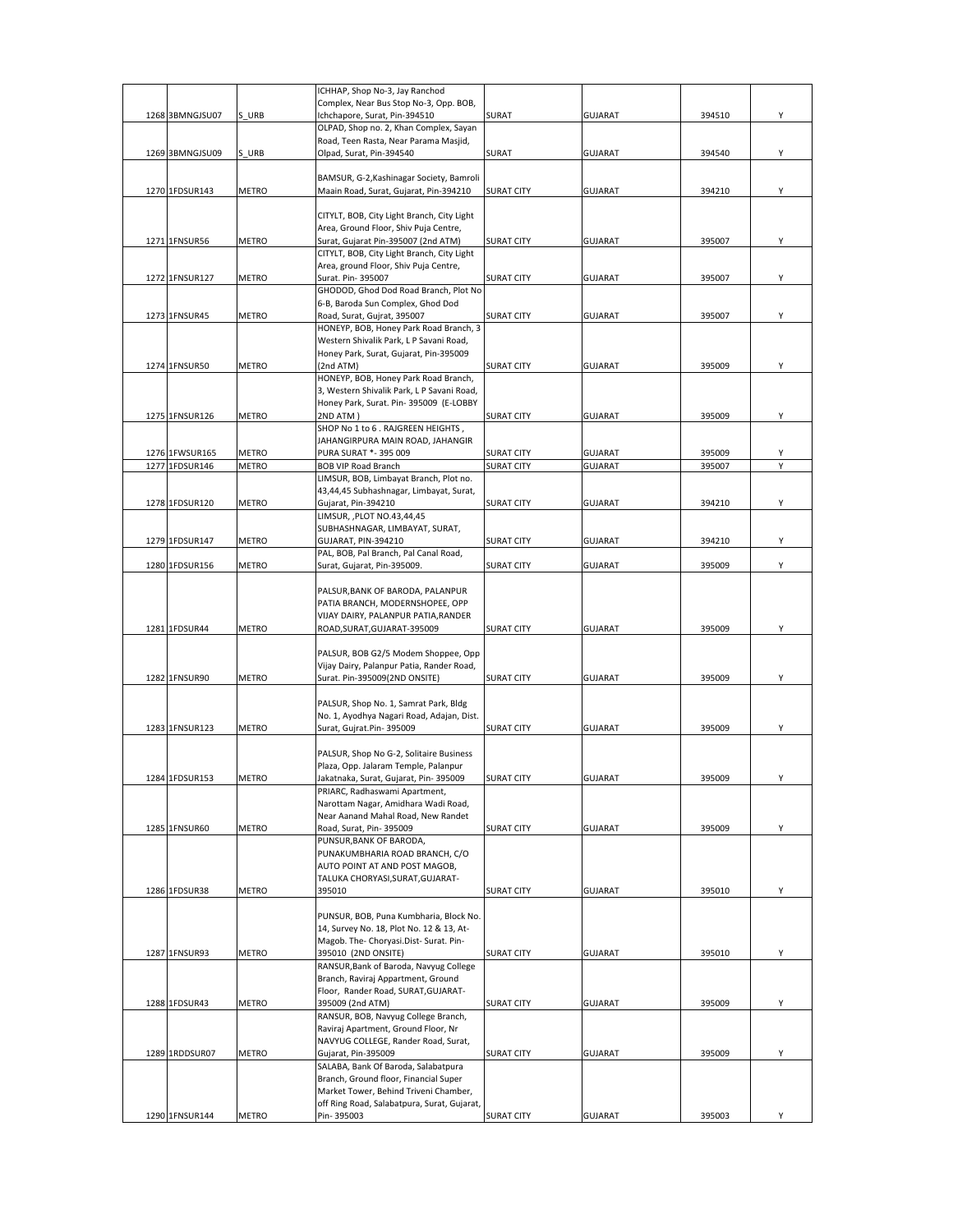|                   |              | ICHHAP, Shop No-3, Jay Ranchod                                                     |                   |                |        |   |
|-------------------|--------------|------------------------------------------------------------------------------------|-------------------|----------------|--------|---|
|                   | S URB        | Complex, Near Bus Stop No-3, Opp. BOB,<br>Ichchapore, Surat, Pin-394510            | SURAT             |                |        | Υ |
| 1268 3BMNGJSU07   |              | OLPAD, Shop no. 2, Khan Complex, Sayan                                             |                   | <b>GUJARAT</b> | 394510 |   |
|                   |              | Road, Teen Rasta, Near Parama Masjid,                                              |                   |                |        |   |
| 1269 3BMNGJSU09   | S URB        | Olpad, Surat, Pin-394540                                                           | <b>SURAT</b>      | <b>GUJARAT</b> | 394540 | Υ |
|                   |              |                                                                                    |                   |                |        |   |
|                   |              | BAMSUR, G-2, Kashinagar Society, Bamroli                                           |                   |                |        |   |
| 1270 1FDSUR143    | <b>METRO</b> | Maain Road, Surat, Gujarat, Pin-394210                                             | <b>SURAT CITY</b> | <b>GUJARAT</b> | 394210 | Υ |
|                   |              |                                                                                    |                   |                |        |   |
|                   |              | CITYLT, BOB, City Light Branch, City Light                                         |                   |                |        |   |
| 1271 1FNSUR56     | METRO        | Area, Ground Floor, Shiv Puja Centre,<br>Surat, Gujarat Pin-395007 (2nd ATM)       |                   |                | 395007 | Y |
|                   |              | CITYLT, BOB, City Light Branch, City Light                                         | SURAT CITY        | GUJARAT        |        |   |
|                   |              | Area, ground Floor, Shiv Puja Centre,                                              |                   |                |        |   |
| 1272 1FNSUR127    | <b>METRO</b> | Surat. Pin- 395007                                                                 | <b>SURAT CITY</b> | <b>GUJARAT</b> | 395007 | Y |
|                   |              | GHODOD, Ghod Dod Road Branch, Plot No                                              |                   |                |        |   |
|                   |              | 6-B, Baroda Sun Complex, Ghod Dod                                                  |                   |                |        |   |
| 1273 1FNSUR45     | <b>METRO</b> | Road, Surat, Gujrat, 395007                                                        | <b>SURAT CITY</b> | <b>GUJARAT</b> | 395007 | Y |
|                   |              | HONEYP, BOB, Honey Park Road Branch, 3                                             |                   |                |        |   |
|                   |              | Western Shivalik Park, L P Savani Road,                                            |                   |                |        |   |
| 1274 1FNSUR50     | <b>METRO</b> | Honey Park, Surat, Gujarat, Pin-395009<br>(2nd ATM)                                | <b>SURAT CITY</b> | <b>GUJARAT</b> | 395009 | Y |
|                   |              | HONEYP, BOB, Honey Park Road Branch,                                               |                   |                |        |   |
|                   |              | 3, Western Shivalik Park, L P Savani Road,                                         |                   |                |        |   |
|                   |              | Honey Park, Surat. Pin- 395009 (E-LOBBY                                            |                   |                |        |   |
| 1275 1FNSUR126    | METRO        | 2ND ATM)                                                                           | <b>SURAT CITY</b> | <b>GUJARAT</b> | 395009 | Υ |
|                   |              | SHOP No 1 to 6 . RAJGREEN HEIGHTS,                                                 |                   |                |        |   |
|                   |              | JAHANGIRPURA MAIN ROAD, JAHANGIR                                                   |                   |                |        |   |
| 1276 1FWSUR165    | METRO        | PURA SURAT *- 395 009                                                              | <b>SURAT CITY</b> | <b>GUJARAT</b> | 395009 | Υ |
| 1277 1FDSUR146    | <b>METRO</b> | <b>BOB VIP Road Branch</b>                                                         | <b>SURAT CITY</b> | GUJARAT        | 395007 |   |
|                   |              | LIMSUR, BOB, Limbayat Branch, Plot no.<br>43,44,45 Subhashnagar, Limbayat, Surat,  |                   |                |        |   |
| 1278 1FDSUR120    | <b>METRO</b> | Gujarat, Pin-394210                                                                | <b>SURAT CITY</b> | <b>GUJARAT</b> | 394210 | Υ |
|                   |              | LIMSUR, , PLOT NO.43,44,45                                                         |                   |                |        |   |
|                   |              | SUBHASHNAGAR, LIMBAYAT, SURAT,                                                     |                   |                |        |   |
| 1279 1FDSUR147    | <b>METRO</b> | GUJARAT, PIN-394210                                                                | <b>SURAT CITY</b> | <b>GUJARAT</b> | 394210 | Υ |
|                   |              | PAL, BOB, Pal Branch, Pal Canal Road,                                              |                   |                |        |   |
| 1280 1FDSUR156    | METRO        | Surat, Gujarat, Pin-395009.                                                        | <b>SURAT CITY</b> | <b>GUJARAT</b> | 395009 | Υ |
|                   |              |                                                                                    |                   |                |        |   |
|                   |              | PALSUR, BANK OF BARODA, PALANPUR                                                   |                   |                |        |   |
|                   |              | PATIA BRANCH, MODERNSHOPEE, OPP<br>VIJAY DAIRY, PALANPUR PATIA, RANDER             |                   |                |        |   |
| 1281 1FDSUR44     | <b>METRO</b> | ROAD, SURAT, GUJARAT-395009                                                        | <b>SURAT CITY</b> | <b>GUJARAT</b> | 395009 | Y |
|                   |              |                                                                                    |                   |                |        |   |
|                   |              | PALSUR, BOB G2/5 Modem Shoppee, Opp                                                |                   |                |        |   |
|                   |              | Vijay Dairy, Palanpur Patia, Rander Road,                                          |                   |                |        |   |
| 1282 1FNSUR90     | <b>METRO</b> | Surat. Pin-395009(2ND ONSITE)                                                      | <b>SURAT CITY</b> | GUJARAT        | 395009 | Υ |
|                   |              |                                                                                    |                   |                |        |   |
|                   |              | PALSUR, Shop No. 1, Samrat Park, Bldg                                              |                   |                |        |   |
| 1283 1FNSUR123    | METRO        | No. 1, Ayodhya Nagari Road, Adajan, Dist.<br>Surat, Gujrat.Pin- 395009             | <b>SURAT CITY</b> | <b>GUJARAT</b> | 395009 | Υ |
|                   |              |                                                                                    |                   |                |        |   |
|                   |              | PALSUR, Shop No G-2, Solitaire Business                                            |                   |                |        |   |
|                   |              | Plaza, Opp. Jalaram Temple, Palanpur                                               |                   |                |        |   |
| 1284 1 FDSL IR153 | METRO        | Jakatnaka, Surat, Gujarat, Pin- 395009                                             | <b>SURAT CITY</b> | GUIARAT        | 395009 |   |
|                   |              | PRIARC, Radhaswami Apartment,                                                      |                   |                |        |   |
|                   |              | Narottam Nagar, Amidhara Wadi Road,                                                |                   |                |        |   |
| 1285 1FNSUR60     | METRO        | Near Aanand Mahal Road, New Randet<br>Road, Surat, Pin-395009                      | SURAT CITY        | <b>GUJARAT</b> | 395009 | Y |
|                   |              | PUNSUR, BANK OF BARODA,                                                            |                   |                |        |   |
|                   |              | PUNAKUMBHARIA ROAD BRANCH, C/O                                                     |                   |                |        |   |
|                   |              | AUTO POINT AT AND POST MAGOB,                                                      |                   |                |        |   |
|                   |              | TALUKA CHORYASI, SURAT, GUJARAT-                                                   |                   |                |        |   |
| 1286 1FDSUR38     | <b>METRO</b> | 395010                                                                             | <b>SURAT CITY</b> | <b>GUJARAT</b> | 395010 | Υ |
|                   |              |                                                                                    |                   |                |        |   |
|                   |              | PUNSUR, BOB, Puna Kumbharia, Block No.                                             |                   |                |        |   |
|                   |              | 14, Survey No. 18, Plot No. 12 & 13, At-<br>Magob. The- Choryasi.Dist- Surat. Pin- |                   |                |        |   |
| 1287 1FNSUR93     | METRO        | 395010 (2ND ONSITE)                                                                | <b>SURAT CITY</b> | <b>GUJARAT</b> | 395010 | Y |
|                   |              | RANSUR, Bank of Baroda, Navyug College                                             |                   |                |        |   |
|                   |              | Branch, Raviraj Appartment, Ground                                                 |                   |                |        |   |
|                   |              | Floor, Rander Road, SURAT, GUJARAT-                                                |                   |                |        |   |
| 1288 1FDSUR43     | METRO        | 395009 (2nd ATM)                                                                   | <b>SURAT CITY</b> | GUJARAT        | 395009 | Υ |
|                   |              | RANSUR, BOB, Navyug College Branch,                                                |                   |                |        |   |
|                   |              | Raviraj Apartment, Ground Floor, Nr                                                |                   |                |        |   |
|                   |              | NAVYUG COLLEGE, Rander Road, Surat,                                                |                   | <b>GUJARAT</b> | 395009 | Y |
| 1289 1RDDSUR07    | METRO        | Gujarat, Pin-395009<br>SALABA, Bank Of Baroda, Salabatpura                         | <b>SURAT CITY</b> |                |        |   |
|                   |              | Branch, Ground floor, Financial Super                                              |                   |                |        |   |
|                   |              | Market Tower, Behind Triveni Chamber,                                              |                   |                |        |   |
|                   |              | off Ring Road, Salabatpura, Surat, Gujarat,                                        |                   |                |        |   |
| 1290 1FNSUR144    | METRO        | Pin-395003                                                                         | <b>SURAT CITY</b> | <b>GUJARAT</b> | 395003 | Υ |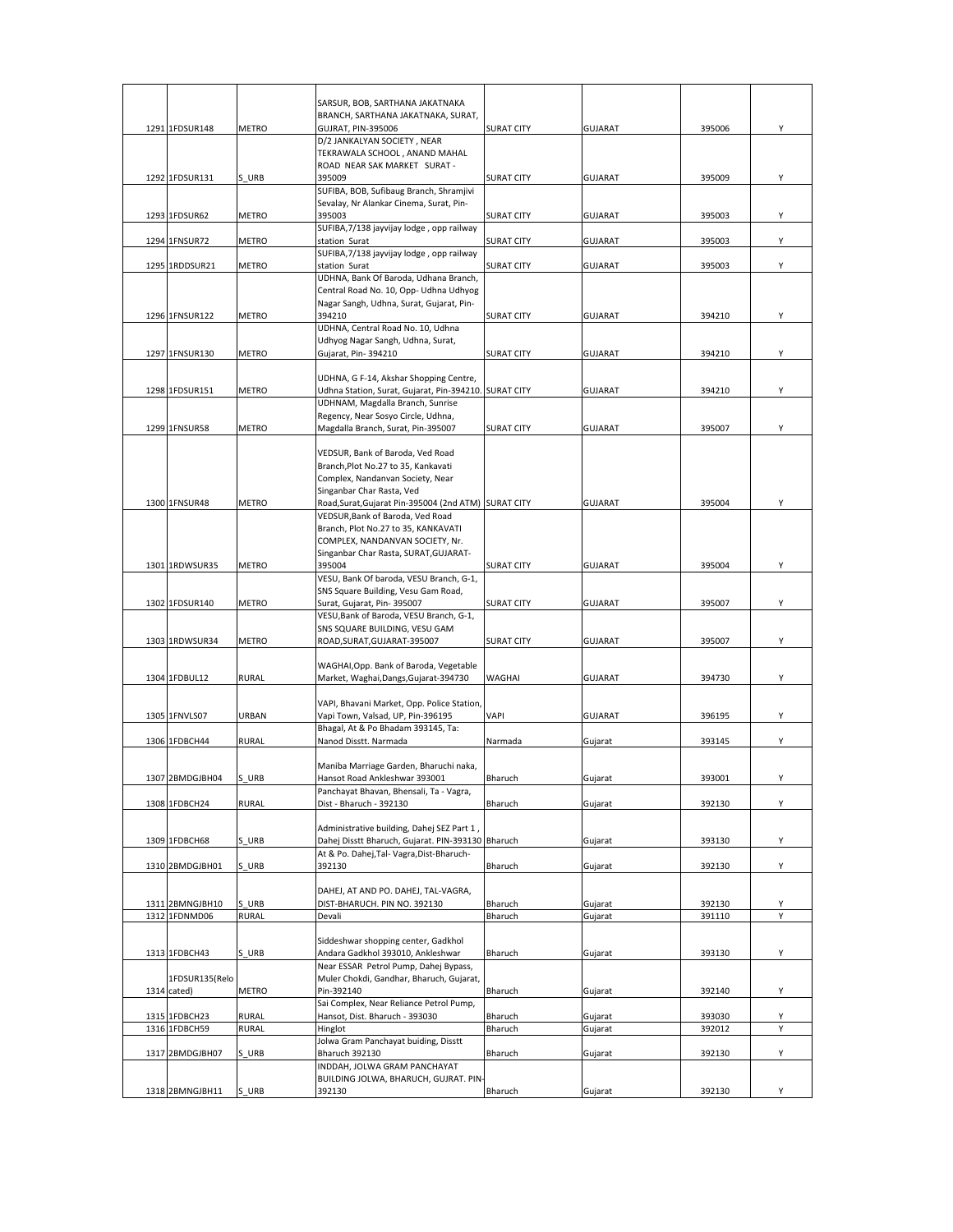|                 |              | SARSUR, BOB, SARTHANA JAKATNAKA<br>BRANCH, SARTHANA JAKATNAKA, SURAT,                    |                   |                |        |        |
|-----------------|--------------|------------------------------------------------------------------------------------------|-------------------|----------------|--------|--------|
| 1291 1FDSUR148  | <b>METRO</b> | <b>GUJRAT, PIN-395006</b>                                                                | <b>SURAT CITY</b> | <b>GUJARAT</b> | 395006 | Υ      |
|                 |              | D/2 JANKALYAN SOCIETY, NEAR                                                              |                   |                |        |        |
|                 |              | TEKRAWALA SCHOOL, ANAND MAHAL                                                            |                   |                |        |        |
|                 |              | ROAD NEAR SAK MARKET SURAT-<br>395009                                                    |                   |                |        |        |
| 1292 1FDSUR131  | S URB        | SUFIBA, BOB, Sufibaug Branch, Shramjivi                                                  | SURAT CITY        | <b>GUJARAT</b> | 395009 | Y      |
|                 |              | Sevalay, Nr Alankar Cinema, Surat, Pin-                                                  |                   |                |        |        |
| 1293 1FDSUR62   | <b>METRO</b> | 395003                                                                                   | <b>SURAT CITY</b> | <b>GUJARAT</b> | 395003 | Y      |
|                 |              | SUFIBA, 7/138 jayvijay lodge, opp railway                                                |                   |                |        |        |
| 1294 1FNSUR72   | METRO        | station Surat                                                                            | <b>SURAT CITY</b> | <b>GUJARAT</b> | 395003 | Υ      |
| 1295 1RDDSUR21  | <b>METRO</b> | SUFIBA, 7/138 jayvijay lodge, opp railway<br>station Surat                               | <b>SURAT CITY</b> | <b>GUJARAT</b> | 395003 | Υ      |
|                 |              | UDHNA, Bank Of Baroda, Udhana Branch,                                                    |                   |                |        |        |
|                 |              | Central Road No. 10, Opp- Udhna Udhyog                                                   |                   |                |        |        |
|                 |              | Nagar Sangh, Udhna, Surat, Gujarat, Pin-                                                 |                   |                |        |        |
| 1296 1FNSUR122  | <b>METRO</b> | 394210                                                                                   | <b>SURAT CITY</b> | <b>GUJARAT</b> | 394210 | Y      |
|                 |              | UDHNA, Central Road No. 10, Udhna<br>Udhyog Nagar Sangh, Udhna, Surat,                   |                   |                |        |        |
| 1297 1FNSUR130  | <b>METRO</b> | Gujarat, Pin-394210                                                                      | SURAT CITY        | <b>GUJARAT</b> | 394210 | Υ      |
|                 |              |                                                                                          |                   |                |        |        |
|                 |              | UDHNA, G F-14, Akshar Shopping Centre,                                                   |                   |                |        |        |
| 1298 1FDSUR151  | <b>METRO</b> | Udhna Station, Surat, Gujarat, Pin-394210. SURAT CITY                                    |                   | <b>GUJARAT</b> | 394210 | Y      |
|                 |              | UDHNAM, Magdalla Branch, Sunrise                                                         |                   |                |        |        |
| 1299 1FNSUR58   | <b>METRO</b> | Regency, Near Sosyo Circle, Udhna,<br>Magdalla Branch, Surat, Pin-395007                 | <b>SURAT CITY</b> | <b>GUJARAT</b> | 395007 | Y      |
|                 |              |                                                                                          |                   |                |        |        |
|                 |              | VEDSUR, Bank of Baroda, Ved Road                                                         |                   |                |        |        |
|                 |              | Branch, Plot No.27 to 35, Kankavati                                                      |                   |                |        |        |
|                 |              | Complex, Nandanvan Society, Near                                                         |                   |                |        |        |
|                 |              | Singanbar Char Rasta, Ved                                                                |                   |                |        |        |
| 1300 1FNSUR48   | <b>METRO</b> | Road, Surat, Gujarat Pin-395004 (2nd ATM) SURAT CITY<br>VEDSUR, Bank of Baroda, Ved Road |                   | <b>GUJARAT</b> | 395004 | Y      |
|                 |              | Branch, Plot No.27 to 35, KANKAVATI                                                      |                   |                |        |        |
|                 |              | COMPLEX, NANDANVAN SOCIETY, Nr.                                                          |                   |                |        |        |
|                 |              | Singanbar Char Rasta, SURAT, GUJARAT-                                                    |                   |                |        |        |
| 1301 1RDWSUR35  | <b>METRO</b> | 395004                                                                                   | <b>SURAT CITY</b> | <b>GUJARAT</b> | 395004 | Υ      |
|                 |              | VESU, Bank Of baroda, VESU Branch, G-1,                                                  |                   |                |        |        |
|                 |              | SNS Square Building, Vesu Gam Road,                                                      |                   |                |        | Y      |
| 1302 1FDSUR140  | <b>METRO</b> | Surat, Gujarat, Pin- 395007<br>VESU, Bank of Baroda, VESU Branch, G-1,                   | <b>SURAT CITY</b> | <b>GUJARAT</b> | 395007 |        |
|                 |              | SNS SQUARE BUILDING, VESU GAM                                                            |                   |                |        |        |
| 1303 1RDWSUR34  | <b>METRO</b> | ROAD, SURAT, GUJARAT-395007                                                              | <b>SURAT CITY</b> | <b>GUJARAT</b> | 395007 | Υ      |
|                 |              |                                                                                          |                   |                |        |        |
|                 |              | WAGHAI, Opp. Bank of Baroda, Vegetable                                                   |                   |                |        |        |
| 1304 1FDBUL12   | <b>RURAL</b> | Market, Waghai, Dangs, Gujarat-394730                                                    | WAGHAI            | <b>GUJARAT</b> | 394730 | Υ      |
|                 |              | VAPI, Bhavani Market, Opp. Police Station,                                               |                   |                |        |        |
| 1305 1FNVLS07   | URBAN        | Vapi Town, Valsad, UP, Pin-396195                                                        | VAPI              | <b>GUJARAT</b> | 396195 | Υ      |
|                 |              | Bhagal, At & Po Bhadam 393145, Ta:                                                       |                   |                |        |        |
| 1306 1FDBCH44   | <b>RURAL</b> | Nanod Disstt. Narmada                                                                    | Narmada           | Gujarat        | 393145 | Υ      |
|                 |              |                                                                                          |                   |                |        |        |
|                 |              | Maniba Marriage Garden, Bharuchi naka,                                                   |                   |                |        |        |
| 1307 2BMDGJBH04 | S URB        | Hansot Road Ankleshwar 393001<br>Panchayat Bhavan, Bhensali, Ta - Vagra,                 | Bharuch           | Gujarat        | 393001 | Υ      |
| 1308 1FDBCH24   | <b>RURAL</b> | Dist - Bharuch - 392130                                                                  | Bharuch           | Gujarat        | 392130 | Υ      |
|                 |              |                                                                                          |                   |                |        |        |
|                 |              | Administrative building, Dahej SEZ Part 1,                                               |                   |                |        |        |
| 1309 1FDBCH68   | S_URB        | Dahej Disstt Bharuch, Gujarat. PIN-393130 Bharuch                                        |                   | Gujarat        | 393130 | Y      |
| 1310 2BMDGJBH01 | S URB        | At & Po. Dahej, Tal- Vagra, Dist-Bharuch-<br>392130                                      | Bharuch           | Gujarat        | 392130 | Υ      |
|                 |              |                                                                                          |                   |                |        |        |
|                 |              | DAHEJ, AT AND PO. DAHEJ, TAL-VAGRA,                                                      |                   |                |        |        |
| 1311 2BMNGJBH10 | S URB        | DIST-BHARUCH. PIN NO. 392130                                                             | Bharuch           | Gujarat        | 392130 | Υ      |
| 1312 1FDNMD06   | <b>RURAL</b> | Devali                                                                                   | Bharuch           | Gujarat        | 391110 | Υ      |
|                 |              |                                                                                          |                   |                |        |        |
| 1313 1FDBCH43   | S URB        | Siddeshwar shopping center, Gadkhol<br>Andara Gadkhol 393010, Ankleshwar                 | Bharuch           | Gujarat        | 393130 | Υ      |
|                 |              | Near ESSAR Petrol Pump, Dahej Bypass,                                                    |                   |                |        |        |
| 1FDSUR135(Relo  |              | Muler Chokdi, Gandhar, Bharuch, Gujarat,                                                 |                   |                |        |        |
| 1314 cated)     | <b>METRO</b> | Pin-392140                                                                               | Bharuch           | Gujarat        | 392140 | Υ      |
|                 |              | Sai Complex, Near Reliance Petrol Pump,                                                  |                   |                |        |        |
| 1315 1FDBCH23   | <b>RURAL</b> | Hansot, Dist. Bharuch - 393030                                                           | Bharuch           | Gujarat        | 393030 | Υ<br>Υ |
| 1316 1FDBCH59   | <b>RURAL</b> | Hinglot<br>Jolwa Gram Panchayat buiding, Disstt                                          | Bharuch           | Gujarat        | 392012 |        |
| 1317 2BMDGJBH07 | S URB        | <b>Bharuch 392130</b>                                                                    | Bharuch           | Gujarat        | 392130 | Υ      |
|                 |              | INDDAH, JOLWA GRAM PANCHAYAT                                                             |                   |                |        |        |
|                 |              | BUILDING JOLWA, BHARUCH, GUJRAT. PIN-                                                    |                   |                |        |        |
| 1318 2BMNGJBH11 | S URB        | 392130                                                                                   | Bharuch           | Gujarat        | 392130 | Y      |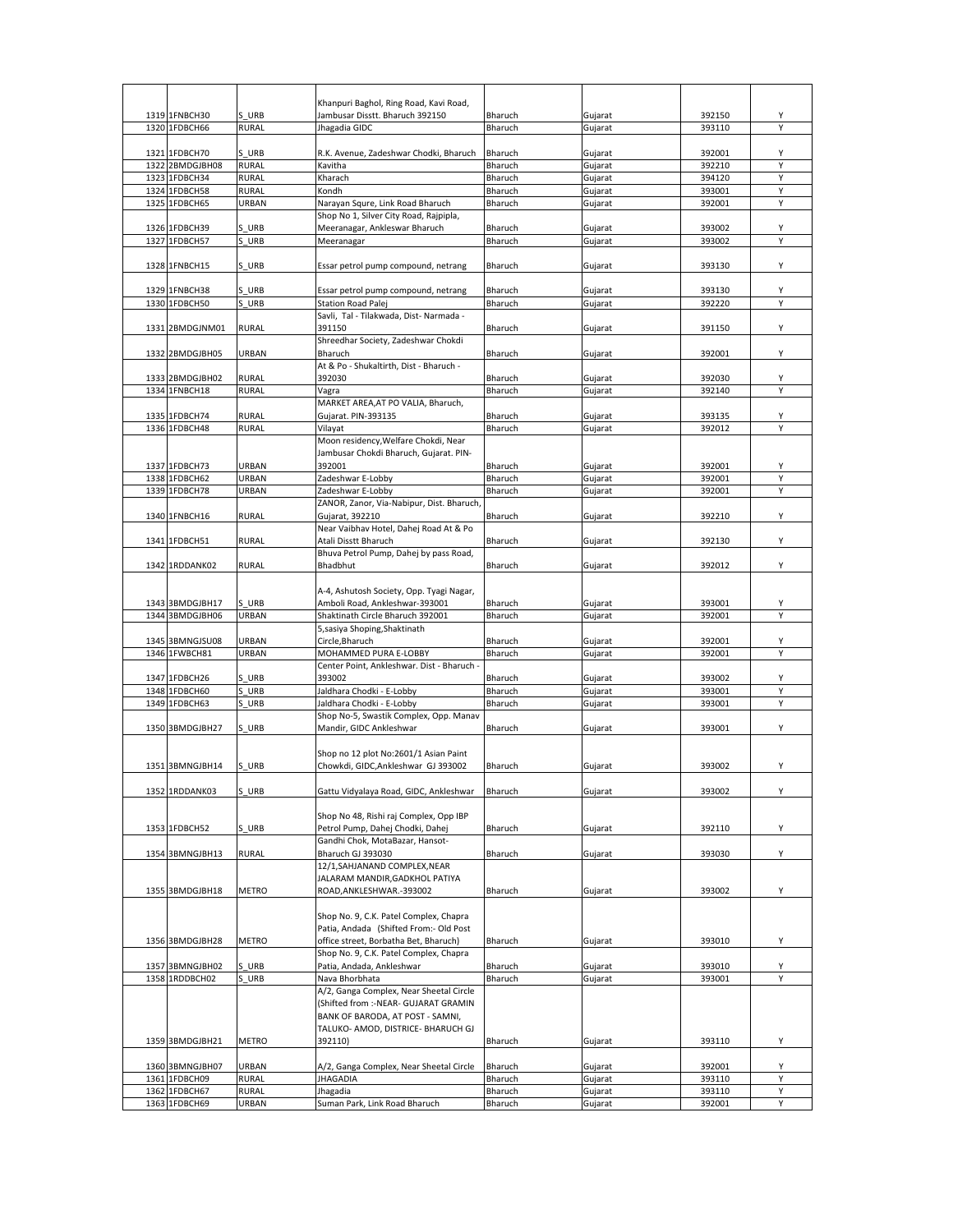|      |                                |                | Khanpuri Baghol, Ring Road, Kavi Road,           |                    |                    |                  |   |
|------|--------------------------------|----------------|--------------------------------------------------|--------------------|--------------------|------------------|---|
|      | 1319 1FNBCH30<br>1320 1FDBCH66 | S URB<br>RURAL | Jambusar Disstt. Bharuch 392150<br>Jhagadia GIDC | Bharuch<br>Bharuch | Gujarat<br>Gujarat | 392150<br>393110 | Υ |
|      |                                |                |                                                  |                    |                    |                  |   |
|      | 1321 1FDBCH70                  | S URB          | R.K. Avenue, Zadeshwar Chodki, Bharuch           | Bharuch            | Gujarat            | 392001           | Υ |
|      | 1322 2BMDGJBH08                | <b>RURAL</b>   | Kavitha                                          | Bharuch            | Gujarat            | 392210           | Υ |
|      | 1323 1FDBCH34                  | <b>RURAL</b>   | Kharach                                          | Bharuch            | Gujarat            | 394120           | Y |
|      | 1324 1FDBCH58                  | <b>RURAL</b>   | Kondh                                            | Bharuch            | Gujarat            | 393001           | Υ |
|      | 1325 1FDBCH65                  | URBAN          | Narayan Squre, Link Road Bharuch                 | Bharuch            | Gujarat            | 392001           | Υ |
|      |                                |                | Shop No 1, Silver City Road, Rajpipla,           |                    |                    |                  |   |
|      | 1326 1FDBCH39                  | S URB          | Meeranagar, Ankleswar Bharuch                    | Bharuch            | Gujarat            | 393002           | Y |
|      | 1327 1FDBCH57                  | S URB          | Meeranagar                                       | Bharuch            | Gujarat            | 393002           |   |
|      |                                |                |                                                  |                    |                    |                  |   |
|      | 1328 1FNBCH15                  | S URB          | Essar petrol pump compound, netrang              | Bharuch            | Gujarat            | 393130           | Υ |
|      |                                |                |                                                  |                    |                    |                  |   |
|      | 1329 1FNBCH38                  | S URB          | Essar petrol pump compound, netrang              | Bharuch            | Gujarat            | 393130           | Υ |
|      | 1330 1FDBCH50                  | URB            | <b>Station Road Palej</b>                        | Bharuch            | Gujarat            | 392220           | Υ |
|      |                                |                | Savli, Tal - Tilakwada, Dist- Narmada -          |                    |                    |                  |   |
|      | 1331 2BMDGJNM01                | <b>RURAL</b>   | 391150                                           | Bharuch            | Gujarat            | 391150           | Y |
|      |                                |                | Shreedhar Society, Zadeshwar Chokdi              |                    |                    |                  |   |
|      | 1332 2BMDGJBH05                | URBAN          | Bharuch                                          | Bharuch            | Gujarat            | 392001           | Υ |
|      |                                |                | At & Po - Shukaltirth, Dist - Bharuch -          |                    |                    |                  |   |
|      | 1333 2BMDGJBH02                | <b>RURAL</b>   | 392030                                           | Bharuch            | Gujarat            | 392030           | Υ |
|      | 1334 1FNBCH18                  | <b>RURAL</b>   | Vagra                                            | Bharuch            | Gujarat            | 392140           | Υ |
|      |                                |                | MARKET AREA, AT PO VALIA, Bharuch,               |                    |                    |                  |   |
|      | 1335 1FDBCH74                  | <b>RURAL</b>   | Gujarat. PIN-393135                              | Bharuch            | Gujarat            | 393135           | Υ |
|      | 1336 1FDBCH48                  | <b>RURAL</b>   | Vilayat                                          | Bharuch            | Gujarat            | 392012           |   |
|      |                                |                | Moon residency, Welfare Chokdi, Near             |                    |                    |                  |   |
|      |                                |                | Jambusar Chokdi Bharuch, Gujarat. PIN-           |                    |                    |                  |   |
|      | 1337 1FDBCH73                  | URBAN          | 392001                                           | Bharuch            | Gujarat            | 392001           |   |
|      | 1338 1FDBCH62                  | URBAN          | Zadeshwar E-Lobby                                | Bharuch            | Gujarat            | 392001           | Υ |
|      | 1339 1FDBCH78                  | URBAN          | Zadeshwar E-Lobby                                | Bharuch            | Gujarat            | 392001           | Y |
|      |                                |                | ZANOR, Zanor, Via-Nabipur, Dist. Bharuch,        |                    |                    |                  |   |
|      | 1340 1FNBCH16                  | RURAL          | Gujarat, 392210                                  | Bharuch            | Gujarat            | 392210           | Υ |
|      |                                |                | Near Vaibhav Hotel, Dahej Road At & Po           |                    |                    |                  |   |
|      | 1341 1FDBCH51                  | <b>RURAL</b>   | Atali Disstt Bharuch                             | Bharuch            | Gujarat            | 392130           | Y |
|      |                                |                | Bhuva Petrol Pump, Dahej by pass Road,           |                    |                    |                  |   |
|      | 1342 1RDDANK02                 | <b>RURAL</b>   | Bhadbhut                                         | Bharuch            | Gujarat            | 392012           | Υ |
|      |                                |                |                                                  |                    |                    |                  |   |
|      |                                |                | A-4, Ashutosh Society, Opp. Tyagi Nagar,         |                    |                    |                  |   |
|      | 1343 3BMDGJBH17                | S URB          | Amboli Road, Ankleshwar-393001                   | Bharuch            | Gujarat            | 393001           | Υ |
|      | 1344 3BMDGJBH06                | URBAN          | Shaktinath Circle Bharuch 392001                 | Bharuch            | Gujarat            | 392001           | Y |
|      |                                |                | 5, sasiya Shoping, Shaktinath                    |                    |                    |                  |   |
|      | 1345 3BMNGJSU08                | URBAN          | Circle,Bharuch                                   | Bharuch            | Gujarat            | 392001           | Υ |
|      | 1346 1FWBCH81                  | URBAN          | MOHAMMED PURA E-LOBBY                            | Bharuch            | Gujarat            | 392001           | Y |
|      |                                |                | Center Point, Ankleshwar. Dist - Bharuch -       |                    |                    |                  |   |
|      | 1347 1FDBCH26                  | S URB          | 393002                                           | Bharuch            | Gujarat            | 393002           | Υ |
|      | 1348 1FDBCH60                  | URB            | Jaldhara Chodki - E-Lobby                        | Bharuch            | Gujarat            | 393001           | Y |
| 1349 | 1FDBCH63                       | S URB          | Jaldhara Chodki - E-Lobby                        | Bharuch            | Gujarat            | 393001           | Υ |
|      |                                |                | Shop No-5, Swastik Complex, Opp. Manav           |                    |                    |                  |   |
|      | 1350 3BMDGJBH27                | S URB          | Mandir, GIDC Ankleshwar                          | Bharuch            | Gujarat            | 393001           | Y |
|      |                                |                |                                                  |                    |                    |                  |   |
|      |                                |                | Shop no 12 plot No:2601/1 Asian Paint            |                    |                    |                  |   |
|      | 1351 3BMNGJBH14                | S URB          | Chowkdi, GIDC, Ankleshwar GJ 393002              | Bharuch            | Gujarat            | 393002           | Υ |
|      |                                |                |                                                  |                    |                    |                  |   |
|      | 1352 1RDDANK03                 | S URB          | Gattu Vidyalaya Road, GIDC, Ankleshwar           | Bharuch            | Gujarat            | 393002           | Υ |
|      |                                |                |                                                  |                    |                    |                  |   |
|      |                                |                | Shop No 48, Rishi raj Complex, Opp IBP           |                    |                    |                  |   |
|      | 1353 1FDBCH52                  | S URB          | Petrol Pump, Dahej Chodki, Dahej                 | Bharuch            | Gujarat            | 392110           | Υ |
|      |                                |                | Gandhi Chok, MotaBazar, Hansot-                  |                    |                    |                  |   |
|      | 1354 3BMNGJBH13                | <b>RURAL</b>   | Bharuch GJ 393030                                | Bharuch            | Gujarat            | 393030           | Υ |
|      |                                |                | 12/1, SAHJANAND COMPLEX, NEAR                    |                    |                    |                  |   |
|      |                                |                | JALARAM MANDIR, GADKHOL PATIYA                   |                    |                    |                  |   |
|      | 1355 3BMDGJBH18                | <b>METRO</b>   | ROAD, ANKLESHWAR.-393002                         | Bharuch            | Gujarat            | 393002           | Υ |
|      |                                |                |                                                  |                    |                    |                  |   |
|      |                                |                | Shop No. 9, C.K. Patel Complex, Chapra           |                    |                    |                  |   |
|      |                                |                | Patia, Andada (Shifted From:- Old Post           |                    |                    |                  |   |
|      | 1356 3BMDGJBH28                | METRO          | office street, Borbatha Bet, Bharuch)            | Bharuch            | Gujarat            | 393010           | Υ |
|      |                                |                | Shop No. 9, C.K. Patel Complex, Chapra           |                    |                    |                  |   |
|      | 1357 3BMNGJBH02                | S URB          | Patia, Andada, Ankleshwar                        | Bharuch            | Gujarat            | 393010           | Υ |
|      | 1358 1RDDBCH02                 | S URB          | Nava Bhorbhata                                   | Bharuch            | Gujarat            | 393001           | Υ |
|      |                                |                | A/2, Ganga Complex, Near Sheetal Circle          |                    |                    |                  |   |
|      |                                |                | (Shifted from :- NEAR- GUJARAT GRAMIN            |                    |                    |                  |   |
|      |                                |                | BANK OF BARODA, AT POST - SAMNI,                 |                    |                    |                  |   |
|      |                                |                | TALUKO- AMOD, DISTRICE- BHARUCH GJ               |                    |                    |                  |   |
|      | 1359 3BMDGJBH21                | <b>METRO</b>   | 392110)                                          | Bharuch            | Gujarat            | 393110           | Υ |
|      |                                |                |                                                  |                    |                    |                  |   |
|      | 1360 3BMNGJBH07                | URBAN          | A/2, Ganga Complex, Near Sheetal Circle          | Bharuch            | Gujarat            | 392001           | Υ |
|      | 1361 1FDBCH09                  | <b>RURAL</b>   | <b>JHAGADIA</b>                                  | Bharuch            | Gujarat            | 393110           | Y |
|      | 1362 1FDBCH67                  | <b>RURAL</b>   | Jhagadia                                         | Bharuch            | Gujarat            | 393110           | Υ |
|      | 1363 1FDBCH69                  | URBAN          | Suman Park, Link Road Bharuch                    | Bharuch            | Gujarat            | 392001           | Υ |
|      |                                |                |                                                  |                    |                    |                  |   |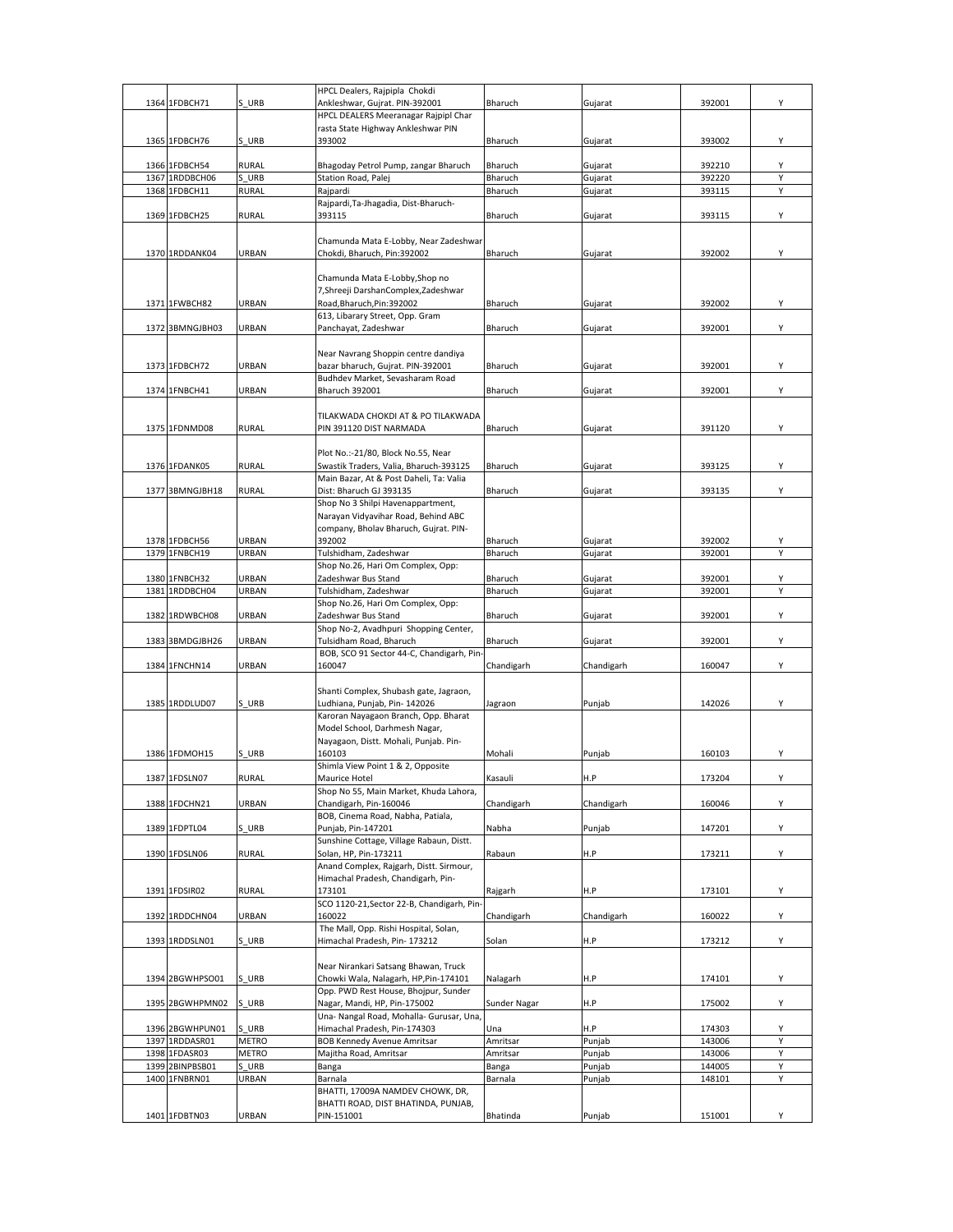|                 |              | HPCL Dealers, Rajpipla Chokdi              |              |            |        |   |
|-----------------|--------------|--------------------------------------------|--------------|------------|--------|---|
| 1364 1FDBCH71   | S URB        | Ankleshwar, Gujrat. PIN-392001             | Bharuch      | Gujarat    | 392001 | Y |
|                 |              | HPCL DEALERS Meeranagar Rajpipl Char       |              |            |        |   |
|                 |              | rasta State Highway Ankleshwar PIN         |              |            |        |   |
| 1365 1FDBCH76   | S URB        | 393002                                     | Bharuch      | Gujarat    | 393002 | Υ |
|                 |              |                                            |              |            |        |   |
| 1366 1FDBCH54   | <b>RURAL</b> | Bhagoday Petrol Pump, zangar Bharuch       | Bharuch      | Gujarat    | 392210 | Υ |
| 1367 1RDDBCH06  | S URB        | Station Road, Palej                        | Bharuch      | Gujarat    | 392220 | Y |
| 1368 1FDBCH11   | <b>RURAL</b> | Rajpardi                                   | Bharuch      | Gujarat    | 393115 | Y |
|                 |              | Rajpardi, Ta-Jhagadia, Dist-Bharuch-       |              |            |        |   |
| 1369 1FDBCH25   | <b>RURAL</b> | 393115                                     | Bharuch      | Gujarat    | 393115 | Υ |
|                 |              |                                            |              |            |        |   |
|                 |              | Chamunda Mata E-Lobby, Near Zadeshwar      |              |            |        |   |
| 1370 1RDDANK04  | URBAN        | Chokdi, Bharuch, Pin:392002                | Bharuch      | Gujarat    | 392002 | Υ |
|                 |              |                                            |              |            |        |   |
|                 |              | Chamunda Mata E-Lobby, Shop no             |              |            |        |   |
|                 |              |                                            |              |            |        |   |
|                 |              | 7, Shreeji Darshan Complex, Zadeshwar      |              |            |        |   |
| 1371 1FWBCH82   | URBAN        | Road, Bharuch, Pin: 392002                 | Bharuch      | Gujarat    | 392002 | Υ |
|                 |              | 613, Libarary Street, Opp. Gram            |              |            |        |   |
| 1372 3BMNGJBH03 | URBAN        | Panchayat, Zadeshwar                       | Bharuch      | Gujarat    | 392001 | Υ |
|                 |              |                                            |              |            |        |   |
|                 |              | Near Navrang Shoppin centre dandiya        |              |            |        |   |
| 1373 1FDBCH72   | URBAN        | bazar bharuch, Gujrat. PIN-392001          | Bharuch      | Gujarat    | 392001 | Υ |
|                 |              | Budhdev Market, Sevasharam Road            |              |            |        |   |
| 1374 1FNBCH41   | URBAN        | <b>Bharuch 392001</b>                      | Bharuch      | Gujarat    | 392001 | Υ |
|                 |              |                                            |              |            |        |   |
|                 |              | TILAKWADA CHOKDI AT & PO TILAKWADA         |              |            |        |   |
| 1375 1FDNMD08   | <b>RURAL</b> | PIN 391120 DIST NARMADA                    | Bharuch      | Gujarat    | 391120 | Y |
|                 |              |                                            |              |            |        |   |
|                 |              | Plot No.:-21/80, Block No.55, Near         |              |            |        |   |
| 1376 1FDANK05   | <b>RURAL</b> | Swastik Traders, Valia, Bharuch-393125     | Bharuch      | Gujarat    | 393125 | Υ |
|                 |              | Main Bazar, At & Post Daheli, Ta: Valia    |              |            |        |   |
| 1377 3BMNGJBH18 | <b>RURAL</b> | Dist: Bharuch GJ 393135                    | Bharuch      | Gujarat    | 393135 | Υ |
|                 |              |                                            |              |            |        |   |
|                 |              | Shop No 3 Shilpi Havenappartment,          |              |            |        |   |
|                 |              | Narayan Vidyavihar Road, Behind ABC        |              |            |        |   |
|                 |              | company, Bholav Bharuch, Gujrat. PIN-      |              |            |        |   |
| 1378 1FDBCH56   | URBAN        | 392002                                     | Bharuch      | Gujarat    | 392002 | Υ |
| 1379 1FNBCH19   | URBAN        | Tulshidham, Zadeshwar                      | Bharuch      | Gujarat    | 392001 |   |
|                 |              | Shop No.26, Hari Om Complex, Opp:          |              |            |        |   |
| 1380 1FNBCH32   | URBAN        | Zadeshwar Bus Stand                        | Bharuch      | Gujarat    | 392001 | Υ |
| 1381 1RDDBCH04  | URBAN        | Tulshidham, Zadeshwar                      | Bharuch      | Gujarat    | 392001 | Υ |
|                 |              | Shop No.26, Hari Om Complex, Opp:          |              |            |        |   |
| 1382 1RDWBCH08  | URBAN        | Zadeshwar Bus Stand                        | Bharuch      | Gujarat    | 392001 | Y |
|                 |              | Shop No-2, Avadhpuri Shopping Center,      |              |            |        |   |
| 1383 3BMDGJBH26 | URBAN        | Tulsidham Road, Bharuch                    | Bharuch      | Gujarat    | 392001 | Υ |
|                 |              | BOB, SCO 91 Sector 44-C, Chandigarh, Pin-  |              |            |        |   |
| 1384 1FNCHN14   | URBAN        | 160047                                     | Chandigarh   | Chandigarh | 160047 | Υ |
|                 |              |                                            |              |            |        |   |
|                 |              | Shanti Complex, Shubash gate, Jagraon,     |              |            |        |   |
| 1385 1RDDLUD07  | S URB        | Ludhiana, Punjab, Pin- 142026              | Jagraon      | Punjab     | 142026 | Υ |
|                 |              | Karoran Nayagaon Branch, Opp. Bharat       |              |            |        |   |
|                 |              | Model School, Darhmesh Nagar,              |              |            |        |   |
|                 |              | Nayagaon, Distt. Mohali, Punjab. Pin-      |              |            |        |   |
| 1386 1FDMOH15   | S URB        | 160103                                     | Mohali       | Punjab     | 160103 | Υ |
|                 |              | Shimla View Point 1 & 2, Opposite          |              |            |        |   |
| 1387 1FDSLN07   | RURAL        | Maurice Hotel                              | Kasauli      | H.P        | 173204 | Y |
|                 |              | Shop No 55, Main Market, Khuda Lahora,     |              |            |        |   |
| 1388 1FDCHN21   | URBAN        | Chandigarh, Pin-160046                     | Chandigarh   | Chandigarh | 160046 | Υ |
|                 |              | BOB, Cinema Road, Nabha, Patiala,          |              |            |        |   |
| 1389 1FDPTL04   | S URB        | Punjab, Pin-147201                         | Nabha        | Punjab     | 147201 | Υ |
|                 |              | Sunshine Cottage, Village Rabaun, Distt.   |              |            |        |   |
| 1390 1FDSLN06   | <b>RURAL</b> | Solan, HP, Pin-173211                      | Rabaun       | H.P        | 173211 | Υ |
|                 |              | Anand Complex, Rajgarh, Distt. Sirmour,    |              |            |        |   |
|                 |              |                                            |              |            |        |   |
|                 |              |                                            |              |            |        |   |
|                 |              | Himachal Pradesh, Chandigarh, Pin-         |              |            |        |   |
| 1391 1FDSIR02   | <b>RURAL</b> | 173101                                     | Rajgarh      | H.P        | 173101 | Υ |
|                 |              | SCO 1120-21, Sector 22-B, Chandigarh, Pin- |              |            |        |   |
| 1392 1RDDCHN04  | URBAN        | 160022                                     | Chandigarh   | Chandigarh | 160022 | Υ |
|                 |              | The Mall, Opp. Rishi Hospital, Solan,      |              |            |        |   |
| 1393 1RDDSLN01  | S URB        | Himachal Pradesh, Pin- 173212              | Solan        | H.P        | 173212 | Υ |
|                 |              |                                            |              |            |        |   |
|                 |              | Near Nirankari Satsang Bhawan, Truck       |              |            |        |   |
| 1394 2BGWHPSO01 | S URB        | Chowki Wala, Nalagarh, HP, Pin-174101      | Nalagarh     | H.P        | 174101 | Υ |
|                 |              | Opp. PWD Rest House, Bhojpur, Sunder       |              |            |        |   |
| 1395 2BGWHPMN02 | S URB        | Nagar, Mandi, HP, Pin-175002               | Sunder Nagar | H.P        | 175002 | Υ |
|                 |              | Una- Nangal Road, Mohalla- Gurusar, Una,   |              |            |        |   |
| 1396 2BGWHPUN01 | S URB        | Himachal Pradesh, Pin-174303               | Una          | H.P        | 174303 | Υ |
| 1397 1RDDASR01  | <b>METRO</b> | <b>BOB Kennedy Avenue Amritsar</b>         | Amritsar     | Punjab     | 143006 | Υ |
| 1398 1FDASR03   | <b>METRO</b> | Majitha Road, Amritsar                     | Amritsar     | Punjab     | 143006 | Υ |
| 1399 2BINPBSB01 | S URB        | Banga                                      | Banga        | Punjab     | 144005 | Υ |
| 1400 1FNBRN01   | URBAN        | Barnala                                    | Barnala      | Punjab     | 148101 | Υ |
|                 |              | BHATTI, 17009A NAMDEV CHOWK, DR,           |              |            |        |   |
|                 |              | BHATTI ROAD, DIST BHATINDA, PUNJAB,        |              |            |        |   |
| 1401 1FDBTN03   | URBAN        | PIN-151001                                 | Bhatinda     | Punjab     | 151001 | Υ |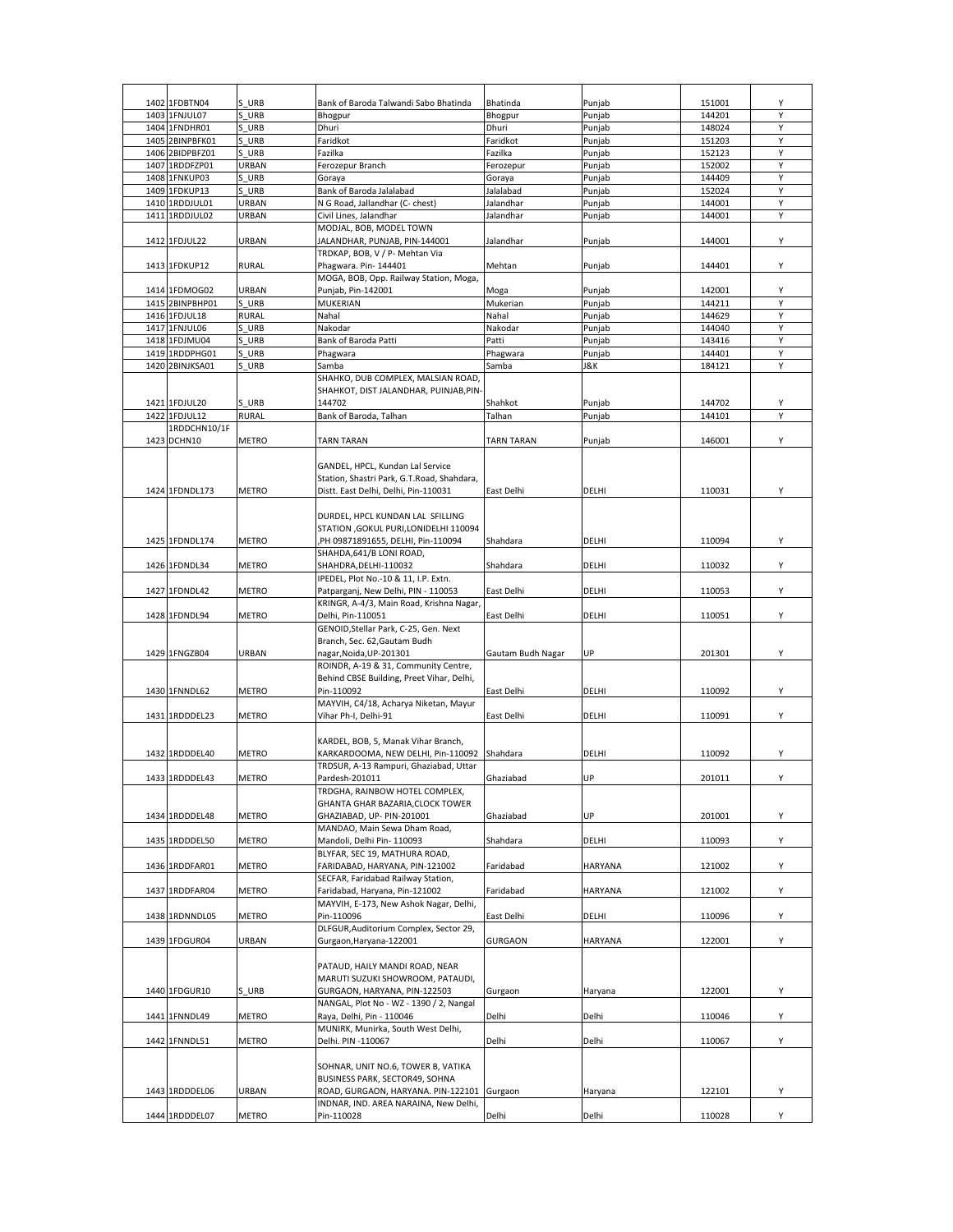| 1402 1FDBTN04     | S URB        | Bank of Baroda Talwandi Sabo Bhatinda                                | Bhatinda          | Punjab         | 151001 | Υ |
|-------------------|--------------|----------------------------------------------------------------------|-------------------|----------------|--------|---|
| 1403 1FNJUL07     | S URB        | Bhogpur                                                              | Bhogpur           | Punjab         | 144201 | Υ |
| 1404 1FNDHR01     | URB<br>S     | Dhuri                                                                | Dhuri             | Punjab         | 148024 | Y |
| 1405 2BINPBFK01   | S URB        | Faridkot                                                             | Faridkot          | Puniab         | 151203 | Υ |
| 1406 2BIDPBFZ01   | S URB        | Fazilka                                                              | Fazilka           | Punjab         | 152123 | Y |
| 1407 1RDDFZP01    | URBAN        | Ferozepur Branch                                                     | Ferozepur         | Punjab         | 152002 | Y |
| 1408 1FNKUP03     | S URB        | Gorava                                                               | Goraya            | Punjab         | 144409 | Υ |
| 1409<br>1FDKUP13  | S URB        | Bank of Baroda Jalalabad                                             | lalalabad         | Punjab         | 152024 | Υ |
| 1410 1RDDJUL01    | URBAN        | N G Road, Jallandhar (C- chest)                                      | Ialandhar         | Punjab         | 144001 | Y |
| 1411<br>1RDDJUL02 | URBAN        | Civil Lines, Jalandhar                                               | Jalandhar         | Punjab         | 144001 | Υ |
|                   |              | MODJAL, BOB, MODEL TOWN                                              |                   |                |        |   |
| 1412 1FDJUL22     | URBAN        | JALANDHAR, PUNJAB, PIN-144001                                        | Jalandhar         | Punjab         | 144001 | Y |
|                   |              | TRDKAP, BOB, V / P- Mehtan Via                                       |                   |                |        |   |
| 1413 1FDKUP12     | <b>RURAL</b> | Phagwara. Pin-144401                                                 | Mehtan            | Punjab         | 144401 | Υ |
|                   |              | MOGA, BOB, Opp. Railway Station, Moga,                               |                   |                |        |   |
| 1414 1FDMOG02     | URBAN        | Punjab, Pin-142001                                                   | Moga              | Punjab         | 142001 | Υ |
| 1415 2BINPBHP01   | S URB        | <b>MUKERIAN</b>                                                      | Mukerian          | Punjab         | 144211 | Y |
| 1416 1FDJUL18     | RURAL        | Nahal                                                                | Nahal             | Punjab         | 144629 | Υ |
| 1417 1FNJUL06     | S URB        | Nakodar                                                              | Nakodar           | Punjab         | 144040 | Y |
|                   | S URB        |                                                                      | Patti             |                | 143416 | Υ |
| 1418 1FDJMU04     | URB          | Bank of Baroda Patti                                                 |                   | Punjab         |        | Υ |
| 1419 1RDDPHG01    |              | Phagwara                                                             | Phagwara          | Punjab         | 144401 |   |
| 1420 2BINJKSA01   | URB          | Samba                                                                | Samba             | J&K            | 184121 | Υ |
|                   |              | SHAHKO, DUB COMPLEX, MALSIAN ROAD,                                   |                   |                |        |   |
|                   |              | SHAHKOT, DIST JALANDHAR, PUINJAB, PIN-                               |                   |                |        |   |
| 1421 1FDJUL20     | S URB        | 144702                                                               | Shahkot           | Punjab         | 144702 | Υ |
| 1422<br>1FDJUL12  | RURAL        | Bank of Baroda, Talhan                                               | Talhan            | Punjab         | 144101 | Υ |
| 1RDDCHN10/1F      |              |                                                                      |                   |                |        |   |
| 1423 DCHN10       | <b>METRO</b> | <b>TARN TARAN</b>                                                    | TARN TARAN        | Punjab         | 146001 | Υ |
|                   |              |                                                                      |                   |                |        |   |
|                   |              | GANDEL, HPCL, Kundan Lal Service                                     |                   |                |        |   |
|                   |              | Station, Shastri Park, G.T.Road, Shahdara,                           |                   |                |        |   |
| 1424 1FDNDL173    | METRO        | Distt. East Delhi, Delhi, Pin-110031                                 | East Delhi        | DELHI          | 110031 | Υ |
|                   |              |                                                                      |                   |                |        |   |
|                   |              | DURDEL, HPCL KUNDAN LAL SFILLING                                     |                   |                |        |   |
|                   |              | STATION , GOKUL PURI, LONIDELHI 110094                               |                   |                |        |   |
| 1425 1FDNDL174    | <b>METRO</b> | PH 09871891655, DELHI, Pin-110094                                    | Shahdara          | DELHI          | 110094 | Υ |
|                   |              | SHAHDA, 641/B LONI ROAD,                                             |                   |                |        |   |
| 1426 1FDNDL34     | <b>METRO</b> | SHAHDRA, DELHI-110032                                                | Shahdara          | DELHI          | 110032 | Υ |
|                   |              | IPEDEL, Plot No.-10 & 11, I.P. Extn.                                 |                   |                |        |   |
| 1427 1FDNDL42     | <b>METRO</b> | Patparganj, New Delhi, PIN - 110053                                  | East Delhi        | DELHI          | 110053 | Υ |
|                   |              | KRINGR, A-4/3, Main Road, Krishna Nagar,                             |                   |                |        |   |
| 1428 1FDNDL94     | <b>METRO</b> | Delhi, Pin-110051                                                    | East Delhi        | DELHI          | 110051 | Υ |
|                   |              | GENOID, Stellar Park, C-25, Gen. Next                                |                   |                |        |   |
|                   |              | Branch, Sec. 62, Gautam Budh                                         |                   |                |        |   |
| 1429 1FNGZB04     | URBAN        | nagar, Noida, UP-201301                                              | Gautam Budh Nagar | UP             | 201301 | Υ |
|                   |              | ROINDR, A-19 & 31, Community Centre,                                 |                   |                |        |   |
|                   |              | Behind CBSE Building, Preet Vihar, Delhi,                            |                   |                |        |   |
| 1430 1FNNDL62     | METRO        | Pin-110092                                                           | East Delhi        | DELHI          | 110092 | Υ |
|                   |              | MAYVIH, C4/18, Acharya Niketan, Mayur                                |                   |                |        |   |
| 1431 1RDDDEL23    | METRO        | Vihar Ph-I, Delhi-91                                                 | East Delhi        | DELHI          | 110091 | Υ |
|                   |              |                                                                      |                   |                |        |   |
|                   |              | KARDEL, BOB, 5, Manak Vihar Branch,                                  |                   |                |        |   |
| 1432 1RDDDEL40    | METRO        | KARKARDOOMA, NEW DELHI, Pin-110092 Shahdara                          |                   | DELHI          | 110092 | Y |
|                   |              | TRDSUR, A-13 Rampuri, Ghaziabad, Uttar                               |                   |                |        |   |
| 1433 1RDDDEL43    | <b>METRO</b> | Pardesh-201011                                                       | Ghaziabad         | UP             | 201011 | Υ |
|                   |              | TRDGHA, RAINBOW HOTEL COMPLEX,                                       |                   |                |        |   |
|                   |              | GHANTA GHAR BAZARIA, CLOCK TOWER                                     |                   |                |        |   |
| 1434 1RDDDEL48    | METRO        | GHAZIABAD, UP- PIN-201001                                            | Ghaziabad         | UP             | 201001 | Y |
|                   |              | MANDAO, Main Sewa Dham Road,                                         |                   |                |        |   |
| 1435 1RDDDEL50    | METRO        | Mandoli, Delhi Pin- 110093                                           | Shahdara          | DELHI          | 110093 | Υ |
|                   |              | BLYFAR, SEC 19, MATHURA ROAD,                                        |                   |                |        |   |
| 1436 1RDDFAR01    |              |                                                                      |                   | <b>HARYANA</b> |        | Υ |
|                   | METRO        | FARIDABAD, HARYANA, PIN-121002<br>SECFAR, Faridabad Railway Station, | Faridabad         |                | 121002 |   |
|                   |              |                                                                      |                   |                |        |   |
| 1437 1RDDFAR04    | METRO        | Faridabad, Haryana, Pin-121002                                       | Faridabad         | <b>HARYANA</b> | 121002 | Y |
|                   |              | MAYVIH, E-173, New Ashok Nagar, Delhi,                               |                   |                |        |   |
| 1438 1RDNNDL05    | METRO        | Pin-110096                                                           | East Delhi        | DELHI          | 110096 | Y |
|                   |              | DLFGUR, Auditorium Complex, Sector 29,                               |                   |                |        |   |
| 1439 1FDGUR04     | URBAN        | Gurgaon, Haryana-122001                                              | <b>GURGAON</b>    | <b>HARYANA</b> | 122001 | Υ |
|                   |              |                                                                      |                   |                |        |   |
|                   |              | PATAUD, HAILY MANDI ROAD, NEAR                                       |                   |                |        |   |
|                   |              | MARUTI SUZUKI SHOWROOM, PATAUDI,                                     |                   |                |        |   |
| 1440 1FDGUR10     | S URB        | GURGAON, HARYANA, PIN-122503                                         | Gurgaon           | Haryana        | 122001 | Y |
|                   |              | NANGAL, Plot No - WZ - 1390 / 2, Nangal                              |                   |                |        |   |
| 1441 1FNNDL49     | METRO        | Raya, Delhi, Pin - 110046                                            | Delhi             | Delhi          | 110046 | Y |
|                   |              | MUNIRK, Munirka, South West Delhi,                                   |                   |                |        |   |
| 1442 1FNNDL51     | METRO        | Delhi. PIN -110067                                                   | Delhi             | Delhi          | 110067 | Y |
|                   |              |                                                                      |                   |                |        |   |
|                   |              | SOHNAR, UNIT NO.6, TOWER B, VATIKA                                   |                   |                |        |   |
|                   |              | BUSINESS PARK, SECTOR49, SOHNA                                       |                   |                |        |   |
| 1443 1RDDDEL06    | URBAN        | ROAD, GURGAON, HARYANA. PIN-122101                                   | Gurgaon           | Haryana        | 122101 | Y |
|                   |              | INDNAR, IND. AREA NARAINA, New Delhi,                                |                   |                |        |   |
| 1444 1RDDDEL07    | METRO        | Pin-110028                                                           | Delhi             | Delhi          | 110028 | Y |
|                   |              |                                                                      |                   |                |        |   |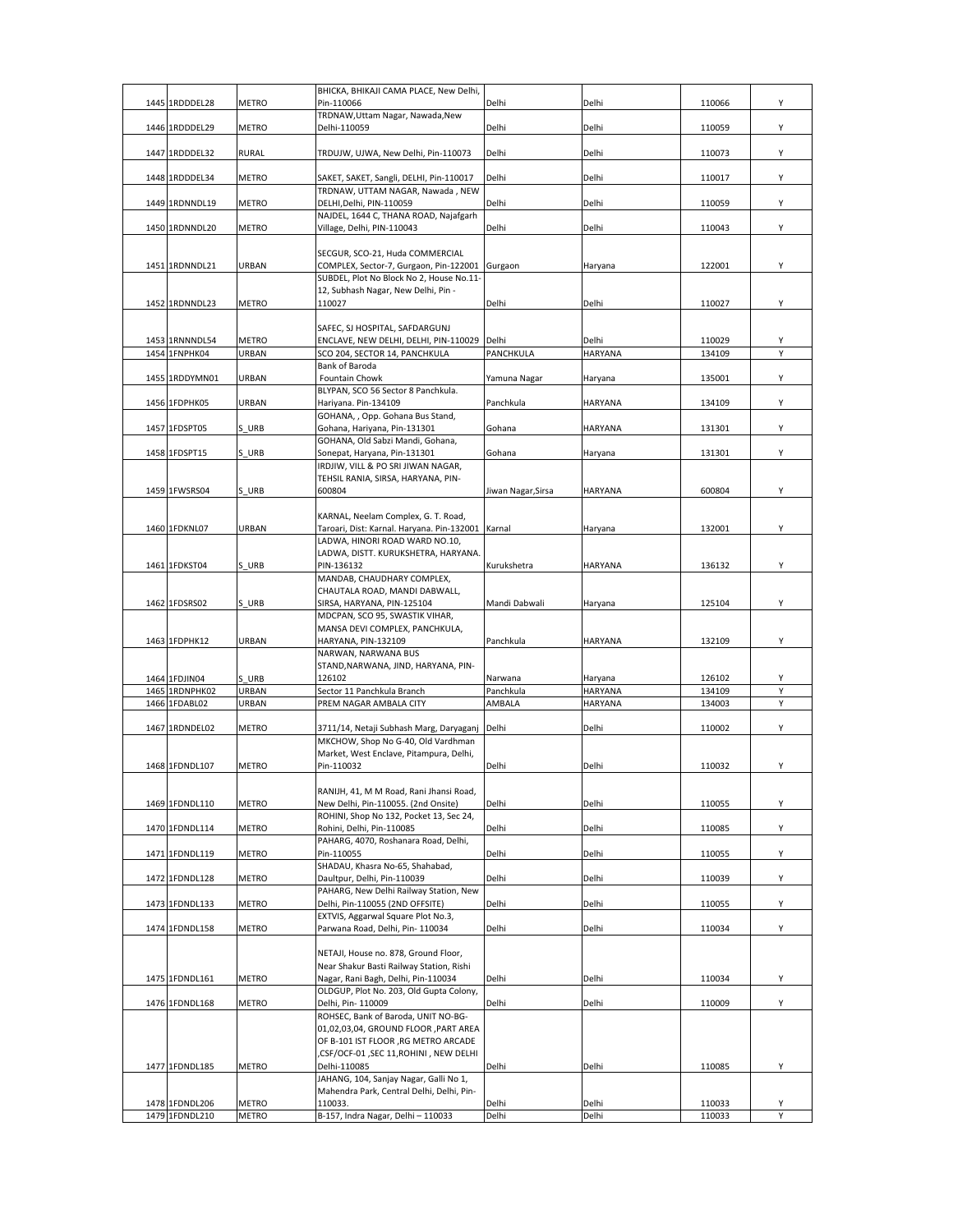| 1445 1RDDDEL28 | <b>METRO</b> | BHICKA, BHIKAJI CAMA PLACE, New Delhi,<br>Pin-110066                            | Delhi               | Delhi                     | 110066 | Y |
|----------------|--------------|---------------------------------------------------------------------------------|---------------------|---------------------------|--------|---|
|                |              | TRDNAW, Uttam Nagar, Nawada, New                                                |                     |                           |        |   |
| 1446 1RDDDEL29 | <b>METRO</b> | Delhi-110059                                                                    | Delhi               | Delhi                     | 110059 | Y |
| 1447 1RDDDEL32 | RURAL        | TRDUJW, UJWA, New Delhi, Pin-110073                                             | Delhi               | Delhi                     | 110073 | Υ |
| 1448 1RDDDEL34 | <b>METRO</b> | SAKET, SAKET, Sangli, DELHI, Pin-110017                                         | Delhi               | Delhi                     | 110017 | Y |
|                |              | TRDNAW, UTTAM NAGAR, Nawada, NEW                                                |                     |                           |        |   |
| 1449 1RDNNDL19 | <b>METRO</b> | DELHI, Delhi, PIN-110059<br>NAJDEL, 1644 C, THANA ROAD, Najafgarh               | Delhi               | Delhi                     | 110059 | Υ |
| 1450 1RDNNDL20 | <b>METRO</b> | Village, Delhi, PIN-110043                                                      | Delhi               | Delhi                     | 110043 | Υ |
|                |              | SECGUR, SCO-21, Huda COMMERCIAL                                                 |                     |                           |        |   |
| 1451 1RDNNDL21 | <b>URBAN</b> | COMPLEX, Sector-7, Gurgaon, Pin-122001 Gurgaon                                  |                     | Haryana                   | 122001 | Υ |
|                |              | SUBDEL, Plot No Block No 2, House No.11-<br>12, Subhash Nagar, New Delhi, Pin - |                     |                           |        |   |
| 1452 1RDNNDL23 | <b>METRO</b> | 110027                                                                          | Delhi               | Delhi                     | 110027 | Υ |
|                |              |                                                                                 |                     |                           |        |   |
| 1453 1RNNNDL54 | <b>METRO</b> | SAFEC, SJ HOSPITAL, SAFDARGUNJ<br>ENCLAVE, NEW DELHI, DELHI, PIN-110029 Delhi   |                     | Delhi                     | 110029 | Υ |
| 1454 1FNPHK04  | URBAN        | SCO 204, SECTOR 14, PANCHKULA                                                   | PANCHKULA           | HARYANA                   | 134109 | Υ |
|                |              | Bank of Baroda                                                                  |                     |                           |        |   |
| 1455 1RDDYMN01 | URBAN        | Fountain Chowk<br>BLYPAN. SCO 56 Sector 8 Panchkula.                            | Yamuna Nagar        | Haryana                   | 135001 | Υ |
| 1456 1FDPHK05  | <b>URBAN</b> | Hariyana. Pin-134109                                                            | Panchkula           | <b>HARYANA</b>            | 134109 | Υ |
| 1457 1FDSPT05  | S URB        | GOHANA, , Opp. Gohana Bus Stand,<br>Gohana, Hariyana, Pin-131301                | Gohana              | <b>HARYANA</b>            | 131301 | Υ |
|                |              | GOHANA, Old Sabzi Mandi, Gohana,                                                |                     |                           |        |   |
| 1458 1FDSPT15  | S URB        | Sonepat, Haryana, Pin-131301                                                    | Gohana              | Haryana                   | 131301 | Υ |
|                |              | IRDJIW, VILL & PO SRI JIWAN NAGAR,<br>TEHSIL RANIA, SIRSA, HARYANA, PIN-        |                     |                           |        |   |
| 1459 1FWSRS04  | S URB        | 600804                                                                          | Jiwan Nagar, Sirsa  | <b>HARYANA</b>            | 600804 | Υ |
|                |              | KARNAL, Neelam Complex, G. T. Road,                                             |                     |                           |        |   |
| 1460 1FDKNL07  | URBAN        | Taroari, Dist: Karnal. Haryana. Pin-132001 Karnal                               |                     | Haryana                   | 132001 | Υ |
|                |              | LADWA, HINORI ROAD WARD NO.10,                                                  |                     |                           |        |   |
| 1461 1FDKST04  | S URB        | LADWA, DISTT. KURUKSHETRA, HARYANA.<br>PIN-136132                               | Kurukshetra         | <b>HARYANA</b>            | 136132 | Υ |
|                |              | MANDAB, CHAUDHARY COMPLEX,                                                      |                     |                           |        |   |
|                |              | CHAUTALA ROAD, MANDI DABWALL,                                                   |                     |                           |        |   |
| 1462 1FDSRS02  | S URB        | SIRSA, HARYANA, PIN-125104<br>MDCPAN, SCO 95, SWASTIK VIHAR,                    | Mandi Dabwali       | Haryana                   | 125104 | Υ |
|                |              | MANSA DEVI COMPLEX, PANCHKULA,                                                  |                     |                           |        |   |
| 1463 1FDPHK12  | URBAN        | HARYANA, PIN-132109                                                             | Panchkula           | <b>HARYANA</b>            | 132109 | Υ |
|                |              | NARWAN, NARWANA BUS<br>STAND, NARWANA, JIND, HARYANA, PIN-                      |                     |                           |        |   |
| 1464 1FDJIN04  | S URB        | 126102                                                                          | Narwana             | Haryana                   | 126102 | Υ |
| 1465 1RDNPHK02 | URBAN        | Sector 11 Panchkula Branch                                                      | Panchkula<br>AMBALA | HARYANA<br><b>HARYANA</b> | 134109 | Υ |
| 1466 1FDABL02  | <b>URBAN</b> | PREM NAGAR AMBALA CITY                                                          |                     |                           | 134003 | Υ |
| 1467 1RDNDEL02 | <b>METRO</b> | 3711/14, Netaji Subhash Marg, Daryaganj                                         | Delhi               | Delhi                     | 110002 | Υ |
|                |              | MKCHOW, Shop No G-40, Old Vardhman                                              |                     |                           |        |   |
| 1468 1FDNDL107 | <b>METRO</b> | Market, West Enclave, Pitampura, Delhi,<br>Pin-110032                           | Delhi               | Delhi                     | 110032 | Υ |
|                |              |                                                                                 |                     |                           |        |   |
| 1469 1FDNDL110 | <b>METRO</b> | RANIJH, 41, M M Road, Rani Jhansi Road,<br>New Delhi, Pin-110055. (2nd Onsite)  | Delhi               | Delhi                     | 110055 | Υ |
|                |              | ROHINI, Shop No 132, Pocket 13, Sec 24,                                         |                     |                           |        |   |
| 1470 1FDNDL114 | METRO        | Rohini, Delhi, Pin-110085                                                       | Delhi               | Delhi                     | 110085 | Υ |
| 1471 1FDNDL119 | METRO        | PAHARG, 4070, Roshanara Road, Delhi,<br>Pin-110055                              | Delhi               | Delhi                     | 110055 | Υ |
|                |              | SHADAU, Khasra No-65, Shahabad,                                                 |                     |                           |        |   |
| 1472 1FDNDL128 | <b>METRO</b> | Daultpur, Delhi, Pin-110039<br>PAHARG, New Delhi Railway Station, New           | Delhi               | Delhi                     | 110039 | Υ |
| 1473 1FDNDL133 | METRO        | Delhi, Pin-110055 (2ND OFFSITE)                                                 | Delhi               | Delhi                     | 110055 | Υ |
|                |              | EXTVIS, Aggarwal Square Plot No.3,                                              |                     |                           |        |   |
| 1474 1FDNDL158 | <b>METRO</b> | Parwana Road, Delhi, Pin- 110034                                                | Delhi               | Delhi                     | 110034 | Υ |
|                |              | NETAJI, House no. 878, Ground Floor,                                            |                     |                           |        |   |
| 1475 1FDNDL161 | METRO        | Near Shakur Basti Railway Station, Rishi<br>Nagar, Rani Bagh, Delhi, Pin-110034 | Delhi               | Delhi                     | 110034 | Υ |
|                |              | OLDGUP, Plot No. 203, Old Gupta Colony,                                         |                     |                           |        |   |
| 1476 1FDNDL168 | <b>METRO</b> | Delhi, Pin- 110009                                                              | Delhi               | Delhi                     | 110009 | Υ |
|                |              | ROHSEC, Bank of Baroda, UNIT NO-BG-<br>01,02,03,04, GROUND FLOOR , PART AREA    |                     |                           |        |   |
|                |              | OF B-101 IST FLOOR , RG METRO ARCADE                                            |                     |                           |        |   |
|                |              | ,CSF/OCF-01,SEC 11,ROHINI, NEW DELHI                                            |                     |                           |        |   |
| 1477 1FDNDL185 | METRO        | Delhi-110085<br>JAHANG, 104, Sanjay Nagar, Galli No 1,                          | Delhi               | Delhi                     | 110085 | Υ |
|                |              | Mahendra Park, Central Delhi, Delhi, Pin-                                       |                     |                           |        |   |
| 1478 1FDNDL206 | METRO        | 110033.                                                                         | Delhi               | Delhi                     | 110033 | Y |
| 1479 1FDNDL210 | <b>METRO</b> | B-157, Indra Nagar, Delhi - 110033                                              | Delhi               | Delhi                     | 110033 |   |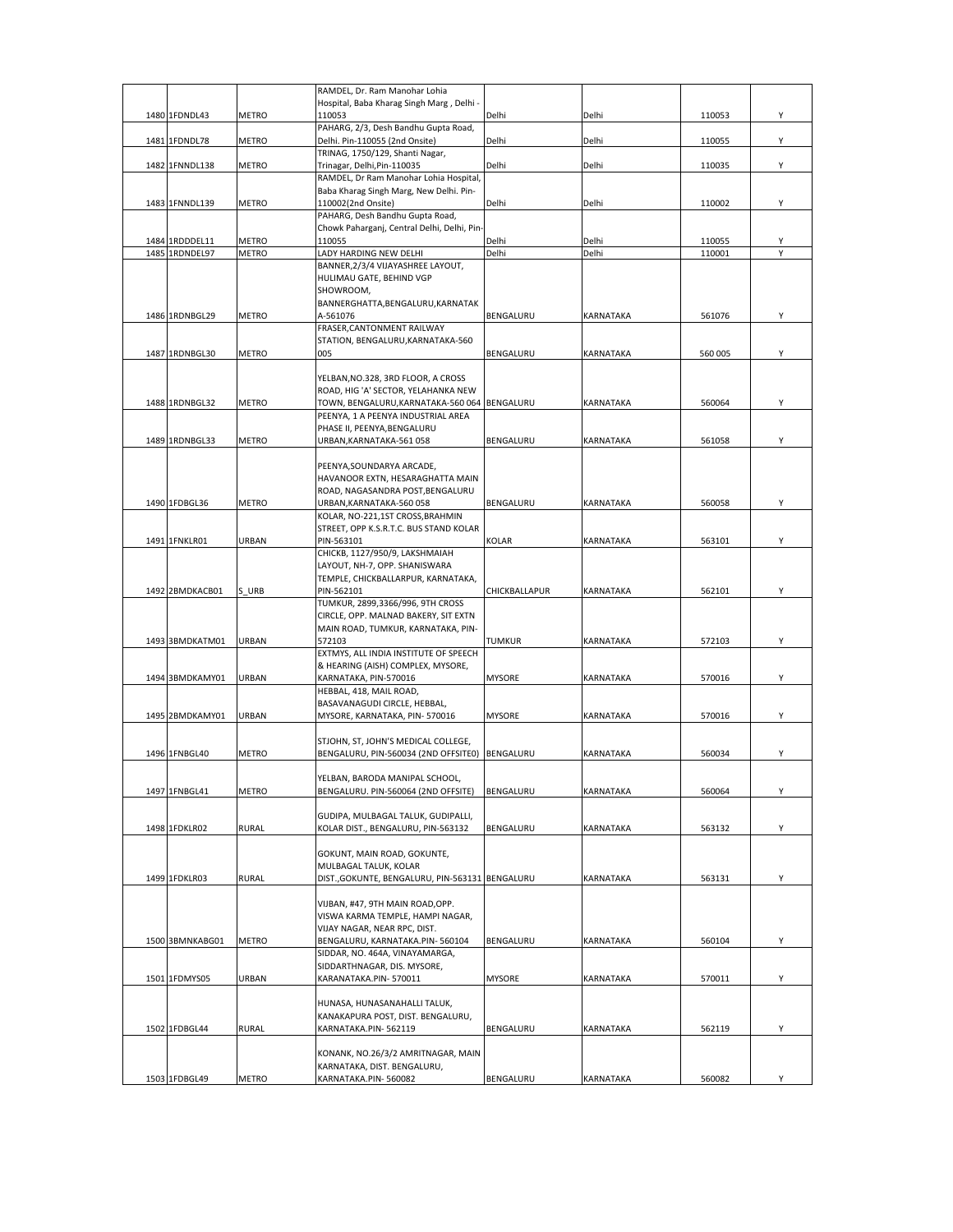|                 |              | RAMDEL, Dr. Ram Manohar Lohia                                        |               |           |         |   |
|-----------------|--------------|----------------------------------------------------------------------|---------------|-----------|---------|---|
| 1480 1FDNDL43   | <b>METRO</b> | Hospital, Baba Kharag Singh Marg, Delhi -<br>110053                  | Delhi         | Delhi     | 110053  | Υ |
|                 |              | PAHARG, 2/3, Desh Bandhu Gupta Road,                                 |               |           |         |   |
| 1481 1FDNDL78   | <b>METRO</b> | Delhi. Pin-110055 (2nd Onsite)                                       | Delhi         | Delhi     | 110055  | Υ |
| 1482 1FNNDL138  | <b>METRO</b> | TRINAG, 1750/129, Shanti Nagar,<br>Trinagar, Delhi, Pin-110035       | Delhi         | Delhi     | 110035  | Υ |
|                 |              | RAMDEL, Dr Ram Manohar Lohia Hospital,                               |               |           |         |   |
|                 |              | Baba Kharag Singh Marg, New Delhi. Pin-                              |               |           |         |   |
| 1483 1FNNDL139  | <b>METRO</b> | 110002(2nd Onsite)<br>PAHARG, Desh Bandhu Gupta Road,                | Delhi         | Delhi     | 110002  | Y |
|                 |              | Chowk Paharganj, Central Delhi, Delhi, Pin-                          |               |           |         |   |
| 1484 1RDDDEL11  | <b>METRO</b> | 110055                                                               | Delhi         | Delhi     | 110055  | Υ |
| 1485 1RDNDEL97  | <b>METRO</b> | LADY HARDING NEW DELHI                                               | Delhi         | Delhi     | 110001  | Υ |
|                 |              | BANNER, 2/3/4 VIJAYASHREE LAYOUT,<br>HULIMAU GATE, BEHIND VGP        |               |           |         |   |
|                 |              | SHOWROOM,                                                            |               |           |         |   |
|                 |              | BANNERGHATTA, BENGALURU, KARNATAK                                    |               |           |         |   |
| 1486 1RDNBGL29  | <b>METRO</b> | A-561076<br>FRASER, CANTONMENT RAILWAY                               | BENGALURU     | KARNATAKA | 561076  | Y |
|                 |              | STATION, BENGALURU, KARNATAKA-560                                    |               |           |         |   |
| 1487 1RDNBGL30  | <b>METRO</b> | 005                                                                  | BENGALURU     | KARNATAKA | 560 005 | Y |
|                 |              | YELBAN, NO.328, 3RD FLOOR, A CROSS                                   |               |           |         |   |
|                 |              | ROAD, HIG 'A' SECTOR, YELAHANKA NEW                                  |               |           |         |   |
| 1488 1RDNBGL32  | METRO        | TOWN, BENGALURU, KARNATAKA-560 064                                   | BENGALURU     | KARNATAKA | 560064  | Y |
|                 |              | PEENYA, 1 A PEENYA INDUSTRIAL AREA                                   |               |           |         |   |
| 1489 1RDNBGL33  | <b>METRO</b> | PHASE II, PEENYA, BENGALURU<br>URBAN, KARNATAKA-561 058              | BENGALURU     | KARNATAKA | 561058  | Υ |
|                 |              |                                                                      |               |           |         |   |
|                 |              | PEENYA, SOUNDARYA ARCADE,                                            |               |           |         |   |
|                 |              | HAVANOOR EXTN, HESARAGHATTA MAIN<br>ROAD, NAGASANDRA POST, BENGALURU |               |           |         |   |
| 1490 1FDBGL36   | <b>METRO</b> | URBAN, KARNATAKA-560 058                                             | BENGALURU     | KARNATAKA | 560058  | Υ |
|                 |              | KOLAR, NO-221,1ST CROSS, BRAHMIN                                     |               |           |         |   |
|                 |              | STREET, OPP K.S.R.T.C. BUS STAND KOLAR                               |               |           |         |   |
| 1491 1FNKLR01   | URBAN        | PIN-563101<br>CHICKB, 1127/950/9, LAKSHMAIAH                         | KOLAR         | KARNATAKA | 563101  | Υ |
|                 |              | LAYOUT, NH-7, OPP. SHANISWARA                                        |               |           |         |   |
|                 |              | TEMPLE, CHICKBALLARPUR, KARNATAKA,                                   |               |           |         |   |
| 1492 2BMDKACB01 | S URB        | PIN-562101<br>TUMKUR, 2899,3366/996, 9TH CROSS                       | CHICKBALLAPUR | KARNATAKA | 562101  | Υ |
|                 |              | CIRCLE, OPP. MALNAD BAKERY, SIT EXTN                                 |               |           |         |   |
|                 |              | MAIN ROAD, TUMKUR, KARNATAKA, PIN-                                   |               |           |         |   |
| 1493 3BMDKATM01 | URBAN        | 572103<br>EXTMYS, ALL INDIA INSTITUTE OF SPEECH                      | TUMKUR        | KARNATAKA | 572103  | Υ |
|                 |              | & HEARING (AISH) COMPLEX, MYSORE,                                    |               |           |         |   |
| 1494 3BMDKAMY01 | URBAN        | KARNATAKA, PIN-570016                                                | <b>MYSORE</b> | KARNATAKA | 570016  | Υ |
|                 |              | HEBBAL, 418, MAIL ROAD,<br>BASAVANAGUDI CIRCLE, HEBBAL,              |               |           |         |   |
| 1495 2BMDKAMY01 | <b>URBAN</b> | MYSORE, KARNATAKA, PIN-570016                                        | <b>MYSORE</b> | KARNATAKA | 570016  | Υ |
|                 |              |                                                                      |               |           |         |   |
|                 |              | STJOHN, ST, JOHN'S MEDICAL COLLEGE,                                  |               |           |         |   |
| 1496 1FNBGL40   | METRO        | BENGALURU, PIN-560034 (2ND OFFSITE0)                                 | BENGALURU     | KARNATAKA | 560034  | Υ |
|                 |              | YELBAN, BARODA MANIPAL SCHOOL,                                       |               |           |         |   |
| 1497 1FNBGL41   | <b>METRO</b> | BENGALURU. PIN-560064 (2ND OFFSITE)                                  | BENGALURU     | KARNATAKA | 560064  | Υ |
|                 |              | GUDIPA, MULBAGAL TALUK, GUDIPALLI,                                   |               |           |         |   |
| 1498 1FDKLR02   | <b>RURAL</b> | KOLAR DIST., BENGALURU, PIN-563132                                   | BENGALURU     | KARNATAKA | 563132  | Y |
|                 |              |                                                                      |               |           |         |   |
|                 |              | GOKUNT, MAIN ROAD, GOKUNTE,<br>MULBAGAL TALUK, KOLAR                 |               |           |         |   |
| 1499 1FDKLR03   | <b>RURAL</b> | DIST., GOKUNTE, BENGALURU, PIN-563131 BENGALURU                      |               | KARNATAKA | 563131  | Υ |
|                 |              |                                                                      |               |           |         |   |
|                 |              | VIJBAN, #47, 9TH MAIN ROAD, OPP.                                     |               |           |         |   |
|                 |              | VISWA KARMA TEMPLE, HAMPI NAGAR,<br>VIJAY NAGAR, NEAR RPC, DIST.     |               |           |         |   |
| 1500 3BMNKABG01 | <b>METRO</b> | BENGALURU, KARNATAKA.PIN-560104                                      | BENGALURU     | KARNATAKA | 560104  | Y |
|                 |              | SIDDAR, NO. 464A, VINAYAMARGA,                                       |               |           |         |   |
| 1501 1FDMYS05   | URBAN        | SIDDARTHNAGAR, DIS. MYSORE,<br>KARANATAKA.PIN-570011                 | MYSORE        | KARNATAKA | 570011  | Υ |
|                 |              |                                                                      |               |           |         |   |
|                 |              | HUNASA, HUNASANAHALLI TALUK,                                         |               |           |         |   |
|                 |              | KANAKAPURA POST, DIST. BENGALURU,                                    |               |           |         |   |
| 1502 1FDBGL44   | <b>RURAL</b> | KARNATAKA.PIN-562119                                                 | BENGALURU     | KARNATAKA | 562119  | Υ |
|                 |              | KONANK, NO.26/3/2 AMRITNAGAR, MAIN                                   |               |           |         |   |
|                 |              | KARNATAKA, DIST. BENGALURU,                                          |               |           |         |   |
| 1503 1FDBGL49   | METRO        | KARNATAKA.PIN-560082                                                 | BENGALURU     | KARNATAKA | 560082  | Υ |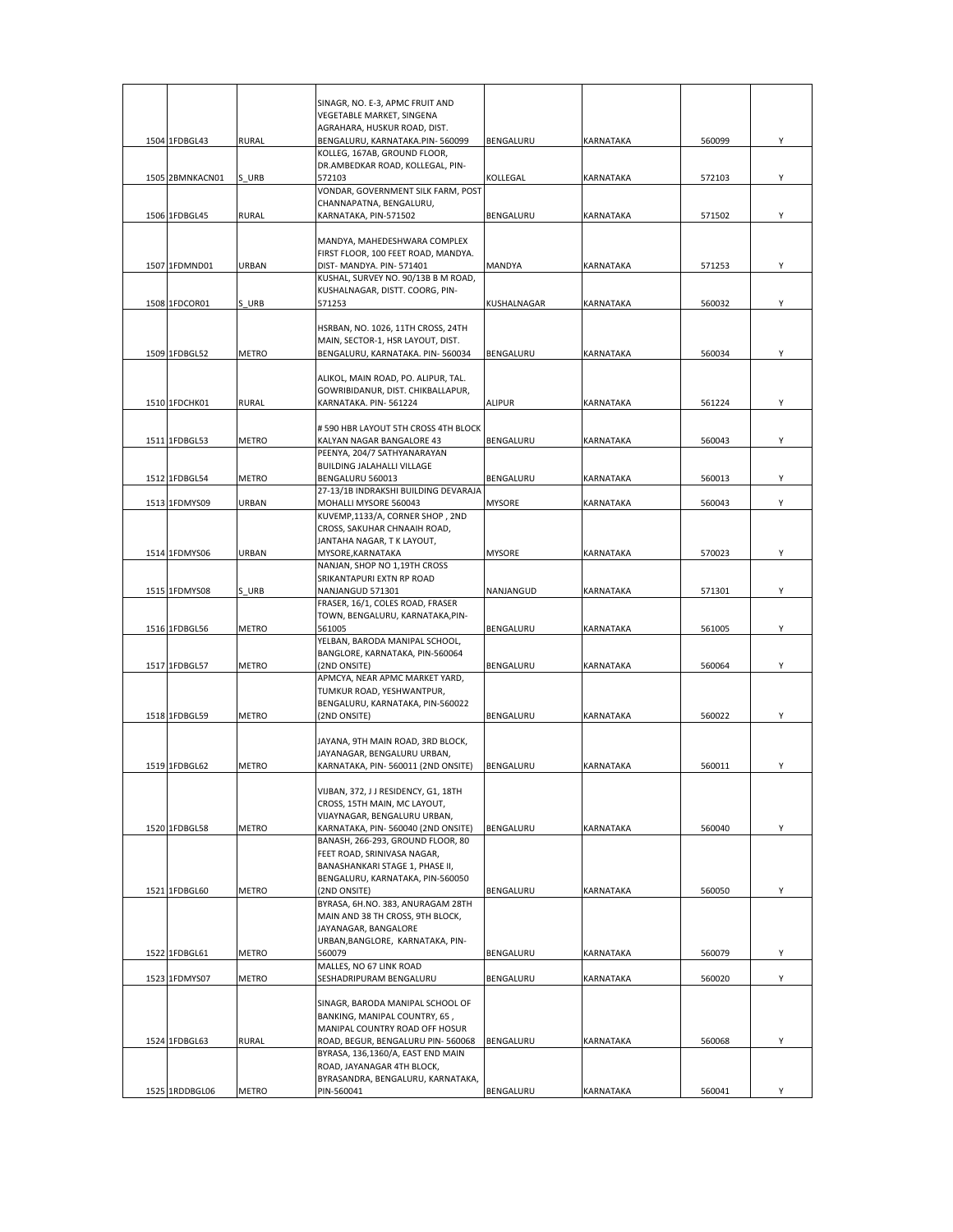|                 |              | SINAGR, NO. E-3, APMC FRUIT AND                                       |               |                  |        |   |
|-----------------|--------------|-----------------------------------------------------------------------|---------------|------------------|--------|---|
|                 |              | VEGETABLE MARKET, SINGENA                                             |               |                  |        |   |
|                 |              | AGRAHARA, HUSKUR ROAD, DIST.                                          |               |                  |        |   |
| 1504 1FDBGL43   | <b>RURAL</b> | BENGALURU, KARNATAKA.PIN-560099<br>KOLLEG, 167AB, GROUND FLOOR,       | BENGALURU     | <b>KARNATAKA</b> | 560099 | Y |
|                 |              | DR.AMBEDKAR ROAD, KOLLEGAL, PIN-                                      |               |                  |        |   |
| 1505 2BMNKACN01 | S URB        | 572103                                                                | KOLLEGAL      | <b>KARNATAKA</b> | 572103 | Y |
|                 |              | VONDAR, GOVERNMENT SILK FARM, POST                                    |               |                  |        |   |
| 1506 1FDBGL45   | <b>RURAL</b> | CHANNAPATNA, BENGALURU,<br>KARNATAKA, PIN-571502                      | BENGALURU     | <b>KARNATAKA</b> | 571502 | Y |
|                 |              |                                                                       |               |                  |        |   |
|                 |              | MANDYA, MAHEDESHWARA COMPLEX                                          |               |                  |        |   |
| 1507 1FDMND01   | URBAN        | FIRST FLOOR, 100 FEET ROAD, MANDYA.<br>DIST- MANDYA. PIN-571401       | MANDYA        | KARNATAKA        | 571253 | Υ |
|                 |              | KUSHAL, SURVEY NO. 90/13B B M ROAD,                                   |               |                  |        |   |
|                 |              | KUSHALNAGAR, DISTT. COORG, PIN-                                       |               |                  |        |   |
| 1508 1FDCOR01   | S URB        | 571253                                                                | KUSHALNAGAR   | KARNATAKA        | 560032 | Υ |
|                 |              | HSRBAN, NO. 1026, 11TH CROSS, 24TH                                    |               |                  |        |   |
|                 |              | MAIN, SECTOR-1, HSR LAYOUT, DIST.                                     |               |                  |        |   |
| 1509 1FDBGL52   | <b>METRO</b> | BENGALURU, KARNATAKA. PIN- 560034                                     | BENGALURU     | KARNATAKA        | 560034 | Y |
|                 |              | ALIKOL, MAIN ROAD, PO. ALIPUR, TAL.                                   |               |                  |        |   |
|                 |              | GOWRIBIDANUR, DIST. CHIKBALLAPUR,                                     |               |                  |        |   |
| 1510 1FDCHK01   | <b>RURAL</b> | KARNATAKA. PIN-561224                                                 | <b>ALIPUR</b> | KARNATAKA        | 561224 | Υ |
|                 |              | # 590 HBR LAYOUT 5TH CROSS 4TH BLOCK                                  |               |                  |        |   |
| 1511 1FDBGL53   | <b>METRO</b> | KALYAN NAGAR BANGALORE 43                                             | BENGALURU     | KARNATAKA        | 560043 | Υ |
|                 |              | PEENYA, 204/7 SATHYANARAYAN                                           |               |                  |        |   |
|                 |              | BUILDING JALAHALLI VILLAGE                                            |               |                  |        |   |
| 1512 1FDBGL54   | METRO        | BENGALURU 560013<br>27-13/1B INDRAKSHI BUILDING DEVARAJA              | BENGALURU     | <b>KARNATAKA</b> | 560013 | Υ |
| 1513 1FDMYS09   | URBAN        | MOHALLI MYSORE 560043                                                 | <b>MYSORE</b> | KARNATAKA        | 560043 | Y |
|                 |              | KUVEMP,1133/A, CORNER SHOP, 2ND                                       |               |                  |        |   |
|                 |              | CROSS, SAKUHAR CHNAAIH ROAD,<br>JANTAHA NAGAR, T K LAYOUT,            |               |                  |        |   |
| 1514 1FDMYS06   | URBAN        | MYSORE, KARNATAKA                                                     | <b>MYSORE</b> | KARNATAKA        | 570023 | Υ |
|                 |              | NANJAN, SHOP NO 1,19TH CROSS                                          |               |                  |        |   |
| 1515 1FDMYS08   | S URB        | SRIKANTAPURI EXTN RP ROAD<br>NANJANGUD 571301                         | NANJANGUD     | KARNATAKA        | 571301 | Y |
|                 |              | FRASER, 16/1, COLES ROAD, FRASER                                      |               |                  |        |   |
|                 |              | TOWN, BENGALURU, KARNATAKA, PIN-                                      |               |                  |        |   |
| 1516 1FDBGL56   | <b>METRO</b> | 561005                                                                | BENGALURU     | KARNATAKA        | 561005 | Y |
|                 |              | YELBAN, BARODA MANIPAL SCHOOL,<br>BANGLORE, KARNATAKA, PIN-560064     |               |                  |        |   |
| 1517 1FDBGL57   | <b>METRO</b> | (2ND ONSITE)                                                          | BENGALURU     | KARNATAKA        | 560064 | Y |
|                 |              | APMCYA, NEAR APMC MARKET YARD,                                        |               |                  |        |   |
|                 |              | TUMKUR ROAD, YESHWANTPUR,<br>BENGALURU, KARNATAKA, PIN-560022         |               |                  |        |   |
| 1518 1FDBGL59   | METRO        | (2ND ONSITE)                                                          | BENGALURU     | KARNATAKA        | 560022 | Υ |
|                 |              |                                                                       |               |                  |        |   |
|                 |              | JAYANA, 9TH MAIN ROAD, 3RD BLOCK,<br>JAYANAGAR, BENGALURU URBAN,      |               |                  |        |   |
| 1519 1FDBGL62   | <b>METRO</b> | KARNATAKA, PIN-560011 (2ND ONSITE)                                    | BENGALURU     | <b>KARNATAKA</b> | 560011 | Υ |
|                 |              |                                                                       |               |                  |        |   |
|                 |              | VIJBAN, 372, J J RESIDENCY, G1, 18TH<br>CROSS, 15TH MAIN, MC LAYOUT,  |               |                  |        |   |
|                 |              | VIJAYNAGAR, BENGALURU URBAN,                                          |               |                  |        |   |
| 1520 1FDBGL58   | METRO        | KARNATAKA, PIN- 560040 (2ND ONSITE)                                   | BENGALURU     | KARNATAKA        | 560040 | Y |
|                 |              | BANASH, 266-293, GROUND FLOOR, 80                                     |               |                  |        |   |
|                 |              | FEET ROAD, SRINIVASA NAGAR,<br>BANASHANKARI STAGE 1, PHASE II,        |               |                  |        |   |
|                 |              | BENGALURU, KARNATAKA, PIN-560050                                      |               |                  |        |   |
| 1521 1FDBGL60   | <b>METRO</b> | (2ND ONSITE)                                                          | BENGALURU     | KARNATAKA        | 560050 | Y |
|                 |              | BYRASA, 6H.NO. 383, ANURAGAM 28TH<br>MAIN AND 38 TH CROSS, 9TH BLOCK, |               |                  |        |   |
|                 |              | JAYANAGAR, BANGALORE                                                  |               |                  |        |   |
|                 |              | URBAN, BANGLORE, KARNATAKA, PIN-                                      |               |                  |        |   |
| 1522 1FDBGL61   | METRO        | 560079<br>MALLES, NO 67 LINK ROAD                                     | BENGALURU     | KARNATAKA        | 560079 | Y |
| 1523 1FDMYS07   | <b>METRO</b> | SESHADRIPURAM BENGALURU                                               | BENGALURU     | KARNATAKA        | 560020 | Y |
|                 |              |                                                                       |               |                  |        |   |
|                 |              | SINAGR, BARODA MANIPAL SCHOOL OF                                      |               |                  |        |   |
|                 |              | BANKING, MANIPAL COUNTRY, 65,<br>MANIPAL COUNTRY ROAD OFF HOSUR       |               |                  |        |   |
| 1524 1FDBGL63   | <b>RURAL</b> | ROAD, BEGUR, BENGALURU PIN-560068                                     | BENGALURU     | KARNATAKA        | 560068 | Υ |
|                 |              | BYRASA, 136,1360/A, EAST END MAIN                                     |               |                  |        |   |
|                 |              | ROAD, JAYANAGAR 4TH BLOCK,<br>BYRASANDRA, BENGALURU, KARNATAKA,       |               |                  |        |   |
| 1525 1RDDBGL06  | METRO        | PIN-560041                                                            | BENGALURU     | KARNATAKA        | 560041 |   |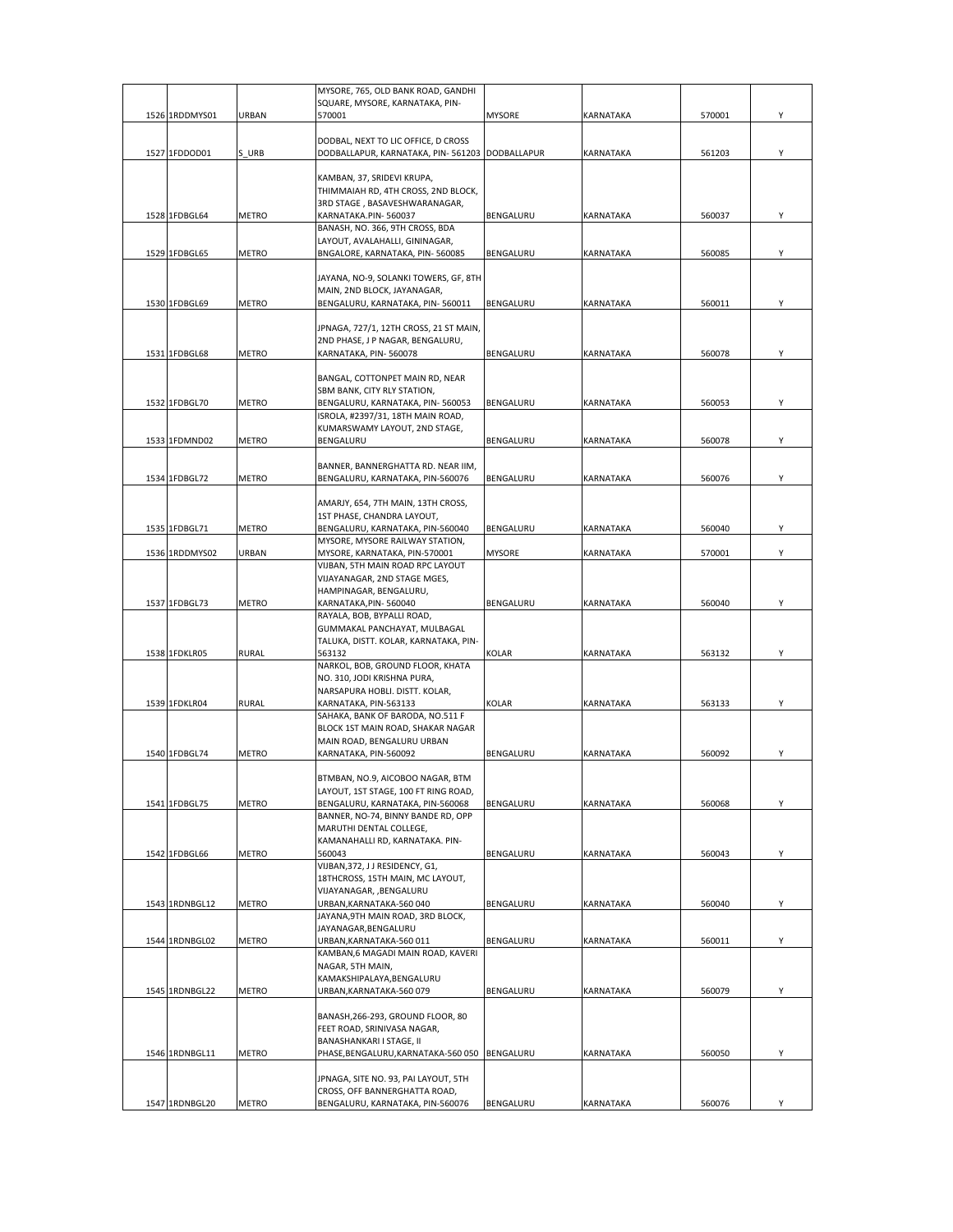|                |              | MYSORE, 765, OLD BANK ROAD, GANDHI                                    |               |                  |        |   |
|----------------|--------------|-----------------------------------------------------------------------|---------------|------------------|--------|---|
|                |              | SQUARE, MYSORE, KARNATAKA, PIN-                                       |               |                  |        |   |
| 1526 1RDDMYS01 | URBAN        | 570001                                                                | <b>MYSORE</b> | <b>KARNATAKA</b> | 570001 | Υ |
|                |              | DODBAL, NEXT TO LIC OFFICE, D CROSS                                   |               |                  |        |   |
| 1527 1FDDOD01  | S URB        | DODBALLAPUR, KARNATAKA, PIN-561203 DODBALLAPUR                        |               | <b>KARNATAKA</b> | 561203 | Υ |
|                |              |                                                                       |               |                  |        |   |
|                |              | KAMBAN, 37, SRIDEVI KRUPA,                                            |               |                  |        |   |
|                |              | THIMMAIAH RD, 4TH CROSS, 2ND BLOCK,                                   |               |                  |        |   |
|                |              | 3RD STAGE, BASAVESHWARANAGAR,                                         |               |                  |        |   |
| 1528 1FDBGL64  | <b>METRO</b> | KARNATAKA.PIN-560037                                                  | BENGALURU     | KARNATAKA        | 560037 | Y |
|                |              | BANASH, NO. 366, 9TH CROSS, BDA                                       |               |                  |        |   |
|                |              | LAYOUT, AVALAHALLI, GININAGAR,                                        |               |                  |        |   |
| 1529 1FDBGL65  | <b>METRO</b> | BNGALORE, KARNATAKA, PIN-560085                                       | BENGALURU     | <b>KARNATAKA</b> | 560085 | Υ |
|                |              |                                                                       |               |                  |        |   |
|                |              | JAYANA, NO-9, SOLANKI TOWERS, GF, 8TH                                 |               |                  |        |   |
|                |              | MAIN, 2ND BLOCK, JAYANAGAR,                                           |               |                  |        |   |
| 1530 1FDBGL69  | <b>METRO</b> | BENGALURU, KARNATAKA, PIN-560011                                      | BENGALURU     | <b>KARNATAKA</b> | 560011 | Υ |
|                |              |                                                                       |               |                  |        |   |
|                |              | JPNAGA, 727/1, 12TH CROSS, 21 ST MAIN,                                |               |                  |        |   |
| 1531 1FDBGL68  |              | 2ND PHASE, J P NAGAR, BENGALURU,                                      |               |                  |        |   |
|                | METRO        | KARNATAKA, PIN-560078                                                 | BENGALURU     | KARNATAKA        | 560078 | Y |
|                |              | BANGAL, COTTONPET MAIN RD, NEAR                                       |               |                  |        |   |
|                |              | SBM BANK, CITY RLY STATION,                                           |               |                  |        |   |
| 1532 1FDBGL70  | <b>METRO</b> | BENGALURU, KARNATAKA, PIN-560053                                      | BENGALURU     | KARNATAKA        | 560053 | Y |
|                |              | ISROLA, #2397/31, 18TH MAIN ROAD,                                     |               |                  |        |   |
|                |              | KUMARSWAMY LAYOUT, 2ND STAGE,                                         |               |                  |        |   |
| 1533 1FDMND02  | <b>METRO</b> | BENGALURU                                                             | BENGALURU     | KARNATAKA        | 560078 | Y |
|                |              |                                                                       |               |                  |        |   |
|                |              | BANNER, BANNERGHATTA RD. NEAR IIM,                                    |               |                  |        |   |
| 1534 1FDBGL72  | <b>METRO</b> | BENGALURU, KARNATAKA, PIN-560076                                      | BENGALURU     | <b>KARNATAKA</b> | 560076 | Y |
|                |              |                                                                       |               |                  |        |   |
|                |              | AMARJY, 654, 7TH MAIN, 13TH CROSS,                                    |               |                  |        |   |
|                |              | 1ST PHASE, CHANDRA LAYOUT,                                            |               |                  |        |   |
| 1535 1FDBGL71  | <b>METRO</b> | BENGALURU, KARNATAKA, PIN-560040                                      | BENGALURU     | KARNATAKA        | 560040 | Υ |
|                |              | MYSORE, MYSORE RAILWAY STATION,                                       |               |                  |        |   |
| 1536 1RDDMYS02 | URBAN        | MYSORE, KARNATAKA, PIN-570001                                         | <b>MYSORE</b> | KARNATAKA        | 570001 | Y |
|                |              | VIJBAN, 5TH MAIN ROAD RPC LAYOUT                                      |               |                  |        |   |
|                |              | VIJAYANAGAR, 2ND STAGE MGES,                                          |               |                  |        |   |
|                |              | HAMPINAGAR, BENGALURU,                                                |               |                  |        |   |
| 1537 1FDBGL73  | METRO        | KARNATAKA,PIN- 560040                                                 | BENGALURU     | KARNATAKA        | 560040 | Υ |
|                |              | RAYALA, BOB, BYPALLI ROAD,                                            |               |                  |        |   |
|                |              | GUMMAKAL PANCHAYAT, MULBAGAL<br>TALUKA, DISTT. KOLAR, KARNATAKA, PIN- |               |                  |        |   |
| 1538 1FDKLR05  | <b>RURAL</b> | 563132                                                                | KOLAR         | KARNATAKA        | 563132 | Υ |
|                |              | NARKOL, BOB, GROUND FLOOR, KHATA                                      |               |                  |        |   |
|                |              | NO. 310, JODI KRISHNA PURA,                                           |               |                  |        |   |
|                |              | NARSAPURA HOBLI. DISTT. KOLAR,                                        |               |                  |        |   |
| 1539 1FDKLR04  | <b>RURAL</b> | KARNATAKA, PIN-563133                                                 | <b>KOLAR</b>  | <b>KARNATAKA</b> | 563133 | Υ |
|                |              | SAHAKA, BANK OF BARODA, NO.511 F                                      |               |                  |        |   |
|                |              | BLOCK 1ST MAIN ROAD, SHAKAR NAGAR                                     |               |                  |        |   |
|                |              | MAIN ROAD, BENGALURU URBAN                                            |               |                  |        |   |
| 1540 1FDBGL74  | <b>METRO</b> | KARNATAKA, PIN-560092                                                 | BENGALURU     | KARNATAKA        | 560092 | Υ |
|                |              |                                                                       |               |                  |        |   |
|                |              | BTMBAN, NO.9, AICOBOO NAGAR, BTM                                      |               |                  |        |   |
|                |              | LAYOUT, 1ST STAGE, 100 FT RING ROAD,                                  |               |                  |        |   |
| 1541 1FDBGL75  | <b>METRO</b> | BENGALURU, KARNATAKA, PIN-560068                                      | BENGALURU     | KARNATAKA        | 560068 | Y |
|                |              | BANNER, NO-74, BINNY BANDE RD, OPP                                    |               |                  |        |   |
|                |              | MARUTHI DENTAL COLLEGE,                                               |               |                  |        |   |
|                |              | KAMANAHALLI RD, KARNATAKA. PIN-                                       |               |                  |        |   |
| 1542 1FDBGL66  | <b>METRO</b> | 560043                                                                | BENGALURU     | KARNATAKA        | 560043 | Υ |
|                |              | VIJBAN, 372, J J RESIDENCY, G1,                                       |               |                  |        |   |
|                |              | 18THCROSS, 15TH MAIN, MC LAYOUT,<br>VIJAYANAGAR, , BENGALURU          |               |                  |        |   |
| 1543 1RDNBGL12 | METRO        | URBAN, KARNATAKA-560 040                                              | BENGALURU     | KARNATAKA        | 560040 | Y |
|                |              | JAYANA, 9TH MAIN ROAD, 3RD BLOCK,                                     |               |                  |        |   |
|                |              | JAYANAGAR, BENGALURU                                                  |               |                  |        |   |
| 1544 1RDNBGL02 | <b>METRO</b> | URBAN, KARNATAKA-560 011                                              | BENGALURU     | KARNATAKA        | 560011 | Υ |
|                |              | KAMBAN, 6 MAGADI MAIN ROAD, KAVERI                                    |               |                  |        |   |
|                |              | NAGAR, 5TH MAIN,                                                      |               |                  |        |   |
|                |              | KAMAKSHIPALAYA,BENGALURU                                              |               |                  |        |   |
| 1545 1RDNBGL22 | <b>METRO</b> | URBAN, KARNATAKA-560 079                                              | BENGALURU     | KARNATAKA        | 560079 | Υ |
|                |              |                                                                       |               |                  |        |   |
|                |              | BANASH, 266-293, GROUND FLOOR, 80                                     |               |                  |        |   |
|                |              | FEET ROAD, SRINIVASA NAGAR,                                           |               |                  |        |   |
|                |              | BANASHANKARI I STAGE, II                                              |               |                  |        |   |
| 1546 1RDNBGL11 | METRO        | PHASE, BENGALURU, KARNATAKA-560 050                                   | BENGALURU     | KARNATAKA        | 560050 | Υ |
|                |              |                                                                       |               |                  |        |   |
|                |              | JPNAGA, SITE NO. 93, PAI LAYOUT, 5TH                                  |               |                  |        |   |
|                |              | CROSS, OFF BANNERGHATTA ROAD,                                         |               |                  |        |   |
| 1547 1RDNBGL20 | <b>METRO</b> | BENGALURU, KARNATAKA, PIN-560076                                      | BENGALURU     | KARNATAKA        | 560076 | Y |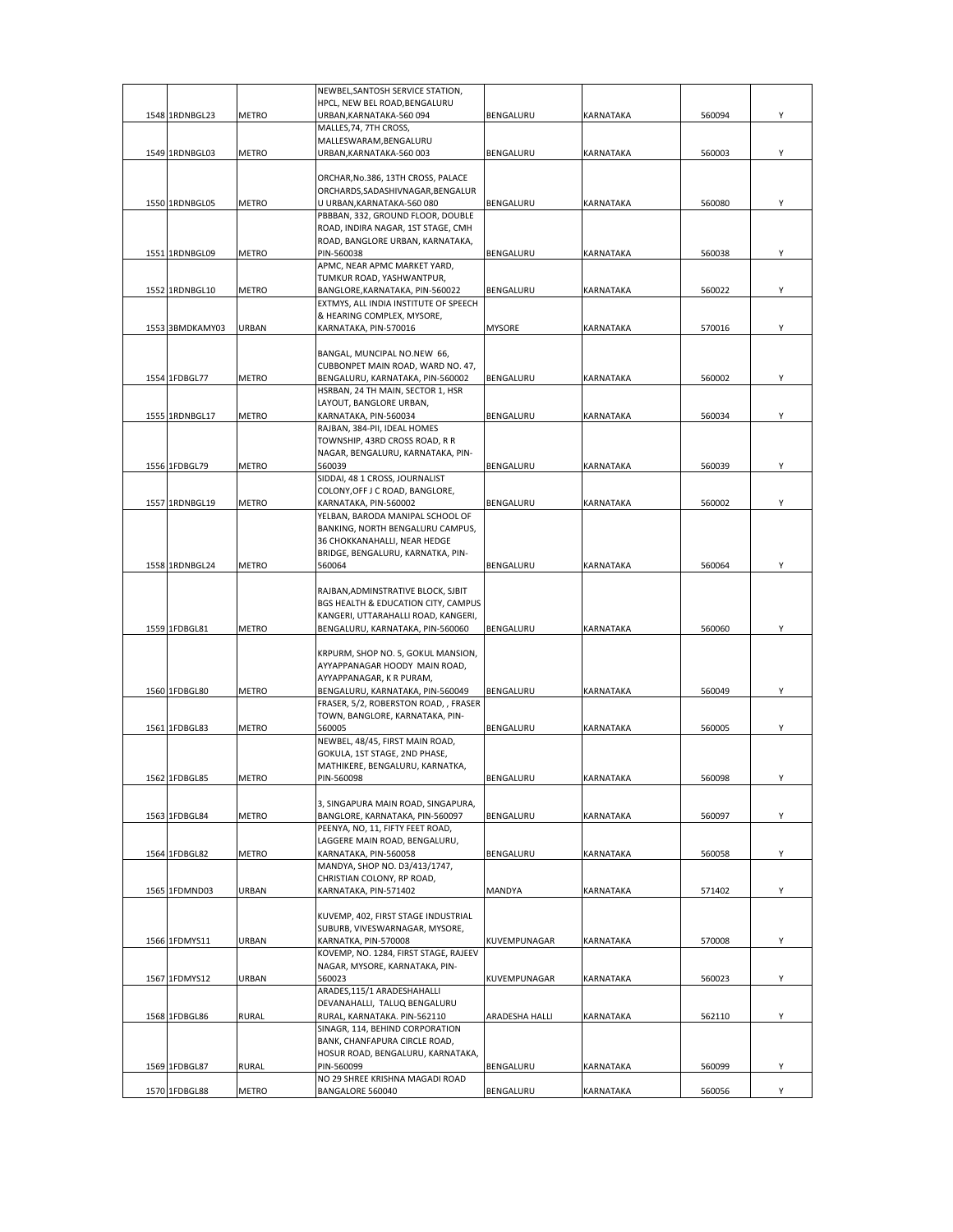|                 |              | NEWBEL, SANTOSH SERVICE STATION,                                        |                |                  |        |   |
|-----------------|--------------|-------------------------------------------------------------------------|----------------|------------------|--------|---|
|                 |              | HPCL, NEW BEL ROAD, BENGALURU                                           |                |                  |        |   |
| 1548 1RDNBGL23  | <b>METRO</b> | URBAN, KARNATAKA-560 094                                                | BENGALURU      | KARNATAKA        | 560094 | Υ |
|                 |              | MALLES, 74, 7TH CROSS,                                                  |                |                  |        |   |
|                 |              | MALLESWARAM, BENGALURU                                                  |                |                  |        |   |
| 1549 1RDNBGL03  | <b>METRO</b> | URBAN, KARNATAKA-560 003                                                | BENGALURU      | KARNATAKA        | 560003 | Υ |
|                 |              |                                                                         |                |                  |        |   |
|                 |              | ORCHAR, No.386, 13TH CROSS, PALACE<br>ORCHARDS, SADASHIVNAGAR, BENGALUR |                |                  |        |   |
| 1550 1RDNBGL05  | METRO        | U URBAN, KARNATAKA-560 080                                              | BENGALURU      | KARNATAKA        | 560080 | Υ |
|                 |              | PBBBAN, 332, GROUND FLOOR, DOUBLE                                       |                |                  |        |   |
|                 |              | ROAD, INDIRA NAGAR, 1ST STAGE, CMH                                      |                |                  |        |   |
|                 |              | ROAD, BANGLORE URBAN, KARNATAKA,                                        |                |                  |        |   |
| 1551 1RDNBGL09  | <b>METRO</b> | PIN-560038                                                              | BENGALURU      | KARNATAKA        | 560038 | Υ |
|                 |              | APMC, NEAR APMC MARKET YARD,                                            |                |                  |        |   |
|                 |              | TUMKUR ROAD, YASHWANTPUR,                                               |                |                  |        |   |
| 1552 1RDNBGL10  | <b>METRO</b> | BANGLORE, KARNATAKA, PIN-560022                                         | BENGALURU      | KARNATAKA        | 560022 | Υ |
|                 |              | EXTMYS, ALL INDIA INSTITUTE OF SPEECH                                   |                |                  |        |   |
|                 |              | & HEARING COMPLEX, MYSORE,                                              |                |                  |        |   |
| 1553 3BMDKAMY03 | URBAN        | KARNATAKA, PIN-570016                                                   | <b>MYSORE</b>  | KARNATAKA        | 570016 | Υ |
|                 |              |                                                                         |                |                  |        |   |
|                 |              | BANGAL, MUNCIPAL NO.NEW 66,                                             |                |                  |        |   |
|                 |              | CUBBONPET MAIN ROAD, WARD NO. 47,                                       |                |                  |        |   |
| 1554 1FDBGL77   | METRO        | BENGALURU, KARNATAKA, PIN-560002                                        | BENGALURU      | KARNATAKA        | 560002 | Υ |
|                 |              | HSRBAN, 24 TH MAIN, SECTOR 1, HSR                                       |                |                  |        |   |
|                 |              | LAYOUT, BANGLORE URBAN,                                                 |                |                  |        |   |
| 1555 1RDNBGL17  | METRO        | KARNATAKA, PIN-560034                                                   | BENGALURU      | KARNATAKA        | 560034 | Υ |
|                 |              | RAJBAN, 384-PII, IDEAL HOMES                                            |                |                  |        |   |
|                 |              | TOWNSHIP, 43RD CROSS ROAD, R R                                          |                |                  |        |   |
|                 |              | NAGAR, BENGALURU, KARNATAKA, PIN-                                       |                |                  |        |   |
| 1556 1FDBGL79   | <b>METRO</b> | 560039                                                                  | BENGALURU      | KARNATAKA        | 560039 | Y |
|                 |              | SIDDAI, 48 1 CROSS, JOURNALIST<br>COLONY, OFF J C ROAD, BANGLORE,       |                |                  |        |   |
| 1557 1RDNBGL19  | <b>METRO</b> |                                                                         | BENGALURU      | KARNATAKA        | 560002 | Υ |
|                 |              | KARNATAKA, PIN-560002<br>YELBAN, BARODA MANIPAL SCHOOL OF               |                |                  |        |   |
|                 |              | BANKING, NORTH BENGALURU CAMPUS,                                        |                |                  |        |   |
|                 |              | 36 CHOKKANAHALLI, NEAR HEDGE                                            |                |                  |        |   |
|                 |              | BRIDGE, BENGALURU, KARNATKA, PIN-                                       |                |                  |        |   |
| 1558 1RDNBGL24  | METRO        | 560064                                                                  | BENGALURU      | KARNATAKA        | 560064 | Υ |
|                 |              |                                                                         |                |                  |        |   |
|                 |              | RAJBAN, ADMINSTRATIVE BLOCK, SJBIT                                      |                |                  |        |   |
|                 |              | BGS HEALTH & EDUCATION CITY, CAMPUS                                     |                |                  |        |   |
|                 |              | KANGERI, UTTARAHALLI ROAD, KANGERI,                                     |                |                  |        |   |
| 1559 1FDBGL81   | <b>METRO</b> | BENGALURU, KARNATAKA, PIN-560060                                        | BENGALURU      | KARNATAKA        | 560060 | Υ |
|                 |              |                                                                         |                |                  |        |   |
|                 |              | KRPURM, SHOP NO. 5, GOKUL MANSION,                                      |                |                  |        |   |
|                 |              | AYYAPPANAGAR HOODY MAIN ROAD,                                           |                |                  |        |   |
|                 |              | AYYAPPANAGAR, K R PURAM,                                                |                |                  |        |   |
| 1560 1FDBGL80   | METRO        | BENGALURU, KARNATAKA, PIN-560049                                        | BENGALURU      | <b>KARNATAKA</b> | 560049 | Υ |
|                 |              | FRASER, 5/2, ROBERSTON ROAD, , FRASER                                   |                |                  |        |   |
|                 |              | TOWN, BANGLORE, KARNATAKA, PIN-                                         |                |                  |        |   |
| 1561 1FDBGL83   | <b>METRO</b> | 560005                                                                  | BENGALURU      | <b>KARNATAKA</b> | 560005 | Υ |
|                 |              | NEWBEL, 48/45, FIRST MAIN ROAD,                                         |                |                  |        |   |
|                 |              | GOKULA, 1ST STAGE, 2ND PHASE,                                           |                |                  |        |   |
|                 |              | MATHIKERE, BENGALURU, KARNATKA,                                         |                |                  |        |   |
| 1562 1FDRGL85   | <b>METRO</b> | PIN-560098                                                              | BENGALURU      | ΚΔΡΝΔΤΔΚΔ        | 560098 |   |
|                 |              |                                                                         |                |                  |        |   |
|                 |              | 3, SINGAPURA MAIN ROAD, SINGAPURA,                                      |                |                  |        |   |
| 1563 1FDBGL84   | METRO        | BANGLORE, KARNATAKA, PIN-560097                                         | BENGALURU      | KARNATAKA        | 560097 | Υ |
|                 |              | PEENYA, NO, 11, FIFTY FEET ROAD,                                        |                |                  |        |   |
| 1564 1FDBGL82   |              | LAGGERE MAIN ROAD, BENGALURU,                                           |                | KARNATAKA        |        | Υ |
|                 | <b>METRO</b> | KARNATAKA, PIN-560058<br>MANDYA, SHOP NO. D3/413/1747,                  | BENGALURU      |                  | 560058 |   |
|                 |              | CHRISTIAN COLONY, RP ROAD,                                              |                |                  |        |   |
| 1565 1FDMND03   | URBAN        | KARNATAKA, PIN-571402                                                   | <b>MANDYA</b>  | KARNATAKA        | 571402 | Υ |
|                 |              |                                                                         |                |                  |        |   |
|                 |              | KUVEMP, 402, FIRST STAGE INDUSTRIAL                                     |                |                  |        |   |
|                 |              | SUBURB, VIVESWARNAGAR, MYSORE,                                          |                |                  |        |   |
| 1566 1FDMYS11   | URBAN        | KARNATKA, PIN-570008                                                    | KUVEMPUNAGAR   | KARNATAKA        | 570008 | Y |
|                 |              | KOVEMP, NO. 1284, FIRST STAGE, RAJEEV                                   |                |                  |        |   |
|                 |              | NAGAR, MYSORE, KARNATAKA, PIN-                                          |                |                  |        |   |
| 1567 1FDMYS12   | URBAN        | 560023                                                                  | KUVEMPUNAGAR   | KARNATAKA        | 560023 | Y |
|                 |              | ARADES,115/1 ARADESHAHALLI                                              |                |                  |        |   |
|                 |              | DEVANAHALLI, TALUQ BENGALURU                                            |                |                  |        |   |
| 1568 1FDBGL86   | <b>RURAL</b> | RURAL, KARNATAKA. PIN-562110                                            | ARADESHA HALLI | KARNATAKA        | 562110 | Υ |
|                 |              | SINAGR, 114, BEHIND CORPORATION                                         |                |                  |        |   |
|                 |              | BANK, CHANFAPURA CIRCLE ROAD,                                           |                |                  |        |   |
|                 |              | HOSUR ROAD, BENGALURU, KARNATAKA,                                       |                |                  |        |   |
| 1569 1FDBGL87   | <b>RURAL</b> | PIN-560099                                                              | BENGALURU      | KARNATAKA        | 560099 | Υ |
|                 |              | NO 29 SHREE KRISHNA MAGADI ROAD                                         |                |                  |        |   |
| 1570 1FDBGL88   | METRO        | BANGALORE 560040                                                        | BENGALURU      | KARNATAKA        | 560056 | Y |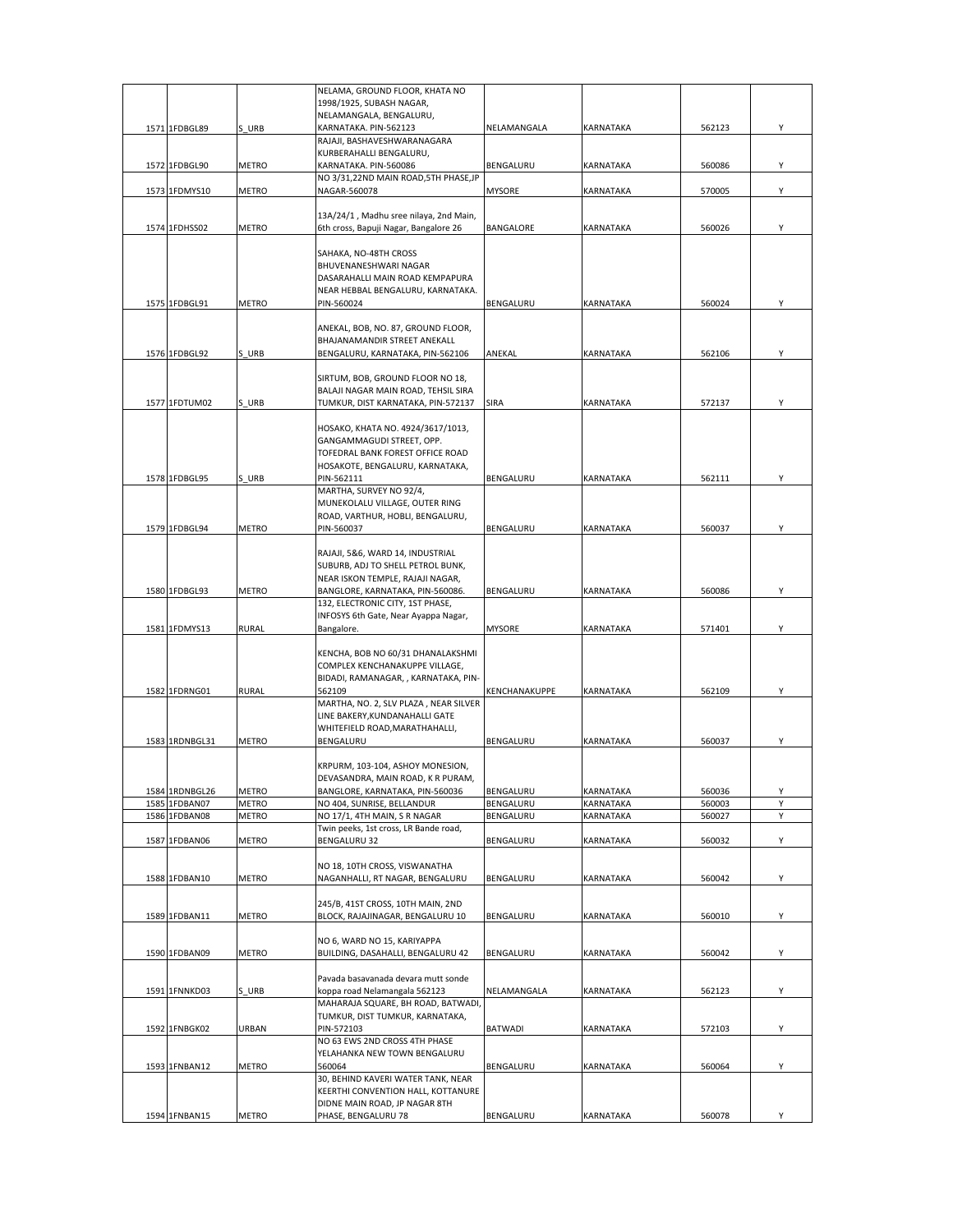|      |                |              | NELAMA, GROUND FLOOR, KHATA NO                       |                |           |        |   |
|------|----------------|--------------|------------------------------------------------------|----------------|-----------|--------|---|
|      |                |              | 1998/1925, SUBASH NAGAR,                             |                |           |        |   |
|      |                |              | NELAMANGALA, BENGALURU,                              |                |           |        |   |
|      |                |              |                                                      |                |           |        |   |
|      | 1571 1FDBGL89  | S URB        | KARNATAKA. PIN-562123                                | NELAMANGALA    | KARNATAKA | 562123 | Υ |
|      |                |              | RAJAJI, BASHAVESHWARANAGARA                          |                |           |        |   |
|      |                |              | KURBERAHALLI BENGALURU,                              |                |           |        |   |
|      | 1572 1FDBGL90  | METRO        | KARNATAKA. PIN-560086                                | BENGALURU      | KARNATAKA | 560086 | Υ |
|      |                |              |                                                      |                |           |        |   |
|      |                |              | NO 3/31,22ND MAIN ROAD, 5TH PHASE, JP                |                |           |        |   |
|      | 1573 1FDMYS10  | <b>METRO</b> | NAGAR-560078                                         | <b>MYSORE</b>  | KARNATAKA | 570005 | Y |
|      |                |              |                                                      |                |           |        |   |
|      |                |              |                                                      |                |           |        |   |
|      |                |              | 13A/24/1, Madhu sree nilaya, 2nd Main,               |                |           |        |   |
|      | 1574 1FDHSS02  | <b>METRO</b> | 6th cross, Bapuji Nagar, Bangalore 26                | BANGALORE      | KARNATAKA | 560026 | Υ |
|      |                |              |                                                      |                |           |        |   |
|      |                |              | SAHAKA, NO-48TH CROSS                                |                |           |        |   |
|      |                |              |                                                      |                |           |        |   |
|      |                |              | BHUVENANESHWARI NAGAR                                |                |           |        |   |
|      |                |              | DASARAHALLI MAIN ROAD KEMPAPURA                      |                |           |        |   |
|      |                |              | NEAR HEBBAL BENGALURU, KARNATAKA.                    |                |           |        |   |
|      | 1575 1FDBGL91  |              |                                                      | BENGALURU      |           |        |   |
|      |                | <b>METRO</b> | PIN-560024                                           |                | KARNATAKA | 560024 | Υ |
|      |                |              |                                                      |                |           |        |   |
|      |                |              | ANEKAL, BOB, NO. 87, GROUND FLOOR,                   |                |           |        |   |
|      |                |              | BHAJANAMANDIR STREET ANEKALL                         |                |           |        |   |
|      |                |              |                                                      |                |           |        |   |
|      | 1576 1FDBGL92  | S URB        | BENGALURU, KARNATAKA, PIN-562106                     | ANEKAL         | KARNATAKA | 562106 | Y |
|      |                |              |                                                      |                |           |        |   |
|      |                |              | SIRTUM, BOB, GROUND FLOOR NO 18,                     |                |           |        |   |
|      |                |              |                                                      |                |           |        |   |
|      |                |              | BALAJI NAGAR MAIN ROAD, TEHSIL SIRA                  |                |           |        |   |
|      | 1577 1FDTUM02  | S URB        | TUMKUR, DIST KARNATAKA, PIN-572137                   | SIRA           | KARNATAKA | 572137 | Y |
|      |                |              |                                                      |                |           |        |   |
|      |                |              |                                                      |                |           |        |   |
|      |                |              | HOSAKO, KHATA NO. 4924/3617/1013,                    |                |           |        |   |
|      |                |              | GANGAMMAGUDI STREET, OPP.                            |                |           |        |   |
|      |                |              | TOFEDRAL BANK FOREST OFFICE ROAD                     |                |           |        |   |
|      |                |              | HOSAKOTE, BENGALURU, KARNATAKA,                      |                |           |        |   |
|      |                |              |                                                      |                |           |        |   |
|      | 1578 1FDBGL95  | S URB        | PIN-562111                                           | BENGALURU      | KARNATAKA | 562111 | Υ |
|      |                |              | MARTHA, SURVEY NO 92/4,                              |                |           |        |   |
|      |                |              | MUNEKOLALU VILLAGE, OUTER RING                       |                |           |        |   |
|      |                |              |                                                      |                |           |        |   |
|      |                |              | ROAD, VARTHUR, HOBLI, BENGALURU,                     |                |           |        |   |
|      | 1579 1FDBGL94  | METRO        | PIN-560037                                           | BENGALURU      | KARNATAKA | 560037 | Υ |
|      |                |              |                                                      |                |           |        |   |
|      |                |              |                                                      |                |           |        |   |
|      |                |              | RAJAJI, 5&6, WARD 14, INDUSTRIAL                     |                |           |        |   |
|      |                |              | SUBURB, ADJ TO SHELL PETROL BUNK,                    |                |           |        |   |
|      |                |              | NEAR ISKON TEMPLE, RAJAJI NAGAR,                     |                |           |        |   |
|      | 1580 1FDBGL93  | <b>METRO</b> | BANGLORE, KARNATAKA, PIN-560086.                     | BENGALURU      | KARNATAKA | 560086 | Y |
|      |                |              |                                                      |                |           |        |   |
|      |                |              | 132, ELECTRONIC CITY, 1ST PHASE,                     |                |           |        |   |
|      |                |              |                                                      |                |           |        |   |
|      |                |              | INFOSYS 6th Gate, Near Ayappa Nagar,                 |                |           |        |   |
|      |                |              |                                                      |                |           |        |   |
|      | 1581 1FDMYS13  | <b>RURAL</b> | Bangalore.                                           | <b>MYSORE</b>  | KARNATAKA | 571401 | Υ |
|      |                |              |                                                      |                |           |        |   |
|      |                |              | KENCHA, BOB NO 60/31 DHANALAKSHMI                    |                |           |        |   |
|      |                |              |                                                      |                |           |        |   |
|      |                |              | COMPLEX KENCHANAKUPPE VILLAGE,                       |                |           |        |   |
|      |                |              | BIDADI, RAMANAGAR, , KARNATAKA, PIN-                 |                |           |        |   |
|      | 1582 1FDRNG01  | <b>RURAL</b> | 562109                                               | KENCHANAKUPPE  | KARNATAKA | 562109 | Υ |
|      |                |              |                                                      |                |           |        |   |
|      |                |              | MARTHA, NO. 2, SLV PLAZA, NEAR SILVER                |                |           |        |   |
|      |                |              | LINE BAKERY, KUNDANAHALLI GATE                       |                |           |        |   |
|      |                |              | WHITEFIELD ROAD, MARATHAHALLI,                       |                |           |        |   |
|      | 1583 1RDNBGL31 | <b>METRO</b> | BENGALURU                                            | BENGALURU      | KARNATAKA | 560037 | Y |
|      |                |              |                                                      |                |           |        |   |
|      |                |              |                                                      |                |           |        |   |
|      |                |              | KRPURM, 103-104, ASHOY MONESION,                     |                |           |        |   |
|      |                |              | DEVASANDRA, MAIN ROAD, K R PURAM                     |                |           |        |   |
|      |                |              |                                                      |                |           |        | Υ |
|      | 1584 1RDNBGL26 | <b>METRO</b> | BANGLORE, KARNATAKA, PIN-560036                      | BENGALURU      | KARNATAKA | 560036 |   |
| 1585 | 1FDBAN07       | <b>METRO</b> | NO 404, SUNRISE, BELLANDUR                           | BENGALURU      | KARNATAKA | 560003 | Y |
|      | 1586 1FDBAN08  | <b>METRO</b> | NO 17/1, 4TH MAIN, S R NAGAR                         | BENGALURU      | KARNATAKA | 560027 | Y |
|      |                |              | Twin peeks, 1st cross, LR Bande road,                |                |           |        |   |
|      |                |              |                                                      |                |           |        |   |
|      | 1587 1FDBAN06  | <b>METRO</b> | BENGALURU 32                                         | BENGALURU      | KARNATAKA | 560032 | Υ |
|      |                |              |                                                      |                |           |        |   |
|      |                |              | NO 18, 10TH CROSS, VISWANATHA                        |                |           |        |   |
|      | 1588 1FDBAN10  | METRO        | NAGANHALLI, RT NAGAR, BENGALURU                      | BENGALURU      | KARNATAKA | 560042 | Υ |
|      |                |              |                                                      |                |           |        |   |
|      |                |              |                                                      |                |           |        |   |
|      |                |              | 245/B, 41ST CROSS, 10TH MAIN, 2ND                    |                |           |        |   |
|      | 1589 1FDBAN11  | METRO        | BLOCK, RAJAJINAGAR, BENGALURU 10                     | BENGALURU      | KARNATAKA | 560010 | Υ |
|      |                |              |                                                      |                |           |        |   |
|      |                |              |                                                      |                |           |        |   |
|      |                |              | NO 6, WARD NO 15, KARIYAPPA                          |                |           |        |   |
|      | 1590 1FDBAN09  | METRO        | BUILDING, DASAHALLI, BENGALURU 42                    | BENGALURU      | KARNATAKA | 560042 | Υ |
|      |                |              |                                                      |                |           |        |   |
|      |                |              |                                                      |                |           |        |   |
|      |                |              | Pavada basavanada devara mutt sonde                  |                |           |        |   |
|      | 1591 1FNNKD03  | S URB        | koppa road Nelamangala 562123                        | NELAMANGALA    | KARNATAKA | 562123 | Υ |
|      |                |              |                                                      |                |           |        |   |
|      |                |              | MAHARAJA SQUARE, BH ROAD, BATWADI                    |                |           |        |   |
|      |                |              | TUMKUR, DIST TUMKUR, KARNATAKA,                      |                |           |        |   |
|      | 1592 1FNBGK02  | URBAN        | PIN-572103                                           | <b>BATWADI</b> | KARNATAKA | 572103 | Y |
|      |                |              | NO 63 EWS 2ND CROSS 4TH PHASE                        |                |           |        |   |
|      |                |              |                                                      |                |           |        |   |
|      |                |              | YELAHANKA NEW TOWN BENGALURU                         |                |           |        |   |
|      | 1593 1FNBAN12  | METRO        | 560064                                               | BENGALURU      | KARNATAKA | 560064 | Υ |
|      |                |              | 30, BEHIND KAVERI WATER TANK, NEAR                   |                |           |        |   |
|      |                |              |                                                      |                |           |        |   |
|      |                |              | KEERTHI CONVENTION HALL, KOTTANURE                   |                |           |        |   |
|      | 1594 1FNBAN15  | METRO        | DIDNE MAIN ROAD, JP NAGAR 8TH<br>PHASE, BENGALURU 78 | BENGALURU      | KARNATAKA | 560078 | Υ |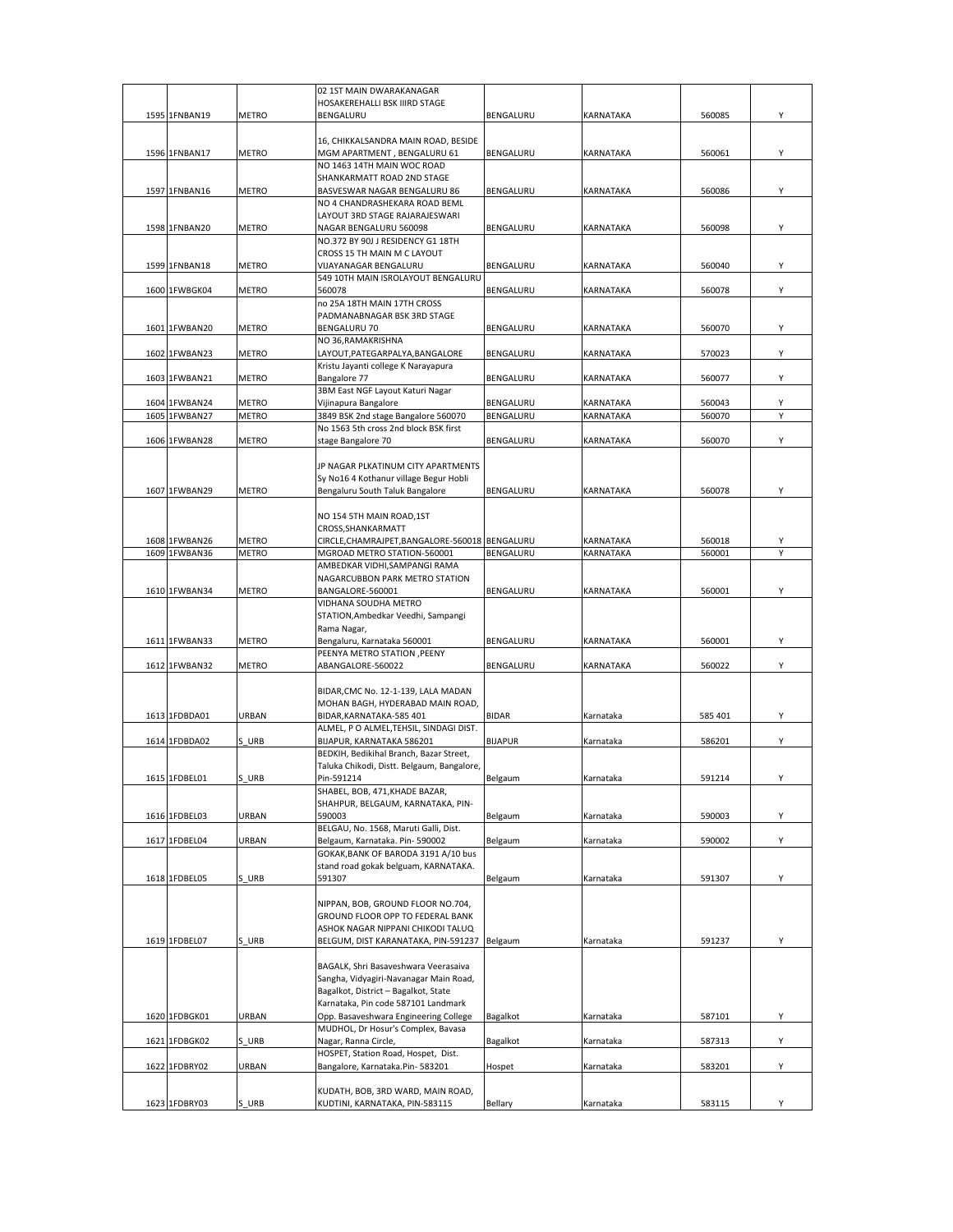|                                |                       | 02 1ST MAIN DWARAKANAGAR                                                      |                |                        |                  |        |
|--------------------------------|-----------------------|-------------------------------------------------------------------------------|----------------|------------------------|------------------|--------|
|                                |                       | HOSAKEREHALLI BSK IIIRD STAGE                                                 |                |                        |                  |        |
| 1595 1FNBAN19                  | METRO                 | BENGALURU                                                                     | BENGALURU      | <b>KARNATAKA</b>       | 560085           | Υ      |
|                                |                       |                                                                               |                |                        |                  |        |
| 1596 1FNBAN17                  |                       | 16, CHIKKALSANDRA MAIN ROAD, BESIDE                                           |                |                        | 560061           |        |
|                                | <b>METRO</b>          | MGM APARTMENT, BENGALURU 61<br>NO 1463 14TH MAIN WOC ROAD                     | BENGALURU      | <b>KARNATAKA</b>       |                  | Υ      |
|                                |                       | SHANKARMATT ROAD 2ND STAGE                                                    |                |                        |                  |        |
| 1597 1FNBAN16                  | METRO                 | BASVESWAR NAGAR BENGALURU 86                                                  | BENGALURU      | <b>KARNATAKA</b>       | 560086           | Υ      |
|                                |                       | NO 4 CHANDRASHEKARA ROAD BEML                                                 |                |                        |                  |        |
|                                |                       | LAYOUT 3RD STAGE RAJARAJESWARI                                                |                |                        |                  |        |
| 1598 1FNBAN20                  | METRO                 | NAGAR BENGALURU 560098                                                        | BENGALURU      | <b>KARNATAKA</b>       | 560098           | Υ      |
|                                |                       | NO.372 BY 90J J RESIDENCY G1 18TH                                             |                |                        |                  |        |
|                                |                       | CROSS 15 TH MAIN M C LAYOUT                                                   |                |                        |                  |        |
| 1599 1FNBAN18                  | <b>METRO</b>          | VIJAYANAGAR BENGALURU                                                         | BENGALURU      | <b>KARNATAKA</b>       | 560040           | Υ      |
|                                |                       | 549 10TH MAIN ISROLAYOUT BENGALURU                                            |                |                        |                  |        |
| 1600 1FWBGK04                  | <b>METRO</b>          | 560078                                                                        | BENGALURU      | <b>KARNATAKA</b>       | 560078           | Υ      |
|                                |                       | no 25A 18TH MAIN 17TH CROSS                                                   |                |                        |                  |        |
|                                |                       | PADMANABNAGAR BSK 3RD STAGE                                                   |                |                        |                  |        |
| 1601 1FWBAN20                  | METRO                 | <b>BENGALURU 70</b>                                                           | BENGALURU      | <b>KARNATAKA</b>       | 560070           | Υ      |
|                                |                       | NO 36, RAMAKRISHNA                                                            |                |                        |                  |        |
| 1602 1FWBAN23                  | METRO                 | LAYOUT, PATEGARPALYA, BANGALORE                                               | BENGALURU      | KARNATAKA              | 570023           | Υ      |
|                                |                       | Kristu Jayanti college K Narayapura                                           |                |                        |                  |        |
| 1603 1FWBAN21                  | METRO                 | Bangalore 77                                                                  | BENGALURU      | KARNATAKA              | 560077           | Υ      |
|                                |                       | 3BM East NGF Layout Katuri Nagar                                              |                |                        |                  |        |
| 1604 1FWBAN24                  | METRO                 | Vijinapura Bangalore                                                          | BENGALURU      | KARNATAKA              | 560043           | Υ      |
| 1605 1FWBAN27                  | <b>METRO</b>          | 3849 BSK 2nd stage Bangalore 560070                                           | BENGALURU      | KARNATAKA              | 560070           | Υ      |
|                                |                       | No 1563 5th cross 2nd block BSK first                                         |                |                        |                  |        |
| 1606 1FWBAN28                  | <b>METRO</b>          | stage Bangalore 70                                                            | BENGALURU      | KARNATAKA              | 560070           | Υ      |
|                                |                       |                                                                               |                |                        |                  |        |
|                                |                       | JP NAGAR PLKATINUM CITY APARTMENTS                                            |                |                        |                  |        |
|                                |                       | Sy No16 4 Kothanur village Begur Hobli                                        |                |                        |                  |        |
| 1607 1FWBAN29                  | METRO                 | Bengaluru South Taluk Bangalore                                               | BENGALURU      | KARNATAKA              | 560078           | Υ      |
|                                |                       |                                                                               |                |                        |                  |        |
|                                |                       | NO 154 5TH MAIN ROAD, 1ST                                                     |                |                        |                  |        |
|                                |                       | CROSS, SHANKARMATT                                                            |                |                        |                  |        |
| 1608 1FWBAN26<br>1609 1FWBAN36 | METRO<br><b>METRO</b> | CIRCLE, CHAMRAJPET, BANGALORE-560018 BENGALURU<br>MGROAD METRO STATION-560001 | BENGALURU      | KARNATAKA<br>KARNATAKA | 560018<br>560001 | Υ<br>Υ |
|                                |                       | AMBEDKAR VIDHI, SAMPANGI RAMA                                                 |                |                        |                  |        |
|                                |                       | NAGARCUBBON PARK METRO STATION                                                |                |                        |                  |        |
| 1610 1FWBAN34                  | <b>METRO</b>          | BANGALORE-560001                                                              | BENGALURU      | KARNATAKA              | 560001           | Υ      |
|                                |                       | VIDHANA SOUDHA METRO                                                          |                |                        |                  |        |
|                                |                       | STATION, Ambedkar Veedhi, Sampangi                                            |                |                        |                  |        |
|                                |                       | Rama Nagar,                                                                   |                |                        |                  |        |
| 1611 1FWBAN33                  | METRO                 | Bengaluru, Karnataka 560001                                                   | BENGALURU      | KARNATAKA              | 560001           | Υ      |
|                                |                       | PEENYA METRO STATION , PEENY                                                  |                |                        |                  |        |
| 1612 1FWBAN32                  | <b>METRO</b>          | ABANGALORE-560022                                                             | BENGALURU      | KARNATAKA              | 560022           | Υ      |
|                                |                       |                                                                               |                |                        |                  |        |
|                                |                       | BIDAR, CMC No. 12-1-139, LALA MADAN                                           |                |                        |                  |        |
|                                |                       | MOHAN BAGH, HYDERABAD MAIN ROAD,                                              |                |                        |                  |        |
| 1613 1FDBDA01                  | <b>URBAN</b>          | BIDAR, KARNATAKA-585 401                                                      | <b>BIDAR</b>   | Karnataka              | 585 401          | Υ      |
|                                |                       | ALMEL, P O ALMEL, TEHSIL, SINDAGI DIST.                                       |                |                        |                  |        |
| 1614 1FDBDA02                  | S URB                 | BIJAPUR, KARNATAKA 586201                                                     | <b>BIJAPUR</b> | Karnataka              | 586201           | Υ      |
|                                |                       | BEDKIH, Bedikihal Branch, Bazar Street,                                       |                |                        |                  |        |
|                                |                       | Taluka Chikodi, Distt. Belgaum, Bangalore,                                    |                |                        |                  |        |
| 1615 1FDBFL01                  | S URB                 | Pin-591214                                                                    | Belgaum        | Karnataka              | 591214           | Y      |
|                                |                       | SHABEL, BOB, 471, KHADE BAZAR,                                                |                |                        |                  |        |
|                                |                       | SHAHPUR, BELGAUM, KARNATAKA, PIN-                                             |                |                        |                  |        |
| 1616 1FDBEL03                  | URBAN                 | 590003                                                                        | Belgaum        | Karnataka              | 590003           | Υ      |
|                                |                       | BELGAU, No. 1568, Maruti Galli, Dist.                                         |                |                        |                  |        |
| 1617 1FDBEL04                  | URBAN                 | Belgaum, Karnataka. Pin-590002                                                | Belgaum        | Karnataka              | 590002           | Y      |
|                                |                       | GOKAK, BANK OF BARODA 3191 A/10 bus                                           |                |                        |                  |        |
|                                |                       | stand road gokak belguam, KARNATAKA.                                          |                |                        |                  |        |
| 1618 1FDBEL05                  | S URB                 | 591307                                                                        | Belgaum        | Karnataka              | 591307           | Υ      |
|                                |                       | NIPPAN, BOB, GROUND FLOOR NO.704,                                             |                |                        |                  |        |
|                                |                       | GROUND FLOOR OPP TO FEDERAL BANK                                              |                |                        |                  |        |
|                                |                       | ASHOK NAGAR NIPPANI CHIKODI TALUQ                                             |                |                        |                  |        |
| 1619 1FDBEL07                  | S URB                 | BELGUM, DIST KARANATAKA, PIN-591237                                           | Belgaum        | Karnataka              | 591237           | Y      |
|                                |                       |                                                                               |                |                        |                  |        |
|                                |                       | BAGALK, Shri Basaveshwara Veerasaiva                                          |                |                        |                  |        |
|                                |                       | Sangha, Vidyagiri-Navanagar Main Road,                                        |                |                        |                  |        |
|                                |                       | Bagalkot, District - Bagalkot, State                                          |                |                        |                  |        |
|                                |                       | Karnataka, Pin code 587101 Landmark                                           |                |                        |                  |        |
| 1620 1FDBGK01                  | URBAN                 | Opp. Basaveshwara Engineering College                                         | Bagalkot       | Karnataka              | 587101           | Υ      |
|                                |                       | MUDHOL, Dr Hosur's Complex, Bavasa                                            |                |                        |                  |        |
| 1621 1FDBGK02                  | S URB                 | Nagar, Ranna Circle,                                                          | Bagalkot       | Karnataka              | 587313           | Υ      |
|                                |                       | HOSPET, Station Road, Hospet, Dist.                                           |                |                        |                  |        |
| 1622 1FDBRY02                  | URBAN                 | Bangalore, Karnataka.Pin-583201                                               | Hospet         | Karnataka              | 583201           | Υ      |
|                                |                       |                                                                               |                |                        |                  |        |
|                                |                       | KUDATH, BOB, 3RD WARD, MAIN ROAD,                                             |                |                        |                  |        |
| 1623 1FDBRY03                  | S_URB                 | KUDTINI, KARNATAKA, PIN-583115                                                | Bellary        | Karnataka              | 583115           | Υ      |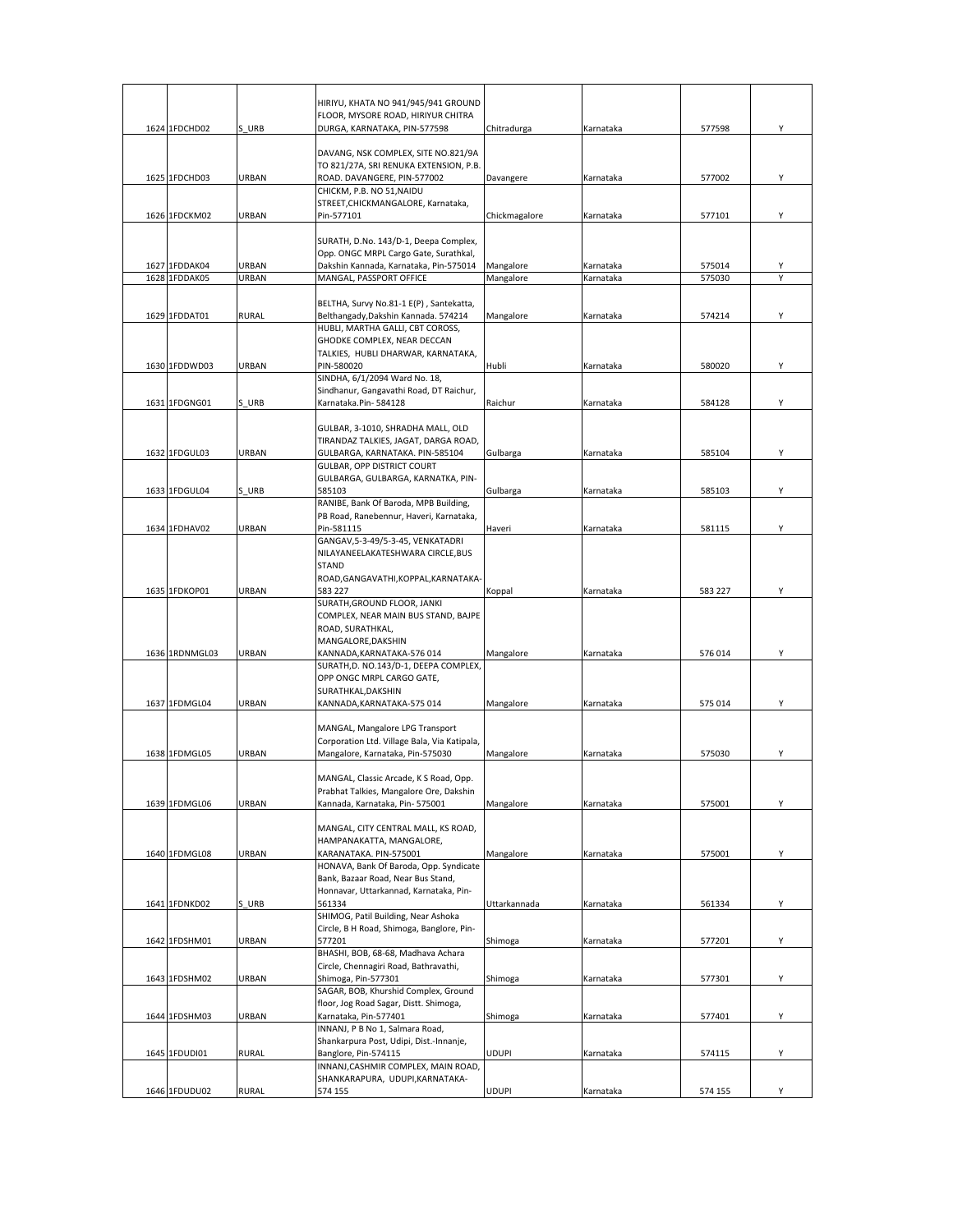|                                |                       | HIRIYU, KHATA NO 941/945/941 GROUND                                        |               |                        |                  |   |
|--------------------------------|-----------------------|----------------------------------------------------------------------------|---------------|------------------------|------------------|---|
|                                |                       | FLOOR, MYSORE ROAD, HIRIYUR CHITRA                                         |               |                        |                  |   |
| 1624 1FDCHD02                  | S URB                 | DURGA, KARNATAKA, PIN-577598                                               | Chitradurga   | Karnataka              | 577598           | Υ |
|                                |                       |                                                                            |               |                        |                  |   |
|                                |                       | DAVANG, NSK COMPLEX, SITE NO.821/9A                                        |               |                        |                  |   |
|                                |                       | TO 821/27A, SRI RENUKA EXTENSION, P.B.                                     |               |                        | 577002           | Υ |
| 1625 1FDCHD03                  | URBAN                 | ROAD. DAVANGERE, PIN-577002<br>CHICKM, P.B. NO 51, NAIDU                   | Davangere     | Karnataka              |                  |   |
|                                |                       | STREET, CHICKMANGALORE, Karnataka,                                         |               |                        |                  |   |
| 1626 1FDCKM02                  | URBAN                 | Pin-577101                                                                 | Chickmagalore | Karnataka              | 577101           | Y |
|                                |                       |                                                                            |               |                        |                  |   |
|                                |                       | SURATH, D.No. 143/D-1, Deepa Complex,                                      |               |                        |                  |   |
|                                |                       | Opp. ONGC MRPL Cargo Gate, Surathkal,                                      |               |                        |                  |   |
| 1627 1FDDAK04<br>1628 1FDDAK05 | <b>URBAN</b><br>URBAN | Dakshin Kannada, Karnataka, Pin-575014<br>MANGAL, PASSPORT OFFICE          | Mangalore     | Karnataka<br>Karnataka | 575014<br>575030 | Υ |
|                                |                       |                                                                            | Mangalore     |                        |                  |   |
|                                |                       | BELTHA, Survy No.81-1 E(P), Santekatta,                                    |               |                        |                  |   |
| 1629 1FDDAT01                  | <b>RURAL</b>          | Belthangady, Dakshin Kannada. 574214                                       | Mangalore     | Karnataka              | 574214           | Y |
|                                |                       | HUBLI, MARTHA GALLI, CBT COROSS,                                           |               |                        |                  |   |
|                                |                       | GHODKE COMPLEX, NEAR DECCAN                                                |               |                        |                  |   |
|                                |                       | TALKIES, HUBLI DHARWAR, KARNATAKA,                                         |               |                        |                  |   |
| 1630 1FDDWD03                  | URBAN                 | PIN-580020<br>SINDHA, 6/1/2094 Ward No. 18,                                | Hubli         | Karnataka              | 580020           | Υ |
|                                |                       | Sindhanur, Gangavathi Road, DT Raichur,                                    |               |                        |                  |   |
| 1631 1FDGNG01                  | S URB                 | Karnataka.Pin-584128                                                       | Raichur       | Karnataka              | 584128           | Υ |
|                                |                       |                                                                            |               |                        |                  |   |
|                                |                       | GULBAR, 3-1010, SHRADHA MALL, OLD                                          |               |                        |                  |   |
|                                |                       | TIRANDAZ TALKIES, JAGAT, DARGA ROAD,                                       |               |                        |                  |   |
| 1632 1FDGUL03                  | URBAN                 | GULBARGA, KARNATAKA. PIN-585104                                            | Gulbarga      | Karnataka              | 585104           | Υ |
|                                |                       | GULBAR, OPP DISTRICT COURT<br>GULBARGA, GULBARGA, KARNATKA, PIN-           |               |                        |                  |   |
| 1633 1FDGUL04                  | S URB                 | 585103                                                                     | Gulbarga      | Karnataka              | 585103           | Υ |
|                                |                       | RANIBE, Bank Of Baroda, MPB Building,                                      |               |                        |                  |   |
|                                |                       | PB Road, Ranebennur, Haveri, Karnataka,                                    |               |                        |                  |   |
| 1634 1FDHAV02                  | URBAN                 | Pin-581115                                                                 | Haveri        | Karnataka              | 581115           | Υ |
|                                |                       | GANGAV, 5-3-49/5-3-45, VENKATADRI                                          |               |                        |                  |   |
|                                |                       | NILAYANEELAKATESHWARA CIRCLE, BUS<br>STAND                                 |               |                        |                  |   |
|                                |                       | ROAD, GANGAVATHI, KOPPAL, KARNATAKA-                                       |               |                        |                  |   |
| 1635 1FDKOP01                  | URBAN                 | 583 227                                                                    | Koppal        | Karnataka              | 583 227          | Y |
|                                |                       | SURATH, GROUND FLOOR, JANKI                                                |               |                        |                  |   |
|                                |                       | COMPLEX, NEAR MAIN BUS STAND, BAJPE                                        |               |                        |                  |   |
|                                |                       | ROAD, SURATHKAL,                                                           |               |                        |                  |   |
| 1636 1RDNMGL03                 | URBAN                 | MANGALORE, DAKSHIN                                                         |               |                        | 576 014          | Υ |
|                                |                       | KANNADA, KARNATAKA-576 014<br>SURATH, D. NO.143/D-1, DEEPA COMPLEX,        | Mangalore     | Karnataka              |                  |   |
|                                |                       | OPP ONGC MRPL CARGO GATE,                                                  |               |                        |                  |   |
|                                |                       | SURATHKAL, DAKSHIN                                                         |               |                        |                  |   |
| 1637 1FDMGL04                  | URBAN                 | KANNADA, KARNATAKA-575 014                                                 | Mangalore     | Karnataka              | 575 014          | Y |
|                                |                       |                                                                            |               |                        |                  |   |
|                                |                       | MANGAL, Mangalore LPG Transport                                            |               |                        |                  |   |
| 1638 1FDMGL05                  | URBAN                 | Corporation Ltd. Village Bala, Via Katipala,                               |               |                        |                  | Υ |
|                                |                       | Mangalore, Karnataka, Pin-575030                                           | Mangalore     | Karnataka              | 575030           |   |
|                                |                       | MANGAL, Classic Arcade, K S Road, Opp.                                     |               |                        |                  |   |
|                                |                       | Prabhat Talkies, Mangalore Ore, Dakshin                                    |               |                        |                  |   |
| 1639 1FDMGL06                  | URBAN                 | Kannada, Karnataka, Pin-575001                                             | Mangalore     | Karnataka              | 575001           | Y |
|                                |                       |                                                                            |               |                        |                  |   |
|                                |                       | MANGAL, CITY CENTRAL MALL, KS ROAD,<br>HAMPANAKATTA, MANGALORE,            |               |                        |                  |   |
| 1640 1FDMGL08                  | URBAN                 | KARANATAKA. PIN-575001                                                     | Mangalore     | Karnataka              | 575001           | Y |
|                                |                       | HONAVA, Bank Of Baroda, Opp. Syndicate                                     |               |                        |                  |   |
|                                |                       | Bank, Bazaar Road, Near Bus Stand,                                         |               |                        |                  |   |
|                                |                       | Honnavar, Uttarkannad, Karnataka, Pin-                                     |               |                        |                  |   |
| 1641 1FDNKD02                  | S URB                 | 561334                                                                     | Uttarkannada  | Karnataka              | 561334           | Y |
|                                |                       | SHIMOG, Patil Building, Near Ashoka                                        |               |                        |                  |   |
|                                |                       | Circle, B H Road, Shimoga, Banglore, Pin-                                  |               |                        |                  |   |
| 1642 1FDSHM01                  | URBAN                 | 577201<br>BHASHI, BOB, 68-68, Madhava Achara                               | Shimoga       | Karnataka              | 577201           | Υ |
|                                |                       | Circle, Chennagiri Road, Bathravathi,                                      |               |                        |                  |   |
| 1643 1FDSHM02                  | URBAN                 | Shimoga, Pin-577301                                                        | Shimoga       | Karnataka              | 577301           | Υ |
|                                |                       | SAGAR, BOB, Khurshid Complex, Ground                                       |               |                        |                  |   |
|                                |                       | floor, Jog Road Sagar, Distt. Shimoga,                                     |               |                        |                  |   |
| 1644 1FDSHM03                  | URBAN                 | Karnataka, Pin-577401                                                      | Shimoga       | Karnataka              | 577401           | Υ |
|                                |                       | INNANJ, P B No 1, Salmara Road,<br>Shankarpura Post, Udipi, Dist.-Innanje, |               |                        |                  |   |
| 1645 1FDUDI01                  | <b>RURAL</b>          | Banglore, Pin-574115                                                       | UDUPI         | Karnataka              | 574115           | Y |
|                                |                       | INNANJ, CASHMIR COMPLEX, MAIN ROAD,                                        |               |                        |                  |   |
|                                |                       | SHANKARAPURA, UDUPI, KARNATAKA-                                            |               |                        |                  |   |
| 1646 1FDUDU02                  | <b>RURAL</b>          | 574 155                                                                    | <b>UDUPI</b>  | Karnataka              | 574 155          | Υ |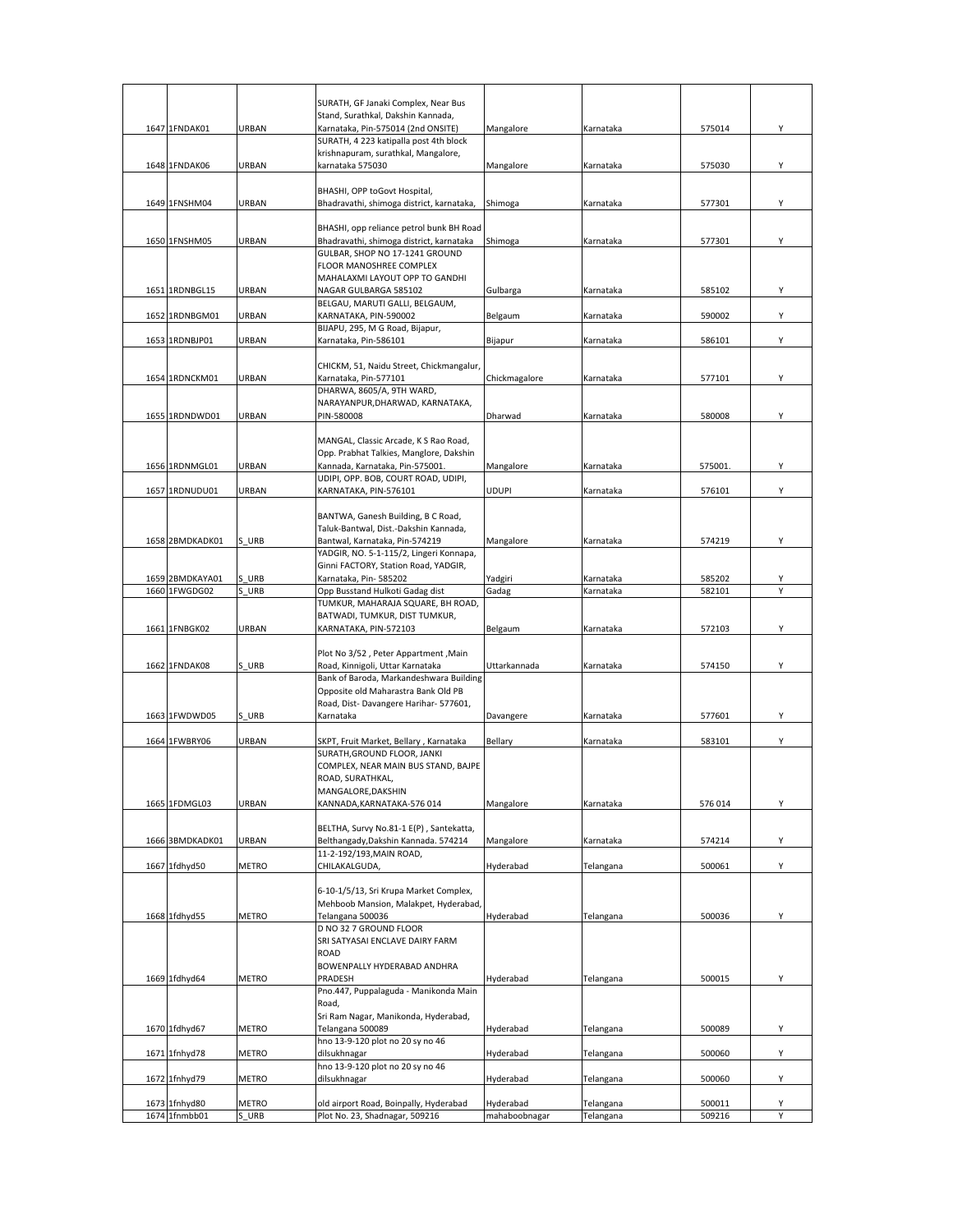|                                |                       | SURATH, GF Janaki Complex, Near Bus                                          |               |           |                  |        |
|--------------------------------|-----------------------|------------------------------------------------------------------------------|---------------|-----------|------------------|--------|
|                                |                       | Stand, Surathkal, Dakshin Kannada,                                           |               |           |                  |        |
| 1647 1FNDAK01                  | URBAN                 | Karnataka, Pin-575014 (2nd ONSITE)                                           | Mangalore     | Karnataka | 575014           | Υ      |
|                                |                       | SURATH, 4 223 katipalla post 4th block                                       |               |           |                  |        |
| 1648 1FNDAK06                  | URBAN                 | krishnapuram, surathkal, Mangalore,<br>karnataka 575030                      | Mangalore     | Karnataka | 575030           | Y      |
|                                |                       |                                                                              |               |           |                  |        |
|                                |                       | BHASHI, OPP toGovt Hospital,                                                 |               |           |                  |        |
| 1649 1FNSHM04                  | URBAN                 | Bhadravathi, shimoga district, karnataka,                                    | Shimoga       | Karnataka | 577301           | Y      |
|                                |                       | BHASHI, opp reliance petrol bunk BH Road                                     |               |           |                  |        |
| 1650 1FNSHM05                  | URBAN                 | Bhadravathi, shimoga district, karnataka                                     | Shimoga       | Karnataka | 577301           | Y      |
|                                |                       | GULBAR, SHOP NO 17-1241 GROUND                                               |               |           |                  |        |
|                                |                       | FLOOR MANOSHREE COMPLEX<br>MAHALAXMI LAYOUT OPP TO GANDHI                    |               |           |                  |        |
| 1651 1RDNBGL15                 | URBAN                 | NAGAR GULBARGA 585102                                                        | Gulbarga      | Karnataka | 585102           | Υ      |
|                                |                       | BELGAU, MARUTI GALLI, BELGAUM,                                               |               |           |                  |        |
| 1652 1RDNBGM01                 | URBAN                 | KARNATAKA, PIN-590002<br>BIJAPU, 295, M G Road, Bijapur,                     | Belgaum       | Karnataka | 590002           | Y      |
| 1653 1RDNBJP01                 | URBAN                 | Karnataka, Pin-586101                                                        | Bijapur       | Karnataka | 586101           | Υ      |
|                                |                       |                                                                              |               |           |                  |        |
| 1654 1RDNCKM01                 | URBAN                 | CHICKM, 51, Naidu Street, Chickmangalur,<br>Karnataka, Pin-577101            | Chickmagalore | Karnataka | 577101           | Υ      |
|                                |                       | DHARWA, 8605/A, 9TH WARD,                                                    |               |           |                  |        |
|                                |                       | NARAYANPUR, DHARWAD, KARNATAKA,                                              |               |           |                  |        |
| 1655 1RDNDWD01                 | URBAN                 | PIN-580008                                                                   | Dharwad       | Karnataka | 580008           | Υ      |
|                                |                       | MANGAL, Classic Arcade, K S Rao Road,                                        |               |           |                  |        |
|                                |                       | Opp. Prabhat Talkies, Manglore, Dakshin                                      |               |           |                  |        |
| 1656 1RDNMGL01                 | URBAN                 | Kannada, Karnataka, Pin-575001.                                              | Mangalore     | Karnataka | 575001.          | Y      |
| 1657 1RDNUDU01                 | URBAN                 | UDIPI, OPP. BOB, COURT ROAD, UDIPI,<br>KARNATAKA, PIN-576101                 | <b>UDUPI</b>  | Karnataka | 576101           | Υ      |
|                                |                       |                                                                              |               |           |                  |        |
|                                |                       | BANTWA, Ganesh Building, B C Road,                                           |               |           |                  |        |
| 1658 2BMDKADK01                | S URB                 | Taluk-Bantwal, Dist.-Dakshin Kannada,<br>Bantwal, Karnataka, Pin-574219      | Mangalore     | Karnataka | 574219           | Υ      |
|                                |                       | YADGIR, NO. 5-1-115/2, Lingeri Konnapa,                                      |               |           |                  |        |
|                                |                       | Ginni FACTORY, Station Road, YADGIR,                                         |               |           |                  |        |
| 1659 2BMDKAYA01                | S URB                 | Karnataka, Pin-585202                                                        | Yadgiri       | Karnataka | 585202           | Υ<br>Υ |
| 1660 1FWGDG02                  | S URB                 | Opp Busstand Hulkoti Gadag dist<br>TUMKUR, MAHARAJA SQUARE, BH ROAD,         | Gadag         | Karnataka | 582101           |        |
|                                |                       | BATWADI, TUMKUR, DIST TUMKUR,                                                |               |           |                  |        |
| 1661 1FNBGK02                  | URBAN                 | KARNATAKA, PIN-572103                                                        | Belgaum       | Karnataka | 572103           | Υ      |
|                                |                       | Plot No 3/52, Peter Appartment, Main                                         |               |           |                  |        |
| 1662 1FNDAK08                  | S URB                 | Road, Kinnigoli, Uttar Karnataka                                             | Uttarkannada  | Karnataka | 574150           | Υ      |
|                                |                       | Bank of Baroda, Markandeshwara Building                                      |               |           |                  |        |
|                                |                       | Opposite old Maharastra Bank Old PB<br>Road, Dist-Davangere Harihar- 577601, |               |           |                  |        |
| 1663 1FWDWD05                  | S URB                 | Karnataka                                                                    | Davangere     | Karnataka | 577601           | Υ      |
|                                |                       |                                                                              |               |           |                  |        |
| 1664 1FWBRY06                  | URBAN                 | SKPT, Fruit Market, Bellary, Karnataka<br>SURATH, GROUND FLOOR, JANKI        | Bellary       | Karnataka | 583101           | Υ      |
|                                |                       | COMPLEX, NEAR MAIN BUS STAND, BAJPE                                          |               |           |                  |        |
|                                |                       | ROAD, SURATHKAL,                                                             |               |           |                  |        |
| 1665 1FDMGL03                  | URBAN                 | MANGALORE, DAKSHIN<br>KANNADA, KARNATAKA-576 014                             | Mangalore     | Karnataka | 576 014          | Y      |
|                                |                       |                                                                              |               |           |                  |        |
|                                |                       | BELTHA, Survy No.81-1 E(P), Santekatta,                                      |               |           |                  |        |
| 1666 3BMDKADK01                | URBAN                 | Belthangady, Dakshin Kannada. 574214                                         | Mangalore     | Karnataka | 574214           | Y      |
| 1667 1fdhyd50                  | <b>METRO</b>          | 11-2-192/193, MAIN ROAD,<br>CHILAKALGUDA,                                    | Hyderabad     | Telangana | 500061           | Υ      |
|                                |                       |                                                                              |               |           |                  |        |
|                                |                       | 6-10-1/5/13, Sri Krupa Market Complex,                                       |               |           |                  |        |
| 1668 1fdhyd55                  | <b>METRO</b>          | Mehboob Mansion, Malakpet, Hyderabad,<br>Telangana 500036                    | Hyderabad     | Telangana | 500036           | Y      |
|                                |                       | D NO 32 7 GROUND FLOOR                                                       |               |           |                  |        |
|                                |                       | SRI SATYASAI ENCLAVE DAIRY FARM                                              |               |           |                  |        |
|                                |                       | ROAD<br>BOWENPALLY HYDERABAD ANDHRA                                          |               |           |                  |        |
| 1669 1fdhyd64                  | <b>METRO</b>          | PRADESH                                                                      | Hyderabad     | Telangana | 500015           | Υ      |
|                                |                       | Pno.447, Puppalaguda - Manikonda Main                                        |               |           |                  |        |
|                                |                       | Road,<br>Sri Ram Nagar, Manikonda, Hyderabad,                                |               |           |                  |        |
| 1670 1fdhyd67                  | METRO                 | Telangana 500089                                                             | Hyderabad     | Telangana | 500089           | Y      |
|                                |                       | hno 13-9-120 plot no 20 sy no 46                                             |               |           |                  |        |
| 1671 1fnhyd78                  | <b>METRO</b>          | dilsukhnagar<br>hno 13-9-120 plot no 20 sy no 46                             | Hyderabad     | Telangana | 500060           | Υ      |
| 1672 1fnhyd79                  | <b>METRO</b>          | dilsukhnagar                                                                 | Hyderabad     | Telangana | 500060           | Υ      |
|                                |                       |                                                                              |               |           |                  |        |
| 1673 1fnhyd80<br>1674 1fnmbb01 | <b>METRO</b><br>S URB | old airport Road, Boinpally, Hyderabad<br>Plot No. 23, Shadnagar, 509216     | Hyderabad     | Telangana | 500011<br>509216 | Υ<br>Y |
|                                |                       |                                                                              | mahaboobnagar | Telangana |                  |        |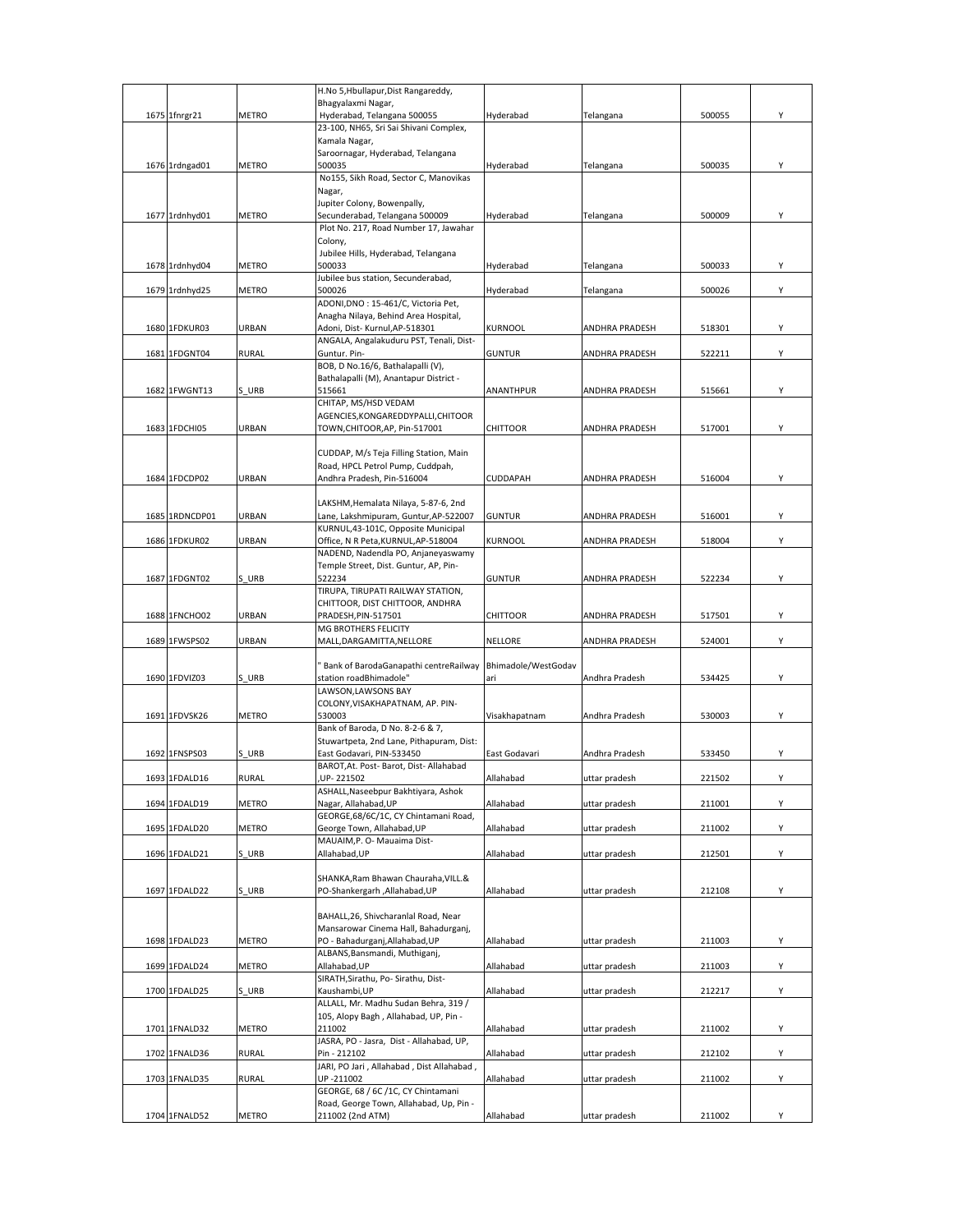|                |              | H.No 5, Hbullapur, Dist Rangareddy,                                       |                     |                       |        |   |
|----------------|--------------|---------------------------------------------------------------------------|---------------------|-----------------------|--------|---|
| 1675 1fnrgr21  | <b>METRO</b> | Bhagyalaxmi Nagar,<br>Hyderabad, Telangana 500055                         | Hyderabad           | Telangana             | 500055 | Υ |
|                |              | 23-100, NH65, Sri Sai Shivani Complex,                                    |                     |                       |        |   |
|                |              | Kamala Nagar,                                                             |                     |                       |        |   |
|                |              | Saroornagar, Hyderabad, Telangana                                         |                     |                       |        |   |
| 1676 1rdngad01 | <b>METRO</b> | 500035<br>No155, Sikh Road, Sector C, Manovikas                           | Hyderabad           | Telangana             | 500035 | Υ |
|                |              | Nagar,                                                                    |                     |                       |        |   |
|                |              | Jupiter Colony, Bowenpally,                                               |                     |                       |        |   |
| 1677 1rdnhyd01 | METRO        | Secunderabad, Telangana 500009                                            | Hyderabad           | Telangana             | 500009 | Y |
|                |              | Plot No. 217, Road Number 17, Jawahar<br>Colony,                          |                     |                       |        |   |
|                |              | Jubilee Hills, Hyderabad, Telangana                                       |                     |                       |        |   |
| 1678 1rdnhyd04 | METRO        | 500033                                                                    | Hyderabad           | Telangana             | 500033 | Υ |
|                |              | Jubilee bus station, Secunderabad,                                        |                     |                       |        |   |
| 1679 1rdnhyd25 | METRO        | 500026<br>ADONI, DNO: 15-461/C, Victoria Pet,                             | Hyderabad           | Telangana             | 500026 | Y |
|                |              | Anagha Nilaya, Behind Area Hospital,                                      |                     |                       |        |   |
| 1680 1FDKUR03  | URBAN        | Adoni, Dist- Kurnul, AP-518301                                            | <b>KURNOOL</b>      | ANDHRA PRADESH        | 518301 | Y |
|                |              | ANGALA, Angalakuduru PST, Tenali, Dist-                                   |                     |                       |        |   |
| 1681 1FDGNT04  | <b>RURAL</b> | Guntur. Pin-<br>BOB, D No.16/6, Bathalapalli (V),                         | <b>GUNTUR</b>       | ANDHRA PRADESH        | 522211 | Υ |
|                |              | Bathalapalli (M), Anantapur District -                                    |                     |                       |        |   |
| 1682 1FWGNT13  | S URB        | 515661                                                                    | ANANTHPUR           | <b>ANDHRA PRADESH</b> | 515661 | Υ |
|                |              | CHITAP, MS/HSD VEDAM                                                      |                     |                       |        |   |
| 1683 1FDCHI05  | URBAN        | AGENCIES, KONGAREDDYPALLI, CHITOOR<br>TOWN, CHITOOR, AP, Pin-517001       | CHITTOOR            | <b>ANDHRA PRADESH</b> | 517001 | Υ |
|                |              |                                                                           |                     |                       |        |   |
|                |              | CUDDAP, M/s Teja Filling Station, Main                                    |                     |                       |        |   |
|                |              | Road, HPCL Petrol Pump, Cuddpah,                                          |                     |                       |        |   |
| 1684 1FDCDP02  | URBAN        | Andhra Pradesh, Pin-516004                                                | <b>CUDDAPAH</b>     | <b>ANDHRA PRADESH</b> | 516004 | Υ |
|                |              | LAKSHM, Hemalata Nilaya, 5-87-6, 2nd                                      |                     |                       |        |   |
| 1685 1RDNCDP01 | URBAN        | Lane, Lakshmipuram, Guntur, AP-522007                                     | <b>GUNTUR</b>       | ANDHRA PRADESH        | 516001 | Υ |
|                |              | KURNUL,43-101C, Opposite Municipal                                        |                     |                       |        |   |
| 1686 1FDKUR02  | URBAN        | Office, N R Peta, KURNUL, AP-518004<br>NADEND, Nadendla PO, Anjaneyaswamy | KURNOOL             | ANDHRA PRADESH        | 518004 | Υ |
|                |              | Temple Street, Dist. Guntur, AP, Pin-                                     |                     |                       |        |   |
| 1687 1FDGNT02  | S URB        | 522234                                                                    | <b>GUNTUR</b>       | ANDHRA PRADESH        | 522234 | Y |
|                |              | TIRUPA, TIRUPATI RAILWAY STATION,                                         |                     |                       |        |   |
| 1688 1FNCHO02  | URBAN        | CHITTOOR, DIST CHITTOOR, ANDHRA<br>PRADESH, PIN-517501                    | <b>CHITTOOR</b>     | ANDHRA PRADESH        | 517501 | Y |
|                |              | MG BROTHERS FELICITY                                                      |                     |                       |        |   |
| 1689 1FWSPS02  | URBAN        | MALL, DARGAMITTA, NELLORE                                                 | NELLORE             | <b>ANDHRA PRADESH</b> | 524001 | Υ |
|                |              | Bank of BarodaGanapathi centreRailway                                     | Bhimadole/WestGodav |                       |        |   |
| 1690 1FDVIZ03  | S URB        | station roadBhimadole"                                                    | ari                 | Andhra Pradesh        | 534425 | Υ |
|                |              | LAWSON, LAWSONS BAY                                                       |                     |                       |        |   |
|                |              | COLONY, VISAKHAPATNAM, AP. PIN-<br>530003                                 |                     |                       |        |   |
| 1691 1FDVSK26  | METRO        | Bank of Baroda, D No. 8-2-6 & 7,                                          | Visakhapatnam       | Andhra Pradesh        | 530003 | Υ |
|                |              | Stuwartpeta, 2nd Lane, Pithapuram, Dist:                                  |                     |                       |        |   |
| 1692 1FNSPS03  | S URB        | East Godavari, PIN-533450                                                 | East Godavari       | Andhra Pradesh        | 533450 | Υ |
|                |              | BAROT, At. Post- Barot, Dist- Allahabad                                   |                     |                       |        |   |
| 1693 1FDALD16  | <b>RURAL</b> | UP-221502<br>ASHALL, Naseebpur Bakhtiyara, Ashok                          | Allahabad           | uttar pradesh         | 221502 | Υ |
| 1694 1FDALD19  | <b>METRO</b> | Nagar, Allahabad, UP                                                      | Allahabad           | uttar pradesh         | 211001 | Y |
|                |              | GEORGE, 68/6C/1C, CY Chintamani Road,                                     |                     |                       |        |   |
| 1695 1FDALD20  | <b>METRO</b> | George Town, Allahabad, UP<br>MAUAIM, P. O- Mauaima Dist-                 | Allahabad           | uttar pradesh         | 211002 | Υ |
| 1696 1FDALD21  | S URB        | Allahabad, UP                                                             | Allahabad           | uttar pradesh         | 212501 | Υ |
|                |              |                                                                           |                     |                       |        |   |
|                |              | SHANKA, Ram Bhawan Chauraha, VILL.&                                       |                     |                       |        |   |
| 1697 1FDALD22  | S URB        | PO-Shankergarh ,Allahabad,UP                                              | Allahabad           | uttar pradesh         | 212108 | Υ |
|                |              | BAHALL, 26, Shivcharanlal Road, Near                                      |                     |                       |        |   |
|                |              | Mansarowar Cinema Hall, Bahadurganj,                                      |                     |                       |        |   |
| 1698 1FDALD23  | METRO        | PO - Bahadurganj, Allahabad, UP                                           | Allahabad           | uttar pradesh         | 211003 | Υ |
|                |              | ALBANS, Bansmandi, Muthiganj,                                             |                     |                       | 211003 |   |
| 1699 1FDALD24  | <b>METRO</b> | Allahabad, UP<br>SIRATH, Sirathu, Po- Sirathu, Dist-                      | Allahabad           | uttar pradesh         |        | Υ |
| 1700 1FDALD25  | S URB        | Kaushambi, UP                                                             | Allahabad           | uttar pradesh         | 212217 | Υ |
|                |              | ALLALL, Mr. Madhu Sudan Behra, 319 /                                      |                     |                       |        |   |
| 1701 1FNALD32  | <b>METRO</b> | 105, Alopy Bagh, Allahabad, UP, Pin -<br>211002                           | Allahabad           |                       |        | Υ |
|                |              | JASRA, PO - Jasra, Dist - Allahabad, UP,                                  |                     | uttar pradesh         | 211002 |   |
| 1702 1FNALD36  | <b>RURAL</b> | Pin - 212102                                                              | Allahabad           | uttar pradesh         | 212102 | Υ |
|                |              | JARI, PO Jari, Allahabad, Dist Allahabad,                                 |                     |                       |        |   |
| 1703 1FNALD35  | <b>RURAL</b> | UP-211002<br>GEORGE, 68 / 6C /1C, CY Chintamani                           | Allahabad           | uttar pradesh         | 211002 | Υ |
|                |              | Road, George Town, Allahabad, Up, Pin -                                   |                     |                       |        |   |
|                | <b>METRO</b> | 211002 (2nd ATM)                                                          | Allahabad           | uttar pradesh         | 211002 | Υ |
| 1704 1FNALD52  |              |                                                                           |                     |                       |        |   |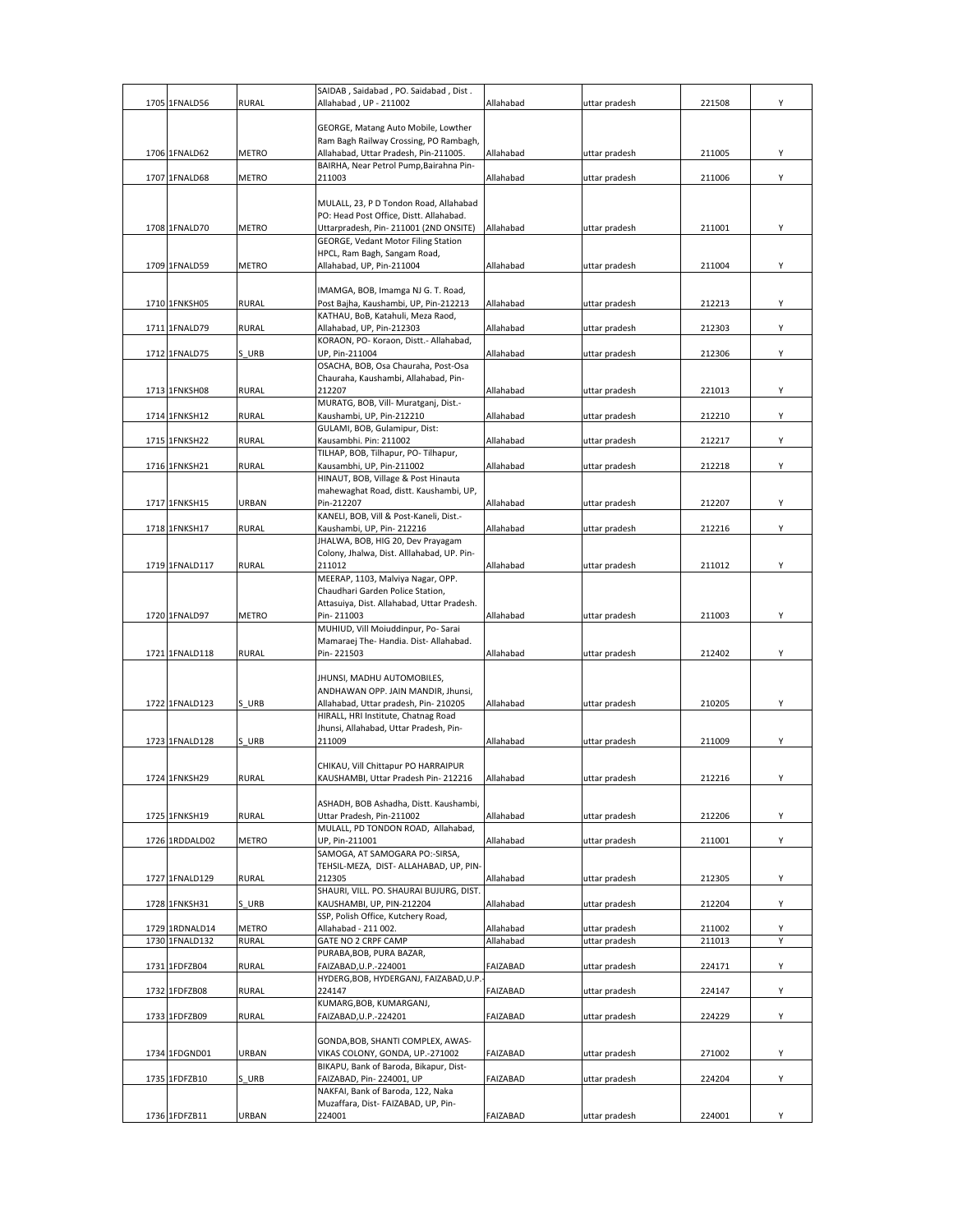| 1705 1FNALD56  | <b>RURAL</b> | SAIDAB, Saidabad, PO. Saidabad, Dist.<br>Allahabad, UP - 211002                 | Allahabad | uttar pradesh | 221508 | Υ |
|----------------|--------------|---------------------------------------------------------------------------------|-----------|---------------|--------|---|
|                |              |                                                                                 |           |               |        |   |
|                |              | GEORGE, Matang Auto Mobile, Lowther                                             |           |               |        |   |
| 1706 1FNALD62  | METRO        | Ram Bagh Railway Crossing, PO Rambagh,<br>Allahabad, Uttar Pradesh, Pin-211005. | Allahabad | uttar pradesh | 211005 | Υ |
|                |              | BAIRHA, Near Petrol Pump, Bairahna Pin-                                         |           |               |        |   |
| 1707 1FNALD68  | <b>METRO</b> | 211003                                                                          | Allahabad | uttar pradesh | 211006 | Υ |
|                |              | MULALL, 23, P D Tondon Road, Allahabad                                          |           |               |        |   |
|                |              | PO: Head Post Office, Distt. Allahabad.                                         |           |               |        |   |
| 1708 1FNALD70  | METRO        | Uttarpradesh, Pin-211001 (2ND ONSITE)                                           | Allahabad | uttar pradesh | 211001 | Υ |
|                |              | GEORGE, Vedant Motor Filing Station<br>HPCL, Ram Bagh, Sangam Road,             |           |               |        |   |
| 1709 1FNALD59  | <b>METRO</b> | Allahabad, UP, Pin-211004                                                       | Allahabad | uttar pradesh | 211004 | Υ |
|                |              |                                                                                 |           |               |        |   |
| 1710 1FNKSH05  | <b>RURAL</b> | IMAMGA, BOB, Imamga NJ G. T. Road,<br>Post Bajha, Kaushambi, UP, Pin-212213     | Allahabad | uttar pradesh | 212213 | Υ |
|                |              | KATHAU, BoB, Katahuli, Meza Raod,                                               |           |               |        |   |
| 1711 1FNALD79  | RURAL        | Allahabad, UP, Pin-212303<br>KORAON, PO- Koraon, Distt.- Allahabad,             | Allahabad | uttar pradesh | 212303 | Υ |
| 1712 1FNALD75  | S URB        | UP, Pin-211004                                                                  | Allahabad | uttar pradesh | 212306 | Υ |
|                |              | OSACHA, BOB, Osa Chauraha, Post-Osa                                             |           |               |        |   |
| 1713 1FNKSH08  | RURAL        | Chauraha, Kaushambi, Allahabad, Pin-<br>212207                                  | Allahabad | uttar pradesh | 221013 | Υ |
|                |              | MURATG, BOB, Vill- Muratganj, Dist.-                                            |           |               |        |   |
| 1714 1FNKSH12  | <b>RURAL</b> | Kaushambi, UP, Pin-212210                                                       | Allahabad | uttar pradesh | 212210 | Υ |
| 1715 1FNKSH22  | RURAL        | GULAMI, BOB, Gulamipur, Dist:<br>Kausambhi. Pin: 211002                         | Allahabad | uttar pradesh | 212217 | Υ |
|                |              | TILHAP, BOB, Tilhapur, PO-Tilhapur,                                             |           |               |        |   |
| 1716 1FNKSH21  | <b>RURAL</b> | Kausambhi, UP, Pin-211002                                                       | Allahabad | uttar pradesh | 212218 | Υ |
|                |              | HINAUT, BOB, Village & Post Hinauta<br>mahewaghat Road, distt. Kaushambi, UP,   |           |               |        |   |
| 1717 1FNKSH15  | URBAN        | Pin-212207                                                                      | Allahabad | uttar pradesh | 212207 | Υ |
|                |              | KANELI, BOB, Vill & Post-Kaneli, Dist.-                                         |           |               |        |   |
| 1718 1FNKSH17  | <b>RURAL</b> | Kaushambi, UP, Pin-212216<br>JHALWA, BOB, HIG 20, Dev Prayagam                  | Allahabad | uttar pradesh | 212216 | Υ |
|                |              | Colony, Jhalwa, Dist. Alllahabad, UP. Pin-                                      |           |               |        |   |
| 1719 1FNALD117 | RURAL        | 211012                                                                          | Allahabad | uttar pradesh | 211012 | Υ |
|                |              | MEERAP, 1103, Malviya Nagar, OPP.<br>Chaudhari Garden Police Station,           |           |               |        |   |
|                |              | Attasuiya, Dist. Allahabad, Uttar Pradesh.                                      |           |               |        |   |
| 1720 1FNALD97  | METRO        | Pin-211003                                                                      | Allahabad | uttar pradesh | 211003 | Υ |
|                |              | MUHIUD, Vill Moiuddinpur, Po- Sarai<br>Mamaraej The-Handia. Dist-Allahabad.     |           |               |        |   |
| 1721 1FNALD118 | <b>RURAL</b> | Pin-221503                                                                      | Allahabad | uttar pradesh | 212402 | Y |
|                |              |                                                                                 |           |               |        |   |
|                |              | JHUNSI, MADHU AUTOMOBILES,<br>ANDHAWAN OPP. JAIN MANDIR, Jhunsi,                |           |               |        |   |
| 1722 1FNALD123 | S URB        | Allahabad, Uttar pradesh, Pin-210205                                            | Allahabad | uttar pradesh | 210205 | Υ |
|                |              | HIRALL, HRI Institute, Chatnag Road                                             |           |               |        |   |
| 1723 1FNALD128 | S URB        | Jhunsi, Allahabad, Uttar Pradesh, Pin-<br>211009                                | Allahabad | uttar pradesh | 211009 | Υ |
|                |              |                                                                                 |           |               |        |   |
| 1724 1FNKSH29  | <b>RURAL</b> | CHIKAU, Vill Chittapur PO HARRAIPUR<br>KAUSHAMBI, Uttar Pradesh Pin-212216      | Allahabad | uttar pradesh | 212216 | Υ |
|                |              |                                                                                 |           |               |        |   |
|                |              | ASHADH, BOB Ashadha, Distt. Kaushambi,                                          |           |               |        |   |
| 1725 1FNKSH19  | <b>RURAL</b> | Uttar Pradesh, Pin-211002<br>MULALL, PD TONDON ROAD, Allahabad,                 | Allahabad | uttar pradesh | 212206 | Υ |
| 1726 1RDDALD02 | METRO        | UP, Pin-211001                                                                  | Allahabad | uttar pradesh | 211001 | Y |
|                |              | SAMOGA, AT SAMOGARA PO:-SIRSA,                                                  |           |               |        |   |
| 1727 1FNALD129 | <b>RURAL</b> | TEHSIL-MEZA, DIST- ALLAHABAD, UP, PIN-<br>212305                                | Allahabad | uttar pradesh | 212305 | Υ |
|                |              | SHAURI, VILL. PO. SHAURAI BUJURG, DIST.                                         |           |               |        |   |
| 1728 1FNKSH31  | S URB        | KAUSHAMBI, UP, PIN-212204                                                       | Allahabad | uttar pradesh | 212204 | Υ |
| 1729 1RDNALD14 | <b>METRO</b> | SSP, Polish Office, Kutchery Road,<br>Allahabad - 211 002.                      | Allahabad | uttar pradesh | 211002 | Υ |
| 1730 1FNALD132 | <b>RURAL</b> | GATE NO 2 CRPF CAMP                                                             | Allahabad | uttar pradesh | 211013 | Y |
|                |              | PURABA, BOB, PURA BAZAR,                                                        |           |               |        |   |
| 1731 1FDFZB04  | <b>RURAL</b> | FAIZABAD.U.P.-224001<br>HYDERG, BOB, HYDERGANJ, FAIZABAD, U.P.                  | FAIZABAD  | uttar pradesh | 224171 | Υ |
| 1732 1FDFZB08  | RURAL        | 224147                                                                          | FAIZABAD  | uttar pradesh | 224147 | Υ |
|                |              | KUMARG, BOB, KUMARGANJ,                                                         |           |               |        |   |
| 1733 1FDFZB09  | <b>RURAL</b> | FAIZABAD, U.P.-224201                                                           | FAIZABAD  | uttar pradesh | 224229 | Υ |
|                |              | GONDA, BOB, SHANTI COMPLEX, AWAS-                                               |           |               |        |   |
| 1734 1FDGND01  | URBAN        | VIKAS COLONY, GONDA, UP.-271002<br>BIKAPU, Bank of Baroda, Bikapur, Dist-       | FAIZABAD  | uttar pradesh | 271002 | Υ |
| 1735 1FDFZB10  | S URB        | FAIZABAD, Pin-224001, UP                                                        | FAIZABAD  | uttar pradesh | 224204 | Υ |
|                |              | NAKFAI, Bank of Baroda, 122, Naka                                               |           |               |        |   |
| 1736 1FDFZB11  | URBAN        | Muzaffara, Dist- FAIZABAD, UP, Pin-<br>224001                                   | FAIZABAD  | uttar pradesh | 224001 | Υ |
|                |              |                                                                                 |           |               |        |   |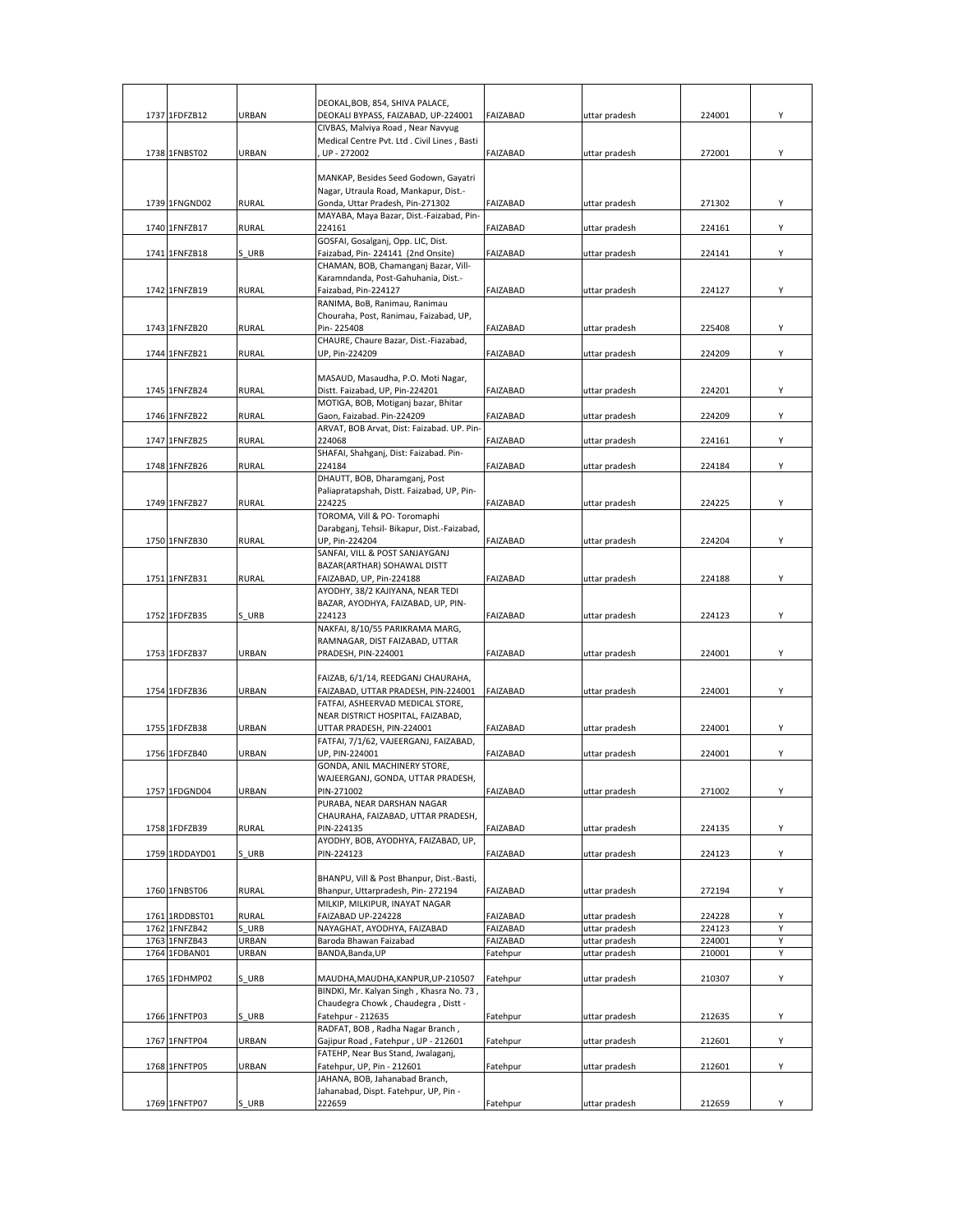| 1737 1FDFZB12  | URBAN        | DEOKAL, BOB, 854, SHIVA PALACE,<br>DEOKALI BYPASS, FAIZABAD, UP-224001         | <b>FAIZABAD</b> | uttar pradesh | 224001 | Υ |
|----------------|--------------|--------------------------------------------------------------------------------|-----------------|---------------|--------|---|
|                |              | CIVBAS, Malviya Road, Near Navyug                                              |                 |               |        |   |
|                |              | Medical Centre Pvt. Ltd . Civil Lines, Basti                                   |                 |               |        |   |
| 1738 1FNBST02  | URBAN        | UP - 272002                                                                    | FAIZABAD        | uttar pradesh | 272001 | Υ |
|                |              | MANKAP, Besides Seed Godown, Gayatri                                           |                 |               |        |   |
|                |              | Nagar, Utraula Road, Mankapur, Dist.-                                          |                 |               |        |   |
| 1739 1FNGND02  | <b>RURAL</b> | Gonda, Uttar Pradesh, Pin-271302                                               | FAIZABAD        | uttar pradesh | 271302 | Y |
|                |              | MAYABA, Maya Bazar, Dist.-Faizabad, Pin-                                       |                 |               |        |   |
| 1740 1FNFZB17  | RURAL        | 224161                                                                         | FAIZABAD        | uttar pradesh | 224161 | Υ |
| 1741 1FNFZB18  | S URB        | GOSFAI, Gosalganj, Opp. LIC, Dist.<br>Faizabad, Pin-224141 (2nd Onsite)        | FAIZABAD        | uttar pradesh | 224141 | Y |
|                |              | CHAMAN, BOB, Chamanganj Bazar, Vill-                                           |                 |               |        |   |
|                |              | Karamndanda, Post-Gahuhania, Dist.-                                            |                 |               |        |   |
| 1742 1FNFZB19  | <b>RURAL</b> | Faizabad, Pin-224127                                                           | FAIZABAD        | uttar pradesh | 224127 | Y |
|                |              | RANIMA, BoB, Ranimau, Ranimau<br>Chouraha, Post, Ranimau, Faizabad, UP,        |                 |               |        |   |
| 1743 1FNFZB20  | <b>RURAL</b> | Pin-225408                                                                     | FAIZABAD        | uttar pradesh | 225408 | Y |
|                |              | CHAURE, Chaure Bazar, Dist.-Fiazabad,                                          |                 |               |        |   |
| 1744 1FNFZB21  | RURAL        | UP, Pin-224209                                                                 | FAIZABAD        | uttar pradesh | 224209 | Y |
|                |              |                                                                                |                 |               |        |   |
| 1745 1FNFZB24  | <b>RURAL</b> | MASAUD, Masaudha, P.O. Moti Nagar,<br>Distt. Faizabad, UP, Pin-224201          | <b>FAIZABAD</b> | uttar pradesh | 224201 | Υ |
|                |              | MOTIGA, BOB, Motiganj bazar, Bhitar                                            |                 |               |        |   |
| 1746 1FNFZB22  | <b>RURAL</b> | Gaon, Faizabad. Pin-224209                                                     | FAIZABAD        | uttar pradesh | 224209 | Υ |
|                |              | ARVAT, BOB Arvat, Dist: Faizabad. UP. Pin-                                     |                 |               |        |   |
| 1747 1FNFZB25  | <b>RURAL</b> | 224068                                                                         | <b>FAIZABAD</b> | uttar pradesh | 224161 | Υ |
| 1748 1FNFZB26  | <b>RURAL</b> | SHAFAI, Shahganj, Dist: Faizabad. Pin-<br>224184                               | FAIZABAD        | uttar pradesh | 224184 | Y |
|                |              | DHAUTT, BOB, Dharamganj, Post                                                  |                 |               |        |   |
|                |              | Paliapratapshah, Distt. Faizabad, UP, Pin-                                     |                 |               |        |   |
| 1749 1FNFZB27  | <b>RURAL</b> | 224225                                                                         | FAIZABAD        | uttar pradesh | 224225 | Y |
|                |              | TOROMA, Vill & PO- Toromaphi                                                   |                 |               |        |   |
| 1750 1FNFZB30  | <b>RURAL</b> | Darabganj, Tehsil- Bikapur, Dist.-Faizabad,<br>UP, Pin-224204                  | FAIZABAD        | uttar pradesh | 224204 | Y |
|                |              | SANFAI, VILL & POST SANJAYGANJ                                                 |                 |               |        |   |
|                |              | BAZAR(ARTHAR) SOHAWAL DISTT                                                    |                 |               |        |   |
| 1751 1FNFZB31  | <b>RURAL</b> | FAIZABAD, UP, Pin-224188                                                       | FAIZABAD        | uttar pradesh | 224188 | Y |
|                |              | AYODHY, 38/2 KAJIYANA, NEAR TEDI<br>BAZAR, AYODHYA, FAIZABAD, UP, PIN-         |                 |               |        |   |
| 1752 1FDFZB35  | S URB        | 224123                                                                         | FAIZABAD        | uttar pradesh | 224123 | Y |
|                |              | NAKFAI, 8/10/55 PARIKRAMA MARG,                                                |                 |               |        |   |
|                |              | RAMNAGAR, DIST FAIZABAD, UTTAR                                                 |                 |               |        |   |
| 1753 1FDFZB37  | URBAN        | PRADESH, PIN-224001                                                            | FAIZABAD        | uttar pradesh | 224001 | Y |
|                |              | FAIZAB, 6/1/14, REEDGANJ CHAURAHA,                                             |                 |               |        |   |
| 1754 1FDFZB36  | URBAN        | FAIZABAD, UTTAR PRADESH, PIN-224001                                            | <b>FAIZABAD</b> | uttar pradesh | 224001 | Y |
|                |              | FATFAI, ASHEERVAD MEDICAL STORE,                                               |                 |               |        |   |
|                |              | NEAR DISTRICT HOSPITAL, FAIZABAD,                                              |                 |               |        |   |
| 1755 1FDFZB38  | URBAN        | UTTAR PRADESH, PIN-224001                                                      | FAIZABAD        | uttar pradesh | 224001 | Y |
| 1756 1FDFZB40  | URBAN        | FATFAI, 7/1/62, VAJEERGANJ, FAIZABAD,<br>UP, PIN-224001                        | <b>FAIZABAD</b> | uttar pradesh | 224001 | Υ |
|                |              | GONDA, ANIL MACHINERY STORE,                                                   |                 |               |        |   |
|                |              | WAJEERGANJ, GONDA, UTTAR PRADESH,                                              |                 |               |        |   |
| 1757 1FDGND04  | URBAN        | PIN-271002                                                                     | FAIZABAD        | uttar pradesh | 271002 | Y |
|                |              | PURABA, NEAR DARSHAN NAGAR<br>CHAURAHA, FAIZABAD, UTTAR PRADESH,               |                 |               |        |   |
| 1758 1FDFZB39  | <b>RURAL</b> | PIN-224135                                                                     | FAIZABAD        | uttar pradesh | 224135 | Υ |
|                |              | AYODHY, BOB, AYODHYA, FAIZABAD, UP,                                            |                 |               |        |   |
| 1759 1RDDAYD01 | S URB        | PIN-224123                                                                     | FAIZABAD        | uttar pradesh | 224123 | Υ |
|                |              |                                                                                |                 |               |        |   |
| 1760 1FNBST06  | <b>RURAL</b> | BHANPU, Vill & Post Bhanpur, Dist.-Basti,<br>Bhanpur, Uttarpradesh, Pin-272194 | FAIZABAD        | uttar pradesh | 272194 | Υ |
|                |              | MILKIP, MILKIPUR, INAYAT NAGAR                                                 |                 |               |        |   |
| 1761 1RDDBST01 | <b>RURAL</b> | FAIZABAD UP-224228                                                             | FAIZABAD        | uttar pradesh | 224228 | Υ |
| 1762 1FNFZB42  | S URB        | NAYAGHAT, AYODHYA, FAIZABAD                                                    | FAIZABAD        | uttar pradesh | 224123 | Y |
| 1763 1FNFZB43  | URBAN        | Baroda Bhawan Faizabad                                                         | FAIZABAD        | uttar pradesh | 224001 | Υ |
| 1764 1FDBAN01  | URBAN        | BANDA, Banda, UP                                                               | Fatehpur        | uttar pradesh | 210001 | Υ |
| 1765 1FDHMP02  | S URB        | MAUDHA, MAUDHA, KANPUR, UP-210507                                              | Fatehpur        | uttar pradesh | 210307 | Υ |
|                |              | BINDKI, Mr. Kalyan Singh, Khasra No. 73,                                       |                 |               |        |   |
|                |              | Chaudegra Chowk, Chaudegra, Distt -                                            |                 |               |        |   |
| 1766 1FNFTP03  | S URB        | Fatehpur - 212635                                                              | Fatehpur        | uttar pradesh | 212635 | Υ |
|                | URBAN        | RADFAT, BOB, Radha Nagar Branch,                                               |                 |               | 212601 | Υ |
| 1767 1FNFTP04  |              | Gajipur Road, Fatehpur, UP - 212601<br>FATEHP, Near Bus Stand, Jwalaganj,      | Fatehpur        | uttar pradesh |        |   |
| 1768 1FNFTP05  | URBAN        | Fatehpur, UP, Pin - 212601                                                     | Fatehpur        | uttar pradesh | 212601 | Υ |
|                |              | JAHANA, BOB, Jahanabad Branch,                                                 |                 |               |        |   |
|                |              | Jahanabad, Dispt. Fatehpur, UP, Pin -                                          |                 |               |        |   |
| 1769 1FNFTP07  | S URB        | 222659                                                                         | Fatehpur        | uttar pradesh | 212659 | Υ |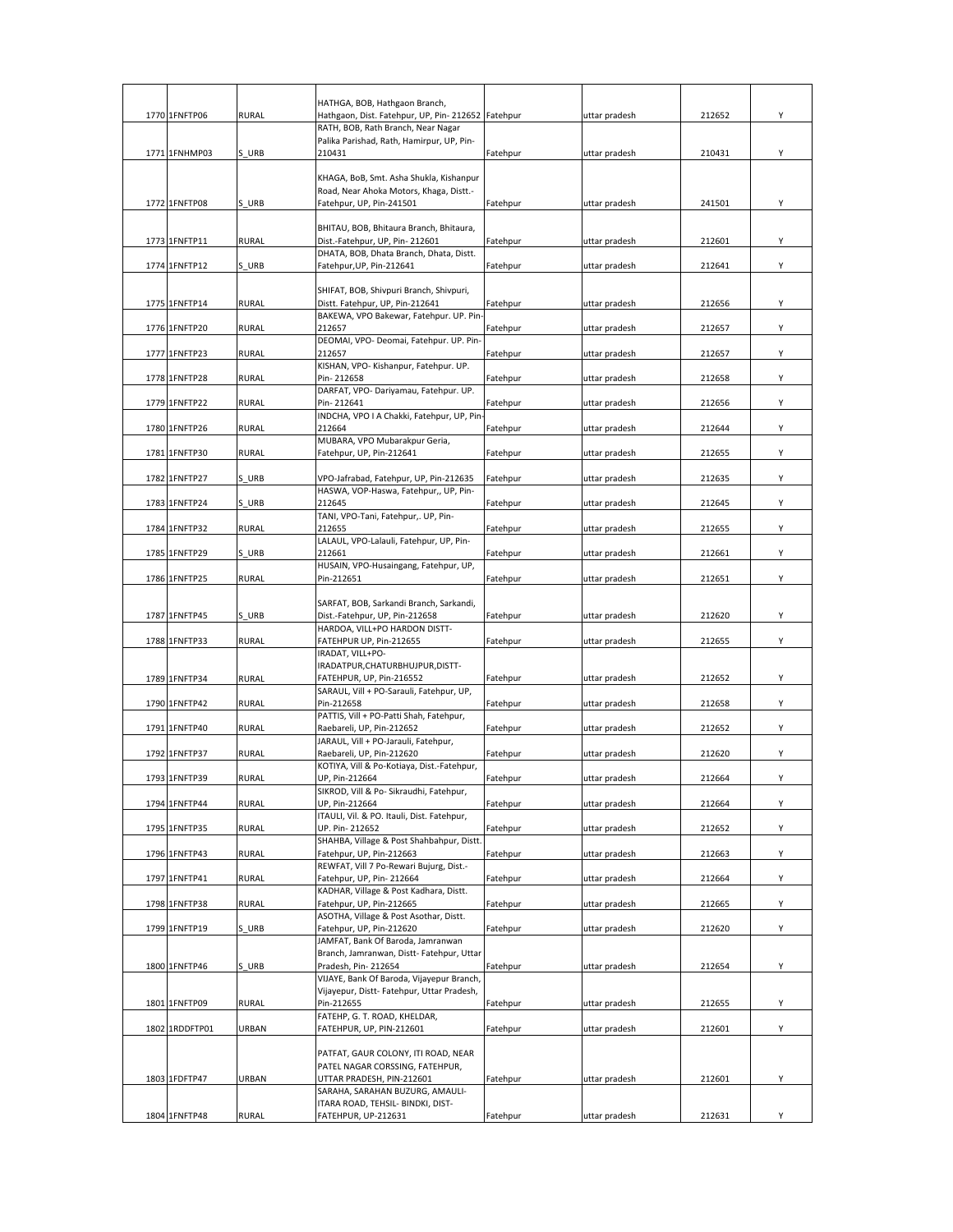|                |              | HATHGA, BOB, Hathgaon Branch,                                      |          |               |        |   |
|----------------|--------------|--------------------------------------------------------------------|----------|---------------|--------|---|
| 1770 1FNFTP06  | <b>RURAL</b> | Hathgaon, Dist. Fatehpur, UP, Pin- 212652 Fatehpur                 |          | uttar pradesh | 212652 | Y |
|                |              | RATH, BOB, Rath Branch, Near Nagar                                 |          |               |        |   |
|                |              | Palika Parishad, Rath, Hamirpur, UP, Pin-                          |          |               |        |   |
| 1771 1FNHMP03  | S URB        | 210431                                                             | Fatehpur | uttar pradesh | 210431 | Υ |
|                |              | KHAGA, BoB, Smt. Asha Shukla, Kishanpur                            |          |               |        |   |
|                |              | Road, Near Ahoka Motors, Khaga, Distt.-                            |          |               |        |   |
| 1772 1FNFTP08  | S URB        | Fatehpur, UP, Pin-241501                                           | Fatehpur | uttar pradesh | 241501 | Y |
|                |              | BHITAU, BOB, Bhitaura Branch, Bhitaura,                            |          |               |        |   |
| 1773 1FNFTP11  | <b>RURAL</b> | Dist.-Fatehpur, UP, Pin-212601                                     | Fatehpur | uttar pradesh | 212601 | Y |
|                |              | DHATA, BOB, Dhata Branch, Dhata, Distt.                            |          |               |        |   |
| 1774 1FNFTP12  | S URB        | Fatehpur, UP, Pin-212641                                           | Fatehpur | uttar pradesh | 212641 | Υ |
|                |              | SHIFAT, BOB, Shivpuri Branch, Shivpuri,                            |          |               |        |   |
| 1775 1FNFTP14  | RURAL        | Distt. Fatehpur, UP, Pin-212641                                    | Fatehpur | uttar pradesh | 212656 | Υ |
|                |              | BAKEWA, VPO Bakewar, Fatehpur. UP. Pin                             |          |               |        |   |
| 1776 1FNFTP20  | <b>RURAL</b> | 212657                                                             | Fatehpur | uttar pradesh | 212657 | Y |
| 1777 1FNFTP23  | <b>RURAL</b> | DEOMAI, VPO- Deomai, Fatehpur. UP. Pin-<br>212657                  | Fatehpur | uttar pradesh | 212657 | Υ |
|                |              | KISHAN, VPO- Kishanpur, Fatehpur. UP.                              |          |               |        |   |
| 1778 1FNFTP28  | <b>RURAL</b> | Pin-212658                                                         | Fatehpur | uttar pradesh | 212658 | Υ |
|                |              | DARFAT, VPO- Dariyamau, Fatehpur. UP.                              |          |               |        |   |
| 1779 1FNFTP22  | <b>RURAL</b> | Pin-212641<br>INDCHA, VPO I A Chakki, Fatehpur, UP, Pin            | Fatehpur | uttar pradesh | 212656 | Y |
| 1780 1FNFTP26  | <b>RURAL</b> | 212664                                                             | Fatehpur | uttar pradesh | 212644 | Υ |
|                |              | MUBARA, VPO Mubarakpur Geria,                                      |          |               |        |   |
| 1781 1FNFTP30  | <b>RURAL</b> | Fatehpur, UP, Pin-212641                                           | Fatehpur | uttar pradesh | 212655 | Υ |
| 1782 1FNFTP27  | S URB        | VPO-Jafrabad, Fatehpur, UP, Pin-212635                             | Fatehpur | uttar pradesh | 212635 | Y |
|                |              | HASWA, VOP-Haswa, Fatehpur,, UP, Pin-                              |          |               |        |   |
| 1783 1FNFTP24  | S URB        | 212645                                                             | Fatehpur | uttar pradesh | 212645 | Υ |
|                |              | TANI, VPO-Tani, Fatehpur,. UP, Pin-                                |          |               |        |   |
| 1784 1FNFTP32  | <b>RURAL</b> | 212655<br>LALAUL, VPO-Lalauli, Fatehpur, UP, Pin-                  | Fatehpur | uttar pradesh | 212655 | Υ |
| 1785 1FNFTP29  | S URB        | 212661                                                             | Fatehpur | uttar pradesh | 212661 | Y |
|                |              | HUSAIN, VPO-Husaingang, Fatehpur, UP,                              |          |               |        |   |
| 1786 1FNFTP25  | <b>RURAL</b> | Pin-212651                                                         | Fatehpur | uttar pradesh | 212651 | Υ |
|                |              | SARFAT, BOB, Sarkandi Branch, Sarkandi,                            |          |               |        |   |
| 1787 1FNFTP45  | S URB        | Dist.-Fatehpur, UP, Pin-212658                                     | Fatehpur | uttar pradesh | 212620 | Y |
|                |              | HARDOA, VILL+PO HARDON DISTT-                                      |          |               |        |   |
| 1788 1FNFTP33  | <b>RURAL</b> | FATEHPUR UP, Pin-212655                                            | Fatehpur | uttar pradesh | 212655 | Y |
|                |              | IRADAT, VILL+PO-<br>IRADATPUR, CHATURBHUJPUR, DISTT-               |          |               |        |   |
| 1789 1FNFTP34  | RURAL        | FATEHPUR, UP, Pin-216552                                           | Fatehpur | uttar pradesh | 212652 | Υ |
|                |              | SARAUL, Vill + PO-Sarauli, Fatehpur, UP,                           |          |               |        |   |
| 1790 1FNFTP42  | <b>RURAL</b> | Pin-212658<br>PATTIS, Vill + PO-Patti Shah, Fatehpur,              | Fatehpur | uttar pradesh | 212658 | Υ |
| 1791 1FNFTP40  | RURAL        | Raebareli, UP, Pin-212652                                          | Fatehpur | uttar pradesh | 212652 | Υ |
|                |              | JARAUL, Vill + PO-Jarauli, Fatehpur,                               |          |               |        |   |
| 1792 1FNFTP37  | RURAL        | Raebareli, UP, Pin-212620                                          | Fatehpur | uttar pradesh | 212620 | Y |
| 1793 1FNFTP39  | <b>RURAL</b> | KOTIYA, Vill & Po-Kotiaya, Dist.-Fatehpur,                         | Fatehpur |               | 212664 | Υ |
|                |              | UP, Pin-212664<br>SIKROD, Vill & Po- Sikraudhi, Fatehpur,          |          | uttar pradesh |        |   |
| 1794 1FNFTP44  | <b>RURAL</b> | UP, Pin-212664                                                     | Fatehpur | uttar pradesh | 212664 | Υ |
|                |              | ITAULI, Vil. & PO. Itauli, Dist. Fatehpur,                         |          |               |        |   |
| 1795 1FNFTP35  | <b>RURAL</b> | UP. Pin-212652<br>SHAHBA, Village & Post Shahbahpur, Distt.        | Fatehpur | uttar pradesh | 212652 | Υ |
| 1796 1FNFTP43  | RURAL        | Fatehpur, UP, Pin-212663                                           | Fatehpur | uttar pradesh | 212663 | Y |
|                |              | REWFAT, Vill 7 Po-Rewari Bujurg, Dist.-                            |          |               |        |   |
| 1797 1FNFTP41  | <b>RURAL</b> | Fatehpur, UP, Pin-212664<br>KADHAR, Village & Post Kadhara, Distt. | Fatehpur | uttar pradesh | 212664 | Υ |
| 1798 1FNFTP38  | <b>RURAL</b> | Fatehpur, UP, Pin-212665                                           | Fatehpur | uttar pradesh | 212665 | Υ |
|                |              | ASOTHA, Village & Post Asothar, Distt.                             |          |               |        |   |
| 1799 1FNFTP19  | S URB        | Fatehpur, UP, Pin-212620                                           | Fatehpur | uttar pradesh | 212620 | Υ |
|                |              | JAMFAT, Bank Of Baroda, Jamranwan                                  |          |               |        |   |
| 1800 1FNFTP46  | S URB        | Branch, Jamranwan, Distt- Fatehpur, Uttar<br>Pradesh, Pin-212654   | Fatehpur | uttar pradesh | 212654 | Υ |
|                |              | VIJAYE, Bank Of Baroda, Vijayepur Branch,                          |          |               |        |   |
|                |              | Vijayepur, Distt- Fatehpur, Uttar Pradesh,                         |          |               |        |   |
| 1801 1FNFTP09  | RURAL        | Pin-212655<br>FATEHP, G. T. ROAD, KHELDAR,                         | Fatehpur | uttar pradesh | 212655 | Υ |
| 1802 1RDDFTP01 | URBAN        | FATEHPUR, UP, PIN-212601                                           | Fatehpur | uttar pradesh | 212601 | Υ |
|                |              |                                                                    |          |               |        |   |
|                |              | PATFAT, GAUR COLONY, ITI ROAD, NEAR                                |          |               |        |   |
| 1803 1FDFTP47  | <b>URBAN</b> | PATEL NAGAR CORSSING, FATEHPUR,<br>UTTAR PRADESH, PIN-212601       | Fatehpur | uttar pradesh | 212601 | Υ |
|                |              | SARAHA, SARAHAN BUZURG, AMAULI-                                    |          |               |        |   |
|                |              | ITARA ROAD, TEHSIL- BINDKI, DIST-                                  |          |               |        |   |
| 1804 1FNFTP48  | <b>RURAL</b> | FATEHPUR, UP-212631                                                | Fatehpur | uttar pradesh | 212631 | Υ |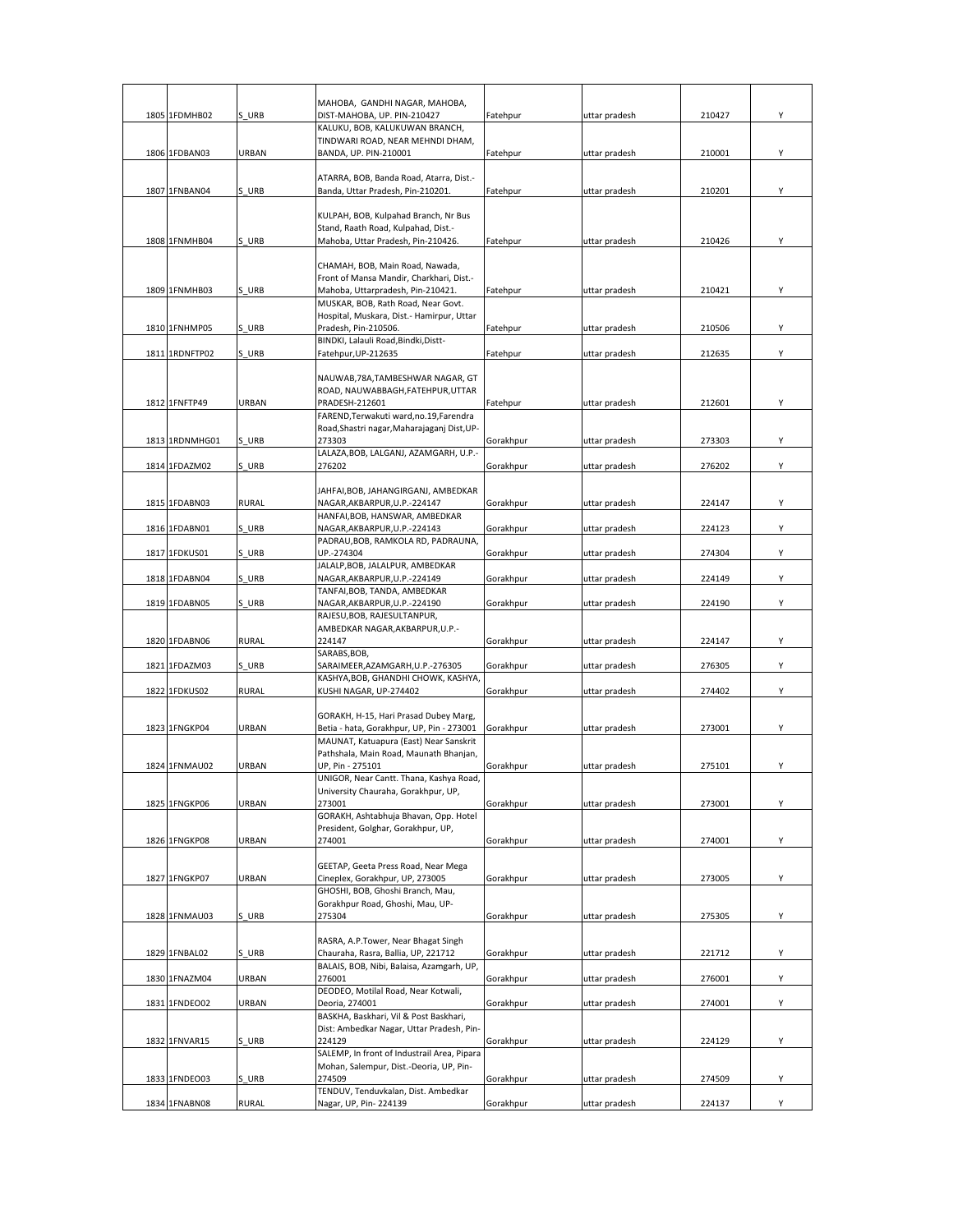|  |                |              | MAHOBA, GANDHI NAGAR, MAHOBA,                                               |           |               |        |   |
|--|----------------|--------------|-----------------------------------------------------------------------------|-----------|---------------|--------|---|
|  | 1805 1FDMHB02  | S URB        | DIST-MAHOBA, UP. PIN-210427                                                 | Fatehpur  | uttar pradesh | 210427 | Υ |
|  |                |              | KALUKU, BOB, KALUKUWAN BRANCH,                                              |           |               |        |   |
|  |                |              | TINDWARI ROAD, NEAR MEHNDI DHAM,                                            |           |               |        |   |
|  | 1806 1FDBAN03  | URBAN        | BANDA, UP. PIN-210001                                                       | Fatehpur  | uttar pradesh | 210001 | Υ |
|  |                |              | ATARRA, BOB, Banda Road, Atarra, Dist.-                                     |           |               |        |   |
|  | 1807 1FNBAN04  | S URB        | Banda, Uttar Pradesh, Pin-210201.                                           | Fatehpur  | uttar pradesh | 210201 | Υ |
|  |                |              | KULPAH, BOB, Kulpahad Branch, Nr Bus                                        |           |               |        |   |
|  |                |              | Stand, Raath Road, Kulpahad, Dist.-                                         |           |               |        |   |
|  | 1808 1FNMHB04  | S URB        | Mahoba, Uttar Pradesh, Pin-210426.                                          | Fatehpur  | uttar pradesh | 210426 |   |
|  |                |              |                                                                             |           |               |        |   |
|  |                |              | CHAMAH, BOB, Main Road, Nawada,<br>Front of Mansa Mandir, Charkhari, Dist.- |           |               |        |   |
|  | 1809 1FNMHB03  | S URB        | Mahoba, Uttarpradesh, Pin-210421.                                           | Fatehpur  | uttar pradesh | 210421 | Υ |
|  |                |              | MUSKAR, BOB, Rath Road, Near Govt.                                          |           |               |        |   |
|  |                |              | Hospital, Muskara, Dist.- Hamirpur, Uttar                                   |           |               |        | Υ |
|  | 1810 1FNHMP05  | S URB        | Pradesh, Pin-210506.<br>BINDKI, Lalauli Road, Bindki, Distt-                | Fatehpur  | uttar pradesh | 210506 |   |
|  | 1811 1RDNFTP02 | S URB        | Fatehpur, UP-212635                                                         | Fatehpur  | uttar pradesh | 212635 | Υ |
|  |                |              |                                                                             |           |               |        |   |
|  |                |              | NAUWAB, 78A, TAMBESHWAR NAGAR, GT<br>ROAD, NAUWABBAGH, FATEHPUR, UTTAR      |           |               |        |   |
|  | 1812 1FNFTP49  | URBAN        | PRADESH-212601                                                              | Fatehpur  | uttar pradesh | 212601 | Y |
|  |                |              | FAREND, Terwakuti ward, no. 19, Farendra                                    |           |               |        |   |
|  |                |              | Road, Shastri nagar, Maharajaganj Dist, UP-<br>273303                       |           |               |        | Υ |
|  | 1813 1RDNMHG01 | S URB        | LALAZA, BOB, LALGANJ, AZAMGARH, U.P.-                                       | Gorakhpur | uttar pradesh | 273303 |   |
|  | 1814 1FDAZM02  | S URB        | 276202                                                                      | Gorakhpur | uttar pradesh | 276202 | Υ |
|  |                |              |                                                                             |           |               |        |   |
|  | 1815 1FDABN03  | <b>RURAL</b> | JAHFAI, BOB, JAHANGIRGANJ, AMBEDKAR<br>NAGAR,AKBARPUR,U.P.-224147           | Gorakhpur | uttar pradesh | 224147 | Υ |
|  |                |              | HANFAI, BOB, HANSWAR, AMBEDKAR                                              |           |               |        |   |
|  | 1816 1FDABN01  | S URB        | NAGAR, AKBARPUR, U.P.-224143                                                | Gorakhpur | uttar pradesh | 224123 | Υ |
|  | 1817 1FDKUS01  | S URB        | PADRAU, BOB, RAMKOLA RD, PADRAUNA,<br>UP.-274304                            | Gorakhpur | uttar pradesh | 274304 | Υ |
|  |                |              | JALALP, BOB, JALALPUR, AMBEDKAR                                             |           |               |        |   |
|  | 1818 1FDABN04  | S URB        | NAGAR, AKBARPUR, U.P.-224149                                                | Gorakhpur | uttar pradesh | 224149 | Y |
|  | 1819 1FDABN05  | S URB        | TANFAI, BOB, TANDA, AMBEDKAR<br>NAGAR, AKBARPUR, U.P.-224190                | Gorakhpur | uttar pradesh | 224190 | Υ |
|  |                |              | RAJESU, BOB, RAJESULTANPUR,                                                 |           |               |        |   |
|  |                |              | AMBEDKAR NAGAR, AKBARPUR, U.P.-                                             |           |               |        |   |
|  | 1820 1FDABN06  | RURAL        | 224147                                                                      | Gorakhpur | uttar pradesh | 224147 | Υ |
|  | 1821 1FDAZM03  | S URB        | SARABS, BOB,<br>SARAIMEER, AZAMGARH, U.P.-276305                            | Gorakhpur | uttar pradesh | 276305 | Υ |
|  |                |              | KASHYA, BOB, GHANDHI CHOWK, KASHYA,                                         |           |               |        |   |
|  | 1822 1FDKUS02  | <b>RURAL</b> | KUSHI NAGAR, UP-274402                                                      | Gorakhpur | uttar pradesh | 274402 | Υ |
|  |                |              | GORAKH, H-15, Hari Prasad Dubey Marg,                                       |           |               |        |   |
|  | 1823 1FNGKP04  | URBAN        | Betia - hata, Gorakhpur, UP, Pin - 273001                                   | Gorakhpur | uttar pradesh | 273001 | Υ |
|  |                |              | MAUNAT, Katuapura (East) Near Sanskrit                                      |           |               |        |   |
|  | 1824 1FNMAU02  | URBAN        | Pathshala, Main Road, Maunath Bhanjan,<br>UP, Pin - 275101                  | Gorakhpur | uttar pradesh | 275101 | Υ |
|  |                |              | UNIGOR, Near Cantt. Thana, Kashya Road,                                     |           |               |        |   |
|  |                |              | University Chauraha, Gorakhpur, UP,                                         |           |               |        |   |
|  | 1825 1FNGKP06  | URBAN        | 273001<br>GORAKH, Ashtabhuja Bhavan, Opp. Hotel                             | Gorakhpur | uttar pradesh | 273001 | Y |
|  |                |              | President, Golghar, Gorakhpur, UP,                                          |           |               |        |   |
|  | 1826 1FNGKP08  | URBAN        | 274001                                                                      | Gorakhpur | uttar pradesh | 274001 | Υ |
|  |                |              |                                                                             |           |               |        |   |
|  | 1827 1FNGKP07  | URBAN        | GEETAP, Geeta Press Road, Near Mega<br>Cineplex, Gorakhpur, UP, 273005      | Gorakhpur | uttar pradesh | 273005 | Υ |
|  |                |              | GHOSHI, BOB, Ghoshi Branch, Mau,                                            |           |               |        |   |
|  |                |              | Gorakhpur Road, Ghoshi, Mau, UP-                                            |           |               |        |   |
|  | 1828 1FNMAU03  | S URB        | 275304                                                                      | Gorakhpur | uttar pradesh | 275305 | Υ |
|  |                |              | RASRA, A.P.Tower, Near Bhagat Singh                                         |           |               |        |   |
|  | 1829 1FNBAL02  | S URB        | Chauraha, Rasra, Ballia, UP, 221712                                         | Gorakhpur | uttar pradesh | 221712 | Υ |
|  | 1830 1FNAZM04  | URBAN        | BALAIS, BOB, Nibi, Balaisa, Azamgarh, UP,<br>276001                         | Gorakhpur | uttar pradesh | 276001 | Υ |
|  |                |              | DEODEO, Motilal Road, Near Kotwali,                                         |           |               |        |   |
|  | 1831 1FNDEO02  | <b>URBAN</b> | Deoria, 274001                                                              | Gorakhpur | uttar pradesh | 274001 | Υ |
|  |                |              | BASKHA, Baskhari, Vil & Post Baskhari,                                      |           |               |        |   |
|  | 1832 1FNVAR15  | S URB        | Dist: Ambedkar Nagar, Uttar Pradesh, Pin-<br>224129                         | Gorakhpur | uttar pradesh | 224129 | Υ |
|  |                |              | SALEMP, In front of Industrail Area, Pipara                                 |           |               |        |   |
|  |                |              | Mohan, Salempur, Dist.-Deoria, UP, Pin-                                     |           |               |        |   |
|  | 1833 1FNDEO03  | S URB        | 274509<br>TENDUV, Tenduvkalan, Dist. Ambedkar                               | Gorakhpur | uttar pradesh | 274509 | Υ |
|  | 1834 1FNABN08  | <b>RURAL</b> | Nagar, UP, Pin-224139                                                       | Gorakhpur | uttar pradesh | 224137 | Υ |
|  |                |              |                                                                             |           |               |        |   |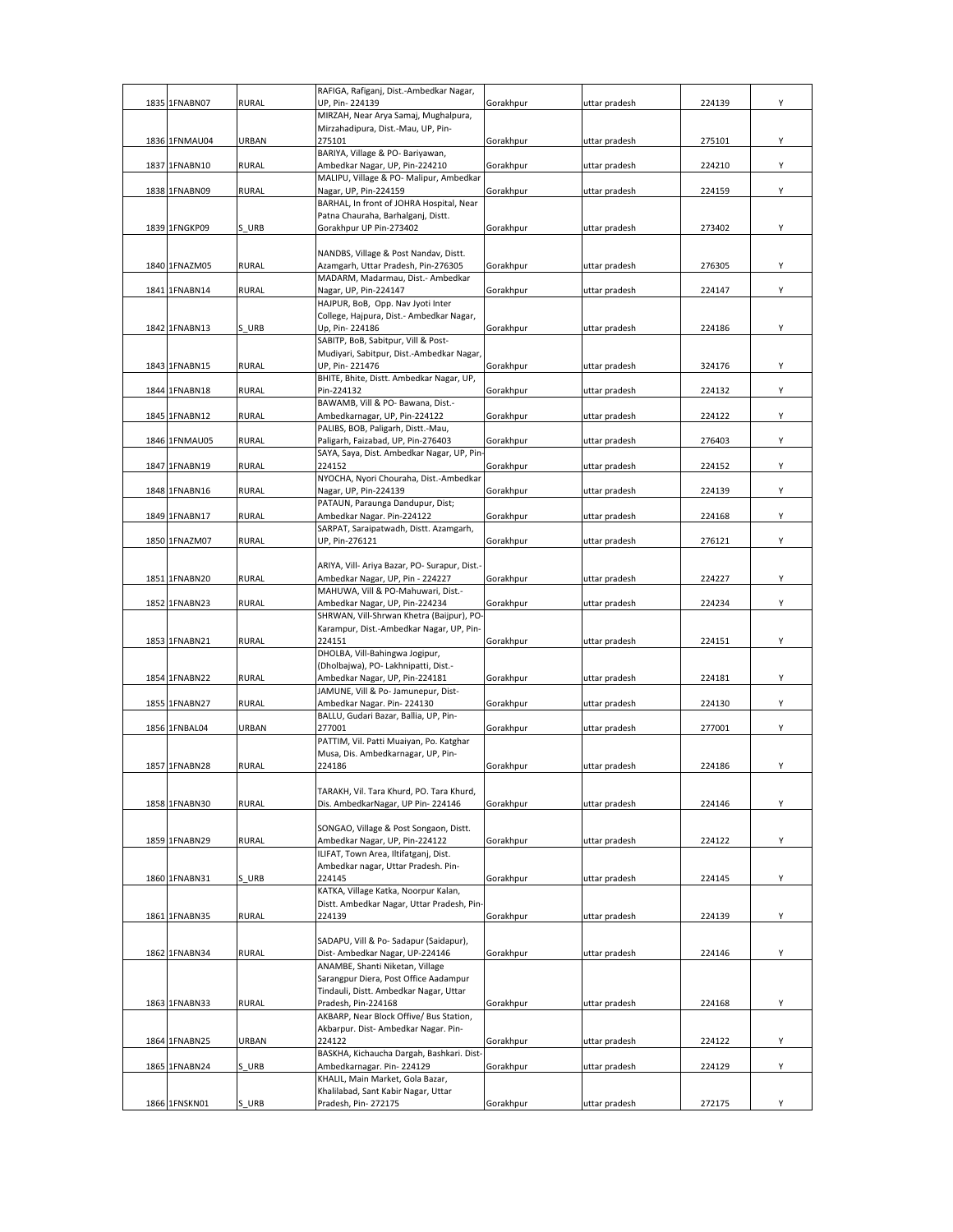| 1835 1FNABN07 | RURAL        | RAFIGA, Rafiganj, Dist.-Ambedkar Nagar,<br>UP, Pin-224139                       | Gorakhpur | uttar pradesh | 224139 | Υ |
|---------------|--------------|---------------------------------------------------------------------------------|-----------|---------------|--------|---|
|               |              | MIRZAH, Near Arya Samaj, Mughalpura,                                            |           |               |        |   |
|               |              | Mirzahadipura, Dist.-Mau, UP, Pin-                                              |           |               |        |   |
| 1836 1FNMAU04 | URBAN        | 275101<br>BARIYA, Village & PO- Bariyawan,                                      | Gorakhpur | uttar pradesh | 275101 | Υ |
| 1837 1FNABN10 | <b>RURAL</b> | Ambedkar Nagar, UP, Pin-224210                                                  | Gorakhpur | uttar pradesh | 224210 | Y |
|               |              | MALIPU, Village & PO- Malipur, Ambedkar                                         |           |               |        |   |
| 1838 1FNABN09 | <b>RURAL</b> | Nagar, UP, Pin-224159<br>BARHAL, In front of JOHRA Hospital, Near               | Gorakhpur | uttar pradesh | 224159 | Υ |
|               |              | Patna Chauraha, Barhalganj, Distt.                                              |           |               |        |   |
| 1839 1FNGKP09 | S URB        | Gorakhpur UP Pin-273402                                                         | Gorakhpur | uttar pradesh | 273402 | Υ |
|               |              | NANDBS, Village & Post Nandav, Distt.                                           |           |               |        |   |
| 1840 1FNAZM05 | <b>RURAL</b> | Azamgarh, Uttar Pradesh, Pin-276305                                             | Gorakhpur | uttar pradesh | 276305 | Υ |
| 1841 1FNABN14 | RURAL        | MADARM, Madarmau, Dist.- Ambedkar<br>Nagar, UP, Pin-224147                      | Gorakhpur | uttar pradesh | 224147 | Υ |
|               |              | HAJPUR, BoB, Opp. Nav Jyoti Inter                                               |           |               |        |   |
|               |              | College, Hajpura, Dist.- Ambedkar Nagar,                                        |           |               |        |   |
| 1842 1FNABN13 | S URB        | Up, Pin-224186<br>SABITP, BoB, Sabitpur, Vill & Post-                           | Gorakhpur | uttar pradesh | 224186 | Υ |
|               |              | Mudiyari, Sabitpur, Dist.-Ambedkar Nagar,                                       |           |               |        |   |
| 1843 1FNABN15 | RURAL        | UP, Pin-221476                                                                  | Gorakhpur | uttar pradesh | 324176 | Υ |
| 1844 1FNABN18 | <b>RURAL</b> | BHITE, Bhite, Distt. Ambedkar Nagar, UP,<br>Pin-224132                          | Gorakhpur | uttar pradesh | 224132 | Y |
|               |              | BAWAMB, Vill & PO- Bawana, Dist.-                                               |           |               |        |   |
| 1845 1FNABN12 | RURAL        | Ambedkarnagar, UP, Pin-224122<br>PALIBS, BOB, Paligarh, Distt.-Mau,             | Gorakhpur | uttar pradesh | 224122 | Y |
| 1846 1FNMAU05 | <b>RURAL</b> | Paligarh, Faizabad, UP, Pin-276403                                              | Gorakhpur | uttar pradesh | 276403 | Υ |
|               |              | SAYA, Saya, Dist. Ambedkar Nagar, UP, Pin                                       |           |               |        |   |
| 1847 1FNABN19 | <b>RURAL</b> | 224152<br>NYOCHA, Nyori Chouraha, Dist.-Ambedkar                                | Gorakhpur | uttar pradesh | 224152 | Υ |
| 1848 1FNABN16 | RURAL        | Nagar, UP, Pin-224139                                                           | Gorakhpur | uttar pradesh | 224139 | Υ |
|               |              | PATAUN, Paraunga Dandupur, Dist;                                                |           |               |        |   |
| 1849 1FNABN17 | RURAL        | Ambedkar Nagar. Pin-224122<br>SARPAT, Saraipatwadh, Distt. Azamgarh,            | Gorakhpur | uttar pradesh | 224168 | Υ |
| 1850 1FNAZM07 | <b>RURAL</b> | UP, Pin-276121                                                                  | Gorakhpur | uttar pradesh | 276121 | Υ |
|               |              | ARIYA, Vill- Ariya Bazar, PO- Surapur, Dist.-                                   |           |               |        |   |
| 1851 1FNABN20 | RURAL        | Ambedkar Nagar, UP, Pin - 224227                                                | Gorakhpur | uttar pradesh | 224227 | Υ |
|               |              | MAHUWA, Vill & PO-Mahuwari, Dist.-                                              |           |               |        |   |
| 1852 1FNABN23 | RURAL        | Ambedkar Nagar, UP, Pin-224234<br>SHRWAN, Vill-Shrwan Khetra (Baijpur), PO-     | Gorakhpur | uttar pradesh | 224234 | Y |
|               |              | Karampur, Dist.-Ambedkar Nagar, UP, Pin-                                        |           |               |        |   |
| 1853 1FNABN21 | RURAL        | 224151                                                                          | Gorakhpur | uttar pradesh | 224151 | Υ |
|               |              | DHOLBA, Vill-Bahingwa Jogipur,<br>(Dholbajwa), PO- Lakhnipatti, Dist.-          |           |               |        |   |
| 1854 1FNABN22 | RURAL        | Ambedkar Nagar, UP, Pin-224181                                                  | Gorakhpur | uttar pradesh | 224181 | Υ |
| 1855 1FNABN27 | RURAL        | JAMUNE, Vill & Po- Jamunepur, Dist-<br>Ambedkar Nagar. Pin-224130               | Gorakhpur | uttar pradesh | 224130 | Υ |
|               |              | BALLU, Gudari Bazar, Ballia, UP, Pin-                                           |           |               |        |   |
| 1856 1FNBAL04 | URBAN        | 277001                                                                          | Gorakhpur | uttar pradesh | 277001 | Υ |
|               |              | PATTIM, Vil. Patti Muaiyan, Po. Katghar<br>Musa, Dis. Ambedkarnagar, UP, Pin-   |           |               |        |   |
| 1857 1FNABN28 | RURAL        | 224186                                                                          | Gorakhpur | uttar pradesh | 224186 | Υ |
|               |              |                                                                                 |           |               |        |   |
| 1858 1FNABN30 | RURAL        | TARAKH, Vil. Tara Khurd, PO. Tara Khurd,<br>Dis. AmbedkarNagar, UP Pin-224146   | Gorakhpur | uttar pradesh | 224146 | Y |
|               |              |                                                                                 |           |               |        |   |
| 1859 1FNABN29 | RURAL        | SONGAO, Village & Post Songaon, Distt.<br>Ambedkar Nagar, UP, Pin-224122        | Gorakhpur | uttar pradesh | 224122 | Υ |
|               |              | ILIFAT, Town Area, Iltifatganj, Dist.                                           |           |               |        |   |
|               |              | Ambedkar nagar, Uttar Pradesh. Pin-                                             |           |               |        |   |
| 1860 1FNABN31 | S URB        | 224145<br>KATKA, Village Katka, Noorpur Kalan,                                  | Gorakhpur | uttar pradesh | 224145 | Υ |
|               |              | Distt. Ambedkar Nagar, Uttar Pradesh, Pin-                                      |           |               |        |   |
| 1861 1FNABN35 | RURAL        | 224139                                                                          | Gorakhpur | uttar pradesh | 224139 | Υ |
|               |              | SADAPU, Vill & Po-Sadapur (Saidapur),                                           |           |               |        |   |
| 1862 1FNABN34 | RURAL        | Dist- Ambedkar Nagar, UP-224146                                                 | Gorakhpur | uttar pradesh | 224146 | Υ |
|               |              | ANAMBE, Shanti Niketan, Village                                                 |           |               |        |   |
|               |              | Sarangpur Diera, Post Office Aadampur<br>Tindauli, Distt. Ambedkar Nagar, Uttar |           |               |        |   |
| 1863 1FNABN33 | <b>RURAL</b> | Pradesh, Pin-224168                                                             | Gorakhpur | uttar pradesh | 224168 | Υ |
|               |              | AKBARP, Near Block Offive/ Bus Station,<br>Akbarpur. Dist- Ambedkar Nagar. Pin- |           |               |        |   |
| 1864 1FNABN25 | URBAN        | 224122                                                                          | Gorakhpur | uttar pradesh | 224122 | Υ |
|               |              | BASKHA, Kichaucha Dargah, Bashkari. Dist-                                       |           |               |        |   |
| 1865 1FNABN24 | S URB        | Ambedkarnagar. Pin-224129<br>KHALIL, Main Market, Gola Bazar,                   | Gorakhpur | uttar pradesh | 224129 | Υ |
|               |              | Khalilabad, Sant Kabir Nagar, Uttar                                             |           |               |        |   |
| 1866 1FNSKN01 | S URB        | Pradesh, Pin-272175                                                             | Gorakhpur | uttar pradesh | 272175 | Υ |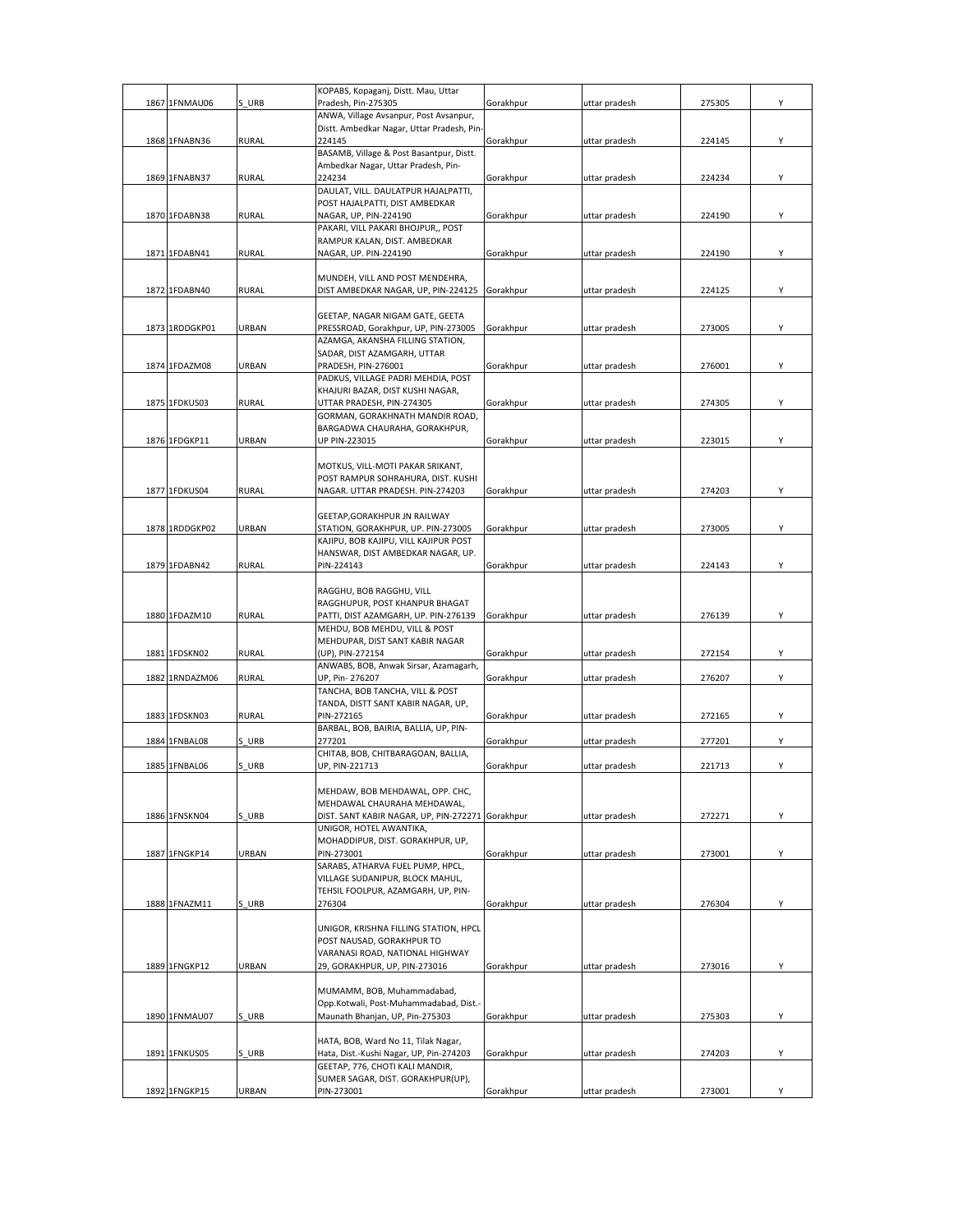|      |                |              | KOPABS, Kopaganj, Distt. Mau, Uttar                                        |           |               |        |   |
|------|----------------|--------------|----------------------------------------------------------------------------|-----------|---------------|--------|---|
| 1867 | 1FNMAU06       | S URB        | Pradesh, Pin-275305<br>ANWA, Village Avsanpur, Post Avsanpur,              | Gorakhpur | uttar pradesh | 275305 | Υ |
|      |                |              | Distt. Ambedkar Nagar, Uttar Pradesh, Pin-                                 |           |               |        |   |
|      | 1868 1FNABN36  | RURAL        | 224145                                                                     | Gorakhpur | uttar pradesh | 224145 | Υ |
|      |                |              | BASAMB, Village & Post Basantpur, Distt.                                   |           |               |        |   |
|      | 1869 1FNABN37  | RURAL        | Ambedkar Nagar, Uttar Pradesh, Pin-<br>224234                              | Gorakhpur |               | 224234 | Υ |
|      |                |              | DAULAT, VILL. DAULATPUR HAJALPATTI,                                        |           | uttar pradesh |        |   |
|      |                |              | POST HAJALPATTI, DIST AMBEDKAR                                             |           |               |        |   |
|      | 1870 1FDABN38  | <b>RURAL</b> | NAGAR, UP, PIN-224190                                                      | Gorakhpur | uttar pradesh | 224190 | Υ |
|      |                |              | PAKARI, VILL PAKARI BHOJPUR,, POST                                         |           |               |        |   |
|      |                |              | RAMPUR KALAN, DIST. AMBEDKAR                                               |           | uttar pradesh |        | Υ |
|      | 1871 1FDABN41  | <b>RURAL</b> | NAGAR, UP. PIN-224190                                                      | Gorakhpur |               | 224190 |   |
|      |                |              | MUNDEH, VILL AND POST MENDEHRA,                                            |           |               |        |   |
|      | 1872 1FDABN40  | <b>RURAL</b> | DIST AMBEDKAR NAGAR, UP, PIN-224125                                        | Gorakhpur | uttar pradesh | 224125 | Υ |
|      |                |              |                                                                            |           |               |        |   |
|      | 1873 1RDDGKP01 | URBAN        | GEETAP, NAGAR NIGAM GATE, GEETA<br>PRESSROAD, Gorakhpur, UP, PIN-273005    | Gorakhpur | uttar pradesh | 273005 | Υ |
|      |                |              | AZAMGA, AKANSHA FILLING STATION,                                           |           |               |        |   |
|      |                |              | SADAR, DIST AZAMGARH, UTTAR                                                |           |               |        |   |
|      | 1874 1FDAZM08  | URBAN        | PRADESH, PIN-276001                                                        | Gorakhpur | uttar pradesh | 276001 | Υ |
|      |                |              | PADKUS, VILLAGE PADRI MEHDIA, POST                                         |           |               |        |   |
|      | 1875 1FDKUS03  | <b>RURAL</b> | KHAJURI BAZAR, DIST KUSHI NAGAR,<br>UTTAR PRADESH, PIN-274305              | Gorakhpur | uttar pradesh | 274305 | Υ |
|      |                |              | GORMAN, GORAKHNATH MANDIR ROAD,                                            |           |               |        |   |
|      |                |              | BARGADWA CHAURAHA, GORAKHPUR,                                              |           |               |        |   |
|      | 1876 1FDGKP11  | <b>URBAN</b> | UP PIN-223015                                                              | Gorakhpur | uttar pradesh | 223015 | Υ |
|      |                |              |                                                                            |           |               |        |   |
|      |                |              | MOTKUS, VILL-MOTI PAKAR SRIKANT,                                           |           |               |        |   |
|      | 1877 1FDKUS04  | <b>RURAL</b> | POST RAMPUR SOHRAHURA, DIST. KUSHI<br>NAGAR. UTTAR PRADESH. PIN-274203     | Gorakhpur | uttar pradesh | 274203 | Υ |
|      |                |              |                                                                            |           |               |        |   |
|      |                |              | GEETAP, GORAKHPUR JN RAILWAY                                               |           |               |        |   |
|      | 1878 1RDDGKP02 | URBAN        | STATION, GORAKHPUR, UP. PIN-273005                                         | Gorakhpur | uttar pradesh | 273005 | Υ |
|      |                |              | KAJIPU, BOB KAJIPU, VILL KAJIPUR POST<br>HANSWAR, DIST AMBEDKAR NAGAR, UP. |           |               |        |   |
|      | 1879 1FDABN42  | <b>RURAL</b> | PIN-224143                                                                 | Gorakhpur | uttar pradesh | 224143 | Υ |
|      |                |              |                                                                            |           |               |        |   |
|      |                |              | RAGGHU, BOB RAGGHU, VILL                                                   |           |               |        |   |
|      |                |              | RAGGHUPUR, POST KHANPUR BHAGAT                                             |           |               |        |   |
|      | 1880 1FDAZM10  | <b>RURAL</b> | PATTI, DIST AZAMGARH, UP. PIN-276139<br>MEHDU, BOB MEHDU, VILL & POST      | Gorakhpur | uttar pradesh | 276139 | Υ |
|      |                |              | MEHDUPAR, DIST SANT KABIR NAGAR                                            |           |               |        |   |
|      | 1881 1FDSKN02  | <b>RURAL</b> | (UP), PIN-272154                                                           | Gorakhpur | uttar pradesh | 272154 | Υ |
|      |                |              | ANWABS, BOB, Anwak Sirsar, Azamagarh,                                      |           |               |        |   |
|      | 1882 1RNDAZM06 | <b>RURAL</b> | UP, Pin-276207                                                             | Gorakhpur | uttar pradesh | 276207 | Υ |
|      |                |              | TANCHA, BOB TANCHA, VILL & POST<br>TANDA, DISTT SANT KABIR NAGAR, UP,      |           |               |        |   |
|      | 1883 1FDSKN03  | RURAL        | PIN-272165                                                                 | Gorakhpur | uttar pradesh | 272165 | Υ |
|      |                |              | BARBAL, BOB, BAIRIA, BALLIA, UP, PIN-                                      |           |               |        |   |
|      | 1884 1FNBAL08  | S URB        | 277201                                                                     | Gorakhpur | uttar pradesh | 277201 | Υ |
|      |                |              | CHITAB, BOB, CHITBARAGOAN, BALLIA,                                         |           |               |        |   |
|      | 1885 1FNBAL06  | S URB        | UP, PIN-221713                                                             | Gorakhpur | uttar pradesh | 221713 | Υ |
|      |                |              | MEHDAW, BOB MEHDAWAL, OPP. CHC,                                            |           |               |        |   |
|      |                |              | MEHDAWAL CHAURAHA MEHDAWAL.                                                |           |               |        |   |
|      | 1886 1FNSKN04  | S URB        | DIST. SANT KABIR NAGAR, UP, PIN-272271 Gorakhpur                           |           | uttar pradesh | 272271 | Υ |
|      |                |              | UNIGOR, HOTEL AWANTIKA,                                                    |           |               |        |   |
|      | 1887 1FNGKP14  | URBAN        | MOHADDIPUR, DIST. GORAKHPUR, UP,<br>PIN-273001                             | Gorakhpur | uttar pradesh | 273001 | Υ |
|      |                |              | SARABS, ATHARVA FUEL PUMP, HPCL,                                           |           |               |        |   |
|      |                |              | VILLAGE SUDANIPUR, BLOCK MAHUL,                                            |           |               |        |   |
|      |                |              | TEHSIL FOOLPUR, AZAMGARH, UP, PIN-                                         |           |               |        |   |
|      | 1888 1FNAZM11  | S URB        | 276304                                                                     | Gorakhpur | uttar pradesh | 276304 | Y |
|      |                |              | UNIGOR, KRISHNA FILLING STATION, HPCL                                      |           |               |        |   |
|      |                |              | POST NAUSAD, GORAKHPUR TO                                                  |           |               |        |   |
|      |                |              | VARANASI ROAD, NATIONAL HIGHWAY                                            |           |               |        |   |
|      | 1889 1FNGKP12  | URBAN        | 29, GORAKHPUR, UP, PIN-273016                                              | Gorakhpur | uttar pradesh | 273016 | Υ |
|      |                |              |                                                                            |           |               |        |   |
|      |                |              | MUMAMM, BOB, Muhammadabad,<br>Opp.Kotwali, Post-Muhammadabad, Dist.-       |           |               |        |   |
|      | 1890 1FNMAU07  | S URB        | Maunath Bhanjan, UP, Pin-275303                                            | Gorakhpur | uttar pradesh | 275303 | Y |
|      |                |              |                                                                            |           |               |        |   |
|      |                |              | HATA, BOB, Ward No 11, Tilak Nagar,                                        |           |               |        |   |
|      | 1891 1FNKUS05  | S URB        | Hata, Dist.-Kushi Nagar, UP, Pin-274203                                    | Gorakhpur | uttar pradesh | 274203 | Y |
|      |                |              | GEETAP, 776, CHOTI KALI MANDIR,                                            |           |               |        |   |
|      | 1892 1FNGKP15  | URBAN        | SUMER SAGAR, DIST. GORAKHPUR(UP),<br>PIN-273001                            | Gorakhpur | uttar pradesh | 273001 | Y |
|      |                |              |                                                                            |           |               |        |   |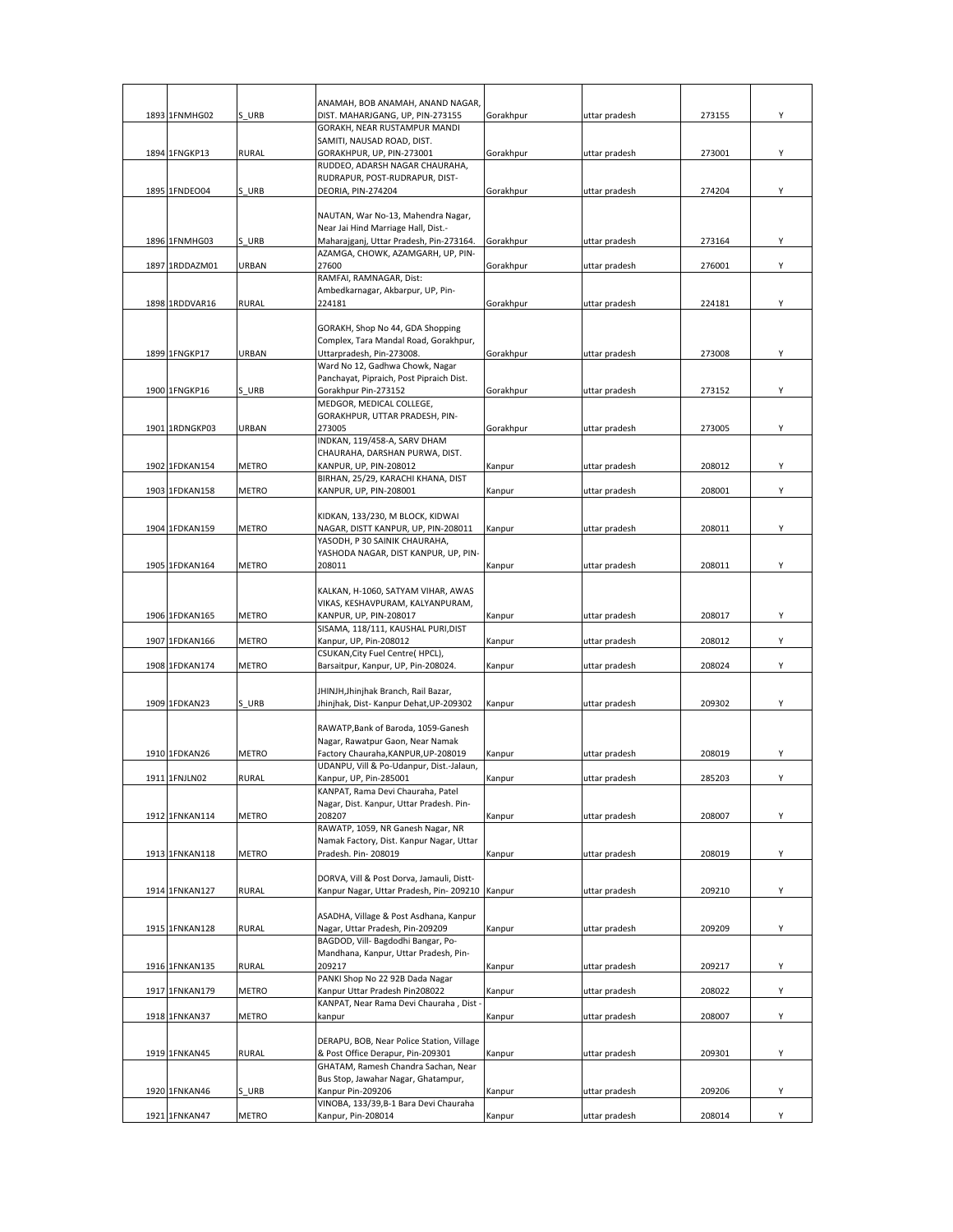|                |              | ANAMAH, BOB ANAMAH, ANAND NAGAR,                                                |           |               |        |   |
|----------------|--------------|---------------------------------------------------------------------------------|-----------|---------------|--------|---|
| 1893 1FNMHG02  | S URB        | DIST. MAHARJGANG, UP, PIN-273155                                                | Gorakhpur | uttar pradesh | 273155 | Υ |
|                |              | GORAKH, NEAR RUSTAMPUR MANDI                                                    |           |               |        |   |
|                |              | SAMITI, NAUSAD ROAD, DIST.                                                      |           |               |        |   |
| 1894 1FNGKP13  | RURAL        | GORAKHPUR, UP, PIN-273001                                                       | Gorakhpur | uttar pradesh | 273001 | Υ |
|                |              | RUDDEO, ADARSH NAGAR CHAURAHA,<br>RUDRAPUR, POST-RUDRAPUR, DIST-                |           |               |        |   |
| 1895 1FNDEO04  | S URB        | DEORIA, PIN-274204                                                              | Gorakhpur | uttar pradesh | 274204 | Υ |
|                |              |                                                                                 |           |               |        |   |
|                |              | NAUTAN, War No-13, Mahendra Nagar,                                              |           |               |        |   |
| 1896 1FNMHG03  | S URB        | Near Jai Hind Marriage Hall, Dist.-<br>Maharajganj, Uttar Pradesh, Pin-273164.  | Gorakhpur | uttar pradesh | 273164 | Υ |
|                |              | AZAMGA, CHOWK, AZAMGARH, UP, PIN-                                               |           |               |        |   |
| 1897 1RDDAZM01 | URBAN        | 27600                                                                           | Gorakhpur | uttar pradesh | 276001 | Υ |
|                |              | RAMFAI, RAMNAGAR, Dist:                                                         |           |               |        |   |
| 1898 1RDDVAR16 | <b>RURAL</b> | Ambedkarnagar, Akbarpur, UP, Pin-<br>224181                                     |           |               | 224181 | Υ |
|                |              |                                                                                 | Gorakhpur | uttar pradesh |        |   |
|                |              | GORAKH, Shop No 44, GDA Shopping                                                |           |               |        |   |
|                |              | Complex, Tara Mandal Road, Gorakhpur,                                           |           |               |        |   |
| 1899 1FNGKP17  | URBAN        | Uttarpradesh, Pin-273008.                                                       | Gorakhpur | uttar pradesh | 273008 | Y |
|                |              | Ward No 12, Gadhwa Chowk, Nagar                                                 |           |               |        |   |
| 1900 1FNGKP16  | S URB        | Panchayat, Pipraich, Post Pipraich Dist.<br>Gorakhpur Pin-273152                | Gorakhpur | uttar pradesh | 273152 | Y |
|                |              | MEDGOR, MEDICAL COLLEGE,                                                        |           |               |        |   |
|                |              | GORAKHPUR, UTTAR PRADESH, PIN-                                                  |           |               |        |   |
| 1901 1RDNGKP03 | URBAN        | 273005                                                                          | Gorakhpur | uttar pradesh | 273005 | Y |
|                |              | INDKAN, 119/458-A, SARV DHAM                                                    |           |               |        |   |
| 1902 1FDKAN154 | <b>METRO</b> | CHAURAHA, DARSHAN PURWA, DIST.<br>KANPUR, UP, PIN-208012                        |           |               | 208012 | Y |
|                |              | BIRHAN, 25/29, KARACHI KHANA, DIST                                              | Kanpur    | uttar pradesh |        |   |
| 1903 1FDKAN158 | <b>METRO</b> | KANPUR, UP, PIN-208001                                                          | Kanpur    | uttar pradesh | 208001 | Υ |
|                |              |                                                                                 |           |               |        |   |
|                |              | KIDKAN, 133/230, M BLOCK, KIDWAI                                                |           |               |        |   |
| 1904 1FDKAN159 | <b>METRO</b> | NAGAR, DISTT KANPUR, UP, PIN-208011                                             | Kanpur    | uttar pradesh | 208011 | Υ |
|                |              | YASODH, P 30 SAINIK CHAURAHA,<br>YASHODA NAGAR, DIST KANPUR, UP, PIN-           |           |               |        |   |
| 1905 1FDKAN164 | <b>METRO</b> | 208011                                                                          | Kanpur    | uttar pradesh | 208011 | Υ |
|                |              |                                                                                 |           |               |        |   |
|                |              | KALKAN, H-1060, SATYAM VIHAR, AWAS                                              |           |               |        |   |
|                |              | VIKAS, KESHAVPURAM, KALYANPURAM,                                                |           |               |        |   |
| 1906 1FDKAN165 | METRO        | KANPUR, UP, PIN-208017<br>SISAMA, 118/111, KAUSHAL PURI, DIST                   | Kanpur    | uttar pradesh | 208017 | Y |
| 1907 1FDKAN166 | <b>METRO</b> | Kanpur, UP, Pin-208012                                                          | Kanpur    | uttar pradesh | 208012 | Υ |
|                |              | CSUKAN, City Fuel Centre(HPCL),                                                 |           |               |        |   |
| 1908 1FDKAN174 | <b>METRO</b> | Barsaitpur, Kanpur, UP, Pin-208024.                                             | Kanpur    | uttar pradesh | 208024 | Υ |
|                |              |                                                                                 |           |               |        |   |
| 1909 1FDKAN23  | S URB        | JHINJH, Jhinjhak Branch, Rail Bazar,<br>Jhinjhak, Dist- Kanpur Dehat, UP-209302 | Kanpur    | uttar pradesh | 209302 | Y |
|                |              |                                                                                 |           |               |        |   |
|                |              | RAWATP, Bank of Baroda, 1059-Ganesh                                             |           |               |        |   |
|                |              | Nagar, Rawatpur Gaon, Near Namak                                                |           |               |        |   |
| 1910 1FDKAN26  | <b>METRO</b> | Factory Chauraha, KANPUR, UP-208019                                             | Kanpur    | uttar pradesh | 208019 | Υ |
| 1911 1FNJLN02  | <b>RURAL</b> | UDANPU, Vill & Po-Udanpur, Dist.-Jalaun,<br>Kanpur, UP, Pin-285001              | Kanpur    |               | 285203 | Υ |
|                |              | KANPAT, Rama Devi Chauraha, Patel                                               |           | uttar pradesh |        |   |
|                |              | Nagar, Dist. Kanpur, Uttar Pradesh. Pin-                                        |           |               |        |   |
| 1912 1FNKAN114 | <b>METRO</b> | 208207                                                                          | Kanpur    | uttar pradesh | 208007 | Υ |
|                |              | RAWATP, 1059, NR Ganesh Nagar, NR                                               |           |               |        |   |
| 1913 1FNKAN118 |              | Namak Factory, Dist. Kanpur Nagar, Uttar<br>Pradesh. Pin- 208019                |           |               |        | Υ |
|                | <b>METRO</b> |                                                                                 | Kanpur    | uttar pradesh | 208019 |   |
|                |              | DORVA, Vill & Post Dorva, Jamauli, Distt-                                       |           |               |        |   |
| 1914 1FNKAN127 | <b>RURAL</b> | Kanpur Nagar, Uttar Pradesh, Pin- 209210 Kanpur                                 |           | uttar pradesh | 209210 | Υ |
|                |              |                                                                                 |           |               |        |   |
|                |              | ASADHA, Village & Post Asdhana, Kanpur<br>Nagar, Uttar Pradesh, Pin-209209      |           | uttar pradesh |        |   |
| 1915 1FNKAN128 | <b>RURAL</b> | BAGDOD, Vill- Bagdodhi Bangar, Po-                                              | Kanpur    |               | 209209 | Υ |
|                |              | Mandhana, Kanpur, Uttar Pradesh, Pin-                                           |           |               |        |   |
| 1916 1FNKAN135 | <b>RURAL</b> | 209217                                                                          | Kanpur    | uttar pradesh | 209217 | Υ |
|                |              | PANKI Shop No 22 92B Dada Nagar                                                 |           |               |        |   |
| 1917 1FNKAN179 | METRO        | Kanpur Uttar Pradesh Pin208022                                                  | Kanpur    | uttar pradesh | 208022 | Υ |
| 1918 1FNKAN37  | <b>METRO</b> | KANPAT, Near Rama Devi Chauraha, Dist<br>kanpur                                 | Kanpur    | uttar pradesh | 208007 | Υ |
|                |              |                                                                                 |           |               |        |   |
|                |              | DERAPU, BOB, Near Police Station, Village                                       |           |               |        |   |
| 1919 1FNKAN45  | <b>RURAL</b> | & Post Office Derapur, Pin-209301                                               | Kanpur    | uttar pradesh | 209301 | Υ |
|                |              | GHATAM, Ramesh Chandra Sachan, Near                                             |           |               |        |   |
| 1920 1FNKAN46  | S URB        | Bus Stop, Jawahar Nagar, Ghatampur,<br>Kanpur Pin-209206                        | Kanpur    | uttar pradesh | 209206 | Y |
|                |              | VINOBA, 133/39, B-1 Bara Devi Chauraha                                          |           |               |        |   |
| 1921 1FNKAN47  | <b>METRO</b> | Kanpur, Pin-208014                                                              | Kanpur    | uttar pradesh | 208014 | Y |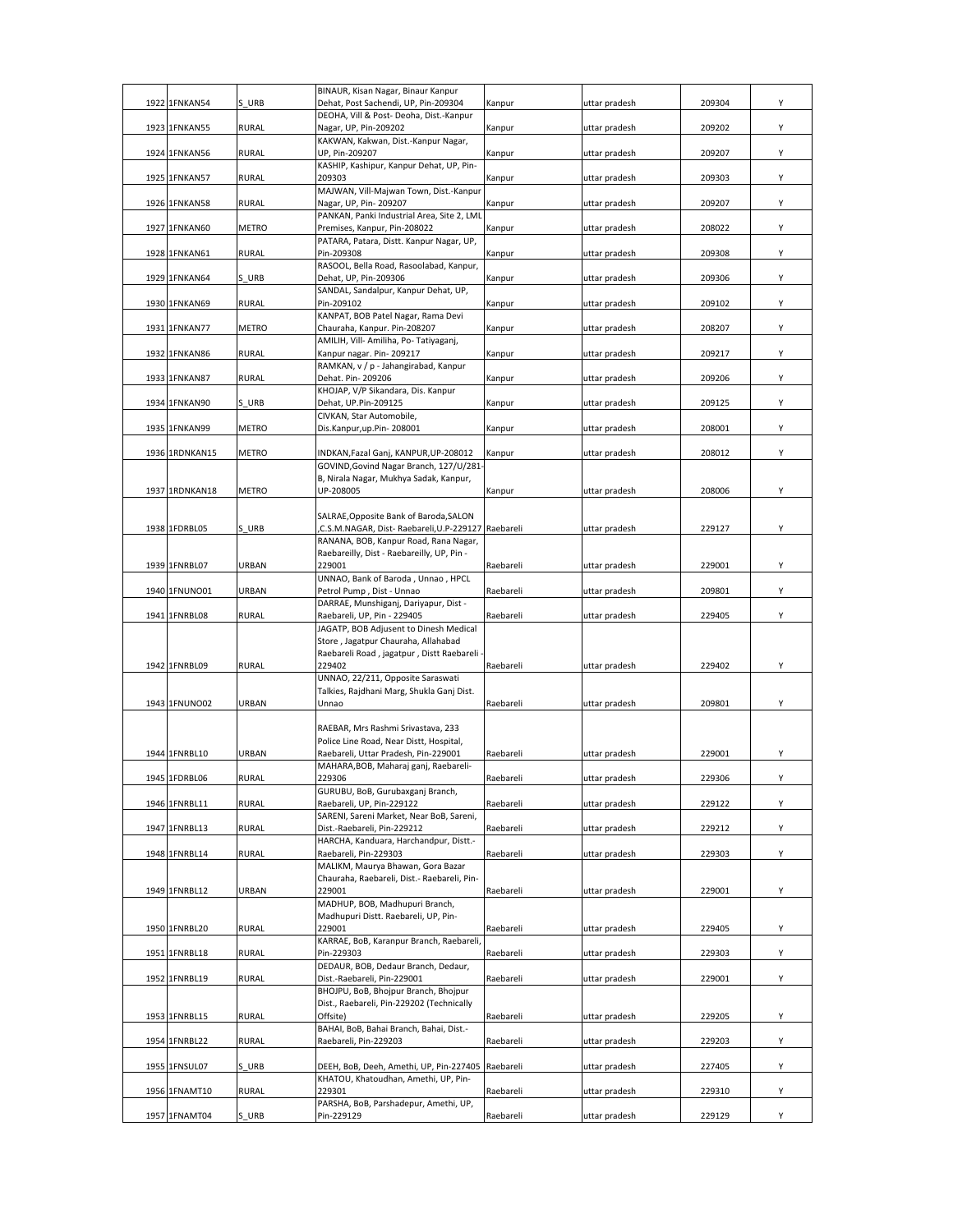| 1922 | 1FNKAN54                       | S URB          | BINAUR, Kisan Nagar, Binaur Kanpur<br>Dehat, Post Sachendi, UP, Pin-209304                  | Kanpur                 | uttar pradesh | 209304           | Y            |
|------|--------------------------------|----------------|---------------------------------------------------------------------------------------------|------------------------|---------------|------------------|--------------|
|      |                                |                | DEOHA, Vill & Post- Deoha, Dist.-Kanpur                                                     |                        |               |                  |              |
|      | 1923 1FNKAN55                  | <b>RURAL</b>   | Nagar, UP, Pin-209202                                                                       | Kanpur                 | uttar pradesh | 209202           | Υ            |
|      | 1924 1FNKAN56                  | <b>RURAL</b>   | KAKWAN, Kakwan, Dist.-Kanpur Nagar,<br>UP, Pin-209207                                       | Kanpur                 | uttar pradesh | 209207           | Υ            |
|      |                                |                | KASHIP, Kashipur, Kanpur Dehat, UP, Pin-                                                    |                        |               |                  |              |
|      | 1925 1FNKAN57                  | <b>RURAL</b>   | 209303<br>MAJWAN, Vill-Majwan Town, Dist.-Kanpur                                            | Kanpur                 | uttar pradesh | 209303           | Υ            |
|      | 1926 1FNKAN58                  | <b>RURAL</b>   | Nagar, UP, Pin- 209207                                                                      | Kanpur                 | uttar pradesh | 209207           | Y            |
|      | 1927 1FNKAN60                  | <b>METRO</b>   | PANKAN, Panki Industrial Area, Site 2, LML<br>Premises, Kanpur, Pin-208022                  | Kanpur                 | uttar pradesh | 208022           | Υ            |
|      |                                |                | PATARA, Patara, Distt. Kanpur Nagar, UP,                                                    |                        |               |                  |              |
|      | 1928 1FNKAN61                  | <b>RURAL</b>   | Pin-209308<br>RASOOL, Bella Road, Rasoolabad, Kanpur,                                       | Kanpur                 | uttar pradesh | 209308           | Υ            |
|      | 1929 1FNKAN64                  | S URB          | Dehat, UP, Pin-209306                                                                       | Kanpur                 | uttar pradesh | 209306           | Υ            |
|      | 1930 1FNKAN69                  | <b>RURAL</b>   | SANDAL, Sandalpur, Kanpur Dehat, UP,<br>Pin-209102                                          | Kanpur                 | uttar pradesh | 209102           | Υ            |
|      |                                |                | KANPAT, BOB Patel Nagar, Rama Devi                                                          |                        |               |                  |              |
|      | 1931 1FNKAN77                  | METRO          | Chauraha, Kanpur. Pin-208207<br>AMILIH, Vill- Amiliha, Po- Tatiyaganj,                      | Kanpur                 | uttar pradesh | 208207           | Υ            |
|      | 1932 1FNKAN86                  | <b>RURAL</b>   | Kanpur nagar. Pin-209217                                                                    | Kanpur                 | uttar pradesh | 209217           | Υ            |
|      | 1933 1FNKAN87                  | <b>RURAL</b>   | RAMKAN, v / p - Jahangirabad, Kanpur<br>Dehat. Pin- 209206                                  | Kanpur                 | uttar pradesh | 209206           | Υ            |
|      |                                |                | KHOJAP, V/P Sikandara, Dis. Kanpur                                                          |                        |               |                  |              |
|      | 1934 1FNKAN90                  | S URB          | Dehat, UP.Pin-209125<br>CIVKAN, Star Automobile,                                            | Kanpur                 | uttar pradesh | 209125           | Y            |
|      | 1935 1FNKAN99                  | METRO          | Dis.Kanpur,up.Pin-208001                                                                    | Kanpur                 | uttar pradesh | 208001           | Y            |
|      |                                |                |                                                                                             |                        |               |                  |              |
|      | 1936 1RDNKAN15                 | <b>METRO</b>   | INDKAN, Fazal Ganj, KANPUR, UP-208012<br>GOVIND, Govind Nagar Branch, 127/U/281             | Kanpur                 | uttar pradesh | 208012           | Υ            |
|      |                                |                | B, Nirala Nagar, Mukhya Sadak, Kanpur,                                                      |                        |               |                  |              |
|      | 1937 1RDNKAN18                 | METRO          | UP-208005                                                                                   | Kanpur                 | uttar pradesh | 208006           | Υ            |
|      |                                |                | SALRAE, Opposite Bank of Baroda, SALON                                                      |                        |               |                  |              |
|      | 1938 1FDRBL05                  | S URB          | C.S.M.NAGAR, Dist- Raebareli, U.P-229127 Raebareli<br>RANANA, BOB, Kanpur Road, Rana Nagar, |                        | uttar pradesh | 229127           | Υ            |
|      |                                |                | Raebareilly, Dist - Raebareilly, UP, Pin -                                                  |                        |               |                  |              |
|      | 1939 1FNRBL07                  | URBAN          | 229001<br>UNNAO, Bank of Baroda, Unnao, HPCL                                                | Raebareli              | uttar pradesh | 229001           | Υ            |
|      | 1940 1FNUNO01                  | URBAN          | Petrol Pump, Dist - Unnao                                                                   | Raebareli              | uttar pradesh | 209801           | Υ            |
|      | 1941 1FNRBL08                  | <b>RURAL</b>   | DARRAE, Munshiganj, Dariyapur, Dist -<br>Raebareli, UP, Pin - 229405                        | Raebareli              | uttar pradesh | 229405           | Υ            |
|      |                                |                | JAGATP, BOB Adjusent to Dinesh Medical                                                      |                        |               |                  |              |
|      |                                |                | Store, Jagatpur Chauraha, Allahabad<br>Raebareli Road, jagatpur, Distt Raebareli            |                        |               |                  |              |
|      | 1942 1FNRBL09                  | <b>RURAL</b>   | 229402                                                                                      | Raebareli              | uttar pradesh | 229402           | Υ            |
|      |                                |                | UNNAO, 22/211, Opposite Saraswati<br>Talkies, Rajdhani Marg, Shukla Ganj Dist.              |                        |               |                  |              |
|      | 1943 1FNUNO02                  |                | Unnao                                                                                       | Raebareli              | uttar pradesh |                  |              |
|      |                                | URBAN          |                                                                                             |                        |               | 209801           | Υ            |
|      |                                |                |                                                                                             |                        |               |                  |              |
|      |                                |                | RAEBAR, Mrs Rashmi Srivastava, 233<br>Police Line Road, Near Distt, Hospital,               |                        |               |                  |              |
|      | 1944 1FNRBL10                  | URBAN          | Raebareli, Uttar Pradesh, Pin-229001                                                        | Raebareli              | uttar pradesh | 229001           | Υ            |
|      |                                | <b>RURAL</b>   | MAHARA, BOB, Maharaj ganj, Raebareli-<br>229306                                             | Raebareli              | uttar pradesh |                  | $\checkmark$ |
|      | 1945 1FDRBL06                  |                | GURUBU, BoB, Gurubaxganj Branch,                                                            |                        |               | 229306           |              |
|      | 1946 1FNRBL11                  | RURAL          | Raebareli, UP, Pin-229122<br>SARENI, Sareni Market, Near BoB, Sareni,                       | Raebareli              | uttar pradesh | 229122           | Y            |
|      | 1947 1FNRBL13                  | RURAL          | Dist.-Raebareli, Pin-229212                                                                 | Raebareli              | uttar pradesh | 229212           | Υ            |
|      |                                |                | HARCHA, Kanduara, Harchandpur, Distt.-                                                      |                        |               |                  |              |
|      | 1948 1FNRBL14                  | <b>RURAL</b>   | Raebareli, Pin-229303<br>MALIKM, Maurya Bhawan, Gora Bazar                                  | Raebareli              | uttar pradesh | 229303           | Υ            |
|      |                                |                | Chauraha, Raebareli, Dist.- Raebareli, Pin-                                                 |                        |               |                  |              |
|      | 1949 1FNRBL12                  | URBAN          | 229001<br>MADHUP, BOB, Madhupuri Branch,                                                    | Raebareli              | uttar pradesh | 229001           | Υ            |
|      |                                |                | Madhupuri Distt. Raebareli, UP, Pin-                                                        |                        |               |                  |              |
|      | 1950 1FNRBL20                  | RURAL          | 229001<br>KARRAE, BoB, Karanpur Branch, Raebareli,                                          | Raebareli              | uttar pradesh | 229405           | Υ            |
|      | 1951 1FNRBL18                  | <b>RURAL</b>   | Pin-229303                                                                                  | Raebareli              | uttar pradesh | 229303           | Υ            |
|      | 1952 1FNRBL19                  | <b>RURAL</b>   | DEDAUR, BOB, Dedaur Branch, Dedaur,<br>Dist.-Raebareli, Pin-229001                          | Raebareli              | uttar pradesh | 229001           | Υ            |
|      |                                |                | BHOJPU, BoB, Bhojpur Branch, Bhojpur                                                        |                        |               |                  |              |
|      | 1953 1FNRBL15                  | <b>RURAL</b>   | Dist., Raebareli, Pin-229202 (Technically<br>Offsite)                                       | Raebareli              | uttar pradesh | 229205           | Υ            |
|      |                                |                | BAHAI, BoB, Bahai Branch, Bahai, Dist .-                                                    |                        |               |                  |              |
|      | 1954 1FNRBL22                  | <b>RURAL</b>   | Raebareli, Pin-229203                                                                       | Raebareli              | uttar pradesh | 229203           | Υ            |
|      | 1955 1FNSUL07                  | S URB          | DEEH, BoB, Deeh, Amethi, UP, Pin-227405                                                     | Raebareli              | uttar pradesh | 227405           | Υ            |
|      |                                |                | KHATOU, Khatoudhan, Amethi, UP, Pin-                                                        |                        |               |                  |              |
|      | 1956 1FNAMT10<br>1957 1FNAMT04 | RURAL<br>S URB | 229301<br>PARSHA, BoB, Parshadepur, Amethi, UP,<br>Pin-229129                               | Raebareli<br>Raebareli | uttar pradesh | 229310<br>229129 | Υ<br>Υ       |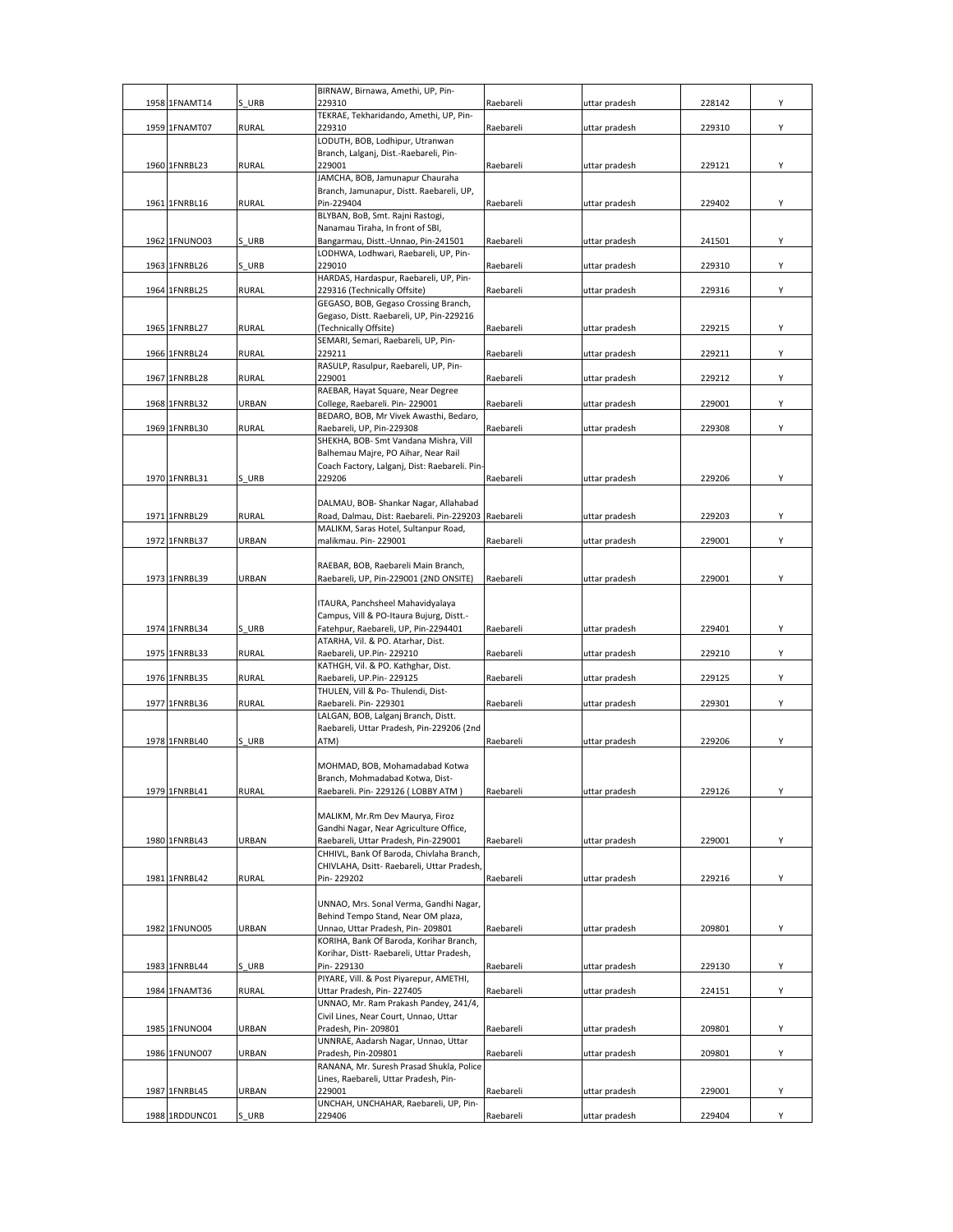| 1958 1FNAMT14  | S URB        | BIRNAW, Birnawa, Amethi, UP, Pin-<br>229310                                            | Raebareli | uttar pradesh | 228142 | Υ |
|----------------|--------------|----------------------------------------------------------------------------------------|-----------|---------------|--------|---|
|                |              | TEKRAE, Tekharidando, Amethi, UP, Pin-                                                 |           |               |        |   |
| 1959 1FNAMT07  | <b>RURAL</b> | 229310                                                                                 | Raebareli | uttar pradesh | 229310 | Υ |
|                |              | LODUTH, BOB, Lodhipur, Utranwan<br>Branch, Lalganj, Dist.-Raebareli, Pin-              |           |               |        |   |
| 1960 1FNRBL23  | <b>RURAL</b> | 229001                                                                                 | Raebareli | uttar pradesh | 229121 | Υ |
|                |              | JAMCHA, BOB, Jamunapur Chauraha                                                        |           |               |        |   |
| 1961 1FNRBL16  | <b>RURAL</b> | Branch, Jamunapur, Distt. Raebareli, UP,<br>Pin-229404                                 | Raebareli | uttar pradesh | 229402 | Υ |
|                |              | BLYBAN, BoB, Smt. Rajni Rastogi,                                                       |           |               |        |   |
|                |              | Nanamau Tiraha, In front of SBI,                                                       |           |               |        |   |
| 1962 1FNUNO03  | S URB        | Bangarmau, Distt.-Unnao, Pin-241501<br>LODHWA, Lodhwari, Raebareli, UP, Pin-           | Raebareli | uttar pradesh | 241501 | Υ |
| 1963 1FNRBL26  | S URB        | 229010                                                                                 | Raebareli | uttar pradesh | 229310 | Υ |
| 1964 1FNRBL25  | <b>RURAL</b> | HARDAS, Hardaspur, Raebareli, UP, Pin-<br>229316 (Technically Offsite)                 |           |               |        | Υ |
|                |              | GEGASO, BOB, Gegaso Crossing Branch,                                                   | Raebareli | uttar pradesh | 229316 |   |
|                |              | Gegaso, Distt. Raebareli, UP, Pin-229216                                               |           |               |        |   |
| 1965 1FNRBL27  | <b>RURAL</b> | (Technically Offsite)<br>SEMARI, Semari, Raebareli, UP, Pin-                           | Raebareli | uttar pradesh | 229215 | Υ |
| 1966 1FNRBL24  | <b>RURAL</b> | 229211                                                                                 | Raebareli | uttar pradesh | 229211 | Υ |
|                |              | RASULP, Rasulpur, Raebareli, UP, Pin-                                                  |           |               |        |   |
| 1967 1FNRBL28  | <b>RURAL</b> | 229001<br>RAEBAR, Hayat Square, Near Degree                                            | Raebareli | uttar pradesh | 229212 | Υ |
| 1968 1FNRBL32  | URBAN        | College, Raebareli. Pin-229001                                                         | Raebareli | uttar pradesh | 229001 | Υ |
|                |              | BEDARO, BOB, Mr Vivek Awasthi, Bedaro,                                                 |           |               |        |   |
| 1969 1FNRBL30  | <b>RURAL</b> | Raebareli, UP, Pin-229308<br>SHEKHA, BOB- Smt Vandana Mishra, Vill                     | Raebareli | uttar pradesh | 229308 | Y |
|                |              | Balhemau Majre, PO Aihar, Near Rail                                                    |           |               |        |   |
|                |              | Coach Factory, Lalganj, Dist: Raebareli. Pin-                                          |           |               |        |   |
| 1970 1FNRBL31  | S URB        | 229206                                                                                 | Raebareli | uttar pradesh | 229206 | Υ |
|                |              | DALMAU, BOB- Shankar Nagar, Allahabad                                                  |           |               |        |   |
| 1971 1FNRBL29  | <b>RURAL</b> | Road, Dalmau, Dist: Raebareli. Pin-229203 Raebareli                                    |           | uttar pradesh | 229203 | Υ |
| 1972 1FNRBL37  | URBAN        | MALIKM, Saras Hotel, Sultanpur Road,<br>malikmau. Pin-229001                           | Raebareli | uttar pradesh | 229001 | Y |
|                |              |                                                                                        |           |               |        |   |
|                |              | RAEBAR, BOB, Raebareli Main Branch,                                                    |           |               |        | Y |
| 1973 1FNRBL39  | URBAN        | Raebareli, UP, Pin-229001 (2ND ONSITE)                                                 | Raebareli | uttar pradesh | 229001 |   |
|                |              | ITAURA, Panchsheel Mahavidyalaya                                                       |           |               |        |   |
| 1974 1FNRBL34  | S URB        | Campus, Vill & PO-Itaura Bujurg, Distt.-<br>Fatehpur, Raebareli, UP, Pin-2294401       | Raebareli | uttar pradesh | 229401 | Y |
|                |              | ATARHA, Vil. & PO. Atarhar, Dist.                                                      |           |               |        |   |
| 1975 1FNRBL33  | <b>RURAL</b> | Raebareli, UP.Pin-229210                                                               | Raebareli | uttar pradesh | 229210 | Υ |
| 1976 1FNRBL35  | <b>RURAL</b> | KATHGH, Vil. & PO. Kathghar, Dist.<br>Raebareli, UP.Pin-229125                         | Raebareli | uttar pradesh | 229125 | Y |
|                |              | THULEN, Vill & Po- Thulendi, Dist-                                                     |           |               |        |   |
| 1977 1FNRBL36  | <b>RURAL</b> | Raebareli. Pin-229301                                                                  | Raebareli | uttar pradesh | 229301 | Y |
|                |              | LALGAN, BOB, Lalganj Branch, Distt.<br>Raebareli, Uttar Pradesh, Pin-229206 (2nd       |           |               |        |   |
| 1978 1FNRBL40  | S URB        | ATM)                                                                                   | Raebareli | uttar pradesh | 229206 | Υ |
|                |              | MOHMAD, BOB, Mohamadabad Kotwa                                                         |           |               |        |   |
|                |              | Branch, Mohmadabad Kotwa, Dist-                                                        |           |               |        |   |
| 1979 1FNRBL41  | <b>RURAL</b> | Raebareli. Pin- 229126 (LOBBY ATM)                                                     | Raebareli | uttar pradesh | 229126 | Υ |
|                |              | MALIKM, Mr.Rm Dev Maurya, Firoz                                                        |           |               |        |   |
|                |              | Gandhi Nagar, Near Agriculture Office,                                                 |           |               |        |   |
| 1980 1FNRBL43  | URBAN        | Raebareli, Uttar Pradesh, Pin-229001                                                   | Raebareli | uttar pradesh | 229001 | Υ |
|                |              | CHHIVL, Bank Of Baroda, Chivlaha Branch,<br>CHIVLAHA, Dsitt- Raebareli, Uttar Pradesh, |           |               |        |   |
| 1981 1FNRBL42  | <b>RURAL</b> | Pin-229202                                                                             | Raebareli | uttar pradesh | 229216 | Y |
|                |              |                                                                                        |           |               |        |   |
|                |              | UNNAO, Mrs. Sonal Verma, Gandhi Nagar,<br>Behind Tempo Stand, Near OM plaza,           |           |               |        |   |
| 1982 1FNUNO05  | URBAN        | Unnao, Uttar Pradesh, Pin-209801                                                       | Raebareli | uttar pradesh | 209801 | Υ |
|                |              | KORIHA, Bank Of Baroda, Korihar Branch,                                                |           |               |        |   |
| 1983 1FNRBL44  | S URB        | Korihar, Distt- Raebareli, Uttar Pradesh,<br>Pin-229130                                | Raebareli | uttar pradesh | 229130 | Υ |
|                |              | PIYARE, Vill. & Post Piyarepur, AMETHI,                                                |           |               |        |   |
| 1984 1FNAMT36  | <b>RURAL</b> | Uttar Pradesh, Pin-227405<br>UNNAO, Mr. Ram Prakash Pandey, 241/4,                     | Raebareli | uttar pradesh | 224151 | Υ |
|                |              | Civil Lines, Near Court, Unnao, Uttar                                                  |           |               |        |   |
| 1985 1FNUNO04  | URBAN        | Pradesh, Pin-209801                                                                    | Raebareli | uttar pradesh | 209801 | Υ |
| 1986 1FNUNO07  | URBAN        | UNNRAE, Aadarsh Nagar, Unnao, Uttar<br>Pradesh, Pin-209801                             | Raebareli | uttar pradesh | 209801 | Y |
|                |              | RANANA, Mr. Suresh Prasad Shukla, Police                                               |           |               |        |   |
|                |              | Lines, Raebareli, Uttar Pradesh, Pin-                                                  |           |               |        |   |
| 1987 1FNRBL45  | URBAN        | 229001<br>UNCHAH, UNCHAHAR, Raebareli, UP, Pin-                                        | Raebareli | uttar pradesh | 229001 | Υ |
| 1988 1RDDUNC01 | S URB        | 229406                                                                                 | Raebareli | uttar pradesh | 229404 | Υ |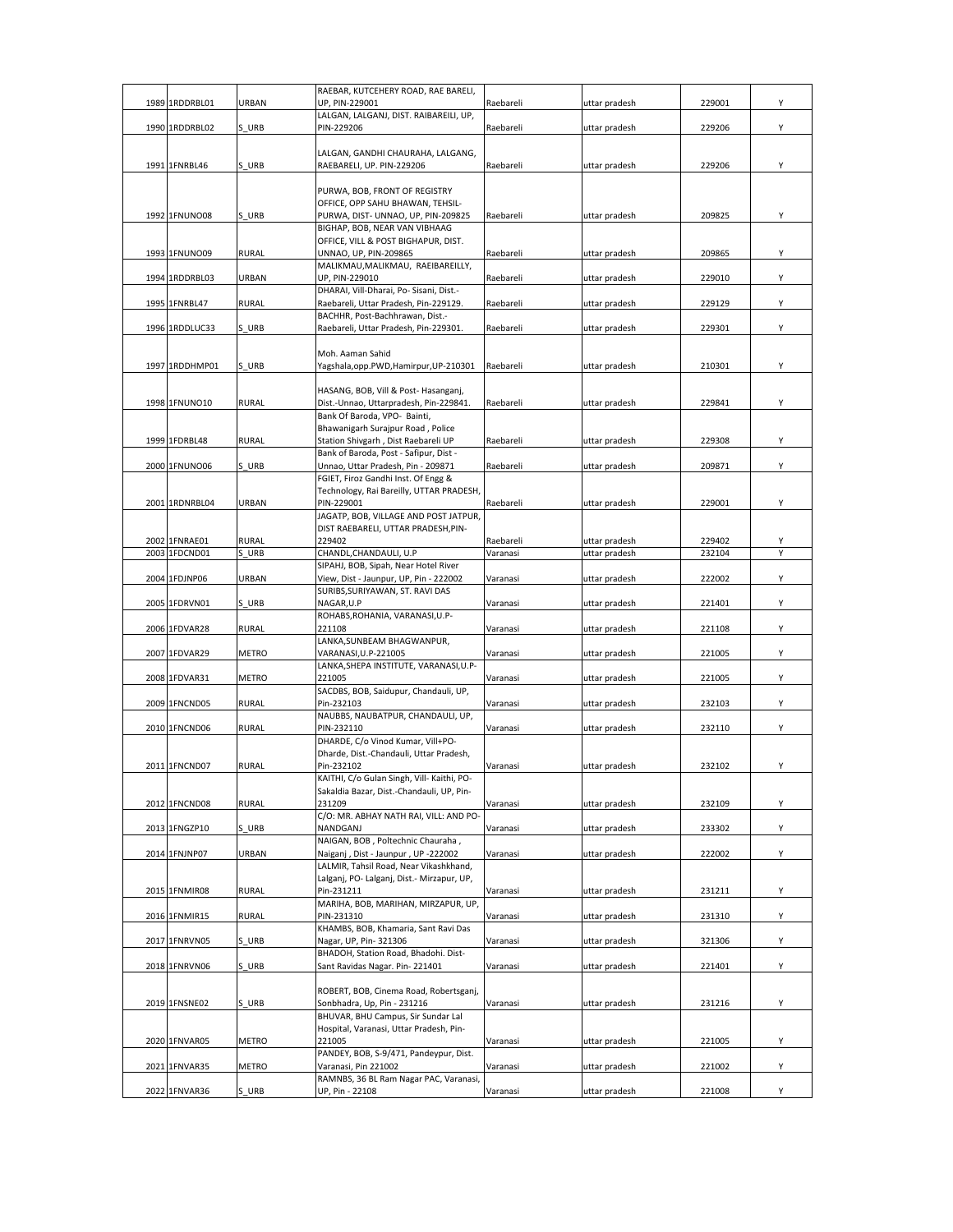| 1989 1RDDRBL01                 | URBAN                 | RAEBAR, KUTCEHERY ROAD, RAE BARELI,<br>UP. PIN-229001                                | Raebareli             | uttar pradesh                  | 229001           | Υ |
|--------------------------------|-----------------------|--------------------------------------------------------------------------------------|-----------------------|--------------------------------|------------------|---|
|                                |                       | LALGAN, LALGANJ, DIST. RAIBAREILI, UP,                                               |                       |                                |                  |   |
| 1990 1RDDRBL02                 | S URB                 | PIN-229206                                                                           | Raebareli             | uttar pradesh                  | 229206           | Υ |
|                                |                       | LALGAN, GANDHI CHAURAHA, LALGANG,                                                    |                       |                                |                  |   |
| 1991 1FNRBL46                  | S URB                 | RAEBARELI, UP. PIN-229206                                                            | Raebareli             | uttar pradesh                  | 229206           | Υ |
|                                |                       | PURWA, BOB, FRONT OF REGISTRY                                                        |                       |                                |                  |   |
| 1992 1FNUNO08                  | S URB                 | OFFICE, OPP SAHU BHAWAN, TEHSIL-<br>PURWA, DIST- UNNAO, UP, PIN-209825               | Raebareli             | uttar pradesh                  | 209825           | Υ |
|                                |                       | BIGHAP, BOB, NEAR VAN VIBHAAG                                                        |                       |                                |                  |   |
| 1993 1FNUNO09                  | <b>RURAL</b>          | OFFICE, VILL & POST BIGHAPUR, DIST.<br>UNNAO, UP, PIN-209865                         | Raebareli             | uttar pradesh                  | 209865           | Υ |
|                                |                       | MALIKMAU, MALIKMAU, RAEIBAREILLY,                                                    |                       |                                |                  |   |
| 1994 1RDDRBL03                 | URBAN                 | UP, PIN-229010<br>DHARAI, Vill-Dharai, Po- Sisani, Dist.-                            | Raebareli             | uttar pradesh                  | 229010           | Y |
| 1995 1FNRBL47                  | <b>RURAL</b>          | Raebareli, Uttar Pradesh, Pin-229129.                                                | Raebareli             | uttar pradesh                  | 229129           | Υ |
| 1996 1RDDLUC33                 | S URB                 | BACHHR, Post-Bachhrawan, Dist.-<br>Raebareli, Uttar Pradesh, Pin-229301.             | Raebareli             | uttar pradesh                  | 229301           | Υ |
|                                |                       |                                                                                      |                       |                                |                  |   |
| 1997 1RDDHMP01                 | S URB                 | Moh. Aaman Sahid<br>Yagshala,opp.PWD,Hamirpur,UP-210301                              | Raebareli             | uttar pradesh                  | 210301           | Υ |
|                                |                       |                                                                                      |                       |                                |                  |   |
| 1998 1FNUNO10                  | <b>RURAL</b>          | HASANG, BOB, Vill & Post-Hasanganj,<br>Dist.-Unnao, Uttarpradesh, Pin-229841.        | Raebareli             | uttar pradesh                  | 229841           | Υ |
|                                |                       | Bank Of Baroda, VPO- Bainti,                                                         |                       |                                |                  |   |
| 1999 1FDRBL48                  | <b>RURAL</b>          | Bhawanigarh Surajpur Road, Police<br>Station Shivgarh, Dist Raebareli UP             | Raebareli             | uttar pradesh                  | 229308           | Υ |
|                                |                       | Bank of Baroda, Post - Safipur, Dist -                                               |                       |                                |                  |   |
| 2000 1FNUNO06                  | S URB                 | Unnao, Uttar Pradesh, Pin - 209871<br>FGIET, Firoz Gandhi Inst. Of Engg &            | Raebareli             | uttar pradesh                  | 209871           | Υ |
|                                |                       | Technology, Rai Bareilly, UTTAR PRADESH,                                             |                       |                                |                  |   |
| 2001 1RDNRBL04                 | URBAN                 | PIN-229001<br>JAGATP, BOB, VILLAGE AND POST JATPUR,                                  | Raebareli             | uttar pradesh                  | 229001           | Υ |
|                                |                       | DIST RAEBARELI, UTTAR PRADESH, PIN-                                                  |                       |                                |                  |   |
| 2002 1FNRAE01<br>2003 1FDCND01 | <b>RURAL</b><br>S URB | 229402<br>CHANDL, CHANDAULI, U.P                                                     | Raebareli<br>Varanasi | uttar pradesh<br>uttar pradesh | 229402<br>232104 | Υ |
|                                |                       | SIPAHJ, BOB, Sipah, Near Hotel River                                                 |                       |                                |                  |   |
| 2004 1FDJNP06                  | URBAN                 | View, Dist - Jaunpur, UP, Pin - 222002<br>SURIBS, SURIYAWAN, ST. RAVI DAS            | Varanasi              | uttar pradesh                  | 222002           | Υ |
| 2005 1FDRVN01                  | S URB                 | NAGAR, U.P                                                                           | Varanasi              | uttar pradesh                  | 221401           | Υ |
| 2006 1FDVAR28                  | <b>RURAL</b>          | ROHABS, ROHANIA, VARANASI, U.P-<br>221108                                            | Varanasi              | uttar pradesh                  | 221108           | Υ |
|                                |                       | LANKA, SUNBEAM BHAGWANPUR,                                                           |                       |                                |                  |   |
| 2007 1FDVAR29                  | <b>METRO</b>          | VARANASI, U.P-221005<br>LANKA, SHEPA INSTITUTE, VARANASI, U.P-                       | Varanasi              | uttar pradesh                  | 221005           | Υ |
| 2008 1FDVAR31                  | <b>METRO</b>          | 221005<br>SACDBS, BOB, Saidupur, Chandauli, UP,                                      | Varanasi              | uttar pradesh                  | 221005           | Υ |
| 2009 1FNCND05                  | <b>RURAL</b>          | Pin-232103                                                                           | Varanasi              | uttar pradesh                  | 232103           | Υ |
| 2010 1FNCND06                  | <b>RURAL</b>          | NAUBBS, NAUBATPUR, CHANDAULI, UP,<br>PIN-232110                                      | Varanasi              | uttar pradesh                  | 232110           | Υ |
|                                |                       | DHARDE, C/o Vinod Kumar, Vill+PO-                                                    |                       |                                |                  |   |
| 2011 1FNCND07                  | <b>RURAL</b>          | Dharde, Dist.-Chandauli, Uttar Pradesh,<br>Pin-232102                                | Varanasi              | uttar pradesh                  | 232102           | Υ |
|                                |                       | KAITHI, C/o Gulan Singh, Vill- Kaithi, PO-                                           |                       |                                |                  |   |
| 2012 1FNCND08                  | RURAL                 | Sakaldia Bazar, Dist.-Chandauli, UP, Pin-<br>231209                                  | Varanasi              | uttar pradesh                  | 232109           | Y |
|                                |                       | C/O: MR. ABHAY NATH RAI, VILL: AND PO-                                               |                       |                                |                  |   |
| 2013 1FNGZP10                  | S URB                 | NANDGANJ<br>NAIGAN, BOB, Poltechnic Chauraha,                                        | Varanasi              | uttar pradesh                  | 233302           | Υ |
| 2014 1FNJNP07                  | URBAN                 | Naiganj, Dist - Jaunpur, UP -222002                                                  | Varanasi              | uttar pradesh                  | 222002           | Υ |
|                                |                       | LALMIR, Tahsil Road, Near Vikashkhand,<br>Lalganj, PO- Lalganj, Dist.- Mirzapur, UP, |                       |                                |                  |   |
| 2015 1FNMIR08                  | RURAL                 | Pin-231211                                                                           | Varanasi              | uttar pradesh                  | 231211           | Υ |
| 2016 1FNMIR15                  | <b>RURAL</b>          | MARIHA, BOB, MARIHAN, MIRZAPUR, UP,<br>PIN-231310                                    | Varanasi              | uttar pradesh                  | 231310           | Υ |
|                                |                       | KHAMBS, BOB, Khamaria, Sant Ravi Das                                                 |                       |                                |                  |   |
| 2017 1FNRVN05                  | S_URB                 | Nagar, UP, Pin-321306<br>BHADOH, Station Road, Bhadohi. Dist-                        | Varanasi              | uttar pradesh                  | 321306           | Υ |
| 2018 1FNRVN06                  | S URB                 | Sant Ravidas Nagar. Pin-221401                                                       | Varanasi              | uttar pradesh                  | 221401           | Υ |
|                                |                       | ROBERT, BOB, Cinema Road, Robertsganj,                                               |                       |                                |                  |   |
| 2019 1FNSNE02                  | S URB                 | Sonbhadra, Up, Pin - 231216                                                          | Varanasi              | uttar pradesh                  | 231216           | Υ |
|                                |                       | BHUVAR, BHU Campus, Sir Sundar Lal<br>Hospital, Varanasi, Uttar Pradesh, Pin-        |                       |                                |                  |   |
| 2020 1FNVAR05                  | METRO                 | 221005                                                                               | Varanasi              | uttar pradesh                  | 221005           | Υ |
| 2021 1FNVAR35                  | METRO                 | PANDEY, BOB, S-9/471, Pandeypur, Dist.<br>Varanasi, Pin 221002                       | Varanasi              | uttar pradesh                  | 221002           | Υ |
|                                |                       | RAMNBS, 36 BL Ram Nagar PAC, Varanasi,                                               |                       |                                |                  |   |
| 2022 1FNVAR36                  | S_URB                 | UP, Pin - 22108                                                                      | Varanasi              | uttar pradesh                  | 221008           | Y |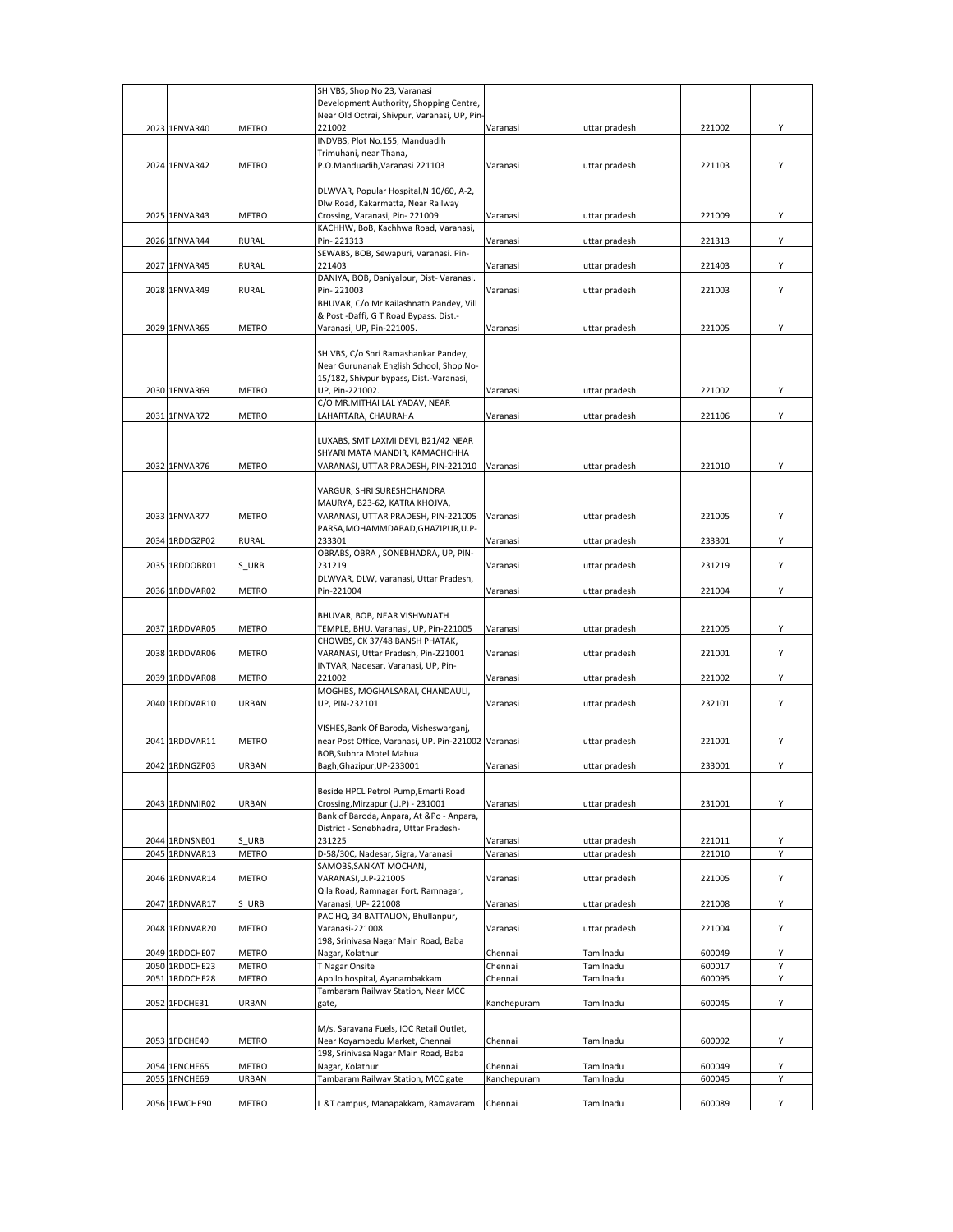|                |              | SHIVBS, Shop No 23, Varanasi                        |             |               |        |   |
|----------------|--------------|-----------------------------------------------------|-------------|---------------|--------|---|
|                |              | Development Authority, Shopping Centre,             |             |               |        |   |
|                |              | Near Old Octrai, Shivpur, Varanasi, UP, Pin-        |             |               |        |   |
| 2023 1FNVAR40  | METRO        | 221002                                              | Varanasi    | uttar pradesh | 221002 | Υ |
|                |              | INDVBS, Plot No.155, Manduadih                      |             |               |        |   |
|                |              | Trimuhani, near Thana,                              |             |               |        |   |
| 2024 1FNVAR42  | <b>METRO</b> | P.O.Manduadih, Varanasi 221103                      | Varanasi    | uttar pradesh | 221103 | Y |
|                |              |                                                     |             |               |        |   |
|                |              | DLWVAR, Popular Hospital, N 10/60, A-2,             |             |               |        |   |
|                |              | Dlw Road, Kakarmatta, Near Railway                  |             |               |        |   |
| 2025 1FNVAR43  | <b>METRO</b> | Crossing, Varanasi, Pin-221009                      | Varanasi    | uttar pradesh | 221009 | Y |
|                |              | KACHHW, BoB, Kachhwa Road, Varanasi,                |             |               |        |   |
| 2026 1FNVAR44  | <b>RURAL</b> | Pin-221313                                          | Varanasi    | uttar pradesh | 221313 | Υ |
|                |              | SEWABS, BOB, Sewapuri, Varanasi. Pin-               |             |               |        |   |
| 2027 1FNVAR45  | <b>RURAL</b> | 221403                                              | Varanasi    | uttar pradesh | 221403 | Υ |
|                |              | DANIYA, BOB, Daniyalpur, Dist- Varanasi.            |             |               |        |   |
| 2028 1FNVAR49  | RURAL        | Pin-221003                                          | Varanasi    | uttar pradesh | 221003 | Y |
|                |              | BHUVAR, C/o Mr Kailashnath Pandey, Vill             |             |               |        |   |
|                |              | & Post -Daffi, G T Road Bypass, Dist.-              |             |               |        |   |
| 2029 1FNVAR65  | METRO        | Varanasi, UP, Pin-221005.                           | Varanasi    | uttar pradesh | 221005 | Y |
|                |              |                                                     |             |               |        |   |
|                |              | SHIVBS, C/o Shri Ramashankar Pandey,                |             |               |        |   |
|                |              | Near Gurunanak English School, Shop No-             |             |               |        |   |
|                |              | 15/182, Shivpur bypass, Dist.-Varanasi,             |             |               |        |   |
| 2030 1FNVAR69  | <b>METRO</b> |                                                     |             |               |        | Υ |
|                |              | UP, Pin-221002.                                     | Varanasi    | uttar pradesh | 221002 |   |
|                |              | C/O MR.MITHAI LAL YADAV, NEAR                       |             |               |        |   |
| 2031 1FNVAR72  | METRO        | LAHARTARA, CHAURAHA                                 | Varanasi    | uttar pradesh | 221106 | Υ |
|                |              |                                                     |             |               |        |   |
|                |              | LUXABS, SMT LAXMI DEVI, B21/42 NEAR                 |             |               |        |   |
|                |              | SHYARI MATA MANDIR, KAMACHCHHA                      |             |               |        |   |
| 2032 1FNVAR76  | <b>METRO</b> | VARANASI, UTTAR PRADESH, PIN-221010                 | Varanasi    | uttar pradesh | 221010 | Υ |
|                |              |                                                     |             |               |        |   |
|                |              | VARGUR, SHRI SURESHCHANDRA                          |             |               |        |   |
|                |              | MAURYA, B23-62, KATRA KHOJVA,                       |             |               |        |   |
| 2033 1FNVAR77  | <b>METRO</b> | VARANASI, UTTAR PRADESH, PIN-221005                 | Varanasi    | uttar pradesh | 221005 | Y |
|                |              | PARSA, MOHAMMDABAD, GHAZIPUR, U.P-                  |             |               |        |   |
| 2034 1RDDGZP02 | RURAL        | 233301                                              | Varanasi    | uttar pradesh | 233301 | Y |
|                |              | OBRABS, OBRA, SONEBHADRA, UP, PIN-                  |             |               |        |   |
| 2035 1RDDOBR01 | S URB        | 231219                                              | Varanasi    | uttar pradesh | 231219 | Y |
|                |              | DLWVAR, DLW, Varanasi, Uttar Pradesh,               |             |               |        |   |
| 2036 1RDDVAR02 | <b>METRO</b> | Pin-221004                                          | Varanasi    | uttar pradesh | 221004 | Y |
|                |              |                                                     |             |               |        |   |
|                |              | BHUVAR, BOB, NEAR VISHWNATH                         |             |               |        |   |
| 2037 1RDDVAR05 | <b>METRO</b> | TEMPLE, BHU, Varanasi, UP, Pin-221005               | Varanasi    | uttar pradesh | 221005 | Υ |
|                |              | CHOWBS, CK 37/48 BANSH PHATAK,                      |             |               |        |   |
| 2038 1RDDVAR06 | METRO        | VARANASI, Uttar Pradesh, Pin-221001                 | Varanasi    | uttar pradesh | 221001 | Υ |
|                |              | INTVAR, Nadesar, Varanasi, UP, Pin-                 |             |               |        |   |
| 2039 1RDDVAR08 | METRO        | 221002                                              | Varanasi    | uttar pradesh | 221002 | Υ |
|                |              | MOGHBS, MOGHALSARAI, CHANDAULI,                     |             |               |        |   |
| 2040 1RDDVAR10 | URBAN        | UP, PIN-232101                                      | Varanasi    | uttar pradesh | 232101 | Y |
|                |              |                                                     |             |               |        |   |
|                |              | VISHES, Bank Of Baroda, Visheswarganj,              |             |               |        |   |
| 2041 1RDDVAR11 | <b>METRO</b> | near Post Office, Varanasi, UP. Pin-221002 Varanasi |             | uttar pradesh | 221001 | Υ |
|                |              | BOB, Subhra Motel Mahua                             |             |               |        |   |
|                | <b>URBAN</b> |                                                     |             |               |        | Y |
| 2042 1RDNGZP03 |              | Bagh, Ghazipur, UP-233001                           | Varanasi    | uttar pradesh | 233001 |   |
|                |              |                                                     |             |               |        |   |
|                |              | Beside HPCL Petrol Pump, Emarti Road                |             |               |        |   |
| 2043 1RDNMIR02 | URBAN        | Crossing, Mirzapur (U.P) - 231001                   | Varanasi    | uttar pradesh | 231001 | Y |
|                |              | Bank of Baroda, Anpara, At &Po - Anpara,            |             |               |        |   |
|                |              | District - Sonebhadra, Uttar Pradesh-               |             |               |        |   |
| 2044 1RDNSNE01 | S URB        | 231225                                              | Varanasi    | uttar pradesh | 221011 | Υ |
| 2045 1RDNVAR13 | <b>METRO</b> | D-58/30C, Nadesar, Sigra, Varanasi                  | Varanasi    | uttar pradesh | 221010 | Y |
|                |              | SAMOBS, SANKAT MOCHAN,                              |             |               |        |   |
| 2046 1RDNVAR14 | METRO        | VARANASI, U.P-221005                                | Varanasi    | uttar pradesh | 221005 | Υ |
|                |              | Qila Road, Ramnagar Fort, Ramnagar,                 |             |               |        |   |
| 2047 1RDNVAR17 | S URB        | Varanasi, UP-221008                                 | Varanasi    | uttar pradesh | 221008 | Υ |
|                |              | PAC HQ, 34 BATTALION, Bhullanpur,                   |             |               |        |   |
| 2048 1RDNVAR20 | METRO        | Varanasi-221008                                     | Varanasi    | uttar pradesh | 221004 | Υ |
|                |              | 198, Srinivasa Nagar Main Road, Baba                |             |               |        |   |
| 2049 1RDDCHE07 | METRO        | Nagar, Kolathur                                     | Chennai     | Tamilnadu     | 600049 | Υ |
| 2050 1RDDCHE23 | METRO        | T Nagar Onsite                                      | Chennai     | Tamilnadu     | 600017 | Υ |
| 2051 1RDDCHE28 | METRO        | Apollo hospital, Ayanambakkam                       | Chennai     | Tamilnadu     | 600095 | Y |
|                |              | Tambaram Railway Station, Near MCC                  |             |               |        |   |
| 2052 1FDCHE31  | URBAN        | gate,                                               | Kanchepuram | Tamilnadu     | 600045 | Υ |
|                |              |                                                     |             |               |        |   |
|                |              |                                                     |             |               |        |   |
|                |              |                                                     |             |               |        |   |
|                |              | M/s. Saravana Fuels, IOC Retail Outlet,             |             |               |        |   |
| 2053 1FDCHE49  | <b>METRO</b> | Near Koyambedu Market, Chennai                      | Chennai     | Tamilnadu     | 600092 | Υ |
|                |              | 198, Srinivasa Nagar Main Road, Baba                |             |               |        |   |
| 2054 1FNCHE65  | METRO        | Nagar, Kolathur                                     | Chennai     | Tamilnadu     | 600049 | Υ |
| 2055 1FNCHE69  | URBAN        | Tambaram Railway Station, MCC gate                  | Kanchepuram | Tamilnadu     | 600045 | Υ |
| 2056 1FWCHE90  | METRO        | . &T campus, Manapakkam, Ramavaram                  | Chennai     | Tamilnadu     | 600089 | Y |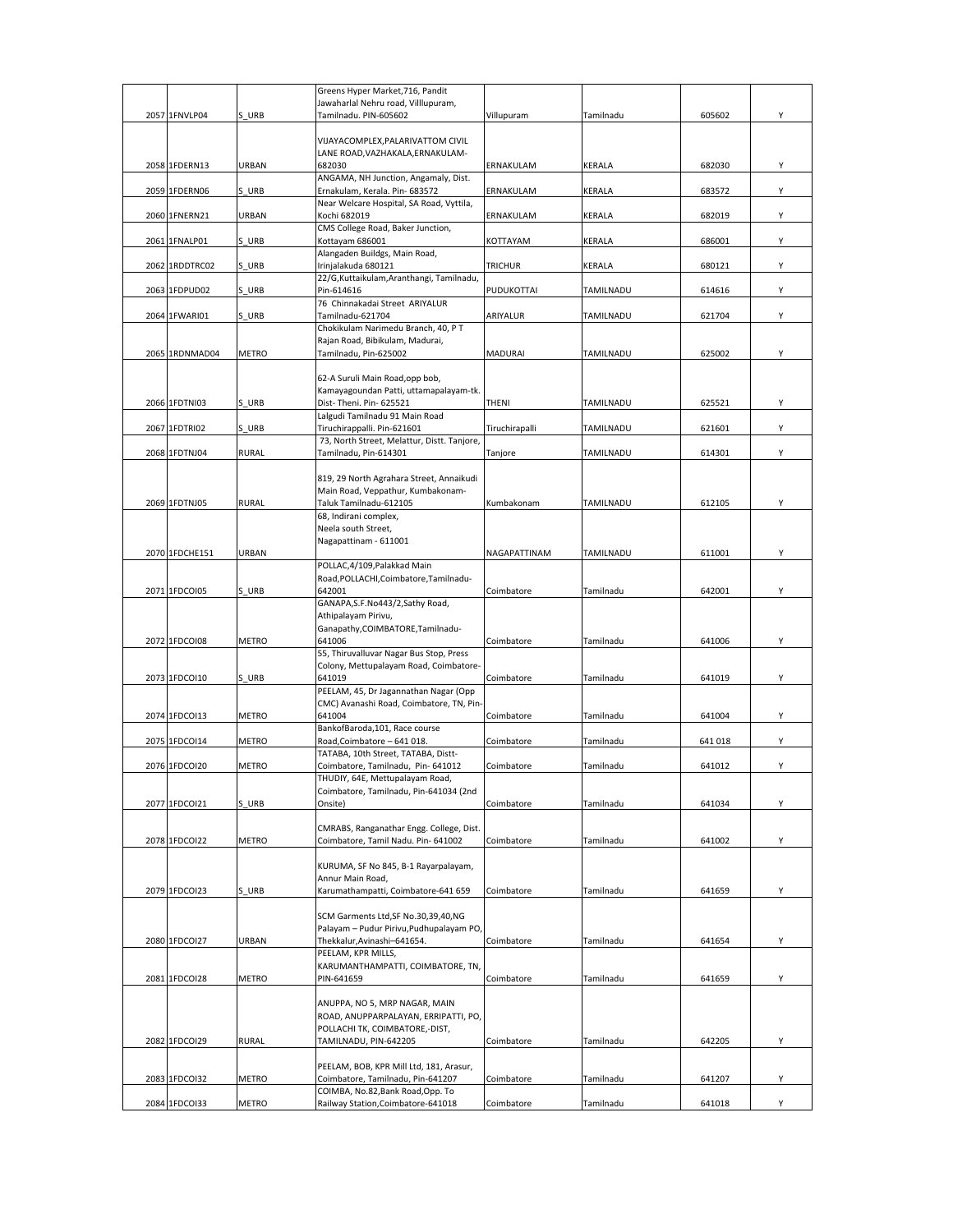|  |                |              | Greens Hyper Market, 716, Pandit                                        |                   |               |        |   |
|--|----------------|--------------|-------------------------------------------------------------------------|-------------------|---------------|--------|---|
|  | 2057 1FNVLP04  | S URB        | Jawaharlal Nehru road, Villlupuram,<br>Tamilnadu. PIN-605602            | Villupuram        | Tamilnadu     | 605602 | Υ |
|  |                |              |                                                                         |                   |               |        |   |
|  |                |              | VIJAYACOMPLEX, PALARIVATTOM CIVIL                                       |                   |               |        |   |
|  |                |              | LANE ROAD, VAZHAKALA, ERNAKULAM-                                        |                   |               |        |   |
|  | 2058 1FDERN13  | URBAN        | 682030                                                                  | ERNAKULAM         | KERALA        | 682030 | Υ |
|  | 2059 1FDERN06  | S URB        | ANGAMA, NH Junction, Angamaly, Dist.<br>Ernakulam, Kerala. Pin- 683572  | ERNAKULAM         | <b>KERALA</b> | 683572 | Υ |
|  |                |              | Near Welcare Hospital, SA Road, Vyttila,                                |                   |               |        |   |
|  | 2060 1FNERN21  | URBAN        | Kochi 682019                                                            | ERNAKULAM         | KERALA        | 682019 | Υ |
|  |                |              | CMS College Road, Baker Junction,                                       |                   |               |        |   |
|  | 2061 1FNALP01  | S URB        | Kottayam 686001                                                         | KOTTAYAM          | KERALA        | 686001 | Y |
|  | 2062 1RDDTRC02 | S URB        | Alangaden Buildgs, Main Road,<br>Irinjalakuda 680121                    | <b>TRICHUR</b>    | KERALA        | 680121 | Υ |
|  |                |              | 22/G,Kuttaikulam,Aranthangi, Tamilnadu,                                 |                   |               |        |   |
|  | 2063 1FDPUD02  | S URB        | Pin-614616                                                              | <b>PUDUKOTTAI</b> | TAMILNADU     | 614616 | Υ |
|  |                |              | 76 Chinnakadai Street ARIYALUR                                          |                   |               |        |   |
|  | 2064 1FWARI01  | S URB        | Tamilnadu-621704<br>Chokikulam Narimedu Branch, 40, PT                  | ARIYALUR          | TAMILNADU     | 621704 | Υ |
|  |                |              | Rajan Road, Bibikulam, Madurai,                                         |                   |               |        |   |
|  | 2065 1RDNMAD04 | METRO        | Tamilnadu, Pin-625002                                                   | MADURAI           | TAMILNADU     | 625002 | Y |
|  |                |              |                                                                         |                   |               |        |   |
|  |                |              | 62-A Suruli Main Road, opp bob,                                         |                   |               |        |   |
|  | 2066 1FDTNI03  | S URB        | Kamayagoundan Patti, uttamapalayam-tk.<br>Dist-Theni. Pin- 625521       | THENI             | TAMILNADU     | 625521 | Y |
|  |                |              | Lalgudi Tamilnadu 91 Main Road                                          |                   |               |        |   |
|  | 2067 1FDTRI02  | S URB        | Tiruchirappalli. Pin-621601                                             | Tiruchirapalli    | TAMILNADU     | 621601 | Y |
|  |                |              | 73, North Street, Melattur, Distt. Tanjore,                             |                   |               |        |   |
|  | 2068 1FDTNJ04  | <b>RURAL</b> | Tamilnadu, Pin-614301                                                   | Tanjore           | TAMILNADU     | 614301 | Υ |
|  |                |              | 819, 29 North Agrahara Street, Annaikudi                                |                   |               |        |   |
|  |                |              | Main Road, Veppathur, Kumbakonam-                                       |                   |               |        |   |
|  | 2069 1FDTNJ05  | <b>RURAL</b> | Taluk Tamilnadu-612105                                                  | Kumbakonam        | TAMILNADU     | 612105 | Y |
|  |                |              | 68, Indirani complex,                                                   |                   |               |        |   |
|  |                |              | Neela south Street,                                                     |                   |               |        |   |
|  | 2070 1FDCHE151 | URBAN        | Nagapattinam - 611001                                                   | NAGAPATTINAM      | TAMILNADU     | 611001 | Y |
|  |                |              | POLLAC, 4/109, Palakkad Main                                            |                   |               |        |   |
|  |                |              | Road, POLLACHI, Coimbatore, Tamilnadu-                                  |                   |               |        |   |
|  | 2071 1FDCOI05  | S URB        | 642001                                                                  | Coimbatore        | Tamilnadu     | 642001 | Υ |
|  |                |              | GANAPA, S.F. No443/2, Sathy Road,<br>Athipalayam Pirivu,                |                   |               |        |   |
|  |                |              | Ganapathy, COIMBATORE, Tamilnadu-                                       |                   |               |        |   |
|  | 2072 1FDCOI08  | METRO        | 641006                                                                  | Coimbatore        | Tamilnadu     | 641006 | Υ |
|  |                |              | 55, Thiruvalluvar Nagar Bus Stop, Press                                 |                   |               |        |   |
|  | 2073 1FDCOI10  | S URB        | Colony, Mettupalayam Road, Coimbatore-<br>641019                        | Coimbatore        | Tamilnadu     | 641019 | Y |
|  |                |              | PEELAM, 45, Dr Jagannathan Nagar (Opp                                   |                   |               |        |   |
|  |                |              | CMC) Avanashi Road, Coimbatore, TN, Pin-                                |                   |               |        |   |
|  | 2074 1FDCOI13  | METRO        | 641004                                                                  | Coimbatore        | Tamilnadu     | 641004 | Y |
|  | 2075 1FDCOI14  | <b>METRO</b> | BankofBaroda, 101, Race course<br>Road, Coimbatore - 641 018.           | Coimbatore        | Tamilnadu     | 641018 | Y |
|  |                |              | TATABA, 10th Street, TATABA, Distt-                                     |                   |               |        |   |
|  | 2076 1FDCOI20  | METRO        | Coimbatore, Tamilnadu, Pin- 641012                                      | Coimbatore        | Tamilnadu     | 641012 | Υ |
|  |                |              | THUDIY, 64E, Mettupalayam Road,                                         |                   |               |        |   |
|  |                |              | Coimbatore, Tamilnadu, Pin-641034 (2nd<br>Onsite)                       |                   | Tamilnadu     |        |   |
|  | 2077 1FDCOI21  | S URB        |                                                                         | Coimbatore        |               | 641034 | Υ |
|  |                |              | CMRABS, Ranganathar Engg. College, Dist.                                |                   |               |        |   |
|  | 2078 1FDCOI22  | <b>METRO</b> | Coimbatore, Tamil Nadu. Pin- 641002                                     | Coimbatore        | Tamilnadu     | 641002 | Υ |
|  |                |              |                                                                         |                   |               |        |   |
|  |                |              | KURUMA, SF No 845, B-1 Rayarpalayam,<br>Annur Main Road.                |                   |               |        |   |
|  | 2079 1FDCOI23  | S URB        | Karumathampatti, Coimbatore-641 659                                     | Coimbatore        | Tamilnadu     | 641659 | Υ |
|  |                |              |                                                                         |                   |               |        |   |
|  |                |              | SCM Garments Ltd, SF No.30, 39, 40, NG                                  |                   |               |        |   |
|  | 2080 1FDCOI27  | URBAN        | Palayam - Pudur Pirivu, Pudhupalayam PO,<br>Thekkalur, Avinashi-641654. | Coimbatore        | Tamilnadu     | 641654 | Υ |
|  |                |              | PEELAM, KPR MILLS,                                                      |                   |               |        |   |
|  |                |              | KARUMANTHAMPATTI, COIMBATORE, TN                                        |                   |               |        |   |
|  | 2081 1FDCOI28  | <b>METRO</b> | PIN-641659                                                              | Coimbatore        | Tamilnadu     | 641659 | Υ |
|  |                |              |                                                                         |                   |               |        |   |
|  |                |              | ANUPPA, NO 5, MRP NAGAR, MAIN<br>ROAD, ANUPPARPALAYAN, ERRIPATTI, PO,   |                   |               |        |   |
|  |                |              | POLLACHI TK, COIMBATORE,-DIST,                                          |                   |               |        |   |
|  | 2082 1FDCOI29  | <b>RURAL</b> | TAMILNADU, PIN-642205                                                   | Coimbatore        | Tamilnadu     | 642205 | Υ |
|  |                |              |                                                                         |                   |               |        |   |
|  |                |              | PEELAM, BOB, KPR Mill Ltd, 181, Arasur,                                 |                   |               |        |   |
|  | 2083 1FDCOI32  | METRO        | Coimbatore, Tamilnadu, Pin-641207<br>COIMBA, No.82, Bank Road, Opp. To  | Coimbatore        | Tamilnadu     | 641207 | Υ |
|  | 2084 1FDCOI33  | <b>METRO</b> | Railway Station, Coimbatore-641018                                      | Coimbatore        | Tamilnadu     | 641018 | Υ |
|  |                |              |                                                                         |                   |               |        |   |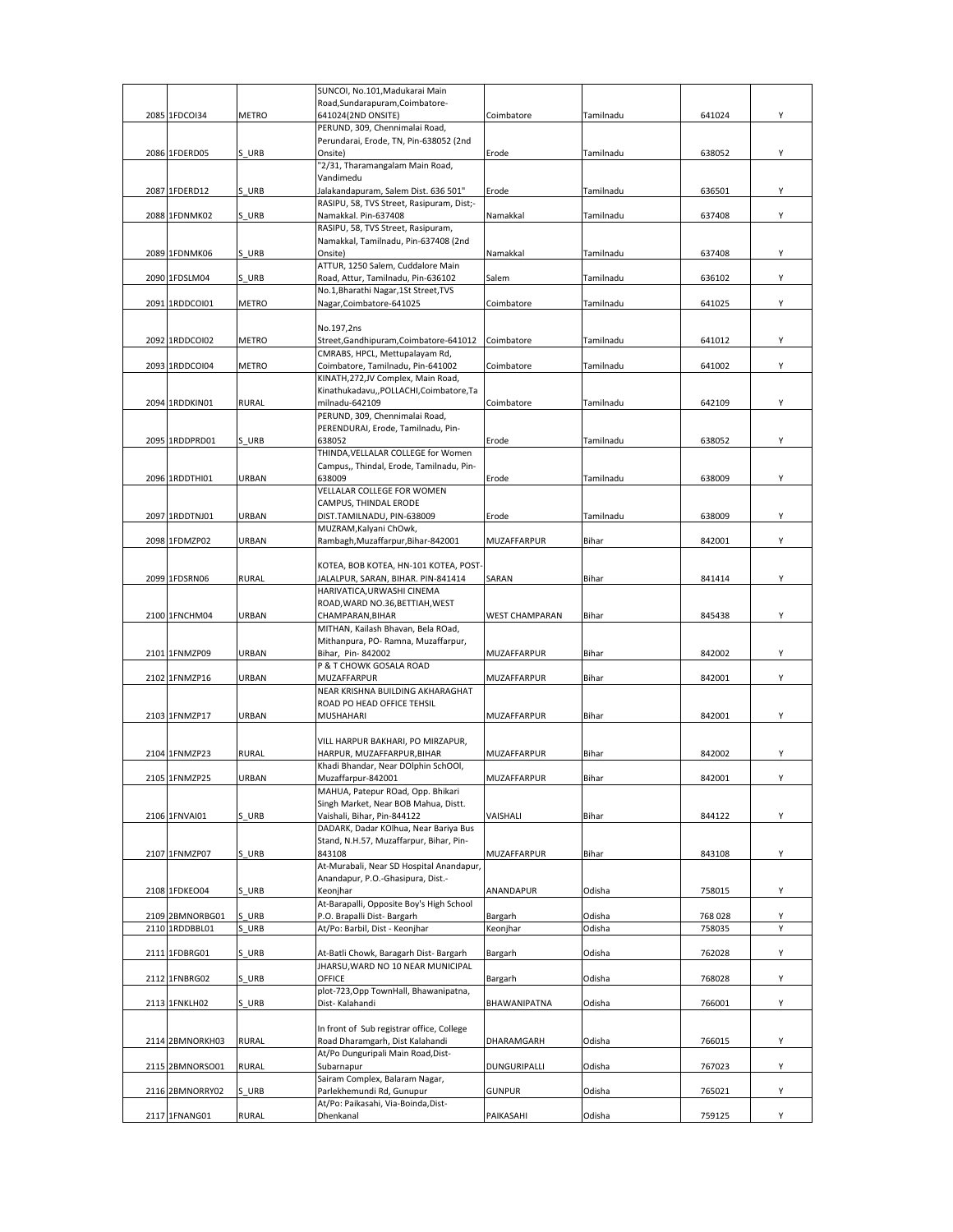|                 |              | SUNCOI, No.101, Madukarai Main                    |                       |           |         |   |
|-----------------|--------------|---------------------------------------------------|-----------------------|-----------|---------|---|
|                 |              | Road, Sundarapuram, Coimbatore-                   |                       |           |         |   |
| 2085 1FDCOI34   | <b>METRO</b> | 641024(2ND ONSITE)                                | Coimbatore            | Tamilnadu | 641024  | Υ |
|                 |              | PERUND, 309, Chennimalai Road,                    |                       |           |         |   |
| 2086 1FDERD05   | S URB        | Perundarai, Erode, TN, Pin-638052 (2nd<br>Onsite) |                       |           | 638052  | Υ |
|                 |              | "2/31, Tharamangalam Main Road,                   | Erode                 | Tamilnadu |         |   |
|                 |              | Vandimedu                                         |                       |           |         |   |
| 2087 1FDERD12   | S URB        | Jalakandapuram, Salem Dist. 636 501"              | Erode                 | Tamilnadu | 636501  | Υ |
|                 |              | RASIPU, 58, TVS Street, Rasipuram, Dist;-         |                       |           |         |   |
| 2088 1FDNMK02   | S URB        | Namakkal. Pin-637408                              | Namakkal              | Tamilnadu | 637408  | Υ |
|                 |              | RASIPU, 58, TVS Street, Rasipuram,                |                       |           |         |   |
|                 |              | Namakkal, Tamilnadu, Pin-637408 (2nd              |                       |           |         |   |
| 2089 1FDNMK06   | S URB        | Onsite)                                           | Namakkal              | Tamilnadu | 637408  | Y |
|                 |              | ATTUR, 1250 Salem, Cuddalore Main                 |                       |           |         |   |
| 2090 1FDSLM04   | S URB        | Road, Attur, Tamilnadu, Pin-636102                | Salem                 | Tamilnadu | 636102  | Υ |
|                 |              | No.1, Bharathi Nagar, 1St Street, TVS             |                       |           |         |   |
| 2091 1RDDCOI01  | <b>METRO</b> | Nagar, Coimbatore-641025                          | Coimbatore            | Tamilnadu | 641025  | Υ |
|                 |              |                                                   |                       |           |         |   |
|                 |              | No.197,2ns                                        |                       |           |         |   |
| 2092 1RDDCOI02  | <b>METRO</b> | Street, Gandhipuram, Coimbatore-641012            | Coimbatore            | Tamilnadu | 641012  | Υ |
|                 |              | CMRABS, HPCL, Mettupalayam Rd,                    |                       |           |         |   |
| 2093 1RDDCOI04  | <b>METRO</b> | Coimbatore, Tamilnadu, Pin-641002                 | Coimbatore            | Tamilnadu | 641002  | Y |
|                 |              | KINATH, 272, JV Complex, Main Road,               |                       |           |         |   |
|                 |              | Kinathukadavu,,POLLACHI,Coimbatore,Ta             |                       |           |         |   |
| 2094 1RDDKIN01  | <b>RURAL</b> | milnadu-642109                                    | Coimbatore            | Tamilnadu | 642109  | Y |
|                 |              | PERUND, 309, Chennimalai Road,                    |                       |           |         |   |
|                 |              | PERENDURAI, Erode, Tamilnadu, Pin-                |                       |           |         |   |
| 2095 1RDDPRD01  | S URB        | 638052                                            | Erode                 | Tamilnadu | 638052  | Y |
|                 |              | THINDA, VELLALAR COLLEGE for Women                |                       |           |         |   |
|                 |              | Campus,, Thindal, Erode, Tamilnadu, Pin-          |                       |           |         |   |
| 2096 1RDDTHI01  | URBAN        | 638009                                            | Erode                 | Tamilnadu | 638009  | Υ |
|                 |              | VELLALAR COLLEGE FOR WOMEN                        |                       |           |         |   |
|                 |              | CAMPUS, THINDAL ERODE                             |                       |           |         |   |
| 2097 1RDDTNJ01  | URBAN        | DIST.TAMILNADU, PIN-638009                        | Erode                 | Tamilnadu | 638009  | Υ |
|                 |              | MUZRAM, Kalyani ChOwk,                            |                       |           |         |   |
| 2098 1FDMZP02   | URBAN        | Rambagh, Muzaffarpur, Bihar-842001                | MUZAFFARPUR           | Bihar     | 842001  | Υ |
|                 |              |                                                   |                       |           |         |   |
|                 |              | KOTEA, BOB KOTEA, HN-101 KOTEA, POST-             |                       |           |         |   |
| 2099 1FDSRN06   | <b>RURAL</b> | JALALPUR, SARAN, BIHAR. PIN-841414                | SARAN                 | Bihar     | 841414  | Y |
|                 |              | HARIVATICA, URWASHI CINEMA                        |                       |           |         |   |
|                 |              | ROAD, WARD NO.36, BETTIAH, WEST                   |                       |           |         |   |
| 2100 1FNCHM04   | URBAN        | CHAMPARAN, BIHAR                                  | <b>WEST CHAMPARAN</b> | Bihar     | 845438  | Υ |
|                 |              | MITHAN, Kailash Bhavan, Bela ROad,                |                       |           |         |   |
|                 |              | Mithanpura, PO-Ramna, Muzaffarpur,                |                       |           |         |   |
|                 |              | Bihar, Pin-842002                                 | MUZAFFARPUR           | Bihar     | 842002  |   |
| 2101 1FNMZP09   | URBAN        |                                                   |                       |           |         | Y |
|                 |              | P & T CHOWK GOSALA ROAD                           |                       |           |         |   |
| 2102 1FNMZP16   | URBAN        | MUZAFFARPUR                                       | MUZAFFARPUR           | Bihar     | 842001  | Υ |
|                 |              | NEAR KRISHNA BUILDING AKHARAGHAT                  |                       |           |         |   |
|                 |              | ROAD PO HEAD OFFICE TEHSIL                        |                       |           |         |   |
| 2103 1FNMZP17   | URBAN        | MUSHAHARI                                         | MUZAFFARPUR           | Bihar     | 842001  | Υ |
|                 |              |                                                   |                       |           |         |   |
|                 |              | VILL HARPUR BAKHARI, PO MIRZAPUR,                 |                       |           |         |   |
| 2104 1FNMZP23   | <b>RURAL</b> | HARPUR, MUZAFFARPUR, BIHAR                        | MUZAFFARPUR           | Bihar     | 842002  | Υ |
|                 |              | Khadi Bhandar, Near DOlphin SchOOl,               |                       |           |         |   |
| 2105 1FNMZP25   | <b>URBAN</b> | Muzaffarpur-842001                                | MUZAFFARPUR           | Bihar     | 842001  | Υ |
|                 |              | MAHUA, Patepur ROad, Opp. Bhikari                 |                       |           |         |   |
|                 |              | Singh Market, Near BOB Mahua, Distt.              |                       |           |         |   |
| 2106 1FNVAI01   | S URB        | Vaishali, Bihar, Pin-844122                       | VAISHALI              | Bihar     | 844122  | Υ |
|                 |              | DADARK, Dadar KOlhua, Near Bariya Bus             |                       |           |         |   |
|                 |              | Stand, N.H.57, Muzaffarpur, Bihar, Pin-           |                       |           |         |   |
| 2107 1FNMZP07   | S URB        | 843108                                            | MUZAFFARPUR           | Bihar     | 843108  | Υ |
|                 |              | At-Murabali, Near SD Hospital Anandapur,          |                       |           |         |   |
|                 |              | Anandapur, P.O.-Ghasipura, Dist.-                 |                       |           |         |   |
| 2108 1FDKEO04   | S URB        | Keonjhar                                          | <b>ANANDAPUR</b>      | Odisha    | 758015  | Υ |
|                 |              | At-Barapalli, Opposite Boy's High School          |                       |           |         |   |
| 2109 2BMNORBG01 | S URB        | P.O. Brapalli Dist-Bargarh                        | Bargarh               | Odisha    | 768 028 | Υ |
| 2110 1RDDBBL01  | URB          | At/Po: Barbil, Dist - Keonjhar                    | Keonjhar              | Odisha    | 758035  | Υ |
|                 |              |                                                   |                       |           |         |   |
| 2111 1FDBRG01   | S URB        | At-Batli Chowk, Baragarh Dist- Bargarh            | Bargarh               | Odisha    | 762028  | Υ |
|                 |              | JHARSU, WARD NO 10 NEAR MUNICIPAL                 |                       |           |         |   |
| 2112 1FNBRG02   | S URB        | OFFICE                                            | Bargarh               | Odisha    | 768028  | Υ |
|                 |              | plot-723, Opp TownHall, Bhawanipatna,             |                       |           |         |   |
| 2113 1FNKLH02   | S URB        | Dist-Kalahandi                                    | BHAWANIPATNA          | Odisha    | 766001  | Υ |
|                 |              |                                                   |                       |           |         |   |
|                 |              | In front of Sub registrar office, College         |                       |           |         |   |
| 2114 2BMNORKH03 | <b>RURAL</b> | Road Dharamgarh, Dist Kalahandi                   | DHARAMGARH            | Odisha    | 766015  | Υ |
|                 |              | At/Po Dunguripali Main Road, Dist-                |                       |           |         |   |
| 2115 2BMNORSO01 | RURAL        | Subarnapur                                        | DUNGURIPALLI          | Odisha    | 767023  | Υ |
|                 |              | Sairam Complex, Balaram Nagar,                    |                       |           |         |   |
| 2116 2BMNORRY02 | S URB        | Parlekhemundi Rd, Gunupur                         | <b>GUNPUR</b>         | Odisha    | 765021  | Υ |
| 2117 1FNANG01   | <b>RURAL</b> | At/Po: Paikasahi, Via-Boinda, Dist-<br>Dhenkanal  | PAIKASAHI             | Odisha    | 759125  | Y |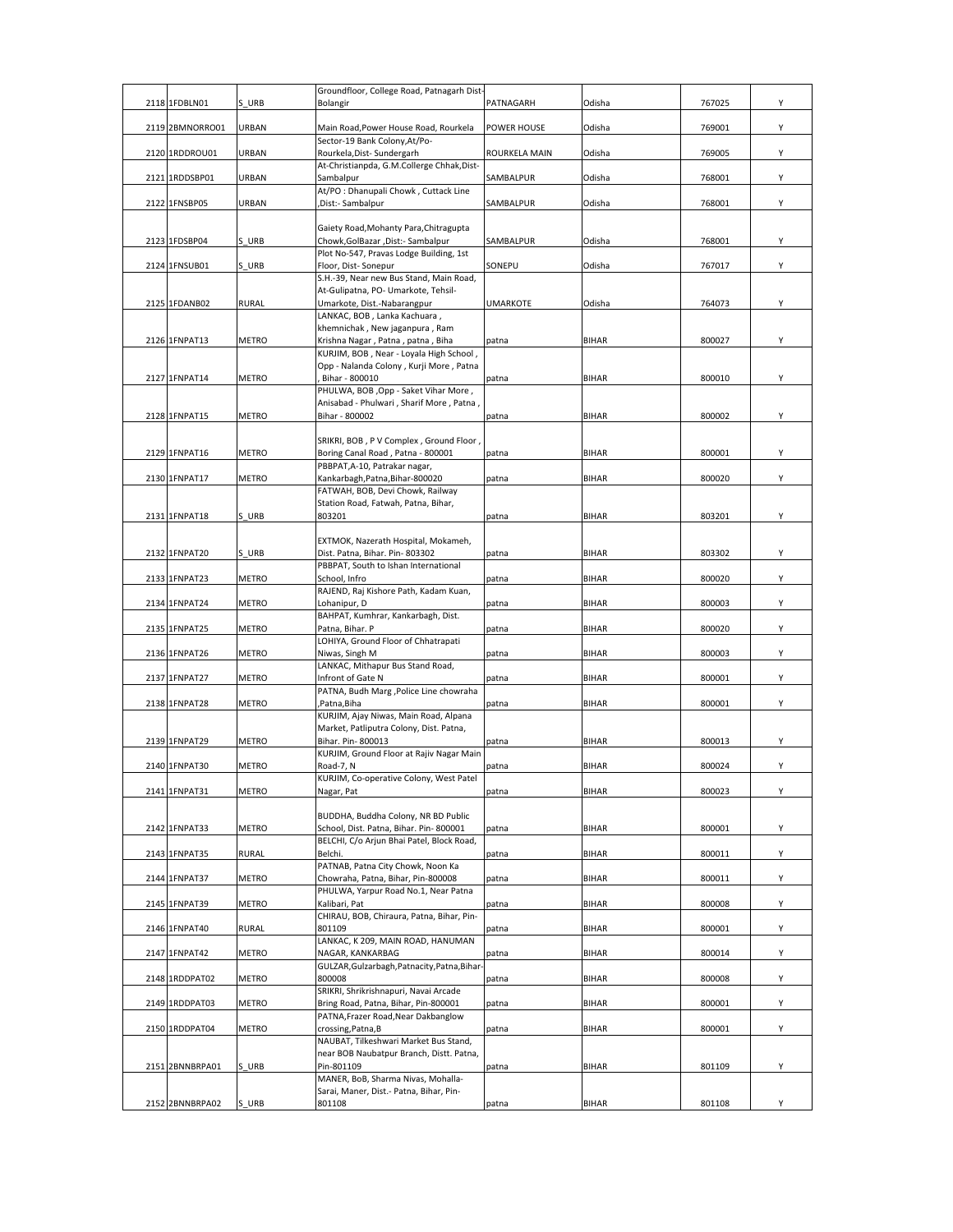| 2118 1FDBLN01   | S URB        | Groundfloor, College Road, Patnagarh Dist-<br>Bolangir                             | PATNAGARH       | Odisha       | 767025 | Υ |
|-----------------|--------------|------------------------------------------------------------------------------------|-----------------|--------------|--------|---|
|                 |              |                                                                                    |                 |              |        |   |
| 2119 2BMNORRO01 | URBAN        | Main Road, Power House Road, Rourkela<br>Sector-19 Bank Colony, At/Po-             | POWER HOUSE     | Odisha       | 769001 | Y |
| 2120 1RDDROU01  | URBAN        | Rourkela, Dist- Sundergarh<br>At-Christianpda, G.M.Collerge Chhak, Dist-           | ROURKELA MAIN   | Odisha       | 769005 | Υ |
| 2121 1RDDSBP01  | URBAN        | Sambalpur                                                                          | SAMBALPUR       | Odisha       | 768001 | Υ |
| 2122 1FNSBP05   | URBAN        | At/PO : Dhanupali Chowk, Cuttack Line<br>Dist:- Sambalpur.                         | SAMBALPUR       | Odisha       | 768001 | Υ |
|                 |              |                                                                                    |                 |              |        |   |
| 2123 1FDSBP04   | S URB        | Gaiety Road, Mohanty Para, Chitragupta<br>Chowk, GolBazar, Dist:- Sambalpur        | SAMBALPUR       | Odisha       | 768001 | Y |
| 2124 1FNSUB01   | S URB        | Plot No-547, Pravas Lodge Building, 1st<br>Floor, Dist-Sonepur                     | SONEPU          | Odisha       | 767017 | Y |
|                 |              | S.H.-39, Near new Bus Stand, Main Road,                                            |                 |              |        |   |
| 2125 1FDANB02   | <b>RURAL</b> | At-Gulipatna, PO- Umarkote, Tehsil-<br>Umarkote, Dist.-Nabarangpur                 | <b>UMARKOTE</b> | Odisha       | 764073 | Υ |
|                 |              | LANKAC, BOB, Lanka Kachuara,<br>khemnichak, New jaganpura, Ram                     |                 |              |        |   |
| 2126 1FNPAT13   | METRO        | Krishna Nagar, Patna, patna, Biha                                                  | patna           | <b>BIHAR</b> | 800027 | Υ |
|                 |              | KURJIM, BOB, Near - Loyala High School,<br>Opp - Nalanda Colony, Kurji More, Patna |                 |              |        |   |
| 2127 1FNPAT14   | METRO        | Bihar - 800010<br>PHULWA, BOB, Opp - Saket Vihar More,                             | patna           | <b>BIHAR</b> | 800010 | Υ |
|                 |              | Anisabad - Phulwari, Sharif More, Patna,                                           |                 |              |        |   |
| 2128 1FNPAT15   | METRO        | Bihar - 800002                                                                     | patna           | <b>BIHAR</b> | 800002 | Υ |
|                 |              | SRIKRI, BOB, P V Complex, Ground Floor,                                            |                 |              |        |   |
| 2129 1FNPAT16   | <b>METRO</b> | Boring Canal Road, Patna - 800001<br>PBBPAT, A-10, Patrakar nagar,                 | patna           | <b>BIHAR</b> | 800001 | Υ |
| 2130 1FNPAT17   | <b>METRO</b> | Kankarbagh, Patna, Bihar-800020<br>FATWAH, BOB, Devi Chowk, Railway                | patna           | <b>BIHAR</b> | 800020 | Υ |
|                 |              | Station Road, Fatwah, Patna, Bihar,                                                |                 |              |        |   |
| 2131 1FNPAT18   | S URB        | 803201                                                                             | patna           | <b>BIHAR</b> | 803201 | Υ |
|                 |              | EXTMOK, Nazerath Hospital, Mokameh,                                                |                 |              |        |   |
| 2132 1FNPAT20   | S URB        | Dist. Patna, Bihar. Pin-803302<br>PBBPAT, South to Ishan International             | patna           | <b>BIHAR</b> | 803302 | Υ |
| 2133 1FNPAT23   | METRO        | School, Infro<br>RAJEND, Raj Kishore Path, Kadam Kuan,                             | patna           | <b>BIHAR</b> | 800020 | Y |
| 2134 1FNPAT24   | METRO        | Lohanipur, D                                                                       | patna           | <b>BIHAR</b> | 800003 | Y |
| 2135 1FNPAT25   | <b>METRO</b> | BAHPAT, Kumhrar, Kankarbagh, Dist.<br>Patna, Bihar. P                              | patna           | <b>BIHAR</b> | 800020 | Υ |
| 2136 1FNPAT26   | METRO        | LOHIYA, Ground Floor of Chhatrapati<br>Niwas, Singh M                              | patna           | <b>BIHAR</b> | 800003 | Υ |
|                 |              | LANKAC, Mithapur Bus Stand Road,                                                   |                 |              |        |   |
| 2137 1FNPAT27   | METRO        | Infront of Gate N<br>PATNA, Budh Marg , Police Line chowraha                       | patna           | <b>BIHAR</b> | 800001 | Y |
| 2138 1FNPAT28   | <b>METRO</b> | ,Patna,Biha<br>KURJIM, Ajay Niwas, Main Road, Alpana                               | patna           | <b>BIHAR</b> | 800001 | Y |
|                 |              | Market, Patliputra Colony, Dist. Patna,                                            |                 |              |        |   |
| 2139 1FNPAT29   | <b>METRO</b> | Bihar. Pin-800013<br>KURJIM, Ground Floor at Rajiv Nagar Main                      | patna           | <b>BIHAR</b> | 800013 | Y |
| 2140 1FNPAT30   | <b>METRO</b> | Road-7, N                                                                          | patna           | <b>BIHAR</b> | 800024 | Υ |
| 2141 1FNPAT31   | <b>METRO</b> | KURJIM, Co-operative Colony, West Patel<br>Nagar, Pat                              | patna           | <b>BIHAR</b> | 800023 | Υ |
|                 |              | BUDDHA, Buddha Colony, NR BD Public                                                |                 |              |        |   |
| 2142 1FNPAT33   | METRO        | School, Dist. Patna, Bihar. Pin-800001                                             | patna           | <b>BIHAR</b> | 800001 | Υ |
| 2143 1FNPAT35   | <b>RURAL</b> | BELCHI, C/o Arjun Bhai Patel, Block Road,<br>Belchi.                               | patna           | <b>BIHAR</b> | 800011 | Υ |
|                 |              | PATNAB, Patna City Chowk, Noon Ka                                                  |                 |              |        |   |
| 2144 1FNPAT37   | METRO        | Chowraha, Patna, Bihar, Pin-800008<br>PHULWA, Yarpur Road No.1, Near Patna         | patna           | <b>BIHAR</b> | 800011 | Υ |
| 2145 1FNPAT39   | <b>METRO</b> | Kalibari, Pat<br>CHIRAU, BOB, Chiraura, Patna, Bihar, Pin-                         | patna           | <b>BIHAR</b> | 800008 | Υ |
| 2146 1FNPAT40   | <b>RURAL</b> | 801109                                                                             | patna           | <b>BIHAR</b> | 800001 | Y |
| 2147 1FNPAT42   | METRO        | LANKAC, K 209, MAIN ROAD, HANUMAN<br>NAGAR, KANKARBAG                              | patna           | <b>BIHAR</b> | 800014 | Υ |
|                 |              | GULZAR, Gulzarbagh, Patnacity, Patna, Bihar-                                       |                 |              |        |   |
| 2148 1RDDPAT02  | <b>METRO</b> | 800008<br>SRIKRI, Shrikrishnapuri, Navai Arcade                                    | patna           | <b>BIHAR</b> | 800008 | Υ |
| 2149 1RDDPAT03  | METRO        | Bring Road, Patna, Bihar, Pin-800001<br>PATNA, Frazer Road, Near Dakbanglow        | patna           | <b>BIHAR</b> | 800001 | Υ |
| 2150 1RDDPAT04  | <b>METRO</b> | crossing, Patna, B                                                                 | patna           | <b>BIHAR</b> | 800001 | Υ |
|                 |              | NAUBAT, Tilkeshwari Market Bus Stand,<br>near BOB Naubatpur Branch, Distt. Patna,  |                 |              |        |   |
| 2151 2BNNBRPA01 | S URB        | Pin-801109                                                                         | patna           | <b>BIHAR</b> | 801109 | Υ |
|                 |              | MANER, BoB, Sharma Nivas, Mohalla-<br>Sarai, Maner, Dist.- Patna, Bihar, Pin-      |                 |              |        |   |
| 2152 2BNNBRPA02 | S URB        | 801108                                                                             | patna           | <b>BIHAR</b> | 801108 | Υ |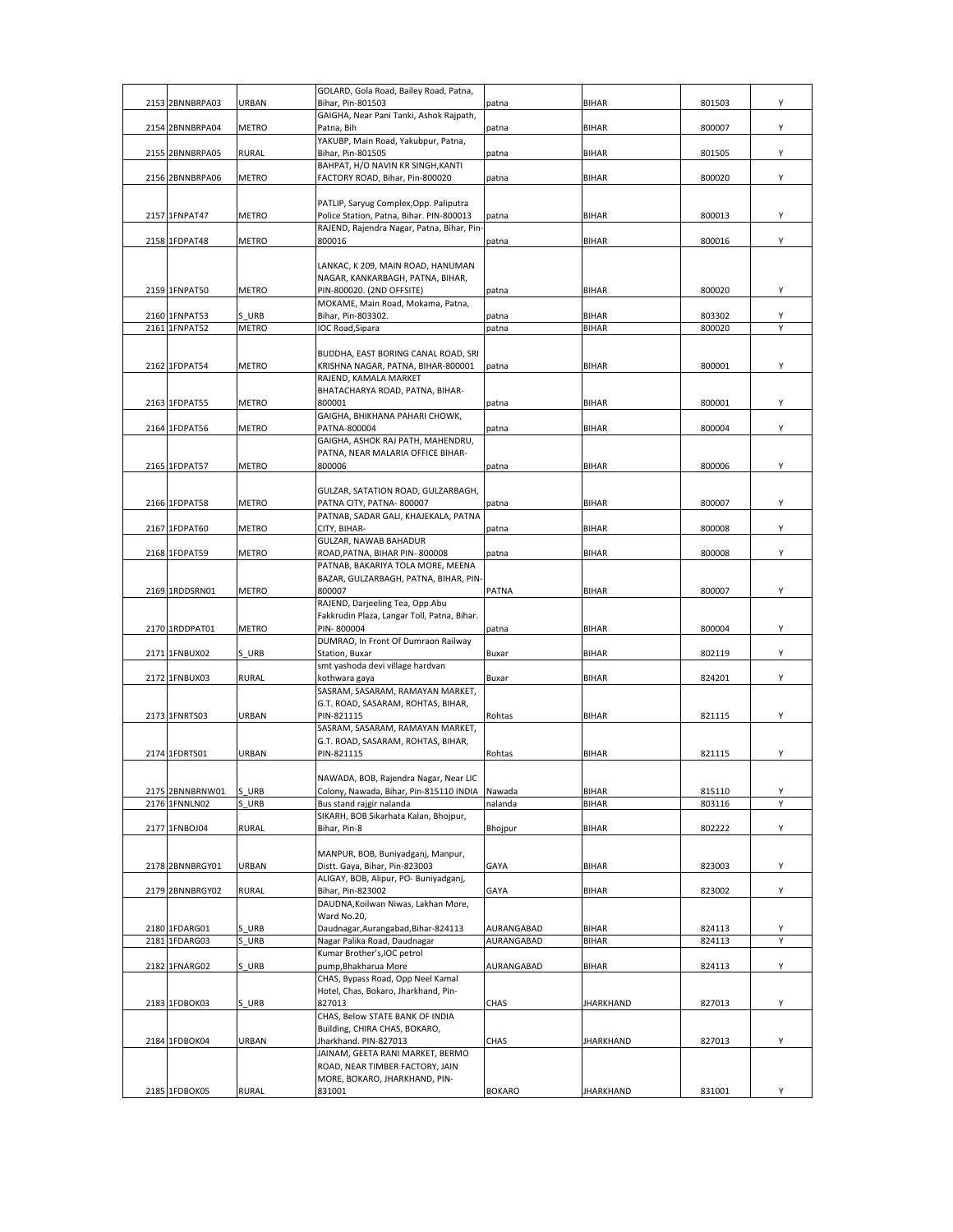| 2153 2BNNBRPA03                | URBAN                 | GOLARD, Gola Road, Bailey Road, Patna,<br>Bihar. Pin-801503                        | patna          | <b>BIHAR</b>                 | 801503           | Υ      |
|--------------------------------|-----------------------|------------------------------------------------------------------------------------|----------------|------------------------------|------------------|--------|
|                                |                       | GAIGHA, Near Pani Tanki, Ashok Rajpath,                                            |                |                              |                  |        |
| 2154 2BNNBRPA04                | <b>METRO</b>          | Patna, Bih                                                                         | patna          | <b>BIHAR</b>                 | 800007           | Υ      |
|                                |                       | YAKUBP, Main Road, Yakubpur, Patna,                                                |                |                              |                  | Υ      |
| 2155 2BNNBRPA05                | <b>RURAL</b>          | Bihar, Pin-801505<br>BAHPAT. H/O NAVIN KR SINGH.KANTI                              | patna          | <b>BIHAR</b>                 | 801505           |        |
| 2156 2BNNBRPA06                | <b>METRO</b>          | FACTORY ROAD, Bihar, Pin-800020                                                    | patna          | <b>BIHAR</b>                 | 800020           | Υ      |
|                                |                       |                                                                                    |                |                              |                  |        |
| 2157 1FNPAT47                  | <b>METRO</b>          | PATLIP, Saryug Complex, Opp. Paliputra<br>Police Station, Patna, Bihar. PIN-800013 | patna          | <b>BIHAR</b>                 | 800013           | Y      |
|                                |                       | RAJEND, Rajendra Nagar, Patna, Bihar, Pin-                                         |                |                              |                  |        |
| 2158 1FDPAT48                  | METRO                 | 800016                                                                             | patna          | <b>BIHAR</b>                 | 800016           | Υ      |
|                                |                       | LANKAC, K 209, MAIN ROAD, HANUMAN                                                  |                |                              |                  |        |
|                                |                       | NAGAR, KANKARBAGH, PATNA, BIHAR,                                                   |                |                              |                  |        |
| 2159 1FNPAT50                  | <b>METRO</b>          | PIN-800020. (2ND OFFSITE)                                                          | patna          | <b>BIHAR</b>                 | 800020           | Y      |
|                                |                       | MOKAME, Main Road, Mokama, Patna,                                                  |                |                              |                  |        |
| 2160 1FNPAT53<br>2161 1FNPAT52 | S URB<br><b>METRO</b> | Bihar, Pin-803302.<br>IOC Road, Sipara                                             | patna<br>patna | <b>BIHAR</b><br><b>BIHAR</b> | 803302<br>800020 | Υ<br>Υ |
|                                |                       |                                                                                    |                |                              |                  |        |
|                                |                       | BUDDHA, EAST BORING CANAL ROAD, SRI                                                |                |                              |                  |        |
| 2162 1FDPAT54                  | <b>METRO</b>          | KRISHNA NAGAR, PATNA, BIHAR-800001<br>RAJEND, KAMALA MARKET                        | patna          | <b>BIHAR</b>                 | 800001           | Υ      |
|                                |                       | BHATACHARYA ROAD, PATNA, BIHAR-                                                    |                |                              |                  |        |
| 2163 1FDPAT55                  | <b>METRO</b>          | 800001                                                                             | patna          | <b>BIHAR</b>                 | 800001           | Υ      |
|                                |                       | GAIGHA, BHIKHANA PAHARI CHOWK,                                                     |                |                              |                  |        |
| 2164 1FDPAT56                  | METRO                 | PATNA-800004<br>GAIGHA, ASHOK RAJ PATH, MAHENDRU,                                  | patna          | <b>BIHAR</b>                 | 800004           | Y      |
|                                |                       | PATNA, NEAR MALARIA OFFICE BIHAR-                                                  |                |                              |                  |        |
| 2165 1FDPAT57                  | METRO                 | 800006                                                                             | patna          | <b>BIHAR</b>                 | 800006           | Υ      |
|                                |                       | GULZAR, SATATION ROAD, GULZARBAGH,                                                 |                |                              |                  |        |
| 2166 1FDPAT58                  | <b>METRO</b>          | PATNA CITY, PATNA-800007                                                           | patna          | <b>BIHAR</b>                 | 800007           | Y      |
|                                |                       | PATNAB, SADAR GALI, KHAJEKALA, PATNA                                               |                |                              |                  |        |
| 2167 1FDPAT60                  | <b>METRO</b>          | CITY, BIHAR-                                                                       | patna          | <b>BIHAR</b>                 | 800008           | Υ      |
| 2168 1FDPAT59                  | METRO                 | GULZAR, NAWAB BAHADUR<br>ROAD, PATNA, BIHAR PIN-800008                             | patna          | <b>BIHAR</b>                 | 800008           | Υ      |
|                                |                       | PATNAB, BAKARIYA TOLA MORE, MEENA                                                  |                |                              |                  |        |
|                                |                       | BAZAR, GULZARBAGH, PATNA, BIHAR, PIN-                                              |                |                              |                  |        |
| 2169 1RDDSRN01                 | <b>METRO</b>          | 800007<br>RAJEND, Darjeeling Tea, Opp.Abu                                          | PATNA          | <b>BIHAR</b>                 | 800007           | Υ      |
|                                |                       | Fakkrudin Plaza, Langar Toll, Patna, Bihar.                                        |                |                              |                  |        |
| 2170 1RDDPAT01                 | <b>METRO</b>          | PIN-800004                                                                         | patna          | <b>BIHAR</b>                 | 800004           | Υ      |
|                                |                       | DUMRAO, In Front Of Dumraon Railway                                                |                |                              |                  |        |
| 2171 1FNBUX02                  | S URB                 | Station, Buxar<br>smt yashoda devi village hardvan                                 | Buxar          | <b>BIHAR</b>                 | 802119           | Υ      |
| 2172 1FNBUX03                  | <b>RURAL</b>          | kothwara gaya                                                                      | Buxar          | <b>BIHAR</b>                 | 824201           | Y      |
|                                |                       | SASRAM, SASARAM, RAMAYAN MARKET,                                                   |                |                              |                  |        |
| 2173 1FNRTS03                  | <b>URBAN</b>          | G.T. ROAD, SASARAM, ROHTAS, BIHAR,<br>PIN-821115                                   | Rohtas         | <b>BIHAR</b>                 | 821115           | Υ      |
|                                |                       | SASRAM, SASARAM, RAMAYAN MARKET,                                                   |                |                              |                  |        |
|                                |                       | G.T. ROAD, SASARAM, ROHTAS, BIHAR,                                                 |                |                              |                  |        |
| 2174 1FDRTS01                  | URBAN                 | PIN-821115                                                                         | Rohtas         | <b>BIHAR</b>                 | 821115           | Υ      |
|                                |                       | NAWADA, BOB, Rajendra Nagar, Near LIC                                              |                |                              |                  |        |
| 2175 2BNNBRNW01                | S URB                 | Colony, Nawada, Bihar, Pin-815110 INDIA                                            | Nawada         | <b>BIHAR</b>                 | 815110           | Υ      |
| 2176 1FNNLN02                  | S URB                 | Bus stand rajgir nalanda                                                           | nalanda        | <b>BIHAR</b>                 | 803116           | Y      |
| 2177 1FNBOJ04                  | <b>RURAL</b>          | SIKARH, BOB Sikarhata Kalan, Bhojpur,<br>Bihar, Pin-8                              | Bhojpur        | <b>BIHAR</b>                 | 802222           | Υ      |
|                                |                       |                                                                                    |                |                              |                  |        |
|                                |                       | MANPUR, BOB, Buniyadganj, Manpur,                                                  |                |                              |                  |        |
| 2178 2BNNBRGY01                | URBAN                 | Distt. Gaya, Bihar, Pin-823003                                                     | GAYA           | <b>BIHAR</b>                 | 823003           | Υ      |
| 2179 2BNNBRGY02                | RURAL                 | ALIGAY, BOB, Alipur, PO- Buniyadganj,<br>Bihar, Pin-823002                         | GAYA           | <b>BIHAR</b>                 | 823002           | Υ      |
|                                |                       | DAUDNA, Koilwan Niwas, Lakhan More,                                                |                |                              |                  |        |
|                                |                       | Ward No.20,                                                                        |                |                              |                  |        |
| 2180 1FDARG01                  | S URB                 | Daudnagar, Aurangabad, Bihar-824113                                                | AURANGABAD     | <b>BIHAR</b>                 | 824113           | Υ      |
| 2181 1FDARG03                  | URB                   | Nagar Palika Road, Daudnagar<br>Kumar Brother's, IOC petrol                        | AURANGABAD     | BIHAR                        | 824113           | Υ      |
| 2182 1FNARG02                  | S URB                 | pump, Bhakharua More                                                               | AURANGABAD     | <b>BIHAR</b>                 | 824113           | Υ      |
|                                |                       | CHAS, Bypass Road, Opp Neel Kamal                                                  |                |                              |                  |        |
|                                |                       | Hotel, Chas, Bokaro, Jharkhand, Pin-                                               |                |                              |                  |        |
| 2183 1FDBOK03                  | S URB                 | 827013<br>CHAS, Below STATE BANK OF INDIA                                          | CHAS           | JHARKHAND                    | 827013           | Υ      |
|                                |                       | Building, CHIRA CHAS, BOKARO,                                                      |                |                              |                  |        |
| 2184 1FDBOK04                  | URBAN                 | Jharkhand. PIN-827013                                                              | CHAS           | <b>JHARKHAND</b>             | 827013           | Υ      |
|                                |                       | JAINAM, GEETA RANI MARKET, BERMO<br>ROAD, NEAR TIMBER FACTORY, JAIN                |                |                              |                  |        |
|                                |                       | MORE, BOKARO, JHARKHAND, PIN-                                                      |                |                              |                  |        |
| 2185 1FDBOK05                  | <b>RURAL</b>          | 831001                                                                             | <b>BOKARO</b>  | <b>JHARKHAND</b>             | 831001           | Y      |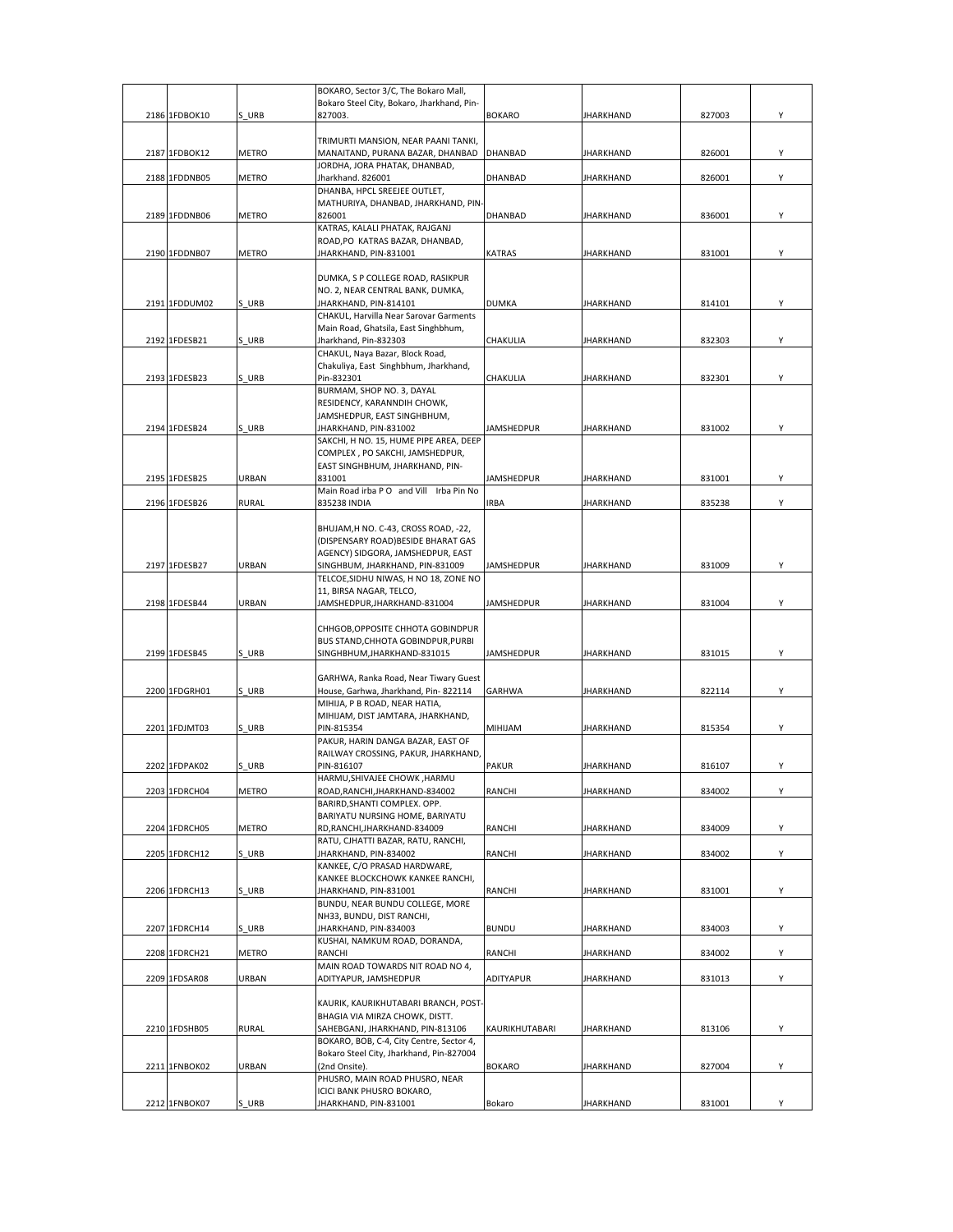|               |              | BOKARO, Sector 3/C, The Bokaro Mall,                                          |                   |                  |        |   |
|---------------|--------------|-------------------------------------------------------------------------------|-------------------|------------------|--------|---|
|               |              | Bokaro Steel City, Bokaro, Jharkhand, Pin-                                    |                   |                  |        |   |
| 2186 1FDBOK10 | S URB        | 827003.                                                                       | <b>BOKARO</b>     | JHARKHAND        | 827003 | Υ |
|               |              |                                                                               |                   |                  |        |   |
|               |              | TRIMURTI MANSION, NEAR PAANI TANKI,                                           |                   |                  |        |   |
| 2187 1FDBOK12 | METRO        | MANAITAND, PURANA BAZAR, DHANBAD                                              | <b>DHANBAD</b>    | JHARKHAND        | 826001 | Υ |
|               |              | JORDHA, JORA PHATAK, DHANBAD,                                                 |                   |                  |        |   |
| 2188 1FDDNB05 | METRO        | Jharkhand. 826001                                                             | DHANBAD           | JHARKHAND        | 826001 | Υ |
|               |              | DHANBA, HPCL SREEJEE OUTLET,                                                  |                   |                  |        |   |
|               |              | MATHURIYA, DHANBAD, JHARKHAND, PIN-                                           |                   |                  |        |   |
| 2189 1FDDNB06 | METRO        | 826001<br>KATRAS, KALALI PHATAK, RAJGANJ                                      | DHANBAD           | JHARKHAND        | 836001 | Y |
|               |              | ROAD, PO KATRAS BAZAR, DHANBAD,                                               |                   |                  |        |   |
| 2190 1FDDNB07 | <b>METRO</b> | JHARKHAND, PIN-831001                                                         | <b>KATRAS</b>     | JHARKHAND        | 831001 | Y |
|               |              |                                                                               |                   |                  |        |   |
|               |              | DUMKA, S P COLLEGE ROAD, RASIKPUR                                             |                   |                  |        |   |
|               |              | NO. 2, NEAR CENTRAL BANK, DUMKA,                                              |                   |                  |        |   |
| 2191 1FDDUM02 | S URB        | JHARKHAND, PIN-814101                                                         | <b>DUMKA</b>      | <b>JHARKHAND</b> | 814101 | Y |
|               |              | CHAKUL, Harvilla Near Sarovar Garments                                        |                   |                  |        |   |
|               |              | Main Road, Ghatsila, East Singhbhum,                                          |                   |                  |        |   |
| 2192 1FDESB21 | S URB        | Jharkhand, Pin-832303                                                         | CHAKULIA          | JHARKHAND        | 832303 | Y |
|               |              | CHAKUL, Naya Bazar, Block Road,                                               |                   |                  |        |   |
| 2193 1FDESB23 | S URB        | Chakuliya, East Singhbhum, Jharkhand,                                         |                   |                  | 832301 | Υ |
|               |              | Pin-832301<br>BURMAM, SHOP NO. 3, DAYAL                                       | CHAKULIA          | JHARKHAND        |        |   |
|               |              | RESIDENCY, KARANNDIH CHOWK,                                                   |                   |                  |        |   |
|               |              | JAMSHEDPUR, EAST SINGHBHUM,                                                   |                   |                  |        |   |
| 2194 1FDESB24 | S URB        | JHARKHAND, PIN-831002                                                         | JAMSHEDPUR        | JHARKHAND        | 831002 | Y |
|               |              | SAKCHI, H NO. 15, HUME PIPE AREA, DEEP                                        |                   |                  |        |   |
|               |              | COMPLEX, PO SAKCHI, JAMSHEDPUR,                                               |                   |                  |        |   |
|               |              | EAST SINGHBHUM, JHARKHAND, PIN-                                               |                   |                  |        |   |
| 2195 1FDESB25 | URBAN        | 831001                                                                        | <b>JAMSHEDPUR</b> | <b>JHARKHAND</b> | 831001 | Y |
|               |              | Main Road irba P O and Vill Irba Pin No                                       |                   |                  |        |   |
| 2196 1FDESB26 | RURAL        | 835238 INDIA                                                                  | <b>IRBA</b>       | JHARKHAND        | 835238 | Υ |
|               |              |                                                                               |                   |                  |        |   |
|               |              | BHUJAM, H NO. C-43, CROSS ROAD, -22,<br>(DISPENSARY ROAD) BESIDE BHARAT GAS   |                   |                  |        |   |
|               |              | AGENCY) SIDGORA, JAMSHEDPUR, EAST                                             |                   |                  |        |   |
| 2197 1FDESB27 | URBAN        | SINGHBUM, JHARKHAND, PIN-831009                                               | JAMSHEDPUR        | JHARKHAND        | 831009 | Υ |
|               |              | TELCOE, SIDHU NIWAS, H NO 18, ZONE NO                                         |                   |                  |        |   |
|               |              | 11, BIRSA NAGAR, TELCO,                                                       |                   |                  |        |   |
| 2198 1FDESB44 | URBAN        | JAMSHEDPUR, JHARKHAND-831004                                                  | JAMSHEDPUR        | JHARKHAND        | 831004 | Y |
|               |              |                                                                               |                   |                  |        |   |
|               |              | CHHGOB, OPPOSITE CHHOTA GOBINDPUR                                             |                   |                  |        |   |
|               |              | BUS STAND, CHHOTA GOBINDPUR, PURBI                                            |                   |                  |        |   |
| 2199 1FDESB45 | S URB        | SINGHBHUM, JHARKHAND-831015                                                   | JAMSHEDPUR        | JHARKHAND        | 831015 | Υ |
|               |              |                                                                               |                   |                  |        |   |
| 2200 1FDGRH01 | S URB        | GARHWA, Ranka Road, Near Tiwary Guest<br>House, Garhwa, Jharkhand, Pin-822114 | GARHWA            | JHARKHAND        | 822114 | Y |
|               |              | MIHIJA, P B ROAD, NEAR HATIA,                                                 |                   |                  |        |   |
|               |              | MIHIJAM, DIST JAMTARA, JHARKHAND,                                             |                   |                  |        |   |
| 2201 1FDJMT03 | S URB        | PIN-815354                                                                    | MIHIJAM           | JHARKHAND        | 815354 | Υ |
|               |              | PAKUR, HARIN DANGA BAZAR, EAST OF                                             |                   |                  |        |   |
|               |              | RAILWAY CROSSING, PAKUR, JHARKHAND,                                           |                   |                  |        |   |
| 2202 1FDPAK02 | S URB        | PIN-816107                                                                    | <b>PAKUR</b>      | JHARKHAND        | 816107 | Υ |
|               |              | HARMU, SHIVAJEE CHOWK, HARMU                                                  |                   |                  |        |   |
| 2203 1FDRCH04 | METRO        | ROAD, RANCHI, JHARKHAND-834002                                                | RANCHI            | <b>JHARKHAND</b> | 834002 | Υ |
|               |              | BARIRD, SHANTI COMPLEX. OPP.                                                  |                   |                  |        |   |
|               | METRO        | BARIYATU NURSING HOME, BARIYATU<br>RD, RANCHI, JHARKHAND-834009               | RANCHI            | <b>JHARKHAND</b> | 834009 | Υ |
| 2204 1FDRCH05 |              | RATU, CJHATTI BAZAR, RATU, RANCHI,                                            |                   |                  |        |   |
| 2205 1FDRCH12 | S URB        | JHARKHAND, PIN-834002                                                         | RANCHI            | JHARKHAND        | 834002 | Y |
|               |              | KANKEE, C/O PRASAD HARDWARE,                                                  |                   |                  |        |   |
|               |              | KANKEE BLOCKCHOWK KANKEE RANCHI,                                              |                   |                  |        |   |
| 2206 1FDRCH13 | S URB        | JHARKHAND, PIN-831001                                                         | RANCHI            | <b>JHARKHAND</b> | 831001 | Υ |
|               |              | BUNDU, NEAR BUNDU COLLEGE, MORE                                               |                   |                  |        |   |
|               |              | NH33, BUNDU, DIST RANCHI,                                                     |                   |                  |        |   |
| 2207 1FDRCH14 | S URB        | JHARKHAND, PIN-834003                                                         | <b>BUNDU</b>      | <b>JHARKHAND</b> | 834003 | Υ |
|               |              | KUSHAI, NAMKUM ROAD, DORANDA,                                                 |                   |                  |        |   |
| 2208 1FDRCH21 | METRO        | RANCHI                                                                        | RANCHI            | JHARKHAND        | 834002 | Υ |
| 2209 1FDSAR08 | URBAN        | MAIN ROAD TOWARDS NIT ROAD NO 4,<br>ADITYAPUR, JAMSHEDPUR                     | ADITYAPUR         | JHARKHAND        | 831013 | Υ |
|               |              |                                                                               |                   |                  |        |   |
|               |              | KAURIK, KAURIKHUTABARI BRANCH, POST-                                          |                   |                  |        |   |
|               |              | BHAGIA VIA MIRZA CHOWK, DISTT.                                                |                   |                  |        |   |
| 2210 1FDSHB05 | RURAL        | SAHEBGANJ, JHARKHAND, PIN-813106                                              | KAURIKHUTABARI    | JHARKHAND        | 813106 | Υ |
|               |              | BOKARO, BOB, C-4, City Centre, Sector 4,                                      |                   |                  |        |   |
|               |              | Bokaro Steel City, Jharkhand, Pin-827004                                      |                   |                  |        |   |
| 2211 1FNBOK02 | URBAN        | (2nd Onsite).                                                                 | <b>BOKARO</b>     | JHARKHAND        | 827004 | Υ |
|               |              | PHUSRO, MAIN ROAD PHUSRO, NEAR                                                |                   |                  |        |   |
|               |              | ICICI BANK PHUSRO BOKARO,                                                     |                   |                  |        |   |
| 2212 1FNBOK07 | S_URB        | JHARKHAND, PIN-831001                                                         | Bokaro            | JHARKHAND        | 831001 | Y |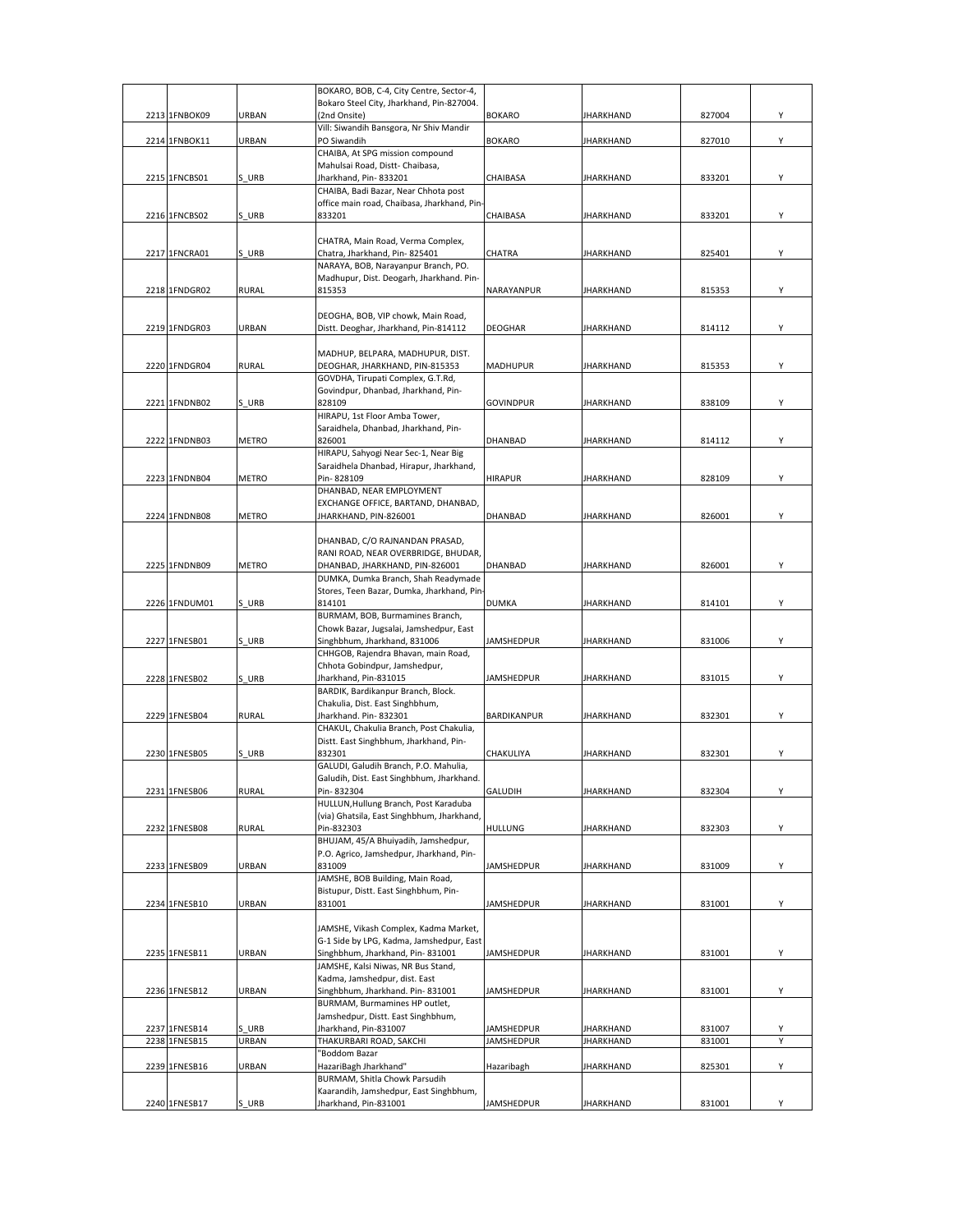|               |              | BOKARO, BOB, C-4, City Centre, Sector-4,                 |                   |                  |        |   |
|---------------|--------------|----------------------------------------------------------|-------------------|------------------|--------|---|
|               |              | Bokaro Steel City, Jharkhand, Pin-827004.                |                   |                  |        |   |
| 2213 1FNBOK09 | URBAN        | (2nd Onsite)                                             | <b>BOKARO</b>     | <b>JHARKHAND</b> | 827004 | Υ |
|               |              | Vill: Siwandih Bansgora, Nr Shiv Mandir                  |                   |                  |        |   |
| 2214 1FNBOK11 | <b>URBAN</b> | PO Siwandih                                              | <b>BOKARO</b>     | <b>JHARKHAND</b> | 827010 | Υ |
|               |              | CHAIBA, At SPG mission compound                          |                   |                  |        |   |
|               |              | Mahulsai Road, Distt- Chaibasa,<br>Jharkhand, Pin-833201 |                   |                  |        |   |
| 2215 1FNCBS01 | S URB        |                                                          | CHAIBASA          | <b>JHARKHAND</b> | 833201 | Υ |
|               |              | CHAIBA, Badi Bazar, Near Chhota post                     |                   |                  |        |   |
| 2216 1FNCBS02 | S URB        | office main road, Chaibasa, Jharkhand, Pin-<br>833201    | CHAIBASA          | <b>JHARKHAND</b> | 833201 | Υ |
|               |              |                                                          |                   |                  |        |   |
|               |              | CHATRA, Main Road, Verma Complex,                        |                   |                  |        |   |
| 2217 1FNCRA01 | S URB        | Chatra, Jharkhand, Pin-825401                            | CHATRA            | <b>JHARKHAND</b> | 825401 | Y |
|               |              | NARAYA, BOB, Narayanpur Branch, PO.                      |                   |                  |        |   |
|               |              | Madhupur, Dist. Deogarh, Jharkhand. Pin-                 |                   |                  |        |   |
| 2218 1FNDGR02 | <b>RURAL</b> | 815353                                                   | NARAYANPUR        | <b>JHARKHAND</b> | 815353 | Υ |
|               |              |                                                          |                   |                  |        |   |
|               |              | DEOGHA, BOB, VIP chowk, Main Road,                       |                   |                  |        |   |
| 2219 1FNDGR03 | URBAN        | Distt. Deoghar, Jharkhand, Pin-814112                    | DEOGHAR           | <b>JHARKHAND</b> | 814112 | Υ |
|               |              |                                                          |                   |                  |        |   |
|               |              | MADHUP, BELPARA, MADHUPUR, DIST.                         |                   |                  |        |   |
| 2220 1FNDGR04 | <b>RURAL</b> | DEOGHAR, JHARKHAND, PIN-815353                           | MADHUPUR          | <b>JHARKHAND</b> | 815353 | Υ |
|               |              | GOVDHA, Tirupati Complex, G.T.Rd,                        |                   |                  |        |   |
|               |              | Govindpur, Dhanbad, Jharkhand, Pin-                      |                   |                  |        |   |
| 2221 1FNDNB02 | S URB        | 828109                                                   | <b>GOVINDPUR</b>  | <b>JHARKHAND</b> | 838109 | Υ |
|               |              | HIRAPU, 1st Floor Amba Tower,                            |                   |                  |        |   |
|               |              | Saraidhela, Dhanbad, Jharkhand, Pin-                     |                   |                  |        |   |
| 2222 1FNDNB03 | <b>METRO</b> | 826001                                                   | DHANBAD           | <b>JHARKHAND</b> | 814112 | Υ |
|               |              | HIRAPU, Sahyogi Near Sec-1, Near Big                     |                   |                  |        |   |
|               |              | Saraidhela Dhanbad, Hirapur, Jharkhand,                  |                   |                  |        |   |
| 2223 1FNDNB04 | <b>METRO</b> | Pin-828109                                               | <b>HIRAPUR</b>    | <b>JHARKHAND</b> | 828109 | Υ |
|               |              | DHANBAD, NEAR EMPLOYMENT                                 |                   |                  |        |   |
|               |              | EXCHANGE OFFICE, BARTAND, DHANBAD,                       |                   |                  |        |   |
| 2224 1FNDNB08 | METRO        | JHARKHAND, PIN-826001                                    | DHANBAD           | <b>JHARKHAND</b> | 826001 | Υ |
|               |              |                                                          |                   |                  |        |   |
|               |              | DHANBAD, C/O RAJNANDAN PRASAD,                           |                   |                  |        |   |
|               |              | RANI ROAD, NEAR OVERBRIDGE, BHUDAR,                      |                   |                  |        |   |
| 2225 1FNDNB09 | METRO        | DHANBAD, JHARKHAND, PIN-826001                           | DHANBAD           | <b>JHARKHAND</b> | 826001 | Υ |
|               |              | DUMKA, Dumka Branch, Shah Readymade                      |                   |                  |        |   |
|               |              | Stores, Teen Bazar, Dumka, Jharkhand, Pin-               |                   |                  |        |   |
| 2226 1FNDUM01 | S URB        | 814101                                                   | DUMKA             | <b>JHARKHAND</b> | 814101 | Υ |
|               |              | BURMAM, BOB, Burmamines Branch,                          |                   |                  |        |   |
|               |              | Chowk Bazar, Jugsalai, Jamshedpur, East                  |                   |                  |        |   |
| 2227 1FNESB01 | S URB        | Singhbhum, Jharkhand, 831006                             | JAMSHEDPUR        | JHARKHAND        | 831006 | Υ |
|               |              | CHHGOB, Rajendra Bhavan, main Road,                      |                   |                  |        |   |
|               |              | Chhota Gobindpur, Jamshedpur,                            |                   |                  |        |   |
| 2228 1FNESB02 | S URB        | Jharkhand, Pin-831015                                    | JAMSHEDPUR        | <b>JHARKHAND</b> | 831015 | Υ |
|               |              | BARDIK, Bardikanpur Branch, Block.                       |                   |                  |        |   |
|               |              | Chakulia, Dist. East Singhbhum,                          |                   |                  |        |   |
| 2229 1FNESB04 | RURAL        | Jharkhand. Pin-832301                                    | BARDIKANPUR       | <b>JHARKHAND</b> | 832301 | Υ |
|               |              | CHAKUL, Chakulia Branch, Post Chakulia,                  |                   |                  |        |   |
|               |              | Distt. East Singhbhum, Jharkhand, Pin-                   |                   |                  |        |   |
| 2230 1FNESB05 | S URB        | 832301                                                   | CHAKULIYA         | JHARKHAND        | 832301 | Υ |
|               |              | GALUDI, Galudih Branch, P.O. Mahulia,                    |                   |                  |        |   |
|               |              | Galudih, Dist. East Singhbhum, Jharkhand.                |                   |                  |        |   |
| 2231 1FNESB06 | <b>RURAL</b> | Pin-832304                                               | GALUDIH           | <b>JHARKHAND</b> | 832304 | Υ |
|               |              | HULLUN, Hullung Branch, Post Karaduba                    |                   |                  |        |   |
|               |              | (via) Ghatsila, East Singhbhum, Jharkhand,               |                   |                  |        |   |
| 2232 1FNESB08 | <b>RURAL</b> | Pin-832303                                               | HULLUNG           | <b>JHARKHAND</b> | 832303 | Υ |
|               |              | BHUJAM, 45/A Bhuiyadih, Jamshedpur,                      |                   |                  |        |   |
|               |              | P.O. Agrico, Jamshedpur, Jharkhand, Pin-                 |                   |                  |        |   |
| 2233 1FNESB09 | <b>URBAN</b> | 831009                                                   | <b>JAMSHEDPUR</b> | <b>JHARKHAND</b> | 831009 | Υ |
|               |              | JAMSHE, BOB Building, Main Road,                         |                   |                  |        |   |
|               |              | Bistupur, Distt. East Singhbhum, Pin-                    |                   |                  |        |   |
| 2234 1FNESB10 | URBAN        | 831001                                                   | <b>JAMSHEDPUR</b> | <b>JHARKHAND</b> | 831001 | Y |
|               |              |                                                          |                   |                  |        |   |
|               |              | JAMSHE, Vikash Complex, Kadma Market,                    |                   |                  |        |   |
|               |              | G-1 Side by LPG, Kadma, Jamshedpur, East                 |                   |                  |        |   |
| 2235 1FNESB11 | URBAN        | Singhbhum, Jharkhand, Pin-831001                         | JAMSHEDPUR        | <b>JHARKHAND</b> | 831001 | Y |
|               |              | JAMSHE, Kalsi Niwas, NR Bus Stand,                       |                   |                  |        |   |
|               |              | Kadma, Jamshedpur, dist. East                            |                   |                  |        |   |
| 2236 1FNESB12 | URBAN        | Singhbhum, Jharkhand. Pin-831001                         | JAMSHEDPUR        | <b>JHARKHAND</b> | 831001 | Υ |
|               |              | BURMAM, Burmamines HP outlet,                            |                   |                  |        |   |
|               |              | Jamshedpur, Distt. East Singhbhum,                       |                   |                  |        |   |
| 2237 1FNESB14 | S URB        | Jharkhand, Pin-831007                                    | JAMSHEDPUR        | <b>JHARKHAND</b> | 831007 | Υ |
| 2238 1FNESB15 | URBAN        | THAKURBARI ROAD, SAKCHI                                  | <b>JAMSHEDPUR</b> | <b>JHARKHAND</b> | 831001 | Υ |
|               |              | "Boddom Bazar                                            |                   |                  |        |   |
| 2239 1FNESB16 | URBAN        | HazariBagh Jharkhand"                                    | Hazaribagh        | <b>JHARKHAND</b> | 825301 | Υ |
|               |              | BURMAM, Shitla Chowk Parsudih                            |                   |                  |        |   |
|               |              | Kaarandih, Jamshedpur, East Singhbhum,                   |                   |                  |        |   |
| 2240 1FNESB17 | S URB        | Jharkhand, Pin-831001                                    | JAMSHEDPUR        | <b>JHARKHAND</b> | 831001 | Υ |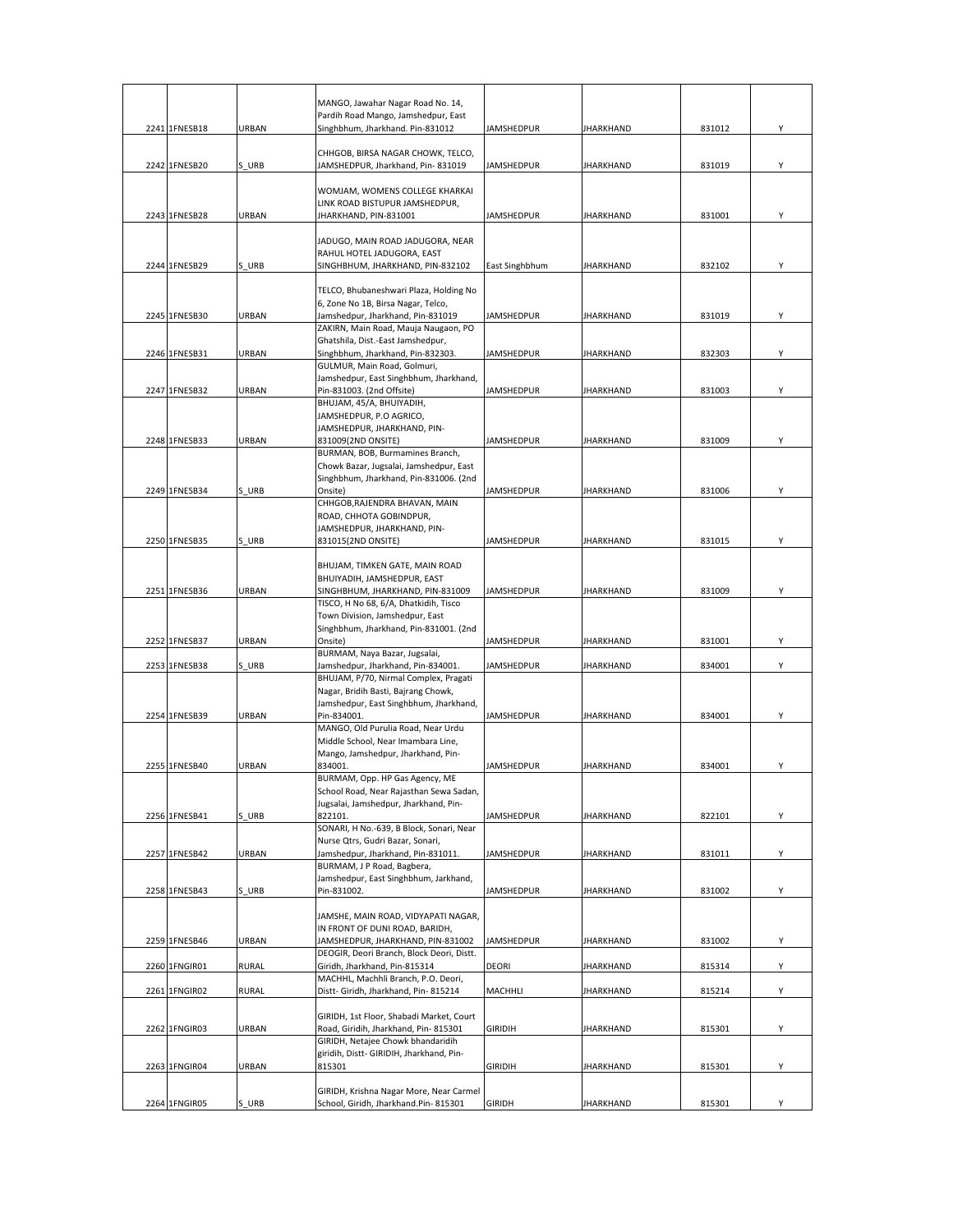|               |              | MANGO, Jawahar Nagar Road No. 14,<br>Pardih Road Mango, Jamshedpur, East          |                   |                  |        |   |
|---------------|--------------|-----------------------------------------------------------------------------------|-------------------|------------------|--------|---|
| 2241 1FNESB18 | URBAN        | Singhbhum, Jharkhand. Pin-831012                                                  | JAMSHEDPUR        | <b>JHARKHAND</b> | 831012 | Υ |
|               |              |                                                                                   |                   |                  |        |   |
| 2242 1FNESB20 | S URB        | CHHGOB, BIRSA NAGAR CHOWK, TELCO,<br>JAMSHEDPUR, Jharkhand, Pin-831019            | JAMSHEDPUR        | <b>JHARKHAND</b> | 831019 | Y |
|               |              |                                                                                   |                   |                  |        |   |
|               |              | WOMJAM, WOMENS COLLEGE KHARKAI                                                    |                   |                  |        |   |
| 2243 1FNESB28 | URBAN        | LINK ROAD BISTUPUR JAMSHEDPUR,<br>JHARKHAND, PIN-831001                           | <b>JAMSHEDPUR</b> | <b>JHARKHAND</b> | 831001 | Y |
|               |              |                                                                                   |                   |                  |        |   |
|               |              | JADUGO, MAIN ROAD JADUGORA, NEAR                                                  |                   |                  |        |   |
| 2244 1FNESB29 | S URB        | RAHUL HOTEL JADUGORA, EAST<br>SINGHBHUM, JHARKHAND, PIN-832102                    | East Singhbhum    | <b>JHARKHAND</b> | 832102 | Υ |
|               |              |                                                                                   |                   |                  |        |   |
|               |              | TELCO, Bhubaneshwari Plaza, Holding No                                            |                   |                  |        |   |
| 2245 1FNESB30 | <b>URBAN</b> | 6, Zone No 1B, Birsa Nagar, Telco,<br>Jamshedpur, Jharkhand, Pin-831019           | JAMSHEDPUR        | JHARKHAND        | 831019 | Υ |
|               |              | ZAKIRN, Main Road, Mauja Naugaon, PO                                              |                   |                  |        |   |
|               |              | Ghatshila, Dist.-East Jamshedpur,                                                 |                   |                  |        |   |
| 2246 1FNESB31 | URBAN        | Singhbhum, Jharkhand, Pin-832303.                                                 | JAMSHEDPUR        | JHARKHAND        | 832303 | Υ |
|               |              | GULMUR, Main Road, Golmuri,<br>Jamshedpur, East Singhbhum, Jharkhand,             |                   |                  |        |   |
| 2247 1FNESB32 | URBAN        | Pin-831003. (2nd Offsite)                                                         | JAMSHEDPUR        | <b>JHARKHAND</b> | 831003 | Υ |
|               |              | BHUJAM, 45/A, BHUIYADIH,                                                          |                   |                  |        |   |
|               |              | JAMSHEDPUR, P.O AGRICO,<br>JAMSHEDPUR, JHARKHAND, PIN-                            |                   |                  |        |   |
| 2248 1FNESB33 | URBAN        | 831009(2ND ONSITE)                                                                | JAMSHEDPUR        | <b>JHARKHAND</b> | 831009 | Y |
|               |              | BURMAN, BOB, Burmamines Branch,                                                   |                   |                  |        |   |
|               |              | Chowk Bazar, Jugsalai, Jamshedpur, East<br>Singhbhum, Jharkhand, Pin-831006. (2nd |                   |                  |        |   |
| 2249 1FNESB34 | S URB        | Onsite)                                                                           | <b>JAMSHEDPUR</b> | <b>JHARKHAND</b> | 831006 | Υ |
|               |              | CHHGOB, RAJENDRA BHAVAN, MAIN                                                     |                   |                  |        |   |
|               |              | ROAD, CHHOTA GOBINDPUR,                                                           |                   |                  |        |   |
| 2250 1FNESB35 | S URB        | JAMSHEDPUR, JHARKHAND, PIN-<br>831015(2ND ONSITE)                                 | JAMSHEDPUR        | <b>JHARKHAND</b> | 831015 | Y |
|               |              |                                                                                   |                   |                  |        |   |
|               |              | BHUJAM, TIMKEN GATE, MAIN ROAD                                                    |                   |                  |        |   |
| 2251 1FNESB36 | <b>URBAN</b> | BHUIYADIH, JAMSHEDPUR, EAST<br>SINGHBHUM, JHARKHAND, PIN-831009                   | <b>JAMSHEDPUR</b> | <b>JHARKHAND</b> | 831009 | Y |
|               |              | TISCO, H No 68, 6/A, Dhatkidih, Tisco                                             |                   |                  |        |   |
|               |              | Town Division, Jamshedpur, East                                                   |                   |                  |        |   |
| 2252 1FNESB37 | URBAN        | Singhbhum, Jharkhand, Pin-831001. (2nd<br>Onsite)                                 | <b>JAMSHEDPUR</b> | <b>JHARKHAND</b> | 831001 | Υ |
|               |              | BURMAM, Naya Bazar, Jugsalai,                                                     |                   |                  |        |   |
| 2253 1FNESB38 | S URB        | Jamshedpur, Jharkhand, Pin-834001.                                                | <b>JAMSHEDPUR</b> | <b>JHARKHAND</b> | 834001 | Y |
|               |              | BHUJAM, P/70, Nirmal Complex, Pragati<br>Nagar, Bridih Basti, Bajrang Chowk,      |                   |                  |        |   |
|               |              | Jamshedpur, East Singhbhum, Jharkhand,                                            |                   |                  |        |   |
| 2254 1FNESB39 | URBAN        | Pin-834001.                                                                       | <b>JAMSHEDPUR</b> | <b>JHARKHAND</b> | 834001 | Υ |
|               |              | MANGO, Old Purulia Road, Near Urdu<br>Middle School, Near Imambara Line,          |                   |                  |        |   |
|               |              | Mango, Jamshedpur, Jharkhand, Pin-                                                |                   |                  |        |   |
| 2255 1FNESB40 | URBAN        | 834001.                                                                           | JAMSHEDPUR        | JHARKHAND        | 834001 | Y |
|               |              | BURMAM, Opp. HP Gas Agency, ME                                                    |                   |                  |        |   |
|               |              | School Road, Near Rajasthan Sewa Sadan,<br>Jugsalai, Jamshedpur, Jharkhand, Pin-  |                   |                  |        |   |
| 2256 1FNESB41 | S URB        | 822101.                                                                           | <b>JAMSHEDPUR</b> | <b>JHARKHAND</b> | 822101 | Υ |
|               |              | SONARI, H No.-639, B Block, Sonari, Near                                          |                   |                  |        |   |
| 2257 1FNESB42 | URBAN        | Nurse Qtrs, Gudri Bazar, Sonari,<br>Jamshedpur, Jharkhand, Pin-831011.            | <b>JAMSHEDPUR</b> | <b>JHARKHAND</b> | 831011 | Υ |
|               |              | BURMAM, J P Road, Bagbera,                                                        |                   |                  |        |   |
|               |              | Jamshedpur, East Singhbhum, Jarkhand,                                             |                   |                  |        |   |
| 2258 1FNESB43 | S URB        | Pin-831002.                                                                       | <b>JAMSHEDPUR</b> | <b>JHARKHAND</b> | 831002 | Υ |
|               |              | JAMSHE, MAIN ROAD, VIDYAPATI NAGAR,                                               |                   |                  |        |   |
|               |              | IN FRONT OF DUNI ROAD, BARIDH,                                                    |                   |                  |        |   |
| 2259 1FNESB46 | URBAN        | JAMSHEDPUR, JHARKHAND, PIN-831002<br>DEOGIR, Deori Branch, Block Deori, Distt.    | JAMSHEDPUR        | <b>JHARKHAND</b> | 831002 | Y |
| 2260 1FNGIR01 | RURAL        | Giridh, Jharkhand, Pin-815314                                                     | DEORI             | <b>JHARKHAND</b> | 815314 | Υ |
|               |              | MACHHL, Machhli Branch, P.O. Deori,                                               |                   |                  |        |   |
| 2261 1FNGIR02 | <b>RURAL</b> | Distt- Giridh, Jharkhand, Pin- 815214                                             | MACHHLI           | <b>JHARKHAND</b> | 815214 | Υ |
|               |              | GIRIDH, 1st Floor, Shabadi Market, Court                                          |                   |                  |        |   |
| 2262 1FNGIR03 | URBAN        | Road, Giridih, Jharkhand, Pin-815301                                              | <b>GIRIDIH</b>    | <b>JHARKHAND</b> | 815301 | Υ |
|               |              | GIRIDH, Netajee Chowk bhandaridih                                                 |                   |                  |        |   |
| 2263 1FNGIR04 | URBAN        | giridih, Distt- GIRIDIH, Jharkhand, Pin-<br>815301                                | <b>GIRIDIH</b>    | <b>JHARKHAND</b> | 815301 | Υ |
|               |              |                                                                                   |                   |                  |        |   |
| 2264 1FNGIR05 | S URB        | GIRIDH, Krishna Nagar More, Near Carmel                                           |                   |                  |        | Υ |
|               |              | School, Giridh, Jharkhand.Pin-815301                                              | <b>GIRIDH</b>     | <b>JHARKHAND</b> | 815301 |   |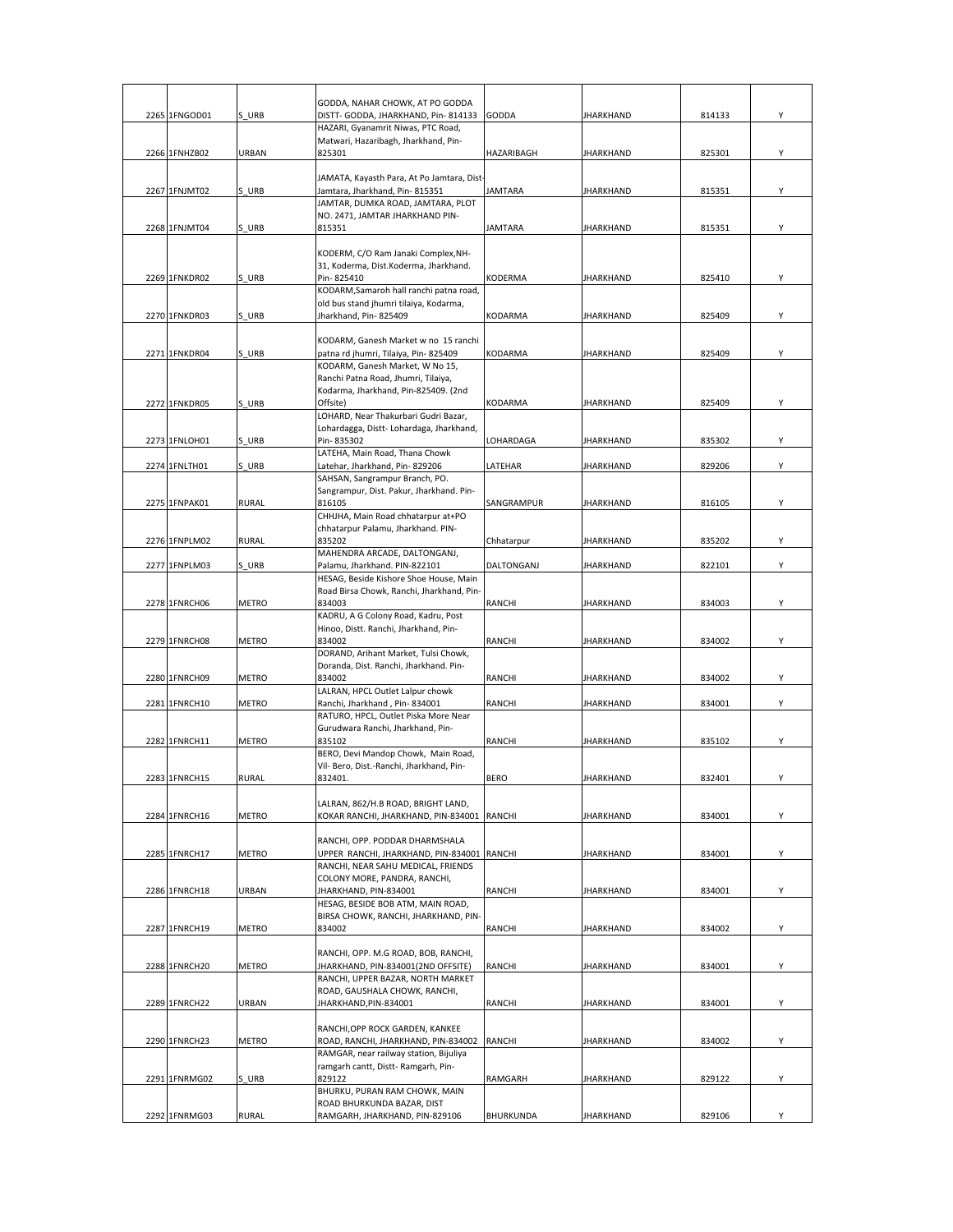|               |              | GODDA, NAHAR CHOWK, AT PO GODDA                                              |                |                  |        |   |
|---------------|--------------|------------------------------------------------------------------------------|----------------|------------------|--------|---|
| 2265 1FNGOD01 | S URB        | DISTT- GODDA, JHARKHAND, Pin-814133                                          | <b>GODDA</b>   | <b>JHARKHAND</b> | 814133 | Υ |
|               |              | HAZARI, Gyanamrit Niwas, PTC Road,                                           |                |                  |        |   |
|               |              | Matwari, Hazaribagh, Jharkhand, Pin-                                         |                |                  |        |   |
| 2266 1FNHZB02 | URBAN        | 825301                                                                       | HAZARIBAGH     | <b>JHARKHAND</b> | 825301 | Υ |
|               |              | JAMATA, Kayasth Para, At Po Jamtara, Dist-                                   |                |                  |        |   |
| 2267 1FNJMT02 | S URB        | Jamtara, Jharkhand, Pin-815351                                               | JAMTARA        | <b>JHARKHAND</b> | 815351 | Υ |
|               |              | JAMTAR, DUMKA ROAD, JAMTARA, PLOT                                            |                |                  |        |   |
|               |              | NO. 2471, JAMTAR JHARKHAND PIN-                                              |                |                  |        |   |
| 2268 1FNJMT04 | S URB        | 815351                                                                       | <b>JAMTARA</b> | <b>JHARKHAND</b> | 815351 | Υ |
|               |              | KODERM, C/O Ram Janaki Complex, NH-                                          |                |                  |        |   |
|               |              | 31, Koderma, Dist.Koderma, Jharkhand.                                        |                |                  |        |   |
| 2269 1FNKDR02 | S URB        | Pin-825410                                                                   | KODERMA        | <b>JHARKHAND</b> | 825410 | Υ |
|               |              | KODARM, Samaroh hall ranchi patna road,                                      |                |                  |        |   |
|               |              | old bus stand jhumri tilaiya, Kodarma,                                       |                |                  |        |   |
| 2270 1FNKDR03 | S URB        | Jharkhand, Pin-825409                                                        | KODARMA        | <b>JHARKHAND</b> | 825409 | Υ |
|               |              | KODARM, Ganesh Market w no 15 ranchi                                         |                |                  |        |   |
| 2271 1FNKDR04 | S URB        | patna rd jhumri, Tilaiya, Pin- 825409                                        | KODARMA        | <b>JHARKHAND</b> | 825409 | Y |
|               |              | KODARM, Ganesh Market, W No 15,                                              |                |                  |        |   |
|               |              | Ranchi Patna Road, Jhumri, Tilaiya,                                          |                |                  |        |   |
| 2272 1FNKDR05 | S URB        | Kodarma, Jharkhand, Pin-825409. (2nd<br>Offsite)                             | KODARMA        | <b>JHARKHAND</b> | 825409 | Y |
|               |              | LOHARD, Near Thakurbari Gudri Bazar,                                         |                |                  |        |   |
|               |              | Lohardagga, Distt- Lohardaga, Jharkhand,                                     |                |                  |        |   |
| 2273 1FNLOH01 | S URB        | Pin-835302                                                                   | LOHARDAGA      | <b>JHARKHAND</b> | 835302 | Y |
|               |              | LATEHA, Main Road, Thana Chowk                                               |                |                  |        |   |
| 2274 1FNLTH01 | S URB        | Latehar, Jharkhand, Pin- 829206<br>SAHSAN, Sangrampur Branch, PO.            | LATEHAR        | <b>JHARKHAND</b> | 829206 | Υ |
|               |              | Sangrampur, Dist. Pakur, Jharkhand. Pin-                                     |                |                  |        |   |
| 2275 1FNPAK01 | RURAL        | 816105                                                                       | SANGRAMPUR     | <b>JHARKHAND</b> | 816105 | Y |
|               |              | CHHJHA, Main Road chhatarpur at+PO                                           |                |                  |        |   |
|               |              | chhatarpur Palamu, Jharkhand. PIN-                                           |                |                  |        |   |
| 2276 1FNPLM02 | RURAL        | 835202<br>MAHENDRA ARCADE, DALTONGANJ,                                       | Chhatarpur     | <b>JHARKHAND</b> | 835202 | Υ |
| 2277 1FNPLM03 | S URB        | Palamu, Jharkhand. PIN-822101                                                | DALTONGANJ     | <b>JHARKHAND</b> | 822101 | Υ |
|               |              | HESAG, Beside Kishore Shoe House, Main                                       |                |                  |        |   |
|               |              | Road Birsa Chowk, Ranchi, Jharkhand, Pin-                                    |                |                  |        |   |
| 2278 1FNRCH06 | <b>METRO</b> | 834003                                                                       | RANCHI         | <b>JHARKHAND</b> | 834003 | Υ |
|               |              | KADRU, A G Colony Road, Kadru, Post                                          |                |                  |        |   |
| 2279 1FNRCH08 | <b>METRO</b> | Hinoo, Distt. Ranchi, Jharkhand, Pin-<br>834002                              | RANCHI         | <b>JHARKHAND</b> | 834002 | Υ |
|               |              | DORAND, Arihant Market, Tulsi Chowk,                                         |                |                  |        |   |
|               |              | Doranda, Dist. Ranchi, Jharkhand. Pin-                                       |                |                  |        |   |
| 2280 1FNRCH09 | METRO        | 834002                                                                       | RANCHI         | <b>JHARKHAND</b> | 834002 | Υ |
|               |              | LALRAN, HPCL Outlet Lalpur chowk                                             |                | <b>JHARKHAND</b> |        | Y |
| 2281 1FNRCH10 | <b>METRO</b> | Ranchi, Jharkhand, Pin-834001<br>RATURO, HPCL, Outlet Piska More Near        | RANCHI         |                  | 834001 |   |
|               |              | Gurudwara Ranchi, Jharkhand, Pin-                                            |                |                  |        |   |
| 2282 1FNRCH11 | <b>METRO</b> | 835102                                                                       | RANCHI         | <b>JHARKHAND</b> | 835102 | Υ |
|               |              | BERO, Devi Mandop Chowk, Main Road,                                          |                |                  |        |   |
| 2283 1FNRCH15 | <b>RURAL</b> | Vil- Bero, Dist.-Ranchi, Jharkhand, Pin-<br>832401.                          | <b>BERO</b>    | <b>JHARKHAND</b> | 832401 | Υ |
|               |              |                                                                              |                |                  |        |   |
|               |              | LALRAN, 862/H.B ROAD, BRIGHT LAND,                                           |                |                  |        |   |
| 2284 1FNRCH16 | <b>METRO</b> | KOKAR RANCHI, JHARKHAND, PIN-834001 RANCHI                                   |                | <b>JHARKHAND</b> | 834001 | Y |
|               |              |                                                                              |                |                  |        |   |
| 2285 1FNRCH17 | <b>METRO</b> | RANCHI, OPP. PODDAR DHARMSHALA<br>UPPER RANCHI, JHARKHAND, PIN-834001 RANCHI |                | <b>JHARKHAND</b> | 834001 | Υ |
|               |              | RANCHI, NEAR SAHU MEDICAL, FRIENDS                                           |                |                  |        |   |
|               |              | COLONY MORE, PANDRA, RANCHI,                                                 |                |                  |        |   |
| 2286 1FNRCH18 | URBAN        | JHARKHAND, PIN-834001                                                        | RANCHI         | <b>JHARKHAND</b> | 834001 | Υ |
|               |              | HESAG, BESIDE BOB ATM, MAIN ROAD,                                            |                |                  |        |   |
| 2287 1FNRCH19 | <b>METRO</b> | BIRSA CHOWK, RANCHI, JHARKHAND, PIN-<br>834002                               | RANCHI         | <b>JHARKHAND</b> | 834002 | Υ |
|               |              |                                                                              |                |                  |        |   |
|               |              | RANCHI, OPP. M.G ROAD, BOB, RANCHI,                                          |                |                  |        |   |
| 2288 1FNRCH20 | METRO        | JHARKHAND, PIN-834001(2ND OFFSITE)                                           | RANCHI         | <b>JHARKHAND</b> | 834001 | Υ |
|               |              | RANCHI, UPPER BAZAR, NORTH MARKET                                            |                |                  |        |   |
| 2289 1FNRCH22 | URBAN        | ROAD, GAUSHALA CHOWK, RANCHI,<br>JHARKHAND, PIN-834001                       | RANCHI         | <b>JHARKHAND</b> | 834001 | Υ |
|               |              |                                                                              |                |                  |        |   |
|               |              | RANCHI, OPP ROCK GARDEN, KANKEE                                              |                |                  |        |   |
| 2290 1FNRCH23 | <b>METRO</b> | ROAD, RANCHI, JHARKHAND, PIN-834002 RANCHI                                   |                | <b>JHARKHAND</b> | 834002 | Υ |
|               |              | RAMGAR, near railway station, Bijuliya<br>ramgarh cantt, Distt-Ramgarh, Pin- |                |                  |        |   |
| 2291 1FNRMG02 | S URB        | 829122                                                                       | RAMGARH        | <b>JHARKHAND</b> | 829122 | Υ |
|               |              | BHURKU, PURAN RAM CHOWK, MAIN                                                |                |                  |        |   |
|               |              | ROAD BHURKUNDA BAZAR, DIST                                                   |                |                  |        |   |
| 2292 1FNRMG03 | RURAL        | RAMGARH, JHARKHAND, PIN-829106                                               | BHURKUNDA      | <b>JHARKHAND</b> | 829106 | Y |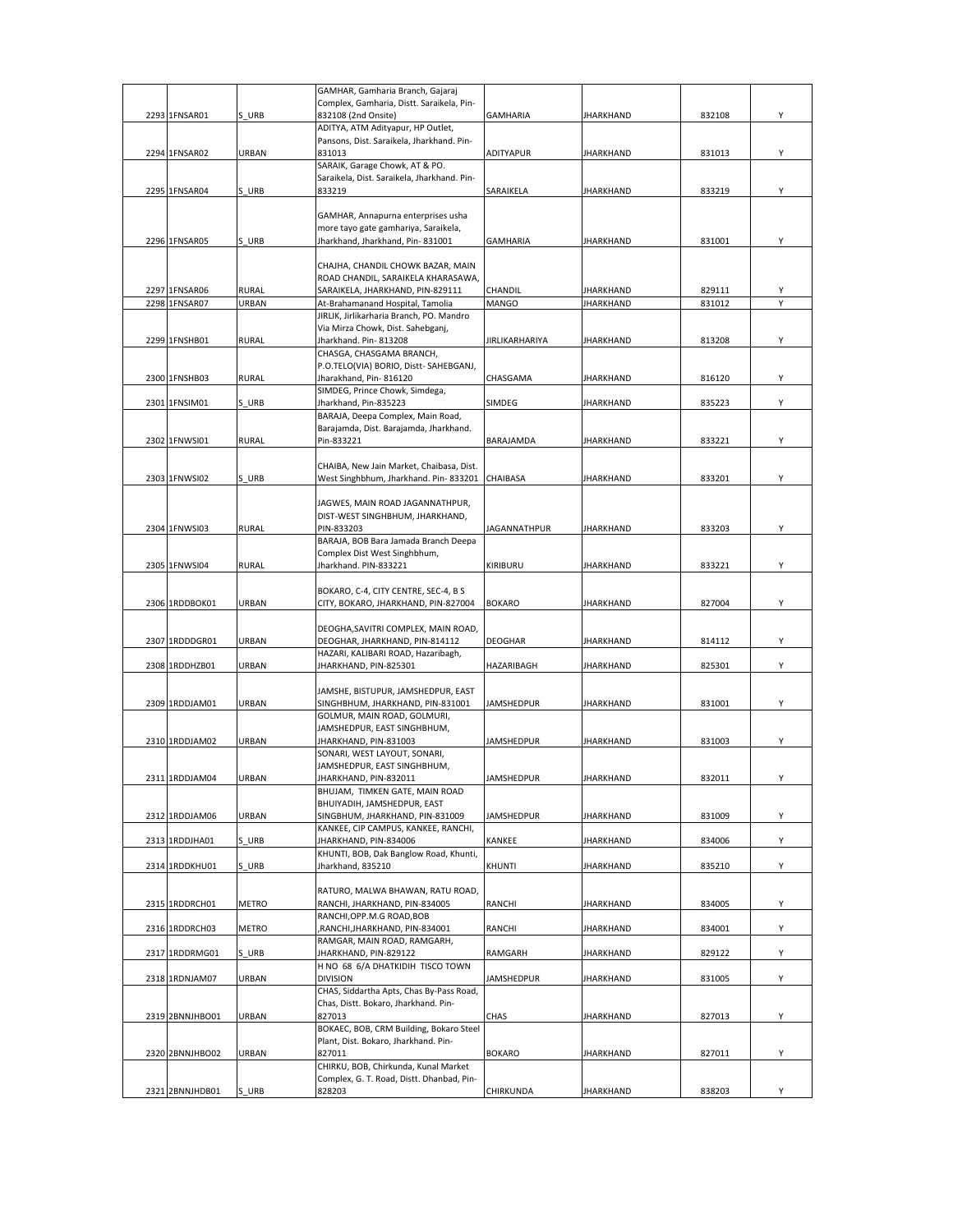|                 |              | GAMHAR, Gamharia Branch, Gajaraj                           |                     |                  |        |   |
|-----------------|--------------|------------------------------------------------------------|---------------------|------------------|--------|---|
|                 |              | Complex, Gamharia, Distt. Saraikela, Pin-                  |                     |                  |        |   |
| 2293 1FNSAR01   | S URB        | 832108 (2nd Onsite)                                        | <b>GAMHARIA</b>     | JHARKHAND        | 832108 | Υ |
|                 |              | ADITYA, ATM Adityapur, HP Outlet,                          |                     |                  |        |   |
| 2294 1FNSAR02   | URBAN        | Pansons, Dist. Saraikela, Jharkhand. Pin-<br>831013        | ADITYAPUR           | JHARKHAND        | 831013 | Υ |
|                 |              | SARAIK, Garage Chowk, AT & PO.                             |                     |                  |        |   |
|                 |              | Saraikela, Dist. Saraikela, Jharkhand. Pin-                |                     |                  |        |   |
| 2295 1FNSAR04   | S URB        | 833219                                                     | SARAIKELA           | JHARKHAND        | 833219 | Υ |
|                 |              |                                                            |                     |                  |        |   |
|                 |              | GAMHAR, Annapurna enterprises usha                         |                     |                  |        |   |
|                 |              | more tayo gate gamhariya, Saraikela,                       |                     |                  |        |   |
| 2296 1FNSAR05   | S URB        | Jharkhand, Jharkhand, Pin- 831001                          | GAMHARIA            | JHARKHAND        | 831001 | Υ |
|                 |              |                                                            |                     |                  |        |   |
|                 |              | CHAJHA, CHANDIL CHOWK BAZAR, MAIN                          |                     |                  |        |   |
|                 |              | ROAD CHANDIL, SARAIKELA KHARASAWA,                         |                     |                  |        |   |
| 2297 1FNSAR06   | <b>RURAL</b> | SARAIKELA, JHARKHAND, PIN-829111                           | CHANDIL             | <b>JHARKHAND</b> | 829111 | Υ |
| 2298 1FNSAR07   | URBAN        | At-Brahamanand Hospital, Tamolia                           | <b>MANGO</b>        | <b>JHARKHAND</b> | 831012 |   |
|                 |              | JIRLIK, Jirlikarharia Branch, PO. Mandro                   |                     |                  |        |   |
|                 |              | Via Mirza Chowk, Dist. Sahebganj,                          |                     |                  |        |   |
| 2299 1FNSHB01   | RURAL        | Jharkhand. Pin- 813208                                     | JIRLIKARHARIYA      | JHARKHAND        | 813208 | Υ |
|                 |              | CHASGA, CHASGAMA BRANCH,                                   |                     |                  |        |   |
|                 |              | P.O.TELO(VIA) BORIO, Distt-SAHEBGANJ,                      |                     |                  |        |   |
| 2300 1FNSHB03   | RURAL        | Jharakhand, Pin-816120                                     | CHASGAMA            | JHARKHAND        | 816120 | Υ |
|                 |              | SIMDEG, Prince Chowk, Simdega,                             |                     |                  |        |   |
| 2301 1FNSIM01   | S URB        | Jharkhand, Pin-835223<br>BARAJA, Deepa Complex, Main Road, | SIMDEG              | JHARKHAND        | 835223 | Υ |
|                 |              |                                                            |                     |                  |        |   |
| 2302 1FNWSI01   | <b>RURAL</b> | Barajamda, Dist. Barajamda, Jharkhand.<br>Pin-833221       | BARAJAMDA           | JHARKHAND        | 833221 | Υ |
|                 |              |                                                            |                     |                  |        |   |
|                 |              | CHAIBA, New Jain Market, Chaibasa, Dist.                   |                     |                  |        |   |
| 2303 1FNWSI02   | S URB        | West Singhbhum, Jharkhand. Pin-833201                      | CHAIBASA            | <b>JHARKHAND</b> | 833201 | Υ |
|                 |              |                                                            |                     |                  |        |   |
|                 |              | JAGWES, MAIN ROAD JAGANNATHPUR,                            |                     |                  |        |   |
|                 |              | DIST-WEST SINGHBHUM, JHARKHAND,                            |                     |                  |        |   |
| 2304 1FNWSI03   | <b>RURAL</b> | PIN-833203                                                 | <b>JAGANNATHPUR</b> | <b>JHARKHAND</b> | 833203 | Υ |
|                 |              | BARAJA, BOB Bara Jamada Branch Deepa                       |                     |                  |        |   |
|                 |              | Complex Dist West Singhbhum,                               |                     |                  |        |   |
| 2305 1FNWSI04   | <b>RURAL</b> | Jharkhand. PIN-833221                                      | KIRIBURU            | JHARKHAND        | 833221 | Υ |
|                 |              |                                                            |                     |                  |        |   |
|                 |              | BOKARO, C-4, CITY CENTRE, SEC-4, B S                       |                     |                  |        |   |
| 2306 1RDDBOK01  | URBAN        | CITY, BOKARO, JHARKHAND, PIN-827004                        | <b>BOKARO</b>       | JHARKHAND        | 827004 | Υ |
|                 |              |                                                            |                     |                  |        |   |
|                 |              | DEOGHA, SAVITRI COMPLEX, MAIN ROAD,                        |                     |                  |        |   |
| 2307 1RDDDGR01  | URBAN        | DEOGHAR, JHARKHAND, PIN-814112                             | <b>DEOGHAR</b>      | JHARKHAND        | 814112 | Υ |
|                 |              | HAZARI, KALIBARI ROAD, Hazaribagh,                         |                     |                  |        |   |
| 2308 1RDDHZB01  | URBAN        | JHARKHAND, PIN-825301                                      | HAZARIBAGH          | JHARKHAND        | 825301 | Υ |
|                 |              |                                                            |                     |                  |        |   |
|                 |              | JAMSHE, BISTUPUR, JAMSHEDPUR, EAST                         |                     |                  |        |   |
| 2309 1RDDJAM01  | URBAN        | SINGHBHUM, JHARKHAND, PIN-831001                           | <b>JAMSHEDPUR</b>   | JHARKHAND        | 831001 | Υ |
|                 |              | GOLMUR, MAIN ROAD, GOLMURI,                                |                     |                  |        |   |
|                 |              | JAMSHEDPUR, EAST SINGHBHUM,                                |                     |                  |        |   |
| 2310 1RDDJAM02  | URBAN        | JHARKHAND, PIN-831003<br>SONARI, WEST LAYOUT, SONARI,      | <b>JAMSHEDPUR</b>   | JHARKHAND        | 831003 | Υ |
|                 |              |                                                            |                     |                  |        |   |
| 2311 1RDDJAM04  | <b>IRRAN</b> | JAMSHEDPUR, EAST SINGHBHUM,<br>JHARKHAND, PIN-832011       | <b>IAMSHEDPLIR</b>  | HARKHAND         | 832011 | Υ |
|                 |              | BHUJAM, TIMKEN GATE, MAIN ROAD                             |                     |                  |        |   |
|                 |              | BHUIYADIH, JAMSHEDPUR, EAST                                |                     |                  |        |   |
| 2312 1RDDJAM06  | URBAN        | SINGBHUM, JHARKHAND, PIN-831009                            | <b>JAMSHEDPUR</b>   | <b>JHARKHAND</b> | 831009 | Υ |
|                 |              | KANKEE, CIP CAMPUS, KANKEE, RANCHI,                        |                     |                  |        |   |
| 2313 1RDDJHA01  | S URB        | JHARKHAND, PIN-834006                                      | KANKEE              | JHARKHAND        | 834006 | Υ |
|                 |              | KHUNTI, BOB, Dak Banglow Road, Khunti,                     |                     |                  |        |   |
| 2314 1RDDKHU01  | S URB        | Jharkhand, 835210                                          | <b>KHUNTI</b>       | JHARKHAND        | 835210 | Υ |
|                 |              |                                                            |                     |                  |        |   |
|                 |              | RATURO, MALWA BHAWAN, RATU ROAD,                           |                     |                  |        |   |
| 2315 1RDDRCH01  | METRO        | RANCHI, JHARKHAND, PIN-834005                              | RANCHI              | JHARKHAND        | 834005 | Υ |
|                 |              | RANCHI, OPP.M.G ROAD, BOB                                  |                     |                  |        |   |
| 2316 1RDDRCH03  | METRO        | RANCHI, JHARKHAND, PIN-834001                              | RANCHI              | JHARKHAND        | 834001 | Υ |
|                 |              | RAMGAR, MAIN ROAD, RAMGARH,                                |                     |                  |        |   |
| 2317 1RDDRMG01  | S URB        | JHARKHAND, PIN-829122                                      | RAMGARH             | JHARKHAND        | 829122 | Y |
|                 |              | H NO 68 6/A DHATKIDIH TISCO TOWN                           |                     |                  |        |   |
| 2318 1RDNJAM07  | URBAN        | <b>DIVISION</b>                                            | <b>JAMSHEDPUR</b>   | JHARKHAND        | 831005 | Υ |
|                 |              | CHAS, Siddartha Apts, Chas By-Pass Road,                   |                     |                  |        |   |
|                 |              | Chas, Distt. Bokaro, Jharkhand. Pin-                       |                     |                  |        |   |
| 2319 2BNNJHBO01 | URBAN        | 827013                                                     | CHAS                | JHARKHAND        | 827013 | Υ |
|                 |              | BOKAEC, BOB, CRM Building, Bokaro Steel                    |                     |                  |        |   |
|                 |              | Plant, Dist. Bokaro, Jharkhand. Pin-                       |                     |                  |        |   |
| 2320 2BNNJHBO02 | URBAN        | 827011                                                     | <b>BOKARO</b>       | JHARKHAND        | 827011 | Υ |
|                 |              | CHIRKU, BOB, Chirkunda, Kunal Market                       |                     |                  |        |   |
|                 |              | Complex, G. T. Road, Distt. Dhanbad, Pin-                  |                     |                  |        |   |
| 2321 2BNNJHDB01 | S URB        | 828203                                                     | CHIRKUNDA           | JHARKHAND        | 838203 |   |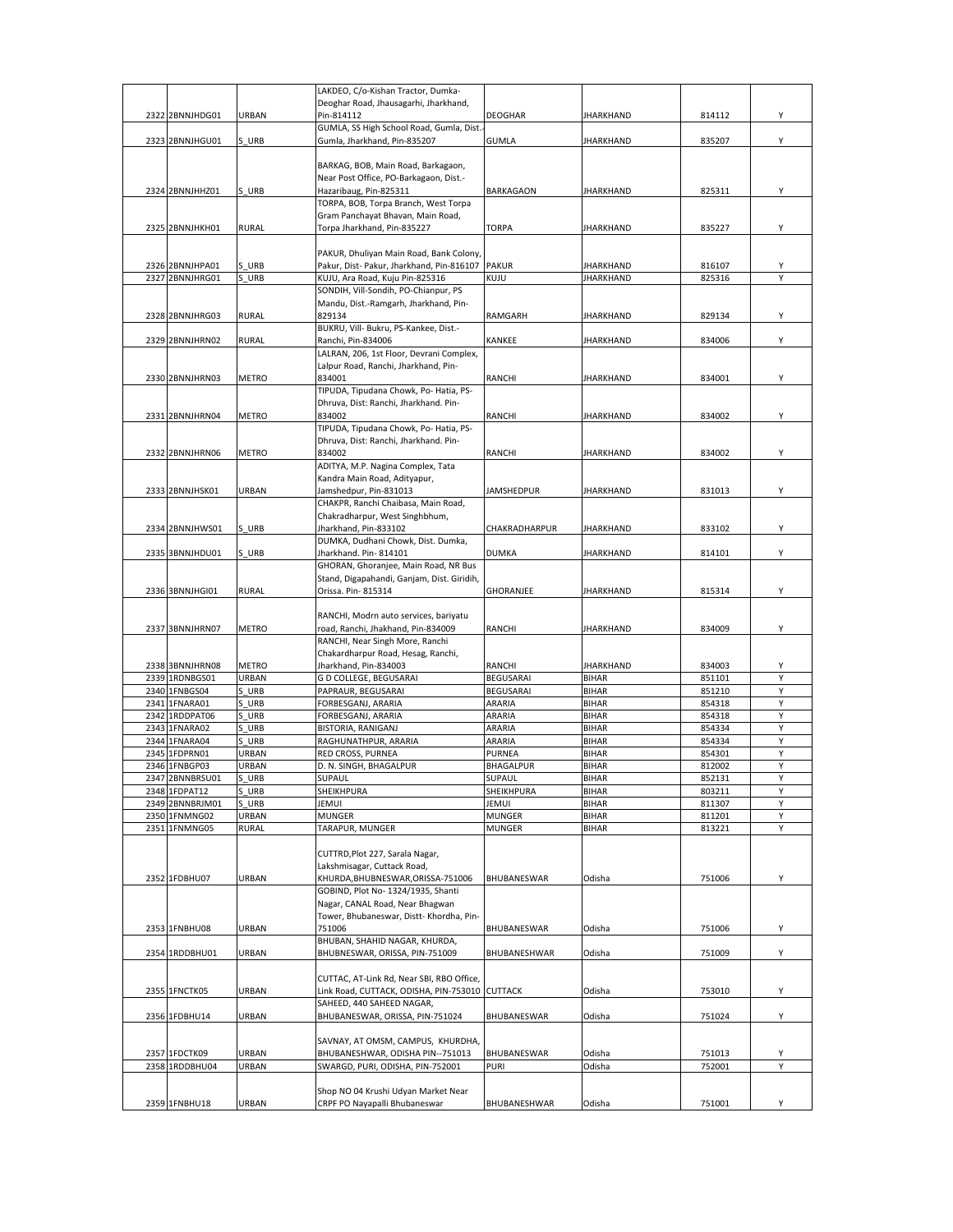|      |                 |              | LAKDEO, C/o-Kishan Tractor, Dumka-              |                |                  |        |   |
|------|-----------------|--------------|-------------------------------------------------|----------------|------------------|--------|---|
|      |                 |              | Deoghar Road, Jhausagarhi, Jharkhand,           |                |                  |        |   |
|      | 2322 2BNNJHDG01 | URBAN        | Pin-814112                                      | <b>DEOGHAR</b> | <b>JHARKHAND</b> | 814112 | Υ |
|      |                 |              | GUMLA, SS High School Road, Gumla, Dist.        |                |                  |        |   |
|      | 2323 2BNNJHGU01 | S URB        | Gumla, Jharkhand, Pin-835207                    | GUMLA          | <b>JHARKHAND</b> | 835207 | Υ |
|      |                 |              |                                                 |                |                  |        |   |
|      |                 |              |                                                 |                |                  |        |   |
|      |                 |              | BARKAG, BOB, Main Road, Barkagaon,              |                |                  |        |   |
|      |                 |              | Near Post Office, PO-Barkagaon, Dist.-          |                |                  |        |   |
|      | 2324 2BNNJHHZ01 | S URB        | Hazaribaug, Pin-825311                          | BARKAGAON      | <b>JHARKHAND</b> | 825311 | Υ |
|      |                 |              | TORPA, BOB, Torpa Branch, West Torpa            |                |                  |        |   |
|      |                 |              | Gram Panchayat Bhavan, Main Road,               |                |                  |        |   |
|      | 2325 2BNNJHKH01 | <b>RURAL</b> | Torpa Jharkhand, Pin-835227                     | <b>TORPA</b>   | <b>JHARKHAND</b> | 835227 | Υ |
|      |                 |              |                                                 |                |                  |        |   |
|      |                 |              | PAKUR, Dhuliyan Main Road, Bank Colony,         |                |                  |        |   |
|      | 2326 2BNNJHPA01 | S URB        | Pakur, Dist- Pakur, Jharkhand, Pin-816107 PAKUR |                | <b>JHARKHAND</b> | 816107 | Υ |
|      |                 |              |                                                 |                |                  |        |   |
| 2327 | 2BNNJHRG01      | S URB        | KUJU, Ara Road, Kuju Pin-825316                 | KUJU           | <b>JHARKHAND</b> | 825316 | Υ |
|      |                 |              | SONDIH, Vill-Sondih, PO-Chianpur, PS            |                |                  |        |   |
|      |                 |              | Mandu, Dist.-Ramgarh, Jharkhand, Pin-           |                |                  |        |   |
|      | 2328 2BNNJHRG03 | RURAL        | 829134                                          | RAMGARH        | JHARKHAND        | 829134 | Υ |
|      |                 |              | BUKRU, Vill- Bukru, PS-Kankee, Dist.-           |                |                  |        |   |
|      | 2329 2BNNJHRN02 | RURAL        | Ranchi, Pin-834006                              | KANKEE         | JHARKHAND        | 834006 | Υ |
|      |                 |              | LALRAN, 206, 1st Floor, Devrani Complex,        |                |                  |        |   |
|      |                 |              |                                                 |                |                  |        |   |
|      |                 |              | Lalpur Road, Ranchi, Jharkhand, Pin-            |                |                  |        |   |
|      | 2330 2BNNJHRN03 | <b>METRO</b> | 834001                                          | RANCHI         | <b>JHARKHAND</b> | 834001 | Υ |
|      |                 |              | TIPUDA, Tipudana Chowk, Po- Hatia, PS-          |                |                  |        |   |
|      |                 |              | Dhruva, Dist: Ranchi, Jharkhand. Pin-           |                |                  |        |   |
|      | 2331 2BNNJHRN04 | METRO        | 834002                                          | RANCHI         | JHARKHAND        | 834002 | Υ |
|      |                 |              | TIPUDA, Tipudana Chowk, Po- Hatia, PS-          |                |                  |        |   |
|      |                 |              | Dhruva, Dist: Ranchi, Jharkhand. Pin-           |                |                  |        |   |
|      | 2332 2BNNJHRN06 | METRO        | 834002                                          | RANCHI         | JHARKHAND        | 834002 | Υ |
|      |                 |              |                                                 |                |                  |        |   |
|      |                 |              | ADITYA, M.P. Nagina Complex, Tata               |                |                  |        |   |
|      |                 |              | Kandra Main Road, Adityapur,                    |                |                  |        |   |
|      | 2333 2BNNJHSK01 | URBAN        | Jamshedpur, Pin-831013                          | JAMSHEDPUR     | <b>JHARKHAND</b> | 831013 | Υ |
|      |                 |              | CHAKPR, Ranchi Chaibasa, Main Road,             |                |                  |        |   |
|      |                 |              | Chakradharpur, West Singhbhum,                  |                |                  |        |   |
|      | 2334 2BNNJHWS01 | S URB        | Jharkhand, Pin-833102                           | CHAKRADHARPUR  | JHARKHAND        | 833102 | Υ |
|      |                 |              | DUMKA, Dudhani Chowk, Dist. Dumka,              |                |                  |        |   |
|      | 2335 3BNNJHDU01 | S URB        | Jharkhand. Pin-814101                           | <b>DUMKA</b>   | <b>JHARKHAND</b> | 814101 | Υ |
|      |                 |              |                                                 |                |                  |        |   |
|      |                 |              | GHORAN, Ghoranjee, Main Road, NR Bus            |                |                  |        |   |
|      |                 |              | Stand, Digapahandi, Ganjam, Dist. Giridih,      |                |                  |        |   |
|      | 2336 3BNNJHGI01 | <b>RURAL</b> | Orissa. Pin-815314                              | GHORANJEE      | <b>JHARKHAND</b> | 815314 | Υ |
|      |                 |              |                                                 |                |                  |        |   |
|      |                 |              | RANCHI, Modrn auto services, bariyatu           |                |                  |        |   |
|      | 2337 3BNNJHRN07 | METRO        | road, Ranchi, Jhakhand, Pin-834009              | RANCHI         | <b>JHARKHAND</b> | 834009 | Υ |
|      |                 |              | RANCHI, Near Singh More, Ranchi                 |                |                  |        |   |
|      |                 |              | Chakardharpur Road, Hesag, Ranchi,              |                |                  |        |   |
|      |                 |              |                                                 |                |                  |        |   |
|      | 2338 3BNNJHRN08 | <b>METRO</b> | Jharkhand, Pin-834003                           | RANCHI         | <b>JHARKHAND</b> | 834003 | Υ |
|      | 2339 1RDNBGS01  |              | G D COLLEGE, BEGUSARAI                          | BEGUSARAI      | <b>BIHAR</b>     | 851101 | Υ |
|      |                 | URBAN        |                                                 | BEGUSARAI      |                  |        |   |
|      | 2340 1FNBGS04   | S URB        | PAPRAUR, BEGUSARAI                              |                | <b>BIHAR</b>     | 851210 | Y |
|      | 2341 1FNARA01   | S URB        | FORBESGANJ, ARARIA                              | ARARIA         | <b>BIHAR</b>     | 854318 | Y |
|      | 2342 1RDDPAT06  | URB          | FORBESGANJ, ARARIA                              | ARARIA         | <b>BIHAR</b>     | 854318 | Υ |
|      |                 |              |                                                 |                |                  |        | Υ |
|      | 2343 1FNARA02   | S URB        | BISTORIA, RANIGANJ                              | ARARIA         | <b>BIHAR</b>     | 854334 | Y |
|      | 2344 1FNARA04   | S URB        | RAGHUNATHPUR, ARARIA                            | ARARIA         | <b>BIHAR</b>     | 854334 |   |
|      | 2345 1FDPRN01   | URBAN        | RED CROSS, PURNEA                               | PURNEA         | <b>BIHAR</b>     | 854301 | Υ |
|      | 2346 1FNBGP03   | URBAN        | D. N. SINGH, BHAGALPUR                          | BHAGALPUR      | <b>BIHAR</b>     | 812002 | Υ |
|      | 2347 2BNNBRSU01 | S URB        | SUPAUL                                          | SUPAUL         | <b>BIHAR</b>     | 852131 | Υ |
|      | 2348 1FDPAT12   | S URB        | SHEIKHPURA                                      | SHEIKHPURA     | <b>BIHAR</b>     | 803211 | Υ |
|      | 2349 2BNNBRJM01 | URB          | JEMUI                                           | <b>JEMUI</b>   | <b>BIHAR</b>     | 811307 | Y |
|      | 2350 1FNMNG02   | URBAN        | <b>MUNGER</b>                                   | MUNGER         | <b>BIHAR</b>     | 811201 | Y |
|      | 2351 1FNMNG05   | <b>RURAL</b> | TARAPUR, MUNGER                                 | <b>MUNGER</b>  | <b>BIHAR</b>     |        | Υ |
|      |                 |              |                                                 |                |                  | 813221 |   |
|      |                 |              |                                                 |                |                  |        |   |
|      |                 |              | CUTTRD, Plot 227, Sarala Nagar,                 |                |                  |        |   |
|      |                 |              | Lakshmisagar, Cuttack Road,                     |                |                  |        |   |
|      | 2352 1FDBHU07   | <b>URBAN</b> | KHURDA, BHUBNESWAR, ORISSA-751006               | BHUBANESWAR    | Odisha           | 751006 | Υ |
|      |                 |              | GOBIND, Plot No- 1324/1935, Shanti              |                |                  |        |   |
|      |                 |              | Nagar, CANAL Road, Near Bhagwan                 |                |                  |        |   |
|      |                 |              | Tower, Bhubaneswar, Distt- Khordha, Pin-        |                |                  |        |   |
|      | 2353 1FNBHU08   | URBAN        | 751006                                          | BHUBANESWAR    | Odisha           | 751006 | Υ |
|      |                 |              |                                                 |                |                  |        |   |
|      |                 |              | BHUBAN, SHAHID NAGAR, KHURDA,                   |                |                  |        |   |
|      | 2354 1RDDBHU01  | URBAN        | BHUBNESWAR, ORISSA, PIN-751009                  | BHUBANESHWAR   | Odisha           | 751009 | Υ |
|      |                 |              |                                                 |                |                  |        |   |
|      |                 |              | CUTTAC, AT-Link Rd, Near SBI, RBO Office,       |                |                  |        |   |
|      | 2355 1FNCTK05   | URBAN        | Link Road, CUTTACK, ODISHA, PIN-753010 CUTTACK  |                | Odisha           | 753010 | Υ |
|      |                 |              | SAHEED, 440 SAHEED NAGAR,                       |                |                  |        |   |
|      | 2356 1FDBHU14   | URBAN        |                                                 | BHUBANESWAR    | Odisha           | 751024 | Υ |
|      |                 |              | BHUBANESWAR, ORISSA, PIN-751024                 |                |                  |        |   |
|      |                 |              |                                                 |                |                  |        |   |
|      |                 |              | SAVNAY, AT OMSM, CAMPUS, KHURDHA,               |                |                  |        |   |
|      | 2357 1FDCTK09   | URBAN        | BHUBANESHWAR, ODISHA PIN--751013                | BHUBANESWAR    | Odisha           | 751013 | Υ |
|      | 2358 1RDDBHU04  | URBAN        | SWARGD, PURI, ODISHA, PIN-752001                | PURI           | Odisha           | 752001 | Υ |
|      |                 |              |                                                 |                |                  |        |   |
|      |                 |              | Shop NO 04 Krushi Udyan Market Near             |                |                  |        |   |
|      | 2359 1FNBHU18   | URBAN        | CRPF PO Nayapalli Bhubaneswar                   | BHUBANESHWAR   | Odisha           | 751001 | Υ |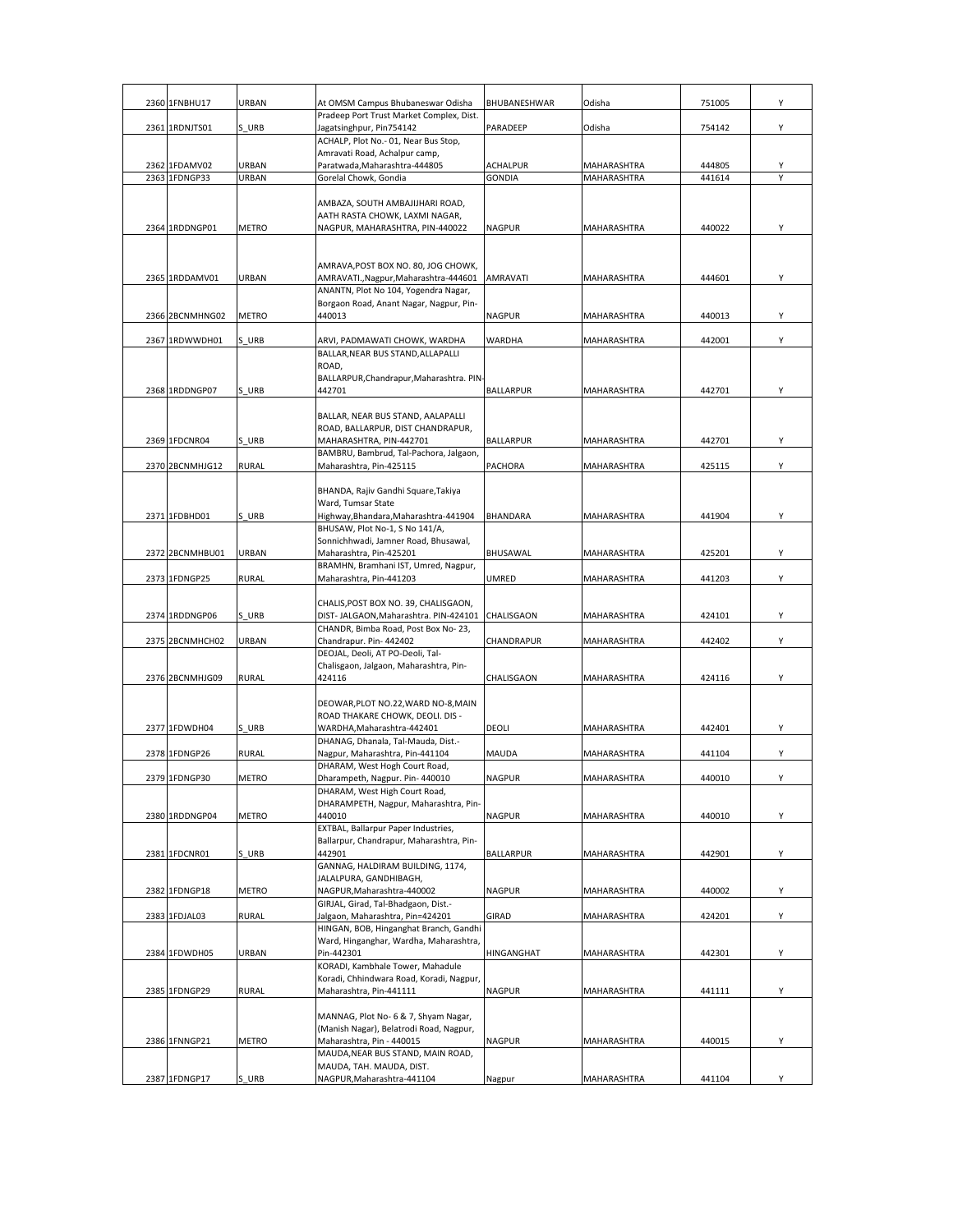| 2360 1FNBHU17   | URBAN        | At OMSM Campus Bhubaneswar Odisha                                       | BHUBANESHWAR     | Odisha             | 751005 | Y |
|-----------------|--------------|-------------------------------------------------------------------------|------------------|--------------------|--------|---|
|                 |              | Pradeep Port Trust Market Complex, Dist.                                |                  |                    |        |   |
| 2361 1RDNJTS01  | S URB        | Jagatsinghpur, Pin754142<br>ACHALP, Plot No.- 01, Near Bus Stop,        | PARADEEP         | Odisha             | 754142 | Υ |
|                 |              | Amravati Road, Achalpur camp,                                           |                  |                    |        |   |
| 2362 1FDAMV02   | URBAN        | Paratwada, Maharashtra-444805                                           | <b>ACHALPUR</b>  | MAHARASHTRA        | 444805 | Υ |
| 2363 1FDNGP33   | URBAN        | Gorelal Chowk, Gondia                                                   | <b>GONDIA</b>    | MAHARASHTRA        | 441614 | Y |
|                 |              | AMBAZA, SOUTH AMBAJIJHARI ROAD,                                         |                  |                    |        |   |
|                 |              | AATH RASTA CHOWK, LAXMI NAGAR,                                          |                  |                    |        |   |
| 2364 1RDDNGP01  | <b>METRO</b> | NAGPUR, MAHARASHTRA, PIN-440022                                         | <b>NAGPUR</b>    | MAHARASHTRA        | 440022 | Υ |
|                 |              |                                                                         |                  |                    |        |   |
|                 |              | AMRAVA, POST BOX NO. 80, JOG CHOWK,                                     |                  |                    |        |   |
| 2365 1RDDAMV01  | URBAN        | AMRAVATI., Nagpur, Maharashtra-444601                                   | <b>AMRAVATI</b>  | MAHARASHTRA        | 444601 | Υ |
|                 |              | ANANTN, Plot No 104, Yogendra Nagar,                                    |                  |                    |        |   |
| 2366 2BCNMHNG02 | METRO        | Borgaon Road, Anant Nagar, Nagpur, Pin-<br>440013                       | <b>NAGPUR</b>    | MAHARASHTRA        | 440013 | Υ |
|                 |              |                                                                         |                  |                    |        |   |
| 2367 1RDWWDH01  | S URB        | ARVI, PADMAWATI CHOWK, WARDHA                                           | WARDHA           | MAHARASHTRA        | 442001 | Υ |
|                 |              | BALLAR, NEAR BUS STAND, ALLAPALLI<br>ROAD,                              |                  |                    |        |   |
|                 |              | BALLARPUR, Chandrapur, Maharashtra. PIN-                                |                  |                    |        |   |
| 2368 1RDDNGP07  | S URB        | 442701                                                                  | <b>BALLARPUR</b> | MAHARASHTRA        | 442701 | Y |
|                 |              | BALLAR, NEAR BUS STAND, AALAPALLI                                       |                  |                    |        |   |
|                 |              | ROAD, BALLARPUR, DIST CHANDRAPUR,                                       |                  |                    |        |   |
| 2369 1FDCNR04   | S URB        | MAHARASHTRA, PIN-442701                                                 | <b>BALLARPUR</b> | MAHARASHTRA        | 442701 | Υ |
|                 |              | BAMBRU, Bambrud, Tal-Pachora, Jalgaon,                                  |                  |                    |        |   |
| 2370 2BCNMHJG12 | <b>RURAL</b> | Maharashtra, Pin-425115                                                 | PACHORA          | <b>MAHARASHTRA</b> | 425115 | Υ |
|                 |              | BHANDA, Rajiv Gandhi Square, Takiya                                     |                  |                    |        |   |
|                 |              | Ward, Tumsar State                                                      |                  |                    |        |   |
| 2371 1FDBHD01   | S URB        | Highway, Bhandara, Maharashtra-441904<br>BHUSAW, Plot No-1, S No 141/A, | BHANDARA         | MAHARASHTRA        | 441904 | Y |
|                 |              | Sonnichhwadi, Jamner Road, Bhusawal,                                    |                  |                    |        |   |
| 2372 2BCNMHBU01 | URBAN        | Maharashtra, Pin-425201                                                 | BHUSAWAL         | MAHARASHTRA        | 425201 | Υ |
|                 |              | BRAMHN, Bramhani IST, Umred, Nagpur,                                    |                  |                    |        |   |
| 2373 1FDNGP25   | RURAL        | Maharashtra, Pin-441203                                                 | <b>UMRED</b>     | MAHARASHTRA        | 441203 | Υ |
|                 |              | CHALIS, POST BOX NO. 39, CHALISGAON,                                    |                  |                    |        |   |
| 2374 1RDDNGP06  | S URB        | DIST- JALGAON, Maharashtra. PIN-424101 CHALISGAON                       |                  | MAHARASHTRA        | 424101 | Υ |
| 2375 2BCNMHCH02 | URBAN        | CHANDR, Bimba Road, Post Box No-23,<br>Chandrapur. Pin- 442402          | CHANDRAPUR       | MAHARASHTRA        | 442402 | Υ |
|                 |              | DEOJAL, Deoli, AT PO-Deoli, Tal-                                        |                  |                    |        |   |
|                 |              | Chalisgaon, Jalgaon, Maharashtra, Pin-                                  |                  |                    |        |   |
| 2376 2BCNMHJG09 | <b>RURAL</b> | 424116                                                                  | CHALISGAON       | MAHARASHTRA        | 424116 | Υ |
|                 |              | DEOWAR, PLOT NO.22, WARD NO-8, MAIN                                     |                  |                    |        |   |
|                 |              | ROAD THAKARE CHOWK, DEOLI. DIS -                                        |                  |                    |        |   |
| 2377 1FDWDH04   | S URB        | WARDHA, Maharashtra-442401                                              | DEOLI            | MAHARASHTRA        | 442401 | Υ |
| 2378 1FDNGP26   | <b>RURAL</b> | DHANAG, Dhanala, Tal-Mauda, Dist.-<br>Nagpur, Maharashtra, Pin-441104   | MAUDA            | <b>MAHARASHTRA</b> | 441104 | Υ |
|                 |              | DHARAM, West Hogh Court Road,                                           |                  |                    |        |   |
| 2379 1FDNGP30   | <b>MFTRO</b> | Dharampeth, Nagpur, Pin-440010                                          | <b>NAGPUR</b>    | <b>MAHARASHTRA</b> | 440010 | Y |
|                 |              | DHARAM, West High Court Road,<br>DHARAMPETH, Nagpur, Maharashtra, Pin-  |                  |                    |        |   |
| 2380 1RDDNGP04  | METRO        | 440010                                                                  | <b>NAGPUR</b>    | <b>MAHARASHTRA</b> | 440010 | Υ |
|                 |              | EXTBAL, Ballarpur Paper Industries,                                     |                  |                    |        |   |
| 2381 1FDCNR01   | S_URB        | Ballarpur, Chandrapur, Maharashtra, Pin-<br>442901                      | <b>BALLARPUR</b> | MAHARASHTRA        | 442901 | Υ |
|                 |              | GANNAG, HALDIRAM BUILDING, 1174,                                        |                  |                    |        |   |
|                 |              | JALALPURA, GANDHIBAGH,                                                  |                  |                    |        |   |
| 2382 1FDNGP18   | <b>METRO</b> | NAGPUR, Maharashtra-440002<br>GIRJAL, Girad, Tal-Bhadgaon, Dist.-       | <b>NAGPUR</b>    | MAHARASHTRA        | 440002 | Υ |
| 2383 1FDJAL03   | <b>RURAL</b> | Jalgaon, Maharashtra, Pin=424201                                        | GIRAD            | MAHARASHTRA        | 424201 | Y |
|                 |              | HINGAN, BOB, Hinganghat Branch, Gandhi                                  |                  |                    |        |   |
| 2384 1FDWDH05   | URBAN        | Ward, Hinganghar, Wardha, Maharashtra,<br>Pin-442301                    | HINGANGHAT       | MAHARASHTRA        | 442301 | Υ |
|                 |              | KORADI, Kambhale Tower, Mahadule                                        |                  |                    |        |   |
|                 |              | Koradi, Chhindwara Road, Koradi, Nagpur,                                |                  |                    |        |   |
| 2385 1FDNGP29   | RURAL        | Maharashtra, Pin-441111                                                 | <b>NAGPUR</b>    | MAHARASHTRA        | 441111 | Y |
|                 |              | MANNAG, Plot No- 6 & 7, Shyam Nagar,                                    |                  |                    |        |   |
|                 |              | (Manish Nagar), Belatrodi Road, Nagpur,                                 |                  |                    |        |   |
| 2386 1FNNGP21   | METRO        | Maharashtra, Pin - 440015                                               | <b>NAGPUR</b>    | MAHARASHTRA        | 440015 | Υ |
|                 |              | MAUDA, NEAR BUS STAND, MAIN ROAD,<br>MAUDA, TAH. MAUDA, DIST.           |                  |                    |        |   |
| 2387 1FDNGP17   | S URB        | NAGPUR, Maharashtra-441104                                              | Nagpur           | MAHARASHTRA        | 441104 | Υ |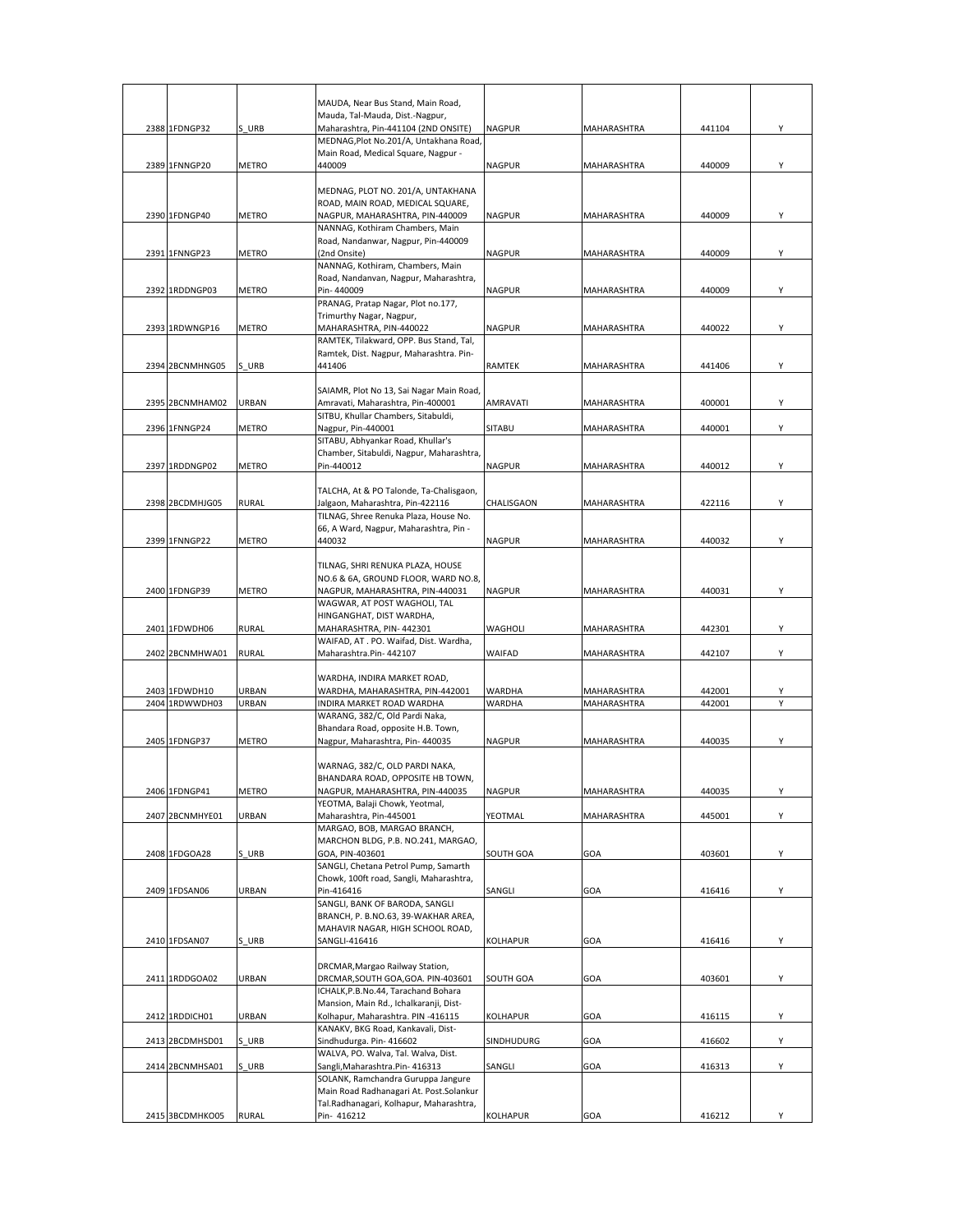|                 |              | MAUDA, Near Bus Stand, Main Road,                                                  |               |             |        |   |
|-----------------|--------------|------------------------------------------------------------------------------------|---------------|-------------|--------|---|
|                 |              | Mauda, Tal-Mauda, Dist.-Nagpur,                                                    |               |             |        |   |
| 2388 1FDNGP32   | S URB        | Maharashtra, Pin-441104 (2ND ONSITE)                                               | <b>NAGPUR</b> | MAHARASHTRA | 441104 | Y |
|                 |              | MEDNAG, Plot No.201/A, Untakhana Road,                                             |               |             |        |   |
| 2389 1FNNGP20   | <b>METRO</b> | Main Road, Medical Square, Nagpur -<br>440009                                      | <b>NAGPUR</b> | MAHARASHTRA | 440009 | Y |
|                 |              |                                                                                    |               |             |        |   |
|                 |              | MEDNAG, PLOT NO. 201/A, UNTAKHANA                                                  |               |             |        |   |
| 2390 1FDNGP40   | <b>METRO</b> | ROAD, MAIN ROAD, MEDICAL SQUARE,<br>NAGPUR, MAHARASHTRA, PIN-440009                | <b>NAGPUR</b> | MAHARASHTRA | 440009 | Υ |
|                 |              | NANNAG, Kothiram Chambers, Main                                                    |               |             |        |   |
|                 |              | Road, Nandanwar, Nagpur, Pin-440009                                                |               |             |        |   |
| 2391 1FNNGP23   | METRO        | (2nd Onsite)                                                                       | <b>NAGPUR</b> | MAHARASHTRA | 440009 | Y |
|                 |              | NANNAG, Kothiram, Chambers, Main                                                   |               |             |        |   |
| 2392 1RDDNGP03  | METRO        | Road, Nandanvan, Nagpur, Maharashtra,<br>Pin-440009                                | <b>NAGPUR</b> | MAHARASHTRA | 440009 | Y |
|                 |              | PRANAG, Pratap Nagar, Plot no.177,                                                 |               |             |        |   |
|                 |              | Trimurthy Nagar, Nagpur,                                                           |               |             |        |   |
| 2393 1RDWNGP16  | METRO        | MAHARASHTRA, PIN-440022                                                            | <b>NAGPUR</b> | MAHARASHTRA | 440022 | Y |
|                 |              | RAMTEK, Tilakward, OPP. Bus Stand, Tal,<br>Ramtek, Dist. Nagpur, Maharashtra. Pin- |               |             |        |   |
| 2394 2BCNMHNG05 | S URB        | 441406                                                                             | <b>RAMTEK</b> | MAHARASHTRA | 441406 | Y |
|                 |              |                                                                                    |               |             |        |   |
|                 |              | SAIAMR, Plot No 13, Sai Nagar Main Road,                                           |               |             |        |   |
| 2395 2BCNMHAM02 | URBAN        | Amravati, Maharashtra, Pin-400001<br>SITBU, Khullar Chambers, Sitabuldi,           | AMRAVATI      | MAHARASHTRA | 400001 | Y |
| 2396 1FNNGP24   | METRO        | Nagpur, Pin-440001                                                                 | SITABU        | MAHARASHTRA | 440001 | Υ |
|                 |              | SITABU, Abhyankar Road, Khullar's                                                  |               |             |        |   |
|                 |              | Chamber, Sitabuldi, Nagpur, Maharashtra,                                           |               |             |        |   |
| 2397 1RDDNGP02  | METRO        | Pin-440012                                                                         | NAGPUR        | MAHARASHTRA | 440012 | Υ |
|                 |              | TALCHA, At & PO Talonde, Ta-Chalisgaon,                                            |               |             |        |   |
| 2398 2BCDMHJG05 | <b>RURAL</b> | Jalgaon, Maharashtra, Pin-422116                                                   | CHALISGAON    | MAHARASHTRA | 422116 | Y |
|                 |              | TILNAG, Shree Renuka Plaza, House No.                                              |               |             |        |   |
|                 |              | 66, A Ward, Nagpur, Maharashtra, Pin -                                             |               |             |        |   |
| 2399 1FNNGP22   | METRO        | 440032                                                                             | <b>NAGPUR</b> | MAHARASHTRA | 440032 | Υ |
|                 |              | TILNAG, SHRI RENUKA PLAZA, HOUSE                                                   |               |             |        |   |
|                 |              | NO.6 & 6A, GROUND FLOOR, WARD NO.8,                                                |               |             |        |   |
| 2400 1FDNGP39   | METRO        | NAGPUR, MAHARASHTRA, PIN-440031                                                    | <b>NAGPUR</b> | MAHARASHTRA | 440031 | Y |
|                 |              | WAGWAR, AT POST WAGHOLI, TAL                                                       |               |             |        |   |
| 2401 1FDWDH06   | <b>RURAL</b> | HINGANGHAT, DIST WARDHA,<br>MAHARASHTRA, PIN-442301                                | WAGHOLI       | MAHARASHTRA | 442301 | Y |
|                 |              | WAIFAD, AT. PO. Waifad, Dist. Wardha,                                              |               |             |        |   |
| 2402 2BCNMHWA01 | RURAL        | Maharashtra.Pin- 442107                                                            | WAIFAD        | MAHARASHTRA | 442107 | Υ |
|                 |              |                                                                                    |               |             |        |   |
| 2403 1FDWDH10   | URBAN        | WARDHA, INDIRA MARKET ROAD,<br>WARDHA, MAHARASHTRA, PIN-442001                     | WARDHA        | MAHARASHTRA | 442001 | Y |
| 2404 1RDWWDH03  | URBAN        | INDIRA MARKET ROAD WARDHA                                                          | WARDHA        | MAHARASHTRA | 442001 | Y |
|                 |              | WARANG, 382/C, Old Pardi Naka,                                                     |               |             |        |   |
|                 |              | Bhandara Road, opposite H.B. Town,                                                 |               |             |        |   |
| 2405 1FDNGP37   | METRO        | Nagpur, Maharashtra, Pin- 440035                                                   | <b>NAGPUR</b> | MAHARASHTRA | 440035 | Y |
|                 |              | WARNAG, 382/C, OLD PARDI NAKA,                                                     |               |             |        |   |
|                 |              | BHANDARA ROAD, OPPOSITE HB TOWN,                                                   |               |             |        |   |
| 2406 1FDNGP41   | METRO        | NAGPUR, MAHARASHTRA, PIN-440035                                                    | <b>NAGPUR</b> | MAHARASHTRA | 440035 | Υ |
| 2407 2BCNMHYE01 | URBAN        | YEOTMA, Balaji Chowk, Yeotmal,<br>Maharashtra, Pin-445001                          | YEOTMAL       | MAHARASHTRA | 445001 | Υ |
|                 |              | MARGAO, BOB, MARGAO BRANCH,                                                        |               |             |        |   |
|                 |              | MARCHON BLDG, P.B. NO.241, MARGAO,                                                 |               |             |        |   |
| 2408 1FDGOA28   | S URB        | GOA, PIN-403601                                                                    | SOUTH GOA     | GOA         | 403601 | Υ |
|                 |              | SANGLI, Chetana Petrol Pump, Samarth                                               |               |             |        |   |
| 2409 1FDSAN06   | URBAN        | Chowk, 100ft road, Sangli, Maharashtra,<br>Pin-416416                              | SANGLI        | GOA         | 416416 | Υ |
|                 |              | SANGLI, BANK OF BARODA, SANGLI                                                     |               |             |        |   |
|                 |              | BRANCH, P. B.NO.63, 39-WAKHAR AREA,                                                |               |             |        |   |
|                 |              | MAHAVIR NAGAR, HIGH SCHOOL ROAD,                                                   |               |             |        |   |
| 2410 1FDSAN07   | S URB        | SANGLI-416416                                                                      | KOLHAPUR      | GOA         | 416416 | Υ |
|                 |              | DRCMAR, Margao Railway Station,                                                    |               |             |        |   |
| 2411 1RDDGOA02  | URBAN        | DRCMAR, SOUTH GOA, GOA. PIN-403601                                                 | SOUTH GOA     | GOA         | 403601 | Υ |
|                 |              | ICHALK, P.B.No.44, Tarachand Bohara                                                |               |             |        |   |
|                 |              | Mansion, Main Rd., Ichalkaranji, Dist-                                             |               |             |        |   |
| 2412 1RDDICH01  | URBAN        | Kolhapur, Maharashtra. PIN -416115<br>KANAKV, BKG Road, Kankavali, Dist-           | KOLHAPUR      | GOA         | 416115 | Υ |
| 2413 2BCDMHSD01 | S URB        | Sindhudurga. Pin- 416602                                                           | SINDHUDURG    | GOA         | 416602 | Υ |
|                 |              | WALVA, PO. Walva, Tal. Walva, Dist.                                                |               |             |        |   |
| 2414 2BCNMHSA01 | S URB        | Sangli, Maharashtra. Pin- 416313                                                   | SANGLI        | GOA         | 416313 | Y |
|                 |              | SOLANK, Ramchandra Guruppa Jangure<br>Main Road Radhanagari At. Post.Solankur      |               |             |        |   |
|                 |              | Tal.Radhanagari, Kolhapur, Maharashtra,                                            |               |             |        |   |
|                 |              |                                                                                    |               |             |        |   |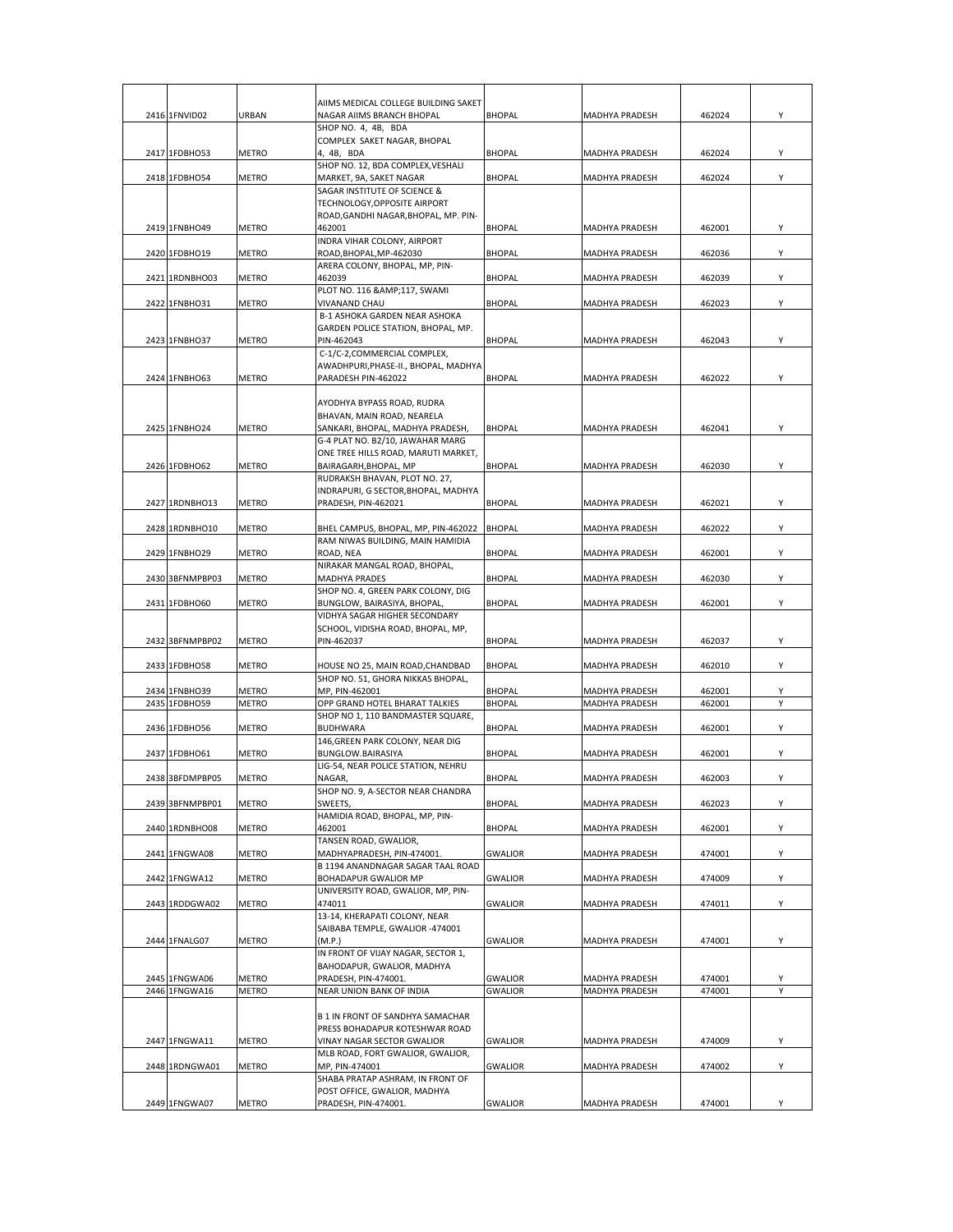|                                |              | AIIMS MEDICAL COLLEGE BUILDING SAKET                                 |                |                                  |                  |        |
|--------------------------------|--------------|----------------------------------------------------------------------|----------------|----------------------------------|------------------|--------|
| 2416 1FNVID02                  | URBAN        | NAGAR AIIMS BRANCH BHOPAL                                            | <b>BHOPAL</b>  | <b>MADHYA PRADESH</b>            | 462024           | Υ      |
|                                |              | SHOP NO. 4, 4B, BDA                                                  |                |                                  |                  |        |
|                                |              | COMPLEX SAKET NAGAR, BHOPAL                                          |                |                                  |                  |        |
| 2417 1FDBHO53                  | METRO        | 4, 4B, BDA<br>SHOP NO. 12, BDA COMPLEX, VESHALI                      | <b>BHOPAL</b>  | <b>MADHYA PRADESH</b>            | 462024           | Υ      |
| 2418 1FDBHO54                  | METRO        | MARKET, 9A, SAKET NAGAR                                              | <b>BHOPAL</b>  | MADHYA PRADESH                   | 462024           | Y      |
|                                |              | SAGAR INSTITUTE OF SCIENCE &                                         |                |                                  |                  |        |
|                                |              | TECHNOLOGY, OPPOSITE AIRPORT<br>ROAD, GANDHI NAGAR, BHOPAL, MP. PIN- |                |                                  |                  |        |
| 2419 1FNBHO49                  | METRO        | 462001                                                               | <b>BHOPAL</b>  | <b>MADHYA PRADESH</b>            | 462001           | Υ      |
|                                |              | INDRA VIHAR COLONY, AIRPORT                                          |                |                                  |                  |        |
| 2420 1FDBHO19                  | METRO        | ROAD, BHOPAL, MP-462030                                              | <b>BHOPAL</b>  | <b>MADHYA PRADESH</b>            | 462036           | Y      |
| 2421 1RDNBHO03                 | <b>METRO</b> | ARERA COLONY, BHOPAL, MP, PIN-<br>462039                             | <b>BHOPAL</b>  | <b>MADHYA PRADESH</b>            | 462039           | Υ      |
|                                |              | PLOT NO. 116 &117, SWAMI                                             |                |                                  |                  |        |
| 2422 1FNBHO31                  | METRO        | VIVANAND CHAU                                                        | <b>BHOPAL</b>  | <b>MADHYA PRADESH</b>            | 462023           | Υ      |
|                                |              | B-1 ASHOKA GARDEN NEAR ASHOKA<br>GARDEN POLICE STATION, BHOPAL, MP.  |                |                                  |                  |        |
| 2423 1FNBHO37                  | METRO        | PIN-462043                                                           | <b>BHOPAL</b>  | <b>MADHYA PRADESH</b>            | 462043           | Υ      |
|                                |              | C-1/C-2, COMMERCIAL COMPLEX,                                         |                |                                  |                  |        |
| 2424 1FNBHO63                  | METRO        | AWADHPURI,PHASE-II., BHOPAL, MADHYA<br>PARADESH PIN-462022           | <b>BHOPAL</b>  | <b>MADHYA PRADESH</b>            | 462022           | Y      |
|                                |              |                                                                      |                |                                  |                  |        |
|                                |              | AYODHYA BYPASS ROAD, RUDRA                                           |                |                                  |                  |        |
|                                |              | BHAVAN, MAIN ROAD, NEARELA                                           |                |                                  |                  |        |
| 2425 1FNBHO24                  | METRO        | SANKARI, BHOPAL, MADHYA PRADESH,<br>G-4 PLAT NO. B2/10, JAWAHAR MARG | <b>BHOPAL</b>  | <b>MADHYA PRADESH</b>            | 462041           | Υ      |
|                                |              | ONE TREE HILLS ROAD, MARUTI MARKET,                                  |                |                                  |                  |        |
| 2426 1FDBHO62                  | METRO        | BAIRAGARH, BHOPAL, MP                                                | <b>BHOPAL</b>  | <b>MADHYA PRADESH</b>            | 462030           | Υ      |
|                                |              | RUDRAKSH BHAVAN, PLOT NO. 27,<br>INDRAPURI, G SECTOR, BHOPAL, MADHYA |                |                                  |                  |        |
| 2427 1RDNBHO13                 | METRO        | PRADESH, PIN-462021                                                  | <b>BHOPAL</b>  | MADHYA PRADESH                   | 462021           | Υ      |
|                                |              |                                                                      |                |                                  |                  |        |
| 2428 1RDNBHO10                 | <b>METRO</b> | BHEL CAMPUS, BHOPAL, MP, PIN-462022                                  | <b>BHOPAL</b>  | <b>MADHYA PRADESH</b>            | 462022           | Υ      |
| 2429 1FNBHO29                  | METRO        | RAM NIWAS BUILDING, MAIN HAMIDIA<br>ROAD, NEA                        | <b>BHOPAL</b>  | <b>MADHYA PRADESH</b>            | 462001           | Y      |
|                                |              | NIRAKAR MANGAL ROAD, BHOPAL,                                         |                |                                  |                  |        |
| 2430 3BFNMPBP03                | METRO        | MADHYA PRADES                                                        | <b>BHOPAL</b>  | MADHYA PRADESH                   | 462030           | Υ      |
| 2431 1FDBHO60                  | METRO        | SHOP NO. 4, GREEN PARK COLONY, DIG<br>BUNGLOW, BAIRASIYA, BHOPAL,    | <b>BHOPAL</b>  |                                  | 462001           | Y      |
|                                |              | VIDHYA SAGAR HIGHER SECONDARY                                        |                | MADHYA PRADESH                   |                  |        |
|                                |              | SCHOOL, VIDISHA ROAD, BHOPAL, MP,                                    |                |                                  |                  |        |
| 2432 3BFNMPBP02                | METRO        | PIN-462037                                                           | <b>BHOPAL</b>  | <b>MADHYA PRADESH</b>            | 462037           | Y      |
| 2433 1FDBHO58                  | METRO        | HOUSE NO 25, MAIN ROAD, CHANDBAD                                     | <b>BHOPAL</b>  | <b>MADHYA PRADESH</b>            | 462010           | Υ      |
|                                |              | SHOP NO. 51, GHORA NIKKAS BHOPAL,                                    |                |                                  |                  |        |
| 2434 1FNBHO39                  | <b>METRO</b> | MP, PIN-462001                                                       | <b>BHOPAL</b>  | MADHYA PRADESH                   | 462001           | Υ      |
| 2435 1FDBHO59                  | <b>METRO</b> | OPP GRAND HOTEL BHARAT TALKIES<br>SHOP NO 1, 110 BANDMASTER SQUARE,  | <b>BHOPAL</b>  | <b>MADHYA PRADESH</b>            | 462001           | Y      |
| 2436 1FDBHO56                  | <b>METRO</b> | BUDHWARA                                                             | <b>BHOPAL</b>  | <b>MADHYA PRADESH</b>            | 462001           | Y      |
|                                |              | 146, GREEN PARK COLONY, NEAR DIG                                     |                |                                  |                  |        |
| 2437 1FDBHO61                  | METRO        | BUNGLOW.BAIRASIYA<br>LIG-54, NEAR POLICE STATION, NEHRU              | <b>BHOPAL</b>  | <b>MADHYA PRADESH</b>            | 462001           | Υ      |
| 2438 3BFDMPBP05                | METRO        | NAGAR,                                                               | <b>BHOPAL</b>  | <b>MADHYA PRADESH</b>            | 462003           | Υ      |
|                                |              | SHOP NO. 9, A-SECTOR NEAR CHANDRA                                    |                |                                  |                  |        |
| 2439 3BFNMPBP01                | METRO        | SWEETS,                                                              | <b>BHOPAL</b>  | MADHYA PRADESH                   | 462023           | Υ      |
| 2440 1RDNBHO08                 | METRO        | HAMIDIA ROAD, BHOPAL, MP, PIN-<br>462001                             | <b>BHOPAL</b>  | MADHYA PRADESH                   | 462001           | Υ      |
|                                |              | TANSEN ROAD, GWALIOR,                                                |                |                                  |                  |        |
| 2441 1FNGWA08                  | METRO        | MADHYAPRADESH, PIN-474001.                                           | GWALIOR        | <b>MADHYA PRADESH</b>            | 474001           | Υ      |
| 2442 1FNGWA12                  | METRO        | B 1194 ANANDNAGAR SAGAR TAAL ROAD<br>BOHADAPUR GWALIOR MP            | <b>GWALIOR</b> | <b>MADHYA PRADESH</b>            | 474009           | Υ      |
|                                |              | UNIVERSITY ROAD, GWALIOR, MP, PIN-                                   |                |                                  |                  |        |
| 2443 1RDDGWA02                 | METRO        | 474011                                                               | <b>GWALIOR</b> | MADHYA PRADESH                   | 474011           | Υ      |
|                                |              | 13-14, KHERAPATI COLONY, NEAR                                        |                |                                  |                  |        |
| 2444 1FNALG07                  | METRO        | SAIBABA TEMPLE, GWALIOR -474001<br>(M.P.)                            | <b>GWALIOR</b> | MADHYA PRADESH                   | 474001           | Υ      |
|                                |              | IN FRONT OF VIJAY NAGAR, SECTOR 1,                                   |                |                                  |                  |        |
|                                |              | BAHODAPUR, GWALIOR, MADHYA                                           |                |                                  |                  |        |
| 2445 1FNGWA06<br>2446 1FNGWA16 | METRO        | PRADESH, PIN-474001.                                                 | <b>GWALIOR</b> | MADHYA PRADESH<br>MADHYA PRADESH | 474001<br>474001 | Υ<br>Y |
|                                | METRO        | NEAR UNION BANK OF INDIA                                             | <b>GWALIOR</b> |                                  |                  |        |
|                                |              | <b>B 1 IN FRONT OF SANDHYA SAMACHAR</b>                              |                |                                  |                  |        |
|                                |              | PRESS BOHADAPUR KOTESHWAR ROAD                                       |                |                                  |                  |        |
| 2447 1FNGWA11                  | <b>METRO</b> | VINAY NAGAR SECTOR GWALIOR<br>MLB ROAD, FORT GWALIOR, GWALIOR,       | <b>GWALIOR</b> | <b>MADHYA PRADESH</b>            | 474009           | Υ      |
| 2448 1RDNGWA01                 | METRO        | MP, PIN-474001                                                       | <b>GWALIOR</b> | <b>MADHYA PRADESH</b>            | 474002           | Υ      |
|                                |              | SHABA PRATAP ASHRAM, IN FRONT OF                                     |                |                                  |                  |        |
|                                |              | POST OFFICE, GWALIOR, MADHYA                                         |                |                                  |                  |        |
| 2449 1FNGWA07                  | METRO        | PRADESH, PIN-474001.                                                 | <b>GWALIOR</b> | MADHYA PRADESH                   | 474001           | Υ      |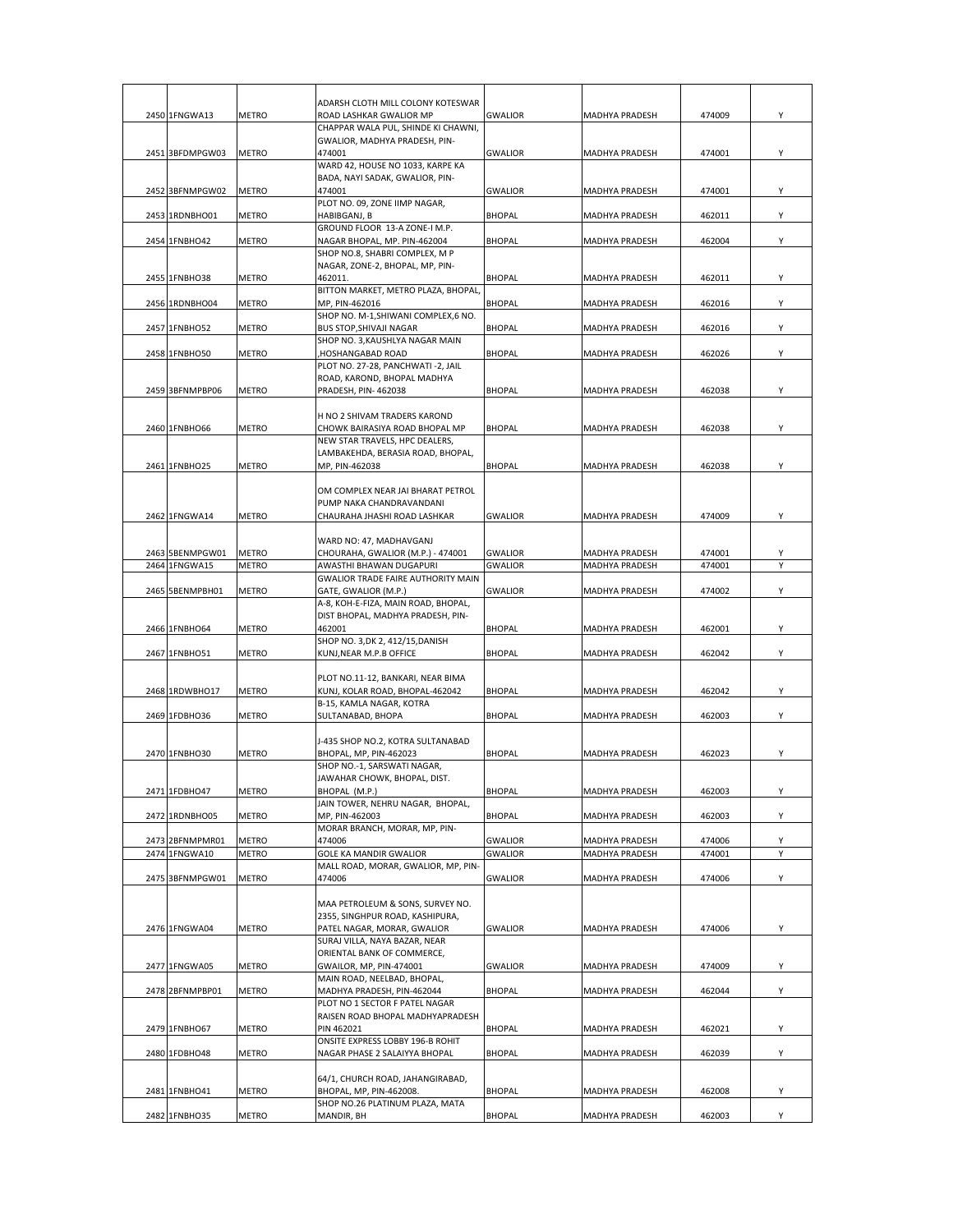|                                  |                       | ADARSH CLOTH MILL COLONY KOTESWAR                                        |                                  |                                  |                  |        |
|----------------------------------|-----------------------|--------------------------------------------------------------------------|----------------------------------|----------------------------------|------------------|--------|
| 2450 1FNGWA13                    | <b>METRO</b>          | ROAD LASHKAR GWALIOR MP                                                  | <b>GWALIOR</b>                   | MADHYA PRADESH                   | 474009           | Υ      |
|                                  |                       | CHAPPAR WALA PUL, SHINDE KI CHAWNI,                                      |                                  |                                  |                  |        |
| 2451 3BFDMPGW03                  | <b>METRO</b>          | GWALIOR, MADHYA PRADESH, PIN-<br>474001                                  | <b>GWALIOR</b>                   | MADHYA PRADESH                   | 474001           | Υ      |
|                                  |                       | WARD 42, HOUSE NO 1033, KARPE KA                                         |                                  |                                  |                  |        |
|                                  |                       | BADA, NAYI SADAK, GWALIOR, PIN-                                          |                                  |                                  |                  |        |
| 2452 3BFNMPGW02                  | <b>METRO</b>          | 474001<br>PLOT NO. 09, ZONE IIMP NAGAR,                                  | <b>GWALIOR</b>                   | MADHYA PRADESH                   | 474001           | Υ      |
| 2453 1RDNBHO01                   | <b>METRO</b>          | HABIBGANJ, B                                                             | <b>BHOPAL</b>                    | MADHYA PRADESH                   | 462011           | Y      |
|                                  |                       | GROUND FLOOR 13-A ZONE-I M.P.                                            |                                  |                                  |                  |        |
| 2454 1FNBHO42                    | METRO                 | NAGAR BHOPAL, MP. PIN-462004<br>SHOP NO.8, SHABRI COMPLEX, M P           | <b>BHOPAL</b>                    | <b>MADHYA PRADESH</b>            | 462004           | Υ      |
|                                  |                       | NAGAR, ZONE-2, BHOPAL, MP, PIN-                                          |                                  |                                  |                  |        |
| 2455 1FNBHO38                    | <b>METRO</b>          | 462011.                                                                  | <b>BHOPAL</b>                    | <b>MADHYA PRADESH</b>            | 462011           | Y      |
| 2456 1RDNBHO04                   |                       | BITTON MARKET, METRO PLAZA, BHOPAL,<br>MP. PIN-462016                    | <b>BHOPAL</b>                    | <b>MADHYA PRADESH</b>            | 462016           | Y      |
|                                  | METRO                 | SHOP NO. M-1, SHIWANI COMPLEX, 6 NO.                                     |                                  |                                  |                  |        |
| 2457 1FNBHO52                    | METRO                 | <b>BUS STOP, SHIVAJI NAGAR</b>                                           | <b>BHOPAL</b>                    | MADHYA PRADESH                   | 462016           | Y      |
| 2458 1FNBHO50                    | METRO                 | SHOP NO. 3, KAUSHLYA NAGAR MAIN<br>HOSHANGABAD ROAD,                     | <b>BHOPAL</b>                    | MADHYA PRADESH                   | 462026           | Y      |
|                                  |                       | PLOT NO. 27-28, PANCHWATI -2, JAIL                                       |                                  |                                  |                  |        |
|                                  |                       | ROAD, KAROND, BHOPAL MADHYA                                              |                                  |                                  |                  |        |
| 2459 3BFNMPBP06                  | METRO                 | PRADESH, PIN-462038                                                      | <b>BHOPAL</b>                    | <b>MADHYA PRADESH</b>            | 462038           | Y      |
|                                  |                       | H NO 2 SHIVAM TRADERS KAROND                                             |                                  |                                  |                  |        |
| 2460 1FNBHO66                    | METRO                 | CHOWK BAIRASIYA ROAD BHOPAL MP                                           | <b>BHOPAL</b>                    | <b>MADHYA PRADESH</b>            | 462038           | Y      |
|                                  |                       | NEW STAR TRAVELS, HPC DEALERS,                                           |                                  |                                  |                  |        |
| 2461 1FNBHO25                    | METRO                 | LAMBAKEHDA, BERASIA ROAD, BHOPAL,<br>MP, PIN-462038                      | <b>BHOPAL</b>                    | <b>MADHYA PRADESH</b>            | 462038           | Y      |
|                                  |                       |                                                                          |                                  |                                  |                  |        |
|                                  |                       | OM COMPLEX NEAR JAI BHARAT PETROL                                        |                                  |                                  |                  |        |
| 2462 1FNGWA14                    | <b>METRO</b>          | PUMP NAKA CHANDRAVANDANI<br>CHAURAHA JHASHI ROAD LASHKAR                 | <b>GWALIOR</b>                   | <b>MADHYA PRADESH</b>            | 474009           | Y      |
|                                  |                       |                                                                          |                                  |                                  |                  |        |
|                                  |                       | WARD NO: 47, MADHAVGANJ                                                  |                                  |                                  |                  |        |
| 2463 5BENMPGW01<br>2464 1FNGWA15 | METRO<br><b>METRO</b> | CHOURAHA, GWALIOR (M.P.) - 474001<br>AWASTHI BHAWAN DUGAPURI             | <b>GWALIOR</b><br><b>GWALIOR</b> | MADHYA PRADESH<br>MADHYA PRADESH | 474001<br>474001 | Υ<br>Υ |
|                                  |                       | <b>GWALIOR TRADE FAIRE AUTHORITY MAIN</b>                                |                                  |                                  |                  |        |
| 2465 5BENMPBH01                  | <b>METRO</b>          | GATE, GWALIOR (M.P.)                                                     | <b>GWALIOR</b>                   | MADHYA PRADESH                   | 474002           | Υ      |
|                                  |                       | A-8, KOH-E-FIZA, MAIN ROAD, BHOPAL,<br>DIST BHOPAL, MADHYA PRADESH, PIN- |                                  |                                  |                  |        |
| 2466 1FNBHO64                    | <b>METRO</b>          | 462001                                                                   | <b>BHOPAL</b>                    | MADHYA PRADESH                   | 462001           | Υ      |
|                                  |                       | SHOP NO. 3, DK 2, 412/15, DANISH                                         |                                  |                                  |                  |        |
| 2467 1FNBHO51                    | METRO                 | KUNJ, NEAR M.P.B OFFICE                                                  | <b>BHOPAL</b>                    | MADHYA PRADESH                   | 462042           | Υ      |
|                                  |                       | PLOT NO.11-12, BANKARI, NEAR BIMA                                        |                                  |                                  |                  |        |
| 2468 1RDWBHO17                   | METRO                 | KUNJ, KOLAR ROAD, BHOPAL-462042                                          | <b>BHOPAL</b>                    | MADHYA PRADESH                   | 462042           | Y      |
|                                  |                       | B-15, KAMLA NAGAR, KOTRA                                                 |                                  |                                  |                  | Y      |
| 2469 1FDBHO36                    | <b>METRO</b>          | SULTANABAD, BHOPA                                                        | <b>BHOPAL</b>                    | <b>MADHYA PRADESH</b>            | 462003           |        |
|                                  |                       | J-435 SHOP NO.2, KOTRA SULTANABAD                                        |                                  |                                  |                  |        |
| 2470 1FNBHO30                    | <b>METRO</b>          | BHOPAL, MP, PIN-462023                                                   | <b>BHOPAL</b>                    | MADHYA PRADESH                   | 462023           | Y      |
|                                  |                       | SHOP NO.-1, SARSWATI NAGAR,<br>JAWAHAR CHOWK, BHOPAL, DIST.              |                                  |                                  |                  |        |
| 2471 1FDBHO47                    | <b>METRO</b>          | BHOPAL (M.P.)                                                            | <b>BHOPAL</b>                    | MADHYA PRADESH                   | 462003           | Υ      |
|                                  |                       | JAIN TOWER, NEHRU NAGAR, BHOPAL,                                         |                                  |                                  |                  |        |
| 2472 1RDNBHO05                   | <b>METRO</b>          | MP, PIN-462003<br>MORAR BRANCH, MORAR, MP, PIN-                          | <b>BHOPAL</b>                    | MADHYA PRADESH                   | 462003           | Υ      |
| 2473 2BFNMPMR01                  | <b>METRO</b>          | 474006                                                                   | <b>GWALIOR</b>                   | MADHYA PRADESH                   | 474006           | Υ      |
| 2474 1FNGWA10                    | <b>METRO</b>          | GOLE KA MANDIR GWALIOR<br>MALL ROAD, MORAR, GWALIOR, MP, PIN-            | <b>GWALIOR</b>                   | MADHYA PRADESH                   | 474001           | Υ      |
| 2475 3BFNMPGW01                  | <b>METRO</b>          | 474006                                                                   | <b>GWALIOR</b>                   | MADHYA PRADESH                   | 474006           | Υ      |
|                                  |                       |                                                                          |                                  |                                  |                  |        |
|                                  |                       | MAA PETROLEUM & SONS, SURVEY NO.                                         |                                  |                                  |                  |        |
| 2476 1FNGWA04                    | METRO                 | 2355, SINGHPUR ROAD, KASHIPURA,<br>PATEL NAGAR, MORAR, GWALIOR           | <b>GWALIOR</b>                   | MADHYA PRADESH                   | 474006           | Υ      |
|                                  |                       | SURAJ VILLA, NAYA BAZAR, NEAR                                            |                                  |                                  |                  |        |
|                                  |                       | ORIENTAL BANK OF COMMERCE,                                               |                                  |                                  |                  |        |
| 2477 1FNGWA05                    | <b>METRO</b>          | GWAILOR, MP, PIN-474001<br>MAIN ROAD, NEELBAD, BHOPAL,                   | <b>GWALIOR</b>                   | MADHYA PRADESH                   | 474009           | Υ      |
| 2478 2BFNMPBP01                  | METRO                 | MADHYA PRADESH, PIN-462044                                               | <b>BHOPAL</b>                    | <b>MADHYA PRADESH</b>            | 462044           | Υ      |
|                                  |                       | PLOT NO 1 SECTOR F PATEL NAGAR                                           |                                  |                                  |                  |        |
| 2479 1FNBHO67                    | <b>METRO</b>          | RAISEN ROAD BHOPAL MADHYAPRADESH<br>PIN 462021                           | <b>BHOPAL</b>                    |                                  | 462021           | Υ      |
|                                  |                       | ONSITE EXPRESS LOBBY 196-B ROHIT                                         |                                  | MADHYA PRADESH                   |                  |        |
| 2480 1FDBHO48                    | METRO                 | NAGAR PHASE 2 SALAIYYA BHOPAL                                            | <b>BHOPAL</b>                    | MADHYA PRADESH                   | 462039           | Y      |
|                                  |                       | 64/1, CHURCH ROAD, JAHANGIRABAD,                                         |                                  |                                  |                  |        |
| 2481 1FNBHO41                    | METRO                 | BHOPAL, MP, PIN-462008.                                                  | <b>BHOPAL</b>                    | MADHYA PRADESH                   | 462008           | Υ      |
|                                  |                       | SHOP NO.26 PLATINUM PLAZA, MATA                                          |                                  |                                  |                  |        |
| 2482 1FNBHO35                    | METRO                 | MANDIR, BH                                                               | <b>BHOPAL</b>                    | MADHYA PRADESH                   | 462003           | Y      |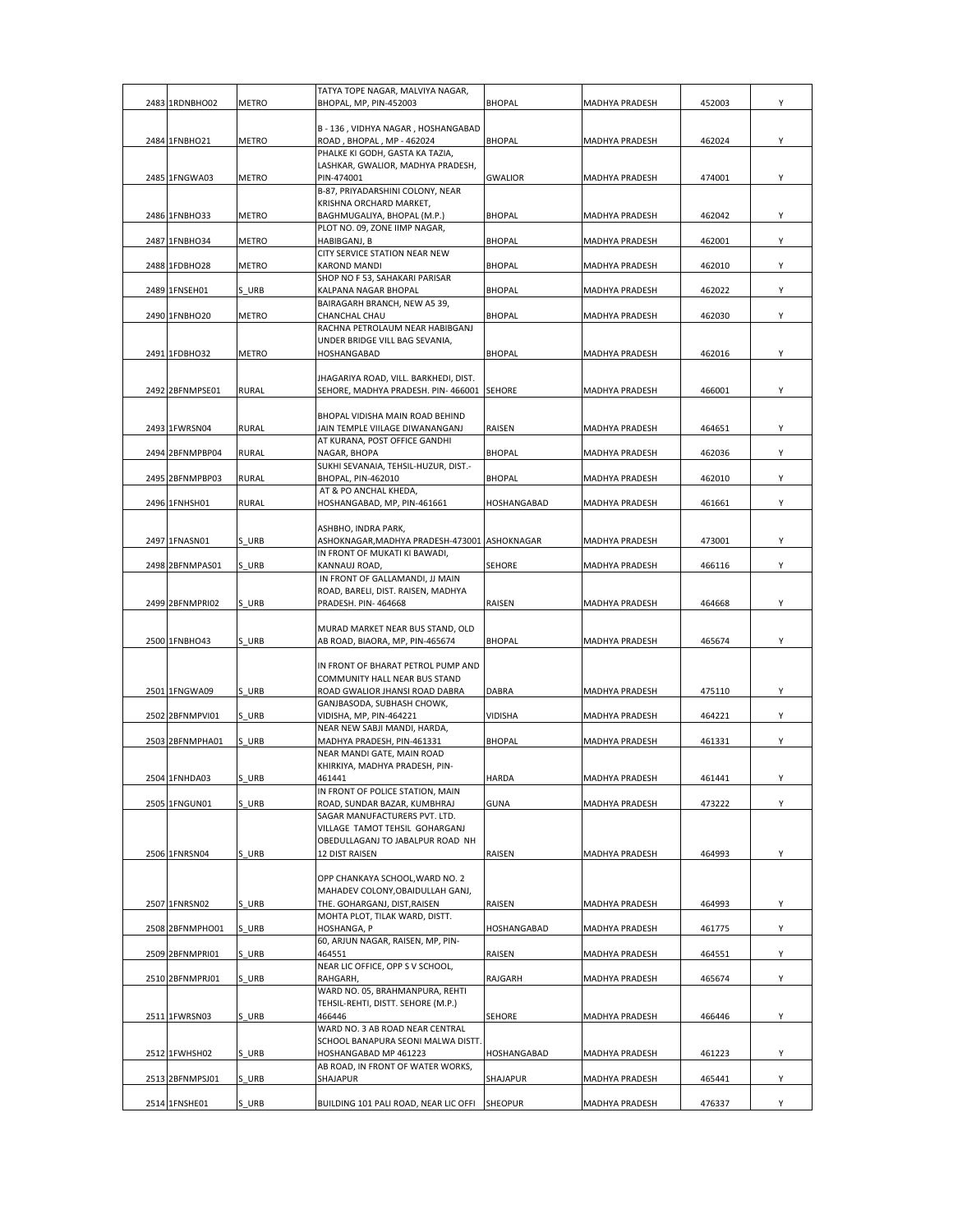| 2483 1RDNBHO02  | METRO        | TATYA TOPE NAGAR, MALVIYA NAGAR,<br>BHOPAL, MP, PIN-452003                    | <b>BHOPAL</b>  | <b>MADHYA PRADESH</b> | 452003 | Υ |
|-----------------|--------------|-------------------------------------------------------------------------------|----------------|-----------------------|--------|---|
|                 |              |                                                                               |                |                       |        |   |
| 2484 1FNBHO21   | METRO        | B - 136, VIDHYA NAGAR, HOSHANGABAD<br>ROAD, BHOPAL, MP - 462024               | <b>BHOPAL</b>  | MADHYA PRADESH        | 462024 | Y |
|                 |              | PHALKE KI GODH, GASTA KA TAZIA,                                               |                |                       |        |   |
| 2485 1FNGWA03   | METRO        | LASHKAR, GWALIOR, MADHYA PRADESH,<br>PIN-474001                               | <b>GWALIOR</b> | MADHYA PRADESH        | 474001 | Y |
|                 |              | B-87, PRIYADARSHINI COLONY, NEAR                                              |                |                       |        |   |
|                 |              | KRISHNA ORCHARD MARKET,                                                       |                |                       |        |   |
| 2486 1FNBHO33   | METRO        | BAGHMUGALIYA, BHOPAL (M.P.)<br>PLOT NO. 09, ZONE IIMP NAGAR,                  | <b>BHOPAL</b>  | MADHYA PRADESH        | 462042 | Y |
| 2487 1FNBHO34   | METRO        | HABIBGANJ, B                                                                  | <b>BHOPAL</b>  | MADHYA PRADESH        | 462001 | Υ |
|                 |              | CITY SERVICE STATION NEAR NEW                                                 |                |                       |        |   |
| 2488 1FDBHO28   | METRO        | <b>KAROND MANDI</b><br>SHOP NO F 53, SAHAKARI PARISAR                         | <b>BHOPAL</b>  | MADHYA PRADESH        | 462010 | Υ |
| 2489 1FNSEH01   | S URB        | KALPANA NAGAR BHOPAL                                                          | <b>BHOPAL</b>  | MADHYA PRADESH        | 462022 | Υ |
|                 |              | BAIRAGARH BRANCH, NEW A5 39,                                                  |                |                       |        |   |
| 2490 1FNBHO20   | METRO        | CHANCHAL CHAU<br>RACHNA PETROLAUM NEAR HABIBGANJ                              | <b>BHOPAL</b>  | MADHYA PRADESH        | 462030 | Υ |
|                 |              | UNDER BRIDGE VILL BAG SEVANIA,                                                |                |                       |        |   |
| 2491 1FDBHO32   | METRO        | HOSHANGABAD                                                                   | <b>BHOPAL</b>  | MADHYA PRADESH        | 462016 | Y |
|                 |              | JHAGARIYA ROAD, VILL. BARKHEDI, DIST.                                         |                |                       |        |   |
| 2492 2BFNMPSE01 | <b>RURAL</b> | SEHORE, MADHYA PRADESH. PIN-466001                                            | <b>SEHORE</b>  | MADHYA PRADESH        | 466001 | Υ |
|                 |              | BHOPAL VIDISHA MAIN ROAD BEHIND                                               |                |                       |        |   |
| 2493 1FWRSN04   | <b>RURAL</b> | JAIN TEMPLE VIILAGE DIWANANGANJ                                               | RAISEN         | MADHYA PRADESH        | 464651 | Y |
|                 |              | AT KURANA, POST OFFICE GANDHI                                                 |                |                       |        |   |
| 2494 2BFNMPBP04 | RURAL        | NAGAR, BHOPA<br>SUKHI SEVANAIA, TEHSIL-HUZUR, DIST.-                          | <b>BHOPAL</b>  | MADHYA PRADESH        | 462036 | Y |
| 2495 2BFNMPBP03 | RURAL        | BHOPAL, PIN-462010                                                            | <b>BHOPAL</b>  | MADHYA PRADESH        | 462010 | Υ |
| 2496 1FNHSH01   | <b>RURAL</b> | AT & PO ANCHAL KHEDA,<br>HOSHANGABAD, MP, PIN-461661                          | HOSHANGABAD    | MADHYA PRADESH        | 461661 | Υ |
|                 |              |                                                                               |                |                       |        |   |
|                 |              | ASHBHO, INDRA PARK,                                                           |                |                       |        |   |
| 2497 1FNASN01   | S URB        | ASHOKNAGAR, MADHYA PRADESH-473001 ASHOKNAGAR<br>IN FRONT OF MUKATI KI BAWADI, |                | MADHYA PRADESH        | 473001 | Y |
| 2498 2BFNMPAS01 | S URB        | KANNAUJ ROAD,                                                                 | SEHORE         | MADHYA PRADESH        | 466116 | Υ |
|                 |              | IN FRONT OF GALLAMANDI, JJ MAIN                                               |                |                       |        |   |
| 2499 2BFNMPRI02 | S URB        | ROAD, BARELI, DIST. RAISEN, MADHYA<br>PRADESH. PIN-464668                     | RAISEN         | MADHYA PRADESH        | 464668 | Υ |
|                 |              |                                                                               |                |                       |        |   |
| 2500 1FNBHO43   | S URB        | MURAD MARKET NEAR BUS STAND, OLD                                              | <b>BHOPAL</b>  |                       |        | Υ |
|                 |              | AB ROAD, BIAORA, MP, PIN-465674                                               |                | MADHYA PRADESH        | 465674 |   |
|                 |              | IN FRONT OF BHARAT PETROL PUMP AND                                            |                |                       |        |   |
| 2501 1FNGWA09   | S URB        | COMMUNITY HALL NEAR BUS STAND<br>ROAD GWALIOR JHANSI ROAD DABRA               | <b>DABRA</b>   | MADHYA PRADESH        | 475110 | Υ |
|                 |              | GANJBASODA, SUBHASH CHOWK,                                                    |                |                       |        |   |
| 2502 2BFNMPVI01 | S URB        | VIDISHA, MP, PIN-464221                                                       | VIDISHA        | MADHYA PRADESH        | 464221 | Υ |
| 2503 2BFNMPHA01 | S URB        | NEAR NEW SABJI MANDI, HARDA,<br>MADHYA PRADESH, PIN-461331                    | <b>BHOPAL</b>  | MADHYA PRADESH        | 461331 | Y |
|                 |              | NEAR MANDI GATE, MAIN ROAD                                                    |                |                       |        |   |
| 2504 1FNHDA03   | URB          | KHIRKIYA, MADHYA PRADESH, PIN-<br>461441                                      | HARDA          | MADHYA PRADESH        | 461441 |   |
|                 |              | IN FRONT OF POLICE STATION, MAIN                                              |                |                       |        |   |
| 2505 1FNGUN01   | S URB        | ROAD, SUNDAR BAZAR, KUMBHRAJ                                                  | <b>GUNA</b>    | MADHYA PRADESH        | 473222 | Y |
|                 |              | SAGAR MANUFACTURERS PVT. LTD.<br>VILLAGE TAMOT TEHSIL GOHARGANJ               |                |                       |        |   |
|                 |              | OBEDULLAGANJ TO JABALPUR ROAD NH                                              |                |                       |        |   |
| 2506 1FNRSN04   | S URB        | 12 DIST RAISEN                                                                | RAISEN         | MADHYA PRADESH        | 464993 | Υ |
|                 |              | OPP CHANKAYA SCHOOL, WARD NO. 2                                               |                |                       |        |   |
|                 |              | MAHADEV COLONY, OBAIDULLAH GANJ,                                              |                |                       |        |   |
| 2507 1FNRSN02   | S URB        | THE. GOHARGANJ, DIST, RAISEN<br>MOHTA PLOT, TILAK WARD, DISTT.                | RAISEN         | MADHYA PRADESH        | 464993 | Y |
| 2508 2BFNMPHO01 | S URB        | HOSHANGA, P                                                                   | HOSHANGABAD    | MADHYA PRADESH        | 461775 | Υ |
|                 |              | 60, ARJUN NAGAR, RAISEN, MP, PIN-                                             |                |                       |        |   |
| 2509 2BFNMPRI01 | S URB        | 464551<br>NEAR LIC OFFICE, OPP S V SCHOOL,                                    | RAISEN         | MADHYA PRADESH        | 464551 | Y |
| 2510 2BFNMPRJ01 | S URB        | RAHGARH,                                                                      | RAJGARH        | MADHYA PRADESH        | 465674 | Y |
|                 |              | WARD NO. 05, BRAHMANPURA, REHTI                                               |                |                       |        |   |
| 2511 1FWRSN03   | S URB        | TEHSIL-REHTI, DISTT. SEHORE (M.P.)<br>466446                                  | <b>SEHORE</b>  | MADHYA PRADESH        | 466446 | Y |
|                 |              | WARD NO. 3 AB ROAD NEAR CENTRAL                                               |                |                       |        |   |
| 2512 1FWHSH02   | S URB        | SCHOOL BANAPURA SEONI MALWA DISTT.<br>HOSHANGABAD MP 461223                   | HOSHANGABAD    | MADHYA PRADESH        | 461223 | Y |
|                 |              | AB ROAD, IN FRONT OF WATER WORKS,                                             |                |                       |        |   |
| 2513 2BFNMPSJ01 | S URB        | SHAJAPUR                                                                      | SHAJAPUR       | MADHYA PRADESH        | 465441 | Y |
| 2514 1FNSHE01   | S URB        | BUILDING 101 PALI ROAD, NEAR LIC OFFI                                         | <b>SHEOPUR</b> | MADHYA PRADESH        | 476337 | Y |
|                 |              |                                                                               |                |                       |        |   |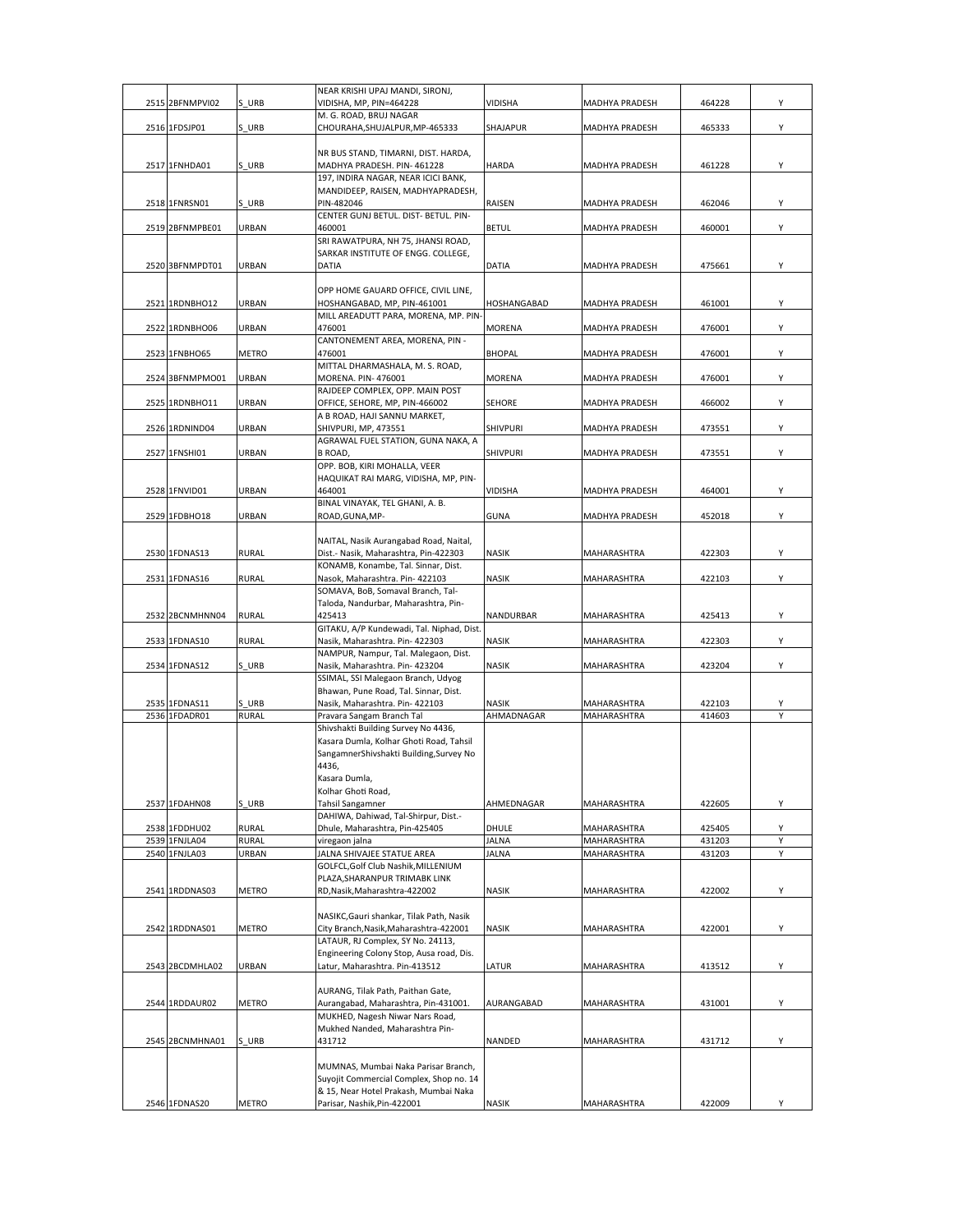|      |                 |                       | NEAR KRISHI UPAJ MANDI, SIRONJ,                                                    |                            |                            |                  |        |
|------|-----------------|-----------------------|------------------------------------------------------------------------------------|----------------------------|----------------------------|------------------|--------|
| 2515 | 2BFNMPVI02      | S URB                 | VIDISHA, MP, PIN=464228<br>M. G. ROAD, BRUJ NAGAR                                  | <b>VIDISHA</b>             | MADHYA PRADESH             | 464228           | Υ      |
|      | 2516 1FDSJP01   | S URB                 | CHOURAHA, SHUJALPUR, MP-465333                                                     | SHAJAPUR                   | MADHYA PRADESH             | 465333           | Y      |
|      |                 |                       |                                                                                    |                            |                            |                  |        |
|      |                 |                       | NR BUS STAND, TIMARNI, DIST. HARDA,                                                |                            |                            |                  |        |
|      | 2517 1FNHDA01   | S URB                 | MADHYA PRADESH. PIN-461228                                                         | <b>HARDA</b>               | MADHYA PRADESH             | 461228           | Y      |
|      |                 |                       | 197, INDIRA NAGAR, NEAR ICICI BANK,                                                |                            |                            |                  |        |
|      |                 |                       | MANDIDEEP, RAISEN, MADHYAPRADESH,                                                  |                            |                            |                  |        |
|      | 2518 1FNRSN01   | S URB                 | PIN-482046<br>CENTER GUNJ BETUL. DIST- BETUL. PIN-                                 | RAISEN                     | MADHYA PRADESH             | 462046           | Y      |
|      | 2519 2BFNMPBE01 | URBAN                 | 460001                                                                             | <b>BETUL</b>               | MADHYA PRADESH             | 460001           | Y      |
|      |                 |                       | SRI RAWATPURA, NH 75, JHANSI ROAD,                                                 |                            |                            |                  |        |
|      |                 |                       | SARKAR INSTITUTE OF ENGG. COLLEGE,                                                 |                            |                            |                  |        |
|      | 2520 3BFNMPDT01 | URBAN                 | DATIA                                                                              | <b>DATIA</b>               | MADHYA PRADESH             | 475661           | Υ      |
|      |                 |                       |                                                                                    |                            |                            |                  |        |
|      |                 |                       | OPP HOME GAUARD OFFICE, CIVIL LINE,                                                |                            |                            |                  |        |
|      | 2521 1RDNBHO12  | URBAN                 | HOSHANGABAD, MP, PIN-461001                                                        | HOSHANGABAD                | <b>MADHYA PRADESH</b>      | 461001           | Y      |
|      | 2522 1RDNBHO06  | URBAN                 | MILL AREADUTT PARA, MORENA, MP. PIN-<br>476001                                     | MORENA                     | MADHYA PRADESH             | 476001           | Y      |
|      |                 |                       | CANTONEMENT AREA, MORENA, PIN -                                                    |                            |                            |                  |        |
|      | 2523 1FNBHO65   | METRO                 | 476001                                                                             | <b>BHOPAL</b>              | MADHYA PRADESH             | 476001           | Y      |
|      |                 |                       | MITTAL DHARMASHALA, M. S. ROAD,                                                    |                            |                            |                  |        |
|      | 2524 3BFNMPMO01 | URBAN                 | MORENA. PIN-476001                                                                 | <b>MORENA</b>              | MADHYA PRADESH             | 476001           | Υ      |
|      |                 |                       | RAJDEEP COMPLEX, OPP. MAIN POST                                                    |                            |                            |                  |        |
|      | 2525 1RDNBHO11  | URBAN                 | OFFICE, SEHORE, MP, PIN-466002                                                     | SEHORE                     | MADHYA PRADESH             | 466002           | Y      |
|      |                 |                       | A B ROAD, HAJI SANNU MARKET,                                                       |                            |                            |                  |        |
|      | 2526 1RDNIND04  | URBAN                 | SHIVPURI, MP, 473551                                                               | <b>SHIVPURI</b>            | MADHYA PRADESH             | 473551           | Y      |
|      | 2527 1FNSHI01   | URBAN                 | AGRAWAL FUEL STATION, GUNA NAKA, A                                                 | <b>SHIVPURI</b>            | MADHYA PRADESH             | 473551           | Y      |
|      |                 |                       | <b>B ROAD,</b><br>OPP. BOB, KIRI MOHALLA, VEER                                     |                            |                            |                  |        |
|      |                 |                       | HAQUIKAT RAI MARG, VIDISHA, MP, PIN-                                               |                            |                            |                  |        |
|      | 2528 1FNVID01   | URBAN                 | 464001                                                                             | <b>VIDISHA</b>             | MADHYA PRADESH             | 464001           | Y      |
|      |                 |                       | BINAL VINAYAK, TEL GHANI, A. B.                                                    |                            |                            |                  |        |
|      | 2529 1FDBHO18   | URBAN                 | ROAD, GUNA, MP-                                                                    | <b>GUNA</b>                | <b>MADHYA PRADESH</b>      | 452018           | Υ      |
|      |                 |                       |                                                                                    |                            |                            |                  |        |
|      |                 |                       | NAITAL, Nasik Aurangabad Road, Naital,                                             |                            |                            |                  |        |
|      | 2530 1FDNAS13   | <b>RURAL</b>          | Dist.- Nasik, Maharashtra, Pin-422303                                              | <b>NASIK</b>               | MAHARASHTRA                | 422303           | Υ      |
|      |                 |                       | KONAMB, Konambe, Tal. Sinnar, Dist.                                                |                            |                            |                  |        |
|      | 2531 1FDNAS16   | <b>RURAL</b>          | Nasok, Maharashtra. Pin- 422103<br>SOMAVA, BoB, Somaval Branch, Tal-               | <b>NASIK</b>               | MAHARASHTRA                | 422103           | Y      |
|      |                 |                       | Taloda, Nandurbar, Maharashtra, Pin-                                               |                            |                            |                  |        |
|      | 2532 2BCNMHNN04 | <b>RURAL</b>          | 425413                                                                             | NANDURBAR                  | MAHARASHTRA                | 425413           | Υ      |
|      |                 |                       | GITAKU, A/P Kundewadi, Tal. Niphad, Dist.                                          |                            |                            |                  |        |
|      | 2533 1FDNAS10   | <b>RURAL</b>          | Nasik, Maharashtra. Pin- 422303                                                    | NASIK                      | MAHARASHTRA                | 422303           | Y      |
|      |                 |                       | NAMPUR, Nampur, Tal. Malegaon, Dist.                                               |                            |                            |                  |        |
|      | 2534 1FDNAS12   | S URB                 | Nasik, Maharashtra. Pin- 423204                                                    | <b>NASIK</b>               | MAHARASHTRA                | 423204           | Y      |
|      |                 |                       | SSIMAL, SSI Malegaon Branch, Udyog                                                 |                            |                            |                  |        |
|      | 2535 1FDNAS11   |                       | Bhawan, Pune Road, Tal. Sinnar, Dist.                                              |                            |                            |                  |        |
|      | 2536 1FDADR01   | S URB<br><b>RURAL</b> | Nasik, Maharashtra. Pin- 422103<br>Pravara Sangam Branch Tal                       | <b>NASIK</b><br>AHMADNAGAR | MAHARASHTRA<br>MAHARASHTRA | 422103<br>414603 | Υ<br>Υ |
|      |                 |                       | Shivshakti Building Survey No 4436,                                                |                            |                            |                  |        |
|      |                 |                       | Kasara Dumla, Kolhar Ghoti Road, Tahsil                                            |                            |                            |                  |        |
|      |                 |                       | SangamnerShivshakti Building, Survey No                                            |                            |                            |                  |        |
|      |                 |                       | 4436,                                                                              |                            |                            |                  |        |
|      |                 |                       | Kasara Dumla,                                                                      |                            |                            |                  |        |
|      |                 |                       | Kolhar Ghoti Road,                                                                 |                            |                            |                  |        |
|      | 2537 1FDAHN08   | S URB                 | <b>Tahsil Sangamner</b><br>DAHIWA, Dahiwad, Tal-Shirpur, Dist.-                    | AHMEDNAGAR                 | MAHARASHTRA                | 422605           | Υ      |
|      | 2538 1FDDHU02   | <b>RURAL</b>          | Dhule, Maharashtra, Pin-425405                                                     | DHULE                      | MAHARASHTRA                | 425405           | Υ      |
|      | 2539 1FNJLA04   | RURAL                 | viregaon jalna                                                                     | <b>JALNA</b>               | MAHARASHTRA                | 431203           | Υ      |
|      | 2540 1FNJLA03   | URBAN                 | JALNA SHIVAJEE STATUE AREA                                                         | <b>JALNA</b>               | MAHARASHTRA                | 431203           | Υ      |
|      |                 |                       | GOLFCL, Golf Club Nashik, MILLENIUM                                                |                            |                            |                  |        |
|      |                 |                       | PLAZA, SHARANPUR TRIMABK LINK                                                      |                            |                            |                  |        |
|      | 2541 1RDDNAS03  | METRO                 | RD, Nasik, Maharashtra-422002                                                      | <b>NASIK</b>               | MAHARASHTRA                | 422002           | Υ      |
|      |                 |                       |                                                                                    |                            |                            |                  |        |
|      | 2542 1RDDNAS01  | METRO                 | NASIKC, Gauri shankar, Tilak Path, Nasik<br>City Branch, Nasik, Maharashtra-422001 | <b>NASIK</b>               | MAHARASHTRA                | 422001           | Υ      |
|      |                 |                       | LATAUR, RJ Complex, SY No. 24113,                                                  |                            |                            |                  |        |
|      |                 |                       | Engineering Colony Stop, Ausa road, Dis.                                           |                            |                            |                  |        |
|      | 2543 2BCDMHLA02 | URBAN                 | Latur, Maharashtra. Pin-413512                                                     | LATUR                      | MAHARASHTRA                | 413512           | Υ      |
|      |                 |                       |                                                                                    |                            |                            |                  |        |
|      |                 |                       | AURANG, Tilak Path, Paithan Gate,                                                  |                            |                            |                  |        |
|      | 2544 1RDDAUR02  | METRO                 | Aurangabad, Maharashtra, Pin-431001.                                               | AURANGABAD                 | MAHARASHTRA                | 431001           | Υ      |
|      |                 |                       | MUKHED, Nagesh Niwar Nars Road,                                                    |                            |                            |                  |        |
|      | 2545 2BCNMHNA01 | S URB                 | Mukhed Nanded, Maharashtra Pin-<br>431712                                          | NANDED                     | MAHARASHTRA                | 431712           | Υ      |
|      |                 |                       |                                                                                    |                            |                            |                  |        |
|      |                 |                       | MUMNAS, Mumbai Naka Parisar Branch,                                                |                            |                            |                  |        |
|      |                 |                       | Suyojit Commercial Complex, Shop no. 14                                            |                            |                            |                  |        |
|      |                 |                       | & 15, Near Hotel Prakash, Mumbai Naka                                              |                            |                            |                  |        |
|      | 2546 1FDNAS20   | <b>METRO</b>          | Parisar, Nashik, Pin-422001                                                        | <b>NASIK</b>               | MAHARASHTRA                | 422009           | Y      |